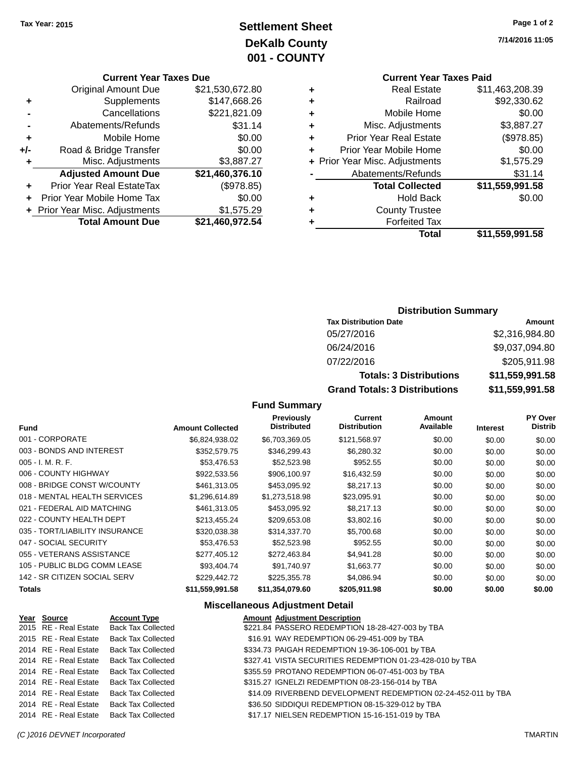# **Settlement Sheet Tax Year: 2015 Page 1 of 2 DeKalb County 001 - COUNTY**

### **Current Year Taxes Due**

| <b>Original Amount Due</b> | \$21,530,672.80                |
|----------------------------|--------------------------------|
| Supplements                | \$147,668.26                   |
| Cancellations              | \$221,821.09                   |
| Abatements/Refunds         | \$31.14                        |
| Mobile Home                | \$0.00                         |
| Road & Bridge Transfer     | \$0.00                         |
| Misc. Adjustments          | \$3,887.27                     |
| <b>Adjusted Amount Due</b> | \$21,460,376.10                |
| Prior Year Real EstateTax  | (\$978.85)                     |
| Prior Year Mobile Home Tax | \$0.00                         |
|                            | \$1,575.29                     |
| <b>Total Amount Due</b>    | \$21,460,972.54                |
|                            | + Prior Year Misc. Adjustments |

### **Current Year Taxes Paid +** Real Estate \$11,463,208.39

|   | Total                          | \$11,559,991.58       |
|---|--------------------------------|-----------------------|
| ٠ | <b>Forfeited Tax</b>           |                       |
| ٠ | <b>County Trustee</b>          |                       |
| ٠ | <b>Hold Back</b>               | \$0.00                |
|   | <b>Total Collected</b>         | \$11,559,991.58       |
|   | Abatements/Refunds             | \$31.14               |
|   | + Prior Year Misc. Adjustments | \$1,575.29            |
| ٠ | Prior Year Mobile Home         | \$0.00                |
| ÷ | <b>Prior Year Real Estate</b>  | (\$978.85)            |
| ٠ | Misc. Adjustments              | \$3,887.27            |
| ٠ | Mobile Home                    | \$0.00                |
| ÷ | Railroad                       | \$92,330.62           |
| ٠ | Real Estate                    | <b>DII,403,200.39</b> |

# **Distribution Summary**

| <b>Tax Distribution Date</b>         | Amount          |
|--------------------------------------|-----------------|
| 05/27/2016                           | \$2,316,984.80  |
| 06/24/2016                           | \$9,037,094.80  |
| 07/22/2016                           | \$205,911.98    |
| <b>Totals: 3 Distributions</b>       | \$11,559,991.58 |
| <b>Grand Totals: 3 Distributions</b> | \$11,559,991.58 |

#### **Fund Summary Previously**

| <b>Fund</b>                    | <b>Amount Collected</b> | <b>Previously</b><br><b>Distributed</b> | <b>Current</b><br><b>Distribution</b> | Amount<br>Available | <b>Interest</b> | <b>PY Over</b><br><b>Distrib</b> |
|--------------------------------|-------------------------|-----------------------------------------|---------------------------------------|---------------------|-----------------|----------------------------------|
| 001 - CORPORATE                | \$6,824,938.02          | \$6,703,369.05                          | \$121,568.97                          | \$0.00              | \$0.00          | \$0.00                           |
| 003 - BONDS AND INTEREST       | \$352,579.75            | \$346,299.43                            | \$6,280.32                            | \$0.00              | \$0.00          | \$0.00                           |
| $005 - I. M. R. F.$            | \$53,476.53             | \$52,523.98                             | \$952.55                              | \$0.00              | \$0.00          | \$0.00                           |
| 006 - COUNTY HIGHWAY           | \$922,533.56            | \$906,100.97                            | \$16,432.59                           | \$0.00              | \$0.00          | \$0.00                           |
| 008 - BRIDGE CONST W/COUNTY    | \$461,313.05            | \$453,095.92                            | \$8,217.13                            | \$0.00              | \$0.00          | \$0.00                           |
| 018 - MENTAL HEALTH SERVICES   | \$1.296.614.89          | \$1,273,518.98                          | \$23,095.91                           | \$0.00              | \$0.00          | \$0.00                           |
| 021 - FEDERAL AID MATCHING     | \$461,313.05            | \$453,095.92                            | \$8,217.13                            | \$0.00              | \$0.00          | \$0.00                           |
| 022 - COUNTY HEALTH DEPT       | \$213,455.24            | \$209,653.08                            | \$3,802.16                            | \$0.00              | \$0.00          | \$0.00                           |
| 035 - TORT/LIABILITY INSURANCE | \$320,038.38            | \$314,337.70                            | \$5,700.68                            | \$0.00              | \$0.00          | \$0.00                           |
| 047 - SOCIAL SECURITY          | \$53,476.53             | \$52,523.98                             | \$952.55                              | \$0.00              | \$0.00          | \$0.00                           |
| 055 - VETERANS ASSISTANCE      | \$277,405.12            | \$272,463.84                            | \$4,941.28                            | \$0.00              | \$0.00          | \$0.00                           |
| 105 - PUBLIC BLDG COMM LEASE   | \$93.404.74             | \$91.740.97                             | \$1,663.77                            | \$0.00              | \$0.00          | \$0.00                           |
| 142 - SR CITIZEN SOCIAL SERV   | \$229,442.72            | \$225,355.78                            | \$4,086.94                            | \$0.00              | \$0.00          | \$0.00                           |
| <b>Totals</b>                  | \$11,559,991.58         | \$11,354,079.60                         | \$205,911.98                          | \$0.00              | \$0.00          | \$0.00                           |

### **Miscellaneous Adjustment Detail**

| Year Source           | <b>Account Type</b>       | <b>Amount Adjustment Description</b>                          |
|-----------------------|---------------------------|---------------------------------------------------------------|
| 2015 RE - Real Estate | <b>Back Tax Collected</b> | \$221.84 PASSERO REDEMPTION 18-28-427-003 by TBA              |
| 2015 RE - Real Estate | Back Tax Collected        | \$16.91 WAY REDEMPTION 06-29-451-009 by TBA                   |
| 2014 RE - Real Estate | <b>Back Tax Collected</b> | \$334.73 PAIGAH REDEMPTION 19-36-106-001 by TBA               |
| 2014 RE - Real Estate | Back Tax Collected        | \$327.41 VISTA SECURITIES REDEMPTION 01-23-428-010 by TBA     |
| 2014 RE - Real Estate | <b>Back Tax Collected</b> | \$355.59 PROTANO REDEMPTION 06-07-451-003 by TBA              |
| 2014 RE - Real Estate | Back Tax Collected        | \$315.27 IGNELZI REDEMPTION 08-23-156-014 by TBA              |
| 2014 RE - Real Estate | <b>Back Tax Collected</b> | \$14.09 RIVERBEND DEVELOPMENT REDEMPTION 02-24-452-011 by TBA |
| 2014 RE - Real Estate | Back Tax Collected        | \$36.50 SIDDIQUI REDEMPTION 08-15-329-012 by TBA              |
| 2014 RE - Real Estate | <b>Back Tax Collected</b> | \$17.17 NIELSEN REDEMPTION 15-16-151-019 by TBA               |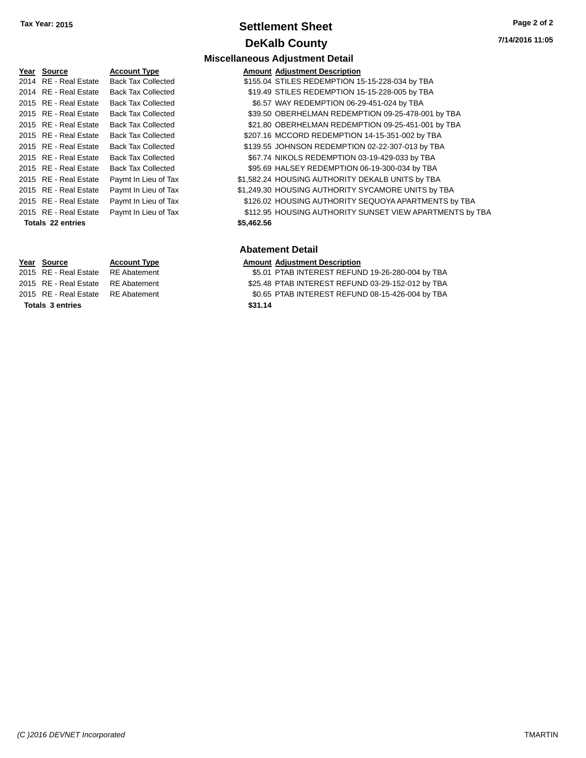# **Settlement Sheet Tax Year: 2015 Page 2 of 2 DeKalb County**

| Year Source           | <b>Account Type</b>       | Amount     |
|-----------------------|---------------------------|------------|
| 2014 RE - Real Estate | <b>Back Tax Collected</b> | \$155.04   |
| 2014 RE - Real Estate | <b>Back Tax Collected</b> | \$19.49    |
| 2015 RE - Real Estate | <b>Back Tax Collected</b> | \$6.57     |
| 2015 RE - Real Estate | <b>Back Tax Collected</b> | \$39.50    |
| 2015 RE - Real Estate | <b>Back Tax Collected</b> | \$21.80    |
| 2015 RE - Real Estate | <b>Back Tax Collected</b> | \$207.16   |
| 2015 RE - Real Estate | <b>Back Tax Collected</b> | \$139.55   |
| 2015 RE - Real Estate | <b>Back Tax Collected</b> | \$67.74    |
| 2015 RE - Real Estate | <b>Back Tax Collected</b> | \$95.69    |
| 2015 RE - Real Estate | Paymt In Lieu of Tax      | \$1,582.24 |
| 2015 RE - Real Estate | Paymt In Lieu of Tax      | \$1,249.30 |
| 2015 RE - Real Estate | Paymt In Lieu of Tax      | \$126.02   |
| 2015 RE - Real Estate | Paymt In Lieu of Tax      | \$112.95   |
| Totals 22 entries     |                           | \$5,462.56 |

**Totals \$31.14 3 entries**

#### **Kart Type Research Account Adjustment Description** 2020-x Collected **3155.04 STILES REDEMPTION 15-15-228-034 by TBA** x Collected **319.49 STILES REDEMPTION 15-15-228-005 by TBA**

**Miscellaneous Adjustment Detail**

- x Collected **2015 80.57 WAY REDEMPTION 06-29-451-024 by TBA**
- 2002 x Collected  $$39.50$  OBERHELMAN REDEMPTION 09-25-478-001 by TBA
- x Collected **201.80 OBERHELMAN REDEMPTION 09-25-451-001 by TBA**
- x Collected **\$207.16 MCCORD REDEMPTION 14-15-351-002 by TBA**
- 22016 x Collected  $$139.55$  JOHNSON REDEMPTION 02-22-307-013 by TBA 2020 x Collected  $$67.74$  NIKOLS REDEMPTION 03-19-429-033 by TBA
- 2020 x Collected  $$95.69$  HALSEY REDEMPTION 06-19-300-034 by TBA
- n Lieu of Tax  $$1,582.24$  HOUSING AUTHORITY DEKALB UNITS by TBA
- n Lieu of Tax  $$1,249.30$  HOUSING AUTHORITY SYCAMORE UNITS by TBA n Lieu of Tax **2015 Real Estate State State State State State State State State State State State State In Lie** n Lieu of Tax  $$112.95$  HOUSING AUTHORITY SUNSET VIEW APARTMENTS by TBA

### **Abatement Detail**

#### **Year Source Account Type Amount Adjustment Description**

2015 RE - Real Estate RE Abatement \$5.01 PTAB INTEREST REFUND 19-26-280-004 by TBA 2015 RE - Real Estate RE Abatement \$25.48 PTAB INTEREST REFUND 03-29-152-012 by TBA 2015 RE - Real Estate RE Abatement \$0.65 PTAB INTEREST REFUND 08-15-426-004 by TBA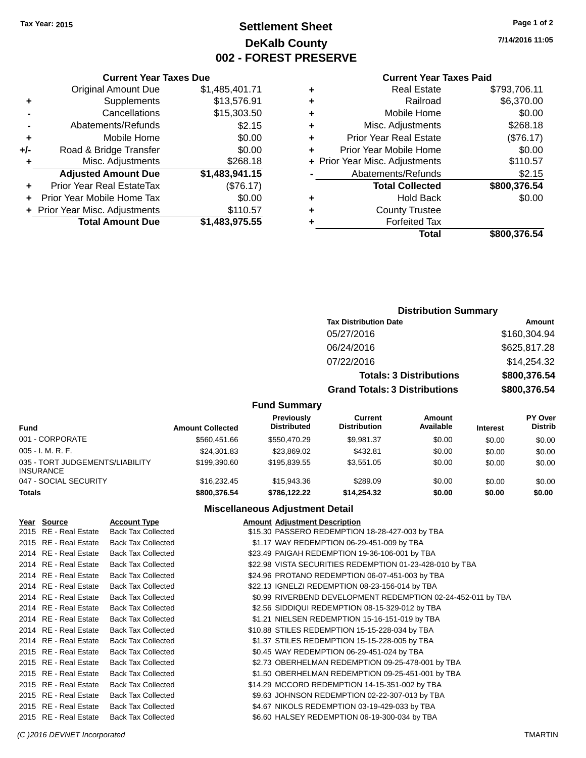# **Settlement Sheet Tax Year: 2015 Page 1 of 2 DeKalb County 002 - FOREST PRESERVE**

**7/14/2016 11:05**

### **Current Year Taxes Paid**

| ٠ | <b>Real Estate</b>             | \$793,706.11 |
|---|--------------------------------|--------------|
| ٠ | Railroad                       | \$6,370.00   |
| ٠ | Mobile Home                    | \$0.00       |
| ٠ | Misc. Adjustments              | \$268.18     |
| ٠ | <b>Prior Year Real Estate</b>  | (\$76.17)    |
|   | Prior Year Mobile Home         | \$0.00       |
|   | + Prior Year Misc. Adjustments | \$110.57     |
|   | Abatements/Refunds             | \$2.15       |
|   | <b>Total Collected</b>         | \$800,376.54 |
| ٠ | <b>Hold Back</b>               | \$0.00       |
| ٠ | <b>County Trustee</b>          |              |
|   | <b>Forfeited Tax</b>           |              |
|   | Total                          | \$800,376.54 |
|   |                                |              |

|                | <b>Current Year Taxes Due</b>  |                |
|----------------|--------------------------------|----------------|
|                | <b>Original Amount Due</b>     | \$1,485,401.71 |
| ٠              | Supplements                    | \$13,576.91    |
|                | Cancellations                  | \$15,303.50    |
| $\blacksquare$ | Abatements/Refunds             | \$2.15         |
| ٠              | Mobile Home                    | \$0.00         |
| +/-            | Road & Bridge Transfer         | \$0.00         |
| ٠              | Misc. Adjustments              | \$268.18       |
|                | <b>Adjusted Amount Due</b>     | \$1,483,941.15 |
| ٠              | Prior Year Real EstateTax      | (\$76.17)      |
| ٠              | Prior Year Mobile Home Tax     | \$0.00         |
|                | + Prior Year Misc. Adjustments | \$110.57       |
|                | <b>Total Amount Due</b>        | \$1,483,975.55 |

# **Distribution Summary**

| PISUIDUUUII JUIIIIIIAI V             |              |  |  |
|--------------------------------------|--------------|--|--|
| <b>Tax Distribution Date</b>         | Amount       |  |  |
| 05/27/2016                           | \$160,304.94 |  |  |
| 06/24/2016                           | \$625,817.28 |  |  |
| 07/22/2016                           | \$14,254.32  |  |  |
| <b>Totals: 3 Distributions</b>       | \$800,376.54 |  |  |
| <b>Grand Totals: 3 Distributions</b> | \$800,376.54 |  |  |

## **Fund Summary**

| <b>Fund</b>                                         | <b>Amount Collected</b> | Previously<br><b>Distributed</b> | Current<br><b>Distribution</b> | Amount<br>Available | <b>Interest</b> | <b>PY Over</b><br><b>Distrib</b> |
|-----------------------------------------------------|-------------------------|----------------------------------|--------------------------------|---------------------|-----------------|----------------------------------|
| 001 - CORPORATE                                     | \$560.451.66            | \$550,470.29                     | \$9.981.37                     | \$0.00              | \$0.00          | \$0.00                           |
| $005 - I. M. R. F.$                                 | \$24,301.83             | \$23,869.02                      | \$432.81                       | \$0.00              | \$0.00          | \$0.00                           |
| 035 - TORT JUDGEMENTS/LIABILITY<br><b>INSURANCE</b> | \$199,390.60            | \$195.839.55                     | \$3,551,05                     | \$0.00              | \$0.00          | \$0.00                           |
| 047 - SOCIAL SECURITY                               | \$16,232.45             | \$15,943.36                      | \$289.09                       | \$0.00              | \$0.00          | \$0.00                           |
| <b>Totals</b>                                       | \$800,376.54            | \$786,122,22                     | \$14,254.32                    | \$0.00              | \$0.00          | \$0.00                           |

### **Miscellaneous Adjustment Detail**

| Year Source           | <b>Account Type</b>       | <b>Amount Adjustment Description</b>                         |
|-----------------------|---------------------------|--------------------------------------------------------------|
| 2015 RE - Real Estate | <b>Back Tax Collected</b> | \$15.30 PASSERO REDEMPTION 18-28-427-003 by TBA              |
| 2015 RE - Real Estate | <b>Back Tax Collected</b> | \$1.17 WAY REDEMPTION 06-29-451-009 by TBA                   |
| 2014 RE - Real Estate | <b>Back Tax Collected</b> | \$23.49 PAIGAH REDEMPTION 19-36-106-001 by TBA               |
| 2014 RE - Real Estate | <b>Back Tax Collected</b> | \$22.98 VISTA SECURITIES REDEMPTION 01-23-428-010 by TBA     |
| 2014 RE - Real Estate | <b>Back Tax Collected</b> | \$24.96 PROTANO REDEMPTION 06-07-451-003 by TBA              |
| 2014 RE - Real Estate | <b>Back Tax Collected</b> | \$22.13 IGNELZI REDEMPTION 08-23-156-014 by TBA              |
| 2014 RE - Real Estate | <b>Back Tax Collected</b> | \$0.99 RIVERBEND DEVELOPMENT REDEMPTION 02-24-452-011 by TBA |
| 2014 RE - Real Estate | <b>Back Tax Collected</b> | \$2.56 SIDDIQUI REDEMPTION 08-15-329-012 by TBA              |
| 2014 RE - Real Estate | <b>Back Tax Collected</b> | \$1.21 NIELSEN REDEMPTION 15-16-151-019 by TBA               |
| 2014 RE - Real Estate | <b>Back Tax Collected</b> | \$10.88 STILES REDEMPTION 15-15-228-034 by TBA               |
| 2014 RE - Real Estate | <b>Back Tax Collected</b> | \$1.37 STILES REDEMPTION 15-15-228-005 by TBA                |
| 2015 RE - Real Estate | <b>Back Tax Collected</b> | \$0.45 WAY REDEMPTION 06-29-451-024 by TBA                   |
| 2015 RE - Real Estate | <b>Back Tax Collected</b> | \$2.73 OBERHELMAN REDEMPTION 09-25-478-001 by TBA            |
| 2015 RE - Real Estate | <b>Back Tax Collected</b> | \$1.50 OBERHELMAN REDEMPTION 09-25-451-001 by TBA            |
| 2015 RE - Real Estate | <b>Back Tax Collected</b> | \$14.29 MCCORD REDEMPTION 14-15-351-002 by TBA               |
| 2015 RE - Real Estate | <b>Back Tax Collected</b> | \$9.63 JOHNSON REDEMPTION 02-22-307-013 by TBA               |
| 2015 RE - Real Estate | <b>Back Tax Collected</b> | \$4.67 NIKOLS REDEMPTION 03-19-429-033 by TBA                |
| 2015 RE - Real Estate | <b>Back Tax Collected</b> | \$6.60 HALSEY REDEMPTION 06-19-300-034 by TBA                |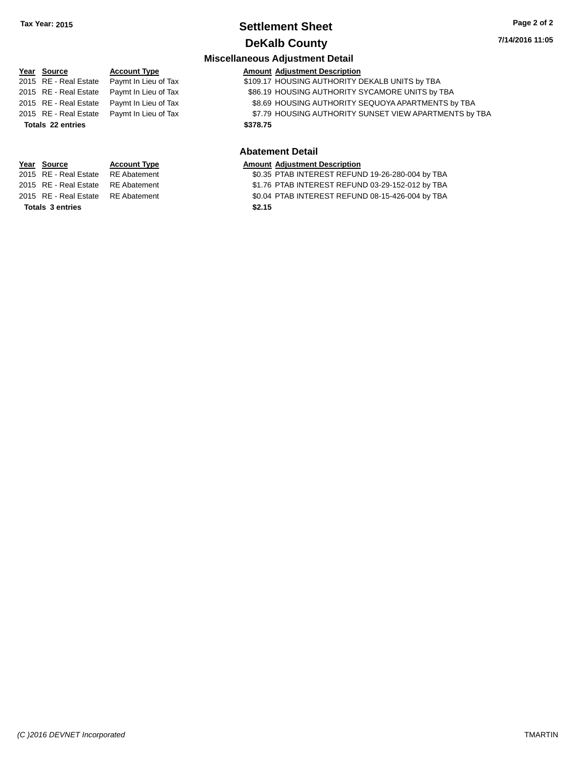# **Settlement Sheet Tax Year: 2015 Page 2 of 2 DeKalb County**

**7/14/2016 11:05**

# **Miscellaneous Adjustment Detail**

|  | <b>Amount Adiustment Description</b> |
|--|--------------------------------------|

| <u>Year Source</u> | <b>Account Type</b>                        | <b>Amount Adjustment Description</b>                   |
|--------------------|--------------------------------------------|--------------------------------------------------------|
|                    | 2015 RE - Real Estate Paymt In Lieu of Tax | \$109.17 HOUSING AUTHORITY DEKALB UNITS by TBA         |
|                    | 2015 RE - Real Estate Paymt In Lieu of Tax | \$86.19 HOUSING AUTHORITY SYCAMORE UNITS by TBA        |
|                    | 2015 RE - Real Estate Paymt In Lieu of Tax | \$8.69 HOUSING AUTHORITY SEQUOYA APARTMENTS by TBA     |
|                    | 2015 RE - Real Estate Paymt In Lieu of Tax | \$7.79 HOUSING AUTHORITY SUNSET VIEW APARTMENTS by TBA |
| Totals 22 entries  |                                            | \$378.75                                               |

#### **Abatement Detail**

#### **Year Source Account Type Amount Adjustment Description**

2015 RE - Real Estate \$0.35 PTAB INTEREST REFUND 19-26-280-004 by TBA RE Abatement

2015 RE - Real Estate RE Abatement \$1.76 PTAB INTEREST REFUND 03-29-152-012 by TBA

2015 RE - Real Estate RE Abatement \$0.04 PTAB INTEREST REFUND 08-15-426-004 by TBA

**Totals \$2.15 3 entries**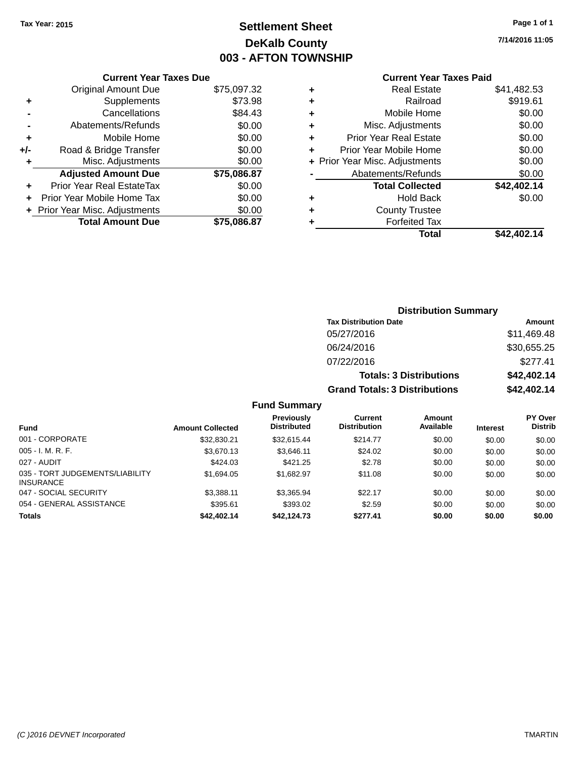# **Settlement Sheet Tax Year: 2015 Page 1 of 1 DeKalb County 003 - AFTON TOWNSHIP**

**7/14/2016 11:05**

# **Current Year Taxes Paid**

|     | <b>Current Year Taxes Due</b>  |             |  |  |  |
|-----|--------------------------------|-------------|--|--|--|
|     | Original Amount Due            | \$75,097.32 |  |  |  |
| ٠   | Supplements                    | \$73.98     |  |  |  |
|     | Cancellations                  | \$84.43     |  |  |  |
|     | Abatements/Refunds             | \$0.00      |  |  |  |
| ٠   | Mobile Home                    | \$0.00      |  |  |  |
| +/- | Road & Bridge Transfer         | \$0.00      |  |  |  |
| ٠   | Misc. Adjustments              | \$0.00      |  |  |  |
|     | <b>Adjusted Amount Due</b>     | \$75,086.87 |  |  |  |
|     | Prior Year Real EstateTax      | \$0.00      |  |  |  |
|     | Prior Year Mobile Home Tax     | \$0.00      |  |  |  |
|     | + Prior Year Misc. Adjustments | \$0.00      |  |  |  |
|     | <b>Total Amount Due</b>        | \$75,086.87 |  |  |  |
|     |                                |             |  |  |  |

| ٠ | <b>Real Estate</b>             | \$41,482.53 |
|---|--------------------------------|-------------|
| ٠ | Railroad                       | \$919.61    |
| ٠ | Mobile Home                    | \$0.00      |
| ٠ | Misc. Adjustments              | \$0.00      |
| ٠ | <b>Prior Year Real Estate</b>  | \$0.00      |
| ٠ | Prior Year Mobile Home         | \$0.00      |
|   | + Prior Year Misc. Adjustments | \$0.00      |
|   | Abatements/Refunds             | \$0.00      |
|   | <b>Total Collected</b>         | \$42,402.14 |
| ٠ | Hold Back                      | \$0.00      |
| ٠ | <b>County Trustee</b>          |             |
|   | <b>Forfeited Tax</b>           |             |
|   | Total                          | \$42,402.14 |
|   |                                |             |

| <b>Distribution Summary</b>          |             |
|--------------------------------------|-------------|
| <b>Tax Distribution Date</b>         | Amount      |
| 05/27/2016                           | \$11,469.48 |
| 06/24/2016                           | \$30,655.25 |
| 07/22/2016                           | \$277.41    |
| <b>Totals: 3 Distributions</b>       | \$42,402.14 |
| <b>Grand Totals: 3 Distributions</b> | \$42,402.14 |

|                                                     |                         | <b>Previously</b><br><b>Distributed</b> | <b>Current</b><br><b>Distribution</b> | Amount<br>Available |                 | <b>PY Over</b><br><b>Distrib</b> |
|-----------------------------------------------------|-------------------------|-----------------------------------------|---------------------------------------|---------------------|-----------------|----------------------------------|
| <b>Fund</b>                                         | <b>Amount Collected</b> |                                         |                                       |                     | <b>Interest</b> |                                  |
| 001 - CORPORATE                                     | \$32,830.21             | \$32.615.44                             | \$214.77                              | \$0.00              | \$0.00          | \$0.00                           |
| $005 - I. M. R. F.$                                 | \$3,670.13              | \$3,646.11                              | \$24.02                               | \$0.00              | \$0.00          | \$0.00                           |
| 027 - AUDIT                                         | \$424.03                | \$421.25                                | \$2.78                                | \$0.00              | \$0.00          | \$0.00                           |
| 035 - TORT JUDGEMENTS/LIABILITY<br><b>INSURANCE</b> | \$1.694.05              | \$1.682.97                              | \$11.08                               | \$0.00              | \$0.00          | \$0.00                           |
| 047 - SOCIAL SECURITY                               | \$3.388.11              | \$3,365.94                              | \$22.17                               | \$0.00              | \$0.00          | \$0.00                           |
| 054 - GENERAL ASSISTANCE                            | \$395.61                | \$393.02                                | \$2.59                                | \$0.00              | \$0.00          | \$0.00                           |
| <b>Totals</b>                                       | \$42,402.14             | \$42,124.73                             | \$277.41                              | \$0.00              | \$0.00          | \$0.00                           |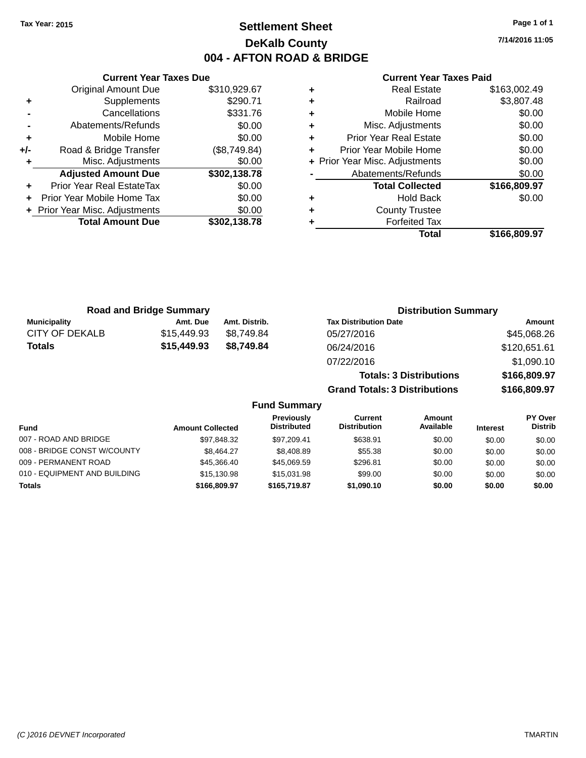# **Settlement Sheet Tax Year: 2015 Page 1 of 1 DeKalb County 004 - AFTON ROAD & BRIDGE**

**7/14/2016 11:05**

|     | <b>Current Year Taxes Due</b>  |              |  |  |  |
|-----|--------------------------------|--------------|--|--|--|
|     | <b>Original Amount Due</b>     | \$310,929.67 |  |  |  |
| ٠   | Supplements                    | \$290.71     |  |  |  |
|     | Cancellations                  | \$331.76     |  |  |  |
|     | Abatements/Refunds             | \$0.00       |  |  |  |
| ٠   | Mobile Home                    | \$0.00       |  |  |  |
| +/- | Road & Bridge Transfer         | (\$8,749.84) |  |  |  |
|     | Misc. Adjustments              | \$0.00       |  |  |  |
|     | <b>Adjusted Amount Due</b>     | \$302,138.78 |  |  |  |
| ÷   | Prior Year Real EstateTax      | \$0.00       |  |  |  |
| ÷   | Prior Year Mobile Home Tax     | \$0.00       |  |  |  |
|     | + Prior Year Misc. Adjustments | \$0.00       |  |  |  |
|     | <b>Total Amount Due</b>        | \$302,138.78 |  |  |  |
|     |                                |              |  |  |  |

#### **Current Year Taxes Paid**

|   | Total                          | \$166,809.97 |
|---|--------------------------------|--------------|
| ٠ | <b>Forfeited Tax</b>           |              |
| ٠ | <b>County Trustee</b>          |              |
| ٠ | Hold Back                      | \$0.00       |
|   | <b>Total Collected</b>         | \$166,809.97 |
|   | Abatements/Refunds             | \$0.00       |
|   | + Prior Year Misc. Adjustments | \$0.00       |
| ٠ | Prior Year Mobile Home         | \$0.00       |
| ٠ | <b>Prior Year Real Estate</b>  | \$0.00       |
| ٠ | Misc. Adjustments              | \$0.00       |
| ٠ | Mobile Home                    | \$0.00       |
| ٠ | Railroad                       | \$3,807.48   |
|   | Real Estate                    | \$163,002.49 |

**Grand Totals: 3 Distributions \$166,809.97**

| <b>Road and Bridge Summary</b> |             |               | <b>Distribution Summary</b>    |              |  |  |
|--------------------------------|-------------|---------------|--------------------------------|--------------|--|--|
| <b>Municipality</b>            | Amt. Due    | Amt. Distrib. | <b>Tax Distribution Date</b>   | Amount       |  |  |
| CITY OF DEKALB                 | \$15,449.93 | \$8,749.84    | 05/27/2016                     | \$45,068.26  |  |  |
| Totals                         | \$15,449.93 | \$8.749.84    | 06/24/2016                     | \$120,651.61 |  |  |
|                                |             |               | 07/22/2016                     | \$1,090.10   |  |  |
|                                |             |               | <b>Totals: 3 Distributions</b> | \$166,809.97 |  |  |

**Fund Summary Fund Interest Amount Collected Distributed PY Over Distrib Amount Available Current Distribution Previously** 007 - ROAD AND BRIDGE 60.00 \$97,848.32 \$97,209.41 \$638.91 \$0.00 \$0.00 \$0.00 \$0.00 008 - BRIDGE CONST W/COUNTY  $$8,464.27$   $$8,408.89$   $$55.38$   $$0.00$   $$0.00$   $$0.00$ 009 - PERMANENT ROAD \$45,366.40 \$45,069.59 \$296.81 \$0.00 \$0.00 \$0.00 010 - EQUIPMENT AND BUILDING \$15,130.98 \$15,031.98 \$99.00 \$0.00 \$0.00 \$0.00 \$0.00 **Totals \$166,809.97 \$165,719.87 \$1,090.10 \$0.00 \$0.00 \$0.00**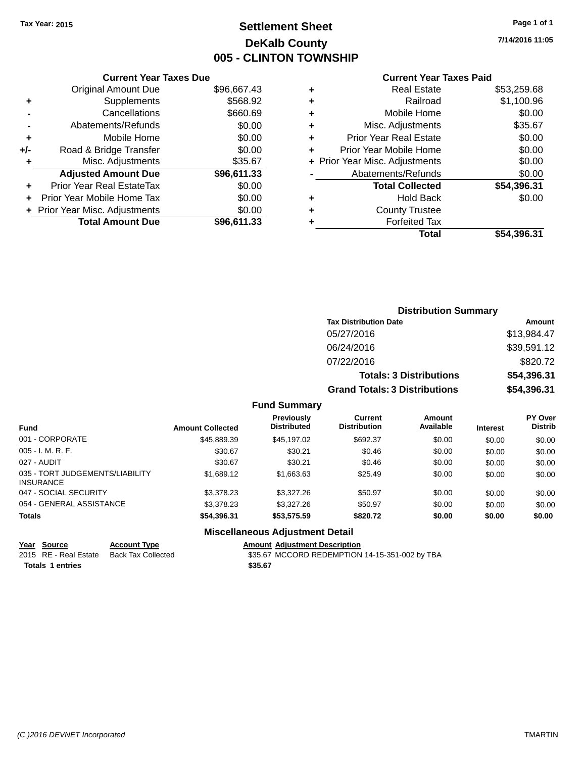# **Settlement Sheet Tax Year: 2015 Page 1 of 1 DeKalb County 005 - CLINTON TOWNSHIP**

**7/14/2016 11:05**

### **Current Year Taxes Paid**

| <b>Original Amount Due</b>   | \$96,667.43                   |
|------------------------------|-------------------------------|
| Supplements                  | \$568.92                      |
| Cancellations                | \$660.69                      |
| Abatements/Refunds           | \$0.00                        |
| Mobile Home                  | \$0.00                        |
| Road & Bridge Transfer       | \$0.00                        |
| Misc. Adjustments            | \$35.67                       |
| <b>Adjusted Amount Due</b>   | \$96,611.33                   |
| Prior Year Real EstateTax    | \$0.00                        |
| Prior Year Mobile Home Tax   | \$0.00                        |
| Prior Year Misc. Adjustments | \$0.00                        |
| <b>Total Amount Due</b>      | \$96,611.33                   |
|                              | <b>Current Year Taxes Due</b> |

| ٠ | <b>Real Estate</b>             | \$53,259.68 |
|---|--------------------------------|-------------|
| ٠ | Railroad                       | \$1,100.96  |
| ٠ | Mobile Home                    | \$0.00      |
| ٠ | Misc. Adjustments              | \$35.67     |
| ٠ | <b>Prior Year Real Estate</b>  | \$0.00      |
| ÷ | Prior Year Mobile Home         | \$0.00      |
|   | + Prior Year Misc. Adjustments | \$0.00      |
|   | Abatements/Refunds             | \$0.00      |
|   | <b>Total Collected</b>         | \$54,396.31 |
| ٠ | <b>Hold Back</b>               | \$0.00      |
| ٠ | <b>County Trustee</b>          |             |
| ٠ | <b>Forfeited Tax</b>           |             |
|   | Total                          | \$54,396.31 |

| <b>Distribution Summary</b>          |             |  |  |  |
|--------------------------------------|-------------|--|--|--|
| <b>Tax Distribution Date</b>         | Amount      |  |  |  |
| 05/27/2016                           | \$13,984.47 |  |  |  |
| 06/24/2016                           | \$39,591.12 |  |  |  |
| 07/22/2016                           | \$820.72    |  |  |  |
| <b>Totals: 3 Distributions</b>       | \$54,396.31 |  |  |  |
| <b>Grand Totals: 3 Distributions</b> | \$54,396.31 |  |  |  |

### **Fund Summary**

| <b>Fund</b>                                         | <b>Amount Collected</b> | Previously<br><b>Distributed</b> | Current<br><b>Distribution</b> | Amount<br>Available | <b>Interest</b> | <b>PY Over</b><br><b>Distrib</b> |
|-----------------------------------------------------|-------------------------|----------------------------------|--------------------------------|---------------------|-----------------|----------------------------------|
| 001 - CORPORATE                                     | \$45,889.39             | \$45,197.02                      | \$692.37                       | \$0.00              | \$0.00          | \$0.00                           |
| $005 - I. M. R. F.$                                 | \$30.67                 | \$30.21                          | \$0.46                         | \$0.00              | \$0.00          | \$0.00                           |
| 027 - AUDIT                                         | \$30.67                 | \$30.21                          | \$0.46                         | \$0.00              | \$0.00          | \$0.00                           |
| 035 - TORT JUDGEMENTS/LIABILITY<br><b>INSURANCE</b> | \$1,689.12              | \$1,663.63                       | \$25.49                        | \$0.00              | \$0.00          | \$0.00                           |
| 047 - SOCIAL SECURITY                               | \$3,378.23              | \$3,327,26                       | \$50.97                        | \$0.00              | \$0.00          | \$0.00                           |
| 054 - GENERAL ASSISTANCE                            | \$3,378.23              | \$3,327,26                       | \$50.97                        | \$0.00              | \$0.00          | \$0.00                           |
| <b>Totals</b>                                       | \$54,396.31             | \$53,575.59                      | \$820.72                       | \$0.00              | \$0.00          | \$0.00                           |

## **Miscellaneous Adjustment Detail**

**Year Source Account Type Amount Adjustment Description** \$35.67 MCCORD REDEMPTION 14-15-351-002 by TBA **Totals \$35.67 1 entries**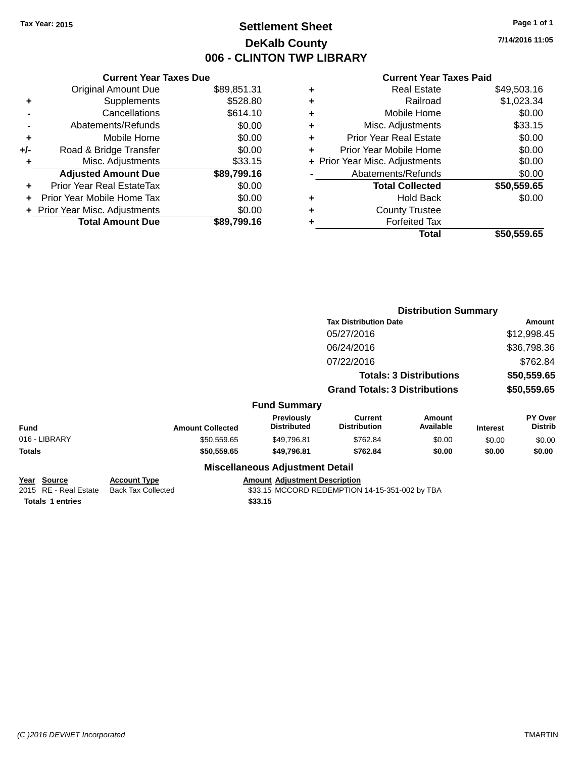# **Settlement Sheet Tax Year: 2015 Page 1 of 1 DeKalb County 006 - CLINTON TWP LIBRARY**

**7/14/2016 11:05**

| <b>Current Year Taxes Due</b> |             |
|-------------------------------|-------------|
| <b>Original Amount Due</b>    | \$89,851.31 |
| Supplements                   | \$528.80    |
| Cancellations                 | \$614.10    |
| Abatements/Refunds            | \$0.00      |
| Mobile Home                   | \$0.00      |
| Road & Bridge Transfer        | \$0.00      |
| Misc. Adjustments             | \$33.15     |
| <b>Adjusted Amount Due</b>    | \$89,799.16 |
| Prior Year Real EstateTax     | \$0.00      |
| Prior Year Mobile Home Tax    | \$0.00      |
| Prior Year Misc. Adjustments  | \$0.00      |
| <b>Total Amount Due</b>       | \$89.799.16 |
|                               |             |

### **Current Year Taxes Paid**

| ٠ | <b>Real Estate</b>             | \$49,503.16 |
|---|--------------------------------|-------------|
| ÷ | Railroad                       | \$1,023.34  |
| ٠ | Mobile Home                    | \$0.00      |
| ٠ | Misc. Adjustments              | \$33.15     |
| ٠ | <b>Prior Year Real Estate</b>  | \$0.00      |
| ٠ | Prior Year Mobile Home         | \$0.00      |
|   | + Prior Year Misc. Adjustments | \$0.00      |
|   | Abatements/Refunds             | \$0.00      |
|   | <b>Total Collected</b>         | \$50,559.65 |
| ٠ | Hold Back                      | \$0.00      |
| ٠ | <b>County Trustee</b>          |             |
| ٠ | <b>Forfeited Tax</b>           |             |
|   | Total                          | \$50,559.65 |
|   |                                |             |

|                                                                         |                                                  |                                                 |                                                | <b>Distribution Summary</b>    |                 |                           |
|-------------------------------------------------------------------------|--------------------------------------------------|-------------------------------------------------|------------------------------------------------|--------------------------------|-----------------|---------------------------|
|                                                                         |                                                  |                                                 | <b>Tax Distribution Date</b>                   |                                |                 | Amount                    |
|                                                                         |                                                  |                                                 | 05/27/2016                                     |                                |                 | \$12,998.45               |
|                                                                         |                                                  |                                                 | 06/24/2016                                     |                                |                 | \$36,798.36               |
|                                                                         |                                                  |                                                 | 07/22/2016                                     |                                |                 | \$762.84                  |
|                                                                         |                                                  |                                                 |                                                | <b>Totals: 3 Distributions</b> |                 | \$50,559.65               |
|                                                                         |                                                  |                                                 | <b>Grand Totals: 3 Distributions</b>           |                                |                 | \$50,559.65               |
|                                                                         |                                                  | <b>Fund Summary</b>                             |                                                |                                |                 |                           |
| <b>Fund</b>                                                             | <b>Amount Collected</b>                          | Previously<br><b>Distributed</b>                | <b>Current</b><br><b>Distribution</b>          | <b>Amount</b><br>Available     | <b>Interest</b> | PY Over<br><b>Distrib</b> |
| 016 - LIBRARY                                                           | \$50,559.65                                      | \$49,796.81                                     | \$762.84                                       | \$0.00                         | \$0.00          | \$0.00                    |
| Totals                                                                  | \$50,559.65                                      | \$49,796.81                                     | \$762.84                                       | \$0.00                         | \$0.00          | \$0.00                    |
|                                                                         |                                                  | <b>Miscellaneous Adjustment Detail</b>          |                                                |                                |                 |                           |
| <u> Year Source</u><br>2015 RE - Real Estate<br><b>Totals 1 entries</b> | <b>Account Type</b><br><b>Back Tax Collected</b> | <b>Amount Adjustment Description</b><br>\$33.15 | \$33.15 MCCORD REDEMPTION 14-15-351-002 by TBA |                                |                 |                           |
|                                                                         |                                                  |                                                 |                                                |                                |                 |                           |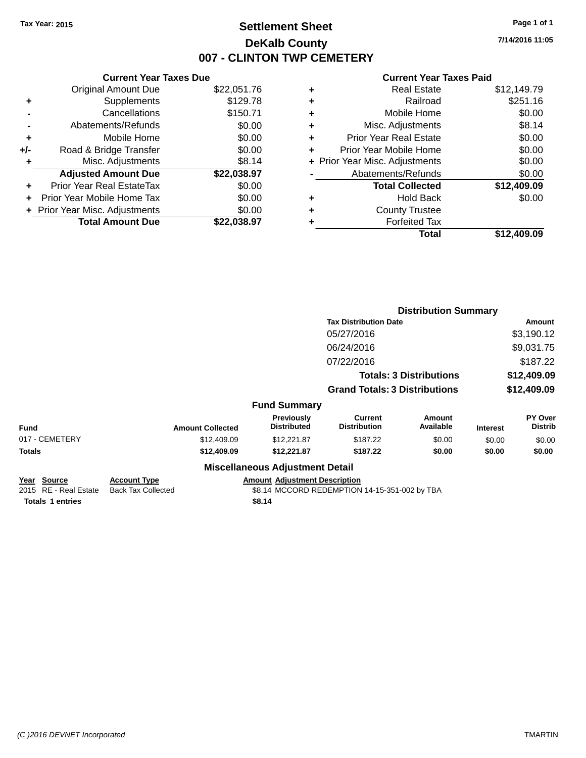# **Settlement Sheet Tax Year: 2015 Page 1 of 1 DeKalb County 007 - CLINTON TWP CEMETERY**

**7/14/2016 11:05**

### **Current Year Taxes Paid**

| <b>Current Year Taxes Due</b>  |             |  |  |
|--------------------------------|-------------|--|--|
| <b>Original Amount Due</b>     | \$22,051.76 |  |  |
| Supplements                    | \$129.78    |  |  |
| Cancellations                  | \$150.71    |  |  |
| Abatements/Refunds             | \$0.00      |  |  |
| Mobile Home                    | \$0.00      |  |  |
| Road & Bridge Transfer         | \$0.00      |  |  |
| Misc. Adjustments              | \$8.14      |  |  |
| <b>Adjusted Amount Due</b>     | \$22,038.97 |  |  |
| Prior Year Real EstateTax      | \$0.00      |  |  |
| Prior Year Mobile Home Tax     | \$0.00      |  |  |
| + Prior Year Misc. Adjustments | \$0.00      |  |  |
| <b>Total Amount Due</b>        | \$22,038.97 |  |  |
|                                |             |  |  |

|   | <b>Real Estate</b>             | \$12,149.79 |
|---|--------------------------------|-------------|
| ٠ | Railroad                       | \$251.16    |
| ٠ | Mobile Home                    | \$0.00      |
| ٠ | Misc. Adjustments              | \$8.14      |
| ٠ | <b>Prior Year Real Estate</b>  | \$0.00      |
| ٠ | Prior Year Mobile Home         | \$0.00      |
|   | + Prior Year Misc. Adjustments | \$0.00      |
|   | Abatements/Refunds             | \$0.00      |
|   | <b>Total Collected</b>         | \$12,409.09 |
| ٠ | Hold Back                      | \$0.00      |
| ٠ | <b>County Trustee</b>          |             |
| ٠ | <b>Forfeited Tax</b>           |             |
|   | Total                          | \$12,409.09 |
|   |                                |             |

|                                      |                                                  |                                         | <b>Distribution Summary</b>                   |                                |                 |                                  |  |
|--------------------------------------|--------------------------------------------------|-----------------------------------------|-----------------------------------------------|--------------------------------|-----------------|----------------------------------|--|
|                                      |                                                  | <b>Tax Distribution Date</b>            |                                               |                                |                 | Amount                           |  |
|                                      |                                                  |                                         | 05/27/2016                                    |                                |                 | \$3,190.12                       |  |
|                                      |                                                  |                                         | 06/24/2016                                    |                                |                 | \$9,031.75                       |  |
|                                      |                                                  |                                         | 07/22/2016                                    |                                |                 | \$187.22                         |  |
|                                      |                                                  |                                         |                                               | <b>Totals: 3 Distributions</b> |                 | \$12,409.09                      |  |
|                                      |                                                  |                                         | <b>Grand Totals: 3 Distributions</b>          |                                |                 | \$12,409.09                      |  |
|                                      |                                                  | <b>Fund Summary</b>                     |                                               |                                |                 |                                  |  |
| <b>Fund</b>                          | <b>Amount Collected</b>                          | <b>Previously</b><br><b>Distributed</b> | <b>Current</b><br><b>Distribution</b>         | <b>Amount</b><br>Available     | <b>Interest</b> | <b>PY Over</b><br><b>Distrib</b> |  |
| 017 - CEMETERY                       | \$12,409.09                                      | \$12,221.87                             | \$187.22                                      | \$0.00                         | \$0.00          | \$0.00                           |  |
| <b>Totals</b>                        | \$12,409.09                                      | \$12,221.87                             | \$187.22                                      | \$0.00                         | \$0.00          | \$0.00                           |  |
|                                      |                                                  | <b>Miscellaneous Adjustment Detail</b>  |                                               |                                |                 |                                  |  |
| Year Source<br>2015 RE - Real Estate | <b>Account Type</b><br><b>Back Tax Collected</b> | <b>Amount Adjustment Description</b>    | \$8.14 MCCORD REDEMPTION 14-15-351-002 by TBA |                                |                 |                                  |  |

**Totals \$8.14 1 entries**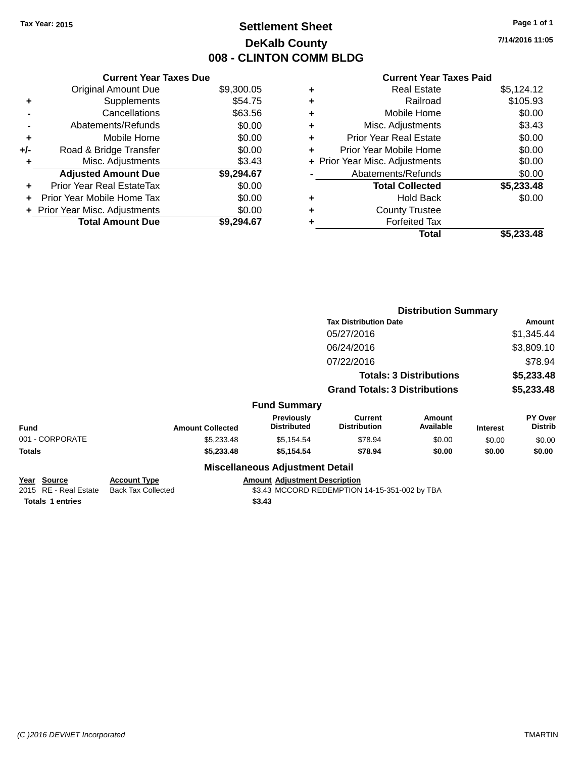# **Settlement Sheet Tax Year: 2015 Page 1 of 1 DeKalb County 008 - CLINTON COMM BLDG**

**7/14/2016 11:05**

#### **Current Year Taxes Paid**

|     | <b>Current Year Taxes Due</b>  |            |  |  |
|-----|--------------------------------|------------|--|--|
|     | <b>Original Amount Due</b>     | \$9,300.05 |  |  |
| ٠   | Supplements                    | \$54.75    |  |  |
|     | Cancellations                  | \$63.56    |  |  |
|     | Abatements/Refunds             | \$0.00     |  |  |
| ٠   | Mobile Home                    | \$0.00     |  |  |
| +/- | Road & Bridge Transfer         | \$0.00     |  |  |
| ٠   | Misc. Adjustments              | \$3.43     |  |  |
|     | <b>Adjusted Amount Due</b>     | \$9,294.67 |  |  |
| ٠   | Prior Year Real EstateTax      | \$0.00     |  |  |
|     | Prior Year Mobile Home Tax     | \$0.00     |  |  |
|     | + Prior Year Misc. Adjustments | \$0.00     |  |  |
|     | <b>Total Amount Due</b>        | \$9.294.67 |  |  |

| ٠ | <b>Real Estate</b>             | \$5,124.12 |
|---|--------------------------------|------------|
| ÷ | Railroad                       | \$105.93   |
| ٠ | Mobile Home                    | \$0.00     |
| ٠ | Misc. Adjustments              | \$3.43     |
| ٠ | <b>Prior Year Real Estate</b>  | \$0.00     |
| ٠ | Prior Year Mobile Home         | \$0.00     |
|   | + Prior Year Misc. Adjustments | \$0.00     |
|   | Abatements/Refunds             | \$0.00     |
|   | <b>Total Collected</b>         | \$5,233.48 |
| ٠ | Hold Back                      | \$0.00     |
| ٠ | <b>County Trustee</b>          |            |
| ٠ | <b>Forfeited Tax</b>           |            |
|   | Total                          | \$5,233.48 |
|   |                                |            |

|                                      |                                                  |                                        | <b>Distribution Summary</b>                   |                                |                 |                           |
|--------------------------------------|--------------------------------------------------|----------------------------------------|-----------------------------------------------|--------------------------------|-----------------|---------------------------|
|                                      |                                                  |                                        | <b>Tax Distribution Date</b>                  |                                |                 | Amount                    |
|                                      |                                                  |                                        | 05/27/2016                                    |                                |                 | \$1,345.44                |
|                                      |                                                  |                                        | 06/24/2016                                    |                                |                 | \$3,809.10                |
|                                      |                                                  |                                        | 07/22/2016                                    |                                |                 | \$78.94                   |
|                                      |                                                  |                                        |                                               | <b>Totals: 3 Distributions</b> |                 | \$5,233.48                |
|                                      |                                                  |                                        | <b>Grand Totals: 3 Distributions</b>          |                                |                 | \$5,233.48                |
|                                      |                                                  | <b>Fund Summary</b>                    |                                               |                                |                 |                           |
| <b>Fund</b>                          | <b>Amount Collected</b>                          | Previously<br><b>Distributed</b>       | <b>Current</b><br><b>Distribution</b>         | <b>Amount</b><br>Available     | <b>Interest</b> | PY Over<br><b>Distrib</b> |
| 001 - CORPORATE                      | \$5,233.48                                       | \$5,154.54                             | \$78.94                                       | \$0.00                         | \$0.00          | \$0.00                    |
| <b>Totals</b>                        | \$5,233.48                                       | \$5,154.54                             | \$78.94                                       | \$0.00                         | \$0.00          | \$0.00                    |
|                                      |                                                  | <b>Miscellaneous Adjustment Detail</b> |                                               |                                |                 |                           |
| Year Source<br>2015 RE - Real Estate | <b>Account Type</b><br><b>Back Tax Collected</b> | <b>Amount Adjustment Description</b>   | \$3.43 MCCORD REDEMPTION 14-15-351-002 by TBA |                                |                 |                           |
| <b>Totals 1 entries</b>              |                                                  | \$3.43                                 |                                               |                                |                 |                           |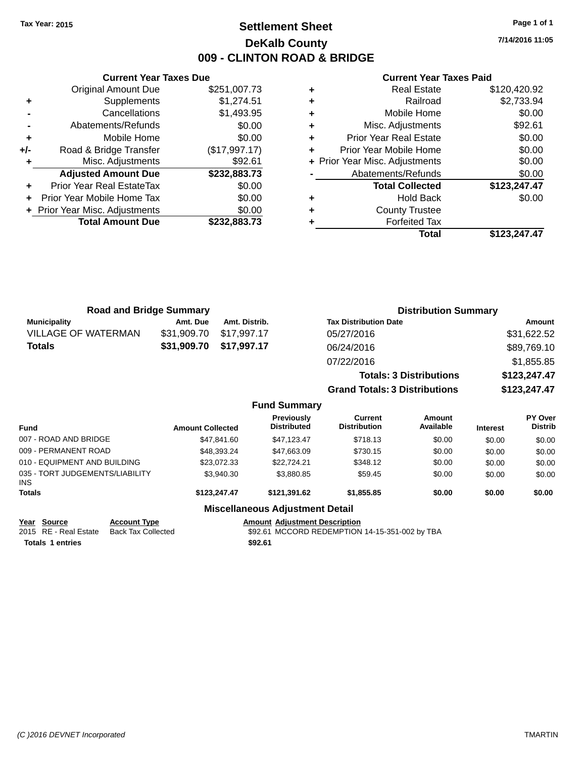# **Settlement Sheet Tax Year: 2015 Page 1 of 1 DeKalb County 009 - CLINTON ROAD & BRIDGE**

**7/14/2016 11:05**

#### **Current Year Taxes Paid**

|     | <b>Current Year Taxes Due</b>  |               |  |  |
|-----|--------------------------------|---------------|--|--|
|     | <b>Original Amount Due</b>     | \$251,007.73  |  |  |
| ٠   | Supplements                    | \$1,274.51    |  |  |
|     | Cancellations                  | \$1,493.95    |  |  |
|     | Abatements/Refunds             | \$0.00        |  |  |
| ٠   | Mobile Home                    | \$0.00        |  |  |
| +/- | Road & Bridge Transfer         | (\$17,997.17) |  |  |
|     | Misc. Adjustments              | \$92.61       |  |  |
|     | <b>Adjusted Amount Due</b>     | \$232,883.73  |  |  |
|     | Prior Year Real EstateTax      | \$0.00        |  |  |
|     | Prior Year Mobile Home Tax     | \$0.00        |  |  |
|     | + Prior Year Misc. Adjustments | \$0.00        |  |  |
|     | <b>Total Amount Due</b>        | \$232,883,73  |  |  |
|     |                                |               |  |  |

| <b>Real Estate</b>             | \$120,420.92 |
|--------------------------------|--------------|
| Railroad                       | \$2,733.94   |
| Mobile Home                    | \$0.00       |
| Misc. Adjustments              | \$92.61      |
| <b>Prior Year Real Estate</b>  | \$0.00       |
| Prior Year Mobile Home         | \$0.00       |
| + Prior Year Misc. Adjustments | \$0.00       |
| Abatements/Refunds             | \$0.00       |
| <b>Total Collected</b>         | \$123,247.47 |
| <b>Hold Back</b>               | \$0.00       |
| <b>County Trustee</b>          |              |
| <b>Forfeited Tax</b>           |              |
| Total                          | \$123,247.47 |
|                                |              |

| <b>Road and Bridge Summary</b> |             |                     | <b>Distribution Summary</b>          |              |
|--------------------------------|-------------|---------------------|--------------------------------------|--------------|
| <b>Municipality</b>            | Amt. Due    | Amt. Distrib.       | <b>Tax Distribution Date</b>         | Amount       |
| <b>VILLAGE OF WATERMAN</b>     | \$31,909.70 | \$17,997.17         | 05/27/2016                           | \$31,622.52  |
| <b>Totals</b>                  | \$31,909.70 | \$17,997.17         | 06/24/2016                           | \$89,769.10  |
|                                |             |                     | 07/22/2016                           | \$1,855.85   |
|                                |             |                     | <b>Totals: 3 Distributions</b>       | \$123,247.47 |
|                                |             |                     | <b>Grand Totals: 3 Distributions</b> | \$123,247.47 |
|                                |             | <b>Fund Summary</b> |                                      |              |

| <b>Fund</b>                             | <b>Amount Collected</b> | <b>Previously</b><br><b>Distributed</b> | Current<br><b>Distribution</b> | Amount<br>Available | <b>Interest</b> | <b>PY Over</b><br><b>Distrib</b> |
|-----------------------------------------|-------------------------|-----------------------------------------|--------------------------------|---------------------|-----------------|----------------------------------|
| 007 - ROAD AND BRIDGE                   | \$47.841.60             | \$47.123.47                             | \$718.13                       | \$0.00              | \$0.00          | \$0.00                           |
| 009 - PERMANENT ROAD                    | \$48,393.24             | \$47,663.09                             | \$730.15                       | \$0.00              | \$0.00          | \$0.00                           |
| 010 - EQUIPMENT AND BUILDING            | \$23,072.33             | \$22,724.21                             | \$348.12                       | \$0.00              | \$0.00          | \$0.00                           |
| 035 - TORT JUDGEMENTS/LIABILITY<br>INS. | \$3.940.30              | \$3.880.85                              | \$59.45                        | \$0.00              | \$0.00          | \$0.00                           |
| <b>Totals</b>                           | \$123,247.47            | \$121.391.62                            | \$1.855.85                     | \$0.00              | \$0.00          | \$0.00                           |
|                                         |                         | Miccollonceus Adiustment Detail         |                                |                     |                 |                                  |

### **Miscellaneous Adjustment Detail**

**Totals 1 entries** \$92.61

**Year Source Account Type Account Type Amount Adjustment Description**<br>2015 RE - Real Estate Back Tax Collected \$92.61 MCCORD REDEMPTION  $$92.61$  MCCORD REDEMPTION 14-15-351-002 by TBA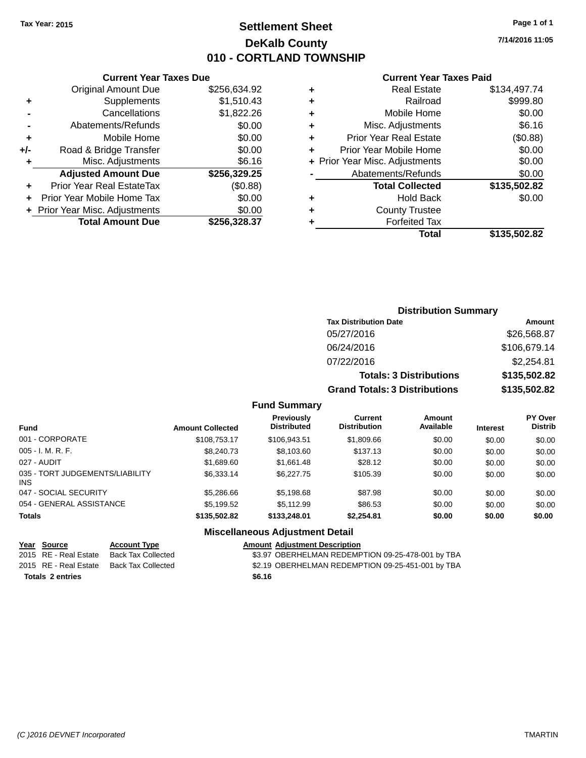# **Settlement Sheet Tax Year: 2015 Page 1 of 1 DeKalb County 010 - CORTLAND TOWNSHIP**

**7/14/2016 11:05**

#### **Current Year Taxes Paid**

|     | Original Amount Due              | \$256,634.92 | ٠    |
|-----|----------------------------------|--------------|------|
|     | Supplements                      | \$1,510.43   | ٠    |
|     | Cancellations                    | \$1,822.26   | ٠    |
|     | Abatements/Refunds               | \$0.00       | ٠    |
|     | Mobile Home                      | \$0.00       |      |
| +/- | Road & Bridge Transfer           | \$0.00       | ٠    |
|     | Misc. Adjustments                | \$6.16       | Prio |
|     | <b>Adjusted Amount Due</b>       | \$256,329.25 |      |
|     | <b>Prior Year Real EstateTax</b> | (\$0.88)     |      |
|     | Prior Year Mobile Home Tax       | \$0.00       | ٠    |
|     | + Prior Year Misc. Adjustments   | \$0.00       | ٠    |
|     | <b>Total Amount Due</b>          | \$256,328.37 |      |
|     |                                  |              |      |

**Current Year Taxes Due**

|   | <b>Real Estate</b>             | \$134,497.74 |
|---|--------------------------------|--------------|
| ٠ | Railroad                       | \$999.80     |
| ٠ | Mobile Home                    | \$0.00       |
| ٠ | Misc. Adjustments              | \$6.16       |
| ٠ | <b>Prior Year Real Estate</b>  | (\$0.88)     |
|   | Prior Year Mobile Home         | \$0.00       |
|   | + Prior Year Misc. Adjustments | \$0.00       |
|   | Abatements/Refunds             | \$0.00       |
|   | <b>Total Collected</b>         | \$135,502.82 |
|   | <b>Hold Back</b>               | \$0.00       |
| ٠ | <b>County Trustee</b>          |              |
|   | <b>Forfeited Tax</b>           |              |
|   | Total                          | \$135,502.82 |
|   |                                |              |

# **Distribution Summary Tax Distribution Date Amount** 05/27/2016 \$26,568.87 06/24/2016 \$106,679.14 07/22/2016 \$2,254.81 **Totals: 3 Distributions \$135,502.82 Grand Totals: 3 Distributions \$135,502.82**

### **Fund Summary**

| <b>Fund</b>                                   | <b>Amount Collected</b> | <b>Previously</b><br><b>Distributed</b> | Current<br><b>Distribution</b> | <b>Amount</b><br>Available | <b>Interest</b> | <b>PY Over</b><br><b>Distrib</b> |
|-----------------------------------------------|-------------------------|-----------------------------------------|--------------------------------|----------------------------|-----------------|----------------------------------|
| 001 - CORPORATE                               | \$108,753.17            | \$106.943.51                            | \$1,809.66                     | \$0.00                     | \$0.00          | \$0.00                           |
| $005 - I. M. R. F.$                           | \$8,240.73              | \$8,103.60                              | \$137.13                       | \$0.00                     | \$0.00          | \$0.00                           |
| 027 - AUDIT                                   | \$1,689.60              | \$1,661.48                              | \$28.12                        | \$0.00                     | \$0.00          | \$0.00                           |
| 035 - TORT JUDGEMENTS/LIABILITY<br><b>INS</b> | \$6.333.14              | \$6,227,75                              | \$105.39                       | \$0.00                     | \$0.00          | \$0.00                           |
| 047 - SOCIAL SECURITY                         | \$5,286.66              | \$5,198.68                              | \$87.98                        | \$0.00                     | \$0.00          | \$0.00                           |
| 054 - GENERAL ASSISTANCE                      | \$5,199.52              | \$5.112.99                              | \$86.53                        | \$0.00                     | \$0.00          | \$0.00                           |
| <b>Totals</b>                                 | \$135,502.82            | \$133,248.01                            | \$2,254.81                     | \$0.00                     | \$0.00          | \$0.00                           |

## **Miscellaneous Adjustment Detail**

| Year Source             | <b>Account Type</b> | <b>Amount Adiustment Description</b>              |
|-------------------------|---------------------|---------------------------------------------------|
| 2015 RE - Real Estate   | Back Tax Collected  | \$3.97 OBERHELMAN REDEMPTION 09-25-478-001 by TBA |
| 2015 RE - Real Estate   | Back Tax Collected  | \$2.19 OBERHELMAN REDEMPTION 09-25-451-001 by TBA |
| <b>Totals 2 entries</b> |                     | \$6.16                                            |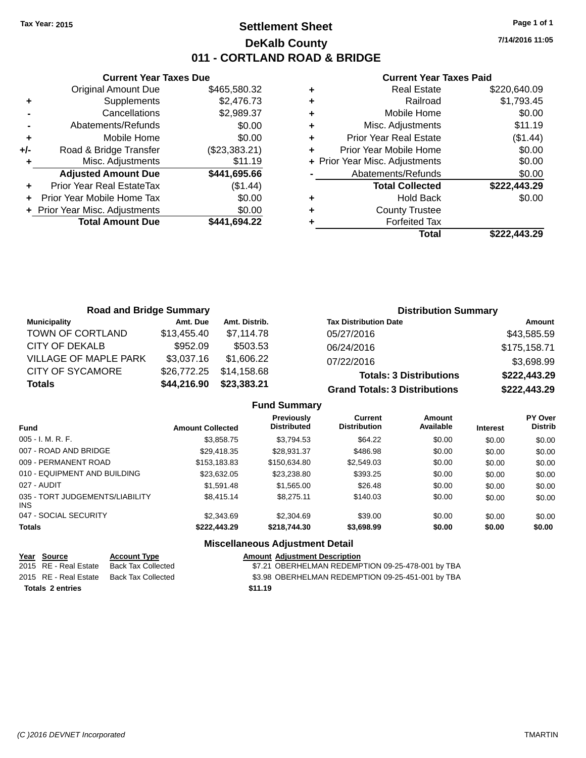# **Settlement Sheet Tax Year: 2015 Page 1 of 1 DeKalb County 011 - CORTLAND ROAD & BRIDGE**

**7/14/2016 11:05**

### **Current Year Taxes Paid**

|     | <b>Current Year Taxes Due</b>              |               |  |  |  |  |
|-----|--------------------------------------------|---------------|--|--|--|--|
|     | \$465,580.32<br><b>Original Amount Due</b> |               |  |  |  |  |
| ٠   | Supplements                                | \$2,476.73    |  |  |  |  |
|     | Cancellations                              | \$2,989.37    |  |  |  |  |
|     | Abatements/Refunds                         | \$0.00        |  |  |  |  |
| ٠   | Mobile Home                                | \$0.00        |  |  |  |  |
| +/- | Road & Bridge Transfer                     | (\$23,383.21) |  |  |  |  |
|     | \$11.19<br>Misc. Adjustments               |               |  |  |  |  |
|     | <b>Adjusted Amount Due</b>                 | \$441,695.66  |  |  |  |  |
| ٠   | Prior Year Real EstateTax                  | (\$1.44)      |  |  |  |  |
|     | Prior Year Mobile Home Tax                 | \$0.00        |  |  |  |  |
|     | + Prior Year Misc. Adjustments             | \$0.00        |  |  |  |  |
|     | <b>Total Amount Due</b>                    | \$441,694.22  |  |  |  |  |
|     |                                            |               |  |  |  |  |

|   | <b>Real Estate</b>             | \$220,640.09 |
|---|--------------------------------|--------------|
| ÷ | Railroad                       | \$1,793.45   |
| ٠ | Mobile Home                    | \$0.00       |
| ٠ | Misc. Adjustments              | \$11.19      |
| ٠ | <b>Prior Year Real Estate</b>  | (\$1.44)     |
| ÷ | Prior Year Mobile Home         | \$0.00       |
|   | + Prior Year Misc. Adjustments | \$0.00       |
|   | Abatements/Refunds             | \$0.00       |
|   | <b>Total Collected</b>         | \$222,443.29 |
| ٠ | <b>Hold Back</b>               | \$0.00       |
| ٠ | <b>County Trustee</b>          |              |
| ٠ | <b>Forfeited Tax</b>           |              |
|   | <b>Total</b>                   | \$222.443.29 |
|   |                                |              |

| <b>Road and Bridge Summary</b> |             |               | <b>Distribution Summary</b>          |              |
|--------------------------------|-------------|---------------|--------------------------------------|--------------|
| <b>Municipality</b>            | Amt. Due    | Amt. Distrib. | <b>Tax Distribution Date</b>         | Amount       |
| TOWN OF CORTLAND               | \$13,455.40 | \$7.114.78    | 05/27/2016                           | \$43,585.59  |
| CITY OF DEKALB                 | \$952.09    | \$503.53      | 06/24/2016                           | \$175,158.71 |
| <b>VILLAGE OF MAPLE PARK</b>   | \$3,037.16  | \$1,606.22    | 07/22/2016                           | \$3,698.99   |
| <b>CITY OF SYCAMORE</b>        | \$26,772.25 | \$14,158.68   | <b>Totals: 3 Distributions</b>       | \$222,443.29 |
| <b>Totals</b>                  | \$44,216.90 | \$23,383.21   | <b>Grand Totals: 3 Distributions</b> | \$222,443.29 |

### **Fund Summary**

| Fund                                    | <b>Amount Collected</b> | Previously<br><b>Distributed</b> | Current<br><b>Distribution</b> | Amount<br>Available | <b>Interest</b> | <b>PY Over</b><br><b>Distrib</b> |
|-----------------------------------------|-------------------------|----------------------------------|--------------------------------|---------------------|-----------------|----------------------------------|
| $005 - I. M. R. F.$                     | \$3,858.75              | \$3,794.53                       | \$64.22                        | \$0.00              | \$0.00          | \$0.00                           |
| 007 - ROAD AND BRIDGE                   | \$29,418.35             | \$28,931.37                      | \$486.98                       | \$0.00              | \$0.00          | \$0.00                           |
| 009 - PERMANENT ROAD                    | \$153,183.83            | \$150,634.80                     | \$2,549.03                     | \$0.00              | \$0.00          | \$0.00                           |
| 010 - EQUIPMENT AND BUILDING            | \$23,632.05             | \$23,238.80                      | \$393.25                       | \$0.00              | \$0.00          | \$0.00                           |
| 027 - AUDIT                             | \$1.591.48              | \$1,565.00                       | \$26.48                        | \$0.00              | \$0.00          | \$0.00                           |
| 035 - TORT JUDGEMENTS/LIABILITY<br>INS. | \$8,415.14              | \$8,275.11                       | \$140.03                       | \$0.00              | \$0.00          | \$0.00                           |
| 047 - SOCIAL SECURITY                   | \$2,343.69              | \$2,304.69                       | \$39.00                        | \$0.00              | \$0.00          | \$0.00                           |
| <b>Totals</b>                           | \$222,443.29            | \$218,744.30                     | \$3,698.99                     | \$0.00              | \$0.00          | \$0.00                           |

# **Miscellaneous Adjustment Detail**

| Year Source           | <b>Account Type</b> |         | <b>Amount Adiustment Description</b>              |
|-----------------------|---------------------|---------|---------------------------------------------------|
| 2015 RE - Real Estate | Back Tax Collected  |         | \$7.21 OBERHELMAN REDEMPTION 09-25-478-001 by TBA |
| 2015 RE - Real Estate | Back Tax Collected  |         | \$3.98 OBERHELMAN REDEMPTION 09-25-451-001 by TBA |
| Totals 2 entries      |                     | \$11.19 |                                                   |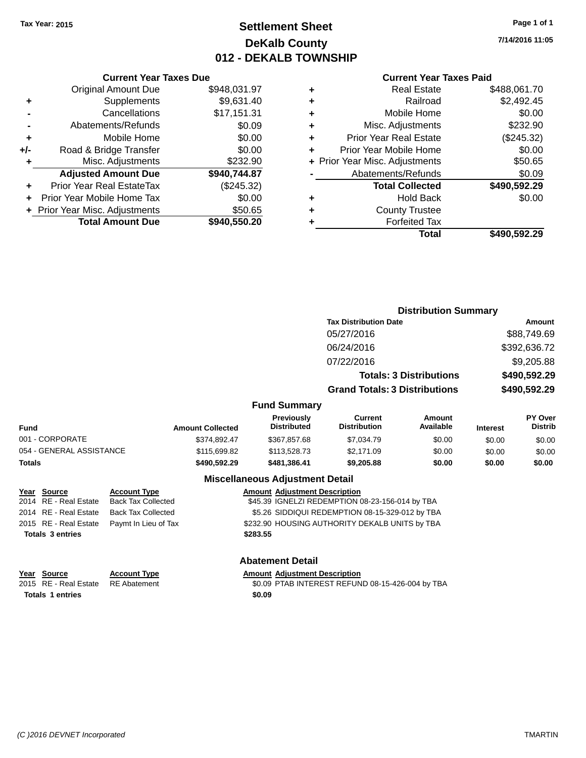# **Settlement Sheet Tax Year: 2015 Page 1 of 1 DeKalb County 012 - DEKALB TOWNSHIP**

**7/14/2016 11:05**

### **Current Year Taxes Paid**

|     | <b>Current Year Taxes Due</b>  |              |  |  |  |  |
|-----|--------------------------------|--------------|--|--|--|--|
|     | <b>Original Amount Due</b>     | \$948,031.97 |  |  |  |  |
| ٠   | Supplements                    | \$9,631.40   |  |  |  |  |
|     | Cancellations                  | \$17,151.31  |  |  |  |  |
|     | Abatements/Refunds             | \$0.09       |  |  |  |  |
| ٠   | Mobile Home                    | \$0.00       |  |  |  |  |
| +/- | Road & Bridge Transfer         | \$0.00       |  |  |  |  |
| ٠   | Misc. Adjustments              | \$232.90     |  |  |  |  |
|     | <b>Adjusted Amount Due</b>     | \$940,744.87 |  |  |  |  |
|     | Prior Year Real EstateTax      | (\$245.32)   |  |  |  |  |
| ÷   | Prior Year Mobile Home Tax     | \$0.00       |  |  |  |  |
|     | + Prior Year Misc. Adjustments | \$50.65      |  |  |  |  |
|     | <b>Total Amount Due</b>        | \$940,550.20 |  |  |  |  |

|   | <b>Real Estate</b>             | \$488,061.70 |
|---|--------------------------------|--------------|
| ٠ | Railroad                       | \$2,492.45   |
| ٠ | Mobile Home                    | \$0.00       |
| ٠ | Misc. Adjustments              | \$232.90     |
| ٠ | <b>Prior Year Real Estate</b>  | (\$245.32)   |
| ÷ | Prior Year Mobile Home         | \$0.00       |
|   | + Prior Year Misc. Adjustments | \$50.65      |
|   | Abatements/Refunds             | \$0.09       |
|   | <b>Total Collected</b>         | \$490,592.29 |
| ٠ | <b>Hold Back</b>               | \$0.00       |
| ٠ | <b>County Trustee</b>          |              |
|   | <b>Forfeited Tax</b>           |              |
|   | Total                          | \$490,592.29 |
|   |                                |              |

|                          |                         |                                  | <b>Distribution Summary</b>          |                                |                 |                                  |  |
|--------------------------|-------------------------|----------------------------------|--------------------------------------|--------------------------------|-----------------|----------------------------------|--|
|                          |                         |                                  | <b>Tax Distribution Date</b>         |                                | Amount          |                                  |  |
|                          |                         |                                  | 05/27/2016                           |                                |                 | \$88,749.69                      |  |
|                          |                         |                                  | 06/24/2016                           |                                |                 | \$392,636.72                     |  |
|                          |                         |                                  | 07/22/2016                           |                                |                 | \$9,205.88                       |  |
|                          |                         |                                  |                                      | <b>Totals: 3 Distributions</b> |                 | \$490,592.29                     |  |
|                          |                         |                                  | <b>Grand Totals: 3 Distributions</b> |                                | \$490,592.29    |                                  |  |
|                          |                         | <b>Fund Summary</b>              |                                      |                                |                 |                                  |  |
| <b>Fund</b>              | <b>Amount Collected</b> | Previously<br><b>Distributed</b> | Current<br><b>Distribution</b>       | Amount<br>Available            | <b>Interest</b> | <b>PY Over</b><br><b>Distrib</b> |  |
| 001 - CORPORATE          | \$374,892.47            | \$367,857.68                     | \$7,034.79                           | \$0.00                         | \$0.00          | \$0.00                           |  |
| 054 - GENERAL ASSISTANCE | \$115,699.82            | \$113,528.73                     | \$2,171.09                           | \$0.00                         | \$0.00          | \$0.00                           |  |
| <b>Totals</b>            | \$490,592.29            | \$481.386.41                     | \$9,205.88                           | \$0.00                         | \$0.00          | \$0.00                           |  |

| Year Source             | <b>Account Type</b>                        | <b>Amount Adjustment Description</b>            |
|-------------------------|--------------------------------------------|-------------------------------------------------|
| 2014 RE - Real Estate   | <b>Back Tax Collected</b>                  | \$45.39 IGNELZI REDEMPTION 08-23-156-014 by TBA |
| 2014 RE - Real Estate   | <b>Back Tax Collected</b>                  | \$5.26 SIDDIQUI REDEMPTION 08-15-329-012 by TBA |
|                         | 2015 RE - Real Estate Paymt In Lieu of Tax | \$232.90 HOUSING AUTHORITY DEKALB UNITS by TBA  |
| <b>Totals 3 entries</b> |                                            | \$283.55                                        |
|                         |                                            |                                                 |
|                         |                                            |                                                 |

**Year Source Account Type Amount Adjustment Description**<br>2015 RE - Real Estate RE Abatement **Amount Adjustment Description Totals 1 entries** \$0.09

### **Abatement Detail**

**Miscellaneous Adjustment Detail**

\$0.09 PTAB INTEREST REFUND 08-15-426-004 by TBA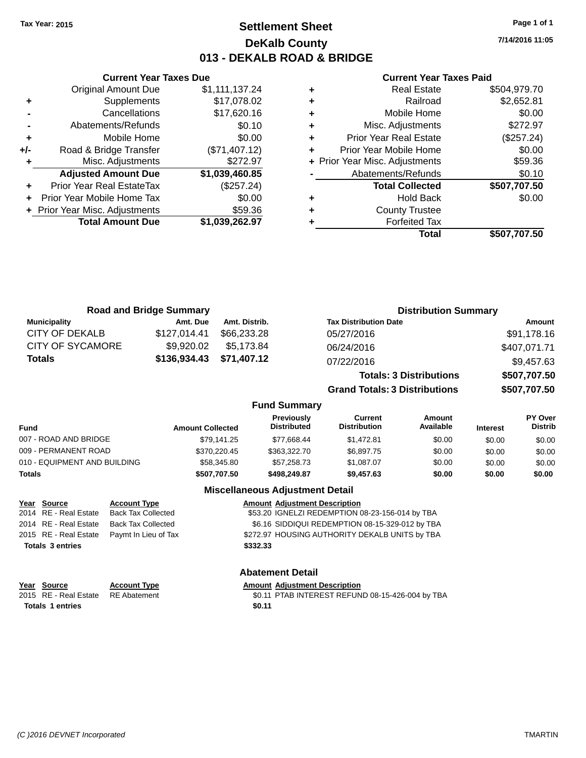# **Settlement Sheet Tax Year: 2015 Page 1 of 1 DeKalb County 013 - DEKALB ROAD & BRIDGE**

**7/14/2016 11:05**

#### **Current Year Taxes Paid**

|       | <b>Current Year Taxes Due</b>  |                |  |  |  |  |  |
|-------|--------------------------------|----------------|--|--|--|--|--|
|       | <b>Original Amount Due</b>     | \$1,111,137.24 |  |  |  |  |  |
| ٠     | Supplements                    | \$17,078.02    |  |  |  |  |  |
|       | Cancellations                  | \$17,620.16    |  |  |  |  |  |
|       | Abatements/Refunds             | \$0.10         |  |  |  |  |  |
| ٠     | Mobile Home                    | \$0.00         |  |  |  |  |  |
| $+/-$ | Road & Bridge Transfer         | (\$71,407.12)  |  |  |  |  |  |
| ٠     | Misc. Adjustments              | \$272.97       |  |  |  |  |  |
|       | <b>Adjusted Amount Due</b>     | \$1,039,460.85 |  |  |  |  |  |
| ٠     | Prior Year Real EstateTax      | (\$257.24)     |  |  |  |  |  |
|       | Prior Year Mobile Home Tax     | \$0.00         |  |  |  |  |  |
|       | + Prior Year Misc. Adjustments | \$59.36        |  |  |  |  |  |
|       | <b>Total Amount Due</b>        | \$1,039,262.97 |  |  |  |  |  |
|       |                                |                |  |  |  |  |  |

|   | <b>Real Estate</b>             | \$504,979.70 |
|---|--------------------------------|--------------|
| ٠ | Railroad                       | \$2,652.81   |
| ٠ | Mobile Home                    | \$0.00       |
| ٠ | Misc. Adjustments              | \$272.97     |
| ٠ | <b>Prior Year Real Estate</b>  | (\$257.24)   |
| ٠ | Prior Year Mobile Home         | \$0.00       |
|   | + Prior Year Misc. Adjustments | \$59.36      |
|   | Abatements/Refunds             | \$0.10       |
|   | <b>Total Collected</b>         | \$507,707.50 |
| ٠ | <b>Hold Back</b>               | \$0.00       |
| ٠ | <b>County Trustee</b>          |              |
|   | <b>Forfeited Tax</b>           |              |
|   | Total                          | \$507,707.50 |
|   |                                |              |
|   |                                |              |

| <b>Road and Bridge Summary</b> |              | <b>Distribution Summary</b> |                                      |              |
|--------------------------------|--------------|-----------------------------|--------------------------------------|--------------|
| <b>Municipality</b>            | Amt. Due     | Amt. Distrib.               | <b>Tax Distribution Date</b>         | Amount       |
| CITY OF DEKALB                 | \$127.014.41 | \$66,233,28                 | 05/27/2016                           | \$91,178.16  |
| CITY OF SYCAMORE               | \$9,920.02   | \$5.173.84                  | 06/24/2016                           | \$407,071.71 |
| <b>Totals</b>                  | \$136,934.43 | \$71,407.12                 | 07/22/2016                           | \$9,457.63   |
|                                |              |                             | <b>Totals: 3 Distributions</b>       | \$507,707.50 |
|                                |              |                             | <b>Grand Totals: 3 Distributions</b> | \$507,707.50 |

### **Fund Summary**

| <b>Fund</b>                  | <b>Amount Collected</b> | <b>Previously</b><br><b>Distributed</b> | Current<br><b>Distribution</b> | Amount<br>Available | <b>Interest</b> | <b>PY Over</b><br><b>Distrib</b> |
|------------------------------|-------------------------|-----------------------------------------|--------------------------------|---------------------|-----------------|----------------------------------|
| 007 - ROAD AND BRIDGE        | \$79,141.25             | \$77,668.44                             | \$1.472.81                     | \$0.00              | \$0.00          | \$0.00                           |
| 009 - PERMANENT ROAD         | \$370,220.45            | \$363,322,70                            | \$6,897.75                     | \$0.00              | \$0.00          | \$0.00                           |
| 010 - EQUIPMENT AND BUILDING | \$58,345.80             | \$57,258.73                             | \$1.087.07                     | \$0.00              | \$0.00          | \$0.00                           |
| <b>Totals</b>                | \$507,707.50            | \$498,249.87                            | \$9,457.63                     | \$0.00              | \$0.00          | \$0.00                           |

## **Miscellaneous Adjustment Detail**

| Year Source             | <b>Account Type</b>                        |          | <b>Amount Adjustment Description</b>            |
|-------------------------|--------------------------------------------|----------|-------------------------------------------------|
| 2014 RE - Real Estate   | <b>Back Tax Collected</b>                  |          | \$53.20 IGNELZI REDEMPTION 08-23-156-014 by TBA |
| 2014 RE - Real Estate   | Back Tax Collected                         |          | \$6.16 SIDDIQUI REDEMPTION 08-15-329-012 by TBA |
|                         | 2015 RE - Real Estate Paymt In Lieu of Tax |          | \$272.97 HOUSING AUTHORITY DEKALB UNITS by TBA  |
| <b>Totals 3 entries</b> |                                            | \$332.33 |                                                 |
|                         |                                            |          |                                                 |

# **Abatement Detail**

| Year Source                        | <b>Account Type</b> |        | <b>Amount Adiustment Description</b>             |
|------------------------------------|---------------------|--------|--------------------------------------------------|
| 2015 RE - Real Estate RE Abatement |                     |        | \$0.11 PTAB INTEREST REFUND 08-15-426-004 by TBA |
| <b>Totals 1 entries</b>            |                     | \$0.11 |                                                  |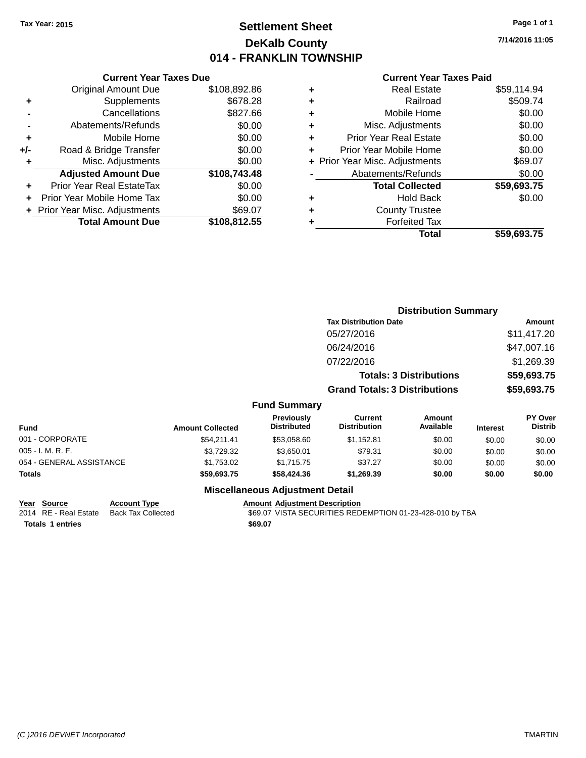# **Settlement Sheet Tax Year: 2015 Page 1 of 1 DeKalb County 014 - FRANKLIN TOWNSHIP**

**7/14/2016 11:05**

### **Current Year Taxes Paid**

|     | <b>Current Year Taxes Due</b>  |              |  |  |  |  |  |
|-----|--------------------------------|--------------|--|--|--|--|--|
|     | <b>Original Amount Due</b>     | \$108,892.86 |  |  |  |  |  |
| ٠   | Supplements                    | \$678.28     |  |  |  |  |  |
|     | Cancellations                  | \$827.66     |  |  |  |  |  |
|     | Abatements/Refunds             | \$0.00       |  |  |  |  |  |
| ٠   | Mobile Home                    | \$0.00       |  |  |  |  |  |
| +/- | Road & Bridge Transfer         | \$0.00       |  |  |  |  |  |
| ٠   | Misc. Adjustments              | \$0.00       |  |  |  |  |  |
|     | <b>Adjusted Amount Due</b>     | \$108,743.48 |  |  |  |  |  |
| ÷   | Prior Year Real EstateTax      | \$0.00       |  |  |  |  |  |
|     | Prior Year Mobile Home Tax     | \$0.00       |  |  |  |  |  |
|     | + Prior Year Misc. Adjustments | \$69.07      |  |  |  |  |  |
|     | <b>Total Amount Due</b>        | \$108,812.55 |  |  |  |  |  |
|     |                                |              |  |  |  |  |  |

|   | Real Estate                    | \$59,114.94 |
|---|--------------------------------|-------------|
| ٠ | Railroad                       | \$509.74    |
| ٠ | Mobile Home                    | \$0.00      |
| ٠ | Misc. Adjustments              | \$0.00      |
| ٠ | <b>Prior Year Real Estate</b>  | \$0.00      |
| ٠ | Prior Year Mobile Home         | \$0.00      |
|   | + Prior Year Misc. Adjustments | \$69.07     |
|   | Abatements/Refunds             | \$0.00      |
|   | <b>Total Collected</b>         | \$59,693.75 |
| ٠ | Hold Back                      | \$0.00      |
| ٠ | <b>County Trustee</b>          |             |
| ٠ | <b>Forfeited Tax</b>           |             |
|   | Total                          | \$59,693.75 |
|   |                                |             |

|                          |                         |                                                                                                               |                                       | <b>Distribution Summary</b>    |                 |                           |  |
|--------------------------|-------------------------|---------------------------------------------------------------------------------------------------------------|---------------------------------------|--------------------------------|-----------------|---------------------------|--|
|                          |                         |                                                                                                               | <b>Tax Distribution Date</b>          |                                |                 | Amount                    |  |
|                          |                         |                                                                                                               | 05/27/2016                            |                                |                 | \$11,417.20               |  |
|                          |                         |                                                                                                               | 06/24/2016                            |                                |                 | \$47,007.16               |  |
|                          |                         |                                                                                                               | 07/22/2016                            |                                |                 | \$1,269.39                |  |
|                          |                         |                                                                                                               |                                       | <b>Totals: 3 Distributions</b> |                 | \$59,693.75               |  |
|                          |                         |                                                                                                               | <b>Grand Totals: 3 Distributions</b>  |                                |                 | \$59,693.75               |  |
|                          |                         | <b>Fund Summary</b>                                                                                           |                                       |                                |                 |                           |  |
| <b>Fund</b>              | <b>Amount Collected</b> | <b>Previously</b><br><b>Distributed</b>                                                                       | <b>Current</b><br><b>Distribution</b> | Amount<br>Available            | <b>Interest</b> | PY Over<br><b>Distrib</b> |  |
| 001 - CORPORATE          | \$54,211.41             | \$53,058.60                                                                                                   | \$1,152.81                            | \$0.00                         | \$0.00          | \$0.00                    |  |
| 005 - I. M. R. F.        | \$3,729.32              | \$3,650.01                                                                                                    | \$79.31                               | \$0.00                         | \$0.00          | \$0.00                    |  |
| 054 - GENERAL ASSISTANCE | \$1,753.02              | \$1,715.75                                                                                                    | \$37.27                               | \$0.00                         | \$0.00          | \$0.00                    |  |
| Totals                   | \$59,693.75             | \$58,424.36                                                                                                   | \$1,269.39                            | \$0.00                         | \$0.00          | \$0.00                    |  |
|                          |                         | Battle of History and Carolina and Constantinoplants of the Constantinoplants of the Constantinoplants of the |                                       |                                |                 |                           |  |

## **Miscellaneous Adjustment Detail**

**Year Source Account Type Account Adjustment Description** 

2014 RE - Real Estate Back Tax Collected \$69.07 VISTA SECURITIES REDEMPTION 01-23-428-010 by TBA

**Totals 1 entries** \$69.07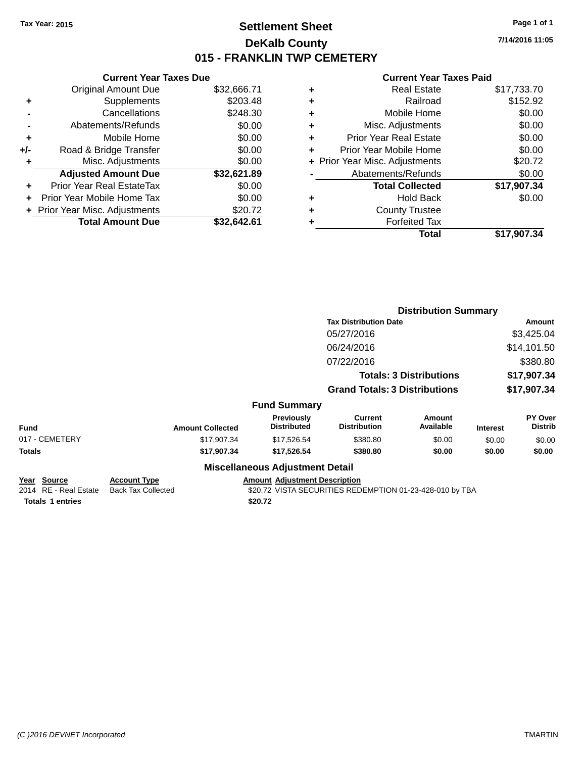# **Settlement Sheet Tax Year: 2015 Page 1 of 1 DeKalb County 015 - FRANKLIN TWP CEMETERY**

**7/14/2016 11:05**

### **Current Year Taxes Paid**

| \$32,666.71 |
|-------------|
| \$203.48    |
| \$248.30    |
| \$0.00      |
| \$0.00      |
| \$0.00      |
| \$0.00      |
| \$32,621.89 |
| \$0.00      |
| \$0.00      |
| \$20.72     |
| \$32.642.61 |
|             |

|   | <b>Real Estate</b>             | \$17,733.70 |
|---|--------------------------------|-------------|
| ٠ | Railroad                       | \$152.92    |
| ٠ | Mobile Home                    | \$0.00      |
| ٠ | Misc. Adjustments              | \$0.00      |
| ٠ | <b>Prior Year Real Estate</b>  | \$0.00      |
| ٠ | Prior Year Mobile Home         | \$0.00      |
|   | + Prior Year Misc. Adjustments | \$20.72     |
|   | Abatements/Refunds             | \$0.00      |
|   | <b>Total Collected</b>         | \$17,907.34 |
| ٠ | <b>Hold Back</b>               | \$0.00      |
| ٠ | <b>County Trustee</b>          |             |
| ٠ | <b>Forfeited Tax</b>           |             |
|   | Total                          | \$17,907.34 |
|   |                                |             |

|                                             |                                                  |                                        | <b>Distribution Summary</b>                              |                                |                                        |                           |  |
|---------------------------------------------|--------------------------------------------------|----------------------------------------|----------------------------------------------------------|--------------------------------|----------------------------------------|---------------------------|--|
|                                             |                                                  |                                        | <b>Tax Distribution Date</b>                             |                                |                                        | Amount                    |  |
|                                             |                                                  |                                        | 05/27/2016                                               |                                |                                        | \$3,425.04                |  |
|                                             |                                                  |                                        | 06/24/2016                                               |                                |                                        | \$14,101.50               |  |
|                                             |                                                  |                                        | 07/22/2016                                               |                                | \$380.80<br>\$17,907.34<br>\$17,907.34 |                           |  |
|                                             |                                                  |                                        |                                                          | <b>Totals: 3 Distributions</b> |                                        |                           |  |
|                                             |                                                  |                                        | <b>Grand Totals: 3 Distributions</b>                     |                                |                                        |                           |  |
|                                             |                                                  | <b>Fund Summary</b>                    |                                                          |                                |                                        |                           |  |
| <b>Fund</b>                                 | <b>Amount Collected</b>                          | Previously<br><b>Distributed</b>       | <b>Current</b><br><b>Distribution</b>                    | <b>Amount</b><br>Available     | <b>Interest</b>                        | PY Over<br><b>Distrib</b> |  |
| 017 - CEMETERY                              | \$17,907.34                                      | \$17,526.54                            | \$380.80                                                 | \$0.00                         | \$0.00                                 | \$0.00                    |  |
| Totals                                      | \$17,907.34                                      | \$17,526.54                            | \$380.80                                                 | \$0.00                         | \$0.00                                 | \$0.00                    |  |
|                                             |                                                  | <b>Miscellaneous Adjustment Detail</b> |                                                          |                                |                                        |                           |  |
| <u>Year Source</u><br>2014 RE - Real Estate | <b>Account Type</b><br><b>Back Tax Collected</b> | <b>Amount Adjustment Description</b>   | \$20.72 VISTA SECURITIES REDEMPTION 01-23-428-010 by TBA |                                |                                        |                           |  |
| <b>Totals 1 entries</b>                     |                                                  | \$20.72                                |                                                          |                                |                                        |                           |  |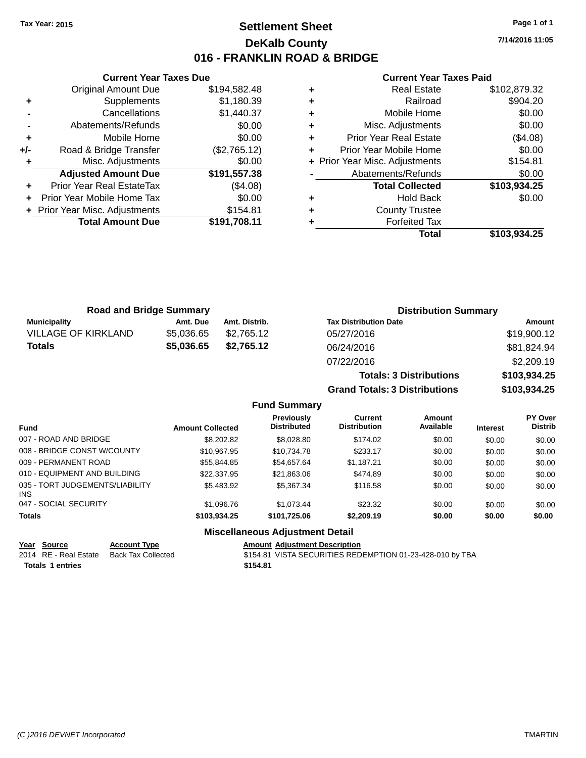# **Settlement Sheet Tax Year: 2015 Page 1 of 1 DeKalb County 016 - FRANKLIN ROAD & BRIDGE**

**7/14/2016 11:05**

#### **Current Year Taxes Paid**

|     | <b>Current Year Taxes Due</b>  |              |
|-----|--------------------------------|--------------|
|     | <b>Original Amount Due</b>     | \$194,582.48 |
| ٠   | Supplements                    | \$1,180.39   |
|     | Cancellations                  | \$1,440.37   |
|     | Abatements/Refunds             | \$0.00       |
| ٠   | Mobile Home                    | \$0.00       |
| +/- | Road & Bridge Transfer         | (\$2,765.12) |
|     | Misc. Adjustments              | \$0.00       |
|     | <b>Adjusted Amount Due</b>     | \$191,557.38 |
| ٠   | Prior Year Real EstateTax      | (\$4.08)     |
|     | Prior Year Mobile Home Tax     | \$0.00       |
|     | + Prior Year Misc. Adjustments | \$154.81     |
|     | <b>Total Amount Due</b>        | \$191,708.11 |
|     |                                |              |

| ٠ | <b>Real Estate</b>             | \$102,879.32 |
|---|--------------------------------|--------------|
| ٠ | Railroad                       | \$904.20     |
| ٠ | Mobile Home                    | \$0.00       |
| ٠ | Misc. Adjustments              | \$0.00       |
| ٠ | <b>Prior Year Real Estate</b>  | (\$4.08)     |
| ٠ | Prior Year Mobile Home         | \$0.00       |
|   | + Prior Year Misc. Adjustments | \$154.81     |
|   | Abatements/Refunds             | \$0.00       |
|   | <b>Total Collected</b>         | \$103,934.25 |
| ٠ | <b>Hold Back</b>               | \$0.00       |
| ٠ | <b>County Trustee</b>          |              |
| ٠ | <b>Forfeited Tax</b>           |              |
|   | Total                          | \$103,934.25 |
|   |                                |              |

**Grand Totals: 3 Distributions \$103,934.25**

| <b>Road and Bridge Summary</b> |            |               | <b>Distribution Summary</b>    |              |  |
|--------------------------------|------------|---------------|--------------------------------|--------------|--|
| <b>Municipality</b>            | Amt. Due   | Amt. Distrib. | <b>Tax Distribution Date</b>   | Amount       |  |
| <b>VILLAGE OF KIRKLAND</b>     | \$5,036.65 | \$2.765.12    | 05/27/2016                     | \$19,900.12  |  |
| Totals                         | \$5,036.65 | \$2.765.12    | 06/24/2016                     | \$81,824.94  |  |
|                                |            |               | 07/22/2016                     | \$2,209.19   |  |
|                                |            |               | <b>Totals: 3 Distributions</b> | \$103,934.25 |  |

**Fund Summary Fund Interest Amount Collected Distributed PY Over Distrib Amount Available Current Distribution Previously** 007 - ROAD AND BRIDGE 60.00 \$8,202.82 \$8,028.80 \$174.02 \$0.00 \$0.00 \$0.00 \$0.00 008 - BRIDGE CONST W/COUNTY  $$10,967.95$   $$10,734.78$   $$233.17$   $$0.00$   $$0.00$   $$0.00$ 009 - PERMANENT ROAD \$55,844.85 \$54,657.64 \$1,187.21 \$0.00 \$0.00 \$0.00 010 - EQUIPMENT AND BUILDING \$22,337.95 \$21,863.06 \$474.89 \$0.00 \$0.00 \$0.00 \$0.00 035 - TORT JUDGEMENTS/LIABILITY INS \$5,483.92 \$5,367.34 \$116.58 \$0.00 \$0.00 \$0.00 047 - SOCIAL SECURITY \$1,096.76 \$1,073.44 \$23.32 \$0.00 \$0.00 \$0.00 **Totals \$103,934.25 \$101,725.06 \$2,209.19 \$0.00 \$0.00 \$0.00**

### **Miscellaneous Adjustment Detail**

#### **Year Source Account Type Amount Adjustment Description** 2014 RE - Real Estate Back Tax Collected **\$154.81** VISTA SECURITIES REDEMPTION 01-23-428-010 by TBA **Totals \$154.81 1 entries**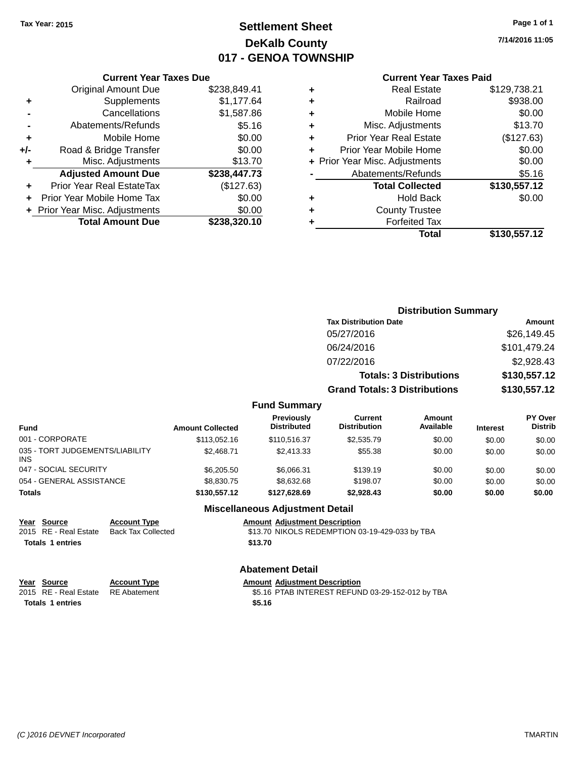# **Settlement Sheet Tax Year: 2015 Page 1 of 1 DeKalb County 017 - GENOA TOWNSHIP**

**7/14/2016 11:05**

### **Current Year Taxes Paid**

| <b>Current Year Taxes Due</b> |                                |
|-------------------------------|--------------------------------|
| <b>Original Amount Due</b>    | \$238,849.41                   |
| Supplements                   | \$1,177.64                     |
| Cancellations                 | \$1,587.86                     |
| Abatements/Refunds            | \$5.16                         |
| Mobile Home                   | \$0.00                         |
| Road & Bridge Transfer        | \$0.00                         |
| Misc. Adjustments             | \$13.70                        |
| <b>Adjusted Amount Due</b>    | \$238,447.73                   |
| Prior Year Real EstateTax     | (\$127.63)                     |
| Prior Year Mobile Home Tax    | \$0.00                         |
|                               | \$0.00                         |
| <b>Total Amount Due</b>       | \$238.320.10                   |
|                               | + Prior Year Misc. Adjustments |

| ٠ | <b>Real Estate</b>             | \$129,738.21 |
|---|--------------------------------|--------------|
| ٠ | Railroad                       | \$938.00     |
| ٠ | Mobile Home                    | \$0.00       |
| ٠ | Misc. Adjustments              | \$13.70      |
| ٠ | <b>Prior Year Real Estate</b>  | (\$127.63)   |
| ٠ | Prior Year Mobile Home         | \$0.00       |
|   | + Prior Year Misc. Adjustments | \$0.00       |
|   | Abatements/Refunds             | \$5.16       |
|   | <b>Total Collected</b>         | \$130,557.12 |
| ٠ | Hold Back                      | \$0.00       |
| ٠ | <b>County Trustee</b>          |              |
| ٠ | <b>Forfeited Tax</b>           |              |
|   | Total                          | \$130,557.12 |
|   |                                |              |

|                                         |                         | <b>Distribution Summary</b>      |                                       |                                |                 |                           |
|-----------------------------------------|-------------------------|----------------------------------|---------------------------------------|--------------------------------|-----------------|---------------------------|
|                                         |                         |                                  | <b>Tax Distribution Date</b>          |                                |                 | Amount                    |
|                                         |                         |                                  | 05/27/2016                            |                                |                 | \$26,149.45               |
|                                         |                         |                                  | 06/24/2016                            |                                |                 | \$101,479.24              |
|                                         |                         |                                  | 07/22/2016                            |                                |                 | \$2,928.43                |
|                                         |                         |                                  |                                       | <b>Totals: 3 Distributions</b> |                 | \$130,557.12              |
|                                         |                         |                                  | <b>Grand Totals: 3 Distributions</b>  |                                |                 | \$130,557.12              |
|                                         |                         | <b>Fund Summary</b>              |                                       |                                |                 |                           |
| <b>Fund</b>                             | <b>Amount Collected</b> | Previously<br><b>Distributed</b> | <b>Current</b><br><b>Distribution</b> | <b>Amount</b><br>Available     | <b>Interest</b> | PY Over<br><b>Distrib</b> |
| 001 - CORPORATE                         | \$113,052.16            | \$110,516.37                     | \$2,535.79                            | \$0.00                         | \$0.00          | \$0.00                    |
| 035 - TORT JUDGEMENTS/LIABILITY<br>INS. | \$2.468.71              | \$2,413.33                       | \$55.38                               | \$0.00                         | \$0.00          | \$0.00                    |
|                                         |                         |                                  |                                       |                                |                 |                           |

|                                               | ---          | - --         |            |        |        |        |
|-----------------------------------------------|--------------|--------------|------------|--------|--------|--------|
| Totals                                        | \$130,557.12 | \$127.628.69 | \$2.928.43 | \$0.00 | \$0.00 | \$0.00 |
| 054 - GENERAL ASSISTANCE                      | \$8,830.75   | \$8,632,68   | \$198.07   | \$0.00 | \$0.00 | \$0.00 |
| 047 - SOCIAL SECURITY                         | \$6,205.50   | \$6.066.31   | \$139.19   | \$0.00 | \$0.00 | \$0.00 |
| 035 - TORT JUDGEMENTS/LIABILITY<br><b>INS</b> | \$2.468.71   | \$2,413.33   | \$55.38    | \$0.00 | \$0.00 | \$0.00 |

# **Year Source Account Type Amount Adjustment Description**<br>2015 RE - Real Estate Back Tax Collected \$13.70 NIKOLS REDEMPTION 0 **Totals 1 entries** \$13.70

### **Miscellaneous Adjustment Detail**

\$13.70 NIKOLS REDEMPTION 03-19-429-033 by TBA

# **Abatement Detail**

**Year** Source **Account Type Account Type Amount Adjustment Description** 

2015 RE - Real Estate RE Abatement \$5.16 PTAB INTEREST REFUND 03-29-152-012 by TBA **Totals \$5.16 1 entries**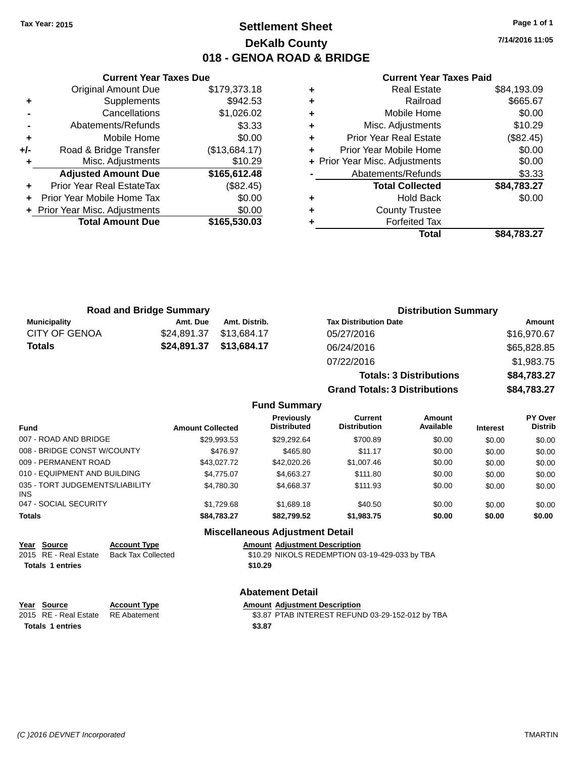# **Settlement Sheet Tax Year: 2015 Page 1 of 1 DeKalb County 018 - GENOA ROAD & BRIDGE**

**7/14/2016 11:05**

### **Current Year Taxes Paid**

|     | <b>Current Year Taxes Due</b>  |               |
|-----|--------------------------------|---------------|
|     | <b>Original Amount Due</b>     | \$179,373.18  |
| ٠   | Supplements                    | \$942.53      |
|     | Cancellations                  | \$1,026.02    |
|     | Abatements/Refunds             | \$3.33        |
| ٠   | Mobile Home                    | \$0.00        |
| +/- | Road & Bridge Transfer         | (\$13,684.17) |
|     | Misc. Adjustments              | \$10.29       |
|     | <b>Adjusted Amount Due</b>     | \$165,612.48  |
| ٠   | Prior Year Real EstateTax      | (\$82.45)     |
|     | Prior Year Mobile Home Tax     | \$0.00        |
|     | + Prior Year Misc. Adjustments | \$0.00        |
|     | <b>Total Amount Due</b>        | \$165,530.03  |
|     |                                |               |

| ٠ | <b>Real Estate</b>             | \$84,193.09 |
|---|--------------------------------|-------------|
| ٠ | Railroad                       | \$665.67    |
| ٠ | Mobile Home                    | \$0.00      |
| ٠ | Misc. Adjustments              | \$10.29     |
| ٠ | <b>Prior Year Real Estate</b>  | (\$82.45)   |
| ٠ | Prior Year Mobile Home         | \$0.00      |
|   | + Prior Year Misc. Adjustments | \$0.00      |
|   | Abatements/Refunds             | \$3.33      |
|   | <b>Total Collected</b>         | \$84,783.27 |
| ٠ | <b>Hold Back</b>               | \$0.00      |
| ٠ | <b>County Trustee</b>          |             |
| ٠ | <b>Forfeited Tax</b>           |             |
|   | Total                          | \$84.783.27 |
|   |                                |             |

**Totals: 3 Distributions \$84,783.27**

**Grand Totals: 3 Distributions \$84,783.27**

| <b>Road and Bridge Summary</b> |             |                         | <b>Distribution Summary</b>  |             |  |
|--------------------------------|-------------|-------------------------|------------------------------|-------------|--|
| Municipality                   | Amt. Due    | Amt. Distrib.           | <b>Tax Distribution Date</b> | Amount      |  |
| <b>CITY OF GENOA</b>           | \$24.891.37 | \$13,684.17             | 05/27/2016                   | \$16,970.67 |  |
| <b>Totals</b>                  |             | \$24,891.37 \$13,684.17 | 06/24/2016                   | \$65,828.85 |  |
|                                |             |                         | 07/22/2016                   | \$1,983.75  |  |

#### **Fund Summary Fund Interest Amount Collected Distributed PY Over Distrib Amount Available Current Distribution Previously** 007 - ROAD AND BRIDGE \$29,993.53 \$29,292.64 \$700.89 \$0.00 \$0.00 \$0.00 \$0.00 008 - BRIDGE CONST W/COUNTY  $$476.97$  \$465.80  $$11.17$   $$0.00$  \$0.00 \$0.00 \$0.00 009 - PERMANENT ROAD \$43,027.72 \$42,020.26 \$1,007.46 \$0.00 \$0.00 \$0.00 \$0.00 010 - EQUIPMENT AND BUILDING \$4,775.07 \$4,663.27 \$111.80 \$0.00 \$0.00 \$0.00 \$0.00 035 - TORT JUDGEMENTS/LIABILITY INS \$4,780.30 \$4,668.37 \$111.93 \$0.00 \$0.00 \$0.00 047 - SOCIAL SECURITY \$1,729.68 \$1,689.18 \$40.50 \$0.00 \$0.00 \$0.00 **Totals \$84,783.27 \$82,799.52 \$1,983.75 \$0.00 \$0.00 \$0.00**

**Miscellaneous Adjustment Detail**

| Year Source             | <b>Account Type</b> | <b>Amount Adiustment Description</b>           |
|-------------------------|---------------------|------------------------------------------------|
| 2015 RE - Real Estate   | Back Tax Collected  | \$10.29 NIKOLS REDEMPTION 03-19-429-033 by TBA |
| <b>Totals 1 entries</b> |                     | \$10.29                                        |

### **Abatement Detail**

| Year Source                        | <b>Account Type</b> | <b>Amount Adiustment Description</b>             |
|------------------------------------|---------------------|--------------------------------------------------|
| 2015 RE - Real Estate RE Abatement |                     | \$3.87 PTAB INTEREST REFUND 03-29-152-012 by TBA |
| <b>Totals 1 entries</b>            |                     | \$3.87                                           |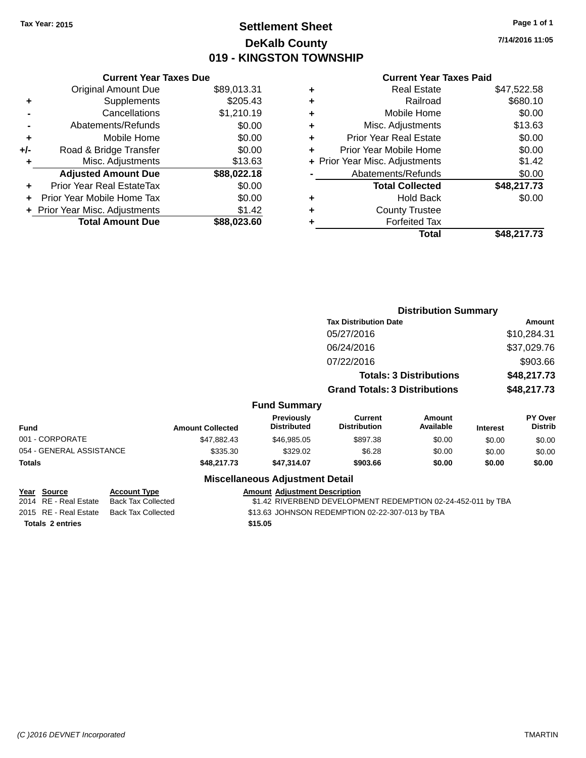# **Settlement Sheet Tax Year: 2015 Page 1 of 1 DeKalb County 019 - KINGSTON TOWNSHIP**

**7/14/2016 11:05**

|     | <b>Current Year Taxes Due</b>  |             |
|-----|--------------------------------|-------------|
|     | <b>Original Amount Due</b>     | \$89,013.31 |
| ٠   | Supplements                    | \$205.43    |
|     | Cancellations                  | \$1,210.19  |
|     | Abatements/Refunds             | \$0.00      |
| ٠   | Mobile Home                    | \$0.00      |
| +/- | Road & Bridge Transfer         | \$0.00      |
| ٠   | Misc. Adjustments              | \$13.63     |
|     | <b>Adjusted Amount Due</b>     | \$88,022.18 |
|     | Prior Year Real EstateTax      | \$0.00      |
|     | Prior Year Mobile Home Tax     | \$0.00      |
|     | + Prior Year Misc. Adjustments | \$1.42      |
|     | <b>Total Amount Due</b>        | \$88,023.60 |
|     |                                |             |

### **Current Year Taxes Paid**

|   | <b>Real Estate</b>             | \$47,522.58 |
|---|--------------------------------|-------------|
| ÷ | Railroad                       | \$680.10    |
| ٠ | Mobile Home                    | \$0.00      |
| ٠ | Misc. Adjustments              | \$13.63     |
| ٠ | <b>Prior Year Real Estate</b>  | \$0.00      |
| ٠ | Prior Year Mobile Home         | \$0.00      |
|   | + Prior Year Misc. Adjustments | \$1.42      |
|   | Abatements/Refunds             | \$0.00      |
|   | <b>Total Collected</b>         | \$48,217.73 |
| ٠ | Hold Back                      | \$0.00      |
| ٠ | <b>County Trustee</b>          |             |
| ٠ | <b>Forfeited Tax</b>           |             |
|   | Total                          | \$48,217.73 |
|   |                                |             |

|                          |                         |                                         | <b>Distribution Summary</b>          |                                |                 |                           |
|--------------------------|-------------------------|-----------------------------------------|--------------------------------------|--------------------------------|-----------------|---------------------------|
|                          |                         |                                         | <b>Tax Distribution Date</b>         |                                |                 | <b>Amount</b>             |
|                          |                         |                                         | 05/27/2016                           |                                |                 | \$10,284.31               |
|                          |                         |                                         | 06/24/2016                           |                                |                 | \$37,029.76               |
|                          |                         |                                         | 07/22/2016                           |                                |                 | \$903.66                  |
|                          |                         |                                         |                                      | <b>Totals: 3 Distributions</b> |                 | \$48,217.73               |
|                          |                         |                                         | <b>Grand Totals: 3 Distributions</b> |                                |                 | \$48,217.73               |
|                          |                         | <b>Fund Summary</b>                     |                                      |                                |                 |                           |
| <b>Fund</b>              | <b>Amount Collected</b> | <b>Previously</b><br><b>Distributed</b> | Current<br><b>Distribution</b>       | Amount<br>Available            | <b>Interest</b> | PY Over<br><b>Distrib</b> |
| 001 - CORPORATE          | \$47,882.43             | \$46,985.05                             | \$897.38                             | \$0.00                         | \$0.00          | \$0.00                    |
| 054 - GENERAL ASSISTANCE | \$335.30                | \$329.02                                | \$6.28                               | \$0.00                         | \$0.00          | \$0.00                    |
| <b>Totals</b>            | \$48,217.73             | \$47,314.07                             | \$903.66                             | \$0.00                         | \$0.00          | \$0.00                    |
|                          |                         |                                         |                                      |                                |                 |                           |

|  | Year Source             | <b>Account Type</b> | <b>Amount Adiustment Description</b>                         |
|--|-------------------------|---------------------|--------------------------------------------------------------|
|  | 2014 RE - Real Estate   | Back Tax Collected  | \$1.42 RIVERBEND DEVELOPMENT REDEMPTION 02-24-452-011 by TBA |
|  | 2015 RE - Real Estate   | Back Tax Collected  | \$13.63 JOHNSON REDEMPTION 02-22-307-013 by TBA              |
|  | <b>Totals 2 entries</b> |                     | \$15.05                                                      |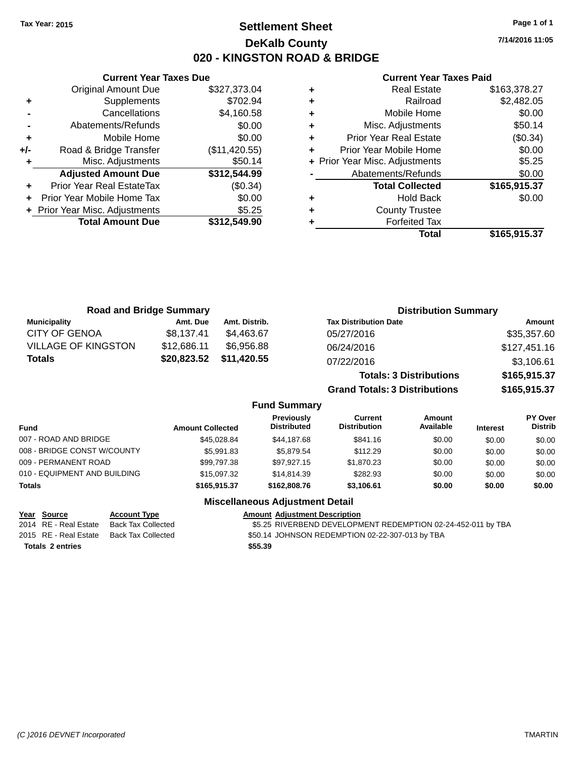# **Settlement Sheet Tax Year: 2015 Page 1 of 1 DeKalb County 020 - KINGSTON ROAD & BRIDGE**

**7/14/2016 11:05**

#### **Current Year Taxes Paid**

|       | <b>Original Amount Due</b>     | \$327,373.04  |
|-------|--------------------------------|---------------|
| ٠     | Supplements                    | \$702.94      |
|       | Cancellations                  | \$4,160.58    |
|       | Abatements/Refunds             | \$0.00        |
| ٠     | Mobile Home                    | \$0.00        |
| $+/-$ | Road & Bridge Transfer         | (\$11,420.55) |
| ٠     | Misc. Adjustments              | \$50.14       |
|       | <b>Adjusted Amount Due</b>     | \$312,544.99  |
| ÷     | Prior Year Real EstateTax      | (\$0.34)      |
| ÷     | Prior Year Mobile Home Tax     | \$0.00        |
|       | + Prior Year Misc. Adjustments | \$5.25        |
|       | <b>Total Amount Due</b>        | \$312,549.90  |
|       |                                |               |

**Current Year Taxes Due**

|   | <b>Real Estate</b>             | \$163,378.27 |
|---|--------------------------------|--------------|
| ٠ | Railroad                       | \$2,482.05   |
| ٠ | Mobile Home                    | \$0.00       |
| ٠ | Misc. Adjustments              | \$50.14      |
| ٠ | <b>Prior Year Real Estate</b>  | (\$0.34)     |
|   | Prior Year Mobile Home         | \$0.00       |
|   | + Prior Year Misc. Adjustments | \$5.25       |
|   | Abatements/Refunds             | \$0.00       |
|   | <b>Total Collected</b>         | \$165,915.37 |
| ٠ | <b>Hold Back</b>               | \$0.00       |
| ٠ | <b>County Trustee</b>          |              |
|   | <b>Forfeited Tax</b>           |              |
|   | Total                          | \$165,915.37 |
|   |                                |              |

| <b>Road and Bridge Summary</b> |             |               | <b>Distribution Summary</b>    |              |  |
|--------------------------------|-------------|---------------|--------------------------------|--------------|--|
| <b>Municipality</b>            | Amt. Due    | Amt. Distrib. | <b>Tax Distribution Date</b>   | Amount       |  |
| <b>CITY OF GENOA</b>           | \$8,137.41  | \$4.463.67    | 05/27/2016                     | \$35,357.60  |  |
| <b>VILLAGE OF KINGSTON</b>     | \$12,686.11 | \$6.956.88    | 06/24/2016                     | \$127,451.16 |  |
| <b>Totals</b>                  | \$20,823.52 | \$11,420.55   | 07/22/2016                     | \$3,106.61   |  |
|                                |             |               | <b>Totals: 3 Distributions</b> | \$165,915.37 |  |

**Grand Totals: 3 Distributions \$165,915.37**

### **Fund Summary**

| Fund                         | <b>Amount Collected</b> | Previously<br><b>Distributed</b> | Current<br><b>Distribution</b> | Amount<br>Available | <b>Interest</b> | <b>PY Over</b><br><b>Distrib</b> |
|------------------------------|-------------------------|----------------------------------|--------------------------------|---------------------|-----------------|----------------------------------|
| 007 - ROAD AND BRIDGE        | \$45,028.84             | \$44.187.68                      | \$841.16                       | \$0.00              | \$0.00          | \$0.00                           |
| 008 - BRIDGE CONST W/COUNTY  | \$5,991.83              | \$5.879.54                       | \$112.29                       | \$0.00              | \$0.00          | \$0.00                           |
| 009 - PERMANENT ROAD         | \$99,797.38             | \$97,927.15                      | \$1,870.23                     | \$0.00              | \$0.00          | \$0.00                           |
| 010 - EQUIPMENT AND BUILDING | \$15,097.32             | \$14,814.39                      | \$282.93                       | \$0.00              | \$0.00          | \$0.00                           |
| <b>Totals</b>                | \$165,915,37            | \$162,808.76                     | \$3,106.61                     | \$0.00              | \$0.00          | \$0.00                           |

### **Miscellaneous Adjustment Detail**

**Totals \$55.39 2 entries**

**Year Source Account Type Amount Adjustment Description** \$5.25 RIVERBEND DEVELOPMENT REDEMPTION 02-24-452-011 by TBA 2015 RE - Real Estate Back Tax Collected \$50.14 JOHNSON REDEMPTION 02-22-307-013 by TBA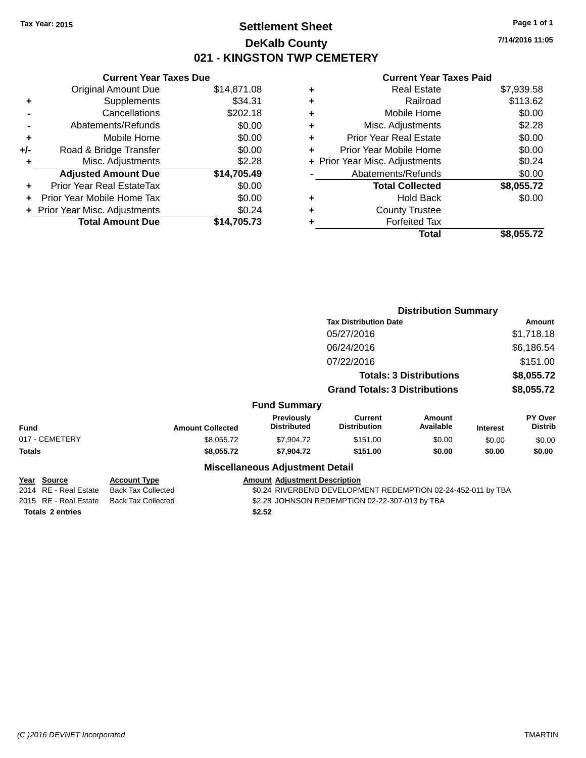# **Settlement Sheet Tax Year: 2015 Page 1 of 1 DeKalb County 021 - KINGSTON TWP CEMETERY**

**7/14/2016 11:05**

# **Current Year Taxes Paid**

|     | <b>Current Year Taxes Due</b>    |             |
|-----|----------------------------------|-------------|
|     | Original Amount Due              | \$14,871.08 |
| ٠   | Supplements                      | \$34.31     |
|     | Cancellations                    | \$202.18    |
|     | Abatements/Refunds               | \$0.00      |
| ÷   | Mobile Home                      | \$0.00      |
| +/- | Road & Bridge Transfer           | \$0.00      |
| ٠   | Misc. Adjustments                | \$2.28      |
|     | <b>Adjusted Amount Due</b>       | \$14,705.49 |
|     | <b>Prior Year Real EstateTax</b> | \$0.00      |
|     | Prior Year Mobile Home Tax       | \$0.00      |
|     | + Prior Year Misc. Adjustments   | \$0.24      |
|     | <b>Total Amount Due</b>          | \$14,705.73 |
|     |                                  |             |

| ٠ | <b>Real Estate</b>             | \$7,939.58 |
|---|--------------------------------|------------|
| ٠ | Railroad                       | \$113.62   |
| ٠ | Mobile Home                    | \$0.00     |
| ٠ | Misc. Adjustments              | \$2.28     |
| ٠ | <b>Prior Year Real Estate</b>  | \$0.00     |
| ٠ | Prior Year Mobile Home         | \$0.00     |
|   | + Prior Year Misc. Adjustments | \$0.24     |
|   | Abatements/Refunds             | \$0.00     |
|   | <b>Total Collected</b>         | \$8,055.72 |
| ٠ | <b>Hold Back</b>               | \$0.00     |
| ٠ | <b>County Trustee</b>          |            |
| ٠ | <b>Forfeited Tax</b>           |            |
|   | Total                          | \$8,055.72 |
|   |                                |            |

|             |                                              |                                                  |                                                | <b>Distribution Summary</b>                                  |                                |                 |                           |  |
|-------------|----------------------------------------------|--------------------------------------------------|------------------------------------------------|--------------------------------------------------------------|--------------------------------|-----------------|---------------------------|--|
|             |                                              |                                                  | <b>Tax Distribution Date</b>                   |                                                              |                                |                 | Amount                    |  |
|             |                                              |                                                  |                                                | 05/27/2016                                                   |                                |                 | \$1,718.18                |  |
|             |                                              |                                                  |                                                | 06/24/2016                                                   |                                |                 | \$6,186.54                |  |
|             |                                              |                                                  |                                                | 07/22/2016                                                   |                                |                 | \$151.00                  |  |
|             |                                              |                                                  |                                                |                                                              | <b>Totals: 3 Distributions</b> |                 | \$8,055.72                |  |
|             |                                              |                                                  |                                                | <b>Grand Totals: 3 Distributions</b>                         |                                |                 | \$8,055.72                |  |
|             |                                              |                                                  | <b>Fund Summary</b>                            |                                                              |                                |                 |                           |  |
| <b>Fund</b> |                                              | <b>Amount Collected</b>                          | <b>Previously</b><br><b>Distributed</b>        | <b>Current</b><br><b>Distribution</b>                        | <b>Amount</b><br>Available     | <b>Interest</b> | PY Over<br><b>Distrib</b> |  |
|             | 017 - CEMETERY                               | \$8,055.72                                       | \$7,904.72                                     | \$151.00                                                     | \$0.00                         | \$0.00          | \$0.00                    |  |
| Totals      |                                              | \$8,055.72                                       | \$7,904.72                                     | \$151.00                                                     | \$0.00                         | \$0.00          | \$0.00                    |  |
|             |                                              |                                                  | <b>Miscellaneous Adjustment Detail</b>         |                                                              |                                |                 |                           |  |
|             | <u> Year Source</u><br>2014 RE - Real Estate | <b>Account Type</b><br><b>Back Tax Collected</b> | <b>Amount Adjustment Description</b>           | \$0.24 RIVERBEND DEVELOPMENT REDEMPTION 02-24-452-011 by TBA |                                |                 |                           |  |
|             | 2015 RE - Real Estate                        | <b>Back Tax Collected</b>                        | \$2.28 JOHNSON REDEMPTION 02-22-307-013 by TBA |                                                              |                                |                 |                           |  |

**Totals \$2.52 2 entries**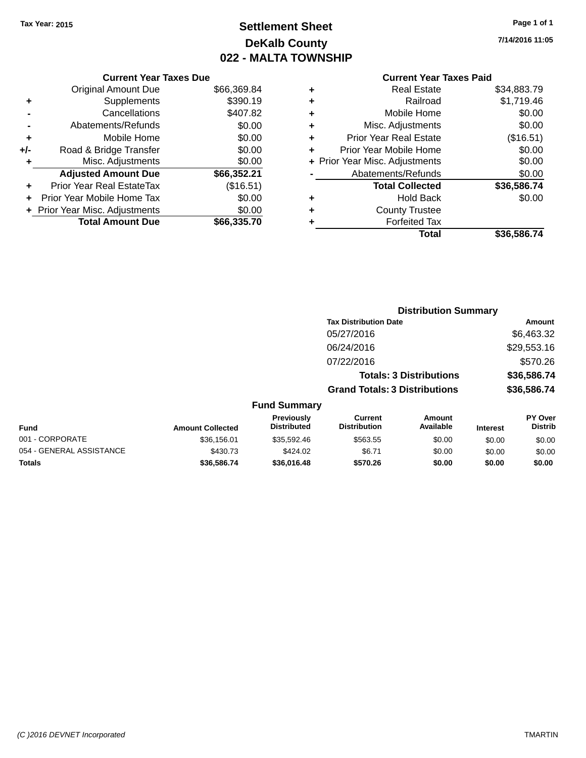# **Settlement Sheet Tax Year: 2015 Page 1 of 1 DeKalb County 022 - MALTA TOWNSHIP**

**7/14/2016 11:05**

# **Current Year Taxes Paid**

| <b>Current Year Taxes Due</b> |                                |
|-------------------------------|--------------------------------|
| <b>Original Amount Due</b>    | \$66,369.84                    |
| Supplements                   | \$390.19                       |
| Cancellations                 | \$407.82                       |
| Abatements/Refunds            | \$0.00                         |
| Mobile Home                   | \$0.00                         |
| Road & Bridge Transfer        | \$0.00                         |
| Misc. Adjustments             | \$0.00                         |
| <b>Adjusted Amount Due</b>    | \$66,352.21                    |
| Prior Year Real EstateTax     | (\$16.51)                      |
| Prior Year Mobile Home Tax    | \$0.00                         |
|                               | \$0.00                         |
| <b>Total Amount Due</b>       | \$66,335,70                    |
|                               | + Prior Year Misc. Adjustments |

| ٠ | <b>Real Estate</b>             | \$34,883.79 |
|---|--------------------------------|-------------|
| ٠ | Railroad                       | \$1,719.46  |
| ٠ | Mobile Home                    | \$0.00      |
| ٠ | Misc. Adjustments              | \$0.00      |
| ٠ | <b>Prior Year Real Estate</b>  | (\$16.51)   |
| ٠ | Prior Year Mobile Home         | \$0.00      |
|   | + Prior Year Misc. Adjustments | \$0.00      |
|   | Abatements/Refunds             | \$0.00      |
|   | <b>Total Collected</b>         | \$36,586.74 |
| ٠ | Hold Back                      | \$0.00      |
|   | <b>County Trustee</b>          |             |
| ٠ | <b>Forfeited Tax</b>           |             |
|   | Total                          | \$36,586.74 |
|   |                                |             |

|                          |                         |                                  | <b>Distribution Summary</b>          |                                |                 |                           |  |
|--------------------------|-------------------------|----------------------------------|--------------------------------------|--------------------------------|-----------------|---------------------------|--|
|                          |                         |                                  | <b>Tax Distribution Date</b>         |                                |                 | Amount                    |  |
|                          |                         |                                  | 05/27/2016                           |                                |                 | \$6,463.32                |  |
|                          |                         |                                  | 06/24/2016                           |                                |                 | \$29,553.16               |  |
|                          |                         |                                  | 07/22/2016                           |                                |                 | \$570.26                  |  |
|                          |                         |                                  |                                      | <b>Totals: 3 Distributions</b> |                 | \$36,586.74               |  |
|                          |                         |                                  | <b>Grand Totals: 3 Distributions</b> |                                |                 | \$36,586.74               |  |
|                          |                         | <b>Fund Summary</b>              |                                      |                                |                 |                           |  |
| Fund                     | <b>Amount Collected</b> | Previously<br><b>Distributed</b> | Current<br><b>Distribution</b>       | Amount<br>Available            | <b>Interest</b> | PY Over<br><b>Distrib</b> |  |
| 001 - CORPORATE          | \$36,156.01             | \$35,592.46                      | \$563.55                             | \$0.00                         | \$0.00          | \$0.00                    |  |
| 054 - GENERAL ASSISTANCE | \$430.73                | \$424.02                         | \$6.71                               | \$0.00                         | \$0.00          | \$0.00                    |  |
| <b>Totals</b>            | \$36,586,74             | \$36,016,48                      | \$570.26                             | \$0.00                         | \$0.00          | \$0.00                    |  |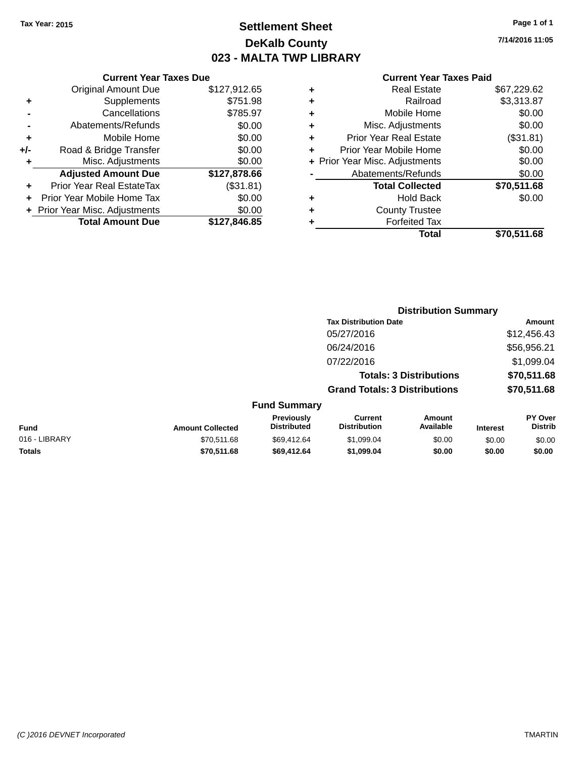# **Settlement Sheet Tax Year: 2015 Page 1 of 1 DeKalb County 023 - MALTA TWP LIBRARY**

**7/14/2016 11:05**

### **Current Year Taxes Paid**

|     | <b>Current Year Taxes Due</b>  |              |  |  |  |  |
|-----|--------------------------------|--------------|--|--|--|--|
|     | <b>Original Amount Due</b>     | \$127,912.65 |  |  |  |  |
| ٠   | Supplements                    | \$751.98     |  |  |  |  |
|     | Cancellations                  | \$785.97     |  |  |  |  |
|     | Abatements/Refunds             | \$0.00       |  |  |  |  |
| ٠   | Mobile Home                    | \$0.00       |  |  |  |  |
| +/- | Road & Bridge Transfer         | \$0.00       |  |  |  |  |
| ٠   | Misc. Adjustments              | \$0.00       |  |  |  |  |
|     | <b>Adjusted Amount Due</b>     | \$127,878.66 |  |  |  |  |
| ٠   | Prior Year Real EstateTax      | (\$31.81)    |  |  |  |  |
|     | Prior Year Mobile Home Tax     | \$0.00       |  |  |  |  |
|     | + Prior Year Misc. Adjustments | \$0.00       |  |  |  |  |
|     | <b>Total Amount Due</b>        | \$127,846.85 |  |  |  |  |
|     |                                |              |  |  |  |  |

|   | <b>Real Estate</b>             | \$67,229.62 |
|---|--------------------------------|-------------|
| ٠ | Railroad                       | \$3,313.87  |
| ٠ | Mobile Home                    | \$0.00      |
| ٠ | Misc. Adjustments              | \$0.00      |
| ٠ | Prior Year Real Estate         | (\$31.81)   |
| ÷ | Prior Year Mobile Home         | \$0.00      |
|   | + Prior Year Misc. Adjustments | \$0.00      |
|   | Abatements/Refunds             | \$0.00      |
|   | <b>Total Collected</b>         | \$70,511.68 |
| ٠ | <b>Hold Back</b>               | \$0.00      |
| ٠ | <b>County Trustee</b>          |             |
| ٠ | <b>Forfeited Tax</b>           |             |
|   | Total                          | \$70,511.68 |
|   |                                |             |

|                                       |                                      | <b>Distribution Summary</b>    |                                   |
|---------------------------------------|--------------------------------------|--------------------------------|-----------------------------------|
|                                       | <b>Tax Distribution Date</b>         |                                | Amount                            |
|                                       | 05/27/2016                           |                                | \$12,456.43                       |
|                                       | 06/24/2016                           |                                | \$56,956.21                       |
|                                       | 07/22/2016                           |                                | \$1,099.04                        |
|                                       |                                      | <b>Totals: 3 Distributions</b> | \$70,511.68                       |
|                                       | <b>Grand Totals: 3 Distributions</b> |                                | \$70,511.68                       |
| <b>Fund Summary</b>                   |                                      |                                |                                   |
| <b>Previously</b><br>الممهن والمفملات | Current<br>Diateibutian              | Amount<br>A                    | <b>PY Over</b><br><b>Diaseile</b> |

| Fund          | <b>Amount Collected</b> | <b>Previously</b><br><b>Distributed</b> | Current<br><b>Distribution</b> | Amount<br>Available | <b>Interest</b> | <b>PY Over</b><br><b>Distrib</b> |
|---------------|-------------------------|-----------------------------------------|--------------------------------|---------------------|-----------------|----------------------------------|
| 016 - LIBRARY | \$70.511.68             | \$69.412.64                             | \$1.099.04                     | \$0.00              | \$0.00          | \$0.00                           |
| <b>Totals</b> | \$70,511.68             | \$69.412.64                             | \$1.099.04                     | \$0.00              | \$0.00          | \$0.00                           |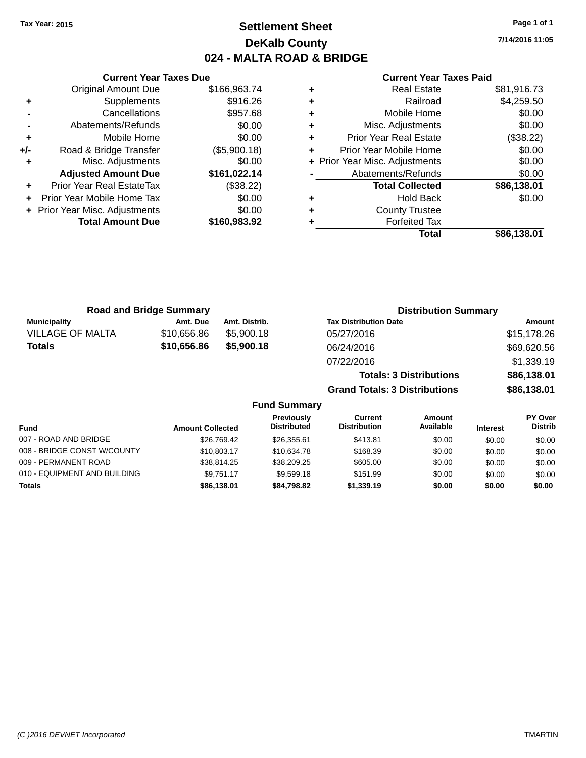# **Settlement Sheet Tax Year: 2015 Page 1 of 1 DeKalb County 024 - MALTA ROAD & BRIDGE**

**7/14/2016 11:05**

### **Current Year Taxes Paid**

|     | <b>Current Year Taxes Due</b>  |              |  |  |  |  |
|-----|--------------------------------|--------------|--|--|--|--|
|     | <b>Original Amount Due</b>     | \$166,963.74 |  |  |  |  |
| ٠   | Supplements                    | \$916.26     |  |  |  |  |
|     | \$957.68<br>Cancellations      |              |  |  |  |  |
|     | \$0.00<br>Abatements/Refunds   |              |  |  |  |  |
| ٠   | \$0.00<br>Mobile Home          |              |  |  |  |  |
| +/- | Road & Bridge Transfer         | (\$5,900.18) |  |  |  |  |
|     | Misc. Adjustments              | \$0.00       |  |  |  |  |
|     | <b>Adjusted Amount Due</b>     | \$161,022.14 |  |  |  |  |
|     | Prior Year Real EstateTax      | (\$38.22)    |  |  |  |  |
|     | Prior Year Mobile Home Tax     | \$0.00       |  |  |  |  |
|     | + Prior Year Misc. Adjustments | \$0.00       |  |  |  |  |
|     | <b>Total Amount Due</b>        | \$160,983.92 |  |  |  |  |
|     |                                |              |  |  |  |  |

| ٠ | <b>Real Estate</b>             | \$81,916.73 |
|---|--------------------------------|-------------|
| ٠ | Railroad                       | \$4,259.50  |
| ٠ | Mobile Home                    | \$0.00      |
| ٠ | Misc. Adjustments              | \$0.00      |
| ٠ | <b>Prior Year Real Estate</b>  | (\$38.22)   |
| ÷ | Prior Year Mobile Home         | \$0.00      |
|   | + Prior Year Misc. Adjustments | \$0.00      |
|   | Abatements/Refunds             | \$0.00      |
|   | <b>Total Collected</b>         | \$86,138.01 |
| ٠ | Hold Back                      | \$0.00      |
| ٠ | <b>County Trustee</b>          |             |
| ٠ | <b>Forfeited Tax</b>           |             |
|   | Total                          | \$86,138.01 |
|   |                                |             |

| <b>Road and Bridge Summary</b> |             |               | <b>Distribution Summary</b>    |             |  |
|--------------------------------|-------------|---------------|--------------------------------|-------------|--|
| <b>Municipality</b>            | Amt. Due    | Amt. Distrib. | <b>Tax Distribution Date</b>   | Amount      |  |
| <b>VILLAGE OF MALTA</b>        | \$10,656.86 | \$5,900.18    | 05/27/2016                     | \$15,178.26 |  |
| Totals                         | \$10,656.86 | \$5,900.18    | 06/24/2016                     | \$69,620.56 |  |
|                                |             |               | 07/22/2016                     | \$1,339.19  |  |
|                                |             |               | <b>Totals: 3 Distributions</b> | \$86,138.01 |  |

**Grand Totals: 3 Distributions \$86,138.01**

| <b>Fund</b>                  | <b>Amount Collected</b> | <b>Previously</b><br><b>Distributed</b> | Current<br><b>Distribution</b> | Amount<br>Available | <b>Interest</b> | <b>PY Over</b><br><b>Distrib</b> |
|------------------------------|-------------------------|-----------------------------------------|--------------------------------|---------------------|-----------------|----------------------------------|
| 007 - ROAD AND BRIDGE        | \$26.769.42             | \$26,355.61                             | \$413.81                       | \$0.00              | \$0.00          | \$0.00                           |
| 008 - BRIDGE CONST W/COUNTY  | \$10,803.17             | \$10.634.78                             | \$168.39                       | \$0.00              | \$0.00          | \$0.00                           |
| 009 - PERMANENT ROAD         | \$38.814.25             | \$38,209.25                             | \$605.00                       | \$0.00              | \$0.00          | \$0.00                           |
| 010 - EQUIPMENT AND BUILDING | \$9.751.17              | \$9,599.18                              | \$151.99                       | \$0.00              | \$0.00          | \$0.00                           |
| <b>Totals</b>                | \$86,138,01             | \$84,798,82                             | \$1,339.19                     | \$0.00              | \$0.00          | \$0.00                           |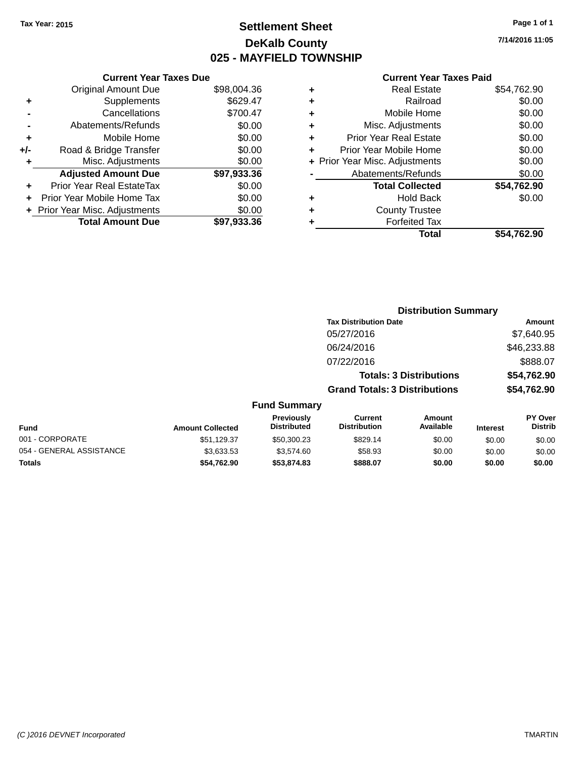# **Settlement Sheet Tax Year: 2015 Page 1 of 1 DeKalb County 025 - MAYFIELD TOWNSHIP**

**7/14/2016 11:05**

### **Current Year Taxes Paid**

| <b>Original Amount Due</b>     | \$98,004.36                   |
|--------------------------------|-------------------------------|
| Supplements                    | \$629.47                      |
| Cancellations                  | \$700.47                      |
| Abatements/Refunds             | \$0.00                        |
| Mobile Home                    | \$0.00                        |
| Road & Bridge Transfer         | \$0.00                        |
| Misc. Adjustments              | \$0.00                        |
| <b>Adjusted Amount Due</b>     | \$97,933.36                   |
| Prior Year Real EstateTax      | \$0.00                        |
| Prior Year Mobile Home Tax     | \$0.00                        |
| + Prior Year Misc. Adjustments | \$0.00                        |
| <b>Total Amount Due</b>        | \$97,933.36                   |
|                                | <b>Current Year Taxes Due</b> |

|   | <b>Real Estate</b>             | \$54,762.90 |
|---|--------------------------------|-------------|
| ٠ | Railroad                       | \$0.00      |
| ٠ | Mobile Home                    | \$0.00      |
| ٠ | Misc. Adjustments              | \$0.00      |
| ٠ | <b>Prior Year Real Estate</b>  | \$0.00      |
| ÷ | Prior Year Mobile Home         | \$0.00      |
|   | + Prior Year Misc. Adjustments | \$0.00      |
|   | Abatements/Refunds             | \$0.00      |
|   | <b>Total Collected</b>         | \$54,762.90 |
| ٠ | <b>Hold Back</b>               | \$0.00      |
| ٠ | <b>County Trustee</b>          |             |
| ٠ | <b>Forfeited Tax</b>           |             |
|   | Total                          | \$54,762.90 |
|   |                                |             |

|              |                                      | <b>Distribution Summary</b>    |                |
|--------------|--------------------------------------|--------------------------------|----------------|
|              | <b>Tax Distribution Date</b>         |                                | Amount         |
|              | 05/27/2016                           |                                | \$7,640.95     |
|              | 06/24/2016                           |                                | \$46,233.88    |
|              | 07/22/2016                           |                                | \$888.07       |
|              |                                      | <b>Totals: 3 Distributions</b> | \$54,762.90    |
|              | <b>Grand Totals: 3 Distributions</b> |                                | \$54,762.90    |
| Fund Summary |                                      |                                |                |
| Previously   | Current                              | Amount                         | <b>PY Over</b> |

| Fund                     | <b>Amount Collected</b> | <b>Previously</b><br><b>Distributed</b> | Current<br><b>Distribution</b> | Amount<br>Available | <b>Interest</b> | <b>PY Over</b><br><b>Distrib</b> |
|--------------------------|-------------------------|-----------------------------------------|--------------------------------|---------------------|-----------------|----------------------------------|
| 001 - CORPORATE          | \$51.129.37             | \$50,300.23                             | \$829.14                       | \$0.00              | \$0.00          | \$0.00                           |
| 054 - GENERAL ASSISTANCE | \$3.633.53              | \$3,574.60                              | \$58.93                        | \$0.00              | \$0.00          | \$0.00                           |
| Totals                   | \$54.762.90             | \$53,874.83                             | \$888.07                       | \$0.00              | \$0.00          | \$0.00                           |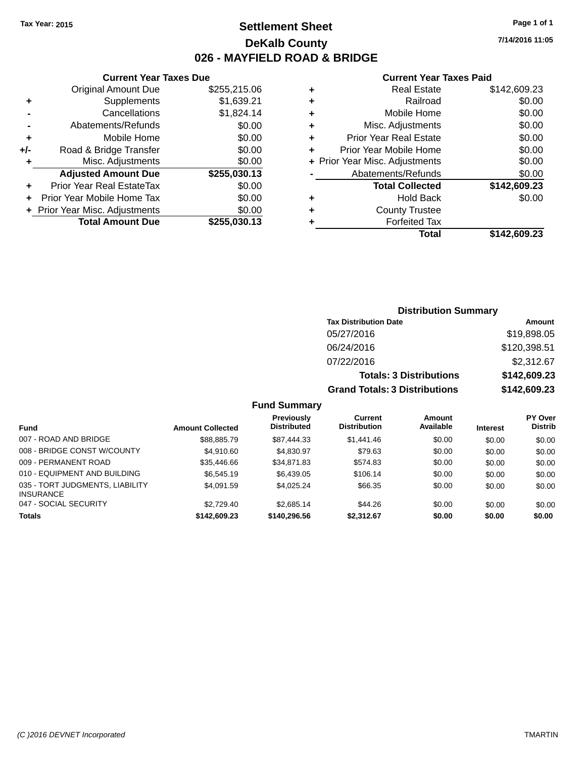# **Settlement Sheet Tax Year: 2015 Page 1 of 1 DeKalb County 026 - MAYFIELD ROAD & BRIDGE**

**7/14/2016 11:05**

### **Current Year Taxes Paid**

|     | <b>Current Year Taxes Due</b>  |              |
|-----|--------------------------------|--------------|
|     | <b>Original Amount Due</b>     | \$255,215.06 |
| ٠   | Supplements                    | \$1,639.21   |
|     | Cancellations                  | \$1,824.14   |
|     | Abatements/Refunds             | \$0.00       |
| ٠   | Mobile Home                    | \$0.00       |
| +/- | Road & Bridge Transfer         | \$0.00       |
| ٠   | Misc. Adjustments              | \$0.00       |
|     | <b>Adjusted Amount Due</b>     | \$255,030.13 |
| ٠   | Prior Year Real EstateTax      | \$0.00       |
| ÷   | Prior Year Mobile Home Tax     | \$0.00       |
|     | + Prior Year Misc. Adjustments | \$0.00       |
|     | <b>Total Amount Due</b>        | \$255.030.13 |

| ٠ | <b>Real Estate</b>             | \$142,609.23 |
|---|--------------------------------|--------------|
| ٠ | Railroad                       | \$0.00       |
| ٠ | Mobile Home                    | \$0.00       |
| ٠ | Misc. Adjustments              | \$0.00       |
| ٠ | <b>Prior Year Real Estate</b>  | \$0.00       |
| ٠ | Prior Year Mobile Home         | \$0.00       |
|   | + Prior Year Misc. Adjustments | \$0.00       |
|   | Abatements/Refunds             | \$0.00       |
|   | <b>Total Collected</b>         | \$142,609.23 |
| ٠ | Hold Back                      | \$0.00       |
| ٠ | <b>County Trustee</b>          |              |
| ٠ | <b>Forfeited Tax</b>           |              |
|   | Total                          | \$142,609.23 |
|   |                                |              |

| <b>Distribution Summary</b>          |              |
|--------------------------------------|--------------|
| <b>Tax Distribution Date</b>         | Amount       |
| 05/27/2016                           | \$19,898.05  |
| 06/24/2016                           | \$120,398.51 |
| 07/22/2016                           | \$2,312.67   |
| <b>Totals: 3 Distributions</b>       | \$142,609.23 |
| <b>Grand Totals: 3 Distributions</b> | \$142,609.23 |

| <b>Fund</b>                                         | <b>Amount Collected</b> | <b>Previously</b><br><b>Distributed</b> | Current<br><b>Distribution</b> | Amount<br>Available | <b>Interest</b> | <b>PY Over</b><br><b>Distrib</b> |
|-----------------------------------------------------|-------------------------|-----------------------------------------|--------------------------------|---------------------|-----------------|----------------------------------|
| 007 - ROAD AND BRIDGE                               | \$88,885.79             | \$87,444,33                             | \$1,441.46                     | \$0.00              | \$0.00          | \$0.00                           |
| 008 - BRIDGE CONST W/COUNTY                         | \$4.910.60              | \$4,830.97                              | \$79.63                        | \$0.00              | \$0.00          | \$0.00                           |
| 009 - PERMANENT ROAD                                | \$35,446.66             | \$34.871.83                             | \$574.83                       | \$0.00              | \$0.00          | \$0.00                           |
| 010 - EQUIPMENT AND BUILDING                        | \$6,545.19              | \$6,439.05                              | \$106.14                       | \$0.00              | \$0.00          | \$0.00                           |
| 035 - TORT JUDGMENTS, LIABILITY<br><b>INSURANCE</b> | \$4.091.59              | \$4,025.24                              | \$66.35                        | \$0.00              | \$0.00          | \$0.00                           |
| 047 - SOCIAL SECURITY                               | \$2.729.40              | \$2.685.14                              | \$44.26                        | \$0.00              | \$0.00          | \$0.00                           |
| <b>Totals</b>                                       | \$142,609.23            | \$140.296.56                            | \$2.312.67                     | \$0.00              | \$0.00          | \$0.00                           |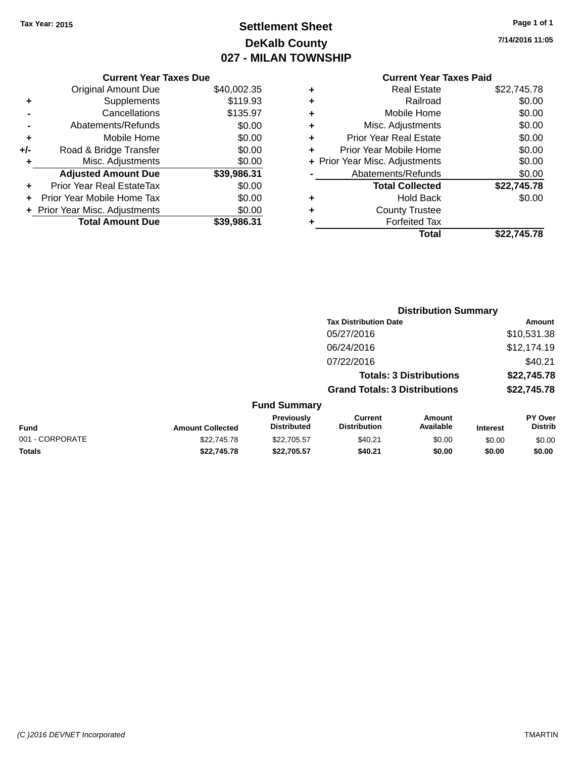# **Settlement Sheet Tax Year: 2015 Page 1 of 1 DeKalb County 027 - MILAN TOWNSHIP**

**7/14/2016 11:05**

|     | <b>Current Year Taxes Due</b>  |             |
|-----|--------------------------------|-------------|
|     | Original Amount Due            | \$40,002.35 |
| ٠   | Supplements                    | \$119.93    |
|     | Cancellations                  | \$135.97    |
|     | Abatements/Refunds             | \$0.00      |
| ٠   | Mobile Home                    | \$0.00      |
| +/- | Road & Bridge Transfer         | \$0.00      |
| ٠   | Misc. Adjustments              | \$0.00      |
|     | <b>Adjusted Amount Due</b>     | \$39,986.31 |
|     | Prior Year Real EstateTax      | \$0.00      |
|     | Prior Year Mobile Home Tax     | \$0.00      |
|     | + Prior Year Misc. Adjustments | \$0.00      |
|     | <b>Total Amount Due</b>        | \$39,986.31 |
|     |                                |             |

### **Current Year Taxes Paid +** Real Estate \$22,745.78 **+** Railroad \$0.00 **+** Mobile Home \$0.00

| Total                          | \$22,745.78 |
|--------------------------------|-------------|
| <b>Forfeited Tax</b>           |             |
| <b>County Trustee</b>          |             |
| Hold Back                      | \$0.00      |
| <b>Total Collected</b>         | \$22,745.78 |
| Abatements/Refunds             | \$0.00      |
| + Prior Year Misc. Adjustments | \$0.00      |
| Prior Year Mobile Home         | \$0.00      |
| <b>Prior Year Real Estate</b>  | \$0.00      |
| Misc. Adjustments              | \$0.00      |
|                                |             |

|                 |                         |                                  | <b>Distribution Summary</b>           |                                |                 |                           |
|-----------------|-------------------------|----------------------------------|---------------------------------------|--------------------------------|-----------------|---------------------------|
|                 |                         |                                  | <b>Tax Distribution Date</b>          |                                |                 | Amount                    |
|                 |                         |                                  | 05/27/2016                            |                                |                 | \$10,531.38               |
|                 |                         |                                  | 06/24/2016                            |                                |                 | \$12,174.19               |
|                 |                         |                                  | 07/22/2016                            |                                |                 | \$40.21                   |
|                 |                         |                                  |                                       | <b>Totals: 3 Distributions</b> |                 | \$22,745.78               |
|                 |                         |                                  | <b>Grand Totals: 3 Distributions</b>  |                                |                 | \$22,745.78               |
|                 |                         | <b>Fund Summary</b>              |                                       |                                |                 |                           |
| <b>Fund</b>     | <b>Amount Collected</b> | Previously<br><b>Distributed</b> | <b>Current</b><br><b>Distribution</b> | <b>Amount</b><br>Available     | <b>Interest</b> | PY Over<br><b>Distrib</b> |
| 001 - CORPORATE | \$22,745.78             | \$22,705.57                      | \$40.21                               | \$0.00                         | \$0.00          | \$0.00                    |
| <b>Totals</b>   | \$22.745.78             | \$22,705.57                      | \$40.21                               | \$0.00                         | \$0.00          | \$0.00                    |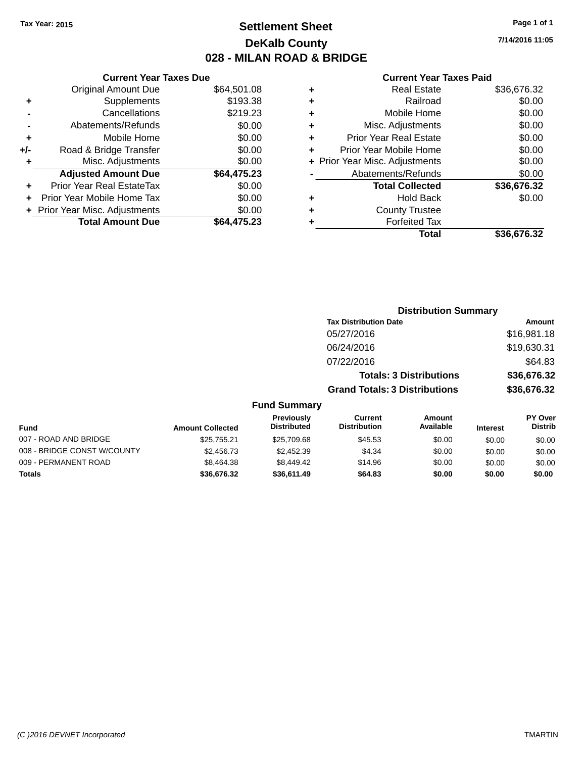# **Settlement Sheet Tax Year: 2015 Page 1 of 1 DeKalb County 028 - MILAN ROAD & BRIDGE**

**7/14/2016 11:05**

#### **Current Year Taxes Paid**

|       | <b>Current Year Taxes Due</b>  |             |
|-------|--------------------------------|-------------|
|       | <b>Original Amount Due</b>     | \$64,501.08 |
| ٠     | Supplements                    | \$193.38    |
|       | Cancellations                  | \$219.23    |
|       | Abatements/Refunds             | \$0.00      |
| ٠     | Mobile Home                    | \$0.00      |
| $+/-$ | Road & Bridge Transfer         | \$0.00      |
| ٠     | Misc. Adjustments              | \$0.00      |
|       | <b>Adjusted Amount Due</b>     | \$64,475.23 |
| ٠     | Prior Year Real EstateTax      | \$0.00      |
|       | Prior Year Mobile Home Tax     | \$0.00      |
|       | + Prior Year Misc. Adjustments | \$0.00      |
|       | <b>Total Amount Due</b>        | \$64.475.23 |
|       |                                |             |

|   | <b>Real Estate</b>             | \$36,676.32 |
|---|--------------------------------|-------------|
| ٠ | Railroad                       | \$0.00      |
| ٠ | Mobile Home                    | \$0.00      |
| ٠ | Misc. Adjustments              | \$0.00      |
| ٠ | <b>Prior Year Real Estate</b>  | \$0.00      |
| ÷ | Prior Year Mobile Home         | \$0.00      |
|   | + Prior Year Misc. Adjustments | \$0.00      |
|   | Abatements/Refunds             | \$0.00      |
|   | <b>Total Collected</b>         | \$36,676.32 |
| ٠ | <b>Hold Back</b>               | \$0.00      |
| ٠ | <b>County Trustee</b>          |             |
| ٠ | <b>Forfeited Tax</b>           |             |
|   | Total                          | \$36,676.32 |
|   |                                |             |

|                             |                         |                                         | <b>Distribution Summary</b>           |                                |                 |                           |
|-----------------------------|-------------------------|-----------------------------------------|---------------------------------------|--------------------------------|-----------------|---------------------------|
|                             |                         |                                         | <b>Tax Distribution Date</b>          |                                |                 | Amount                    |
|                             |                         |                                         | 05/27/2016                            |                                |                 | \$16,981.18               |
|                             |                         |                                         | 06/24/2016                            |                                |                 | \$19,630.31               |
|                             |                         |                                         | 07/22/2016                            |                                |                 | \$64.83                   |
|                             |                         |                                         |                                       | <b>Totals: 3 Distributions</b> |                 | \$36,676.32               |
|                             |                         |                                         | <b>Grand Totals: 3 Distributions</b>  |                                |                 | \$36,676.32               |
|                             |                         | <b>Fund Summary</b>                     |                                       |                                |                 |                           |
| <b>Fund</b>                 | <b>Amount Collected</b> | <b>Previously</b><br><b>Distributed</b> | <b>Current</b><br><b>Distribution</b> | Amount<br>Available            | <b>Interest</b> | PY Over<br><b>Distrib</b> |
| 007 - ROAD AND BRIDGE       | \$25,755.21             | \$25,709.68                             | \$45.53                               | \$0.00                         | \$0.00          | \$0.00                    |
| 008 - BRIDGE CONST W/COUNTY | \$2,456.73              | \$2,452.39                              | \$4.34                                | \$0.00                         | \$0.00          | \$0.00                    |
| 009 - PERMANENT ROAD        | \$8,464.38              | \$8,449.42                              | \$14.96                               | \$0.00                         | \$0.00          | \$0.00                    |
| Totals                      | \$36,676.32             | \$36,611.49                             | \$64.83                               | \$0.00                         | \$0.00          | \$0.00                    |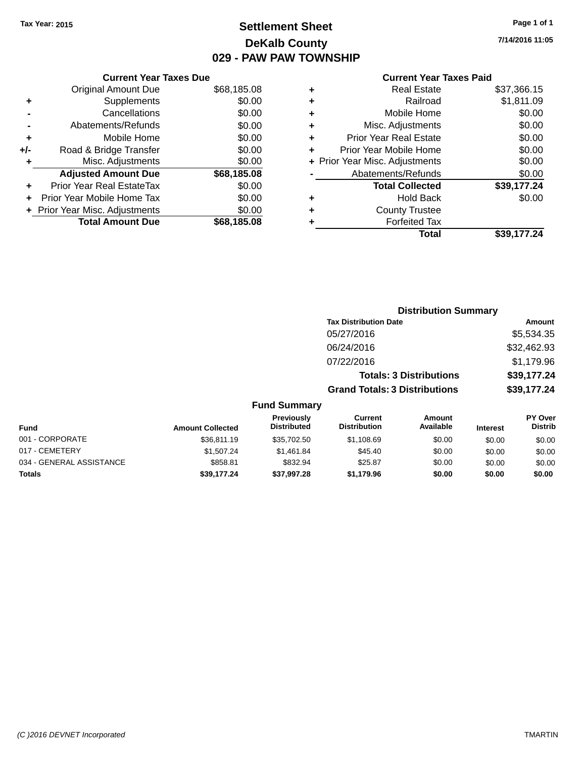# **Settlement Sheet Tax Year: 2015 Page 1 of 1 DeKalb County 029 - PAW PAW TOWNSHIP**

**7/14/2016 11:05**

|     | <b>Current Year Taxes Due</b>  |             |
|-----|--------------------------------|-------------|
|     | Original Amount Due            | \$68,185.08 |
| ٠   | Supplements                    | \$0.00      |
|     | Cancellations                  | \$0.00      |
|     | Abatements/Refunds             | \$0.00      |
| ٠   | Mobile Home                    | \$0.00      |
| +/- | Road & Bridge Transfer         | \$0.00      |
| ٠   | Misc. Adjustments              | \$0.00      |
|     | <b>Adjusted Amount Due</b>     | \$68,185.08 |
|     | Prior Year Real EstateTax      | \$0.00      |
|     | Prior Year Mobile Home Tax     | \$0.00      |
|     | + Prior Year Misc. Adjustments | \$0.00      |
|     | <b>Total Amount Due</b>        | \$68,185.08 |
|     |                                |             |

### **Current Year Taxes Paid**

|   | Total                          | \$39,177.24 |
|---|--------------------------------|-------------|
| ٠ | <b>Forfeited Tax</b>           |             |
| ٠ | <b>County Trustee</b>          |             |
| ٠ | Hold Back                      | \$0.00      |
|   | <b>Total Collected</b>         | \$39,177.24 |
|   | Abatements/Refunds             | \$0.00      |
|   | + Prior Year Misc. Adjustments | \$0.00      |
| ٠ | Prior Year Mobile Home         | \$0.00      |
| ٠ | <b>Prior Year Real Estate</b>  | \$0.00      |
| ٠ | Misc. Adjustments              | \$0.00      |
| ٠ | Mobile Home                    | \$0.00      |
| ÷ | Railroad                       | \$1,811.09  |
|   | <b>Real Estate</b>             | \$37,366.15 |

|                          |                         |                                  |                                      | <b>Distribution Summary</b>    |                 |                                  |
|--------------------------|-------------------------|----------------------------------|--------------------------------------|--------------------------------|-----------------|----------------------------------|
|                          |                         |                                  | <b>Tax Distribution Date</b>         |                                |                 | <b>Amount</b>                    |
|                          |                         |                                  | 05/27/2016                           |                                |                 | \$5,534.35                       |
|                          |                         |                                  | 06/24/2016                           |                                |                 | \$32,462.93                      |
|                          |                         |                                  | 07/22/2016                           |                                |                 | \$1,179.96                       |
|                          |                         |                                  |                                      | <b>Totals: 3 Distributions</b> |                 | \$39,177.24                      |
|                          |                         |                                  | <b>Grand Totals: 3 Distributions</b> |                                |                 | \$39,177.24                      |
|                          |                         | <b>Fund Summary</b>              |                                      |                                |                 |                                  |
| <b>Fund</b>              | <b>Amount Collected</b> | Previously<br><b>Distributed</b> | Current<br><b>Distribution</b>       | Amount<br>Available            | <b>Interest</b> | <b>PY Over</b><br><b>Distrib</b> |
| 001 - CORPORATE          | \$36,811.19             | \$35,702.50                      | \$1,108.69                           | \$0.00                         | \$0.00          | \$0.00                           |
| 017 - CEMETERY           | \$1,507.24              | \$1,461.84                       | \$45.40                              | \$0.00                         | \$0.00          | \$0.00                           |
| 034 - GENERAL ASSISTANCE | \$858.81                | \$832.94                         | \$25.87                              | \$0.00                         | \$0.00          | \$0.00                           |

**Totals \$39,177.24 \$37,997.28 \$1,179.96 \$0.00 \$0.00 \$0.00**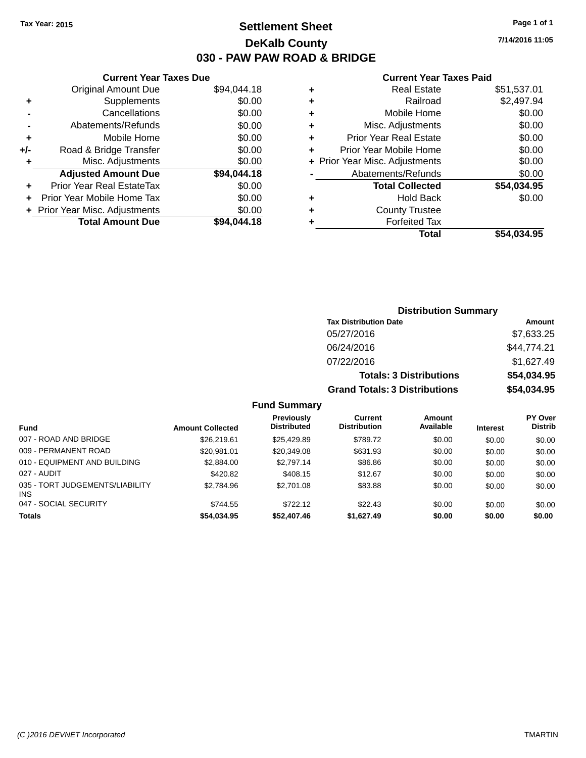# **Settlement Sheet Tax Year: 2015 Page 1 of 1 DeKalb County 030 - PAW PAW ROAD & BRIDGE**

**7/14/2016 11:05**

### **Current Year Taxes Paid**

|     | <b>Current Year Taxes Due</b>  |             |
|-----|--------------------------------|-------------|
|     | <b>Original Amount Due</b>     | \$94,044.18 |
| ٠   | Supplements                    | \$0.00      |
|     | Cancellations                  | \$0.00      |
|     | Abatements/Refunds             | \$0.00      |
| ٠   | Mobile Home                    | \$0.00      |
| +/- | Road & Bridge Transfer         | \$0.00      |
|     | Misc. Adjustments              | \$0.00      |
|     | <b>Adjusted Amount Due</b>     | \$94,044.18 |
| ÷   | Prior Year Real EstateTax      | \$0.00      |
|     | Prior Year Mobile Home Tax     | \$0.00      |
|     | + Prior Year Misc. Adjustments | \$0.00      |
|     | <b>Total Amount Due</b>        | \$94.044.18 |
|     |                                |             |

|   | <b>Real Estate</b>             | \$51,537.01 |
|---|--------------------------------|-------------|
| ٠ | Railroad                       | \$2,497.94  |
| ٠ | Mobile Home                    | \$0.00      |
| ٠ | Misc. Adjustments              | \$0.00      |
| ٠ | <b>Prior Year Real Estate</b>  | \$0.00      |
| ٠ | Prior Year Mobile Home         | \$0.00      |
|   | + Prior Year Misc. Adjustments | \$0.00      |
|   | Abatements/Refunds             | \$0.00      |
|   | <b>Total Collected</b>         | \$54,034.95 |
| ٠ | Hold Back                      | \$0.00      |
| ٠ | <b>County Trustee</b>          |             |
| ٠ | <b>Forfeited Tax</b>           |             |
|   | Total                          | \$54,034.95 |
|   |                                |             |

| <b>Distribution Summary</b>          |             |
|--------------------------------------|-------------|
| <b>Tax Distribution Date</b>         | Amount      |
| 05/27/2016                           | \$7,633.25  |
| 06/24/2016                           | \$44,774.21 |
| 07/22/2016                           | \$1,627.49  |
| <b>Totals: 3 Distributions</b>       | \$54,034.95 |
| <b>Grand Totals: 3 Distributions</b> | \$54,034.95 |

|                                         |                         | Previously         | Current             | Amount    |                 | <b>PY Over</b> |
|-----------------------------------------|-------------------------|--------------------|---------------------|-----------|-----------------|----------------|
| Fund                                    | <b>Amount Collected</b> | <b>Distributed</b> | <b>Distribution</b> | Available | <b>Interest</b> | <b>Distrib</b> |
| 007 - ROAD AND BRIDGE                   | \$26,219.61             | \$25.429.89        | \$789.72            | \$0.00    | \$0.00          | \$0.00         |
| 009 - PERMANENT ROAD                    | \$20,981.01             | \$20,349.08        | \$631.93            | \$0.00    | \$0.00          | \$0.00         |
| 010 - EQUIPMENT AND BUILDING            | \$2,884.00              | \$2.797.14         | \$86.86             | \$0.00    | \$0.00          | \$0.00         |
| 027 - AUDIT                             | \$420.82                | \$408.15           | \$12.67             | \$0.00    | \$0.00          | \$0.00         |
| 035 - TORT JUDGEMENTS/LIABILITY<br>INS. | \$2,784.96              | \$2,701.08         | \$83.88             | \$0.00    | \$0.00          | \$0.00         |
| 047 - SOCIAL SECURITY                   | \$744.55                | \$722.12           | \$22.43             | \$0.00    | \$0.00          | \$0.00         |
| <b>Totals</b>                           | \$54,034.95             | \$52,407.46        | \$1,627.49          | \$0.00    | \$0.00          | \$0.00         |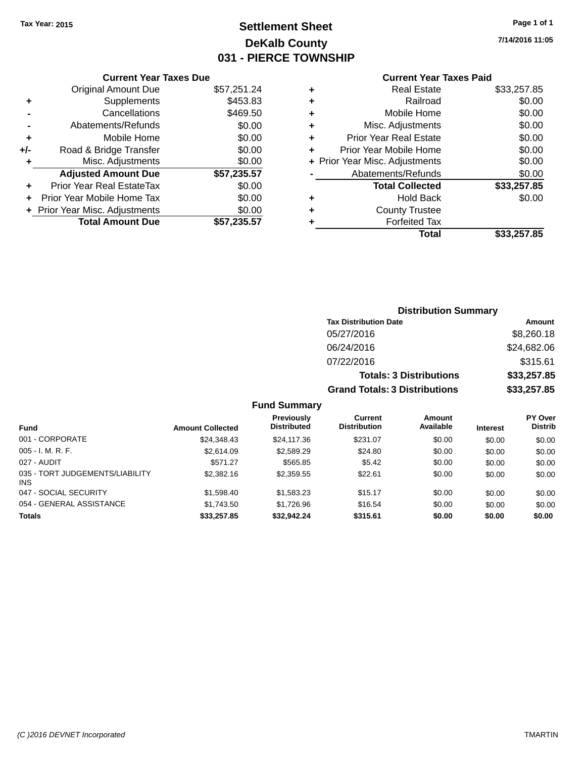# **Settlement Sheet Tax Year: 2015 Page 1 of 1 DeKalb County 031 - PIERCE TOWNSHIP**

**7/14/2016 11:05**

## **Current Year Taxes Paid**

|     | <b>Current Year Taxes Due</b>  |             |
|-----|--------------------------------|-------------|
|     | <b>Original Amount Due</b>     | \$57,251.24 |
| ٠   | Supplements                    | \$453.83    |
|     | Cancellations                  | \$469.50    |
|     | Abatements/Refunds             | \$0.00      |
| ٠   | Mobile Home                    | \$0.00      |
| +/- | Road & Bridge Transfer         | \$0.00      |
| ٠   | Misc. Adjustments              | \$0.00      |
|     | <b>Adjusted Amount Due</b>     | \$57,235.57 |
| ٠   | Prior Year Real EstateTax      | \$0.00      |
| ÷   | Prior Year Mobile Home Tax     | \$0.00      |
|     | + Prior Year Misc. Adjustments | \$0.00      |
|     | <b>Total Amount Due</b>        | \$57,235.57 |
|     |                                |             |

|   | <b>Real Estate</b>             | \$33,257.85 |
|---|--------------------------------|-------------|
| ٠ | Railroad                       | \$0.00      |
| ٠ | Mobile Home                    | \$0.00      |
| ٠ | Misc. Adjustments              | \$0.00      |
| ٠ | <b>Prior Year Real Estate</b>  | \$0.00      |
| ٠ | Prior Year Mobile Home         | \$0.00      |
|   | + Prior Year Misc. Adjustments | \$0.00      |
|   | Abatements/Refunds             | \$0.00      |
|   | <b>Total Collected</b>         | \$33,257.85 |
| ٠ | Hold Back                      | \$0.00      |
| ٠ | <b>County Trustee</b>          |             |
| ٠ | <b>Forfeited Tax</b>           |             |
|   | Total                          | \$33,257.85 |
|   |                                |             |

| <b>Distribution Summary</b>          |             |
|--------------------------------------|-------------|
| <b>Tax Distribution Date</b>         | Amount      |
| 05/27/2016                           | \$8,260.18  |
| 06/24/2016                           | \$24,682.06 |
| 07/22/2016                           | \$315.61    |
| <b>Totals: 3 Distributions</b>       | \$33,257.85 |
| <b>Grand Totals: 3 Distributions</b> | \$33,257.85 |

| <b>Fund</b>                             | <b>Amount Collected</b> | <b>Previously</b><br><b>Distributed</b> | Current<br><b>Distribution</b> | Amount<br>Available | <b>Interest</b> | <b>PY Over</b><br><b>Distrib</b> |
|-----------------------------------------|-------------------------|-----------------------------------------|--------------------------------|---------------------|-----------------|----------------------------------|
| 001 - CORPORATE                         | \$24,348.43             | \$24,117,36                             | \$231.07                       | \$0.00              | \$0.00          | \$0.00                           |
| $005 - I. M. R. F.$                     | \$2,614.09              | \$2,589.29                              | \$24.80                        | \$0.00              | \$0.00          | \$0.00                           |
| 027 - AUDIT                             | \$571.27                | \$565.85                                | \$5.42                         | \$0.00              | \$0.00          | \$0.00                           |
| 035 - TORT JUDGEMENTS/LIABILITY<br>INS. | \$2,382.16              | \$2,359.55                              | \$22.61                        | \$0.00              | \$0.00          | \$0.00                           |
| 047 - SOCIAL SECURITY                   | \$1.598.40              | \$1,583.23                              | \$15.17                        | \$0.00              | \$0.00          | \$0.00                           |
| 054 - GENERAL ASSISTANCE                | \$1,743.50              | \$1,726.96                              | \$16.54                        | \$0.00              | \$0.00          | \$0.00                           |
| <b>Totals</b>                           | \$33,257.85             | \$32,942.24                             | \$315.61                       | \$0.00              | \$0.00          | \$0.00                           |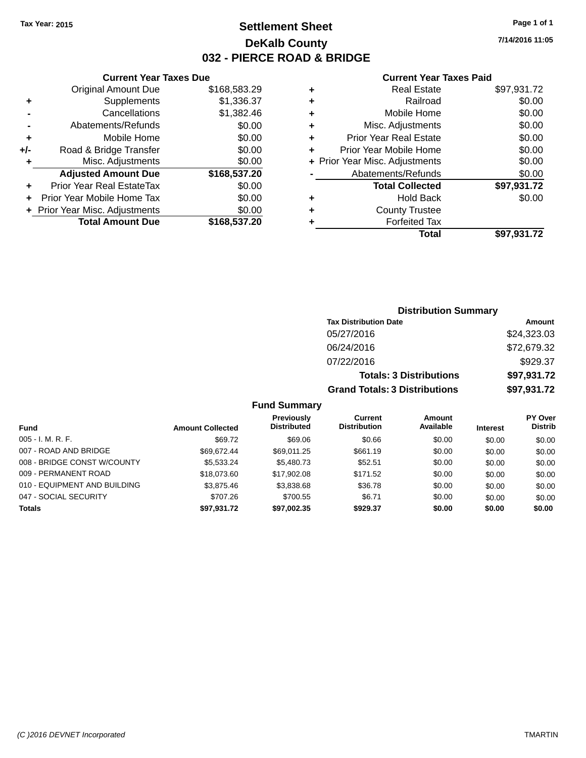# **Settlement Sheet Tax Year: 2015 Page 1 of 1 DeKalb County 032 - PIERCE ROAD & BRIDGE**

**7/14/2016 11:05**

### **Current Year Taxes Paid**

|       | <b>Current Year Taxes Due</b>  |              |
|-------|--------------------------------|--------------|
|       | <b>Original Amount Due</b>     | \$168,583.29 |
| ٠     | Supplements                    | \$1,336.37   |
|       | Cancellations                  | \$1,382.46   |
|       | Abatements/Refunds             | \$0.00       |
| ÷     | Mobile Home                    | \$0.00       |
| $+/-$ | Road & Bridge Transfer         | \$0.00       |
| ٠     | Misc. Adjustments              | \$0.00       |
|       | <b>Adjusted Amount Due</b>     | \$168,537.20 |
| ٠     | Prior Year Real EstateTax      | \$0.00       |
|       | Prior Year Mobile Home Tax     | \$0.00       |
|       | + Prior Year Misc. Adjustments | \$0.00       |
|       | <b>Total Amount Due</b>        | \$168,537.20 |
|       |                                |              |

|   | <b>Real Estate</b>             | \$97,931.72 |
|---|--------------------------------|-------------|
| ٠ | Railroad                       | \$0.00      |
| ٠ | Mobile Home                    | \$0.00      |
| ٠ | Misc. Adjustments              | \$0.00      |
| ٠ | <b>Prior Year Real Estate</b>  | \$0.00      |
| ÷ | Prior Year Mobile Home         | \$0.00      |
|   | + Prior Year Misc. Adjustments | \$0.00      |
|   | Abatements/Refunds             | \$0.00      |
|   | <b>Total Collected</b>         | \$97,931.72 |
| ٠ | Hold Back                      | \$0.00      |
| ٠ | <b>County Trustee</b>          |             |
|   | <b>Forfeited Tax</b>           |             |
|   | Total                          | \$97,931.72 |
|   |                                |             |

| <b>Distribution Summary</b>          |             |
|--------------------------------------|-------------|
| <b>Tax Distribution Date</b>         | Amount      |
| 05/27/2016                           | \$24,323.03 |
| 06/24/2016                           | \$72,679.32 |
| 07/22/2016                           | \$929.37    |
| <b>Totals: 3 Distributions</b>       | \$97,931.72 |
| <b>Grand Totals: 3 Distributions</b> | \$97,931.72 |

|                              |                         | <b>Previously</b>  | <b>Current</b>      | Amount    |                 | <b>PY Over</b> |
|------------------------------|-------------------------|--------------------|---------------------|-----------|-----------------|----------------|
| <b>Fund</b>                  | <b>Amount Collected</b> | <b>Distributed</b> | <b>Distribution</b> | Available | <b>Interest</b> | <b>Distrib</b> |
| $005 - I. M. R. F.$          | \$69.72                 | \$69.06            | \$0.66              | \$0.00    | \$0.00          | \$0.00         |
| 007 - ROAD AND BRIDGE        | \$69.672.44             | \$69,011.25        | \$661.19            | \$0.00    | \$0.00          | \$0.00         |
| 008 - BRIDGE CONST W/COUNTY  | \$5,533,24              | \$5,480.73         | \$52.51             | \$0.00    | \$0.00          | \$0.00         |
| 009 - PERMANENT ROAD         | \$18.073.60             | \$17.902.08        | \$171.52            | \$0.00    | \$0.00          | \$0.00         |
| 010 - EQUIPMENT AND BUILDING | \$3,875,46              | \$3,838.68         | \$36.78             | \$0.00    | \$0.00          | \$0.00         |
| 047 - SOCIAL SECURITY        | \$707.26                | \$700.55           | \$6.71              | \$0.00    | \$0.00          | \$0.00         |
| <b>Totals</b>                | \$97,931.72             | \$97,002.35        | \$929.37            | \$0.00    | \$0.00          | \$0.00         |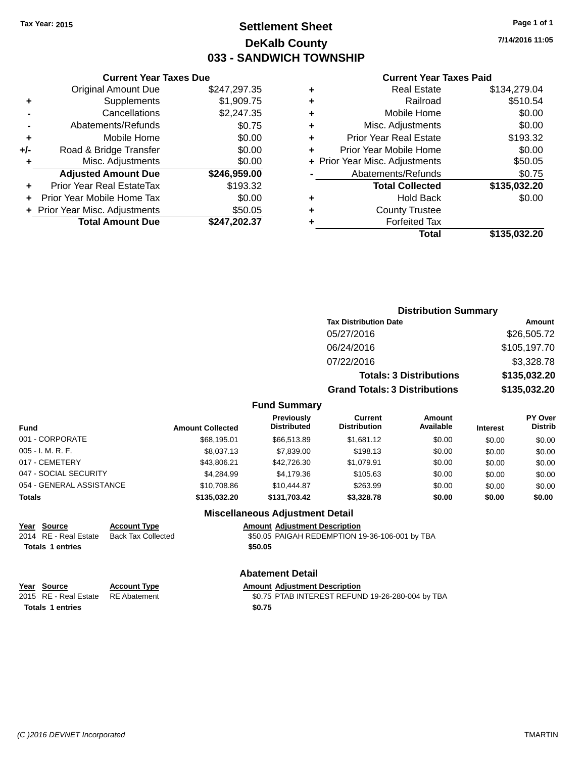# **Settlement Sheet Tax Year: 2015 Page 1 of 1 DeKalb County 033 - SANDWICH TOWNSHIP**

**7/14/2016 11:05**

#### **Current Year Taxes Paid**

|     | <b>Current Year Taxes Due</b>  |              |
|-----|--------------------------------|--------------|
|     | <b>Original Amount Due</b>     | \$247,297.35 |
| ٠   | Supplements                    | \$1,909.75   |
|     | Cancellations                  | \$2,247.35   |
|     | Abatements/Refunds             | \$0.75       |
| ٠   | Mobile Home                    | \$0.00       |
| +/- | Road & Bridge Transfer         | \$0.00       |
| ٠   | Misc. Adjustments              | \$0.00       |
|     | <b>Adjusted Amount Due</b>     | \$246,959.00 |
|     | Prior Year Real EstateTax      | \$193.32     |
|     | Prior Year Mobile Home Tax     | \$0.00       |
|     | + Prior Year Misc. Adjustments | \$50.05      |
|     | <b>Total Amount Due</b>        | \$247,202.37 |
|     |                                |              |

| ٠ | <b>Real Estate</b>             | \$134,279.04 |
|---|--------------------------------|--------------|
| ٠ | Railroad                       | \$510.54     |
| ٠ | Mobile Home                    | \$0.00       |
| ٠ | Misc. Adjustments              | \$0.00       |
| ٠ | <b>Prior Year Real Estate</b>  | \$193.32     |
| ٠ | Prior Year Mobile Home         | \$0.00       |
|   | + Prior Year Misc. Adjustments | \$50.05      |
|   | Abatements/Refunds             | \$0.75       |
|   | <b>Total Collected</b>         | \$135,032.20 |
| ٠ | <b>Hold Back</b>               | \$0.00       |
|   | <b>County Trustee</b>          |              |
| ٠ | <b>Forfeited Tax</b>           |              |
|   | Total                          | \$135,032.20 |
|   |                                |              |

|                |                                         |                                       | <b>Distribution Summary</b>    |                 |                                  |  |
|----------------|-----------------------------------------|---------------------------------------|--------------------------------|-----------------|----------------------------------|--|
|                |                                         | <b>Tax Distribution Date</b>          |                                |                 | Amount                           |  |
|                |                                         | 05/27/2016                            |                                |                 | \$26,505.72                      |  |
|                |                                         | 06/24/2016                            |                                |                 | \$105,197.70                     |  |
|                |                                         | 07/22/2016                            |                                |                 | \$3,328.78                       |  |
|                |                                         |                                       | <b>Totals: 3 Distributions</b> |                 | \$135,032.20                     |  |
|                |                                         | <b>Grand Totals: 3 Distributions</b>  |                                |                 | \$135,032.20                     |  |
|                | <b>Fund Summary</b>                     |                                       |                                |                 |                                  |  |
| ount Collected | <b>Previously</b><br><b>Distributed</b> | <b>Current</b><br><b>Distribution</b> | Amount<br>Available            | <b>Interest</b> | <b>PY Over</b><br><b>Distrib</b> |  |
|                |                                         |                                       |                                |                 |                                  |  |

| <b>Fund</b>              | <b>Amount Collected</b> | <b>Previousiv</b><br><b>Distributed</b> | Current<br><b>Distribution</b> | Amount<br>Available | <b>Interest</b> | <b>PY OVEI</b><br><b>Distrib</b> |
|--------------------------|-------------------------|-----------------------------------------|--------------------------------|---------------------|-----------------|----------------------------------|
| 001 - CORPORATE          | \$68,195.01             | \$66,513.89                             | \$1,681.12                     | \$0.00              | \$0.00          | \$0.00                           |
| $005 - I. M. R. F.$      | \$8,037.13              | \$7,839.00                              | \$198.13                       | \$0.00              | \$0.00          | \$0.00                           |
| 017 - CEMETERY           | \$43,806.21             | \$42,726.30                             | \$1,079.91                     | \$0.00              | \$0.00          | \$0.00                           |
| 047 - SOCIAL SECURITY    | \$4.284.99              | \$4,179.36                              | \$105.63                       | \$0.00              | \$0.00          | \$0.00                           |
| 054 - GENERAL ASSISTANCE | \$10,708.86             | \$10,444.87                             | \$263.99                       | \$0.00              | \$0.00          | \$0.00                           |
| Totals                   | \$135,032.20            | \$131.703.42                            | \$3,328,78                     | \$0.00              | \$0.00          | \$0.00                           |
|                          |                         | <b>Miscellaneous Adjustment Detail</b>  |                                |                     |                 |                                  |

| Year Source             | <b>Account Type</b> | <b>Amount Adjustment Description</b>           |
|-------------------------|---------------------|------------------------------------------------|
| 2014 RE - Real Estate   | Back Tax Collected  | \$50.05 PAIGAH REDEMPTION 19-36-106-001 by TBA |
| <b>Totals 1 entries</b> |                     | \$50.05                                        |
|                         |                     |                                                |

| Abatement Detail |  |
|------------------|--|
|------------------|--|

| Year Source | <b>Account Type</b> | <b>Amount Adiustment Description</b> |
|-------------|---------------------|--------------------------------------|
|             |                     |                                      |

Totals 1 entries \$0.75

2015 RE - Real Estate BE Abatement **19.26-280-004 by TBA RE Abatement** \$0.75 PTAB INTEREST REFUND 19-26-280-004 by TBA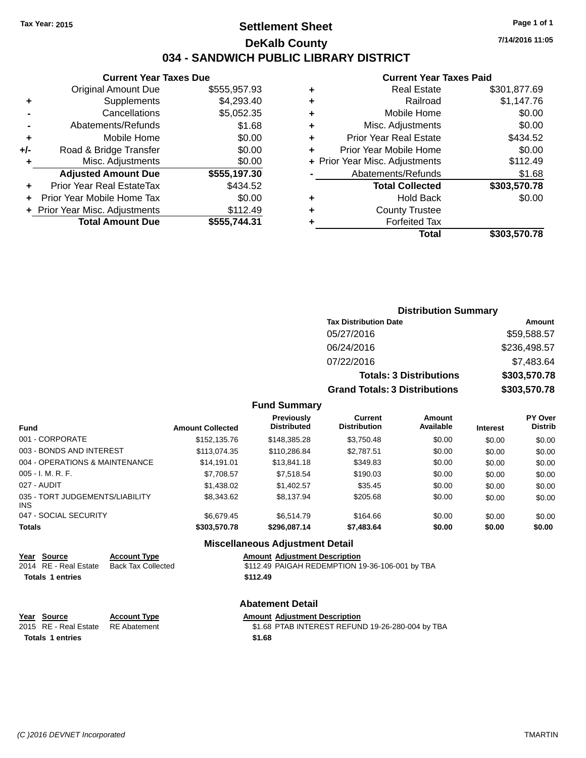# **Settlement Sheet Tax Year: 2015 Page 1 of 1 DeKalb County 034 - SANDWICH PUBLIC LIBRARY DISTRICT**

|     | <b>Current Year Taxes Due</b>    |              |
|-----|----------------------------------|--------------|
|     | <b>Original Amount Due</b>       | \$555,957.93 |
| ٠   | Supplements                      | \$4,293.40   |
|     | Cancellations                    | \$5,052.35   |
|     | Abatements/Refunds               | \$1.68       |
| ٠   | Mobile Home                      | \$0.00       |
| +/- | Road & Bridge Transfer           | \$0.00       |
| ٠   | Misc. Adjustments                | \$0.00       |
|     | <b>Adjusted Amount Due</b>       | \$555,197.30 |
| ٠   | <b>Prior Year Real EstateTax</b> | \$434.52     |
| ٠   | Prior Year Mobile Home Tax       | \$0.00       |
|     | + Prior Year Misc. Adjustments   | \$112.49     |
|     | <b>Total Amount Due</b>          | \$555,744.31 |

### **Current Year Taxes Paid**

|   | <b>Real Estate</b>             | \$301,877.69 |
|---|--------------------------------|--------------|
| ٠ | Railroad                       | \$1,147.76   |
| ٠ | Mobile Home                    | \$0.00       |
| ٠ | Misc. Adjustments              | \$0.00       |
| ٠ | <b>Prior Year Real Estate</b>  | \$434.52     |
| ٠ | Prior Year Mobile Home         | \$0.00       |
|   | + Prior Year Misc. Adjustments | \$112.49     |
|   | Abatements/Refunds             | \$1.68       |
|   | <b>Total Collected</b>         | \$303,570.78 |
| ٠ | Hold Back                      | \$0.00       |
| ٠ | <b>County Trustee</b>          |              |
|   | <b>Forfeited Tax</b>           |              |
|   | Total                          | \$303,570.78 |
|   |                                |              |

# **Distribution Summary Tax Distribution Date Amount** 05/27/2016 \$59,588.57 06/24/2016 \$236,498.57 07/22/2016 \$7,483.64 **Totals: 3 Distributions \$303,570.78 Grand Totals: 3 Distributions \$303,570.78**

### **Fund Summary**

| <b>Fund</b>                             | <b>Amount Collected</b> | Previously<br><b>Distributed</b> | Current<br><b>Distribution</b> | Amount<br>Available | <b>Interest</b> | <b>PY Over</b><br><b>Distrib</b> |
|-----------------------------------------|-------------------------|----------------------------------|--------------------------------|---------------------|-----------------|----------------------------------|
| 001 - CORPORATE                         | \$152,135.76            | \$148,385,28                     | \$3,750.48                     | \$0.00              | \$0.00          | \$0.00                           |
| 003 - BONDS AND INTEREST                | \$113,074.35            | \$110,286.84                     | \$2,787.51                     | \$0.00              | \$0.00          | \$0.00                           |
| 004 - OPERATIONS & MAINTENANCE          | \$14.191.01             | \$13,841.18                      | \$349.83                       | \$0.00              | \$0.00          | \$0.00                           |
| $005 - I. M. R. F.$                     | \$7,708.57              | \$7,518.54                       | \$190.03                       | \$0.00              | \$0.00          | \$0.00                           |
| 027 - AUDIT                             | \$1,438.02              | \$1,402.57                       | \$35.45                        | \$0.00              | \$0.00          | \$0.00                           |
| 035 - TORT JUDGEMENTS/LIABILITY<br>INS. | \$8,343.62              | \$8,137.94                       | \$205.68                       | \$0.00              | \$0.00          | \$0.00                           |
| 047 - SOCIAL SECURITY                   | \$6.679.45              | \$6.514.79                       | \$164.66                       | \$0.00              | \$0.00          | \$0.00                           |
| <b>Totals</b>                           | \$303,570.78            | \$296,087.14                     | \$7,483.64                     | \$0.00              | \$0.00          | \$0.00                           |

### **Miscellaneous Adjustment Detail**

|  |  | <b>Amount Adjustment Description</b> |
|--|--|--------------------------------------|
|--|--|--------------------------------------|

2014 RE - Real Estate Back Tax Collected \$112.49 PAIGAH REDEMPTION 19-36-106-001 by TBA **Totals 1 entries 12.49** 

#### **Abatement Detail**

| Year Source | <b>Account Type</b> | <b>Amount Adjustment Description</b> |
|-------------|---------------------|--------------------------------------|
| $\cdots$    |                     |                                      |

**Totals \$1.68 1 entries**

**Year Source Account Type** 

# 2015 RE - Real Estate RE Abatement \$1.68 PTAB INTEREST REFUND 19-26-280-004 by TBA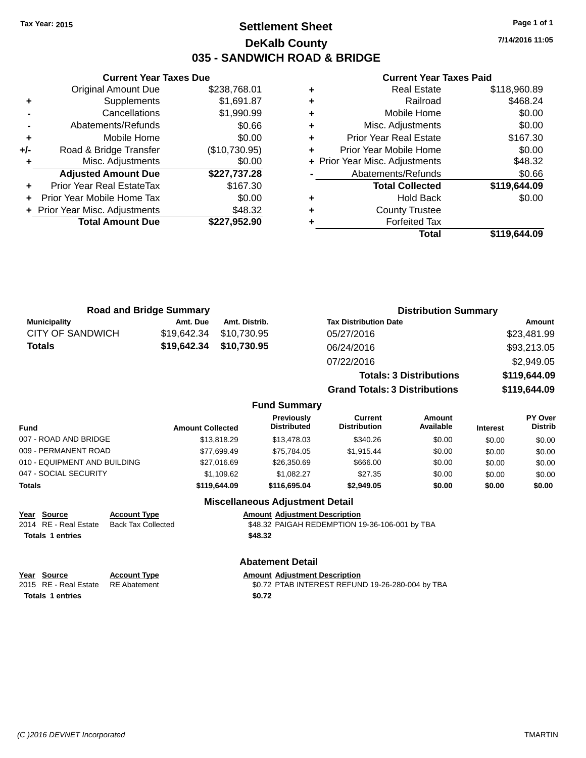## **Settlement Sheet Tax Year: 2015 Page 1 of 1 DeKalb County 035 - SANDWICH ROAD & BRIDGE**

**Current Year Taxes Due** Original Amount Due \$238,768.01 **+** Supplements \$1,691.87 **-** Cancellations \$1,990.99 **-** Abatements/Refunds \$0.66 **+** Mobile Home \$0.00 **+/-** Road & Bridge Transfer (\$10,730.95) **+** Misc. Adjustments \$0.00 **Adjusted Amount Due \$227,737.28 +** Prior Year Real EstateTax \$167.30 **+** Prior Year Mobile Home Tax \$0.00 **+** Prior Year Misc. Adjustments \$48.32 **Total Amount Due \$227,952.90**

### **Current Year Taxes Paid**

|   | <b>Real Estate</b>             | \$118,960.89 |
|---|--------------------------------|--------------|
| ٠ | Railroad                       | \$468.24     |
| ٠ | Mobile Home                    | \$0.00       |
| ٠ | Misc. Adjustments              | \$0.00       |
|   | <b>Prior Year Real Estate</b>  | \$167.30     |
|   | Prior Year Mobile Home         | \$0.00       |
|   | + Prior Year Misc. Adjustments | \$48.32      |
|   | Abatements/Refunds             | \$0.66       |
|   | <b>Total Collected</b>         | \$119,644.09 |
|   | <b>Hold Back</b>               | \$0.00       |
|   | <b>County Trustee</b>          |              |
|   | <b>Forfeited Tax</b>           |              |
|   | Total                          | \$119,644.09 |
|   |                                |              |

|                         | <b>Road and Bridge Summary</b> |               | <b>Distribution Summary</b>    |              |
|-------------------------|--------------------------------|---------------|--------------------------------|--------------|
| <b>Municipality</b>     | Amt. Due                       | Amt. Distrib. | <b>Tax Distribution Date</b>   | Amount       |
| <b>CITY OF SANDWICH</b> | \$19,642.34                    | \$10.730.95   | 05/27/2016                     | \$23,481.99  |
| <b>Totals</b>           | \$19,642.34                    | \$10,730.95   | 06/24/2016                     | \$93,213.05  |
|                         |                                |               | 07/22/2016                     | \$2,949.05   |
|                         |                                |               | <b>Totals: 3 Distributions</b> | \$119,644.09 |

**Grand Totals: 3 Distributions \$119,644.09**

### **Fund Summary**

| Fund                         | <b>Amount Collected</b> | Previously<br><b>Distributed</b> | Current<br><b>Distribution</b> | Amount<br>Available | <b>Interest</b> | PY Over<br><b>Distrib</b> |
|------------------------------|-------------------------|----------------------------------|--------------------------------|---------------------|-----------------|---------------------------|
| 007 - ROAD AND BRIDGE        | \$13,818.29             | \$13,478,03                      | \$340.26                       | \$0.00              | \$0.00          | \$0.00                    |
| 009 - PERMANENT ROAD         | \$77.699.49             | \$75.784.05                      | \$1.915.44                     | \$0.00              | \$0.00          | \$0.00                    |
| 010 - EQUIPMENT AND BUILDING | \$27,016.69             | \$26,350.69                      | \$666.00                       | \$0.00              | \$0.00          | \$0.00                    |
| 047 - SOCIAL SECURITY        | \$1.109.62              | \$1.082.27                       | \$27.35                        | \$0.00              | \$0.00          | \$0.00                    |
| Totals                       | \$119,644.09            | \$116,695.04                     | \$2,949.05                     | \$0.00              | \$0.00          | \$0.00                    |

### **Miscellaneous Adjustment Detail**

### **Year Source Account Type Amount Adjustment Description**

2014 RE - Real Estate Back Tax Collected \$48.32 PAIGAH REDEMPTION 19-36-106-001 by TBA **Totals \$48.32 1 entries**

### **Abatement Detail**

| <u>Year Source</u>                 | <b>Account Type</b> | <b>Amount Adiustment Description</b>             |
|------------------------------------|---------------------|--------------------------------------------------|
| 2015 RE - Real Estate RE Abatement |                     | \$0.72 PTAB INTEREST REFUND 19-26-280-004 by TBA |
| <b>Totals 1 entries</b>            |                     | \$0.72                                           |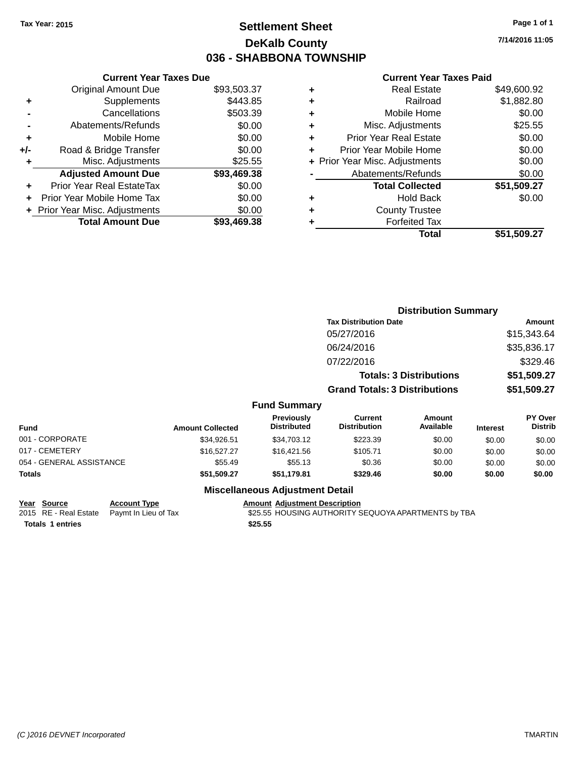## **Settlement Sheet Tax Year: 2015 Page 1 of 1 DeKalb County 036 - SHABBONA TOWNSHIP**

**7/14/2016 11:05**

|     | <b>Current Year Taxes Due</b>  |             |
|-----|--------------------------------|-------------|
|     | <b>Original Amount Due</b>     | \$93,503.37 |
| ٠   | Supplements                    | \$443.85    |
|     | Cancellations                  | \$503.39    |
|     | Abatements/Refunds             | \$0.00      |
| ٠   | Mobile Home                    | \$0.00      |
| +/- | Road & Bridge Transfer         | \$0.00      |
| ٠   | Misc. Adjustments              | \$25.55     |
|     | <b>Adjusted Amount Due</b>     | \$93,469.38 |
| ٠   | Prior Year Real EstateTax      | \$0.00      |
|     | Prior Year Mobile Home Tax     | \$0.00      |
|     | + Prior Year Misc. Adjustments | \$0.00      |
|     | <b>Total Amount Due</b>        | \$93,469,38 |
|     |                                |             |

### **Current Year Taxes Paid**

| ٠ | <b>Real Estate</b>             | \$49,600.92 |
|---|--------------------------------|-------------|
| ٠ | Railroad                       | \$1,882.80  |
| ٠ | Mobile Home                    | \$0.00      |
| ٠ | Misc. Adjustments              | \$25.55     |
| ٠ | <b>Prior Year Real Estate</b>  | \$0.00      |
| ٠ | Prior Year Mobile Home         | \$0.00      |
|   | + Prior Year Misc. Adjustments | \$0.00      |
|   | Abatements/Refunds             | \$0.00      |
|   | <b>Total Collected</b>         | \$51,509.27 |
| ٠ | <b>Hold Back</b>               | \$0.00      |
| ٠ | <b>County Trustee</b>          |             |
| ٠ | <b>Forfeited Tax</b>           |             |
|   | Total                          | \$51,509.27 |
|   |                                |             |

|                          |                         |                                  |                                                                        | <b>Distribution Summary</b> |                            |                                  |
|--------------------------|-------------------------|----------------------------------|------------------------------------------------------------------------|-----------------------------|----------------------------|----------------------------------|
|                          |                         |                                  | <b>Tax Distribution Date</b>                                           |                             |                            | Amount                           |
|                          |                         |                                  | 05/27/2016                                                             |                             |                            | \$15,343.64                      |
|                          |                         |                                  | 06/24/2016                                                             |                             |                            | \$35,836.17                      |
|                          |                         |                                  | 07/22/2016                                                             |                             |                            | \$329.46                         |
|                          |                         |                                  | <b>Totals: 3 Distributions</b><br><b>Grand Totals: 3 Distributions</b> |                             | \$51,509.27<br>\$51,509.27 |                                  |
|                          |                         |                                  |                                                                        |                             |                            |                                  |
|                          |                         | <b>Fund Summary</b>              |                                                                        |                             |                            |                                  |
| <b>Fund</b>              | <b>Amount Collected</b> | Previously<br><b>Distributed</b> | <b>Current</b><br><b>Distribution</b>                                  | <b>Amount</b><br>Available  | <b>Interest</b>            | <b>PY Over</b><br><b>Distrib</b> |
| 001 - CORPORATE          | \$34,926.51             | \$34,703.12                      | \$223.39                                                               | \$0.00                      | \$0.00                     | \$0.00                           |
| 017 - CEMETERY           | \$16,527.27             | \$16,421.56                      | \$105.71                                                               | \$0.00                      | \$0.00                     | \$0.00                           |
| 054 - GENERAL ASSISTANCE | \$55.49                 | \$55.13                          | \$0.36                                                                 | \$0.00                      | \$0.00                     | \$0.00                           |
| Totals                   | \$51,509.27             | \$51,179.81                      | \$329.46                                                               | \$0.00                      | \$0.00                     | \$0.00                           |
|                          |                         | Miccollanceus Adjustment Detail  |                                                                        |                             |                            |                                  |

### **Miscellaneous Adjustment Detail**

**Year Source Account Type Account Adjustment Description**<br>2015 RE - Real Estate Paymt In Lieu of Tax \$25.55 HOUSING AUTHORITY S **Totals \$25.55 1 entries**

\$25.55 HOUSING AUTHORITY SEQUOYA APARTMENTS by TBA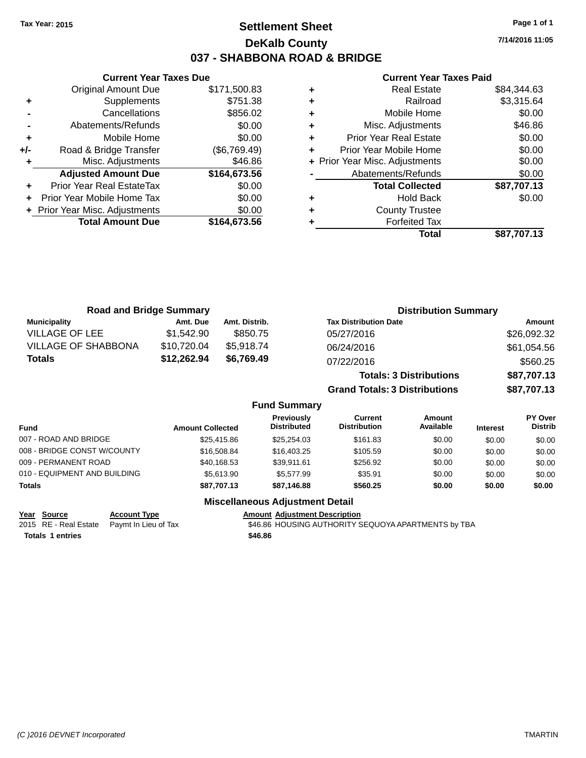## **Settlement Sheet Tax Year: 2015 Page 1 of 1 DeKalb County 037 - SHABBONA ROAD & BRIDGE**

**7/14/2016 11:05**

## **Current Year Taxes Paid**

|     | <b>Current Year Taxes Due</b>  |              |
|-----|--------------------------------|--------------|
|     | <b>Original Amount Due</b>     | \$171,500.83 |
| ٠   | Supplements                    | \$751.38     |
|     | Cancellations                  | \$856.02     |
|     | Abatements/Refunds             | \$0.00       |
| ٠   | Mobile Home                    | \$0.00       |
| +/- | Road & Bridge Transfer         | (\$6,769.49) |
| ٠   | Misc. Adjustments              | \$46.86      |
|     | <b>Adjusted Amount Due</b>     | \$164,673.56 |
|     | Prior Year Real EstateTax      | \$0.00       |
|     | Prior Year Mobile Home Tax     | \$0.00       |
|     | + Prior Year Misc. Adjustments | \$0.00       |
|     | <b>Total Amount Due</b>        | \$164.673.56 |
|     |                                |              |

|   | <b>Real Estate</b>             | \$84.344.63 |
|---|--------------------------------|-------------|
| ٠ | Railroad                       | \$3,315.64  |
| ٠ | Mobile Home                    | \$0.00      |
| ٠ | Misc. Adjustments              | \$46.86     |
| ٠ | <b>Prior Year Real Estate</b>  | \$0.00      |
| ٠ | Prior Year Mobile Home         | \$0.00      |
|   | + Prior Year Misc. Adjustments | \$0.00      |
|   | Abatements/Refunds             | \$0.00      |
|   | <b>Total Collected</b>         | \$87,707.13 |
| ٠ | <b>Hold Back</b>               | \$0.00      |
| ٠ | <b>County Trustee</b>          |             |
| ٠ | <b>Forfeited Tax</b>           |             |
|   | Total                          | \$87.707.13 |
|   |                                |             |

| <b>Road and Bridge Summary</b> |             |               | <b>Distribution Summary</b>          |             |  |
|--------------------------------|-------------|---------------|--------------------------------------|-------------|--|
| <b>Municipality</b>            | Amt. Due    | Amt. Distrib. | <b>Tax Distribution Date</b>         | Amount      |  |
| <b>VILLAGE OF LEE</b>          | \$1,542.90  | \$850.75      | 05/27/2016                           | \$26,092.32 |  |
| <b>VILLAGE OF SHABBONA</b>     | \$10,720.04 | \$5,918.74    | 06/24/2016                           | \$61,054.56 |  |
| <b>Totals</b>                  | \$12,262.94 | \$6,769.49    | 07/22/2016                           | \$560.25    |  |
|                                |             |               | <b>Totals: 3 Distributions</b>       | \$87,707.13 |  |
|                                |             |               | <b>Grand Totals: 3 Distributions</b> | \$87,707.13 |  |

### **Fund Summary**

| <b>Fund</b>                  | <b>Amount Collected</b> | Previously<br><b>Distributed</b> | Current<br><b>Distribution</b> | Amount<br>Available | <b>Interest</b> | PY Over<br><b>Distrib</b> |
|------------------------------|-------------------------|----------------------------------|--------------------------------|---------------------|-----------------|---------------------------|
| 007 - ROAD AND BRIDGE        | \$25,415.86             | \$25,254.03                      | \$161.83                       | \$0.00              | \$0.00          | \$0.00                    |
| 008 - BRIDGE CONST W/COUNTY  | \$16,508.84             | \$16,403.25                      | \$105.59                       | \$0.00              | \$0.00          | \$0.00                    |
| 009 - PERMANENT ROAD         | \$40,168.53             | \$39.911.61                      | \$256.92                       | \$0.00              | \$0.00          | \$0.00                    |
| 010 - EQUIPMENT AND BUILDING | \$5,613.90              | \$5,577.99                       | \$35.91                        | \$0.00              | \$0.00          | \$0.00                    |
| <b>Totals</b>                | \$87,707.13             | \$87,146.88                      | \$560.25                       | \$0.00              | \$0.00          | \$0.00                    |

### **Miscellaneous Adjustment Detail**

**Year** Source **Account Type Account Adjustment Description** 

**Totals \$46.86 1 entries**

2015 RE - Real Estate Paymt In Lieu of Tax **\$46.86 HOUSING AUTHORITY SEQUOYA APARTMENTS by TBA**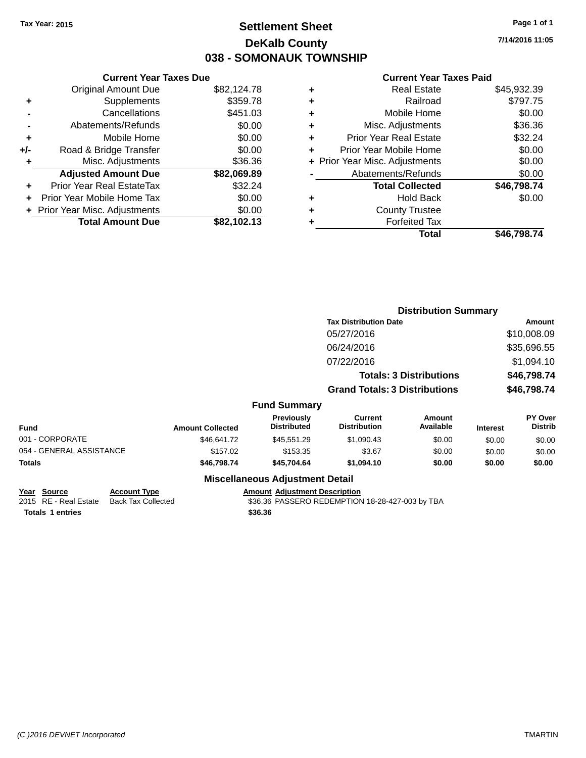## **Settlement Sheet Tax Year: 2015 Page 1 of 1 DeKalb County 038 - SOMONAUK TOWNSHIP**

**7/14/2016 11:05**

### **Current Year Taxes Paid**

| <b>Current Year Taxes Due</b> |             |
|-------------------------------|-------------|
| <b>Original Amount Due</b>    | \$82,124.78 |
| Supplements                   | \$359.78    |
| Cancellations                 | \$451.03    |
| Abatements/Refunds            | \$0.00      |
| Mobile Home                   | \$0.00      |
| Road & Bridge Transfer        | \$0.00      |
| Misc. Adjustments             | \$36.36     |
| <b>Adjusted Amount Due</b>    | \$82,069.89 |
| Prior Year Real EstateTax     | \$32.24     |
| Prior Year Mobile Home Tax    | \$0.00      |
| Prior Year Misc. Adjustments  | \$0.00      |
| <b>Total Amount Due</b>       | \$82.102.13 |
|                               |             |

| ٠ | <b>Real Estate</b>             | \$45,932.39 |
|---|--------------------------------|-------------|
| ٠ | Railroad                       | \$797.75    |
| ٠ | Mobile Home                    | \$0.00      |
| ٠ | Misc. Adjustments              | \$36.36     |
| ٠ | <b>Prior Year Real Estate</b>  | \$32.24     |
| ÷ | Prior Year Mobile Home         | \$0.00      |
|   | + Prior Year Misc. Adjustments | \$0.00      |
|   | Abatements/Refunds             | \$0.00      |
|   | <b>Total Collected</b>         | \$46,798.74 |
| ٠ | Hold Back                      | \$0.00      |
| ٠ | <b>County Trustee</b>          |             |
|   | <b>Forfeited Tax</b>           |             |
|   | Total                          | \$46.798.74 |
|   |                                |             |

|                          |                         |                                         |                                       | <b>Distribution Summary</b>    |                 |                           |
|--------------------------|-------------------------|-----------------------------------------|---------------------------------------|--------------------------------|-----------------|---------------------------|
|                          |                         |                                         | <b>Tax Distribution Date</b>          |                                |                 | Amount                    |
|                          |                         |                                         | 05/27/2016                            |                                |                 | \$10,008.09               |
|                          |                         |                                         | 06/24/2016                            |                                |                 | \$35,696.55               |
|                          |                         |                                         | 07/22/2016                            |                                |                 | \$1,094.10                |
|                          |                         |                                         |                                       | <b>Totals: 3 Distributions</b> |                 | \$46,798.74               |
|                          |                         |                                         | <b>Grand Totals: 3 Distributions</b>  |                                |                 | \$46,798.74               |
|                          |                         | <b>Fund Summary</b>                     |                                       |                                |                 |                           |
| <b>Fund</b>              | <b>Amount Collected</b> | <b>Previously</b><br><b>Distributed</b> | <b>Current</b><br><b>Distribution</b> | Amount<br>Available            | <b>Interest</b> | PY Over<br><b>Distrib</b> |
| 001 - CORPORATE          | \$46,641.72             | \$45,551.29                             | \$1,090.43                            | \$0.00                         | \$0.00          | \$0.00                    |
| 054 - GENERAL ASSISTANCE | \$157.02                | \$153.35                                | \$3.67                                | \$0.00                         | \$0.00          | \$0.00                    |
| Totals                   | \$46,798.74             | \$45,704.64                             | \$1,094.10                            | \$0.00                         | \$0.00          | \$0.00                    |

### **Miscellaneous Adjustment Detail**

**Totals \$36.36 1 entries**

**Year Source Account Type Account Account Adjustment Description** 2015 RE - Real Estate Back Tax Collected \$36.36 PASSERO REDEMPTION 18-28-427-003 by TBA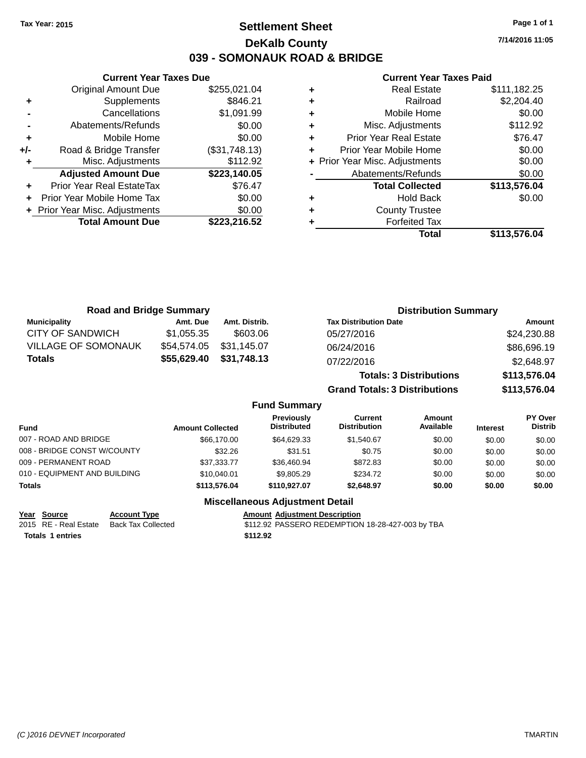## **Settlement Sheet Tax Year: 2015 Page 1 of 1 DeKalb County 039 - SOMONAUK ROAD & BRIDGE**

**7/14/2016 11:05**

### **Current Year Taxes Paid**

|       | <b>Current Year Taxes Due</b>  |               |
|-------|--------------------------------|---------------|
|       | <b>Original Amount Due</b>     | \$255,021.04  |
| ٠     | Supplements                    | \$846.21      |
|       | Cancellations                  | \$1,091.99    |
|       | Abatements/Refunds             | \$0.00        |
| ٠     | Mobile Home                    | \$0.00        |
| $+/-$ | Road & Bridge Transfer         | (\$31,748.13) |
|       | Misc. Adjustments              | \$112.92      |
|       | <b>Adjusted Amount Due</b>     | \$223,140.05  |
| ÷     | Prior Year Real EstateTax      | \$76.47       |
|       | Prior Year Mobile Home Tax     | \$0.00        |
|       | + Prior Year Misc. Adjustments | \$0.00        |
|       | <b>Total Amount Due</b>        | \$223,216.52  |
|       |                                |               |

|   | <b>Real Estate</b>             | \$111,182.25 |
|---|--------------------------------|--------------|
| ÷ | Railroad                       | \$2,204.40   |
| ٠ | Mobile Home                    | \$0.00       |
| ٠ | Misc. Adjustments              | \$112.92     |
| ٠ | <b>Prior Year Real Estate</b>  | \$76.47      |
|   | Prior Year Mobile Home         | \$0.00       |
|   | + Prior Year Misc. Adjustments | \$0.00       |
|   | Abatements/Refunds             | \$0.00       |
|   | <b>Total Collected</b>         | \$113,576.04 |
| ٠ | <b>Hold Back</b>               | \$0.00       |
| ÷ | <b>County Trustee</b>          |              |
|   | <b>Forfeited Tax</b>           |              |
|   | Total                          | \$113,576.04 |
|   |                                |              |

| <b>Road and Bridge Summary</b> |             |               | <b>Distribution Summary</b>          |              |
|--------------------------------|-------------|---------------|--------------------------------------|--------------|
| <b>Municipality</b>            | Amt. Due    | Amt. Distrib. | <b>Tax Distribution Date</b>         | Amount       |
| CITY OF SANDWICH               | \$1,055.35  | \$603.06      | 05/27/2016                           | \$24,230.88  |
| <b>VILLAGE OF SOMONAUK</b>     | \$54,574.05 | \$31,145.07   | 06/24/2016                           | \$86,696.19  |
| <b>Totals</b>                  | \$55,629.40 | \$31,748.13   | 07/22/2016                           | \$2,648.97   |
|                                |             |               | <b>Totals: 3 Distributions</b>       | \$113,576.04 |
|                                |             |               | <b>Grand Totals: 3 Distributions</b> | \$113,576.04 |

### **Fund Summary**

| Fund                         | <b>Amount Collected</b> | <b>Previously</b><br><b>Distributed</b> | Current<br><b>Distribution</b> | Amount<br>Available | <b>Interest</b> | PY Over<br><b>Distrib</b> |
|------------------------------|-------------------------|-----------------------------------------|--------------------------------|---------------------|-----------------|---------------------------|
| 007 - ROAD AND BRIDGE        | \$66,170,00             | \$64.629.33                             | \$1.540.67                     | \$0.00              | \$0.00          | \$0.00                    |
| 008 - BRIDGE CONST W/COUNTY  | \$32.26                 | \$31.51                                 | \$0.75                         | \$0.00              | \$0.00          | \$0.00                    |
| 009 - PERMANENT ROAD         | \$37,333,77             | \$36,460.94                             | \$872.83                       | \$0.00              | \$0.00          | \$0.00                    |
| 010 - EQUIPMENT AND BUILDING | \$10,040.01             | \$9,805.29                              | \$234.72                       | \$0.00              | \$0.00          | \$0.00                    |
| <b>Totals</b>                | \$113,576.04            | \$110,927.07                            | \$2,648.97                     | \$0.00              | \$0.00          | \$0.00                    |

### **Miscellaneous Adjustment Detail**

### **Year Source Account Type Account Account Adjustment Description**

**Totals 1 entries** \$112.92

2015 RE - Real Estate Back Tax Collected \$112.92 PASSERO REDEMPTION 18-28-427-003 by TBA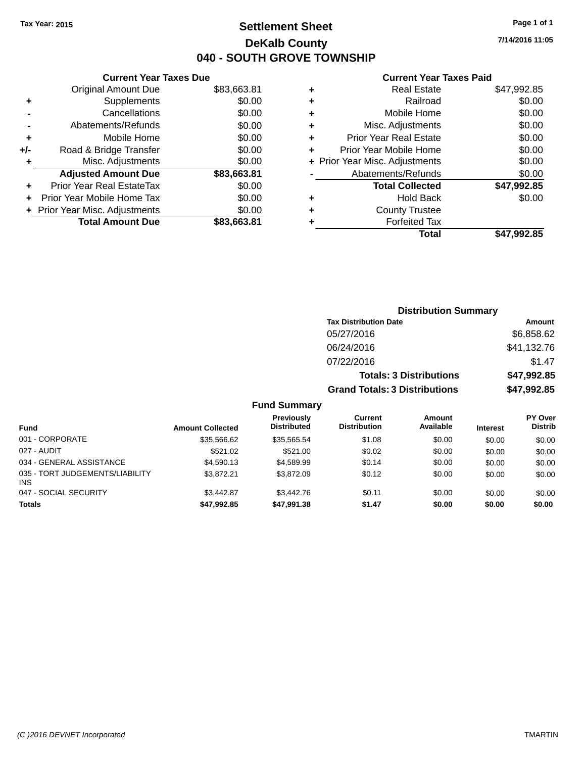## **Settlement Sheet Tax Year: 2015 Page 1 of 1 DeKalb County 040 - SOUTH GROVE TOWNSHIP**

**7/14/2016 11:05**

### **Current Year Taxes Paid**

|       | <b>Current Year Taxes Due</b>  |             |
|-------|--------------------------------|-------------|
|       | <b>Original Amount Due</b>     | \$83,663.81 |
| ٠     | Supplements                    | \$0.00      |
|       | Cancellations                  | \$0.00      |
|       | Abatements/Refunds             | \$0.00      |
| ٠     | Mobile Home                    | \$0.00      |
| $+/-$ | Road & Bridge Transfer         | \$0.00      |
|       | Misc. Adjustments              | \$0.00      |
|       | <b>Adjusted Amount Due</b>     | \$83,663.81 |
| ÷     | Prior Year Real EstateTax      | \$0.00      |
|       | Prior Year Mobile Home Tax     | \$0.00      |
|       | + Prior Year Misc. Adjustments | \$0.00      |
|       | <b>Total Amount Due</b>        | \$83.663.81 |
|       |                                |             |

|   | <b>Real Estate</b>             | \$47,992.85 |
|---|--------------------------------|-------------|
| ٠ | Railroad                       | \$0.00      |
| ٠ | Mobile Home                    | \$0.00      |
| ٠ | Misc. Adjustments              | \$0.00      |
| ٠ | <b>Prior Year Real Estate</b>  | \$0.00      |
| ٠ | Prior Year Mobile Home         | \$0.00      |
|   | + Prior Year Misc. Adjustments | \$0.00      |
|   | Abatements/Refunds             | \$0.00      |
|   | <b>Total Collected</b>         | \$47,992.85 |
| ٠ | <b>Hold Back</b>               | \$0.00      |
| ٠ | <b>County Trustee</b>          |             |
| ٠ | <b>Forfeited Tax</b>           |             |
|   | Total                          | \$47,992.85 |
|   |                                |             |

| <b>Distribution Summary</b>          |             |
|--------------------------------------|-------------|
| <b>Tax Distribution Date</b>         | Amount      |
| 05/27/2016                           | \$6,858.62  |
| 06/24/2016                           | \$41,132.76 |
| 07/22/2016                           | \$1.47      |
| <b>Totals: 3 Distributions</b>       | \$47,992.85 |
| <b>Grand Totals: 3 Distributions</b> | \$47,992.85 |

### **Fund Summary**

| <b>Fund</b>                                   | <b>Amount Collected</b> | <b>Previously</b><br><b>Distributed</b> | Current<br><b>Distribution</b> | <b>Amount</b><br>Available | <b>Interest</b> | <b>PY Over</b><br><b>Distrib</b> |
|-----------------------------------------------|-------------------------|-----------------------------------------|--------------------------------|----------------------------|-----------------|----------------------------------|
| 001 - CORPORATE                               | \$35,566,62             | \$35,565.54                             | \$1.08                         | \$0.00                     | \$0.00          | \$0.00                           |
| 027 - AUDIT                                   | \$521.02                | \$521.00                                | \$0.02                         | \$0.00                     | \$0.00          | \$0.00                           |
| 034 - GENERAL ASSISTANCE                      | \$4.590.13              | \$4.589.99                              | \$0.14                         | \$0.00                     | \$0.00          | \$0.00                           |
| 035 - TORT JUDGEMENTS/LIABILITY<br><b>INS</b> | \$3.872.21              | \$3.872.09                              | \$0.12                         | \$0.00                     | \$0.00          | \$0.00                           |
| 047 - SOCIAL SECURITY                         | \$3.442.87              | \$3,442.76                              | \$0.11                         | \$0.00                     | \$0.00          | \$0.00                           |
| <b>Totals</b>                                 | \$47,992.85             | \$47,991.38                             | \$1.47                         | \$0.00                     | \$0.00          | \$0.00                           |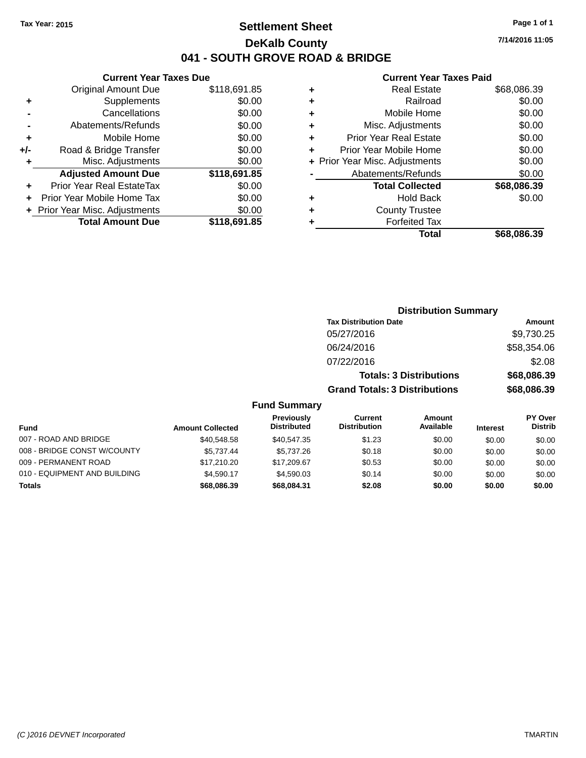## **Settlement Sheet Tax Year: 2015 Page 1 of 1 DeKalb County 041 - SOUTH GROVE ROAD & BRIDGE**

|       | <b>Current Year Taxes Due</b>  |              |
|-------|--------------------------------|--------------|
|       | Original Amount Due            | \$118,691.85 |
| ٠     | Supplements                    | \$0.00       |
|       | Cancellations                  | \$0.00       |
|       | Abatements/Refunds             | \$0.00       |
| ٠     | Mobile Home                    | \$0.00       |
| $+/-$ | Road & Bridge Transfer         | \$0.00       |
| ٠     | Misc. Adjustments              | \$0.00       |
|       | <b>Adjusted Amount Due</b>     | \$118,691.85 |
|       | Prior Year Real EstateTax      | \$0.00       |
|       | Prior Year Mobile Home Tax     | \$0.00       |
|       | + Prior Year Misc. Adjustments | \$0.00       |
|       | <b>Total Amount Due</b>        | \$118,691.85 |
|       |                                |              |

### **Current Year Taxes Paid**

| ٠ | <b>Real Estate</b>             | \$68,086.39 |
|---|--------------------------------|-------------|
| ٠ | Railroad                       | \$0.00      |
| ٠ | Mobile Home                    | \$0.00      |
| ٠ | Misc. Adjustments              | \$0.00      |
| ٠ | <b>Prior Year Real Estate</b>  | \$0.00      |
| ٠ | Prior Year Mobile Home         | \$0.00      |
|   | + Prior Year Misc. Adjustments | \$0.00      |
|   | Abatements/Refunds             | \$0.00      |
|   | <b>Total Collected</b>         | \$68,086.39 |
| ٠ | <b>Hold Back</b>               | \$0.00      |
| ٠ | <b>County Trustee</b>          |             |
| ٠ | <b>Forfeited Tax</b>           |             |
|   | Total                          | \$68,086.39 |
|   |                                |             |

| <b>Distribution Summary</b>          |             |
|--------------------------------------|-------------|
| <b>Tax Distribution Date</b>         | Amount      |
| 05/27/2016                           | \$9,730.25  |
| 06/24/2016                           | \$58,354.06 |
| 07/22/2016                           | \$2.08      |
| <b>Totals: 3 Distributions</b>       | \$68,086.39 |
| <b>Grand Totals: 3 Distributions</b> | \$68,086.39 |

### **Fund Summary**

|                              |                         | <b>Previously</b>  | Current             | Amount    |                 | <b>PY Over</b> |
|------------------------------|-------------------------|--------------------|---------------------|-----------|-----------------|----------------|
| <b>Fund</b>                  | <b>Amount Collected</b> | <b>Distributed</b> | <b>Distribution</b> | Available | <b>Interest</b> | <b>Distrib</b> |
| 007 - ROAD AND BRIDGE        | \$40,548.58             | \$40.547.35        | \$1.23              | \$0.00    | \$0.00          | \$0.00         |
| 008 - BRIDGE CONST W/COUNTY  | \$5.737.44              | \$5,737.26         | \$0.18              | \$0.00    | \$0.00          | \$0.00         |
| 009 - PERMANENT ROAD         | \$17,210,20             | \$17,209.67        | \$0.53              | \$0.00    | \$0.00          | \$0.00         |
| 010 - EQUIPMENT AND BUILDING | \$4.590.17              | \$4,590.03         | \$0.14              | \$0.00    | \$0.00          | \$0.00         |
| <b>Totals</b>                | \$68,086.39             | \$68,084.31        | \$2.08              | \$0.00    | \$0.00          | \$0.00         |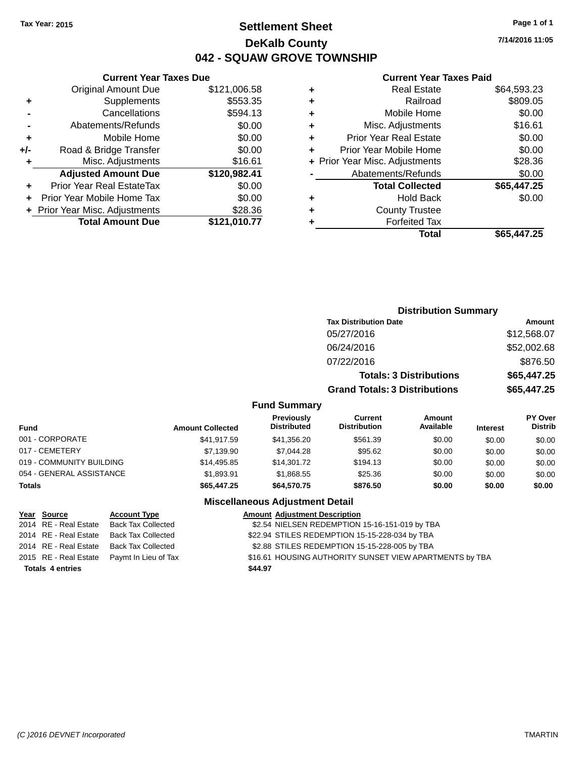## **Settlement Sheet Tax Year: 2015 Page 1 of 1 DeKalb County 042 - SQUAW GROVE TOWNSHIP**

**7/14/2016 11:05**

## **Current Year Taxes Paid**

|       | <b>Current Year Taxes Due</b>              |              |  |  |  |  |  |
|-------|--------------------------------------------|--------------|--|--|--|--|--|
|       | \$121,006.58<br><b>Original Amount Due</b> |              |  |  |  |  |  |
| ٠     | Supplements                                | \$553.35     |  |  |  |  |  |
|       | Cancellations                              | \$594.13     |  |  |  |  |  |
|       | Abatements/Refunds                         | \$0.00       |  |  |  |  |  |
| ٠     | Mobile Home                                |              |  |  |  |  |  |
| $+/-$ | \$0.00<br>Road & Bridge Transfer           |              |  |  |  |  |  |
|       | Misc. Adjustments                          | \$16.61      |  |  |  |  |  |
|       | <b>Adjusted Amount Due</b>                 | \$120,982.41 |  |  |  |  |  |
| ÷     | Prior Year Real EstateTax                  | \$0.00       |  |  |  |  |  |
|       | Prior Year Mobile Home Tax                 | \$0.00       |  |  |  |  |  |
|       | + Prior Year Misc. Adjustments             | \$28.36      |  |  |  |  |  |
|       | <b>Total Amount Due</b>                    | \$121.010.77 |  |  |  |  |  |
|       |                                            |              |  |  |  |  |  |

|   | <b>Real Estate</b>             | \$64,593.23 |
|---|--------------------------------|-------------|
| ٠ | Railroad                       | \$809.05    |
| ٠ | Mobile Home                    | \$0.00      |
| ٠ | Misc. Adjustments              | \$16.61     |
| ٠ | <b>Prior Year Real Estate</b>  | \$0.00      |
| ÷ | Prior Year Mobile Home         | \$0.00      |
|   | + Prior Year Misc. Adjustments | \$28.36     |
|   | Abatements/Refunds             | \$0.00      |
|   | <b>Total Collected</b>         | \$65,447.25 |
| ٠ | <b>Hold Back</b>               | \$0.00      |
| ٠ | <b>County Trustee</b>          |             |
|   | <b>Forfeited Tax</b>           |             |
|   | Total                          | \$65,447.25 |
|   |                                |             |

|                     | <b>Distribution Summary</b>          |             |
|---------------------|--------------------------------------|-------------|
|                     | <b>Tax Distribution Date</b>         | Amount      |
|                     | 05/27/2016                           | \$12,568.07 |
|                     | 06/24/2016                           | \$52,002.68 |
|                     | 07/22/2016                           | \$876.50    |
|                     | <b>Totals: 3 Distributions</b>       | \$65,447.25 |
|                     | <b>Grand Totals: 3 Distributions</b> | \$65,447.25 |
| <b>Fund Summary</b> |                                      |             |

| Fund                     | <b>Amount Collected</b> | <b>Previously</b><br><b>Distributed</b> | Current<br><b>Distribution</b> | Amount<br>Available | <b>Interest</b> | <b>PY Over</b><br><b>Distrib</b> |
|--------------------------|-------------------------|-----------------------------------------|--------------------------------|---------------------|-----------------|----------------------------------|
| 001 - CORPORATE          | \$41.917.59             | \$41,356.20                             | \$561.39                       | \$0.00              | \$0.00          | \$0.00                           |
| 017 - CEMETERY           | \$7.139.90              | \$7.044.28                              | \$95.62                        | \$0.00              | \$0.00          | \$0.00                           |
| 019 - COMMUNITY BUILDING | \$14,495.85             | \$14,301.72                             | \$194.13                       | \$0.00              | \$0.00          | \$0.00                           |
| 054 - GENERAL ASSISTANCE | \$1.893.91              | \$1.868.55                              | \$25.36                        | \$0.00              | \$0.00          | \$0.00                           |
| <b>Totals</b>            | \$65,447.25             | \$64,570,75                             | \$876.50                       | \$0.00              | \$0.00          | \$0.00                           |

| Year Source             | <b>Account Type</b>                        |         | <b>Amount Adjustment Description</b>                    |
|-------------------------|--------------------------------------------|---------|---------------------------------------------------------|
| 2014 RE - Real Estate   | Back Tax Collected                         |         | \$2.54 NIELSEN REDEMPTION 15-16-151-019 by TBA          |
| 2014 RE - Real Estate   | <b>Back Tax Collected</b>                  |         | \$22.94 STILES REDEMPTION 15-15-228-034 by TBA          |
| 2014 RE - Real Estate   | Back Tax Collected                         |         | \$2.88 STILES REDEMPTION 15-15-228-005 by TBA           |
|                         | 2015 RE - Real Estate Paymt In Lieu of Tax |         | \$16.61 HOUSING AUTHORITY SUNSET VIEW APARTMENTS by TBA |
| <b>Totals 4 entries</b> |                                            | \$44.97 |                                                         |
|                         |                                            |         |                                                         |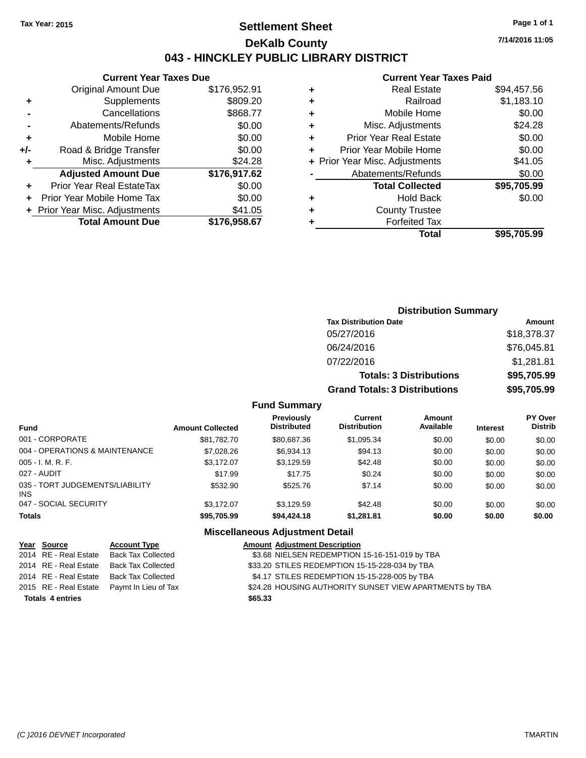## **Settlement Sheet Tax Year: 2015 Page 1 of 1 DeKalb County 043 - HINCKLEY PUBLIC LIBRARY DISTRICT**

**7/14/2016 11:05**

## **Current Year Taxes Paid**

| <b>Current Year Taxes Due</b>    |              |  |  |  |  |  |
|----------------------------------|--------------|--|--|--|--|--|
| <b>Original Amount Due</b>       | \$176,952.91 |  |  |  |  |  |
| Supplements                      | \$809.20     |  |  |  |  |  |
| Cancellations                    | \$868.77     |  |  |  |  |  |
| Abatements/Refunds               | \$0.00       |  |  |  |  |  |
| Mobile Home                      | \$0.00       |  |  |  |  |  |
| Road & Bridge Transfer           | \$0.00       |  |  |  |  |  |
| Misc. Adjustments                | \$24.28      |  |  |  |  |  |
| <b>Adjusted Amount Due</b>       | \$176,917.62 |  |  |  |  |  |
| <b>Prior Year Real EstateTax</b> | \$0.00       |  |  |  |  |  |
| Prior Year Mobile Home Tax       | \$0.00       |  |  |  |  |  |
| + Prior Year Misc. Adjustments   | \$41.05      |  |  |  |  |  |
| <b>Total Amount Due</b>          | \$176.958.67 |  |  |  |  |  |
|                                  |              |  |  |  |  |  |

| ٠ | <b>Real Estate</b>             | \$94,457.56 |
|---|--------------------------------|-------------|
| ٠ | Railroad                       | \$1,183.10  |
| ٠ | Mobile Home                    | \$0.00      |
| ٠ | Misc. Adjustments              | \$24.28     |
| ٠ | <b>Prior Year Real Estate</b>  | \$0.00      |
| ÷ | Prior Year Mobile Home         | \$0.00      |
|   | + Prior Year Misc. Adjustments | \$41.05     |
|   | Abatements/Refunds             | \$0.00      |
|   | <b>Total Collected</b>         | \$95,705.99 |
| ٠ | <b>Hold Back</b>               | \$0.00      |
|   | <b>County Trustee</b>          |             |
|   | <b>Forfeited Tax</b>           |             |
|   | Total                          | \$95.705.99 |
|   |                                |             |

| <b>Distribution Summary</b>          |             |  |  |  |  |
|--------------------------------------|-------------|--|--|--|--|
| <b>Tax Distribution Date</b>         | Amount      |  |  |  |  |
| 05/27/2016                           | \$18,378.37 |  |  |  |  |
| 06/24/2016                           | \$76,045.81 |  |  |  |  |
| 07/22/2016                           | \$1,281.81  |  |  |  |  |
| <b>Totals: 3 Distributions</b>       | \$95,705.99 |  |  |  |  |
| <b>Grand Totals: 3 Distributions</b> | \$95,705.99 |  |  |  |  |

### **Fund Summary**

| <b>Fund</b>                                   | <b>Amount Collected</b> | <b>Previously</b><br><b>Distributed</b> | Current<br><b>Distribution</b> | Amount<br>Available | <b>Interest</b> | <b>PY Over</b><br><b>Distrib</b> |
|-----------------------------------------------|-------------------------|-----------------------------------------|--------------------------------|---------------------|-----------------|----------------------------------|
| 001 - CORPORATE                               | \$81.782.70             | \$80,687.36                             | \$1,095.34                     | \$0.00              | \$0.00          | \$0.00                           |
| 004 - OPERATIONS & MAINTENANCE                | \$7,028,26              | \$6,934.13                              | \$94.13                        | \$0.00              | \$0.00          | \$0.00                           |
| $005 - I. M. R. F.$                           | \$3.172.07              | \$3,129.59                              | \$42.48                        | \$0.00              | \$0.00          | \$0.00                           |
| 027 - AUDIT                                   | \$17.99                 | \$17.75                                 | \$0.24                         | \$0.00              | \$0.00          | \$0.00                           |
| 035 - TORT JUDGEMENTS/LIABILITY<br><b>INS</b> | \$532.90                | \$525.76                                | \$7.14                         | \$0.00              | \$0.00          | \$0.00                           |
| 047 - SOCIAL SECURITY                         | \$3.172.07              | \$3.129.59                              | \$42.48                        | \$0.00              | \$0.00          | \$0.00                           |
| <b>Totals</b>                                 | \$95,705.99             | \$94,424.18                             | \$1,281.81                     | \$0.00              | \$0.00          | \$0.00                           |

| Year Source             | <b>Account Type</b>       |         | <b>Amount Adjustment Description</b>                    |
|-------------------------|---------------------------|---------|---------------------------------------------------------|
| 2014 RE - Real Estate   | Back Tax Collected        |         | \$3.68 NIELSEN REDEMPTION 15-16-151-019 by TBA          |
| 2014 RE - Real Estate   | <b>Back Tax Collected</b> |         | \$33.20 STILES REDEMPTION 15-15-228-034 by TBA          |
| 2014 RE - Real Estate   | <b>Back Tax Collected</b> |         | \$4.17 STILES REDEMPTION 15-15-228-005 by TBA           |
| 2015 RE - Real Estate   | Paymt In Lieu of Tax      |         | \$24.28 HOUSING AUTHORITY SUNSET VIEW APARTMENTS by TBA |
| <b>Totals 4 entries</b> |                           | \$65.33 |                                                         |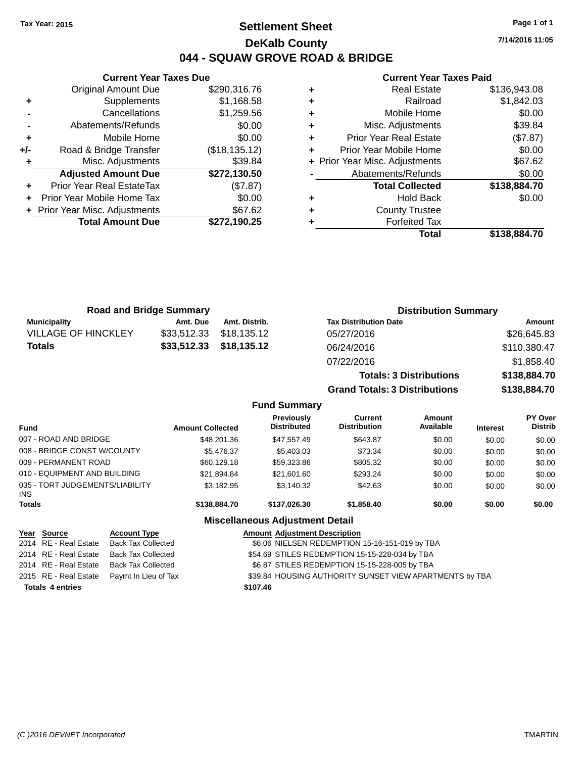## **Settlement Sheet Tax Year: 2015 Page 1 of 1 DeKalb County 044 - SQUAW GROVE ROAD & BRIDGE**

**7/14/2016 11:05**

### **Current Year Taxes Paid**

|       | <b>Current Year Taxes Due</b>  |               |
|-------|--------------------------------|---------------|
|       | <b>Original Amount Due</b>     | \$290,316.76  |
| ٠     | Supplements                    | \$1,168.58    |
|       | Cancellations                  | \$1,259.56    |
|       | Abatements/Refunds             | \$0.00        |
| ٠     | Mobile Home                    | \$0.00        |
| $+/-$ | Road & Bridge Transfer         | (\$18,135.12) |
|       | Misc. Adjustments              | \$39.84       |
|       | <b>Adjusted Amount Due</b>     | \$272,130.50  |
|       | Prior Year Real EstateTax      | (\$7.87)      |
|       | Prior Year Mobile Home Tax     | \$0.00        |
|       | + Prior Year Misc. Adjustments | \$67.62       |
|       | <b>Total Amount Due</b>        | \$272.190.25  |
|       |                                |               |

|   | <b>Real Estate</b>             | \$136,943.08 |
|---|--------------------------------|--------------|
| ٠ | Railroad                       | \$1,842.03   |
| ٠ | Mobile Home                    | \$0.00       |
| ٠ | Misc. Adjustments              | \$39.84      |
| ٠ | <b>Prior Year Real Estate</b>  | (\$7.87)     |
| ÷ | Prior Year Mobile Home         | \$0.00       |
|   | + Prior Year Misc. Adjustments | \$67.62      |
|   | Abatements/Refunds             | \$0.00       |
|   | <b>Total Collected</b>         | \$138,884.70 |
| ٠ | <b>Hold Back</b>               | \$0.00       |
| ٠ | <b>County Trustee</b>          |              |
|   | <b>Forfeited Tax</b>           |              |
|   | Total                          | \$138,884.70 |
|   |                                |              |

| <b>Road and Bridge Summary</b> |             |               | <b>Distribution Summary</b>    |              |  |
|--------------------------------|-------------|---------------|--------------------------------|--------------|--|
| <b>Municipality</b>            | Amt. Due    | Amt. Distrib. | <b>Tax Distribution Date</b>   | Amount       |  |
| <b>VILLAGE OF HINCKLEY</b>     | \$33,512.33 | \$18,135.12   | 05/27/2016                     | \$26,645.83  |  |
| <b>Totals</b>                  | \$33,512.33 | \$18,135.12   | 06/24/2016                     | \$110,380.47 |  |
|                                |             |               | 07/22/2016                     | \$1,858.40   |  |
|                                |             |               | <b>Totals: 3 Distributions</b> | \$138,884.70 |  |

**Grand Totals: 3 Distributions \$138,884.70**

### **Fund Summary**

| Fund                                          | <b>Amount Collected</b> | <b>Previously</b><br><b>Distributed</b> | Current<br><b>Distribution</b> | <b>Amount</b><br>Available | <b>Interest</b> | <b>PY Over</b><br><b>Distrib</b> |
|-----------------------------------------------|-------------------------|-----------------------------------------|--------------------------------|----------------------------|-----------------|----------------------------------|
| 007 - ROAD AND BRIDGE                         | \$48,201.36             | \$47,557.49                             | \$643.87                       | \$0.00                     | \$0.00          | \$0.00                           |
| 008 - BRIDGE CONST W/COUNTY                   | \$5,476.37              | \$5,403.03                              | \$73.34                        | \$0.00                     | \$0.00          | \$0.00                           |
| 009 - PERMANENT ROAD                          | \$60.129.18             | \$59,323.86                             | \$805.32                       | \$0.00                     | \$0.00          | \$0.00                           |
| 010 - EQUIPMENT AND BUILDING                  | \$21,894.84             | \$21,601.60                             | \$293.24                       | \$0.00                     | \$0.00          | \$0.00                           |
| 035 - TORT JUDGEMENTS/LIABILITY<br><b>INS</b> | \$3.182.95              | \$3.140.32                              | \$42.63                        | \$0.00                     | \$0.00          | \$0.00                           |
| <b>Totals</b>                                 | \$138,884.70            | \$137,026,30                            | \$1,858,40                     | \$0.00                     | \$0.00          | \$0.00                           |

| Year Source             | <b>Account Type</b>                        |          | <b>Amount Adjustment Description</b>                    |
|-------------------------|--------------------------------------------|----------|---------------------------------------------------------|
| 2014 RE - Real Estate   | Back Tax Collected                         |          | \$6.06 NIELSEN REDEMPTION 15-16-151-019 by TBA          |
| 2014 RE - Real Estate   | Back Tax Collected                         |          | \$54.69 STILES REDEMPTION 15-15-228-034 by TBA          |
| 2014 RE - Real Estate   | Back Tax Collected                         |          | \$6.87 STILES REDEMPTION 15-15-228-005 by TBA           |
|                         | 2015 RE - Real Estate Paymt In Lieu of Tax |          | \$39.84 HOUSING AUTHORITY SUNSET VIEW APARTMENTS by TBA |
| <b>Totals 4 entries</b> |                                            | \$107.46 |                                                         |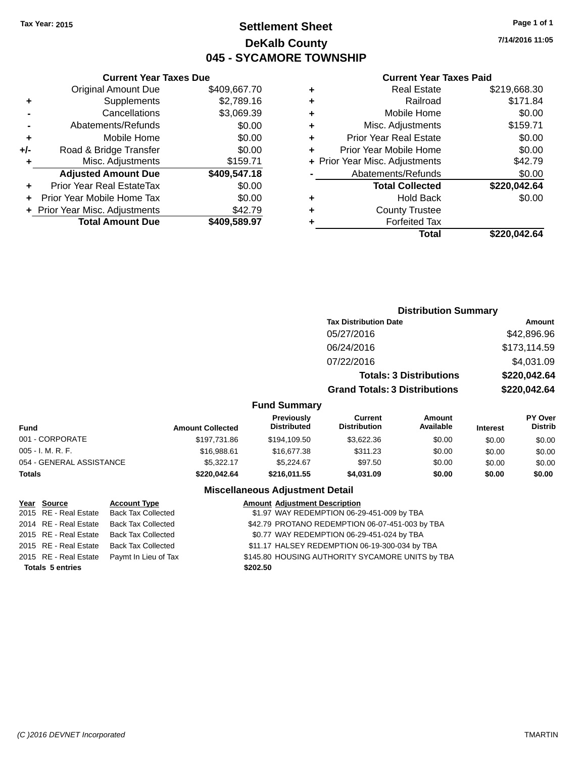## **Settlement Sheet Tax Year: 2015 Page 1 of 1 DeKalb County 045 - SYCAMORE TOWNSHIP**

**7/14/2016 11:05**

### **Current Year Taxes Paid**

|       | <b>Current Year Taxes Due</b>  |              |  |  |  |
|-------|--------------------------------|--------------|--|--|--|
|       | <b>Original Amount Due</b>     | \$409,667.70 |  |  |  |
| ٠     | Supplements                    | \$2,789.16   |  |  |  |
|       | Cancellations                  | \$3,069.39   |  |  |  |
|       | Abatements/Refunds             | \$0.00       |  |  |  |
| ٠     | Mobile Home                    | \$0.00       |  |  |  |
| $+/-$ | Road & Bridge Transfer         | \$0.00       |  |  |  |
| ٠     | Misc. Adjustments              | \$159.71     |  |  |  |
|       | <b>Adjusted Amount Due</b>     | \$409,547.18 |  |  |  |
| ٠     | Prior Year Real EstateTax      | \$0.00       |  |  |  |
|       | Prior Year Mobile Home Tax     | \$0.00       |  |  |  |
|       | + Prior Year Misc. Adjustments | \$42.79      |  |  |  |
|       | <b>Total Amount Due</b>        | \$409,589.97 |  |  |  |
|       |                                |              |  |  |  |

| ٠ | <b>Real Estate</b>             | \$219,668.30 |
|---|--------------------------------|--------------|
| ٠ | Railroad                       | \$171.84     |
| ٠ | Mobile Home                    | \$0.00       |
| ٠ | Misc. Adjustments              | \$159.71     |
| ٠ | <b>Prior Year Real Estate</b>  | \$0.00       |
| ٠ | Prior Year Mobile Home         | \$0.00       |
|   | + Prior Year Misc. Adjustments | \$42.79      |
|   | Abatements/Refunds             | \$0.00       |
|   | <b>Total Collected</b>         | \$220,042.64 |
| ٠ | <b>Hold Back</b>               | \$0.00       |
| ٠ | <b>County Trustee</b>          |              |
| ٠ | <b>Forfeited Tax</b>           |              |
|   | Total                          | \$220,042.64 |
|   |                                |              |

|               |                                  |                                      | <b>Distribution Summary</b>    |                 |                                  |
|---------------|----------------------------------|--------------------------------------|--------------------------------|-----------------|----------------------------------|
|               |                                  | <b>Tax Distribution Date</b>         |                                |                 | Amount                           |
|               |                                  | 05/27/2016                           |                                |                 | \$42,896.96                      |
|               |                                  | 06/24/2016                           |                                |                 | \$173,114.59                     |
|               |                                  | 07/22/2016                           |                                |                 | \$4,031.09                       |
|               |                                  |                                      | <b>Totals: 3 Distributions</b> |                 | \$220,042.64                     |
|               |                                  | <b>Grand Totals: 3 Distributions</b> |                                |                 | \$220,042.64                     |
|               | <b>Fund Summary</b>              |                                      |                                |                 |                                  |
| unt Collected | Previously<br><b>Distributed</b> | Current<br><b>Distribution</b>       | Amount<br>Available            | <b>Interest</b> | <b>PY Over</b><br><b>Distrib</b> |
| \$197,731.86  | \$194.109.50                     | \$3,622.36                           | \$0.00                         | \$0.00          | \$0.00                           |

| <b>Amount Collected</b> | .<br><b>Distributed</b> | --------<br><b>Distribution</b> | .<br>Available | <b>Interest</b> | .<br><b>Distrib</b> |
|-------------------------|-------------------------|---------------------------------|----------------|-----------------|---------------------|
| \$197.731.86            | \$194,109.50            | \$3.622.36                      | \$0.00         | \$0.00          | \$0.00              |
| \$16,988.61             | \$16,677.38             | \$311.23                        | \$0.00         | \$0.00          | \$0.00              |
| \$5.322.17              | \$5.224.67              | \$97.50                         | \$0.00         | \$0.00          | \$0.00              |
| \$220,042.64            | \$216,011.55            | \$4,031.09                      | \$0.00         | \$0.00          | \$0.00              |
|                         |                         |                                 |                |                 |                     |

| Year Source             | <b>Account Type</b>       |          | <b>Amount Adjustment Description</b>             |
|-------------------------|---------------------------|----------|--------------------------------------------------|
| 2015 RE - Real Estate   | <b>Back Tax Collected</b> |          | \$1.97 WAY REDEMPTION 06-29-451-009 by TBA       |
| 2014 RE - Real Estate   | <b>Back Tax Collected</b> |          | \$42.79 PROTANO REDEMPTION 06-07-451-003 by TBA  |
| 2015 RE - Real Estate   | <b>Back Tax Collected</b> |          | \$0.77 WAY REDEMPTION 06-29-451-024 by TBA       |
| 2015 RE - Real Estate   | <b>Back Tax Collected</b> |          | \$11.17 HALSEY REDEMPTION 06-19-300-034 by TBA   |
| 2015 RE - Real Estate   | Paymt In Lieu of Tax      |          | \$145.80 HOUSING AUTHORITY SYCAMORE UNITS by TBA |
| <b>Totals 5 entries</b> |                           | \$202.50 |                                                  |
|                         |                           |          |                                                  |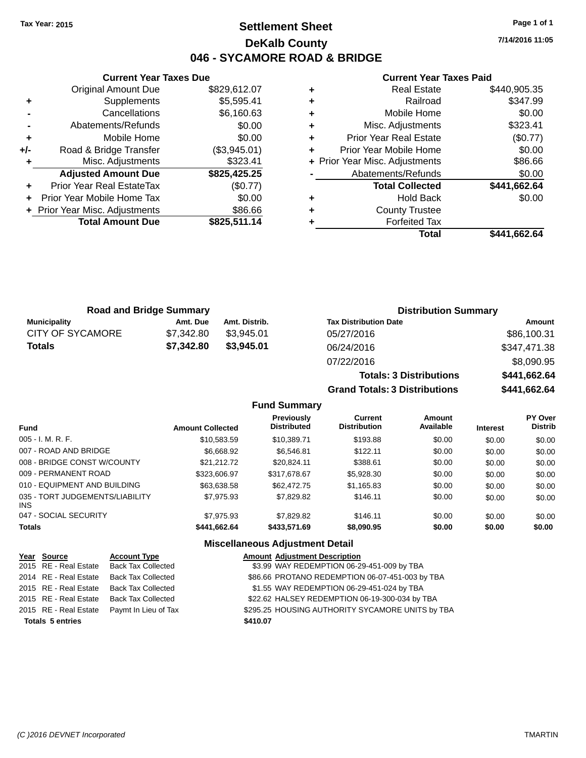## **Settlement Sheet Tax Year: 2015 Page 1 of 1 DeKalb County 046 - SYCAMORE ROAD & BRIDGE**

**7/14/2016 11:05**

### **Current Year Taxes Paid**

| <b>Curren</b>             |   | <b>Current Year Taxes Due</b> |                                  |       |  |  |
|---------------------------|---|-------------------------------|----------------------------------|-------|--|--|
| Real                      | ٠ | \$829,612.07                  | Original Amount Due              |       |  |  |
| R                         | ٠ | \$5,595.41                    | <b>Supplements</b>               |       |  |  |
| Mobile                    | ÷ | \$6,160.63                    | Cancellations                    |       |  |  |
| Misc. Adjust              | ÷ | \$0.00                        | Abatements/Refunds               |       |  |  |
| Prior Year Real           | ٠ | \$0.00                        | Mobile Home                      | ٠     |  |  |
| <b>Prior Year Mobile</b>  | ٠ | (\$3,945.01)                  | Road & Bridge Transfer           | $+/-$ |  |  |
| + Prior Year Misc. Adjust |   | \$323.41                      | Misc. Adjustments                | ٠     |  |  |
| Abatements/Re             |   | \$825,425.25                  | <b>Adjusted Amount Due</b>       |       |  |  |
| <b>Total Col</b>          |   | (\$0.77)                      | <b>Prior Year Real EstateTax</b> |       |  |  |
| Hold                      | ٠ | \$0.00                        | Prior Year Mobile Home Tax       |       |  |  |
| County T                  | ٠ | \$86.66                       | + Prior Year Misc. Adjustments   |       |  |  |
| Forfeit                   |   | \$825,511.14                  | <b>Total Amount Due</b>          |       |  |  |
|                           |   |                               |                                  |       |  |  |

| ٠ | <b>Real Estate</b>             | \$440,905.35 |
|---|--------------------------------|--------------|
|   | Railroad                       | \$347.99     |
|   | Mobile Home                    | \$0.00       |
| ٠ | Misc. Adjustments              | \$323.41     |
| ٠ | <b>Prior Year Real Estate</b>  | (\$0.77)     |
| ÷ | Prior Year Mobile Home         | \$0.00       |
|   | + Prior Year Misc. Adjustments | \$86.66      |
|   | Abatements/Refunds             | \$0.00       |
|   | <b>Total Collected</b>         | \$441,662.64 |
|   | <b>Hold Back</b>               | \$0.00       |
|   | <b>County Trustee</b>          |              |
|   | <b>Forfeited Tax</b>           |              |
|   | Total                          | \$441,662.64 |
|   |                                |              |

**Totals: 3 Distributions \$441,662.64**

| <b>Road and Bridge Summary</b> |            |               | <b>Distribution Summary</b>  |              |  |
|--------------------------------|------------|---------------|------------------------------|--------------|--|
| Municipality                   | Amt. Due   | Amt. Distrib. | <b>Tax Distribution Date</b> | Amount       |  |
| CITY OF SYCAMORE               | \$7.342.80 | \$3.945.01    | 05/27/2016                   | \$86,100.31  |  |
| <b>Totals</b>                  | \$7,342.80 | \$3,945.01    | 06/24/2016                   | \$347,471.38 |  |
|                                |            |               | 07/22/2016                   | \$8,090.95   |  |

### **Grand Totals: 3 Distributions \$441,662.64 Fund Summary Fund Interest Amount Collected Distributed PY Over Distrib Amount Available Current Distribution Previously** 005 - I. M. R. F. \$10,583.59 \$10,389.71 \$193.88 \$0.00 \$0.00 \$0.00 007 - ROAD AND BRIDGE  $$6,668.92$   $$6,546.81$   $$122.11$   $$0.00$   $$0.00$   $$0.00$ 008 - BRIDGE CONST W/COUNTY  $$21,212.72$   $$20,824.11$   $$388.61$   $$0.00$   $$0.00$   $$0.00$ 009 - PERMANENT ROAD \$323,606.97 \$317,678.67 \$5,928.30 \$0.00 \$0.00 \$0.00 \$0.00 010 - EQUIPMENT AND BUILDING \$63,638.58 \$62,472.75 \$1,165.83 \$0.00 \$0.00 \$0.00 035 - TORT JUDGEMENTS/LIABILITY \$7,975.93 \$7,829.82 \$146.11 \$0.00 \$0.00 \$0.00

### **Miscellaneous Adjustment Detail**

047 - SOCIAL SECURITY \$7,975.93 \$7,829.82 \$146.11 \$0.00 \$0.00 \$0.00 \$0.00 **Totals \$441,662.64 \$433,571.69 \$8,090.95 \$0.00 \$0.00 \$0.00**

| Year Source             | <b>Account Type</b>       | <b>Amount Adjustment Description</b>             |
|-------------------------|---------------------------|--------------------------------------------------|
| 2015 RE - Real Estate   | <b>Back Tax Collected</b> | \$3.99 WAY REDEMPTION 06-29-451-009 by TBA       |
| 2014 RE - Real Estate   | <b>Back Tax Collected</b> | \$86.66 PROTANO REDEMPTION 06-07-451-003 by TBA  |
| 2015 RE - Real Estate   | <b>Back Tax Collected</b> | \$1.55 WAY REDEMPTION 06-29-451-024 by TBA       |
| 2015 RE - Real Estate   | <b>Back Tax Collected</b> | \$22.62 HALSEY REDEMPTION 06-19-300-034 by TBA   |
| 2015 RE - Real Estate   | Paymt In Lieu of Tax      | \$295.25 HOUSING AUTHORITY SYCAMORE UNITS by TBA |
| <b>Totals 5 entries</b> |                           | \$410.07                                         |

INS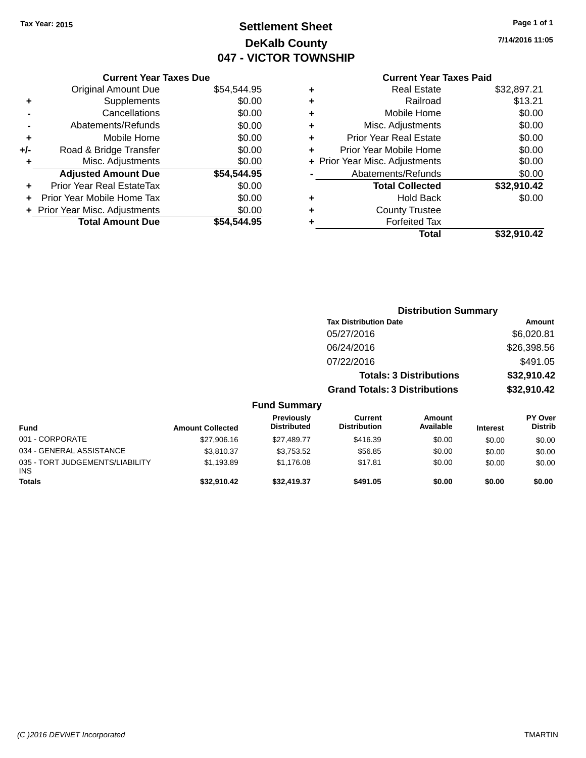## **Settlement Sheet Tax Year: 2015 Page 1 of 1 DeKalb County 047 - VICTOR TOWNSHIP**

**7/14/2016 11:05**

## **Current Year Taxes Paid**

|     | <b>Current Year Taxes Due</b>  |             |  |  |  |  |
|-----|--------------------------------|-------------|--|--|--|--|
|     | <b>Original Amount Due</b>     | \$54,544.95 |  |  |  |  |
| ٠   | Supplements                    | \$0.00      |  |  |  |  |
|     | Cancellations                  | \$0.00      |  |  |  |  |
|     | Abatements/Refunds             | \$0.00      |  |  |  |  |
| ٠   | Mobile Home                    | \$0.00      |  |  |  |  |
| +/- | Road & Bridge Transfer         | \$0.00      |  |  |  |  |
| ٠   | Misc. Adjustments              | \$0.00      |  |  |  |  |
|     | <b>Adjusted Amount Due</b>     | \$54,544.95 |  |  |  |  |
| ÷   | Prior Year Real EstateTax      | \$0.00      |  |  |  |  |
|     | Prior Year Mobile Home Tax     | \$0.00      |  |  |  |  |
|     | + Prior Year Misc. Adjustments | \$0.00      |  |  |  |  |
|     | <b>Total Amount Due</b>        | \$54.544.95 |  |  |  |  |
|     |                                |             |  |  |  |  |

| ٠ | Real Estate                    | \$32,897.21 |
|---|--------------------------------|-------------|
| ٠ | Railroad                       | \$13.21     |
| ٠ | Mobile Home                    | \$0.00      |
| ٠ | Misc. Adjustments              | \$0.00      |
| ٠ | <b>Prior Year Real Estate</b>  | \$0.00      |
|   | Prior Year Mobile Home         | \$0.00      |
|   | + Prior Year Misc. Adjustments | \$0.00      |
|   | Abatements/Refunds             | \$0.00      |
|   | <b>Total Collected</b>         | \$32,910.42 |
| ٠ | <b>Hold Back</b>               | \$0.00      |
| ٠ | <b>County Trustee</b>          |             |
|   | <b>Forfeited Tax</b>           |             |
|   | Total                          | \$32,910.42 |
|   |                                |             |

|                                         |                         |                                  | <b>Distribution Summary</b>           |                                |                 |                                  |
|-----------------------------------------|-------------------------|----------------------------------|---------------------------------------|--------------------------------|-----------------|----------------------------------|
|                                         |                         |                                  | <b>Tax Distribution Date</b>          |                                |                 | Amount                           |
|                                         |                         |                                  | 05/27/2016                            |                                |                 | \$6,020.81                       |
|                                         |                         |                                  | 06/24/2016                            |                                |                 | \$26,398.56                      |
|                                         |                         |                                  | 07/22/2016                            |                                |                 | \$491.05                         |
|                                         |                         |                                  |                                       | <b>Totals: 3 Distributions</b> |                 | \$32,910.42                      |
|                                         |                         |                                  | <b>Grand Totals: 3 Distributions</b>  |                                |                 | \$32,910.42                      |
|                                         |                         | <b>Fund Summary</b>              |                                       |                                |                 |                                  |
| <b>Fund</b>                             | <b>Amount Collected</b> | Previously<br><b>Distributed</b> | <b>Current</b><br><b>Distribution</b> | <b>Amount</b><br>Available     | <b>Interest</b> | <b>PY Over</b><br><b>Distrib</b> |
| 001 - CORPORATE                         | \$27,906.16             | \$27,489.77                      | \$416.39                              | \$0.00                         | \$0.00          | \$0.00                           |
| 034 - GENERAL ASSISTANCE                | \$3,810.37              | \$3,753.52                       | \$56.85                               | \$0.00                         | \$0.00          | \$0.00                           |
| 035 - TORT JUDGEMENTS/LIABILITY<br>INS. | \$1,193.89              | \$1,176.08                       | \$17.81                               | \$0.00                         | \$0.00          | \$0.00                           |
| Totals                                  | \$32,910.42             | \$32,419.37                      | \$491.05                              | \$0.00                         | \$0.00          | \$0.00                           |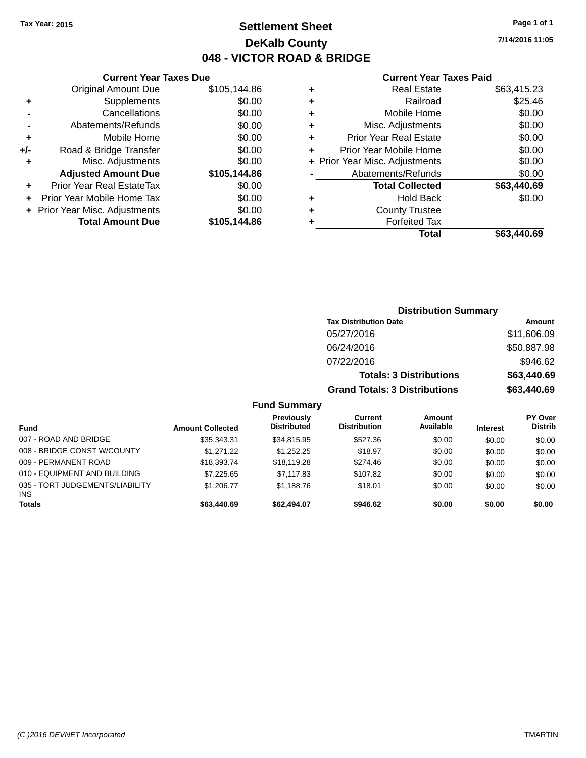## **Settlement Sheet Tax Year: 2015 Page 1 of 1 DeKalb County 048 - VICTOR ROAD & BRIDGE**

**7/14/2016 11:05**

### **Current Year Taxes Paid**

|       | <b>Current Year Taxes Due</b>  |              |  |  |  |
|-------|--------------------------------|--------------|--|--|--|
|       | <b>Original Amount Due</b>     | \$105,144.86 |  |  |  |
| ٠     | Supplements                    | \$0.00       |  |  |  |
|       | Cancellations                  | \$0.00       |  |  |  |
|       | Abatements/Refunds             | \$0.00       |  |  |  |
| ٠     | Mobile Home                    | \$0.00       |  |  |  |
| $+/-$ | Road & Bridge Transfer         | \$0.00       |  |  |  |
| ٠     | Misc. Adjustments              | \$0.00       |  |  |  |
|       | <b>Adjusted Amount Due</b>     | \$105,144.86 |  |  |  |
|       | Prior Year Real EstateTax      | \$0.00       |  |  |  |
|       | Prior Year Mobile Home Tax     | \$0.00       |  |  |  |
|       | + Prior Year Misc. Adjustments | \$0.00       |  |  |  |
|       | <b>Total Amount Due</b>        | \$105.144.86 |  |  |  |
|       |                                |              |  |  |  |

| ٠ | <b>Real Estate</b>             | \$63,415.23 |
|---|--------------------------------|-------------|
| ٠ | Railroad                       | \$25.46     |
| ٠ | Mobile Home                    | \$0.00      |
| ٠ | Misc. Adjustments              | \$0.00      |
| ٠ | <b>Prior Year Real Estate</b>  | \$0.00      |
| ÷ | Prior Year Mobile Home         | \$0.00      |
|   | + Prior Year Misc. Adjustments | \$0.00      |
|   | Abatements/Refunds             | \$0.00      |
|   | <b>Total Collected</b>         | \$63,440.69 |
| ٠ | Hold Back                      | \$0.00      |
| ٠ | <b>County Trustee</b>          |             |
| ٠ | <b>Forfeited Tax</b>           |             |
|   | Total                          | \$63,440.69 |
|   |                                |             |

| <b>Distribution Summary</b>          |             |
|--------------------------------------|-------------|
| <b>Tax Distribution Date</b>         | Amount      |
| 05/27/2016                           | \$11,606.09 |
| 06/24/2016                           | \$50,887.98 |
| 07/22/2016                           | \$946.62    |
| <b>Totals: 3 Distributions</b>       | \$63,440.69 |
| <b>Grand Totals: 3 Distributions</b> | \$63,440.69 |

### **Fund Summary**

| <b>Fund</b>                                   | <b>Amount Collected</b> | Previously<br><b>Distributed</b> | Current<br><b>Distribution</b> | Amount<br>Available | <b>Interest</b> | <b>PY Over</b><br><b>Distrib</b> |
|-----------------------------------------------|-------------------------|----------------------------------|--------------------------------|---------------------|-----------------|----------------------------------|
| 007 - ROAD AND BRIDGE                         | \$35,343.31             | \$34,815.95                      | \$527.36                       | \$0.00              | \$0.00          | \$0.00                           |
| 008 - BRIDGE CONST W/COUNTY                   | \$1,271,22              | \$1.252.25                       | \$18.97                        | \$0.00              | \$0.00          | \$0.00                           |
| 009 - PERMANENT ROAD                          | \$18,393.74             | \$18,119.28                      | \$274.46                       | \$0.00              | \$0.00          | \$0.00                           |
| 010 - EQUIPMENT AND BUILDING                  | \$7.225.65              | \$7,117.83                       | \$107.82                       | \$0.00              | \$0.00          | \$0.00                           |
| 035 - TORT JUDGEMENTS/LIABILITY<br><b>INS</b> | \$1.206.77              | \$1.188.76                       | \$18.01                        | \$0.00              | \$0.00          | \$0.00                           |
| <b>Totals</b>                                 | \$63,440.69             | \$62,494.07                      | \$946.62                       | \$0.00              | \$0.00          | \$0.00                           |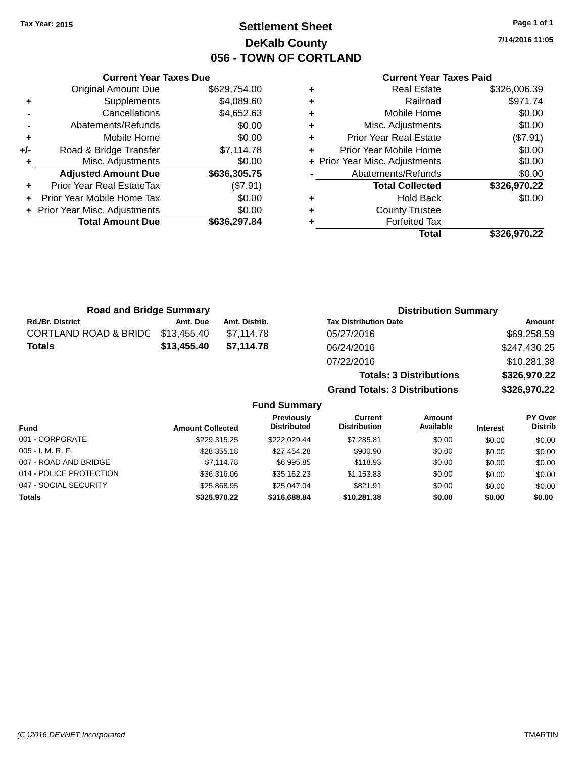## **Settlement Sheet Tax Year: 2015 Page 1 of 1 DeKalb County 056 - TOWN OF CORTLAND**

**7/14/2016 11:05**

### **Current Year Taxes Paid**

|     | <b>Current Year Taxes Due</b>  |              |
|-----|--------------------------------|--------------|
|     | <b>Original Amount Due</b>     | \$629,754.00 |
| ٠   | Supplements                    | \$4,089.60   |
|     | Cancellations                  | \$4,652.63   |
|     | Abatements/Refunds             | \$0.00       |
| ٠   | Mobile Home                    | \$0.00       |
| +/- | Road & Bridge Transfer         | \$7,114.78   |
| ٠   | Misc. Adjustments              | \$0.00       |
|     | <b>Adjusted Amount Due</b>     | \$636,305.75 |
| ٠   | Prior Year Real EstateTax      | (\$7.91)     |
| ÷   | Prior Year Mobile Home Tax     | \$0.00       |
|     | + Prior Year Misc. Adjustments | \$0.00       |
|     | <b>Total Amount Due</b>        | \$636,297.84 |
|     |                                |              |

| ٠ | <b>Real Estate</b>             | \$326,006.39 |
|---|--------------------------------|--------------|
| ٠ | Railroad                       | \$971.74     |
| ٠ | Mobile Home                    | \$0.00       |
| ٠ | Misc. Adjustments              | \$0.00       |
| ٠ | <b>Prior Year Real Estate</b>  | (\$7.91)     |
| ٠ | Prior Year Mobile Home         | \$0.00       |
|   | + Prior Year Misc. Adjustments | \$0.00       |
|   | Abatements/Refunds             | \$0.00       |
|   | <b>Total Collected</b>         | \$326,970.22 |
| ٠ | <b>Hold Back</b>               | \$0.00       |
| ٠ | <b>County Trustee</b>          |              |
| ٠ | <b>Forfeited Tax</b>           |              |
|   | Total                          | \$326,970.22 |
|   |                                |              |

**Totals: 3 Distributions \$326,970.22**

**Grand Totals: 3 Distributions \$326,970.22**

| <b>Road and Bridge Summary</b>    |             |               | <b>Distribution Summary</b>  |              |  |
|-----------------------------------|-------------|---------------|------------------------------|--------------|--|
| <b>Rd./Br. District</b>           | Amt. Due    | Amt. Distrib. | <b>Tax Distribution Date</b> | Amount       |  |
| CORTLAND ROAD & BRIDG \$13,455.40 |             | \$7.114.78    | 05/27/2016                   | \$69,258.59  |  |
| Totals                            | \$13,455.40 | \$7.114.78    | 06/24/2016                   | \$247,430.25 |  |
|                                   |             |               | 07/22/2016                   | \$10,281.38  |  |

|                         |                         | <b>Fund Summary</b>                     |                                |                     |                 |                           |
|-------------------------|-------------------------|-----------------------------------------|--------------------------------|---------------------|-----------------|---------------------------|
| <b>Fund</b>             | <b>Amount Collected</b> | <b>Previously</b><br><b>Distributed</b> | Current<br><b>Distribution</b> | Amount<br>Available | <b>Interest</b> | PY Over<br><b>Distrib</b> |
| 001 - CORPORATE         | \$229.315.25            | \$222.029.44                            | \$7,285.81                     | \$0.00              | \$0.00          | \$0.00                    |
| 005 - I. M. R. F.       | \$28,355.18             | \$27,454.28                             | \$900.90                       | \$0.00              | \$0.00          | \$0.00                    |
| 007 - ROAD AND BRIDGE   | \$7,114.78              | \$6,995.85                              | \$118.93                       | \$0.00              | \$0.00          | \$0.00                    |
| 014 - POLICE PROTECTION | \$36,316,06             | \$35.162.23                             | \$1,153.83                     | \$0.00              | \$0.00          | \$0.00                    |
| 047 - SOCIAL SECURITY   | \$25.868.95             | \$25.047.04                             | \$821.91                       | \$0.00              | \$0.00          | \$0.00                    |
| <b>Totals</b>           | \$326,970.22            | \$316,688,84                            | \$10,281.38                    | \$0.00              | \$0.00          | \$0.00                    |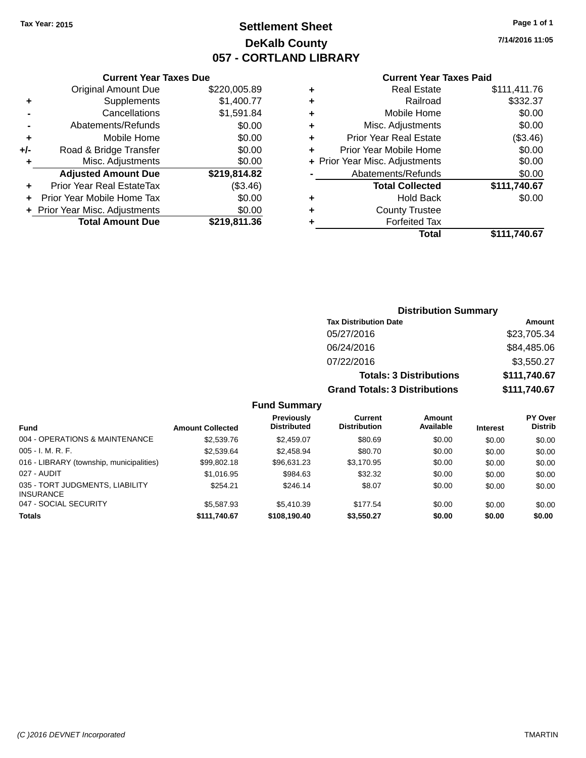## **Settlement Sheet Tax Year: 2015 Page 1 of 1 DeKalb County 057 - CORTLAND LIBRARY**

**7/14/2016 11:05**

### **Current Year Taxes Paid**

|     | <b>Current Year Taxes Due</b>  |              |
|-----|--------------------------------|--------------|
|     | <b>Original Amount Due</b>     | \$220,005.89 |
| ٠   | Supplements                    | \$1,400.77   |
|     | Cancellations                  | \$1,591.84   |
|     | Abatements/Refunds             | \$0.00       |
| ٠   | Mobile Home                    | \$0.00       |
| +/- | Road & Bridge Transfer         | \$0.00       |
| ٠   | Misc. Adjustments              | \$0.00       |
|     | <b>Adjusted Amount Due</b>     | \$219,814.82 |
| ٠   | Prior Year Real EstateTax      | (\$3.46)     |
|     | Prior Year Mobile Home Tax     | \$0.00       |
|     | + Prior Year Misc. Adjustments | \$0.00       |
|     | <b>Total Amount Due</b>        | \$219,811.36 |
|     |                                |              |

| ٠ | Real Estate                    | \$111,411.76 |
|---|--------------------------------|--------------|
| ٠ | Railroad                       | \$332.37     |
| ٠ | Mobile Home                    | \$0.00       |
| ٠ | Misc. Adjustments              | \$0.00       |
| ٠ | <b>Prior Year Real Estate</b>  | (\$3.46)     |
|   | Prior Year Mobile Home         | \$0.00       |
|   | + Prior Year Misc. Adjustments | \$0.00       |
|   | Abatements/Refunds             | \$0.00       |
|   | <b>Total Collected</b>         | \$111,740.67 |
| ٠ | <b>Hold Back</b>               | \$0.00       |
| ٠ | <b>County Trustee</b>          |              |
|   | <b>Forfeited Tax</b>           |              |
|   | <b>Total</b>                   | \$111.740.67 |
|   |                                |              |

| <b>Distribution Summary</b>          |              |
|--------------------------------------|--------------|
| <b>Tax Distribution Date</b>         | Amount       |
| 05/27/2016                           | \$23,705.34  |
| 06/24/2016                           | \$84,485.06  |
| 07/22/2016                           | \$3,550.27   |
| <b>Totals: 3 Distributions</b>       | \$111,740.67 |
| <b>Grand Totals: 3 Distributions</b> | \$111,740.67 |

### **Fund Summary**

|                                                     |                         | Previously         | Current             | <b>Amount</b> |                 | PY Over        |
|-----------------------------------------------------|-------------------------|--------------------|---------------------|---------------|-----------------|----------------|
| <b>Fund</b>                                         | <b>Amount Collected</b> | <b>Distributed</b> | <b>Distribution</b> | Available     | <b>Interest</b> | <b>Distrib</b> |
| 004 - OPERATIONS & MAINTENANCE                      | \$2,539.76              | \$2,459.07         | \$80.69             | \$0.00        | \$0.00          | \$0.00         |
| $005 - I. M. R. F.$                                 | \$2,539.64              | \$2,458.94         | \$80.70             | \$0.00        | \$0.00          | \$0.00         |
| 016 - LIBRARY (township, municipalities)            | \$99.802.18             | \$96.631.23        | \$3,170.95          | \$0.00        | \$0.00          | \$0.00         |
| 027 - AUDIT                                         | \$1,016.95              | \$984.63           | \$32.32             | \$0.00        | \$0.00          | \$0.00         |
| 035 - TORT JUDGMENTS, LIABILITY<br><b>INSURANCE</b> | \$254.21                | \$246.14           | \$8.07              | \$0.00        | \$0.00          | \$0.00         |
| 047 - SOCIAL SECURITY                               | \$5,587.93              | \$5,410.39         | \$177.54            | \$0.00        | \$0.00          | \$0.00         |
| <b>Totals</b>                                       | \$111.740.67            | \$108,190,40       | \$3.550.27          | \$0.00        | \$0.00          | \$0.00         |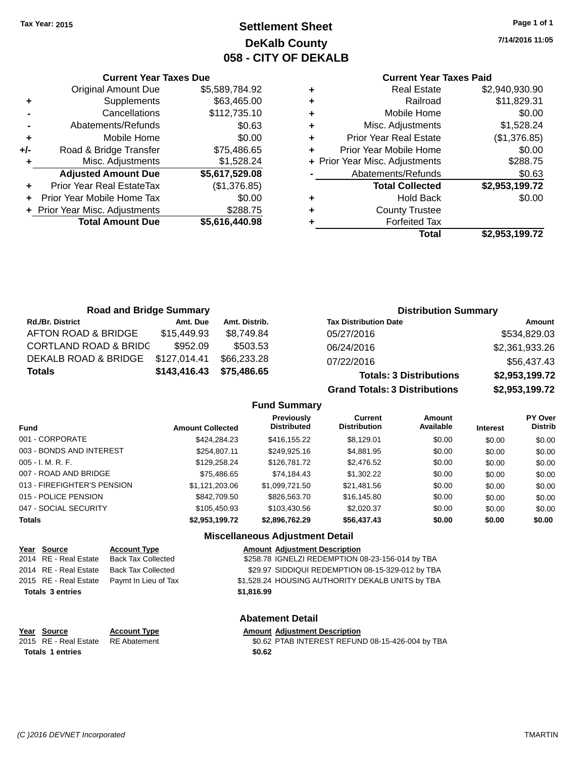## **Settlement Sheet Tax Year: 2015 Page 1 of 1 DeKalb County 058 - CITY OF DEKALB**

**7/14/2016 11:05**

### **Current Year Taxes Paid**

|     | <b>Current Year Taxes Due</b>  |                |  |  |  |  |
|-----|--------------------------------|----------------|--|--|--|--|
|     | <b>Original Amount Due</b>     | \$5,589,784.92 |  |  |  |  |
| ٠   | Supplements                    | \$63,465.00    |  |  |  |  |
|     | Cancellations                  | \$112,735.10   |  |  |  |  |
|     | Abatements/Refunds             | \$0.63         |  |  |  |  |
| ٠   | Mobile Home                    | \$0.00         |  |  |  |  |
| +/- | Road & Bridge Transfer         | \$75,486.65    |  |  |  |  |
| ٠   | Misc. Adjustments              | \$1,528.24     |  |  |  |  |
|     | <b>Adjusted Amount Due</b>     | \$5,617,529.08 |  |  |  |  |
| ٠   | Prior Year Real EstateTax      | (\$1,376.85)   |  |  |  |  |
| ÷   | Prior Year Mobile Home Tax     | \$0.00         |  |  |  |  |
|     | + Prior Year Misc. Adjustments | \$288.75       |  |  |  |  |
|     | <b>Total Amount Due</b>        | \$5,616,440.98 |  |  |  |  |
|     |                                |                |  |  |  |  |

|   | <b>Real Estate</b>             | \$2,940,930.90 |
|---|--------------------------------|----------------|
| ٠ | Railroad                       | \$11,829.31    |
| ٠ | Mobile Home                    | \$0.00         |
| ٠ | Misc. Adjustments              | \$1,528.24     |
| ٠ | <b>Prior Year Real Estate</b>  | (\$1,376.85)   |
| ٠ | Prior Year Mobile Home         | \$0.00         |
|   | + Prior Year Misc. Adjustments | \$288.75       |
|   | Abatements/Refunds             | \$0.63         |
|   | <b>Total Collected</b>         | \$2,953,199.72 |
| ٠ | <b>Hold Back</b>               | \$0.00         |
|   | <b>County Trustee</b>          |                |
|   | <b>Forfeited Tax</b>           |                |
|   | Total                          | \$2,953,199.72 |
|   |                                |                |

| <b>Road and Bridge Summary</b>   |              |               | <b>Distribution Summary</b>    |                |  |
|----------------------------------|--------------|---------------|--------------------------------|----------------|--|
| <b>Rd./Br. District</b>          | Amt. Due     | Amt. Distrib. | <b>Tax Distribution Date</b>   | Amount         |  |
| AFTON ROAD & BRIDGE              | \$15,449.93  | \$8.749.84    | 05/27/2016                     | \$534,829.03   |  |
| <b>CORTLAND ROAD &amp; BRIDC</b> | \$952.09     | \$503.53      | 06/24/2016                     | \$2,361,933.26 |  |
| DEKALB ROAD & BRIDGE             | \$127,014.41 | \$66,233.28   | 07/22/2016                     | \$56,437.43    |  |
| Totals                           | \$143,416.43 | \$75,486.65   | <b>Totals: 3 Distributions</b> | \$2,953,199.72 |  |

**Grand Totals: 3 Distributions \$2,953,199.72**

### **Fund Summary**

| Fund                        | <b>Amount Collected</b> | <b>Previously</b><br><b>Distributed</b> | <b>Current</b><br><b>Distribution</b> | <b>Amount</b><br>Available | <b>Interest</b> | PY Over<br><b>Distrib</b> |
|-----------------------------|-------------------------|-----------------------------------------|---------------------------------------|----------------------------|-----------------|---------------------------|
| 001 - CORPORATE             | \$424.284.23            | \$416,155.22                            | \$8,129.01                            | \$0.00                     | \$0.00          | \$0.00                    |
| 003 - BONDS AND INTEREST    | \$254.807.11            | \$249,925.16                            | \$4,881.95                            | \$0.00                     | \$0.00          | \$0.00                    |
| $005 - I. M. R. F.$         | \$129,258.24            | \$126,781.72                            | \$2,476.52                            | \$0.00                     | \$0.00          | \$0.00                    |
| 007 - ROAD AND BRIDGE       | \$75,486.65             | \$74,184.43                             | \$1,302.22                            | \$0.00                     | \$0.00          | \$0.00                    |
| 013 - FIREFIGHTER'S PENSION | \$1,121,203.06          | \$1,099,721.50                          | \$21,481.56                           | \$0.00                     | \$0.00          | \$0.00                    |
| 015 - POLICE PENSION        | \$842,709.50            | \$826,563.70                            | \$16,145.80                           | \$0.00                     | \$0.00          | \$0.00                    |
| 047 - SOCIAL SECURITY       | \$105,450.93            | \$103,430.56                            | \$2,020.37                            | \$0.00                     | \$0.00          | \$0.00                    |
| <b>Totals</b>               | \$2,953,199.72          | \$2,896,762.29                          | \$56,437.43                           | \$0.00                     | \$0.00          | \$0.00                    |

### **Miscellaneous Adjustment Detail**

|                         | Year Source           | <b>Account Type</b>                        | <b>Amount Adjustment Description</b>             |
|-------------------------|-----------------------|--------------------------------------------|--------------------------------------------------|
|                         | 2014 RE - Real Estate | <b>Back Tax Collected</b>                  | \$258.78 IGNELZI REDEMPTION 08-23-156-014 by TBA |
|                         | 2014 RE - Real Estate | <b>Back Tax Collected</b>                  | \$29.97 SIDDIQUI REDEMPTION 08-15-329-012 by TBA |
|                         |                       | 2015 RE - Real Estate Paymt In Lieu of Tax | \$1,528.24 HOUSING AUTHORITY DEKALB UNITS by TBA |
| <b>Totals 3 entries</b> |                       |                                            | \$1,816.99                                       |
| <b>Abatement Detail</b> |                       |                                            |                                                  |

## **Year Source Account Type Amount Adjustment Description**<br>2015 RE - Real Estate RE Abatement **Amount SO.62 PTAB INTEREST REFUN Totals \$0.62 1 entries**

\$0.62 PTAB INTEREST REFUND 08-15-426-004 by TBA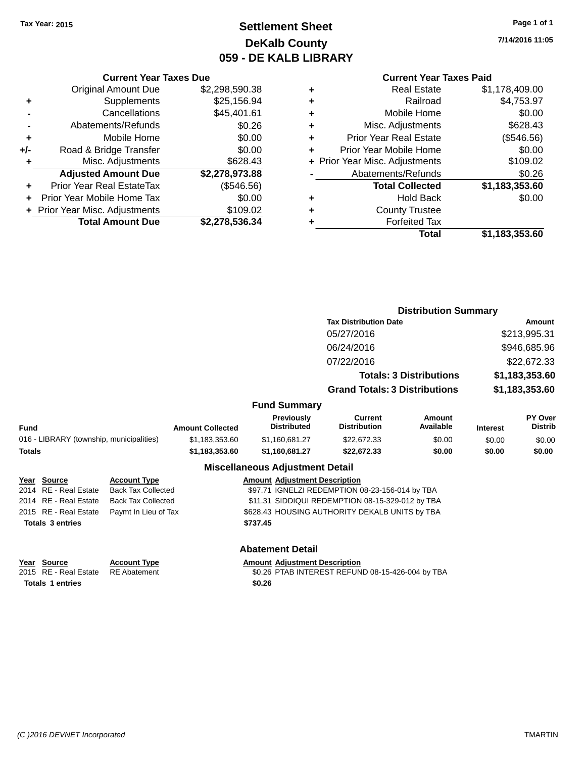## **Settlement Sheet Tax Year: 2015 Page 1 of 1 DeKalb County 059 - DE KALB LIBRARY**

**7/14/2016 11:05**

### **Current Year Taxes Paid**

|     | <b>Current Year Taxes Due</b>    |                |  |  |  |  |  |
|-----|----------------------------------|----------------|--|--|--|--|--|
|     | <b>Original Amount Due</b>       | \$2,298,590.38 |  |  |  |  |  |
| ٠   | Supplements                      | \$25,156.94    |  |  |  |  |  |
|     | Cancellations                    | \$45,401.61    |  |  |  |  |  |
|     | Abatements/Refunds               | \$0.26         |  |  |  |  |  |
| ٠   | Mobile Home                      | \$0.00         |  |  |  |  |  |
| +/- | Road & Bridge Transfer           | \$0.00         |  |  |  |  |  |
| ٠   | Misc. Adjustments                | \$628.43       |  |  |  |  |  |
|     | <b>Adjusted Amount Due</b>       | \$2,278,973.88 |  |  |  |  |  |
| ٠   | <b>Prior Year Real EstateTax</b> | (\$546.56)     |  |  |  |  |  |
|     | Prior Year Mobile Home Tax       | \$0.00         |  |  |  |  |  |
|     | + Prior Year Misc. Adjustments   | \$109.02       |  |  |  |  |  |
|     | <b>Total Amount Due</b>          | \$2,278,536.34 |  |  |  |  |  |
|     |                                  |                |  |  |  |  |  |

**Totals \$737.45 3 entries**

| ٠ | Real Estate                    | \$1,178,409.00 |
|---|--------------------------------|----------------|
| ٠ | Railroad                       | \$4,753.97     |
| ٠ | Mobile Home                    | \$0.00         |
| ٠ | Misc. Adjustments              | \$628.43       |
| ٠ | <b>Prior Year Real Estate</b>  | (\$546.56)     |
| ÷ | Prior Year Mobile Home         | \$0.00         |
|   | + Prior Year Misc. Adjustments | \$109.02       |
|   | Abatements/Refunds             | \$0.26         |
|   | <b>Total Collected</b>         | \$1,183,353.60 |
| ٠ | Hold Back                      | \$0.00         |
| ٠ | <b>County Trustee</b>          |                |
| ٠ | <b>Forfeited Tax</b>           |                |
|   | Total                          | \$1,183,353.60 |
|   |                                |                |

|                                                    |                                          |                           |                                                  |                                         | <b>Distribution Summary</b>                     |                                |                 |                           |
|----------------------------------------------------|------------------------------------------|---------------------------|--------------------------------------------------|-----------------------------------------|-------------------------------------------------|--------------------------------|-----------------|---------------------------|
|                                                    |                                          |                           |                                                  |                                         | <b>Tax Distribution Date</b>                    |                                |                 | Amount                    |
|                                                    |                                          |                           |                                                  |                                         | 05/27/2016                                      |                                |                 | \$213,995.31              |
|                                                    |                                          |                           |                                                  |                                         | 06/24/2016                                      |                                |                 | \$946,685.96              |
|                                                    |                                          |                           |                                                  |                                         | 07/22/2016                                      |                                |                 | \$22,672.33               |
|                                                    |                                          |                           |                                                  |                                         |                                                 | <b>Totals: 3 Distributions</b> |                 | \$1,183,353.60            |
|                                                    |                                          |                           |                                                  |                                         | <b>Grand Totals: 3 Distributions</b>            |                                |                 | \$1,183,353.60            |
|                                                    |                                          |                           |                                                  | <b>Fund Summary</b>                     |                                                 |                                |                 |                           |
| Fund                                               |                                          |                           | <b>Amount Collected</b>                          | <b>Previously</b><br><b>Distributed</b> | Current<br><b>Distribution</b>                  | Amount<br>Available            | <b>Interest</b> | PY Over<br><b>Distrib</b> |
|                                                    | 016 - LIBRARY (township, municipalities) |                           | \$1,183,353.60                                   | \$1,160,681.27                          | \$22,672.33                                     | \$0.00                         | \$0.00          | \$0.00                    |
| Totals                                             |                                          |                           | \$1,183,353.60                                   | \$1,160,681.27                          | \$22,672.33                                     | \$0.00                         | \$0.00          | \$0.00                    |
|                                                    |                                          |                           |                                                  | <b>Miscellaneous Adjustment Detail</b>  |                                                 |                                |                 |                           |
|                                                    | <u> Year Source</u>                      | <b>Account Type</b>       |                                                  | <b>Amount Adjustment Description</b>    |                                                 |                                |                 |                           |
|                                                    | 2014 RE - Real Estate                    | <b>Back Tax Collected</b> |                                                  |                                         | \$97.71 IGNELZI REDEMPTION 08-23-156-014 by TBA |                                |                 |                           |
| 2014 RE - Real Estate<br><b>Back Tax Collected</b> |                                          |                           | \$11.31 SIDDIQUI REDEMPTION 08-15-329-012 by TBA |                                         |                                                 |                                |                 |                           |
|                                                    | 2015 RE - Real Estate                    | Paymt In Lieu of Tax      |                                                  |                                         | \$628.43 HOUSING AUTHORITY DEKALB UNITS by TBA  |                                |                 |                           |

### **Abatement Detail**

**Year Source Account Type Amount Adjustment Description**<br>2015 RE - Real Estate RE Abatement **Amount Adjustment Description** \$0.26 PTAB INTEREST REFUND 08-15-426-004 by TBA **Totals \$0.26 1 entries**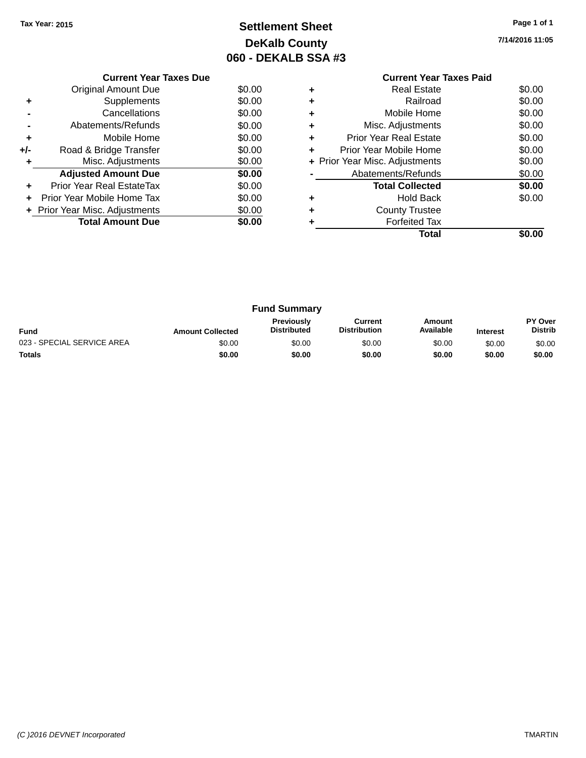## **Settlement Sheet Tax Year: 2015 Page 1 of 1 DeKalb County 060 - DEKALB SSA #3**

**7/14/2016 11:05**

|     | <b>Current Year Taxes Due</b>  |        |  |  |  |  |
|-----|--------------------------------|--------|--|--|--|--|
|     | Original Amount Due            | \$0.00 |  |  |  |  |
| ٠   | Supplements                    | \$0.00 |  |  |  |  |
|     | Cancellations                  | \$0.00 |  |  |  |  |
|     | \$0.00<br>Abatements/Refunds   |        |  |  |  |  |
| ÷   | Mobile Home                    | \$0.00 |  |  |  |  |
| +/- | Road & Bridge Transfer         | \$0.00 |  |  |  |  |
| ٠   | Misc. Adjustments              | \$0.00 |  |  |  |  |
|     | <b>Adjusted Amount Due</b>     | \$0.00 |  |  |  |  |
| ÷   | Prior Year Real EstateTax      | \$0.00 |  |  |  |  |
|     | Prior Year Mobile Home Tax     | \$0.00 |  |  |  |  |
|     | + Prior Year Misc. Adjustments | \$0.00 |  |  |  |  |
|     | <b>Total Amount Due</b>        | \$0.00 |  |  |  |  |
|     |                                |        |  |  |  |  |

# **Current Year Taxes Paid**

|   | Total                          | \$0.00 |
|---|--------------------------------|--------|
|   | <b>Forfeited Tax</b>           |        |
| ٠ | <b>County Trustee</b>          |        |
|   | <b>Hold Back</b>               | \$0.00 |
|   | <b>Total Collected</b>         | \$0.00 |
|   | Abatements/Refunds             | \$0.00 |
|   | + Prior Year Misc. Adjustments | \$0.00 |
|   | Prior Year Mobile Home         | \$0.00 |
| ٠ | <b>Prior Year Real Estate</b>  | \$0.00 |
|   | Misc. Adjustments              | \$0.00 |
|   | Mobile Home                    | \$0.00 |
| ٠ | Railroad                       | \$0.00 |
| ٠ | <b>Real Estate</b>             | \$0.00 |

| <b>Fund Summary</b>        |                         |                                         |                                |                     |                 |                           |
|----------------------------|-------------------------|-----------------------------------------|--------------------------------|---------------------|-----------------|---------------------------|
| <b>Fund</b>                | <b>Amount Collected</b> | <b>Previously</b><br><b>Distributed</b> | Current<br><b>Distribution</b> | Amount<br>Available | <b>Interest</b> | PY Over<br><b>Distrib</b> |
| 023 - SPECIAL SERVICE AREA | \$0.00                  | \$0.00                                  | \$0.00                         | \$0.00              | \$0.00          | \$0.00                    |
| <b>Totals</b>              | \$0.00                  | \$0.00                                  | \$0.00                         | \$0.00              | \$0.00          | \$0.00                    |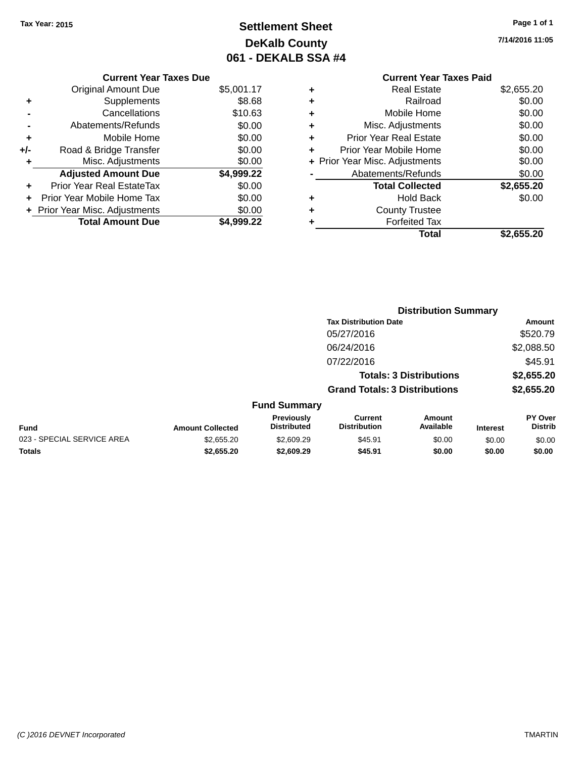## **Settlement Sheet Tax Year: 2015 Page 1 of 1 DeKalb County 061 - DEKALB SSA #4**

**7/14/2016 11:05**

## **Current Year Taxes Due** Original Amount Due \$5,001.17

|       | Supplements                    | \$8.68     |
|-------|--------------------------------|------------|
|       | Cancellations                  | \$10.63    |
|       | Abatements/Refunds             | \$0.00     |
| ÷     | Mobile Home                    | \$0.00     |
| $+/-$ | Road & Bridge Transfer         | \$0.00     |
| ٠     | Misc. Adjustments              | \$0.00     |
|       | <b>Adjusted Amount Due</b>     | \$4,999.22 |
|       | Prior Year Real EstateTax      | \$0.00     |
|       | Prior Year Mobile Home Tax     | \$0.00     |
|       | + Prior Year Misc. Adjustments | \$0.00     |
|       | <b>Total Amount Due</b>        | \$4,999.22 |

### **Current Year Taxes Paid +** Real Estate \$2,655.20 **+** Railroad \$0.00 **+** Mobile Home \$0.00 **+** Misc. Adjustments \$0.00 **+** Prior Year Real Estate \$0.00 **+** Prior Year Mobile Home \$0.00 **+ Prior Year Misc. Adjustments**  $$0.00$ **-** Abatements/Refunds \$0.00 **Total Collected \$2,655.20 +** Hold Back \$0.00 **+** County Trustee **+** Forfeited Tax **Total \$2,655.20**

|                            |                         |                                  | <b>Distribution Summary</b>           |                                |                 |                                  |
|----------------------------|-------------------------|----------------------------------|---------------------------------------|--------------------------------|-----------------|----------------------------------|
|                            |                         |                                  | <b>Tax Distribution Date</b>          |                                |                 | Amount                           |
|                            |                         |                                  | 05/27/2016                            |                                |                 | \$520.79                         |
|                            |                         |                                  | 06/24/2016                            |                                |                 | \$2,088.50                       |
|                            |                         |                                  | 07/22/2016                            |                                |                 | \$45.91                          |
|                            |                         |                                  |                                       | <b>Totals: 3 Distributions</b> |                 | \$2,655.20                       |
|                            |                         |                                  | <b>Grand Totals: 3 Distributions</b>  |                                |                 | \$2,655.20                       |
|                            |                         | <b>Fund Summary</b>              |                                       |                                |                 |                                  |
| Fund                       | <b>Amount Collected</b> | Previously<br><b>Distributed</b> | <b>Current</b><br><b>Distribution</b> | Amount<br>Available            | <b>Interest</b> | <b>PY Over</b><br><b>Distrib</b> |
| 023 - SPECIAL SERVICE AREA | \$2,655.20              | \$2,609.29                       | \$45.91                               | \$0.00                         | \$0.00          | \$0.00                           |
| <b>Totals</b>              | \$2,655.20              | \$2,609.29                       | \$45.91                               | \$0.00                         | \$0.00          | \$0.00                           |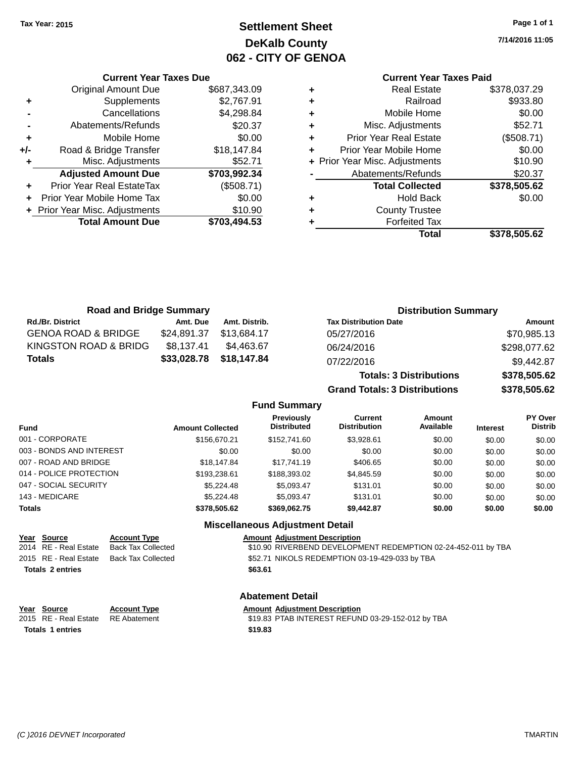## **Settlement Sheet Tax Year: 2015 Page 1 of 1 DeKalb County 062 - CITY OF GENOA**

**7/14/2016 11:05**

## **Current Year Taxes Paid**

|     | <b>Current Year Taxes Due</b>    |              |  |  |  |  |  |
|-----|----------------------------------|--------------|--|--|--|--|--|
|     | <b>Original Amount Due</b>       | \$687,343.09 |  |  |  |  |  |
| ٠   | Supplements                      | \$2,767.91   |  |  |  |  |  |
|     | \$4,298.84<br>Cancellations      |              |  |  |  |  |  |
|     | \$20.37<br>Abatements/Refunds    |              |  |  |  |  |  |
| ٠   | Mobile Home                      | \$0.00       |  |  |  |  |  |
| +/- | Road & Bridge Transfer           | \$18,147.84  |  |  |  |  |  |
| ٠   | Misc. Adjustments                | \$52.71      |  |  |  |  |  |
|     | <b>Adjusted Amount Due</b>       | \$703,992.34 |  |  |  |  |  |
|     | <b>Prior Year Real EstateTax</b> | (\$508.71)   |  |  |  |  |  |
| ÷   | Prior Year Mobile Home Tax       | \$0.00       |  |  |  |  |  |
|     | + Prior Year Misc. Adjustments   | \$10.90      |  |  |  |  |  |
|     | <b>Total Amount Due</b>          | \$703,494.53 |  |  |  |  |  |
|     |                                  |              |  |  |  |  |  |

| ٠ | <b>Real Estate</b>             | \$378,037.29 |
|---|--------------------------------|--------------|
| ٠ | Railroad                       | \$933.80     |
| ٠ | Mobile Home                    | \$0.00       |
| ٠ | Misc. Adjustments              | \$52.71      |
| ٠ | <b>Prior Year Real Estate</b>  | (\$508.71)   |
| ٠ | Prior Year Mobile Home         | \$0.00       |
|   | + Prior Year Misc. Adjustments | \$10.90      |
|   | Abatements/Refunds             | \$20.37      |
|   | <b>Total Collected</b>         | \$378,505.62 |
| ٠ | <b>Hold Back</b>               | \$0.00       |
| ٠ | <b>County Trustee</b>          |              |
| ٠ | <b>Forfeited Tax</b>           |              |
|   | Total                          | \$378,505.62 |
|   |                                |              |

**Grand Totals: 3 Distributions \$378,505.62**

| <b>Road and Bridge Summary</b> |             |               | <b>Distribution Summary</b>    |              |  |
|--------------------------------|-------------|---------------|--------------------------------|--------------|--|
| <b>Rd./Br. District</b>        | Amt. Due    | Amt. Distrib. | <b>Tax Distribution Date</b>   | Amount       |  |
| <b>GENOA ROAD &amp; BRIDGE</b> | \$24,891.37 | \$13.684.17   | 05/27/2016                     | \$70,985.13  |  |
| KINGSTON ROAD & BRIDG          | \$8,137.41  | \$4.463.67    | 06/24/2016                     | \$298,077.62 |  |
| <b>Totals</b>                  | \$33,028.78 | \$18,147.84   | 07/22/2016                     | \$9,442.87   |  |
|                                |             |               | <b>Totals: 3 Distributions</b> | \$378,505.62 |  |

**Fund Summary Fund Interest Amount Collected Distributed PY Over Distrib Amount Available Current Distribution Previously** 001 - CORPORATE \$156,670.21 \$152,741.60 \$3,928.61 \$0.00 \$0.00 \$0.00 003 - BONDS AND INTEREST  $$0.00$   $$0.00$   $$0.00$   $$0.00$   $$0.00$   $$0.00$   $$0.00$   $$0.00$ 007 - ROAD AND BRIDGE \$\$18,147.84 \$17,741.19 \$406.65 \$0.00 \$0.00 \$0.00 \$0.00 014 - POLICE PROTECTION \$193,238.61 \$188,393.02 \$4,845.59 \$0.00 \$0.00 \$0.00 \$0.00 047 - SOCIAL SECURITY \$5,224.48 \$5,093.47 \$131.01 \$0.00 \$0.00 \$0.00 \$0.00 143 - MEDICARE \$5,224.48 \$5,093.47 \$131.01 \$0.00 \$0.00 \$0.00 **Totals \$378,505.62 \$369,062.75 \$9,442.87 \$0.00 \$0.00 \$0.00**

### **Miscellaneous Adjustment Detail Year Source Account Type Amount Adjustment Description** 2014 RE - Real Estate Back Tax Collected \$10.90 RIVERBEND DEVELOPMENT REDEMPTION 02-24-452-011 by TBA 2015 RE - Real Estate Back Tax Collected \$52.71 NIKOLS REDEMPTION 03-19-429-033 by TBA **Totals \$63.61 2 entries**

**Year Source Account Type Amount Adjustment Description**

**Totals \$19.83 1 entries**

**Abatement Detail**

2015 RE - Real Estate RE Abatement \$19.83 PTAB INTEREST REFUND 03-29-152-012 by TBA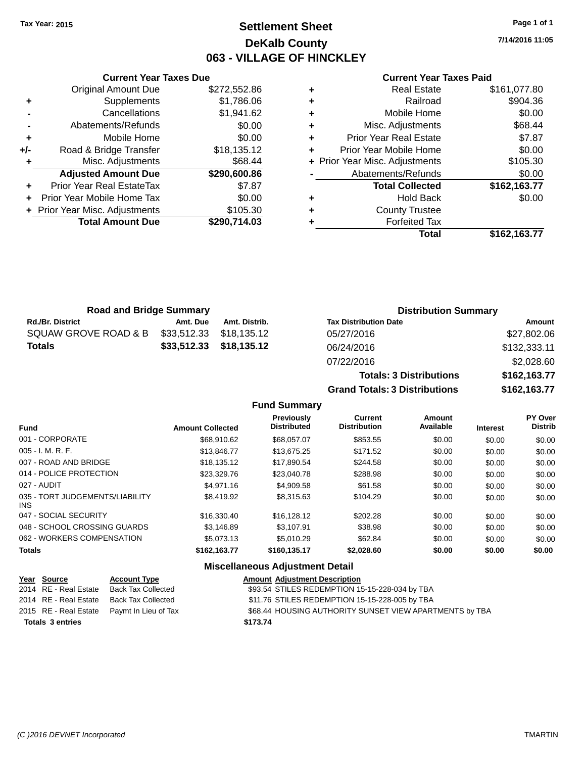## **Settlement Sheet Tax Year: 2015 Page 1 of 1 DeKalb County 063 - VILLAGE OF HINCKLEY**

**7/14/2016 11:05**

### **Current Year Taxes Paid**

|     | <b>Current Year Taxes Due</b>  |              |
|-----|--------------------------------|--------------|
|     | <b>Original Amount Due</b>     | \$272,552.86 |
| ٠   | Supplements                    | \$1,786.06   |
|     | Cancellations                  | \$1,941.62   |
|     | Abatements/Refunds             | \$0.00       |
| ٠   | Mobile Home                    | \$0.00       |
| +/- | Road & Bridge Transfer         | \$18,135.12  |
|     | Misc. Adjustments              | \$68.44      |
|     | <b>Adjusted Amount Due</b>     | \$290,600.86 |
| ٠   | Prior Year Real EstateTax      | \$7.87       |
|     | Prior Year Mobile Home Tax     | \$0.00       |
|     | + Prior Year Misc. Adjustments | \$105.30     |
|     | <b>Total Amount Due</b>        | \$290,714.03 |
|     |                                |              |

**Totals: 3 Distributions \$162,163.77**

**Grand Totals: 3 Distributions \$162,163.77**

| <b>Road and Bridge Summary</b> |          |                         | <b>Distribution Summary</b>  |              |  |
|--------------------------------|----------|-------------------------|------------------------------|--------------|--|
| <b>Rd./Br. District</b>        | Amt. Due | Amt. Distrib.           | <b>Tax Distribution Date</b> | Amount       |  |
| SQUAW GROVE ROAD & B           |          | \$33,512.33 \$18,135.12 | 05/27/2016                   | \$27,802.06  |  |
| <b>Totals</b>                  |          | \$33,512.33 \$18,135.12 | 06/24/2016                   | \$132,333.11 |  |
|                                |          |                         | 07/22/2016                   | \$2,028.60   |  |

### **Fund Summary**

| <b>Fund</b>                             | <b>Amount Collected</b> | Previously<br><b>Distributed</b> | Current<br><b>Distribution</b> | Amount<br>Available | <b>Interest</b> | <b>PY Over</b><br><b>Distrib</b> |
|-----------------------------------------|-------------------------|----------------------------------|--------------------------------|---------------------|-----------------|----------------------------------|
|                                         |                         |                                  |                                |                     |                 |                                  |
| 001 - CORPORATE                         | \$68,910.62             | \$68,057.07                      | \$853.55                       | \$0.00              | \$0.00          | \$0.00                           |
| $005 - I. M. R. F.$                     | \$13,846.77             | \$13,675.25                      | \$171.52                       | \$0.00              | \$0.00          | \$0.00                           |
| 007 - ROAD AND BRIDGE                   | \$18,135.12             | \$17,890.54                      | \$244.58                       | \$0.00              | \$0.00          | \$0.00                           |
| 014 - POLICE PROTECTION                 | \$23,329.76             | \$23,040.78                      | \$288.98                       | \$0.00              | \$0.00          | \$0.00                           |
| 027 - AUDIT                             | \$4,971.16              | \$4,909.58                       | \$61.58                        | \$0.00              | \$0.00          | \$0.00                           |
| 035 - TORT JUDGEMENTS/LIABILITY<br>INS. | \$8,419.92              | \$8,315.63                       | \$104.29                       | \$0.00              | \$0.00          | \$0.00                           |
| 047 - SOCIAL SECURITY                   | \$16,330.40             | \$16,128,12                      | \$202.28                       | \$0.00              | \$0.00          | \$0.00                           |
| 048 - SCHOOL CROSSING GUARDS            | \$3,146.89              | \$3.107.91                       | \$38.98                        | \$0.00              | \$0.00          | \$0.00                           |
| 062 - WORKERS COMPENSATION              | \$5,073.13              | \$5.010.29                       | \$62.84                        | \$0.00              | \$0.00          | \$0.00                           |
| <b>Totals</b>                           | \$162.163.77            | \$160,135,17                     | \$2,028.60                     | \$0.00              | \$0.00          | \$0.00                           |

| Year Source             | <b>Account Type</b>                        |          | <b>Amount Adjustment Description</b>                    |
|-------------------------|--------------------------------------------|----------|---------------------------------------------------------|
| 2014 RE - Real Estate   | <b>Back Tax Collected</b>                  |          | \$93.54 STILES REDEMPTION 15-15-228-034 by TBA          |
| 2014 RE - Real Estate   | Back Tax Collected                         |          | \$11.76 STILES REDEMPTION 15-15-228-005 by TBA          |
|                         | 2015 RE - Real Estate Paymt In Lieu of Tax |          | \$68.44 HOUSING AUTHORITY SUNSET VIEW APARTMENTS by TBA |
| <b>Totals 3 entries</b> |                                            | \$173.74 |                                                         |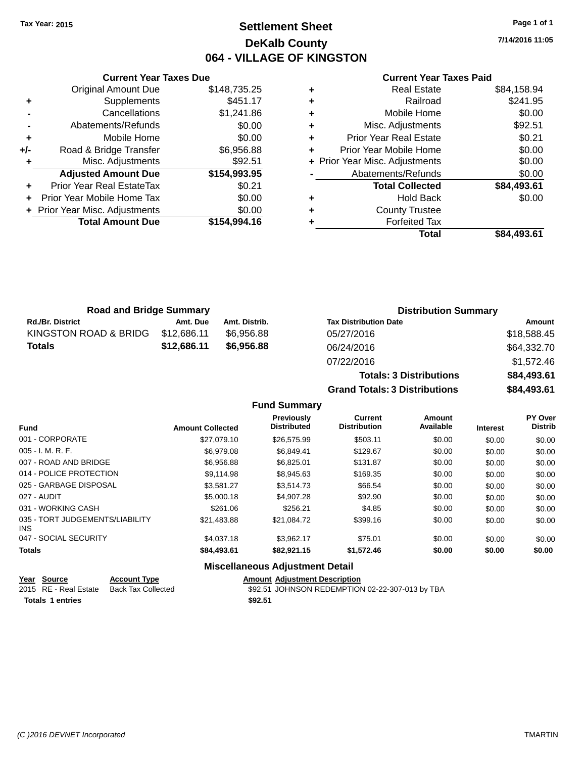## **Settlement Sheet Tax Year: 2015 Page 1 of 1 DeKalb County 064 - VILLAGE OF KINGSTON**

**7/14/2016 11:05**

|     | <b>Current Year Taxes Due</b>    |              |  |  |  |  |
|-----|----------------------------------|--------------|--|--|--|--|
|     | <b>Original Amount Due</b>       | \$148,735.25 |  |  |  |  |
| ÷   | Supplements                      | \$451.17     |  |  |  |  |
|     | Cancellations                    | \$1,241.86   |  |  |  |  |
|     | Abatements/Refunds               | \$0.00       |  |  |  |  |
| ٠   | Mobile Home                      | \$0.00       |  |  |  |  |
| +/- | Road & Bridge Transfer           | \$6,956.88   |  |  |  |  |
|     | Misc. Adjustments                | \$92.51      |  |  |  |  |
|     | <b>Adjusted Amount Due</b>       | \$154,993.95 |  |  |  |  |
| ÷   | <b>Prior Year Real EstateTax</b> | \$0.21       |  |  |  |  |
|     | Prior Year Mobile Home Tax       | \$0.00       |  |  |  |  |
|     | + Prior Year Misc. Adjustments   | \$0.00       |  |  |  |  |
|     | <b>Total Amount Due</b>          | \$154,994.16 |  |  |  |  |
|     |                                  |              |  |  |  |  |

### **Current Year Taxes Paid**

| \$241.95    |
|-------------|
| \$0.00      |
| \$92.51     |
| \$0.21      |
| \$0.00      |
| \$0.00      |
| \$0.00      |
| \$84,493.61 |
| \$0.00      |
|             |
|             |
| \$84,493.61 |
|             |

| <b>Road and Bridge Summary</b> |             |               | <b>Distribution Summary</b>    |             |  |
|--------------------------------|-------------|---------------|--------------------------------|-------------|--|
| <b>Rd./Br. District</b>        | Amt. Due    | Amt. Distrib. | <b>Tax Distribution Date</b>   | Amount      |  |
| KINGSTON ROAD & BRIDG          | \$12,686.11 | \$6,956.88    | 05/27/2016                     | \$18,588.45 |  |
| <b>Totals</b>                  | \$12,686.11 | \$6,956.88    | 06/24/2016                     | \$64,332.70 |  |
|                                |             |               | 07/22/2016                     | \$1.572.46  |  |
|                                |             |               | <b>Totals: 3 Distributions</b> | \$84,493.61 |  |

**Fund Summary**

**Grand Totals: 3 Distributions \$84,493.61**

| <b>Amount Collected</b> | Previously<br><b>Distributed</b> | <b>Current</b><br><b>Distribution</b> | <b>Amount</b><br>Available | <b>Interest</b> | <b>PY Over</b><br><b>Distrib</b> |
|-------------------------|----------------------------------|---------------------------------------|----------------------------|-----------------|----------------------------------|
| \$27.079.10             | \$26,575.99                      | \$503.11                              | \$0.00                     | \$0.00          | \$0.00                           |
| \$6,979.08              | \$6,849.41                       | \$129.67                              | \$0.00                     | \$0.00          | \$0.00                           |
| \$6,956.88              | \$6.825.01                       | \$131.87                              | \$0.00                     | \$0.00          | \$0.00                           |
| \$9,114.98              | \$8,945.63                       | \$169.35                              | \$0.00                     | \$0.00          | \$0.00                           |
| \$3.581.27              | \$3,514.73                       | \$66.54                               | \$0.00                     | \$0.00          | \$0.00                           |
| \$5,000.18              | \$4,907.28                       | \$92.90                               | \$0.00                     | \$0.00          | \$0.00                           |
| \$261.06                | \$256.21                         | \$4.85                                | \$0.00                     | \$0.00          | \$0.00                           |
| \$21,483.88             | \$21,084.72                      | \$399.16                              | \$0.00                     | \$0.00          | \$0.00                           |
| \$4,037.18              | \$3.962.17                       | \$75.01                               | \$0.00                     | \$0.00          | \$0.00                           |
| \$84,493.61             | \$82,921.15                      | \$1,572.46                            | \$0.00                     | \$0.00          | \$0.00                           |
|                         |                                  | .                                     |                            |                 |                                  |

| Year Source      | <b>Account Type</b>                      |         | <b>Amount Adiustment Description</b>            |
|------------------|------------------------------------------|---------|-------------------------------------------------|
|                  | 2015 RE - Real Estate Back Tax Collected |         | \$92.51 JOHNSON REDEMPTION 02-22-307-013 by TBA |
| Totals 1 entries |                                          | \$92.51 |                                                 |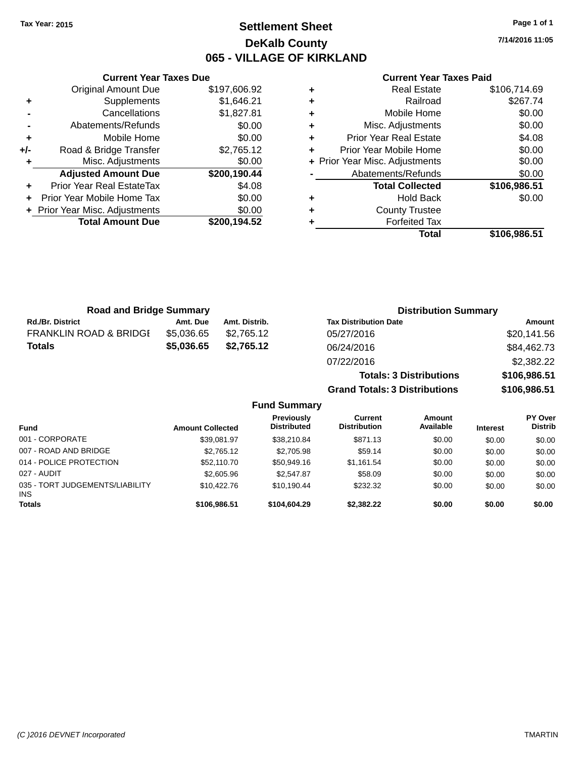## **Settlement Sheet Tax Year: 2015 Page 1 of 1 DeKalb County 065 - VILLAGE OF KIRKLAND**

**7/14/2016 11:05**

|     | <b>Current Year Taxes Due</b>    |              |  |  |  |
|-----|----------------------------------|--------------|--|--|--|
|     | <b>Original Amount Due</b>       | \$197,606.92 |  |  |  |
| ٠   | Supplements                      | \$1,646.21   |  |  |  |
|     | Cancellations                    | \$1,827.81   |  |  |  |
|     | Abatements/Refunds               | \$0.00       |  |  |  |
| ٠   | Mobile Home                      | \$0.00       |  |  |  |
| +/- | Road & Bridge Transfer           | \$2,765.12   |  |  |  |
| ٠   | Misc. Adjustments                | \$0.00       |  |  |  |
|     | <b>Adjusted Amount Due</b>       | \$200,190.44 |  |  |  |
| ÷   | <b>Prior Year Real EstateTax</b> | \$4.08       |  |  |  |
|     | Prior Year Mobile Home Tax       | \$0.00       |  |  |  |
|     | + Prior Year Misc. Adjustments   | \$0.00       |  |  |  |
|     | <b>Total Amount Due</b>          | \$200,194.52 |  |  |  |
|     |                                  |              |  |  |  |

### **Current Year Taxes Paid**

| ٠ | <b>Real Estate</b>             | \$106,714.69 |
|---|--------------------------------|--------------|
| ٠ | Railroad                       | \$267.74     |
| ٠ | Mobile Home                    | \$0.00       |
| ٠ | Misc. Adjustments              | \$0.00       |
| ٠ | <b>Prior Year Real Estate</b>  | \$4.08       |
| ٠ | Prior Year Mobile Home         | \$0.00       |
|   | + Prior Year Misc. Adjustments | \$0.00       |
|   | Abatements/Refunds             | \$0.00       |
|   | <b>Total Collected</b>         | \$106,986.51 |
| ٠ | Hold Back                      | \$0.00       |
| ٠ | <b>County Trustee</b>          |              |
| ٠ | <b>Forfeited Tax</b>           |              |
|   | Total                          | \$106,986.51 |
|   |                                |              |

**Grand Totals: 3 Distributions \$106,986.51**

| <b>Road and Bridge Summary</b>    |            |               | <b>Distribution Summary</b>    |              |  |
|-----------------------------------|------------|---------------|--------------------------------|--------------|--|
| <b>Rd./Br. District</b>           | Amt. Due   | Amt. Distrib. | <b>Tax Distribution Date</b>   | Amount       |  |
| <b>FRANKLIN ROAD &amp; BRIDGE</b> | \$5,036.65 | \$2.765.12    | 05/27/2016                     | \$20,141.56  |  |
| <b>Totals</b>                     | \$5,036.65 | \$2,765.12    | 06/24/2016                     | \$84,462.73  |  |
|                                   |            |               | 07/22/2016                     | \$2,382.22   |  |
|                                   |            |               | <b>Totals: 3 Distributions</b> | \$106,986.51 |  |

**Fund Summary Fund Interest Amount Collected Distributed PY Over Distrib Amount Available Current Distribution Previously** 001 - CORPORATE \$39,081.97 \$38,210.84 \$871.13 \$0.00 \$0.00 \$0.00 007 - ROAD AND BRIDGE 60.00 \$2,765.12 \$2,705.98 \$59.14 \$0.00 \$0.00 \$0.00 \$0.00 014 - POLICE PROTECTION \$52,110.70 \$50,949.16 \$1,161.54 \$0.00 \$0.00 \$0.00 \$0.00 027 - AUDIT \$2,605.96 \$2,547.87 \$58.09 \$0.00 \$0.00 \$0.00 035 - TORT JUDGEMENTS/LIABILITY INS \$10,422.76 \$10,190.44 \$232.32 \$0.00 \$0.00 \$0.00 **Totals \$106,986.51 \$104,604.29 \$2,382.22 \$0.00 \$0.00 \$0.00**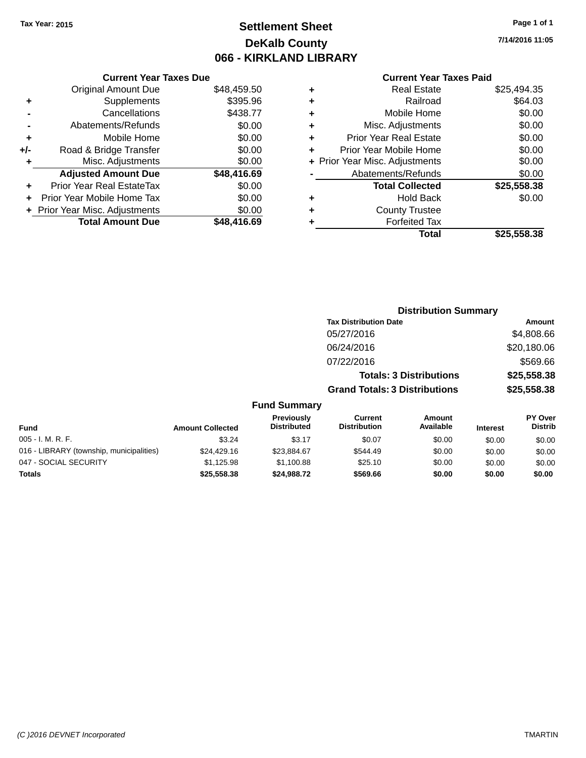## **Settlement Sheet Tax Year: 2015 Page 1 of 1 DeKalb County 066 - KIRKLAND LIBRARY**

**7/14/2016 11:05**

### **Current Year Taxes Paid**

|     | <b>Current Year Taxes Due</b> |             |
|-----|-------------------------------|-------------|
|     | <b>Original Amount Due</b>    | \$48,459.50 |
| ٠   | Supplements                   | \$395.96    |
|     | Cancellations                 | \$438.77    |
|     | Abatements/Refunds            | \$0.00      |
| ٠   | Mobile Home                   | \$0.00      |
| +/- | Road & Bridge Transfer        | \$0.00      |
| ٠   | Misc. Adjustments             | \$0.00      |
|     | <b>Adjusted Amount Due</b>    | \$48,416.69 |
| ÷   | Prior Year Real EstateTax     | \$0.00      |
| ÷   | Prior Year Mobile Home Tax    | \$0.00      |
|     | Prior Year Misc. Adjustments  | \$0.00      |
|     | <b>Total Amount Due</b>       | \$48,416.69 |

| ٠ | <b>Real Estate</b>             | \$25,494.35 |
|---|--------------------------------|-------------|
| ٠ | Railroad                       | \$64.03     |
| ٠ | Mobile Home                    | \$0.00      |
| ٠ | Misc. Adjustments              | \$0.00      |
| ٠ | <b>Prior Year Real Estate</b>  | \$0.00      |
| ٠ | Prior Year Mobile Home         | \$0.00      |
|   | + Prior Year Misc. Adjustments | \$0.00      |
|   | Abatements/Refunds             | \$0.00      |
|   | <b>Total Collected</b>         | \$25,558.38 |
| ٠ | <b>Hold Back</b>               | \$0.00      |
| ٠ | <b>County Trustee</b>          |             |
| ٠ | <b>Forfeited Tax</b>           |             |
|   | Total                          | \$25,558.38 |
|   |                                |             |

|               |                                         |                                       | <b>Distribution Summary</b>    |                 |                                  |
|---------------|-----------------------------------------|---------------------------------------|--------------------------------|-----------------|----------------------------------|
|               |                                         | <b>Tax Distribution Date</b>          |                                |                 | Amount                           |
|               |                                         | 05/27/2016                            |                                |                 | \$4,808.66                       |
|               |                                         | 06/24/2016                            |                                |                 | \$20,180.06                      |
|               |                                         | 07/22/2016                            |                                |                 | \$569.66                         |
|               |                                         |                                       | <b>Totals: 3 Distributions</b> |                 | \$25,558.38                      |
|               |                                         | <b>Grand Totals: 3 Distributions</b>  |                                |                 | \$25,558.38                      |
|               | <b>Fund Summary</b>                     |                                       |                                |                 |                                  |
| unt Collected | <b>Previously</b><br><b>Distributed</b> | <b>Current</b><br><b>Distribution</b> | Amount<br>Available            | <b>Interest</b> | <b>PY Over</b><br><b>Distrib</b> |
| \$3.24        | ደ3 17                                   | ደበ በ7                                 | <b>ደ</b> ስ ሰስ                  | ድስ ሰሰ           | ድስ ሰሰ                            |

| <b>Fund</b>                              | <b>Amount Collected</b> | i i gvivuðiv<br><b>Distributed</b> | <u>wurvon v</u><br><b>Distribution</b> | <u>Alivulit</u><br>Available | <b>Interest</b> | .<br><b>Distrib</b> |
|------------------------------------------|-------------------------|------------------------------------|----------------------------------------|------------------------------|-----------------|---------------------|
| $005 - I. M. R. F.$                      | \$3.24                  | \$3.17                             | \$0.07                                 | \$0.00                       | \$0.00          | \$0.00              |
| 016 - LIBRARY (township, municipalities) | \$24,429.16             | \$23.884.67                        | \$544.49                               | \$0.00                       | \$0.00          | \$0.00              |
| 047 - SOCIAL SECURITY                    | \$1.125.98              | \$1,100.88                         | \$25.10                                | \$0.00                       | \$0.00          | \$0.00              |
| <b>Totals</b>                            | \$25,558.38             | \$24,988,72                        | \$569.66                               | \$0.00                       | \$0.00          | \$0.00              |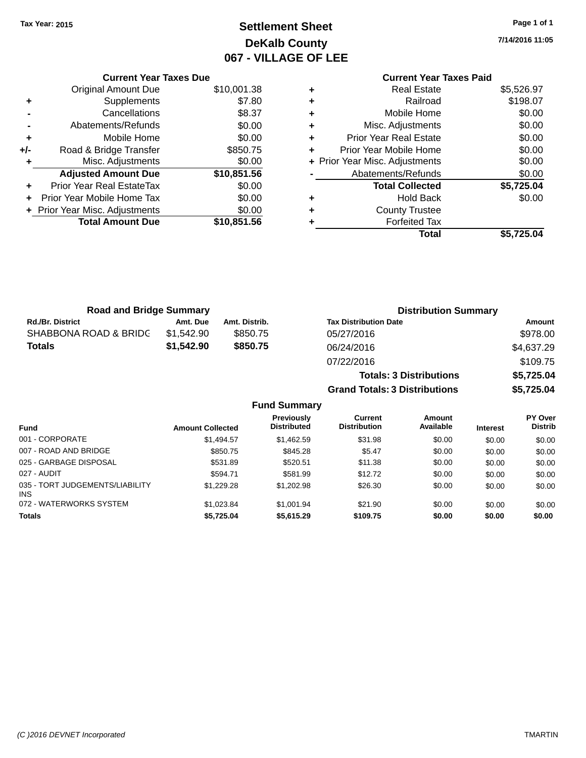**Current Year Taxes Due** Original Amount Due \$10,001.38

**Adjusted Amount Due \$10,851.56**

**Total Amount Due \$10,851.56**

**+** Supplements \$7.80 **-** Cancellations \$8.37 **-** Abatements/Refunds \$0.00 **+** Mobile Home \$0.00 **+/-** Road & Bridge Transfer \$850.75 **+** Misc. Adjustments \$0.00

**+** Prior Year Real EstateTax \$0.00 **+** Prior Year Mobile Home Tax \$0.00 **+ Prior Year Misc. Adjustments**  $$0.00$ 

## **Settlement Sheet Tax Year: 2015 Page 1 of 1 DeKalb County 067 - VILLAGE OF LEE**

**7/14/2016 11:05**

### **Current Year Taxes Paid +** Real Estate \$5,526.97 **+** Railroad \$198.07 **+** Mobile Home \$0.00 **+** Misc. Adjustments \$0.00 **+** Prior Year Real Estate \$0.00 **+** Prior Year Mobile Home \$0.00 **+** Prior Year Misc. Adjustments  $$0.00$ Abatements/Refunds \$0.00 **Total Collected \$5,725.04 +** Hold Back \$0.00 **+** County Trustee **+** Forfeited Tax **Total \$5,725.04**

| <b>Road and Bridge Summary</b> |            |               | <b>Distribution Summary</b>    |               |
|--------------------------------|------------|---------------|--------------------------------|---------------|
| Rd./Br. District               | Amt. Due   | Amt. Distrib. | <b>Tax Distribution Date</b>   | <b>Amount</b> |
| SHABBONA ROAD & BRIDC          | \$1,542.90 | \$850.75      | 05/27/2016                     | \$978.00      |
| Totals                         | \$1,542.90 | \$850.75      | 06/24/2016                     | \$4,637.29    |
|                                |            |               | 07/22/2016                     | \$109.75      |
|                                |            |               | <b>Totals: 3 Distributions</b> | \$5,725.04    |

**Grand Totals: 3 Distributions \$5,725.04**

### **Fund Summary**

| <b>Fund</b>                                   | <b>Amount Collected</b> | <b>Previously</b><br><b>Distributed</b> | Current<br><b>Distribution</b> | Amount<br>Available | <b>Interest</b> | <b>PY Over</b><br><b>Distrib</b> |
|-----------------------------------------------|-------------------------|-----------------------------------------|--------------------------------|---------------------|-----------------|----------------------------------|
| 001 - CORPORATE                               | \$1,494.57              | \$1,462.59                              | \$31.98                        | \$0.00              | \$0.00          | \$0.00                           |
| 007 - ROAD AND BRIDGE                         | \$850.75                | \$845.28                                | \$5.47                         | \$0.00              | \$0.00          | \$0.00                           |
| 025 - GARBAGE DISPOSAL                        | \$531.89                | \$520.51                                | \$11.38                        | \$0.00              | \$0.00          | \$0.00                           |
| 027 - AUDIT                                   | \$594.71                | \$581.99                                | \$12.72                        | \$0.00              | \$0.00          | \$0.00                           |
| 035 - TORT JUDGEMENTS/LIABILITY<br><b>INS</b> | \$1,229.28              | \$1,202.98                              | \$26.30                        | \$0.00              | \$0.00          | \$0.00                           |
| 072 - WATERWORKS SYSTEM                       | \$1,023.84              | \$1,001.94                              | \$21.90                        | \$0.00              | \$0.00          | \$0.00                           |
| <b>Totals</b>                                 | \$5,725.04              | \$5,615.29                              | \$109.75                       | \$0.00              | \$0.00          | \$0.00                           |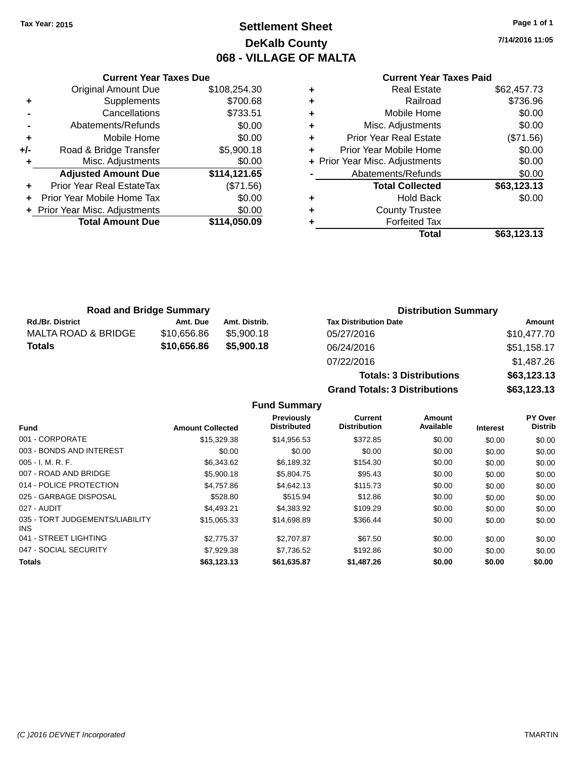## **Settlement Sheet Tax Year: 2015 Page 1 of 1 DeKalb County 068 - VILLAGE OF MALTA**

**7/14/2016 11:05**

### **Current Year Taxes Paid**

|     | <b>Current Year Taxes Due</b>    |              |
|-----|----------------------------------|--------------|
|     | <b>Original Amount Due</b>       | \$108,254.30 |
| ٠   | Supplements                      | \$700.68     |
|     | Cancellations                    | \$733.51     |
|     | Abatements/Refunds               | \$0.00       |
| ٠   | Mobile Home                      | \$0.00       |
| +/- | Road & Bridge Transfer           | \$5,900.18   |
|     | Misc. Adjustments                | \$0.00       |
|     | <b>Adjusted Amount Due</b>       | \$114,121.65 |
|     | <b>Prior Year Real EstateTax</b> | (\$71.56)    |
|     | Prior Year Mobile Home Tax       | \$0.00       |
|     | + Prior Year Misc. Adjustments   | \$0.00       |
|     | <b>Total Amount Due</b>          | \$114,050.09 |
|     |                                  |              |

|   | <b>Real Estate</b>             | \$62,457.73 |
|---|--------------------------------|-------------|
| ٠ | Railroad                       | \$736.96    |
| ٠ | Mobile Home                    | \$0.00      |
| ٠ | Misc. Adjustments              | \$0.00      |
| ٠ | <b>Prior Year Real Estate</b>  | (\$71.56)   |
| ٠ | Prior Year Mobile Home         | \$0.00      |
|   | + Prior Year Misc. Adjustments | \$0.00      |
|   | Abatements/Refunds             | \$0.00      |
|   | <b>Total Collected</b>         | \$63,123.13 |
| ٠ | <b>Hold Back</b>               | \$0.00      |
| ٠ | <b>County Trustee</b>          |             |
| ٠ | <b>Forfeited Tax</b>           |             |
|   | Total                          | \$63,123.13 |
|   |                                |             |

| <b>Road and Bridge Summary</b> |             |               | <b>Distribution Summary</b>  |             |  |
|--------------------------------|-------------|---------------|------------------------------|-------------|--|
| <b>Rd./Br. District</b>        | Amt. Due    | Amt. Distrib. | <b>Tax Distribution Date</b> | Amount      |  |
| MALTA ROAD & BRIDGE            | \$10.656.86 | \$5.900.18    | 05/27/2016                   | \$10,477.70 |  |
| Totals                         | \$10,656.86 | \$5,900.18    | 06/24/2016                   | \$51,158.17 |  |
|                                |             |               | 07/22/204C                   | 0.4.070c    |  |

|                     | 07/22/2016                           |             | \$1,487.26     |
|---------------------|--------------------------------------|-------------|----------------|
|                     | <b>Totals: 3 Distributions</b>       | \$63,123.13 |                |
|                     | <b>Grand Totals: 3 Distributions</b> | \$63,123.13 |                |
| <b>Fund Summary</b> |                                      |             |                |
| Proviously          | $C$ urrant                           | Amount      | <b>PY Over</b> |

| <b>Fund</b>                             | <b>Amount Collected</b> | Previously<br><b>Distributed</b> | <b>Current</b><br><b>Distribution</b> | Amount<br>Available | <b>Interest</b> | <b>PY Over</b><br><b>Distrib</b> |
|-----------------------------------------|-------------------------|----------------------------------|---------------------------------------|---------------------|-----------------|----------------------------------|
| 001 - CORPORATE                         | \$15,329.38             | \$14.956.53                      | \$372.85                              | \$0.00              | \$0.00          | \$0.00                           |
| 003 - BONDS AND INTEREST                | \$0.00                  | \$0.00                           | \$0.00                                | \$0.00              | \$0.00          | \$0.00                           |
| $005 - I. M. R. F.$                     | \$6,343.62              | \$6,189.32                       | \$154.30                              | \$0.00              | \$0.00          | \$0.00                           |
| 007 - ROAD AND BRIDGE                   | \$5,900.18              | \$5,804.75                       | \$95.43                               | \$0.00              | \$0.00          | \$0.00                           |
| 014 - POLICE PROTECTION                 | \$4.757.86              | \$4,642.13                       | \$115.73                              | \$0.00              | \$0.00          | \$0.00                           |
| 025 - GARBAGE DISPOSAL                  | \$528.80                | \$515.94                         | \$12.86                               | \$0.00              | \$0.00          | \$0.00                           |
| 027 - AUDIT                             | \$4.493.21              | \$4,383.92                       | \$109.29                              | \$0.00              | \$0.00          | \$0.00                           |
| 035 - TORT JUDGEMENTS/LIABILITY<br>INS. | \$15,065.33             | \$14,698.89                      | \$366.44                              | \$0.00              | \$0.00          | \$0.00                           |
| 041 - STREET LIGHTING                   | \$2,775.37              | \$2,707.87                       | \$67.50                               | \$0.00              | \$0.00          | \$0.00                           |
| 047 - SOCIAL SECURITY                   | \$7.929.38              | \$7.736.52                       | \$192.86                              | \$0.00              | \$0.00          | \$0.00                           |
| <b>Totals</b>                           | \$63.123.13             | \$61,635.87                      | \$1,487.26                            | \$0.00              | \$0.00          | \$0.00                           |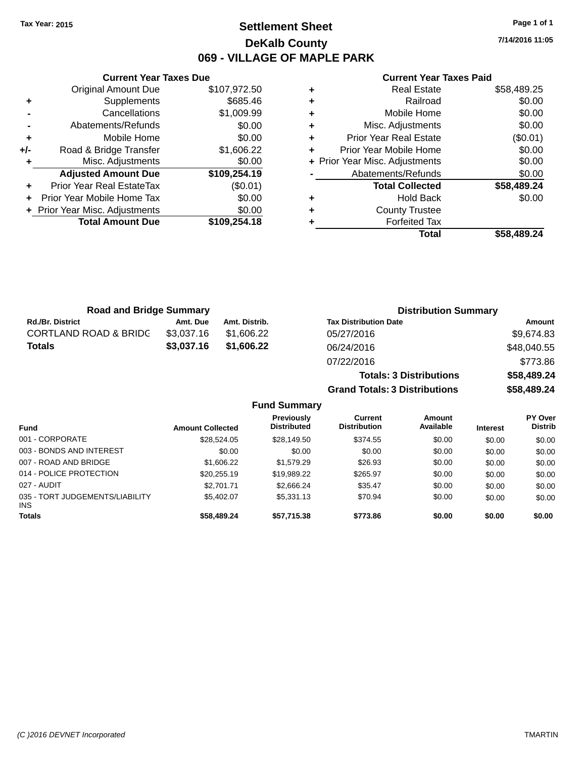## **Settlement Sheet Tax Year: 2015 Page 1 of 1 DeKalb County 069 - VILLAGE OF MAPLE PARK**

**7/14/2016 11:05**

### **Current Year Taxes Paid**

|       | <b>Current Year Taxes Due</b>  |              |
|-------|--------------------------------|--------------|
|       | <b>Original Amount Due</b>     | \$107,972.50 |
| ٠     | Supplements                    | \$685.46     |
|       | Cancellations                  | \$1,009.99   |
|       | Abatements/Refunds             | \$0.00       |
| ٠     | Mobile Home                    | \$0.00       |
| $+/-$ | Road & Bridge Transfer         | \$1,606.22   |
|       | Misc. Adjustments              | \$0.00       |
|       | <b>Adjusted Amount Due</b>     | \$109,254.19 |
| ÷     | Prior Year Real EstateTax      | (\$0.01)     |
|       | Prior Year Mobile Home Tax     | \$0.00       |
|       | + Prior Year Misc. Adjustments | \$0.00       |
|       | <b>Total Amount Due</b>        | \$109,254.18 |
|       |                                |              |

|   | <b>Real Estate</b>             | \$58,489.25 |
|---|--------------------------------|-------------|
| ٠ | Railroad                       | \$0.00      |
| ٠ | Mobile Home                    | \$0.00      |
| ٠ | Misc. Adjustments              | \$0.00      |
| ٠ | <b>Prior Year Real Estate</b>  | (\$0.01)    |
| ٠ | Prior Year Mobile Home         | \$0.00      |
|   | + Prior Year Misc. Adjustments | \$0.00      |
|   | Abatements/Refunds             | \$0.00      |
|   | <b>Total Collected</b>         | \$58,489.24 |
| ٠ | <b>Hold Back</b>               | \$0.00      |
| ٠ | <b>County Trustee</b>          |             |
|   | <b>Forfeited Tax</b>           |             |
|   | Total                          | \$58,489.24 |

**Totals: 3 Distributions \$58,489.24**

**Grand Totals: 3 Distributions \$58,489.24**

| <b>Road and Bridge Summary</b>   |            |               | <b>Distribution Summary</b>  |             |  |
|----------------------------------|------------|---------------|------------------------------|-------------|--|
| <b>Rd./Br. District</b>          | Amt. Due   | Amt. Distrib. | <b>Tax Distribution Date</b> | Amount      |  |
| <b>CORTLAND ROAD &amp; BRIDC</b> | \$3.037.16 | \$1.606.22    | 05/27/2016                   | \$9,674.83  |  |
| Totals                           | \$3,037.16 | \$1.606.22    | 06/24/2016                   | \$48,040.55 |  |
|                                  |            |               | 07/22/2016                   | \$773.86    |  |

|                                        |                         | <b>Fund Summary</b>                     |                                |                     |                 |                                  |
|----------------------------------------|-------------------------|-----------------------------------------|--------------------------------|---------------------|-----------------|----------------------------------|
| Fund                                   | <b>Amount Collected</b> | <b>Previously</b><br><b>Distributed</b> | Current<br><b>Distribution</b> | Amount<br>Available | <b>Interest</b> | <b>PY Over</b><br><b>Distrib</b> |
| 001 - CORPORATE                        | \$28,524.05             | \$28,149.50                             | \$374.55                       | \$0.00              | \$0.00          | \$0.00                           |
| 003 - BONDS AND INTEREST               | \$0.00                  | \$0.00                                  | \$0.00                         | \$0.00              | \$0.00          | \$0.00                           |
| 007 - ROAD AND BRIDGE                  | \$1,606.22              | \$1,579.29                              | \$26.93                        | \$0.00              | \$0.00          | \$0.00                           |
| 014 - POLICE PROTECTION                | \$20,255.19             | \$19,989.22                             | \$265.97                       | \$0.00              | \$0.00          | \$0.00                           |
| 027 - AUDIT                            | \$2,701.71              | \$2,666.24                              | \$35.47                        | \$0.00              | \$0.00          | \$0.00                           |
| 035 - TORT JUDGEMENTS/LIABILITY<br>INS | \$5,402.07              | \$5,331.13                              | \$70.94                        | \$0.00              | \$0.00          | \$0.00                           |
| Totals                                 | \$58,489.24             | \$57,715.38                             | \$773.86                       | \$0.00              | \$0.00          | \$0.00                           |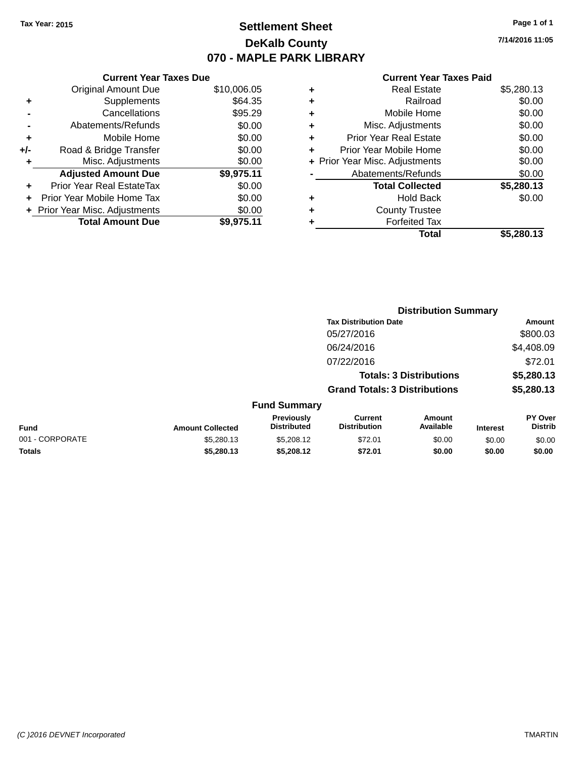## **Settlement Sheet Tax Year: 2015 Page 1 of 1 DeKalb County 070 - MAPLE PARK LIBRARY**

**7/14/2016 11:05**

### **Current Year Taxes Paid**

|     | <b>Current Year Taxes Due</b>  |             |
|-----|--------------------------------|-------------|
|     | <b>Original Amount Due</b>     | \$10,006.05 |
| ٠   | Supplements                    | \$64.35     |
|     | Cancellations                  | \$95.29     |
|     | Abatements/Refunds             | \$0.00      |
| ٠   | Mobile Home                    | \$0.00      |
| +/- | Road & Bridge Transfer         | \$0.00      |
| ٠   | Misc. Adjustments              | \$0.00      |
|     | <b>Adjusted Amount Due</b>     | \$9,975.11  |
| ٠   | Prior Year Real EstateTax      | \$0.00      |
| ÷   | Prior Year Mobile Home Tax     | \$0.00      |
|     | + Prior Year Misc. Adjustments | \$0.00      |
|     | <b>Total Amount Due</b>        | \$9.975.11  |

|   | <b>Real Estate</b>             | \$5,280.13 |
|---|--------------------------------|------------|
| ٠ | Railroad                       | \$0.00     |
| ٠ | Mobile Home                    | \$0.00     |
| ٠ | Misc. Adjustments              | \$0.00     |
| ٠ | <b>Prior Year Real Estate</b>  | \$0.00     |
| ÷ | Prior Year Mobile Home         | \$0.00     |
|   | + Prior Year Misc. Adjustments | \$0.00     |
|   | Abatements/Refunds             | \$0.00     |
|   | <b>Total Collected</b>         | \$5,280.13 |
| ٠ | <b>Hold Back</b>               | \$0.00     |
|   | <b>County Trustee</b>          |            |
| ٠ | <b>Forfeited Tax</b>           |            |
|   | Total                          | \$5,280.13 |
|   |                                |            |

|                 |                         |                                  | <b>Distribution Summary</b>           |                                |                 |                                  |
|-----------------|-------------------------|----------------------------------|---------------------------------------|--------------------------------|-----------------|----------------------------------|
|                 |                         |                                  | <b>Tax Distribution Date</b>          |                                |                 | Amount                           |
|                 |                         |                                  | 05/27/2016                            |                                |                 | \$800.03                         |
|                 |                         |                                  | 06/24/2016                            |                                |                 | \$4,408.09                       |
|                 |                         |                                  | 07/22/2016                            |                                |                 | \$72.01                          |
|                 |                         |                                  |                                       | <b>Totals: 3 Distributions</b> |                 | \$5,280.13                       |
|                 |                         |                                  | <b>Grand Totals: 3 Distributions</b>  |                                |                 | \$5,280.13                       |
|                 |                         | <b>Fund Summary</b>              |                                       |                                |                 |                                  |
| Fund            | <b>Amount Collected</b> | Previously<br><b>Distributed</b> | <b>Current</b><br><b>Distribution</b> | Amount<br>Available            | <b>Interest</b> | <b>PY Over</b><br><b>Distrib</b> |
| 001 - CORPORATE | \$5,280.13              | \$5,208.12                       | \$72.01                               | \$0.00                         | \$0.00          | \$0.00                           |
| <b>Totals</b>   | \$5,280.13              | \$5,208.12                       | \$72.01                               | \$0.00                         | \$0.00          | \$0.00                           |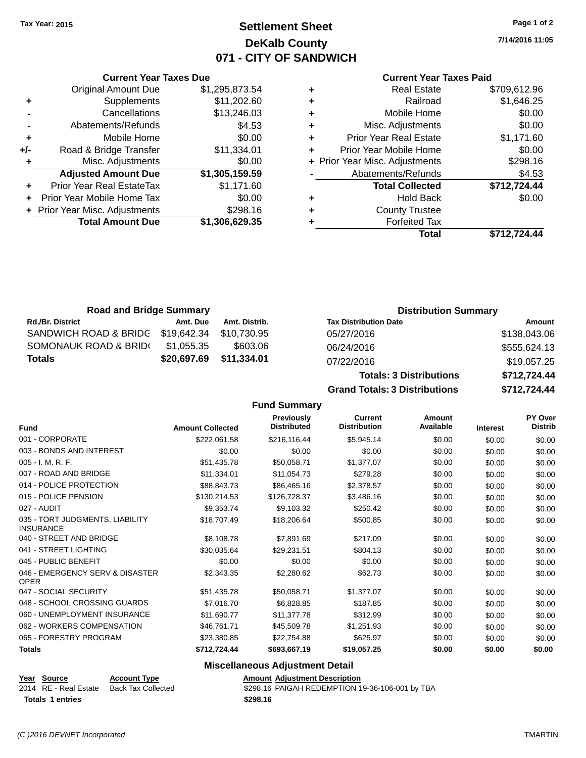**Current Year Taxes Due** Original Amount Due \$1,295,873.54

**Adjusted Amount Due \$1,305,159.59**

**Total Amount Due \$1,306,629.35**

**-** Cancellations \$13,246.03

**+** Supplements \$11,202.60

**-** Abatements/Refunds **\$4.53 +** Mobile Home \$0.00 **+/-** Road & Bridge Transfer \$11,334.01 **+** Misc. Adjustments \$0.00

**+** Prior Year Real EstateTax \$1,171.60 **+** Prior Year Mobile Home Tax \$0.00 **+** Prior Year Misc. Adjustments \$298.16

## **Settlement Sheet Tax Year: 2015 Page 1 of 2 DeKalb County 071 - CITY OF SANDWICH**

**7/14/2016 11:05**

### **Current Year Taxes Paid**

| Total                          | \$712.724.44 |
|--------------------------------|--------------|
| <b>Forfeited Tax</b>           |              |
| <b>County Trustee</b>          |              |
| <b>Hold Back</b>               | \$0.00       |
| <b>Total Collected</b>         | \$712,724.44 |
| Abatements/Refunds             | \$4.53       |
| + Prior Year Misc. Adjustments | \$298.16     |
| Prior Year Mobile Home         | \$0.00       |
| <b>Prior Year Real Estate</b>  | \$1,171.60   |
| Misc. Adjustments              | \$0.00       |
| Mobile Home                    | \$0.00       |
| Railroad                       | \$1,646.25   |
| Real Estate                    | \$709,612.96 |
|                                |              |

| <b>Road and Bridge Summary</b> |             |               | <b>Distribution Summary</b>    |              |  |
|--------------------------------|-------------|---------------|--------------------------------|--------------|--|
| <b>Rd./Br. District</b>        | Amt. Due    | Amt. Distrib. | <b>Tax Distribution Date</b>   | Amount       |  |
| SANDWICH ROAD & BRIDG          | \$19.642.34 | \$10.730.95   | 05/27/2016                     | \$138,043.06 |  |
| SOMONAUK ROAD & BRIDI          | \$1,055.35  | \$603.06      | 06/24/2016                     | \$555,624.13 |  |
| <b>Totals</b>                  | \$20,697.69 | \$11,334.01   | 07/22/2016                     | \$19,057.25  |  |
|                                |             |               | <b>Totals: 3 Distributions</b> | \$712,724.44 |  |

**Grand Totals: 3 Distributions \$712,724.44 Fund Summary Fund Interest Amount Collected Distributed PY Over Distrib Amount Available Current Distribution Previously** 001 - CORPORATE \$222,061.58 \$216,116.44 \$5,945.14 \$0.00 \$0.00 \$0.00 003 - BONDS AND INTEREST  $$0.00$   $$0.00$   $$0.00$   $$0.00$   $$0.00$   $$0.00$   $$0.00$   $$0.00$ 005 - I. M. R. F. \$51,435.78 \$50,058.71 \$1,377.07 \$0.00 \$0.00 \$0.00 007 - ROAD AND BRIDGE \$11,334.01 \$11,054.73 \$279.28 \$0.00 \$0.00 \$0.00 \$0.00 014 - POLICE PROTECTION **\$88,843.73** \$86,465.16 \$2,378.57 \$0.00 \$0.00 \$0.00 \$0.00 015 - POLICE PENSION \$130,214.53 \$126,728.37 \$3,486.16 \$0.00 \$0.00 \$0.00 \$0.00 027 - AUDIT \$9,353.74 \$9,103.32 \$250.42 \$0.00 \$0.00 \$0.00 035 - TORT JUDGMENTS, LIABILITY INSURANCE \$18,707.49 \$18,206.64 \$500.85 \$0.00 \$0.00 \$0.00 040 - STREET AND BRIDGE 68,108.78 \$8,108.78 \$7,891.69 \$217.09 \$0.00 \$0.00 \$0.00 \$0.00 041 - STREET LIGHTING \$30,035.64 \$29,231.51 \$804.13 \$0.00 \$0.00 \$0.00 045 - PUBLIC BENEFIT \$0.00 \$0.00 \$0.00 \$0.00 \$0.00 \$0.00 046 - EMERGENCY SERV & DISASTER \$2,343.35 \$2,280.62 \$62.73 \$0.00 \$0.00 \$0.00 047 - SOCIAL SECURITY \$51,435.78 \$50,058.71 \$1,377.07 \$0,00 \$0,00 \$0,00 \$0,00 048 - SCHOOL CROSSING GUARDS \$7,016.70 \$6,828.85 \$187.85 \$0.00 \$0.00 \$0.00 060 - UNEMPLOYMENT INSURANCE \$11,690.77 \$11,377.78 \$312.99 \$0.00 \$0.00 \$0.00 062 - WORKERS COMPENSATION \$46,761.71 \$45,509.78 \$1,251.93 \$0.00 \$0.00 \$0.00 \$0.00 065 - FORESTRY PROGRAM \$23,380.85 \$22,754.88 \$625.97 \$0.00 \$0.00 \$0.00 **Totals \$712,724.44 \$693,667.19 \$19,057.25 \$0.00 \$0.00 \$0.00**

### **Miscellaneous Adjustment Detail**

| Year Source           | <b>Account Type</b> | <b>Amount Adiustment Description</b>            |
|-----------------------|---------------------|-------------------------------------------------|
| 2014 RE - Real Estate | Back Tax Collected  | \$298.16 PAIGAH REDEMPTION 19-36-106-001 by TBA |
| Totals 1 entries      |                     | \$298.16                                        |

OPER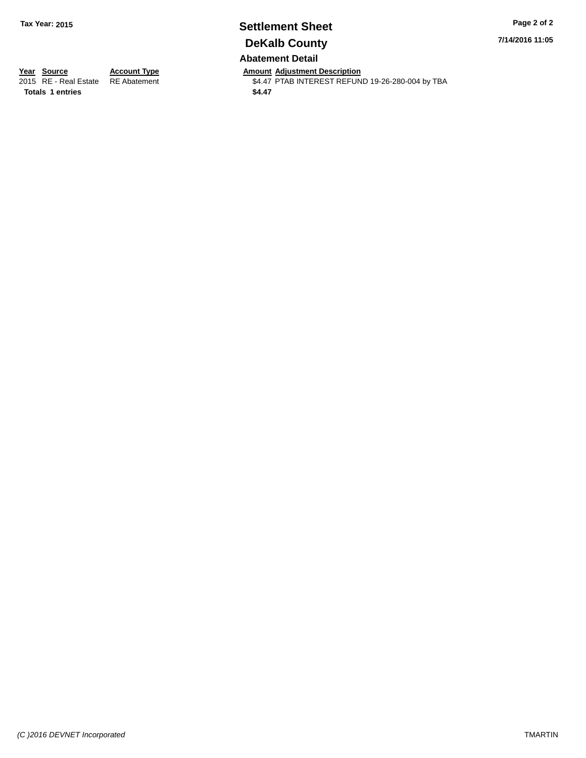## **Settlement Sheet Tax Year: 2015 Page 2 of 2 DeKalb County Abatement Detail**

**7/14/2016 11:05**

Totals 1 entries \$4.47

**Year Source Account Type And Amount Adjustment Description**<br>2015 RE - Real Estate RE Abatement **Amount Adjustment CEL** \$4.47 PTAB INTEREST REFUND 19-26-280-004 by TBA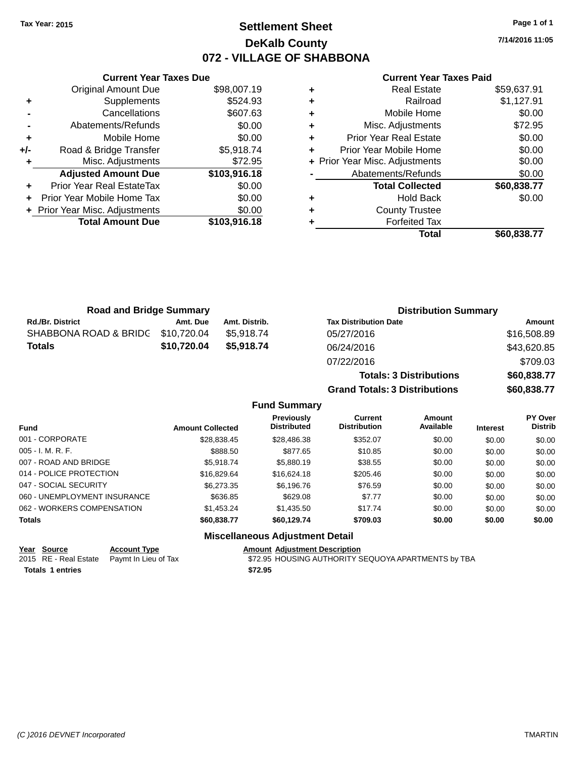## **Settlement Sheet Tax Year: 2015 Page 1 of 1 DeKalb County 072 - VILLAGE OF SHABBONA**

**7/14/2016 11:05**

|     | <b>Current Year Taxes Due</b>  |              |
|-----|--------------------------------|--------------|
|     | <b>Original Amount Due</b>     | \$98,007.19  |
| ٠   | Supplements                    | \$524.93     |
|     | Cancellations                  | \$607.63     |
|     | Abatements/Refunds             | \$0.00       |
| ٠   | Mobile Home                    | \$0.00       |
| +/- | Road & Bridge Transfer         | \$5,918.74   |
|     | Misc. Adjustments              | \$72.95      |
|     | <b>Adjusted Amount Due</b>     | \$103,916.18 |
|     | Prior Year Real EstateTax      | \$0.00       |
|     | Prior Year Mobile Home Tax     | \$0.00       |
|     | + Prior Year Misc. Adjustments | \$0.00       |
|     | <b>Total Amount Due</b>        | \$103,916.18 |
|     |                                |              |

### **Current Year Taxes Paid**

|   | <b>Real Estate</b>             | \$59,637.91 |
|---|--------------------------------|-------------|
| ٠ | Railroad                       | \$1,127.91  |
| ٠ | Mobile Home                    | \$0.00      |
| ٠ | Misc. Adjustments              | \$72.95     |
| ٠ | <b>Prior Year Real Estate</b>  | \$0.00      |
| ٠ | Prior Year Mobile Home         | \$0.00      |
|   | + Prior Year Misc. Adjustments | \$0.00      |
|   | Abatements/Refunds             | \$0.00      |
|   | <b>Total Collected</b>         | \$60,838.77 |
| ٠ | <b>Hold Back</b>               | \$0.00      |
| ٠ | <b>County Trustee</b>          |             |
| ٠ | <b>Forfeited Tax</b>           |             |
|   | Total                          | \$60,838.77 |
|   |                                |             |

**Totals: 3 Distributions \$60,838.77**

**Grand Totals: 3 Distributions \$60,838.77**

| <b>Road and Bridge Summary</b> |             |               | <b>Distribution Summary</b>  |             |  |
|--------------------------------|-------------|---------------|------------------------------|-------------|--|
| <b>Rd./Br. District</b>        | Amt. Due    | Amt. Distrib. | <b>Tax Distribution Date</b> | Amount      |  |
| SHABBONA ROAD & BRIDG          | \$10,720.04 | \$5.918.74    | 05/27/2016                   | \$16,508.89 |  |
| Totals                         | \$10,720.04 | \$5,918.74    | 06/24/2016                   | \$43,620.85 |  |
|                                |             |               | 07/22/2016                   | \$709.03    |  |

### **Fund Summary Fund Interest Amount Collected Distributed PY Over Distrib Amount Available Current Distribution Previously** 001 - CORPORATE \$28,838.45 \$28,486.38 \$352.07 \$0.00 \$0.00 \$0.00 005 - I. M. R. F. \$888.50 \$877.65 \$10.85 \$0.00 \$0.00 \$0.00 007 - ROAD AND BRIDGE \$5,918.74 \$5,880.19 \$0.00 \$0.00 \$0.00 \$0.00 \$0.00 014 - POLICE PROTECTION \$16,829.64 \$16,624.18 \$205.46 \$0.00 \$0.00 \$0.00 \$0.00 047 - SOCIAL SECURITY \$6,273.35 \$6,196.76 \$76.59 \$0.00 \$0.00 \$0.00 060 - UNEMPLOYMENT INSURANCE \$636.85 \$629.08 \$7.77 \$0.00 \$0.00 \$0.00 \$0.00 062 - WORKERS COMPENSATION \$1,453.24 \$1,435.50 \$17.74 \$0.00 \$0.00 \$0.00 \$0.00 **Totals \$60,838.77 \$60,129.74 \$709.03 \$0.00 \$0.00 \$0.00**

### **Miscellaneous Adjustment Detail**

### **Year Source Account Type Amount Adjustment Description**

of Tax 672.95 HOUSING AUTHORITY SEQUOYA APARTMENTS by TBA

| <u><u>vui vuivu</u></u> | <b>AVVUULI IYNU</b>                        | Anvun   |
|-------------------------|--------------------------------------------|---------|
|                         | 2015 RE - Real Estate Paymt In Lieu of Tax | \$72.95 |
| Totals 1 entries        |                                            | \$72.95 |

*(C )2016 DEVNET Incorporated* TMARTIN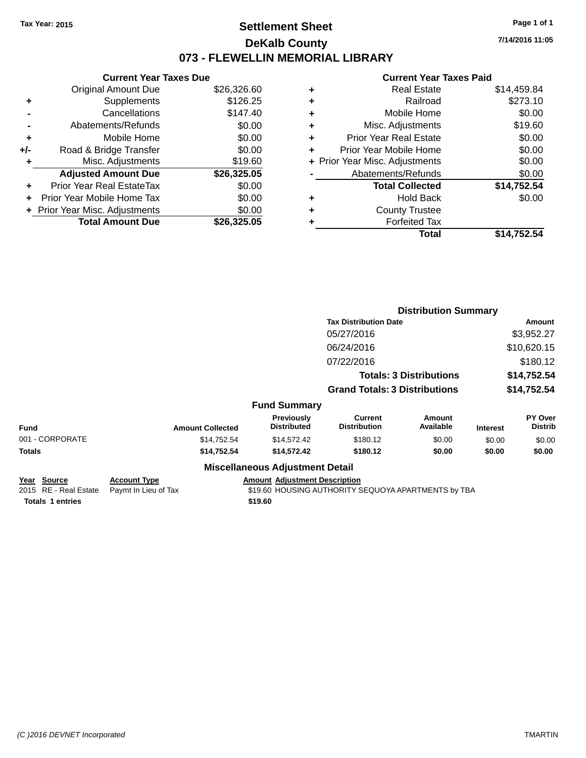## **Settlement Sheet Tax Year: 2015 Page 1 of 1 DeKalb County 073 - FLEWELLIN MEMORIAL LIBRARY**

**7/14/2016 11:05**

### **Current Year Taxes Paid**

|     | <b>Current Year Taxes Due</b>  |             |
|-----|--------------------------------|-------------|
|     | <b>Original Amount Due</b>     | \$26,326.60 |
| ÷   | Supplements                    | \$126.25    |
|     | Cancellations                  | \$147.40    |
|     | Abatements/Refunds             | \$0.00      |
| ٠   | Mobile Home                    | \$0.00      |
| +/- | Road & Bridge Transfer         | \$0.00      |
| ٠   | Misc. Adjustments              | \$19.60     |
|     | <b>Adjusted Amount Due</b>     | \$26,325.05 |
| ÷   | Prior Year Real EstateTax      | \$0.00      |
| ÷   | Prior Year Mobile Home Tax     | \$0.00      |
|     | + Prior Year Misc. Adjustments | \$0.00      |
|     | <b>Total Amount Due</b>        | \$26.325.05 |

|   | <b>Real Estate</b>             | \$14,459.84 |
|---|--------------------------------|-------------|
| ٠ | Railroad                       | \$273.10    |
| ٠ | Mobile Home                    | \$0.00      |
| ٠ | Misc. Adjustments              | \$19.60     |
| ٠ | <b>Prior Year Real Estate</b>  | \$0.00      |
| ÷ | Prior Year Mobile Home         | \$0.00      |
|   | + Prior Year Misc. Adjustments | \$0.00      |
|   | Abatements/Refunds             | \$0.00      |
|   | <b>Total Collected</b>         | \$14,752.54 |
| ٠ | <b>Hold Back</b>               | \$0.00      |
| ٠ | <b>County Trustee</b>          |             |
| ٠ | <b>Forfeited Tax</b>           |             |
|   | Total                          | \$14,752.54 |
|   |                                |             |

|                                      |                                             |                                                       |                                       |                                                                                                       |                                                                                                        | Amount                                                                             |  |
|--------------------------------------|---------------------------------------------|-------------------------------------------------------|---------------------------------------|-------------------------------------------------------------------------------------------------------|--------------------------------------------------------------------------------------------------------|------------------------------------------------------------------------------------|--|
|                                      |                                             |                                                       | 05/27/2016                            |                                                                                                       |                                                                                                        | \$3,952.27                                                                         |  |
|                                      |                                             |                                                       | 06/24/2016                            |                                                                                                       |                                                                                                        | \$10,620.15                                                                        |  |
|                                      |                                             |                                                       | 07/22/2016                            |                                                                                                       |                                                                                                        | \$180.12                                                                           |  |
|                                      |                                             |                                                       |                                       |                                                                                                       |                                                                                                        | \$14,752.54                                                                        |  |
|                                      |                                             |                                                       |                                       |                                                                                                       |                                                                                                        | \$14,752.54                                                                        |  |
|                                      |                                             |                                                       |                                       |                                                                                                       |                                                                                                        |                                                                                    |  |
|                                      |                                             | Previously<br><b>Distributed</b>                      | <b>Current</b><br><b>Distribution</b> | <b>Amount</b><br>Available                                                                            | <b>Interest</b>                                                                                        | <b>PY Over</b><br><b>Distrib</b>                                                   |  |
| 001 - CORPORATE                      |                                             | \$14,572.42                                           | \$180.12                              | \$0.00                                                                                                | \$0.00                                                                                                 | \$0.00                                                                             |  |
|                                      |                                             | \$14,572.42                                           | \$180.12                              | \$0.00                                                                                                | \$0.00                                                                                                 | \$0.00                                                                             |  |
|                                      |                                             |                                                       |                                       |                                                                                                       |                                                                                                        |                                                                                    |  |
| Year Source<br>2015 RE - Real Estate | <b>Account Type</b><br>Paymt In Lieu of Tax |                                                       |                                       |                                                                                                       |                                                                                                        |                                                                                    |  |
|                                      |                                             | <b>Amount Collected</b><br>\$14,752.54<br>\$14,752.54 |                                       | <b>Fund Summary</b><br><b>Miscellaneous Adjustment Detail</b><br><b>Amount Adjustment Description</b> | <b>Tax Distribution Date</b><br><b>Totals: 3 Distributions</b><br><b>Grand Totals: 3 Distributions</b> | <b>Distribution Summary</b><br>\$19.60 HOUSING AUTHORITY SEQUOYA APARTMENTS by TBA |  |

**Totals 1 entries** \$19.60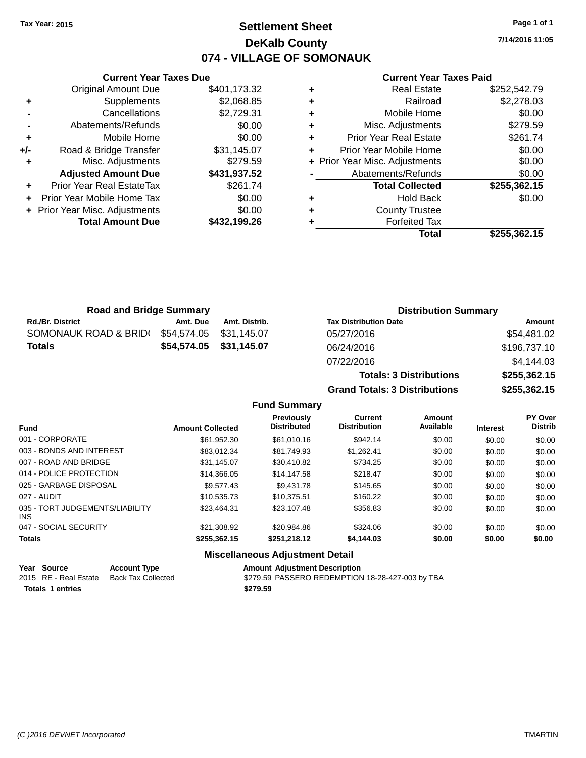## **Settlement Sheet Tax Year: 2015 Page 1 of 1 DeKalb County 074 - VILLAGE OF SOMONAUK**

**7/14/2016 11:05**

### **Current Year Taxes Paid**

|     | <b>Original Amount Due</b>     | \$401,173.32 |
|-----|--------------------------------|--------------|
| ٠   | Supplements                    | \$2,068.85   |
|     | Cancellations                  | \$2,729.31   |
|     | Abatements/Refunds             | \$0.00       |
| ٠   | Mobile Home                    | \$0.00       |
| +/- | Road & Bridge Transfer         | \$31,145.07  |
|     | Misc. Adjustments              | \$279.59     |
|     | <b>Adjusted Amount Due</b>     | \$431,937.52 |
| ÷   | Prior Year Real EstateTax      | \$261.74     |
|     | Prior Year Mobile Home Tax     | \$0.00       |
|     | + Prior Year Misc. Adjustments | \$0.00       |
|     | <b>Total Amount Due</b>        | \$432,199.26 |
|     |                                |              |

**Current Year Taxes Due**

| ٠ | <b>Real Estate</b>             | \$252,542.79 |
|---|--------------------------------|--------------|
| ٠ | Railroad                       | \$2,278.03   |
| ٠ | Mobile Home                    | \$0.00       |
| ٠ | Misc. Adjustments              | \$279.59     |
| ٠ | <b>Prior Year Real Estate</b>  | \$261.74     |
| ٠ | Prior Year Mobile Home         | \$0.00       |
|   | + Prior Year Misc. Adjustments | \$0.00       |
|   | Abatements/Refunds             | \$0.00       |
|   | <b>Total Collected</b>         | \$255,362.15 |
| ٠ | <b>Hold Back</b>               | \$0.00       |
| ٠ | <b>County Trustee</b>          |              |
| ٠ | <b>Forfeited Tax</b>           |              |
|   | <b>Total</b>                   | \$255,362.15 |
|   |                                |              |

**Totals: 3 Distributions \$255,362.15**

**Grand Totals: 3 Distributions \$255,362.15**

| <b>Road and Bridge Summary</b> |                         |               | <b>Distribution Summary</b>  |              |  |
|--------------------------------|-------------------------|---------------|------------------------------|--------------|--|
| <b>Rd./Br. District</b>        | Amt. Due                | Amt. Distrib. | <b>Tax Distribution Date</b> | Amount       |  |
| SOMONAUK ROAD & BRID(          | \$54,574.05             | \$31.145.07   | 05/27/2016                   | \$54,481.02  |  |
| <b>Totals</b>                  | \$54,574.05 \$31,145.07 |               | 06/24/2016                   | \$196,737.10 |  |
|                                |                         |               | 07/22/2016                   | \$4,144.03   |  |

### **Fund Summary Fund Interest Amount Collected Distributed PY Over Distrib Amount Available Current Distribution Previously** 001 - CORPORATE \$61,952.30 \$61,010.16 \$942.14 \$0.00 \$0.00 \$0.00 003 - BONDS AND INTEREST \$83,012.34 \$81,749.93 \$1,262.41 \$0.00 \$0.00 \$0.00 \$0.00 007 - ROAD AND BRIDGE \$31,145.07 \$30,410.82 \$734.25 \$0.00 \$0.00 \$0.00 \$0.00 014 - POLICE PROTECTION \$14,366.05 \$14,147.58 \$218.47 \$0.00 \$0.00 \$0.00 \$0.00 025 - GARBAGE DISPOSAL \$9,577.43 \$9,431.78 \$145.65 \$0.00 \$0.00 \$0.00 \$0.00 027 - AUDIT \$10,535.73 \$10,375.51 \$160.22 \$0.00 \$0.00 \$0.00 035 - TORT JUDGEMENTS/LIABILITY INS \$23,464.31 \$23,107.48 \$356.83 \$0.00 \$0.00 \$0.00 047 - SOCIAL SECURITY \$21,308.92 \$20,984.86 \$324.06 \$0.00 \$0.00 \$0.00 \$0.00 **Totals \$255,362.15 \$251,218.12 \$4,144.03 \$0.00 \$0.00 \$0.00**

|                  | Year Source           | <b>Account Type</b> | <b>Amount Adiustment Description</b>             |
|------------------|-----------------------|---------------------|--------------------------------------------------|
|                  | 2015 RE - Real Estate | Back Tax Collected  | \$279.59 PASSERO REDEMPTION 18-28-427-003 by TBA |
| Totals 1 entries |                       |                     | \$279.59                                         |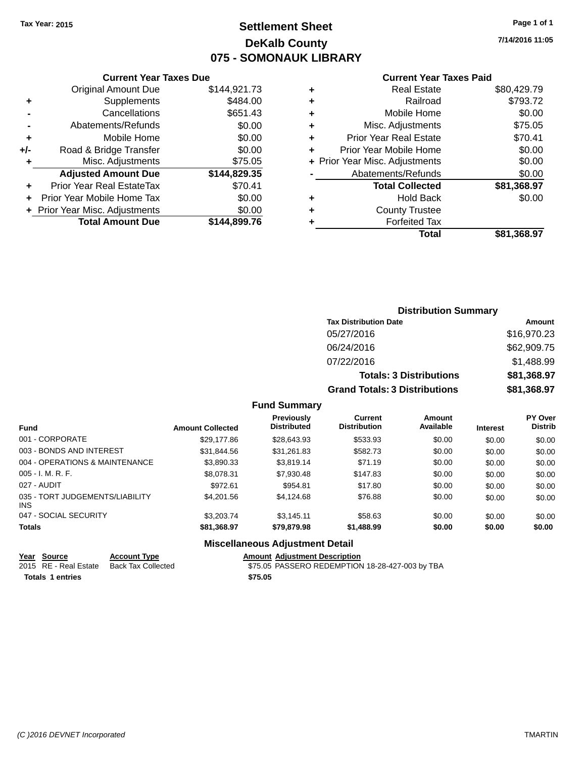## **Settlement Sheet Tax Year: 2015 Page 1 of 1 DeKalb County 075 - SOMONAUK LIBRARY**

**7/14/2016 11:05**

### **Current Year Taxes Paid**

|       | <b>Original Amount Due</b>     | \$144,921.73 |
|-------|--------------------------------|--------------|
| ٠     | Supplements                    | \$484.00     |
|       | Cancellations                  | \$651.43     |
|       | Abatements/Refunds             | \$0.00       |
| ÷     | Mobile Home                    | \$0.00       |
| $+/-$ | Road & Bridge Transfer         | \$0.00       |
| ٠     | Misc. Adjustments              | \$75.05      |
|       | <b>Adjusted Amount Due</b>     | \$144,829.35 |
| ÷     | Prior Year Real EstateTax      | \$70.41      |
|       | Prior Year Mobile Home Tax     | \$0.00       |
|       | + Prior Year Misc. Adjustments | \$0.00       |
|       | <b>Total Amount Due</b>        | \$144,899.76 |
|       |                                |              |

**Current Year Taxes Due**

| ٠ | <b>Real Estate</b>             | \$80,429.79 |
|---|--------------------------------|-------------|
| ٠ | Railroad                       | \$793.72    |
| ٠ | Mobile Home                    | \$0.00      |
| ٠ | Misc. Adjustments              | \$75.05     |
| ٠ | <b>Prior Year Real Estate</b>  | \$70.41     |
| ÷ | Prior Year Mobile Home         | \$0.00      |
|   | + Prior Year Misc. Adjustments | \$0.00      |
|   | Abatements/Refunds             | \$0.00      |
|   | <b>Total Collected</b>         | \$81,368.97 |
| ٠ | Hold Back                      | \$0.00      |
| ٠ | <b>County Trustee</b>          |             |
| ٠ | <b>Forfeited Tax</b>           |             |
|   | Total                          | \$81,368.97 |
|   |                                |             |

### **Distribution Summary Tax Distribution Date Amount** 05/27/2016 \$16,970.23 06/24/2016 \$62,909.75 07/22/2016 \$1,488.99 **Totals: 3 Distributions \$81,368.97 Grand Totals: 3 Distributions \$81,368.97**

### **Fund Summary**

| <b>Fund</b>                             | <b>Amount Collected</b> | <b>Previously</b><br><b>Distributed</b> | <b>Current</b><br><b>Distribution</b> | Amount<br>Available | <b>Interest</b> | <b>PY Over</b><br><b>Distrib</b> |
|-----------------------------------------|-------------------------|-----------------------------------------|---------------------------------------|---------------------|-----------------|----------------------------------|
| 001 - CORPORATE                         | \$29,177.86             | \$28,643.93                             | \$533.93                              | \$0.00              | \$0.00          | \$0.00                           |
| 003 - BONDS AND INTEREST                | \$31,844.56             | \$31,261.83                             | \$582.73                              | \$0.00              | \$0.00          | \$0.00                           |
| 004 - OPERATIONS & MAINTENANCE          | \$3,890.33              | \$3,819.14                              | \$71.19                               | \$0.00              | \$0.00          | \$0.00                           |
| $005 - I. M. R. F.$                     | \$8,078.31              | \$7,930.48                              | \$147.83                              | \$0.00              | \$0.00          | \$0.00                           |
| 027 - AUDIT                             | \$972.61                | \$954.81                                | \$17.80                               | \$0.00              | \$0.00          | \$0.00                           |
| 035 - TORT JUDGEMENTS/LIABILITY<br>INS. | \$4.201.56              | \$4.124.68                              | \$76.88                               | \$0.00              | \$0.00          | \$0.00                           |
| 047 - SOCIAL SECURITY                   | \$3,203,74              | \$3.145.11                              | \$58.63                               | \$0.00              | \$0.00          | \$0.00                           |
| <b>Totals</b>                           | \$81,368.97             | \$79,879.98                             | \$1,488.99                            | \$0.00              | \$0.00          | \$0.00                           |

| Year Source             | <b>Account Type</b>                      |         | <b>Amount Adiustment Description</b>            |
|-------------------------|------------------------------------------|---------|-------------------------------------------------|
|                         | 2015 RE - Real Estate Back Tax Collected |         | \$75.05 PASSERO REDEMPTION 18-28-427-003 by TBA |
| <b>Totals 1 entries</b> |                                          | \$75.05 |                                                 |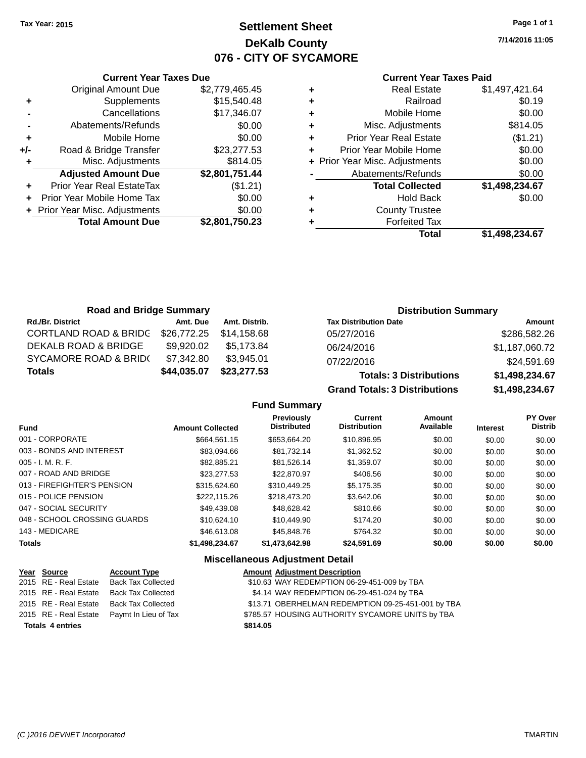## **Settlement Sheet Tax Year: 2015 Page 1 of 1 DeKalb County 076 - CITY OF SYCAMORE**

**7/14/2016 11:05**

## **Current Year Taxes Paid**

|     | <b>Current Year Taxes Due</b>    |                |  |  |  |
|-----|----------------------------------|----------------|--|--|--|
|     | <b>Original Amount Due</b>       | \$2,779,465.45 |  |  |  |
| ٠   | Supplements                      | \$15,540.48    |  |  |  |
|     | Cancellations                    | \$17,346.07    |  |  |  |
|     | Abatements/Refunds               | \$0.00         |  |  |  |
| ٠   | Mobile Home                      | \$0.00         |  |  |  |
| +/- | Road & Bridge Transfer           | \$23,277.53    |  |  |  |
| ٠   | Misc. Adjustments                | \$814.05       |  |  |  |
|     | <b>Adjusted Amount Due</b>       | \$2,801,751.44 |  |  |  |
|     | <b>Prior Year Real EstateTax</b> | (\$1.21)       |  |  |  |
|     | Prior Year Mobile Home Tax       | \$0.00         |  |  |  |
|     | + Prior Year Misc. Adjustments   | \$0.00         |  |  |  |
|     | <b>Total Amount Due</b>          | \$2,801,750.23 |  |  |  |
|     |                                  |                |  |  |  |

|   | Total                          | \$1,498,234.67 |
|---|--------------------------------|----------------|
| ٠ | <b>Forfeited Tax</b>           |                |
| ٠ | <b>County Trustee</b>          |                |
| ٠ | <b>Hold Back</b>               | \$0.00         |
|   | <b>Total Collected</b>         | \$1,498,234.67 |
|   | Abatements/Refunds             | \$0.00         |
|   | + Prior Year Misc. Adjustments | \$0.00         |
|   | Prior Year Mobile Home         | \$0.00         |
| ÷ | <b>Prior Year Real Estate</b>  | (\$1.21)       |
| ٠ | Misc. Adjustments              | \$814.05       |
| ٠ | Mobile Home                    | \$0.00         |
| ٠ | Railroad                       | \$0.19         |
| ٠ | <b>Real Estate</b>             | \$1,497,421.64 |
|   |                                |                |

| <b>Road and Bridge Summary</b>   |             |               | <b>Distribution Summary</b>    |                |  |
|----------------------------------|-------------|---------------|--------------------------------|----------------|--|
| <b>Rd./Br. District</b>          | Amt. Due    | Amt. Distrib. | <b>Tax Distribution Date</b>   | Amount         |  |
| <b>CORTLAND ROAD &amp; BRIDC</b> | \$26,772.25 | \$14,158.68   | 05/27/2016                     | \$286,582.26   |  |
| DEKALB ROAD & BRIDGE             | \$9,920.02  | \$5.173.84    | 06/24/2016                     | \$1,187,060.72 |  |
| <b>SYCAMORE ROAD &amp; BRID(</b> | \$7,342.80  | \$3,945.01    | 07/22/2016                     | \$24,591.69    |  |
| <b>Totals</b>                    | \$44,035.07 | \$23,277.53   | <b>Totals: 3 Distributions</b> | \$1,498,234.67 |  |

**Grand Totals: 3 Distributions \$1,498,234.67**

**Fund Summary**

| <b>Fund</b>                  | <b>Amount Collected</b> | <b>Previously</b><br><b>Distributed</b> | Current<br><b>Distribution</b> | Amount<br>Available | <b>Interest</b> | <b>PY Over</b><br><b>Distrib</b> |
|------------------------------|-------------------------|-----------------------------------------|--------------------------------|---------------------|-----------------|----------------------------------|
| 001 - CORPORATE              | \$664.561.15            | \$653.664.20                            | \$10,896.95                    | \$0.00              | \$0.00          | \$0.00                           |
| 003 - BONDS AND INTEREST     | \$83.094.66             | \$81.732.14                             | \$1,362.52                     | \$0.00              | \$0.00          | \$0.00                           |
| $005 - I. M. R. F.$          | \$82.885.21             | \$81.526.14                             | \$1,359.07                     | \$0.00              | \$0.00          | \$0.00                           |
| 007 - ROAD AND BRIDGE        | \$23,277.53             | \$22,870.97                             | \$406.56                       | \$0.00              | \$0.00          | \$0.00                           |
| 013 - FIREFIGHTER'S PENSION  | \$315,624,60            | \$310,449.25                            | \$5.175.35                     | \$0.00              | \$0.00          | \$0.00                           |
| 015 - POLICE PENSION         | \$222,115.26            | \$218,473.20                            | \$3.642.06                     | \$0.00              | \$0.00          | \$0.00                           |
| 047 - SOCIAL SECURITY        | \$49,439.08             | \$48.628.42                             | \$810.66                       | \$0.00              | \$0.00          | \$0.00                           |
| 048 - SCHOOL CROSSING GUARDS | \$10.624.10             | \$10,449.90                             | \$174.20                       | \$0.00              | \$0.00          | \$0.00                           |
| 143 - MEDICARE               | \$46,613,08             | \$45,848.76                             | \$764.32                       | \$0.00              | \$0.00          | \$0.00                           |
| <b>Totals</b>                | \$1,498,234.67          | \$1,473,642.98                          | \$24.591.69                    | \$0.00              | \$0.00          | \$0.00                           |

|                         | Year Source           | <b>Account Type</b>       | <b>Amount Adjustment Description</b>               |
|-------------------------|-----------------------|---------------------------|----------------------------------------------------|
|                         | 2015 RE - Real Estate | Back Tax Collected        | \$10.63 WAY REDEMPTION 06-29-451-009 by TBA        |
|                         | 2015 RE - Real Estate | <b>Back Tax Collected</b> | \$4.14 WAY REDEMPTION 06-29-451-024 by TBA         |
|                         | 2015 RE - Real Estate | Back Tax Collected        | \$13.71 OBERHELMAN REDEMPTION 09-25-451-001 by TBA |
|                         | 2015 RE - Real Estate | Paymt In Lieu of Tax      | \$785.57 HOUSING AUTHORITY SYCAMORE UNITS by TBA   |
| <b>Totals 4 entries</b> |                       |                           | \$814.05                                           |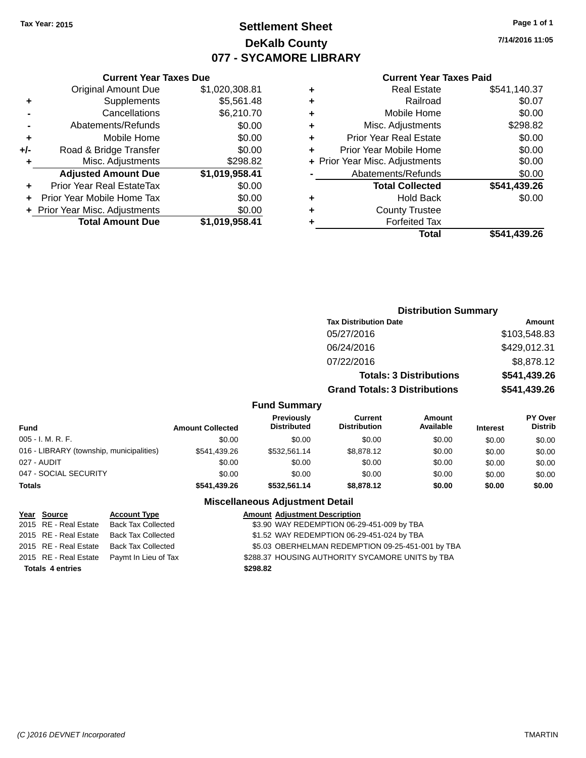# **Settlement Sheet Tax Year: 2015 Page 1 of 1 DeKalb County 077 - SYCAMORE LIBRARY**

**7/14/2016 11:05**

#### **Current Year Taxes Paid**

|       | <b>Original Amount Due</b>       | \$1,020,308.81 |
|-------|----------------------------------|----------------|
| ٠     | Supplements                      | \$5,561.48     |
|       | Cancellations                    | \$6,210.70     |
|       | Abatements/Refunds               | \$0.00         |
| ÷     | Mobile Home                      | \$0.00         |
| $+/-$ | Road & Bridge Transfer           | \$0.00         |
| ٠     | Misc. Adjustments                | \$298.82       |
|       | <b>Adjusted Amount Due</b>       | \$1,019,958.41 |
| ÷     | <b>Prior Year Real EstateTax</b> | \$0.00         |
| ÷     | Prior Year Mobile Home Tax       | \$0.00         |
|       | + Prior Year Misc. Adjustments   | \$0.00         |
|       | <b>Total Amount Due</b>          | \$1,019,958.41 |
|       |                                  |                |

**Current Year Taxes Due**

|   | <b>Real Estate</b>             | \$541,140.37 |
|---|--------------------------------|--------------|
| ٠ | Railroad                       | \$0.07       |
| ٠ | Mobile Home                    | \$0.00       |
| ٠ | Misc. Adjustments              | \$298.82     |
| ٠ | <b>Prior Year Real Estate</b>  | \$0.00       |
| ٠ | Prior Year Mobile Home         | \$0.00       |
|   | + Prior Year Misc. Adjustments | \$0.00       |
|   | Abatements/Refunds             | \$0.00       |
|   | <b>Total Collected</b>         | \$541,439.26 |
| ٠ | Hold Back                      | \$0.00       |
| ٠ | <b>County Trustee</b>          |              |
| ٠ | <b>Forfeited Tax</b>           |              |
|   | Total                          | \$541,439.26 |
|   |                                |              |

### **Distribution Summary Tax Distribution Date Amount** 05/27/2016 \$103,548.83 06/24/2016 \$429,012.31 07/22/2016 \$8,878.12 **Totals: 3 Distributions \$541,439.26 Grand Totals: 3 Distributions \$541,439.26**

### **Fund Summary**

| Fund                                     | <b>Amount Collected</b> | <b>Previously</b><br><b>Distributed</b> | Current<br><b>Distribution</b> | Amount<br>Available | <b>Interest</b> | <b>PY Over</b><br><b>Distrib</b> |
|------------------------------------------|-------------------------|-----------------------------------------|--------------------------------|---------------------|-----------------|----------------------------------|
| $005 - I. M. R. F.$                      | \$0.00                  | \$0.00                                  | \$0.00                         | \$0.00              | \$0.00          | \$0.00                           |
| 016 - LIBRARY (township, municipalities) | \$541,439.26            | \$532.561.14                            | \$8,878.12                     | \$0.00              | \$0.00          | \$0.00                           |
| 027 - AUDIT                              | \$0.00                  | \$0.00                                  | \$0.00                         | \$0.00              | \$0.00          | \$0.00                           |
| 047 - SOCIAL SECURITY                    | \$0.00                  | \$0.00                                  | \$0.00                         | \$0.00              | \$0.00          | \$0.00                           |
| <b>Totals</b>                            | \$541.439.26            | \$532,561.14                            | \$8,878,12                     | \$0.00              | \$0.00          | \$0.00                           |

### **Miscellaneous Adjustment Detail**

| Year Source             | <b>Account Type</b>                        | <b>Amount Adjustment Description</b>              |
|-------------------------|--------------------------------------------|---------------------------------------------------|
| 2015 RE - Real Estate   | <b>Back Tax Collected</b>                  | \$3.90 WAY REDEMPTION 06-29-451-009 by TBA        |
| 2015 RE - Real Estate   | <b>Back Tax Collected</b>                  | \$1.52 WAY REDEMPTION 06-29-451-024 by TBA        |
| 2015 RE - Real Estate   | Back Tax Collected                         | \$5.03 OBERHELMAN REDEMPTION 09-25-451-001 by TBA |
|                         | 2015 RE - Real Estate Paymt In Lieu of Tax | \$288.37 HOUSING AUTHORITY SYCAMORE UNITS by TBA  |
| <b>Totals 4 entries</b> |                                            | \$298.82                                          |
|                         |                                            |                                                   |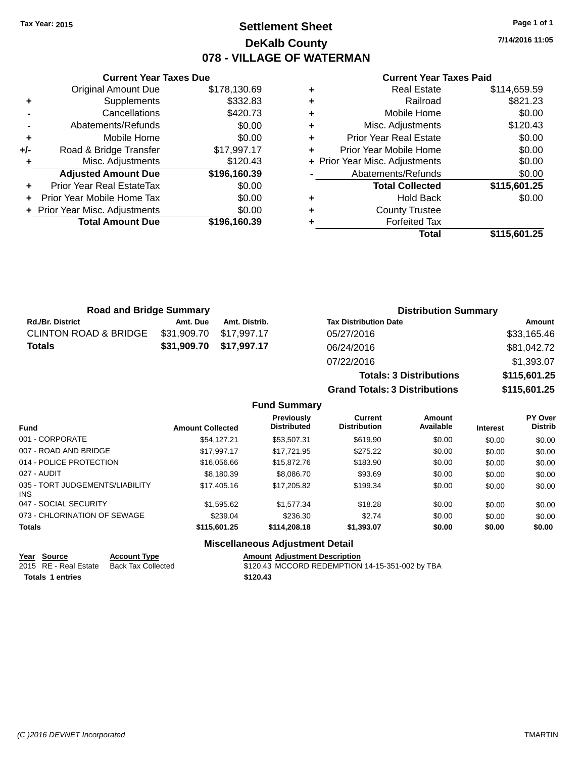# **Settlement Sheet Tax Year: 2015 Page 1 of 1 DeKalb County 078 - VILLAGE OF WATERMAN**

**7/14/2016 11:05**

#### **Current Year Taxes Paid**

|       | <b>Original Amount Due</b>     | \$178,130.69 |
|-------|--------------------------------|--------------|
| ٠     | Supplements                    | \$332.83     |
|       | Cancellations                  | \$420.73     |
|       | Abatements/Refunds             | \$0.00       |
| ٠     | Mobile Home                    | \$0.00       |
| $+/-$ | Road & Bridge Transfer         | \$17,997.17  |
| ٠     | Misc. Adjustments              | \$120.43     |
|       | <b>Adjusted Amount Due</b>     | \$196,160.39 |
| ٠     | Prior Year Real EstateTax      | \$0.00       |
| ٠     | Prior Year Mobile Home Tax     | \$0.00       |
|       | + Prior Year Misc. Adjustments | \$0.00       |
|       | <b>Total Amount Due</b>        | \$196,160.39 |
|       |                                |              |

**Current Year Taxes Due**

|   | <b>Real Estate</b>             | \$114,659.59 |
|---|--------------------------------|--------------|
| ٠ | Railroad                       | \$821.23     |
| ٠ | Mobile Home                    | \$0.00       |
| ٠ | Misc. Adjustments              | \$120.43     |
| ٠ | <b>Prior Year Real Estate</b>  | \$0.00       |
| ٠ | Prior Year Mobile Home         | \$0.00       |
|   | + Prior Year Misc. Adjustments | \$0.00       |
|   | Abatements/Refunds             | \$0.00       |
|   | <b>Total Collected</b>         | \$115,601.25 |
| ٠ | Hold Back                      | \$0.00       |
| ٠ | <b>County Trustee</b>          |              |
|   | <b>Forfeited Tax</b>           |              |
|   | Total                          | \$115,601.25 |

**Grand Totals: 3 Distributions \$115,601.25**

| <b>Road and Bridge Summary</b>   |             |               | <b>Distribution Summary</b>    |              |
|----------------------------------|-------------|---------------|--------------------------------|--------------|
| <b>Rd./Br. District</b>          | Amt. Due    | Amt. Distrib. | <b>Tax Distribution Date</b>   | Amount       |
| <b>CLINTON ROAD &amp; BRIDGE</b> | \$31,909.70 | \$17,997.17   | 05/27/2016                     | \$33,165.46  |
| <b>Totals</b>                    | \$31,909.70 | \$17,997.17   | 06/24/2016                     | \$81,042.72  |
|                                  |             |               | 07/22/2016                     | \$1,393.07   |
|                                  |             |               | <b>Totals: 3 Distributions</b> | \$115,601.25 |

**Fund Summary Fund Interest Amount Collected Distributed PY Over Distrib Amount Available Current Distribution Previously** 001 - CORPORATE \$54,127.21 \$53,507.31 \$619.90 \$0.00 \$0.00 \$0.00 007 - ROAD AND BRIDGE \$17,997.17 \$17,721.95 \$275.22 \$0.00 \$0.00 \$0.00 \$0.00 014 - POLICE PROTECTION \$16,056.66 \$15,872.76 \$183.90 \$0.00 \$0.00 \$0.00 \$0.00 027 - AUDIT \$8,180.39 \$8,086.70 \$93.69 \$0.00 \$0.00 \$0.00 035 - TORT JUDGEMENTS/LIABILITY INS \$17,405.16 \$17,205.82 \$199.34 \$0.00 \$0.00 \$0.00 047 - SOCIAL SECURITY \$1,595.62 \$1,577.34 \$0.00 \$0.00 \$0.00 \$0.00 073 - CHLORINATION OF SEWAGE \$239.04 \$236.30 \$2.74 \$0.00 \$0.00 \$0.00 \$0.00 **Totals \$115,601.25 \$114,208.18 \$1,393.07 \$0.00 \$0.00 \$0.00**

### **Miscellaneous Adjustment Detail**

| Year Source             | <b>Account Type</b>                      | <b>Amount Adiustment Description</b>            |
|-------------------------|------------------------------------------|-------------------------------------------------|
|                         | 2015 RE - Real Estate Back Tax Collected | \$120.43 MCCORD REDEMPTION 14-15-351-002 by TBA |
| <b>Totals 1 entries</b> |                                          | \$120.43                                        |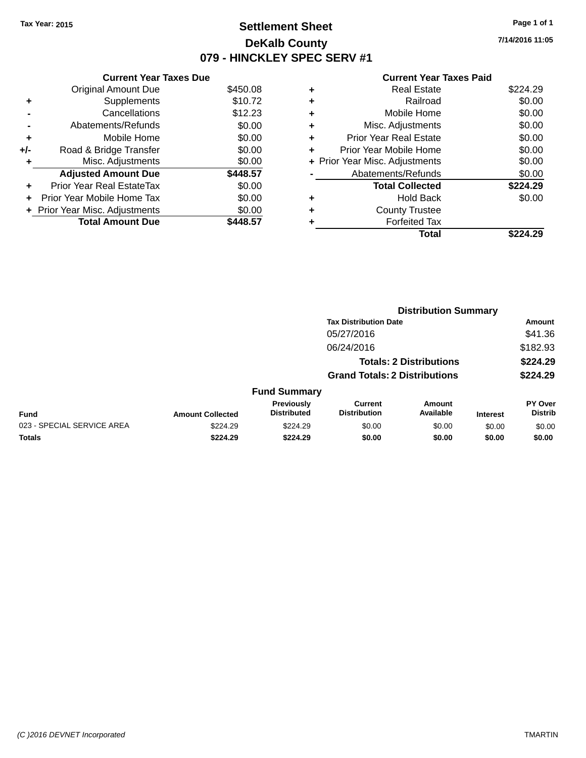# **Settlement Sheet Tax Year: 2015 Page 1 of 1 DeKalb County 079 - HINCKLEY SPEC SERV #1**

**7/14/2016 11:05**

#### **Current Year Taxes Paid**

| \$12.23<br>\$0.00<br>\$0.00<br>\$0.00<br>\$0.00<br>\$448.57<br>\$0.00<br>\$0.00<br>\$0.00<br>448.57 |
|-----------------------------------------------------------------------------------------------------|

| ٠ | <b>Forfeited Tax</b><br>Total  | \$224.29 |
|---|--------------------------------|----------|
| ٠ | <b>County Trustee</b>          |          |
| ٠ | <b>Hold Back</b>               | \$0.00   |
|   | <b>Total Collected</b>         | \$224.29 |
|   | Abatements/Refunds             | \$0.00   |
|   | + Prior Year Misc. Adjustments | \$0.00   |
| ٠ | Prior Year Mobile Home         | \$0.00   |
| ٠ | <b>Prior Year Real Estate</b>  | \$0.00   |
| ٠ | Misc. Adjustments              | \$0.00   |
| ٠ | Mobile Home                    | \$0.00   |
| ٠ | Railroad                       | \$0.00   |
| ٠ | <b>Real Estate</b>             | \$224.29 |
|   |                                |          |

|                            |                         |                                  |                                       | <b>Distribution Summary</b>    |                 |                                  |
|----------------------------|-------------------------|----------------------------------|---------------------------------------|--------------------------------|-----------------|----------------------------------|
|                            |                         |                                  | <b>Tax Distribution Date</b>          |                                |                 | <b>Amount</b>                    |
|                            |                         |                                  | 05/27/2016                            |                                |                 | \$41.36                          |
|                            |                         |                                  | 06/24/2016                            |                                |                 | \$182.93                         |
|                            |                         |                                  |                                       | <b>Totals: 2 Distributions</b> |                 | \$224.29                         |
|                            |                         |                                  | <b>Grand Totals: 2 Distributions</b>  |                                |                 | \$224.29                         |
|                            |                         | <b>Fund Summary</b>              |                                       |                                |                 |                                  |
| <b>Fund</b>                | <b>Amount Collected</b> | Previously<br><b>Distributed</b> | <b>Current</b><br><b>Distribution</b> | <b>Amount</b><br>Available     | <b>Interest</b> | <b>PY Over</b><br><b>Distrib</b> |
| 023 - SPECIAL SERVICE AREA | \$224.29                | \$224.29                         | \$0.00                                | \$0.00                         | \$0.00          | \$0.00                           |
| <b>Totals</b>              | \$224.29                | \$224.29                         | \$0.00                                | \$0.00                         | \$0.00          | \$0.00                           |
|                            |                         |                                  |                                       |                                |                 |                                  |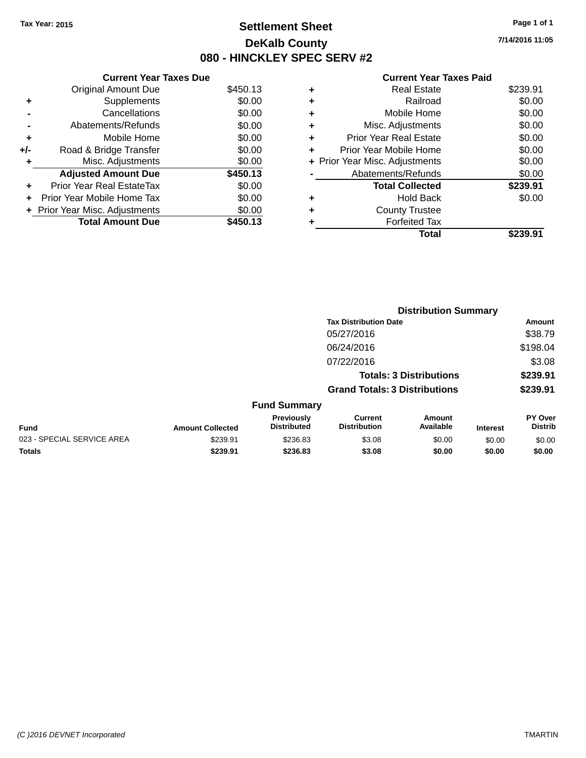# **Settlement Sheet Tax Year: 2015 Page 1 of 1 DeKalb County 080 - HINCKLEY SPEC SERV #2**

**7/14/2016 11:05**

#### **Current Year Taxes Paid**

|     | <b>Current Year Taxes Due</b> |          |
|-----|-------------------------------|----------|
|     | <b>Original Amount Due</b>    | \$450.13 |
| ٠   | Supplements                   | \$0.00   |
|     | Cancellations                 | \$0.00   |
|     | Abatements/Refunds            | \$0.00   |
| ٠   | Mobile Home                   | \$0.00   |
| +/- | Road & Bridge Transfer        | \$0.00   |
| ٠   | Misc. Adjustments             | \$0.00   |
|     | <b>Adjusted Amount Due</b>    | \$450.13 |
| ٠   | Prior Year Real EstateTax     | \$0.00   |
|     | Prior Year Mobile Home Tax    | \$0.00   |
|     | Prior Year Misc. Adjustments  | \$0.00   |
|     | <b>Total Amount Due</b>       | \$450.13 |

| ٠ | <b>Real Estate</b>             | \$239.91 |
|---|--------------------------------|----------|
| ٠ | Railroad                       | \$0.00   |
| ٠ | Mobile Home                    | \$0.00   |
| ٠ | Misc. Adjustments              | \$0.00   |
| ٠ | <b>Prior Year Real Estate</b>  | \$0.00   |
|   | Prior Year Mobile Home         | \$0.00   |
|   | + Prior Year Misc. Adjustments | \$0.00   |
|   | Abatements/Refunds             | \$0.00   |
|   | <b>Total Collected</b>         | \$239.91 |
| ٠ | <b>Hold Back</b>               | \$0.00   |
|   | <b>County Trustee</b>          |          |
| ٠ | <b>Forfeited Tax</b>           |          |
|   | Total                          | \$239.91 |
|   |                                |          |

|                            |                         |                                  | <b>Distribution Summary</b>           |                                |                 |                           |  |
|----------------------------|-------------------------|----------------------------------|---------------------------------------|--------------------------------|-----------------|---------------------------|--|
|                            |                         |                                  | <b>Tax Distribution Date</b>          |                                |                 | <b>Amount</b>             |  |
|                            |                         |                                  | 05/27/2016                            |                                |                 | \$38.79                   |  |
|                            |                         |                                  | 06/24/2016                            |                                |                 | \$198.04                  |  |
|                            |                         |                                  | 07/22/2016                            |                                |                 | \$3.08                    |  |
|                            |                         |                                  |                                       | <b>Totals: 3 Distributions</b> |                 | \$239.91                  |  |
|                            |                         |                                  | <b>Grand Totals: 3 Distributions</b>  |                                |                 | \$239.91                  |  |
|                            |                         | <b>Fund Summary</b>              |                                       |                                |                 |                           |  |
| <b>Fund</b>                | <b>Amount Collected</b> | Previously<br><b>Distributed</b> | <b>Current</b><br><b>Distribution</b> | Amount<br>Available            | <b>Interest</b> | PY Over<br><b>Distrib</b> |  |
| 023 - SPECIAL SERVICE AREA | \$239.91                | \$236.83                         | \$3.08                                | \$0.00                         | \$0.00          | \$0.00                    |  |
| <b>Totals</b>              | \$239.91                | \$236.83                         | \$3.08                                | \$0.00                         | \$0.00          | \$0.00                    |  |
|                            |                         |                                  |                                       |                                |                 |                           |  |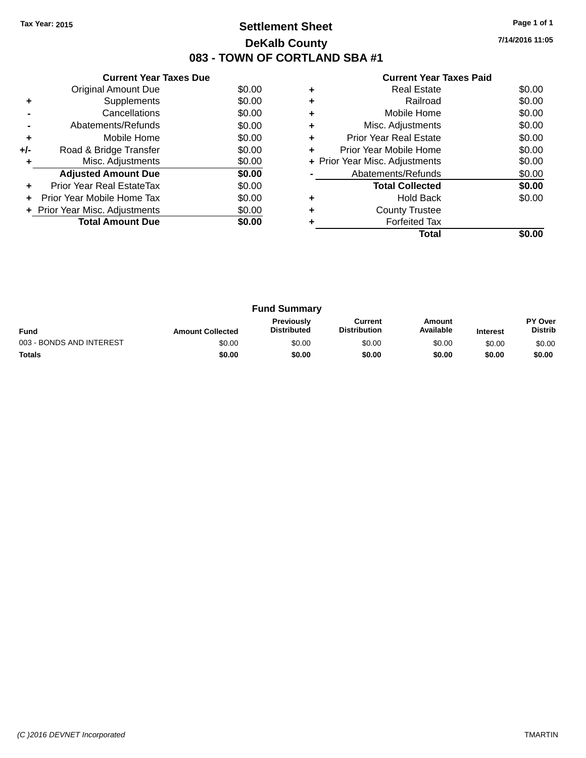# **Settlement Sheet Tax Year: 2015 Page 1 of 1 DeKalb County 083 - TOWN OF CORTLAND SBA #1**

**7/14/2016 11:05**

|       | <b>Current Year Taxes Due</b>  |        |  |  |  |  |
|-------|--------------------------------|--------|--|--|--|--|
|       | Original Amount Due            | \$0.00 |  |  |  |  |
| ٠     | Supplements                    | \$0.00 |  |  |  |  |
|       | Cancellations                  | \$0.00 |  |  |  |  |
|       | Abatements/Refunds             | \$0.00 |  |  |  |  |
| ٠     | Mobile Home                    | \$0.00 |  |  |  |  |
| $+/-$ | Road & Bridge Transfer         | \$0.00 |  |  |  |  |
|       | Misc. Adjustments              | \$0.00 |  |  |  |  |
|       | <b>Adjusted Amount Due</b>     | \$0.00 |  |  |  |  |
|       | Prior Year Real EstateTax      | \$0.00 |  |  |  |  |
|       | Prior Year Mobile Home Tax     | \$0.00 |  |  |  |  |
|       | + Prior Year Misc. Adjustments | \$0.00 |  |  |  |  |
|       | <b>Total Amount Due</b>        | \$0.00 |  |  |  |  |
|       |                                |        |  |  |  |  |

|   | <b>Current Year Taxes Paid</b> |        |
|---|--------------------------------|--------|
| ٠ | <b>Real Estate</b>             | \$0.00 |
| ٠ | Railroad                       | \$0.00 |
|   | Mobile Home                    | \$0.00 |
| ٠ | Misc. Adjustments              | \$0.00 |
| ÷ | Prior Year Real Estate         | \$0.00 |
| ٠ | Prior Year Mobile Home         | \$0.00 |
|   | + Prior Year Misc. Adjustments | \$0.00 |
|   | Abatements/Refunds             | \$0.00 |
|   | <b>Total Collected</b>         | \$0.00 |
|   | Hold Back                      | \$0.00 |
|   | <b>County Trustee</b>          |        |
|   | <b>Forfeited Tax</b>           |        |
|   | Total                          |        |

| <b>Fund Summary</b>      |                         |                                         |                                |                     |                 |                                  |
|--------------------------|-------------------------|-----------------------------------------|--------------------------------|---------------------|-----------------|----------------------------------|
| <b>Fund</b>              | <b>Amount Collected</b> | <b>Previously</b><br><b>Distributed</b> | Current<br><b>Distribution</b> | Amount<br>Available | <b>Interest</b> | <b>PY Over</b><br><b>Distrib</b> |
| 003 - BONDS AND INTEREST | \$0.00                  | \$0.00                                  | \$0.00                         | \$0.00              | \$0.00          | \$0.00                           |
| <b>Totals</b>            | \$0.00                  | \$0.00                                  | \$0.00                         | \$0.00              | \$0.00          | \$0.00                           |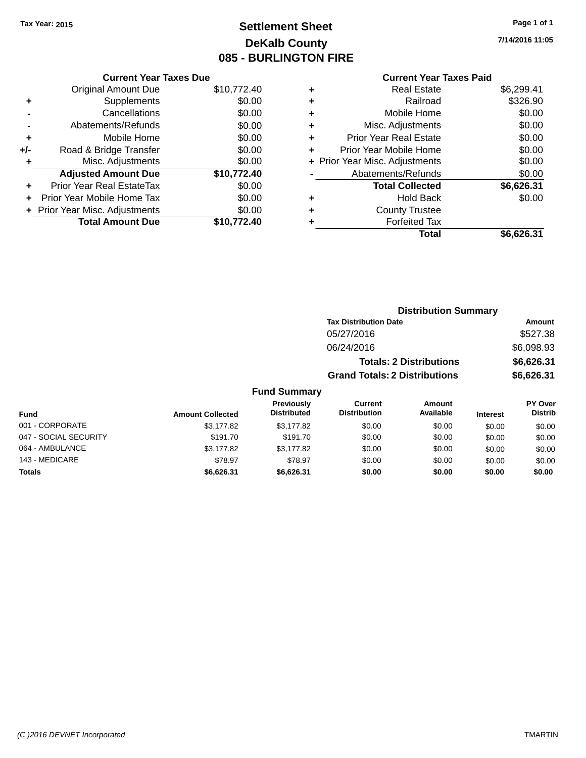# **Settlement Sheet Tax Year: 2015 Page 1 of 1 DeKalb County 085 - BURLINGTON FIRE**

**7/14/2016 11:05**

### **Current Year Taxes Paid**

|     | <b>Current Year Taxes Due</b>  |             |  |  |  |
|-----|--------------------------------|-------------|--|--|--|
|     | <b>Original Amount Due</b>     | \$10,772.40 |  |  |  |
| ÷   | Supplements                    | \$0.00      |  |  |  |
|     | Cancellations                  | \$0.00      |  |  |  |
|     | Abatements/Refunds             | \$0.00      |  |  |  |
| ٠   | Mobile Home                    | \$0.00      |  |  |  |
| +/- | Road & Bridge Transfer         | \$0.00      |  |  |  |
|     | Misc. Adjustments              | \$0.00      |  |  |  |
|     | <b>Adjusted Amount Due</b>     | \$10,772.40 |  |  |  |
| ÷   | Prior Year Real EstateTax      | \$0.00      |  |  |  |
|     | Prior Year Mobile Home Tax     | \$0.00      |  |  |  |
|     | + Prior Year Misc. Adjustments | \$0.00      |  |  |  |
|     | <b>Total Amount Due</b>        | \$10.772.40 |  |  |  |
|     |                                |             |  |  |  |

| ٠ | <b>Real Estate</b>             | \$6,299.41 |
|---|--------------------------------|------------|
| ٠ | Railroad                       | \$326.90   |
| ٠ | Mobile Home                    | \$0.00     |
| ٠ | Misc. Adjustments              | \$0.00     |
| ٠ | <b>Prior Year Real Estate</b>  | \$0.00     |
| ٠ | Prior Year Mobile Home         | \$0.00     |
|   | + Prior Year Misc. Adjustments | \$0.00     |
|   | Abatements/Refunds             | \$0.00     |
|   | <b>Total Collected</b>         | \$6,626.31 |
| ٠ | Hold Back                      | \$0.00     |
| ٠ | <b>County Trustee</b>          |            |
|   | <b>Forfeited Tax</b>           |            |
|   | Total                          | \$6.626.31 |
|   |                                |            |

|                        |                         |                                  |                                       | <b>Distribution Summary</b>    |                 |                                               |  |
|------------------------|-------------------------|----------------------------------|---------------------------------------|--------------------------------|-----------------|-----------------------------------------------|--|
|                        |                         |                                  | <b>Tax Distribution Date</b>          |                                |                 | <b>Amount</b>                                 |  |
|                        |                         |                                  | 05/27/2016                            |                                |                 | \$527.38                                      |  |
|                        |                         |                                  | 06/24/2016                            |                                |                 | \$6,098.93                                    |  |
|                        |                         |                                  |                                       | <b>Totals: 2 Distributions</b> |                 | \$6,626.31                                    |  |
|                        |                         |                                  | <b>Grand Totals: 2 Distributions</b>  |                                |                 | \$6,626.31                                    |  |
|                        |                         | <b>Fund Summary</b>              |                                       |                                |                 |                                               |  |
| <b>Fund</b>            | <b>Amount Collected</b> | Previously<br><b>Distributed</b> | <b>Current</b><br><b>Distribution</b> | Amount<br>Available            | <b>Interest</b> | PY Over<br><b>Distrib</b>                     |  |
| 001 - CORPORATE        | \$3,177.82              | \$3,177.82                       | \$0.00                                | \$0.00                         | \$0.00          | \$0.00                                        |  |
| $0.17$ COOLL CEOLIDITY | 0.0170                  | $AAA = 70$                       | 0000                                  | 0000                           | $\sim$ $\sim$   | $\mathbf{A} \mathbf{A} \mathbf{A} \mathbf{A}$ |  |

| 001 - CORPORATE       | \$3,177.82 | \$3,177.82 | \$0.00 | \$0.00 | \$0.00 | \$0.00 |
|-----------------------|------------|------------|--------|--------|--------|--------|
| 047 - SOCIAL SECURITY | \$191.70   | \$191.70   | \$0.00 | \$0.00 | \$0.00 | \$0.00 |
| 064 - AMBULANCE       | \$3,177.82 | \$3,177.82 | \$0.00 | \$0.00 | \$0.00 | \$0.00 |
| 143 - MEDICARE        | \$78.97    | \$78.97    | \$0.00 | \$0.00 | \$0.00 | \$0.00 |
| <b>Totals</b>         | \$6,626.31 | \$6,626.31 | \$0.00 | \$0.00 | \$0.00 | \$0.00 |
|                       |            |            |        |        |        |        |
|                       |            |            |        |        |        |        |
|                       |            |            |        |        |        |        |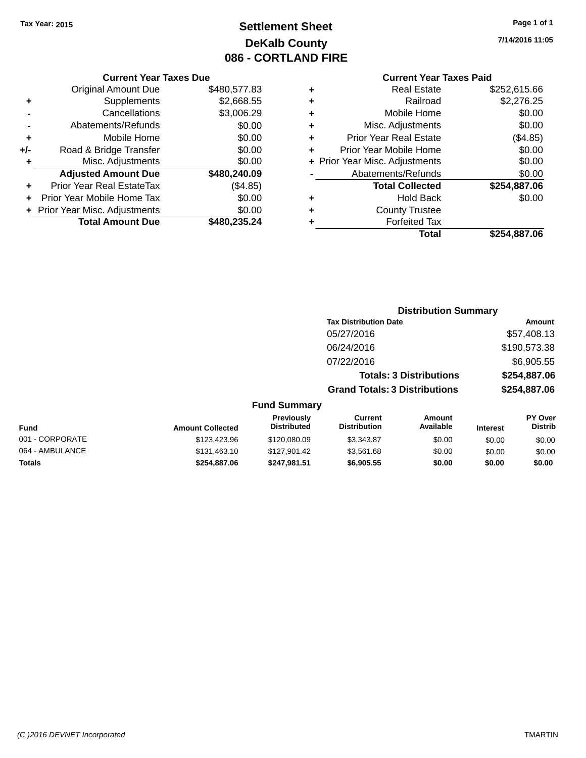# **Settlement Sheet Tax Year: 2015 Page 1 of 1 DeKalb County 086 - CORTLAND FIRE**

**7/14/2016 11:05**

### **Current Year Taxes Paid**

|       | <b>Current Year Taxes Due</b>  |              |  |  |  |
|-------|--------------------------------|--------------|--|--|--|
|       | <b>Original Amount Due</b>     | \$480,577.83 |  |  |  |
| ٠     | Supplements                    | \$2,668.55   |  |  |  |
|       | Cancellations                  | \$3,006.29   |  |  |  |
|       | Abatements/Refunds             | \$0.00       |  |  |  |
| ٠     | Mobile Home                    | \$0.00       |  |  |  |
| $+/-$ | Road & Bridge Transfer         | \$0.00       |  |  |  |
| ٠     | Misc. Adjustments              | \$0.00       |  |  |  |
|       | <b>Adjusted Amount Due</b>     | \$480,240.09 |  |  |  |
| ٠     | Prior Year Real EstateTax      | (\$4.85)     |  |  |  |
|       | Prior Year Mobile Home Tax     | \$0.00       |  |  |  |
|       | + Prior Year Misc. Adjustments | \$0.00       |  |  |  |
|       | <b>Total Amount Due</b>        | \$480,235.24 |  |  |  |
|       |                                |              |  |  |  |

|   | <b>Real Estate</b>             | \$252,615.66 |
|---|--------------------------------|--------------|
| ٠ | Railroad                       | \$2,276.25   |
| ٠ | Mobile Home                    | \$0.00       |
| ٠ | Misc. Adjustments              | \$0.00       |
| ٠ | <b>Prior Year Real Estate</b>  | (\$4.85)     |
|   | Prior Year Mobile Home         | \$0.00       |
|   | + Prior Year Misc. Adjustments | \$0.00       |
|   | Abatements/Refunds             | \$0.00       |
|   | <b>Total Collected</b>         | \$254,887.06 |
| ٠ | Hold Back                      | \$0.00       |
| ٠ | <b>County Trustee</b>          |              |
| ٠ | <b>Forfeited Tax</b>           |              |
|   | Total                          | \$254,887.06 |
|   |                                |              |

# **Distribution Summary Tax Distribution Date Amount** 05/27/2016 \$57,408.13 06/24/2016 \$190,573.38 07/22/2016 \$6,905.55 **Totals: 3 Distributions \$254,887.06 Grand Totals: 3 Distributions \$254,887.06 Fund Summary**

| Fund            | <b>Amount Collected</b> | <b>Previously</b><br><b>Distributed</b> | Current<br><b>Distribution</b> | Amount<br>Available | <b>Interest</b> | <b>PY Over</b><br><b>Distrib</b> |
|-----------------|-------------------------|-----------------------------------------|--------------------------------|---------------------|-----------------|----------------------------------|
| 001 - CORPORATE | \$123,423.96            | \$120,080.09                            | \$3.343.87                     | \$0.00              | \$0.00          | \$0.00                           |
| 064 - AMBULANCE | \$131,463.10            | \$127.901.42                            | \$3.561.68                     | \$0.00              | \$0.00          | \$0.00                           |
| <b>Totals</b>   | \$254,887.06            | \$247.981.51                            | \$6,905.55                     | \$0.00              | \$0.00          | \$0.00                           |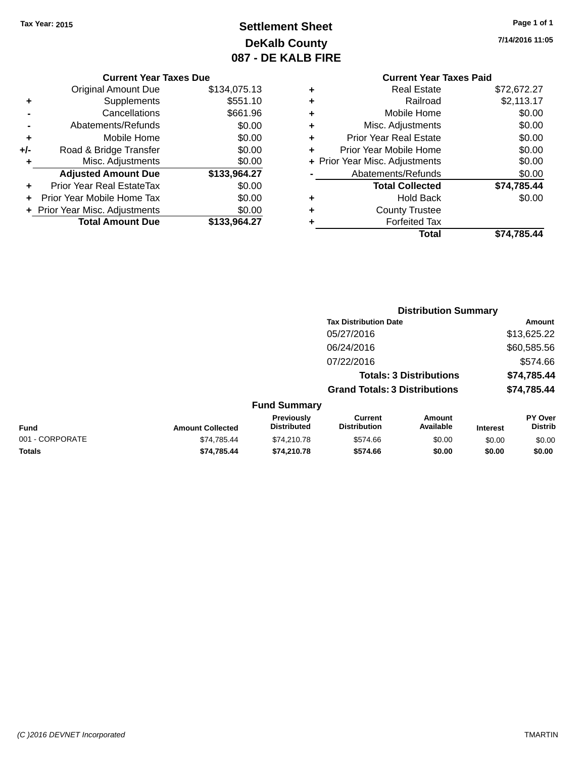# **Settlement Sheet Tax Year: 2015 Page 1 of 1 DeKalb County 087 - DE KALB FIRE**

**7/14/2016 11:05**

### **Current Year Taxes Due**

|     | <b>Original Amount Due</b>     | \$134,075.13 |
|-----|--------------------------------|--------------|
| ٠   | Supplements                    | \$551.10     |
|     | Cancellations                  | \$661.96     |
|     | Abatements/Refunds             | \$0.00       |
| ÷   | Mobile Home                    | \$0.00       |
| +/- | Road & Bridge Transfer         | \$0.00       |
| ٠   | Misc. Adjustments              | \$0.00       |
|     | <b>Adjusted Amount Due</b>     | \$133,964.27 |
| ٠   | Prior Year Real EstateTax      | \$0.00       |
|     | Prior Year Mobile Home Tax     | \$0.00       |
|     | + Prior Year Misc. Adjustments | \$0.00       |
|     | <b>Total Amount Due</b>        | \$133,964.27 |

# **Current Year Taxes Paid +** Real Estate \$72,672.27 **+** Railroad \$2,113.17

|   | Total                          | \$74,785.44 |
|---|--------------------------------|-------------|
|   | <b>Forfeited Tax</b>           |             |
| ÷ | <b>County Trustee</b>          |             |
|   | <b>Hold Back</b>               | \$0.00      |
|   | <b>Total Collected</b>         | \$74,785.44 |
|   | Abatements/Refunds             | \$0.00      |
|   | + Prior Year Misc. Adjustments | \$0.00      |
|   | Prior Year Mobile Home         | \$0.00      |
| ÷ | <b>Prior Year Real Estate</b>  | \$0.00      |
| ٠ | Misc. Adjustments              | \$0.00      |
|   | Mobile Home                    | \$0.00      |

#### **Distribution Summary Tax Distribution Date Amount** 05/27/2016 \$13,625.22 06/24/2016 \$60,585.56 07/22/2016 \$574.66 **Totals: 3 Distributions \$74,785.44 Grand Totals: 3 Distributions \$74,785.44 Fund Summary PY Over Amount Current Previously**

| <b>Fund</b>     | <b>Amount Collected</b> | <b>Previously</b><br><b>Distributed</b> | Current<br><b>Distribution</b> | Amount<br>Available | <b>Interest</b> | PY Over<br><b>Distrib</b> |
|-----------------|-------------------------|-----------------------------------------|--------------------------------|---------------------|-----------------|---------------------------|
| 001 - CORPORATE | \$74.785.44             | \$74.210.78                             | \$574.66                       | \$0.00              | \$0.00          | \$0.00                    |
| <b>Totals</b>   | \$74.785.44             | \$74.210.78                             | \$574.66                       | \$0.00              | \$0.00          | \$0.00                    |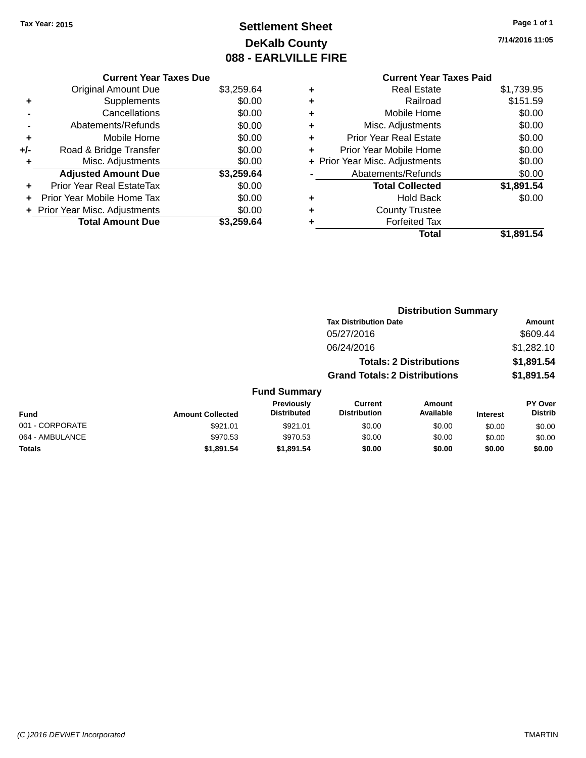# **Settlement Sheet Tax Year: 2015 Page 1 of 1 DeKalb County 088 - EARLVILLE FIRE**

**7/14/2016 11:05**

# **Current Year Taxes Paid**

|     | <b>Current Year Taxes Due</b>  |            |
|-----|--------------------------------|------------|
|     | <b>Original Amount Due</b>     | \$3,259.64 |
| ٠   | Supplements                    | \$0.00     |
|     | Cancellations                  | \$0.00     |
|     | Abatements/Refunds             | \$0.00     |
| ٠   | Mobile Home                    | \$0.00     |
| +/- | Road & Bridge Transfer         | \$0.00     |
| ٠   | Misc. Adjustments              | \$0.00     |
|     | <b>Adjusted Amount Due</b>     | \$3,259.64 |
| ٠   | Prior Year Real EstateTax      | \$0.00     |
|     | Prior Year Mobile Home Tax     | \$0.00     |
|     | + Prior Year Misc. Adjustments | \$0.00     |
|     | <b>Total Amount Due</b>        | \$3.259.64 |
|     |                                |            |

| ٠ | <b>Real Estate</b>             | \$1,739.95 |
|---|--------------------------------|------------|
| ٠ | Railroad                       | \$151.59   |
| ٠ | Mobile Home                    | \$0.00     |
| ٠ | Misc. Adjustments              | \$0.00     |
| ٠ | <b>Prior Year Real Estate</b>  | \$0.00     |
| ٠ | Prior Year Mobile Home         | \$0.00     |
|   | + Prior Year Misc. Adjustments | \$0.00     |
|   | Abatements/Refunds             | \$0.00     |
|   | <b>Total Collected</b>         | \$1,891.54 |
| ٠ | <b>Hold Back</b>               | \$0.00     |
| ٠ | <b>County Trustee</b>          |            |
| ٠ | <b>Forfeited Tax</b>           |            |
|   | Total                          | \$1,891.54 |
|   |                                |            |

|                 |                         |                                  | <b>Distribution Summary</b>           |                                |                 |                           |
|-----------------|-------------------------|----------------------------------|---------------------------------------|--------------------------------|-----------------|---------------------------|
|                 |                         |                                  | <b>Tax Distribution Date</b>          |                                |                 | <b>Amount</b>             |
|                 |                         |                                  | 05/27/2016                            |                                |                 | \$609.44                  |
|                 |                         |                                  | 06/24/2016                            |                                |                 | \$1,282.10                |
|                 |                         |                                  |                                       | <b>Totals: 2 Distributions</b> |                 | \$1,891.54                |
|                 |                         |                                  | <b>Grand Totals: 2 Distributions</b>  |                                |                 | \$1,891.54                |
|                 |                         | <b>Fund Summary</b>              |                                       |                                |                 |                           |
| <b>Fund</b>     | <b>Amount Collected</b> | Previously<br><b>Distributed</b> | <b>Current</b><br><b>Distribution</b> | <b>Amount</b><br>Available     | <b>Interest</b> | PY Over<br><b>Distrib</b> |
| 001 - CORPORATE | \$921.01                | \$921.01                         | \$0.00                                | \$0.00                         | \$0.00          | \$0.00                    |
| 064 - AMBULANCE | \$970.53                | \$970.53                         | \$0.00                                | \$0.00                         | \$0.00          | \$0.00                    |
| <b>Totals</b>   | \$1,891.54              | \$1,891.54                       | \$0.00                                | \$0.00                         | \$0.00          | \$0.00                    |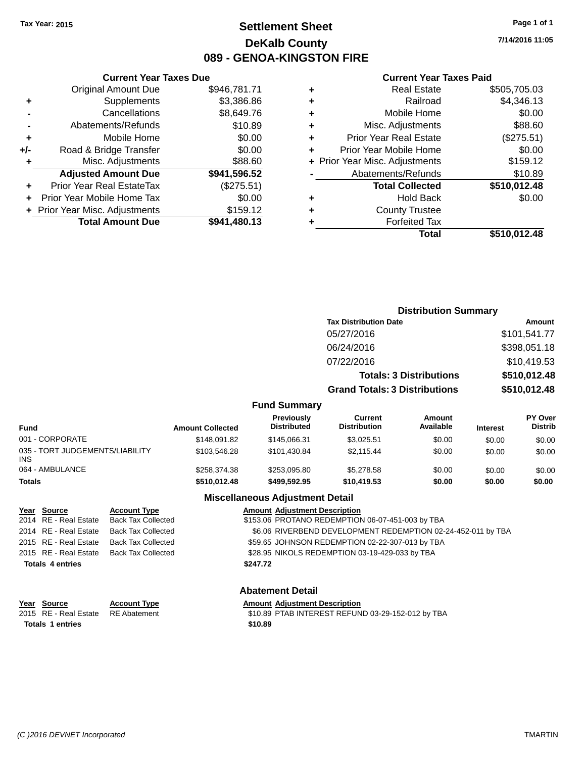# **Settlement Sheet Tax Year: 2015 Page 1 of 1 DeKalb County 089 - GENOA-KINGSTON FIRE**

**7/14/2016 11:05**

#### **Current Year Taxes Paid**

|     | <b>Current Year Taxes Due</b>  |              |
|-----|--------------------------------|--------------|
|     | <b>Original Amount Due</b>     | \$946,781.71 |
| ٠   | Supplements                    | \$3,386.86   |
|     | Cancellations                  | \$8,649.76   |
|     | Abatements/Refunds             | \$10.89      |
| ٠   | Mobile Home                    | \$0.00       |
| +/- | Road & Bridge Transfer         | \$0.00       |
| ٠   | Misc. Adjustments              | \$88.60      |
|     | <b>Adjusted Amount Due</b>     | \$941,596.52 |
| ٠   | Prior Year Real EstateTax      | (\$275.51)   |
| ٠   | Prior Year Mobile Home Tax     | \$0.00       |
|     | + Prior Year Misc. Adjustments | \$159.12     |
|     | <b>Total Amount Due</b>        | \$941,480.13 |
|     |                                |              |

| ٠ | <b>Real Estate</b>             | \$505,705.03 |
|---|--------------------------------|--------------|
| ٠ | Railroad                       | \$4,346.13   |
| ٠ | Mobile Home                    | \$0.00       |
| ٠ | Misc. Adjustments              | \$88.60      |
| ٠ | <b>Prior Year Real Estate</b>  | (\$275.51)   |
| ٠ | Prior Year Mobile Home         | \$0.00       |
|   | + Prior Year Misc. Adjustments | \$159.12     |
|   | Abatements/Refunds             | \$10.89      |
|   | <b>Total Collected</b>         | \$510,012.48 |
| ٠ | <b>Hold Back</b>               | \$0.00       |
| ٠ | <b>County Trustee</b>          |              |
| ٠ | <b>Forfeited Tax</b>           |              |
|   | Total                          | \$510,012.48 |
|   |                                |              |

|                                         |                         |                                  | <b>Distribution Summary</b>           |                                |                 |                           |
|-----------------------------------------|-------------------------|----------------------------------|---------------------------------------|--------------------------------|-----------------|---------------------------|
|                                         |                         |                                  | <b>Tax Distribution Date</b>          |                                |                 | Amount                    |
|                                         |                         |                                  | 05/27/2016                            |                                |                 | \$101,541.77              |
|                                         |                         |                                  | 06/24/2016                            |                                |                 | \$398,051.18              |
|                                         |                         |                                  | 07/22/2016                            |                                |                 | \$10,419.53               |
|                                         |                         |                                  |                                       | <b>Totals: 3 Distributions</b> |                 | \$510,012.48              |
|                                         |                         |                                  | <b>Grand Totals: 3 Distributions</b>  |                                |                 | \$510,012.48              |
|                                         |                         | <b>Fund Summary</b>              |                                       |                                |                 |                           |
| <b>Fund</b>                             | <b>Amount Collected</b> | Previously<br><b>Distributed</b> | <b>Current</b><br><b>Distribution</b> | Amount<br>Available            | <b>Interest</b> | PY Over<br><b>Distrib</b> |
| 001 - CORPORATE                         | \$148,091.82            | \$145,066.31                     | \$3,025.51                            | \$0.00                         | \$0.00          | \$0.00                    |
| 035 - TORT JUDGEMENTS/LIABILITY<br>INS. | \$103,546.28            | \$101,430.84                     | \$2,115.44                            | \$0.00                         | \$0.00          | \$0.00                    |
| 064 - AMBULANCE                         | \$258,374.38            | \$253,095.80                     | \$5,278.58                            | \$0.00                         | \$0.00          | \$0.00                    |
| Totals                                  | \$510,012.48            | \$499,592.95                     | \$10,419.53                           | \$0.00                         | \$0.00          | \$0.00                    |

### **Miscellaneous Adjustment Detail**

| Year Source             | <b>Account Type</b>                      | <b>Amount Adjustment Description</b>                         |
|-------------------------|------------------------------------------|--------------------------------------------------------------|
| 2014 RE - Real Estate   | Back Tax Collected                       | \$153.06 PROTANO REDEMPTION 06-07-451-003 by TBA             |
| 2014 RE - Real Estate   | <b>Back Tax Collected</b>                | \$6.06 RIVERBEND DEVELOPMENT REDEMPTION 02-24-452-011 by TBA |
| 2015 RE - Real Estate   | Back Tax Collected                       | \$59.65 JOHNSON REDEMPTION 02-22-307-013 by TBA              |
|                         | 2015 RE - Real Estate Back Tax Collected | \$28.95 NIKOLS REDEMPTION 03-19-429-033 by TBA               |
| <b>Totals 4 entries</b> |                                          | \$247.72                                                     |
|                         |                                          |                                                              |
|                         |                                          | <b>Abatement Detail</b>                                      |

| Year Source                        | <b>Account Type</b> | <b>Amount Adiustment Description</b>              |
|------------------------------------|---------------------|---------------------------------------------------|
| 2015 RE - Real Estate RE Abatement |                     | \$10.89 PTAB INTEREST REFUND 03-29-152-012 by TBA |
| Totals 1 entries                   |                     | \$10.89                                           |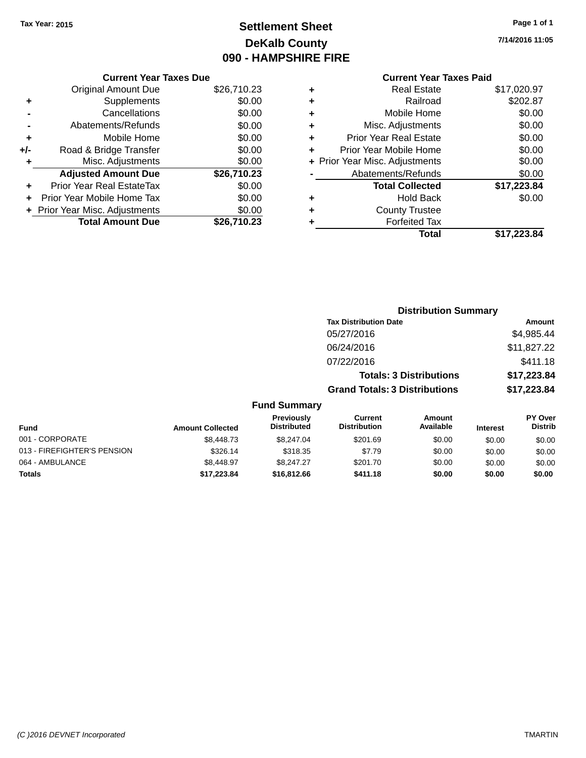# **Settlement Sheet Tax Year: 2015 Page 1 of 1 DeKalb County 090 - HAMPSHIRE FIRE**

**7/14/2016 11:05**

|           | <b>Current Year Taxes Paid</b> |             |
|-----------|--------------------------------|-------------|
| ÷         | <b>Real Estate</b>             | \$17,020.97 |
| $\ddot{}$ | Railroad                       | \$202.87    |
| $\ddot{}$ | Mobile Home                    | \$0.00      |
| $\ddot{}$ | Misc. Adjustments              | \$0.00      |
| ÷         | <b>Prior Year Real Estate</b>  | \$0.00      |
| ÷         | Prior Year Mobile Home         | \$0.00      |
|           | + Prior Year Misc. Adjustments | \$0.00      |
|           | Abatements/Refunds             | \$0.00      |
|           | <b>Total Collected</b>         | \$17,223.84 |
|           | <b>Hold Back</b>               | \$0.00      |
|           | <b>County Trustee</b>          |             |
|           |                                |             |

**+** Forfeited Tax

|     | <b>Current Year Taxes Due</b>    |             |  |  |
|-----|----------------------------------|-------------|--|--|
|     | <b>Original Amount Due</b>       | \$26,710.23 |  |  |
| ٠   | Supplements                      | \$0.00      |  |  |
|     | Cancellations                    | \$0.00      |  |  |
|     | Abatements/Refunds               | \$0.00      |  |  |
| ٠   | Mobile Home                      | \$0.00      |  |  |
| +/- | Road & Bridge Transfer           | \$0.00      |  |  |
| ٠   | Misc. Adjustments                | \$0.00      |  |  |
|     | <b>Adjusted Amount Due</b>       | \$26,710.23 |  |  |
| ٠   | <b>Prior Year Real EstateTax</b> | \$0.00      |  |  |
|     | Prior Year Mobile Home Tax       | \$0.00      |  |  |
|     | + Prior Year Misc. Adjustments   | \$0.00      |  |  |
|     | <b>Total Amount Due</b>          | \$26.710.23 |  |  |

|                     | <b>Distribution Summary</b>          |               |
|---------------------|--------------------------------------|---------------|
|                     | <b>Tax Distribution Date</b>         | <b>Amount</b> |
|                     | 05/27/2016                           | \$4,985.44    |
|                     | 06/24/2016                           | \$11,827.22   |
|                     | 07/22/2016                           | \$411.18      |
|                     | <b>Totals: 3 Distributions</b>       | \$17,223.84   |
|                     | <b>Grand Totals: 3 Distributions</b> | \$17,223.84   |
| <b>Fund Summary</b> |                                      |               |

**Total \$17,223.84**

| <b>Amount Collected</b> | <b>Previously</b><br><b>Distributed</b> | Current<br><b>Distribution</b> | Amount<br>Available | <b>Interest</b> | <b>PY Over</b><br><b>Distrib</b> |
|-------------------------|-----------------------------------------|--------------------------------|---------------------|-----------------|----------------------------------|
| \$8,448.73              | \$8.247.04                              | \$201.69                       | \$0.00              | \$0.00          | \$0.00                           |
| \$326.14                | \$318.35                                | \$7.79                         | \$0.00              | \$0.00          | \$0.00                           |
| \$8,448.97              | \$8.247.27                              | \$201.70                       | \$0.00              | \$0.00          | \$0.00                           |
| \$17.223.84             | \$16,812,66                             | \$411.18                       | \$0.00              | \$0.00          | \$0.00                           |
|                         |                                         | . 989 - 998 - 999 - 99         |                     |                 |                                  |

### *(C )2016 DEVNET Incorporated* TMARTIN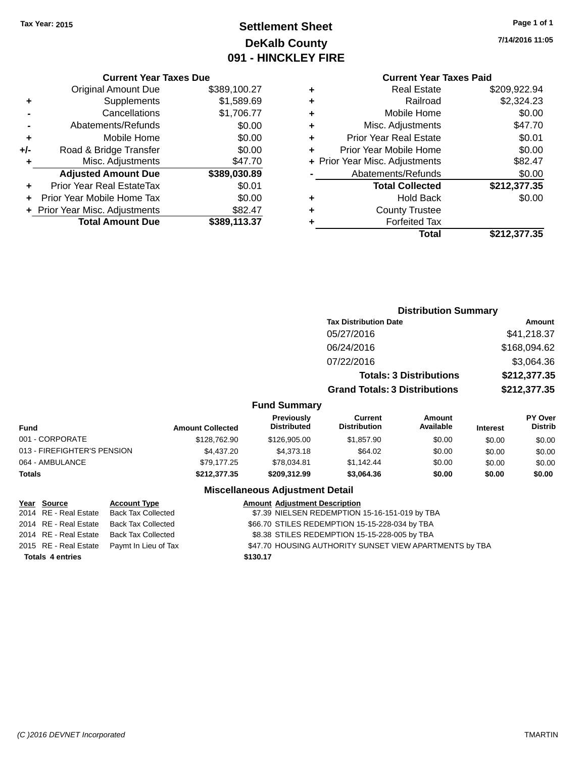# **Settlement Sheet Tax Year: 2015 Page 1 of 1 DeKalb County 091 - HINCKLEY FIRE**

**7/14/2016 11:05**

#### **Current Year Taxes Due**

|       | <b>Original Amount Due</b>     | \$389,100.27 |
|-------|--------------------------------|--------------|
| ٠     | Supplements                    | \$1,589.69   |
|       | Cancellations                  | \$1,706.77   |
|       | Abatements/Refunds             | \$0.00       |
| ٠     | Mobile Home                    | \$0.00       |
| $+/-$ | Road & Bridge Transfer         | \$0.00       |
| ٠     | Misc. Adjustments              | \$47.70      |
|       | <b>Adjusted Amount Due</b>     | \$389,030.89 |
|       | Prior Year Real EstateTax      | \$0.01       |
|       | Prior Year Mobile Home Tax     | \$0.00       |
|       | + Prior Year Misc. Adjustments | \$82.47      |
|       | <b>Total Amount Due</b>        | \$389,113.37 |

# **Current Year Taxes Paid**<br>Real Fatate \$300,033.04

|   | <b>Real Estate</b>             | \$209,922.94 |
|---|--------------------------------|--------------|
| ٠ | Railroad                       | \$2,324.23   |
| ٠ | Mobile Home                    | \$0.00       |
| ٠ | Misc. Adjustments              | \$47.70      |
| ٠ | <b>Prior Year Real Estate</b>  | \$0.01       |
| ٠ | Prior Year Mobile Home         | \$0.00       |
|   | + Prior Year Misc. Adjustments | \$82.47      |
|   | Abatements/Refunds             | \$0.00       |
|   | <b>Total Collected</b>         | \$212,377.35 |
|   | <b>Hold Back</b>               | \$0.00       |
| ٠ | <b>County Trustee</b>          |              |
|   | <b>Forfeited Tax</b>           |              |
|   | Total                          | \$212,377.35 |
|   |                                |              |

|                             |                              |                                  | <b>Distribution Summary</b>           |                                |                 |                                  |
|-----------------------------|------------------------------|----------------------------------|---------------------------------------|--------------------------------|-----------------|----------------------------------|
|                             | <b>Tax Distribution Date</b> |                                  |                                       | <b>Amount</b>                  |                 |                                  |
|                             |                              |                                  | 05/27/2016                            |                                |                 | \$41,218.37                      |
|                             |                              |                                  | 06/24/2016                            |                                |                 | \$168,094.62                     |
|                             |                              |                                  | 07/22/2016                            |                                |                 | \$3,064.36                       |
|                             |                              |                                  |                                       | <b>Totals: 3 Distributions</b> |                 | \$212,377.35                     |
|                             |                              |                                  | <b>Grand Totals: 3 Distributions</b>  |                                |                 | \$212,377.35                     |
|                             |                              | <b>Fund Summary</b>              |                                       |                                |                 |                                  |
| <b>Fund</b>                 | <b>Amount Collected</b>      | Previously<br><b>Distributed</b> | <b>Current</b><br><b>Distribution</b> | Amount<br>Available            | <b>Interest</b> | <b>PY Over</b><br><b>Distrib</b> |
| 001 - CORPORATE             | \$128,762.90                 | \$126,905.00                     | \$1,857.90                            | \$0.00                         | \$0.00          | \$0.00                           |
| 013 - FIREFIGHTER'S PENSION | \$4,437.20                   | \$4,373.18                       | \$64.02                               | \$0.00                         | \$0.00          | \$0.00                           |
| 064 - AMBULANCE             | \$79,177.25                  | \$78,034.81                      | \$1,142.44                            | \$0.00                         | \$0.00          | \$0.00                           |
| Totals                      | \$212,377.35                 | \$209,312.99                     | \$3,064.36                            | \$0.00                         | \$0.00          | \$0.00                           |
|                             |                              |                                  |                                       |                                |                 |                                  |

### **Miscellaneous Adjustment Detail**

| Year Source             | <b>Account Type</b>                        |          | <b>Amount Adjustment Description</b>                    |
|-------------------------|--------------------------------------------|----------|---------------------------------------------------------|
| 2014 RE - Real Estate   | Back Tax Collected                         |          | \$7.39 NIELSEN REDEMPTION 15-16-151-019 by TBA          |
| 2014 RE - Real Estate   | Back Tax Collected                         |          | \$66.70 STILES REDEMPTION 15-15-228-034 by TBA          |
| 2014 RE - Real Estate   | Back Tax Collected                         |          | \$8.38 STILES REDEMPTION 15-15-228-005 by TBA           |
|                         | 2015 RE - Real Estate Paymt In Lieu of Tax |          | \$47.70 HOUSING AUTHORITY SUNSET VIEW APARTMENTS by TBA |
| <b>Totals 4 entries</b> |                                            | \$130.17 |                                                         |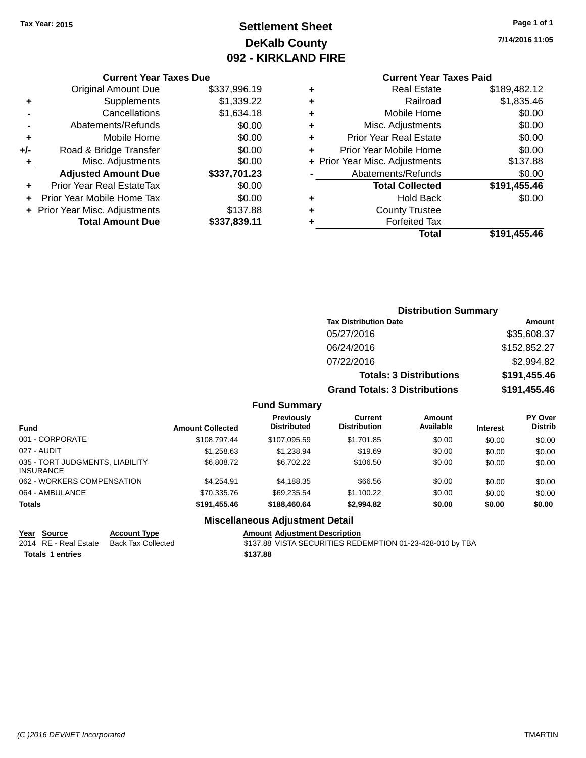# **Settlement Sheet Tax Year: 2015 Page 1 of 1 DeKalb County 092 - KIRKLAND FIRE**

**7/14/2016 11:05**

### **Current Year Taxes Due**

|       | <b>Original Amount Due</b>       | \$337,996.19 |
|-------|----------------------------------|--------------|
| ٠     | Supplements                      | \$1,339.22   |
|       | Cancellations                    | \$1,634.18   |
|       | Abatements/Refunds               | \$0.00       |
| ٠     | Mobile Home                      | \$0.00       |
| $+/-$ | Road & Bridge Transfer           | \$0.00       |
| ٠     | Misc. Adjustments                | \$0.00       |
|       | <b>Adjusted Amount Due</b>       | \$337,701.23 |
|       | <b>Prior Year Real EstateTax</b> | \$0.00       |
|       | Prior Year Mobile Home Tax       | \$0.00       |
|       | + Prior Year Misc. Adjustments   | \$137.88     |
|       | <b>Total Amount Due</b>          | \$337,839.11 |

### **Current Year Taxes Paid**

| ٠ | <b>Real Estate</b>             | \$189,482.12 |
|---|--------------------------------|--------------|
| ٠ | Railroad                       | \$1,835.46   |
| ٠ | Mobile Home                    | \$0.00       |
| ٠ | Misc. Adjustments              | \$0.00       |
| ٠ | <b>Prior Year Real Estate</b>  | \$0.00       |
| ٠ | Prior Year Mobile Home         | \$0.00       |
|   | + Prior Year Misc. Adjustments | \$137.88     |
|   | Abatements/Refunds             | \$0.00       |
|   | <b>Total Collected</b>         | \$191,455.46 |
| ٠ | <b>Hold Back</b>               | \$0.00       |
| ٠ | <b>County Trustee</b>          |              |
| ٠ | <b>Forfeited Tax</b>           |              |
|   | Total                          | \$191,455.46 |
|   |                                |              |

### **Distribution Summary Tax Distribution Date Amount** 05/27/2016 \$35,608.37 06/24/2016 \$152,852.27 07/22/2016 \$2,994.82 **Totals: 3 Distributions \$191,455.46 Grand Totals: 3 Distributions \$191,455.46**

### **Fund Summary**

| <b>Fund</b>                                         | <b>Amount Collected</b> | <b>Previously</b><br><b>Distributed</b> | Current<br><b>Distribution</b> | Amount<br>Available | <b>Interest</b> | PY Over<br><b>Distrib</b> |
|-----------------------------------------------------|-------------------------|-----------------------------------------|--------------------------------|---------------------|-----------------|---------------------------|
| 001 - CORPORATE                                     | \$108,797.44            | \$107.095.59                            | \$1,701.85                     | \$0.00              | \$0.00          | \$0.00                    |
| 027 - AUDIT                                         | \$1,258,63              | \$1.238.94                              | \$19.69                        | \$0.00              | \$0.00          | \$0.00                    |
| 035 - TORT JUDGMENTS, LIABILITY<br><b>INSURANCE</b> | \$6,808.72              | \$6,702.22                              | \$106.50                       | \$0.00              | \$0.00          | \$0.00                    |
| 062 - WORKERS COMPENSATION                          | \$4.254.91              | \$4,188.35                              | \$66.56                        | \$0.00              | \$0.00          | \$0.00                    |
| 064 - AMBULANCE                                     | \$70.335.76             | \$69.235.54                             | \$1,100.22                     | \$0.00              | \$0.00          | \$0.00                    |
| <b>Totals</b>                                       | \$191,455.46            | \$188,460,64                            | \$2,994.82                     | \$0.00              | \$0.00          | \$0.00                    |

### **Miscellaneous Adjustment Detail**

**Year Source Account Type Amount Adjustment Description Totals \$137.88 1 entries**

2014 RE - Real Estate Back Tax Collected \$137.88 VISTA SECURITIES REDEMPTION 01-23-428-010 by TBA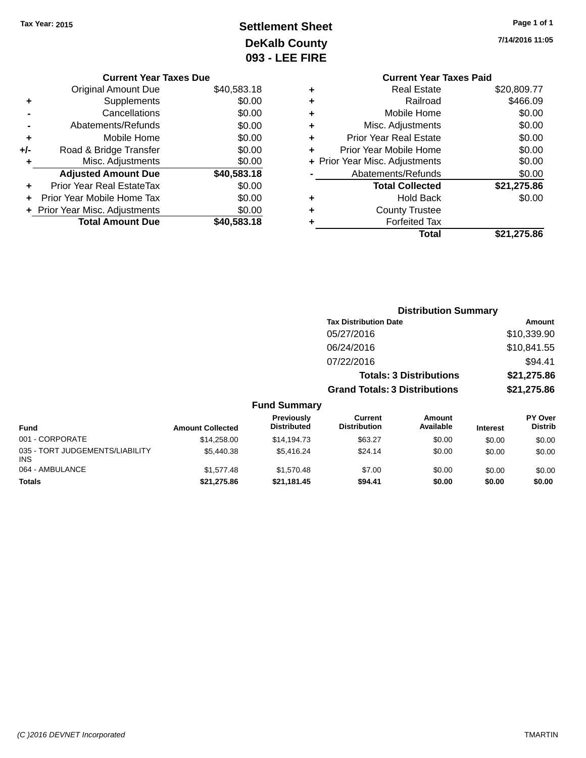# **Settlement Sheet Tax Year: 2015 Page 1 of 1 DeKalb County 093 - LEE FIRE**

| 7/14/2016 11:05 |
|-----------------|
|                 |
|                 |

|     | <b>Current Year Taxes Due</b>  |             |  |
|-----|--------------------------------|-------------|--|
|     | <b>Original Amount Due</b>     | \$40,583.18 |  |
| ٠   | Supplements                    | \$0.00      |  |
|     | Cancellations                  | \$0.00      |  |
|     | Abatements/Refunds             | \$0.00      |  |
| ٠   | Mobile Home                    | \$0.00      |  |
| +/- | Road & Bridge Transfer         | \$0.00      |  |
| ٠   | Misc. Adjustments              | \$0.00      |  |
|     | <b>Adjusted Amount Due</b>     | \$40,583.18 |  |
| ٠   | Prior Year Real EstateTax      | \$0.00      |  |
| ÷   | Prior Year Mobile Home Tax     | \$0.00      |  |
|     | + Prior Year Misc. Adjustments | \$0.00      |  |
|     | <b>Total Amount Due</b>        | \$40,583.18 |  |
|     |                                |             |  |

|   | <b>Current Year Taxes Paid</b> |             |
|---|--------------------------------|-------------|
| ٠ | <b>Real Estate</b>             | \$20,809.77 |
| ٠ | Railroad                       | \$466.09    |
| ٠ | Mobile Home                    | \$0.00      |
| ٠ | Misc. Adjustments              | \$0.00      |
| ٠ | <b>Prior Year Real Estate</b>  | \$0.00      |
| ٠ | Prior Year Mobile Home         | \$0.00      |
|   | + Prior Year Misc. Adjustments | \$0.00      |
|   | Abatements/Refunds             | \$0.00      |
|   | <b>Total Collected</b>         | \$21,275.86 |
| ٠ | <b>Hold Back</b>               | \$0.00      |
|   | <b>County Trustee</b>          |             |
|   | <b>Forfeited Tax</b>           |             |
|   | Total                          | \$21,275.86 |

|                                         | <b>Distribution Summary</b> |                                  |                                       |                                |                 |                           |
|-----------------------------------------|-----------------------------|----------------------------------|---------------------------------------|--------------------------------|-----------------|---------------------------|
|                                         |                             |                                  | <b>Tax Distribution Date</b>          |                                |                 | Amount                    |
|                                         |                             |                                  | 05/27/2016                            |                                |                 | \$10,339.90               |
|                                         |                             |                                  | 06/24/2016                            |                                |                 | \$10,841.55               |
|                                         |                             |                                  | 07/22/2016                            |                                |                 | \$94.41                   |
|                                         |                             |                                  |                                       | <b>Totals: 3 Distributions</b> |                 | \$21,275.86               |
|                                         |                             |                                  | <b>Grand Totals: 3 Distributions</b>  |                                |                 | \$21,275.86               |
|                                         |                             | <b>Fund Summary</b>              |                                       |                                |                 |                           |
| <b>Fund</b>                             | <b>Amount Collected</b>     | Previously<br><b>Distributed</b> | <b>Current</b><br><b>Distribution</b> | Amount<br>Available            | <b>Interest</b> | PY Over<br><b>Distrib</b> |
| 001 - CORPORATE                         | \$14,258.00                 | \$14,194.73                      | \$63.27                               | \$0.00                         | \$0.00          | \$0.00                    |
| 035 - TORT JUDGEMENTS/LIABILITY<br>INS. | \$5,440.38                  | \$5,416.24                       | \$24.14                               | \$0.00                         | \$0.00          | \$0.00                    |
| 064 - AMBULANCE                         | \$1,577.48                  | \$1,570.48                       | \$7.00                                | \$0.00                         | \$0.00          | \$0.00                    |

**Totals \$21,275.86 \$21,181.45 \$94.41 \$0.00 \$0.00 \$0.00**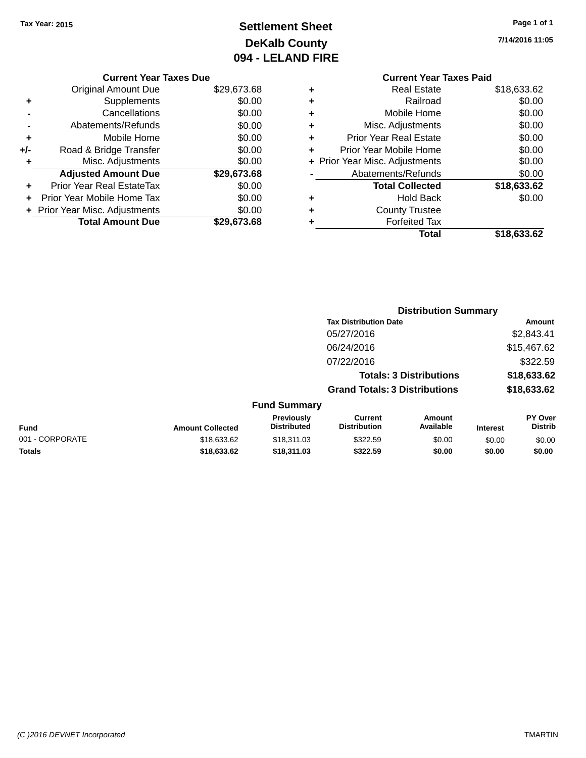# **Settlement Sheet Tax Year: 2015 Page 1 of 1 DeKalb County 094 - LELAND FIRE**

**7/14/2016 11:05**

|     | <b>Current Year Taxes Due</b> |             |
|-----|-------------------------------|-------------|
|     | <b>Original Amount Due</b>    | \$29,673.68 |
| ٠   | Supplements                   | \$0.00      |
|     | Cancellations                 | \$0.00      |
|     | Abatements/Refunds            | \$0.00      |
| ٠   | Mobile Home                   | \$0.00      |
| +/- | Road & Bridge Transfer        | \$0.00      |
| ٠   | Misc. Adjustments             | \$0.00      |
|     | <b>Adjusted Amount Due</b>    | \$29,673.68 |
| ÷   | Prior Year Real EstateTax     | \$0.00      |
|     | Prior Year Mobile Home Tax    | \$0.00      |
|     | Prior Year Misc. Adjustments  | \$0.00      |
|     | <b>Total Amount Due</b>       | \$29,673,68 |
|     |                               |             |

### **Current Year Taxes Paid +** Real Estate \$18,633.62 **+** Railroad \$0.00 **+** Mobile Home \$0.00 **+** Misc. Adjustments \$0.00 **+** Prior Year Real Estate \$0.00 **+** Prior Year Mobile Home \$0.00 **+ Prior Year Misc. Adjustments**  $$0.00$ **-** Abatements/Refunds \$0.00 **Total Collected \$18,633.62 +** Hold Back \$0.00 **+** County Trustee **+** Forfeited Tax

**Total \$18,633.62**

|                 |                         |                                         |                                       | <b>Distribution Summary</b>    |                 |                                  |
|-----------------|-------------------------|-----------------------------------------|---------------------------------------|--------------------------------|-----------------|----------------------------------|
|                 |                         |                                         | <b>Tax Distribution Date</b>          |                                |                 | <b>Amount</b>                    |
|                 |                         |                                         | 05/27/2016                            |                                |                 | \$2,843.41                       |
|                 |                         |                                         | 06/24/2016                            |                                |                 | \$15,467.62                      |
|                 |                         |                                         | 07/22/2016                            |                                |                 | \$322.59                         |
|                 |                         |                                         |                                       | <b>Totals: 3 Distributions</b> |                 | \$18,633.62                      |
|                 |                         |                                         | <b>Grand Totals: 3 Distributions</b>  |                                |                 | \$18,633.62                      |
|                 |                         | <b>Fund Summary</b>                     |                                       |                                |                 |                                  |
| <b>Fund</b>     | <b>Amount Collected</b> | <b>Previously</b><br><b>Distributed</b> | <b>Current</b><br><b>Distribution</b> | Amount<br>Available            | <b>Interest</b> | <b>PY Over</b><br><b>Distrib</b> |
| 001 - CORPORATE | \$18,633.62             | \$18,311.03                             | \$322.59                              | \$0.00                         | \$0.00          | \$0.00                           |
|                 |                         |                                         |                                       |                                |                 |                                  |

**Totals \$18,633.62 \$18,311.03 \$322.59 \$0.00 \$0.00 \$0.00**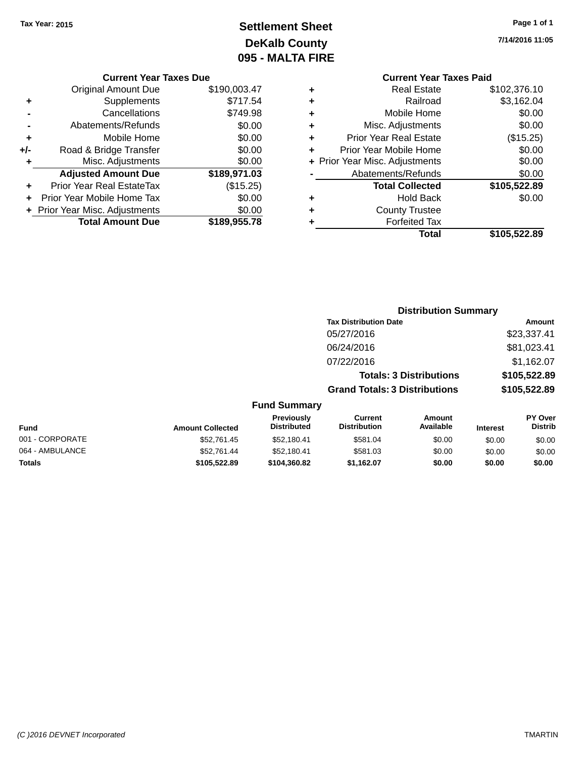# **Settlement Sheet Tax Year: 2015 Page 1 of 1 DeKalb County 095 - MALTA FIRE**

**7/14/2016 11:05**

|     | <b>Current Year Taxes Due</b>  |              |  |  |  |
|-----|--------------------------------|--------------|--|--|--|
|     | Original Amount Due            | \$190,003.47 |  |  |  |
| ٠   | Supplements                    | \$717.54     |  |  |  |
|     | Cancellations                  | \$749.98     |  |  |  |
|     | Abatements/Refunds             | \$0.00       |  |  |  |
| ٠   | Mobile Home                    | \$0.00       |  |  |  |
| +/- | Road & Bridge Transfer         | \$0.00       |  |  |  |
|     | Misc. Adjustments              | \$0.00       |  |  |  |
|     | <b>Adjusted Amount Due</b>     | \$189,971.03 |  |  |  |
| ÷   | Prior Year Real EstateTax      | (\$15.25)    |  |  |  |
|     | Prior Year Mobile Home Tax     | \$0.00       |  |  |  |
|     | + Prior Year Misc. Adjustments | \$0.00       |  |  |  |
|     | <b>Total Amount Due</b>        | \$189,955.78 |  |  |  |
|     |                                |              |  |  |  |

# **Current Year Taxes Paid**

|   | Total                          | \$105,522.89 |
|---|--------------------------------|--------------|
| ٠ | <b>Forfeited Tax</b>           |              |
| ٠ | <b>County Trustee</b>          |              |
| ٠ | <b>Hold Back</b>               | \$0.00       |
|   | <b>Total Collected</b>         | \$105,522.89 |
|   | Abatements/Refunds             | \$0.00       |
|   | + Prior Year Misc. Adjustments | \$0.00       |
| ٠ | Prior Year Mobile Home         | \$0.00       |
| ٠ | <b>Prior Year Real Estate</b>  | (\$15.25)    |
| ٠ | Misc. Adjustments              | \$0.00       |
| ٠ | Mobile Home                    | \$0.00       |
| ٠ | Railroad                       | \$3,162.04   |
| ٠ | <b>Real Estate</b>             | \$102,376.10 |

#### **Distribution Summary Tax Distribution Date Amount** 05/27/2016 \$23,337.41 06/24/2016 \$81,023.41 07/22/2016 \$1,162.07 **Totals: 3 Distributions \$105,522.89 Grand Totals: 3 Distributions \$105,522.89 Fund Summary PY Over Amount Current Previously**

| Fund            | <b>Amount Collected</b> | <b>Previously</b><br><b>Distributed</b> | Current<br><b>Distribution</b> | Amount<br>Available | <b>Interest</b> | <b>PY Over</b><br><b>Distrib</b> |
|-----------------|-------------------------|-----------------------------------------|--------------------------------|---------------------|-----------------|----------------------------------|
| 001 - CORPORATE | \$52.761.45             | \$52,180.41                             | \$581.04                       | \$0.00              | \$0.00          | \$0.00                           |
| 064 - AMBULANCE | \$52.761.44             | \$52.180.41                             | \$581.03                       | \$0.00              | \$0.00          | \$0.00                           |
| Totals          | \$105,522.89            | \$104.360.82                            | \$1.162.07                     | \$0.00              | \$0.00          | \$0.00                           |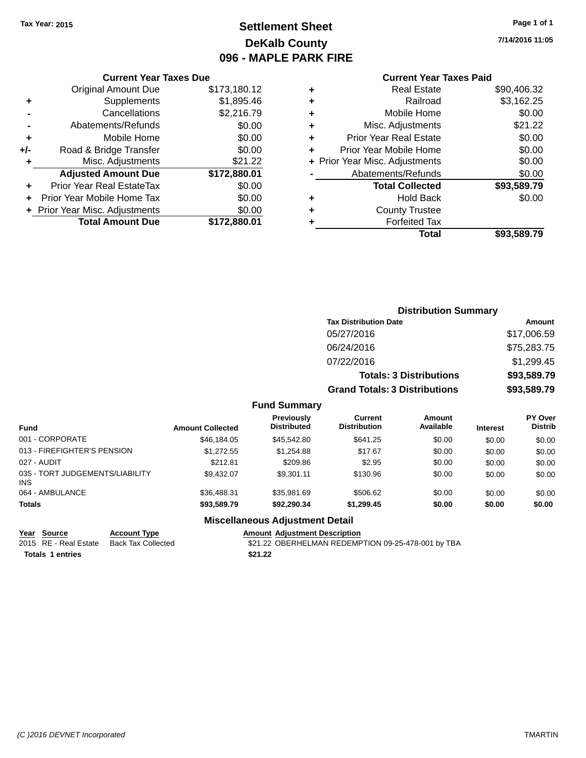# **Settlement Sheet Tax Year: 2015 Page 1 of 1 DeKalb County 096 - MAPLE PARK FIRE**

**7/14/2016 11:05**

### **Current Year Taxes Paid**

|     | <b>Current Year Taxes Due</b>  |              |
|-----|--------------------------------|--------------|
|     | <b>Original Amount Due</b>     | \$173,180.12 |
| ٠   | Supplements                    | \$1,895.46   |
|     | Cancellations                  | \$2,216.79   |
|     | Abatements/Refunds             | \$0.00       |
| ٠   | Mobile Home                    | \$0.00       |
| +/- | Road & Bridge Transfer         | \$0.00       |
|     | Misc. Adjustments              | \$21.22      |
|     | <b>Adjusted Amount Due</b>     | \$172,880.01 |
| ٠   | Prior Year Real EstateTax      | \$0.00       |
|     | Prior Year Mobile Home Tax     | \$0.00       |
|     | + Prior Year Misc. Adjustments | \$0.00       |
|     | <b>Total Amount Due</b>        | \$172,880.01 |
|     |                                |              |

| ٠ | <b>Real Estate</b>             | \$90,406.32 |
|---|--------------------------------|-------------|
| ٠ | Railroad                       | \$3,162.25  |
| ٠ | Mobile Home                    | \$0.00      |
| ٠ | Misc. Adjustments              | \$21.22     |
| ٠ | <b>Prior Year Real Estate</b>  | \$0.00      |
| ٠ | Prior Year Mobile Home         | \$0.00      |
|   | + Prior Year Misc. Adjustments | \$0.00      |
|   | Abatements/Refunds             | \$0.00      |
|   | <b>Total Collected</b>         | \$93,589.79 |
| ٠ | <b>Hold Back</b>               | \$0.00      |
| ٠ | <b>County Trustee</b>          |             |
| ٠ | <b>Forfeited Tax</b>           |             |
|   | Total                          | \$93,589.79 |
|   |                                |             |

| <b>Distribution Summary</b>          |             |
|--------------------------------------|-------------|
| <b>Tax Distribution Date</b>         | Amount      |
| 05/27/2016                           | \$17,006.59 |
| 06/24/2016                           | \$75,283.75 |
| 07/22/2016                           | \$1,299.45  |
| <b>Totals: 3 Distributions</b>       | \$93,589.79 |
| <b>Grand Totals: 3 Distributions</b> | \$93,589.79 |

### **Fund Summary**

| <b>Fund</b>                                   | <b>Amount Collected</b> | Previously<br><b>Distributed</b> | Current<br><b>Distribution</b> | Amount<br>Available | <b>Interest</b> | PY Over<br><b>Distrib</b> |
|-----------------------------------------------|-------------------------|----------------------------------|--------------------------------|---------------------|-----------------|---------------------------|
| 001 - CORPORATE                               | \$46,184,05             | \$45,542.80                      | \$641.25                       | \$0.00              | \$0.00          | \$0.00                    |
| 013 - FIREFIGHTER'S PENSION                   | \$1,272.55              | \$1.254.88                       | \$17.67                        | \$0.00              | \$0.00          | \$0.00                    |
| 027 - AUDIT                                   | \$212.81                | \$209.86                         | \$2.95                         | \$0.00              | \$0.00          | \$0.00                    |
| 035 - TORT JUDGEMENTS/LIABILITY<br><b>INS</b> | \$9.432.07              | \$9.301.11                       | \$130.96                       | \$0.00              | \$0.00          | \$0.00                    |
| 064 - AMBULANCE                               | \$36,488.31             | \$35.981.69                      | \$506.62                       | \$0.00              | \$0.00          | \$0.00                    |
| <b>Totals</b>                                 | \$93,589.79             | \$92,290.34                      | \$1,299.45                     | \$0.00              | \$0.00          | \$0.00                    |

### **Miscellaneous Adjustment Detail**

| Year Source             | <b>Account Type</b> | <b>Amount Adiustment Description</b>               |
|-------------------------|---------------------|----------------------------------------------------|
| 2015 RE - Real Estate   | Back Tax Collected  | \$21.22 OBERHELMAN REDEMPTION 09-25-478-001 by TBA |
| <b>Totals 1 entries</b> |                     | \$21.22                                            |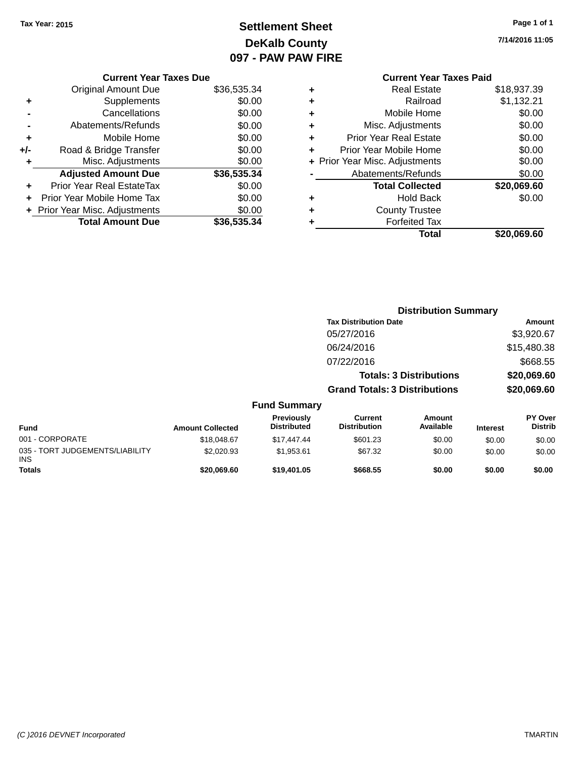# **Settlement Sheet Tax Year: 2015 Page 1 of 1 DeKalb County 097 - PAW PAW FIRE**

**7/14/2016 11:05**

|     | <b>Current Year Taxes Due</b>    |             |  |  |  |  |
|-----|----------------------------------|-------------|--|--|--|--|
|     | Original Amount Due              | \$36,535.34 |  |  |  |  |
| ٠   | Supplements                      | \$0.00      |  |  |  |  |
|     | Cancellations                    | \$0.00      |  |  |  |  |
|     | Abatements/Refunds               | \$0.00      |  |  |  |  |
| ٠   | Mobile Home                      | \$0.00      |  |  |  |  |
| +/- | Road & Bridge Transfer           | \$0.00      |  |  |  |  |
| ٠   | Misc. Adjustments                | \$0.00      |  |  |  |  |
|     | <b>Adjusted Amount Due</b>       | \$36,535.34 |  |  |  |  |
|     | <b>Prior Year Real EstateTax</b> | \$0.00      |  |  |  |  |
| ÷   | Prior Year Mobile Home Tax       | \$0.00      |  |  |  |  |
|     | + Prior Year Misc. Adjustments   | \$0.00      |  |  |  |  |
|     | <b>Total Amount Due</b>          | \$36,535.34 |  |  |  |  |
|     |                                  |             |  |  |  |  |

### **Current Year Taxes Paid +** Real Estate \$18,937.39 **+** Railroad \$1,132.21 **+** Mobile Home \$0.00 **+** Misc. Adjustments \$0.00 **+** Prior Year Real Estate \$0.00 **+** Prior Year Mobile Home \$0.00 **+ Prior Year Misc. Adjustments**  $$0.00$ Abatements/Refunds \$0.00 **Total Collected \$20,069.60 +** Hold Back \$0.00 **+** County Trustee **+** Forfeited Tax **Total \$20,069.60**

**Distribution Summary Tax Distribution Date Amount** 

05/27/2016 \$3,920.67 06/24/2016 \$15,480.38 07/22/2016 \$668.55 **Totals: 3 Distributions \$20,069.60 Grand Totals: 3 Distributions \$20,069.60 Fund Summary Fund Interest Amount Collected Distributed PY Over Distrib Amount Available Current Distribution Previously** 001 - CORPORATE \$18,048.67 \$17,447.44 \$601.23 \$0.00 \$0.00 \$0.00 035 - TORT JUDGEMENTS/LIABILITY INS \$2,020.93 \$1,953.61 \$67.32 \$0.00 \$0.00 \$0.00 **Totals \$20,069.60 \$19,401.05 \$668.55 \$0.00 \$0.00 \$0.00**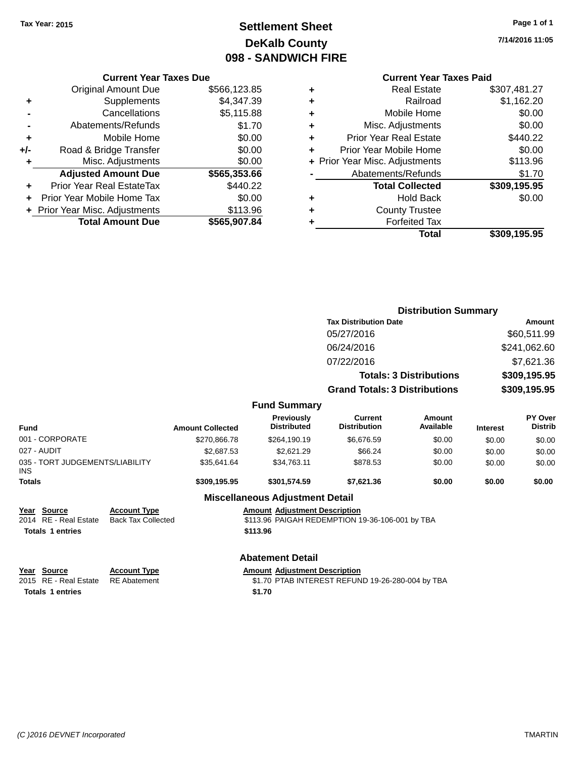# **Settlement Sheet Tax Year: 2015 Page 1 of 1 DeKalb County 098 - SANDWICH FIRE**

**7/14/2016 11:05**

### **Current Year Taxes Paid**

| <b>Current Year Taxes Due</b> |  |  |  |  |
|-------------------------------|--|--|--|--|
| \$566,123.85                  |  |  |  |  |
| \$4,347.39                    |  |  |  |  |
| \$5,115.88                    |  |  |  |  |
| \$1.70                        |  |  |  |  |
| \$0.00                        |  |  |  |  |
| \$0.00                        |  |  |  |  |
| \$0.00                        |  |  |  |  |
| \$565,353.66                  |  |  |  |  |
| \$440.22                      |  |  |  |  |
| \$0.00                        |  |  |  |  |
| \$113.96                      |  |  |  |  |
| \$565,907.84                  |  |  |  |  |
|                               |  |  |  |  |

| ٠ | <b>Real Estate</b>             | \$307,481.27 |
|---|--------------------------------|--------------|
| ٠ | Railroad                       | \$1,162.20   |
| ٠ | Mobile Home                    | \$0.00       |
| ٠ | Misc. Adjustments              | \$0.00       |
| ٠ | <b>Prior Year Real Estate</b>  | \$440.22     |
| ٠ | Prior Year Mobile Home         | \$0.00       |
|   | + Prior Year Misc. Adjustments | \$113.96     |
|   | Abatements/Refunds             | \$1.70       |
|   | <b>Total Collected</b>         | \$309,195.95 |
| ٠ | <b>Hold Back</b>               | \$0.00       |
|   | <b>County Trustee</b>          |              |
| ٠ | <b>Forfeited Tax</b>           |              |
|   | Total                          | \$309.195.95 |
|   |                                |              |

|               |                                          |                                                  |                         |                                        | <b>Distribution Summary</b>                      |                     |                 |                                  |
|---------------|------------------------------------------|--------------------------------------------------|-------------------------|----------------------------------------|--------------------------------------------------|---------------------|-----------------|----------------------------------|
|               |                                          |                                                  |                         |                                        | <b>Tax Distribution Date</b>                     |                     | Amount          |                                  |
|               |                                          |                                                  |                         |                                        | 05/27/2016                                       |                     |                 | \$60,511.99                      |
|               |                                          |                                                  | 06/24/2016              |                                        |                                                  | \$241,062.60        |                 |                                  |
|               |                                          |                                                  |                         |                                        | 07/22/2016                                       |                     |                 | \$7,621.36                       |
|               | <b>Totals: 3 Distributions</b>           |                                                  | \$309,195.95            |                                        |                                                  |                     |                 |                                  |
|               |                                          |                                                  |                         |                                        |                                                  |                     |                 |                                  |
|               |                                          |                                                  |                         |                                        | <b>Grand Totals: 3 Distributions</b>             |                     | \$309,195.95    |                                  |
|               |                                          |                                                  |                         | <b>Fund Summary</b>                    |                                                  |                     |                 |                                  |
| <b>Fund</b>   |                                          |                                                  | <b>Amount Collected</b> | Previously<br><b>Distributed</b>       | <b>Current</b><br><b>Distribution</b>            | Amount<br>Available | <b>Interest</b> | <b>PY Over</b><br><b>Distrib</b> |
|               | 001 - CORPORATE                          |                                                  | \$270,866.78            | \$264,190.19                           | \$6,676.59                                       | \$0.00              | \$0.00          | \$0.00                           |
|               | 027 - AUDIT                              |                                                  | \$2,687.53              | \$2,621.29                             | \$66.24                                          | \$0.00              | \$0.00          | \$0.00                           |
| <b>INS</b>    | 035 - TORT JUDGEMENTS/LIABILITY          |                                                  | \$35,641.64             | \$34,763.11                            | \$878.53                                         | \$0.00              | \$0.00          | \$0.00                           |
| <b>Totals</b> |                                          |                                                  | \$309,195.95            | \$301,574.59                           | \$7,621.36                                       | \$0.00              | \$0.00          | \$0.00                           |
|               |                                          |                                                  |                         | <b>Miscellaneous Adjustment Detail</b> |                                                  |                     |                 |                                  |
| 2014          | Year Source<br><b>RE</b> - Real Estate   | <b>Account Type</b><br><b>Back Tax Collected</b> |                         | <b>Amount Adjustment Description</b>   | \$113.96 PAIGAH REDEMPTION 19-36-106-001 by TBA  |                     |                 |                                  |
|               | <b>Totals 1 entries</b>                  |                                                  |                         | \$113.96                               |                                                  |                     |                 |                                  |
|               |                                          |                                                  |                         | <b>Abatement Detail</b>                |                                                  |                     |                 |                                  |
| Year<br>2015  | <b>Source</b><br><b>RE</b> - Real Estate | <b>Account Type</b><br><b>RE</b> Abatement       |                         | <b>Amount Adjustment Description</b>   | \$1.70 PTAB INTEREST REFUND 19-26-280-004 by TBA |                     |                 |                                  |

**Totals 1 entries** \$1.70

*(C )2016 DEVNET Incorporated* TMARTIN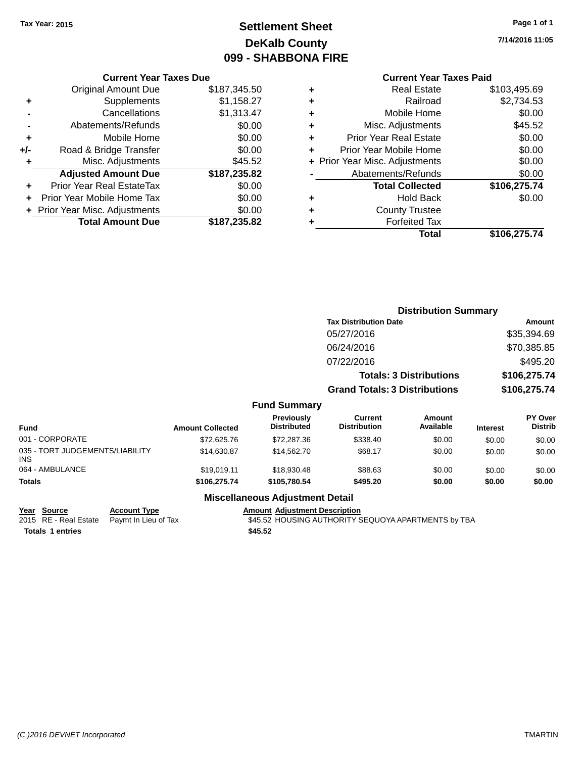# **Settlement Sheet Tax Year: 2015 Page 1 of 1 DeKalb County 099 - SHABBONA FIRE**

**7/14/2016 11:05**

|     | <b>Current Year Taxes Due</b>              |              |  |  |  |  |
|-----|--------------------------------------------|--------------|--|--|--|--|
|     | <b>Original Amount Due</b><br>\$187,345.50 |              |  |  |  |  |
| ÷   | \$1,158.27<br>Supplements                  |              |  |  |  |  |
|     | Cancellations<br>\$1,313.47                |              |  |  |  |  |
|     | Abatements/Refunds                         | \$0.00       |  |  |  |  |
| ٠   | Mobile Home                                | \$0.00       |  |  |  |  |
| +/- | Road & Bridge Transfer                     | \$0.00       |  |  |  |  |
|     | Misc. Adjustments                          | \$45.52      |  |  |  |  |
|     | <b>Adjusted Amount Due</b>                 | \$187,235.82 |  |  |  |  |
| ÷   | Prior Year Real EstateTax                  | \$0.00       |  |  |  |  |
|     | Prior Year Mobile Home Tax                 | \$0.00       |  |  |  |  |
|     | + Prior Year Misc. Adjustments             | \$0.00       |  |  |  |  |
|     | <b>Total Amount Due</b>                    | \$187,235.82 |  |  |  |  |

|   | <b>Current Year Taxes Paid</b> |              |  |  |  |  |
|---|--------------------------------|--------------|--|--|--|--|
| ٠ | <b>Real Estate</b>             | \$103,495.69 |  |  |  |  |
| ٠ | Railroad                       | \$2,734.53   |  |  |  |  |
| ٠ | Mobile Home                    | \$0.00       |  |  |  |  |
| ٠ | Misc. Adjustments              | \$45.52      |  |  |  |  |
| ٠ | <b>Prior Year Real Estate</b>  | \$0.00       |  |  |  |  |
| ٠ | Prior Year Mobile Home         |              |  |  |  |  |
|   | + Prior Year Misc. Adjustments | \$0.00       |  |  |  |  |
|   | Abatements/Refunds             | \$0.00       |  |  |  |  |
|   | <b>Total Collected</b>         | \$106,275.74 |  |  |  |  |
| ٠ | <b>Hold Back</b>               | \$0.00       |  |  |  |  |
| ٠ | <b>County Trustee</b>          |              |  |  |  |  |
| ٠ | <b>Forfeited Tax</b>           |              |  |  |  |  |
|   | Total                          | \$106,275.74 |  |  |  |  |
|   |                                |              |  |  |  |  |

|                                         |                         |                                  | <b>Distribution Summary</b>           |                                |                 |                           |
|-----------------------------------------|-------------------------|----------------------------------|---------------------------------------|--------------------------------|-----------------|---------------------------|
|                                         |                         |                                  | <b>Tax Distribution Date</b>          |                                |                 | Amount                    |
|                                         |                         |                                  | 05/27/2016                            |                                |                 | \$35,394.69               |
|                                         |                         |                                  | 06/24/2016                            |                                |                 | \$70,385.85               |
|                                         |                         |                                  | 07/22/2016                            |                                |                 | \$495.20                  |
|                                         |                         |                                  |                                       | <b>Totals: 3 Distributions</b> |                 | \$106,275.74              |
|                                         |                         |                                  | <b>Grand Totals: 3 Distributions</b>  |                                | \$106,275.74    |                           |
|                                         |                         | <b>Fund Summary</b>              |                                       |                                |                 |                           |
| <b>Fund</b>                             | <b>Amount Collected</b> | Previously<br><b>Distributed</b> | <b>Current</b><br><b>Distribution</b> | <b>Amount</b><br>Available     | <b>Interest</b> | PY Over<br><b>Distrib</b> |
| 001 - CORPORATE                         | \$72,625.76             | \$72,287.36                      | \$338.40                              | \$0.00                         | \$0.00          | \$0.00                    |
| 035 - TORT JUDGEMENTS/LIABILITY<br>INS. | \$14,630.87             | \$14,562.70                      | \$68.17                               | \$0.00                         | \$0.00          | \$0.00                    |
| 064 - AMBULANCE                         | \$19,019.11             | \$18,930.48                      | \$88.63                               | \$0.00                         | \$0.00          | \$0.00                    |
| <b>Totals</b>                           | \$106,275.74            | \$105,780.54                     | \$495.20                              | \$0.00                         | \$0.00          | \$0.00                    |

### **Miscellaneous Adjustment Detail**

**Year** Source **Account Type Account Adjustment Description** 

**Totals \$45.52 1 entries**

2015 RE - Real Estate Paymt In Lieu of Tax **545.52 HOUSING AUTHORITY SEQUOYA APARTMENTS** by TBA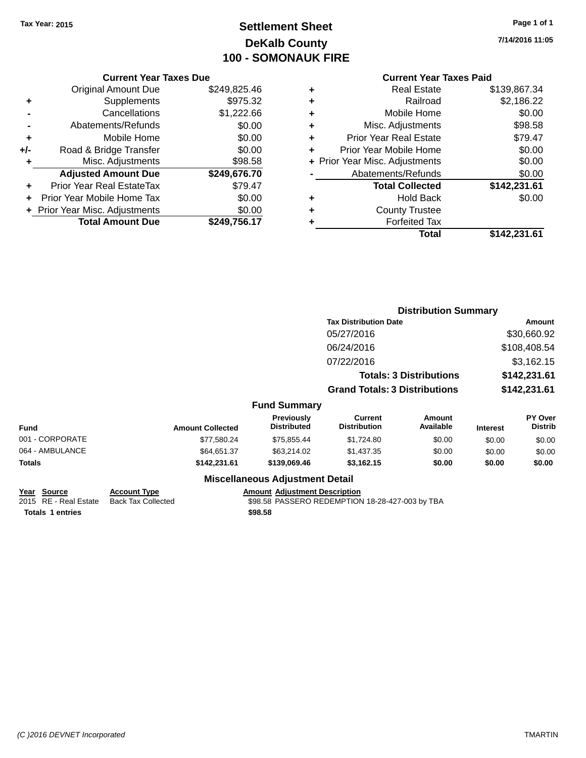# **Settlement Sheet Tax Year: 2015 Page 1 of 1 DeKalb County 100 - SOMONAUK FIRE**

**7/14/2016 11:05**

### **Current Year Taxes Paid**

| <b>Current Year Taxes Due</b> |  |  |  |  |
|-------------------------------|--|--|--|--|
| \$249,825.46                  |  |  |  |  |
| \$975.32                      |  |  |  |  |
| \$1,222.66                    |  |  |  |  |
| \$0.00                        |  |  |  |  |
| \$0.00                        |  |  |  |  |
| \$0.00                        |  |  |  |  |
| \$98.58                       |  |  |  |  |
| \$249,676.70                  |  |  |  |  |
| \$79.47                       |  |  |  |  |
| \$0.00                        |  |  |  |  |
| \$0.00                        |  |  |  |  |
| \$249.756.17                  |  |  |  |  |
|                               |  |  |  |  |

|   | <b>Real Estate</b>             | \$139,867.34 |
|---|--------------------------------|--------------|
| ٠ | Railroad                       | \$2,186.22   |
| ٠ | Mobile Home                    | \$0.00       |
| ٠ | Misc. Adjustments              | \$98.58      |
| ٠ | <b>Prior Year Real Estate</b>  | \$79.47      |
| ٠ | Prior Year Mobile Home         | \$0.00       |
|   | + Prior Year Misc. Adjustments | \$0.00       |
|   | Abatements/Refunds             | \$0.00       |
|   | <b>Total Collected</b>         | \$142,231.61 |
| ٠ | Hold Back                      | \$0.00       |
| ٠ | <b>County Trustee</b>          |              |
| ٠ | <b>Forfeited Tax</b>           |              |
|   | Total                          | \$142,231.61 |
|   |                                |              |

|                 |                                      |                                  |                                       | <b>Distribution Summary</b>    |                 |                                  |  |
|-----------------|--------------------------------------|----------------------------------|---------------------------------------|--------------------------------|-----------------|----------------------------------|--|
|                 |                                      |                                  | <b>Tax Distribution Date</b>          |                                | Amount          |                                  |  |
|                 |                                      |                                  | 05/27/2016                            |                                |                 | \$30,660.92                      |  |
|                 |                                      |                                  | 06/24/2016                            |                                |                 | \$108,408.54                     |  |
|                 |                                      |                                  | 07/22/2016                            |                                |                 | \$3,162.15                       |  |
|                 |                                      |                                  |                                       | <b>Totals: 3 Distributions</b> |                 | \$142,231.61                     |  |
|                 | <b>Grand Totals: 3 Distributions</b> |                                  | \$142,231.61                          |                                |                 |                                  |  |
|                 |                                      | <b>Fund Summary</b>              |                                       |                                |                 |                                  |  |
| <b>Fund</b>     | <b>Amount Collected</b>              | Previously<br><b>Distributed</b> | <b>Current</b><br><b>Distribution</b> | Amount<br>Available            | <b>Interest</b> | <b>PY Over</b><br><b>Distrib</b> |  |
| 001 - CORPORATE | \$77,580.24                          | \$75,855.44                      | \$1,724.80                            | \$0.00                         | \$0.00          | \$0.00                           |  |
| 064 - AMBULANCE | \$64,651.37                          | \$63,214.02                      | \$1,437.35                            | \$0.00                         | \$0.00          | \$0.00                           |  |
| Totals          | \$142,231.61                         | \$139,069.46                     | \$3,162.15                            | \$0.00                         | \$0.00          | \$0.00                           |  |
|                 |                                      |                                  |                                       |                                |                 |                                  |  |

### **Miscellaneous Adjustment Detail**

**Year Source Account Type Account Account Adjustment Description** 2015 RE - Real Estate Back Tax Collected \$98.58 PASSERO REDEMPTION 18-28-427-003 by TBA **Totals \$98.58 1 entries**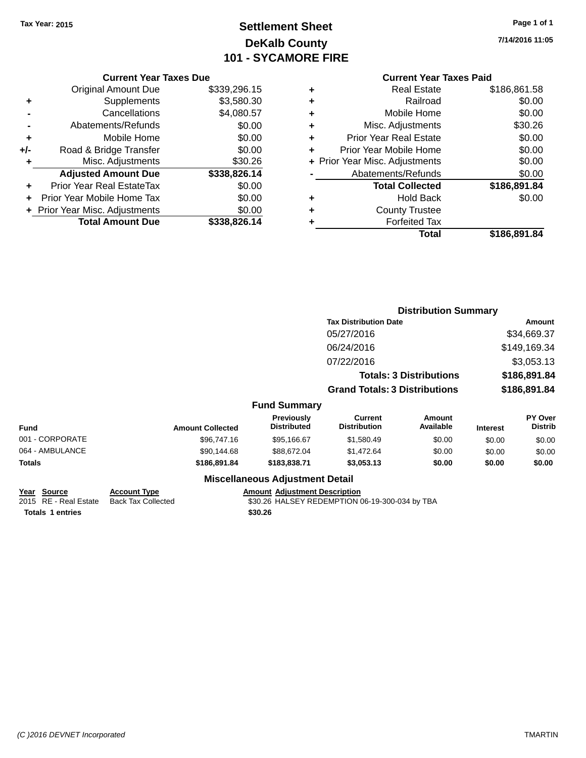# **Settlement Sheet Tax Year: 2015 Page 1 of 1 DeKalb County 101 - SYCAMORE FIRE**

**7/14/2016 11:05**

### **Current Year Taxes Paid**

| <b>Current Year Taxes Due</b> |  |  |  |  |
|-------------------------------|--|--|--|--|
| \$339,296.15                  |  |  |  |  |
| \$3,580.30                    |  |  |  |  |
| \$4,080.57                    |  |  |  |  |
| \$0.00                        |  |  |  |  |
| \$0.00                        |  |  |  |  |
| \$0.00                        |  |  |  |  |
| \$30.26                       |  |  |  |  |
| \$338,826.14                  |  |  |  |  |
| \$0.00                        |  |  |  |  |
| \$0.00                        |  |  |  |  |
| \$0.00                        |  |  |  |  |
| \$338.826.14                  |  |  |  |  |
|                               |  |  |  |  |

|   | <b>Real Estate</b>             | \$186,861.58 |
|---|--------------------------------|--------------|
| ٠ | Railroad                       | \$0.00       |
| ٠ | Mobile Home                    | \$0.00       |
| ٠ | Misc. Adjustments              | \$30.26      |
| ٠ | <b>Prior Year Real Estate</b>  | \$0.00       |
| ٠ | Prior Year Mobile Home         | \$0.00       |
|   | + Prior Year Misc. Adjustments | \$0.00       |
|   | Abatements/Refunds             | \$0.00       |
|   | <b>Total Collected</b>         | \$186,891.84 |
| ٠ | Hold Back                      | \$0.00       |
| ٠ | <b>County Trustee</b>          |              |
| ٠ | <b>Forfeited Tax</b>           |              |
|   | <b>Total</b>                   | \$186,891.84 |
|   |                                |              |

|                 |                         |                                  |                                       | <b>Distribution Summary</b>    |                 |                           |
|-----------------|-------------------------|----------------------------------|---------------------------------------|--------------------------------|-----------------|---------------------------|
|                 |                         |                                  | <b>Tax Distribution Date</b>          |                                |                 | <b>Amount</b>             |
|                 |                         |                                  | 05/27/2016                            |                                |                 | \$34,669.37               |
|                 |                         |                                  | 06/24/2016                            |                                |                 | \$149,169.34              |
|                 |                         |                                  | 07/22/2016                            |                                |                 | \$3,053.13                |
|                 |                         |                                  |                                       | <b>Totals: 3 Distributions</b> |                 | \$186,891.84              |
|                 |                         |                                  | <b>Grand Totals: 3 Distributions</b>  |                                |                 | \$186,891.84              |
|                 |                         | <b>Fund Summary</b>              |                                       |                                |                 |                           |
| <b>Fund</b>     | <b>Amount Collected</b> | Previously<br><b>Distributed</b> | <b>Current</b><br><b>Distribution</b> | <b>Amount</b><br>Available     | <b>Interest</b> | PY Over<br><b>Distrib</b> |
| 001 - CORPORATE | \$96,747.16             | \$95,166.67                      | \$1,580.49                            | \$0.00                         | \$0.00          | \$0.00                    |
| 064 - AMBULANCE | \$90,144.68             | \$88,672.04                      | \$1,472.64                            | \$0.00                         | \$0.00          | \$0.00                    |
| Totals          | \$186,891.84            | \$183,838.71                     | \$3,053.13                            | \$0.00                         | \$0.00          | \$0.00                    |
|                 |                         |                                  |                                       |                                |                 |                           |

### **Miscellaneous Adjustment Detail**

**Year Source Account Type Account Account Adjustment Description Totals \$30.26 1 entries**

2015 RE - Real Estate Back Tax Collected \$30.26 HALSEY REDEMPTION 06-19-300-034 by TBA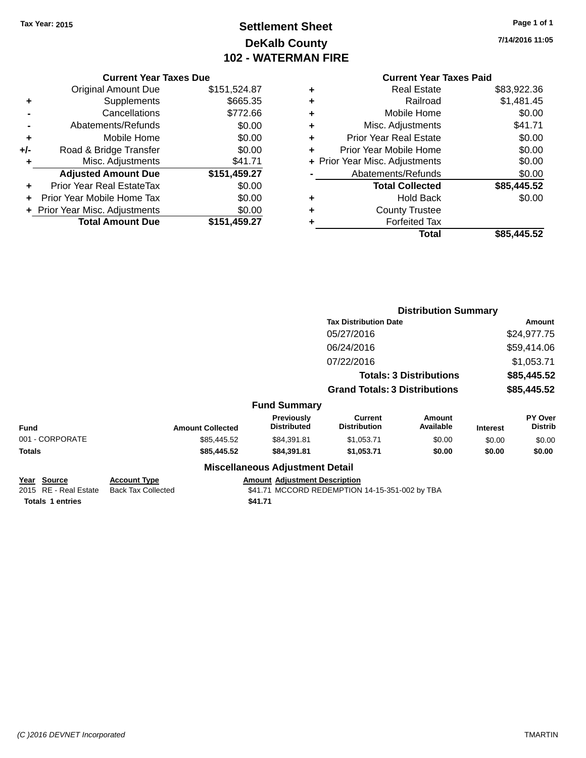# **Settlement Sheet Tax Year: 2015 Page 1 of 1 DeKalb County 102 - WATERMAN FIRE**

**7/14/2016 11:05**

| <b>Current Year Taxes Due</b> |           |
|-------------------------------|-----------|
| al Amount Due.                | \$151.524 |

| <b>Original Amount Due</b>     | \$151,524.87            |
|--------------------------------|-------------------------|
| Supplements                    | \$665.35                |
| Cancellations                  | \$772.66                |
| Abatements/Refunds             | \$0.00                  |
| Mobile Home                    | \$0.00                  |
| Road & Bridge Transfer         | \$0.00                  |
| Misc. Adjustments              | \$41.71                 |
| <b>Adjusted Amount Due</b>     | \$151,459.27            |
| Prior Year Real EstateTax      | \$0.00                  |
| Prior Year Mobile Home Tax     | \$0.00                  |
| + Prior Year Misc. Adjustments | \$0.00                  |
|                                | \$151,459.27            |
|                                | <b>Total Amount Due</b> |

# **Current Year Taxes Paid**

| ٠ | <b>Real Estate</b>             | \$83,922.36 |
|---|--------------------------------|-------------|
| ٠ | Railroad                       | \$1,481.45  |
| ٠ | Mobile Home                    | \$0.00      |
| ٠ | Misc. Adjustments              | \$41.71     |
| ٠ | <b>Prior Year Real Estate</b>  | \$0.00      |
| ٠ | Prior Year Mobile Home         | \$0.00      |
|   | + Prior Year Misc. Adjustments | \$0.00      |
|   | Abatements/Refunds             | \$0.00      |
|   | <b>Total Collected</b>         | \$85,445.52 |
| ٠ | <b>Hold Back</b>               | \$0.00      |
| ٠ | <b>County Trustee</b>          |             |
|   | <b>Forfeited Tax</b>           |             |
|   | Total                          | \$85,445.52 |
|   |                                |             |

|                                      |                                                  |                                        | <b>Distribution Summary</b>                    |                            |                 |                           |
|--------------------------------------|--------------------------------------------------|----------------------------------------|------------------------------------------------|----------------------------|-----------------|---------------------------|
|                                      |                                                  |                                        | <b>Tax Distribution Date</b>                   |                            |                 | Amount                    |
|                                      |                                                  |                                        | 05/27/2016                                     |                            |                 | \$24,977.75               |
|                                      |                                                  |                                        | 06/24/2016                                     |                            |                 | \$59,414.06               |
|                                      |                                                  |                                        | 07/22/2016                                     |                            |                 | \$1,053.71                |
|                                      | <b>Totals: 3 Distributions</b>                   |                                        | \$85,445.52                                    |                            |                 |                           |
|                                      |                                                  |                                        | <b>Grand Totals: 3 Distributions</b>           |                            |                 | \$85,445.52               |
|                                      |                                                  | <b>Fund Summary</b>                    |                                                |                            |                 |                           |
| <b>Fund</b>                          | <b>Amount Collected</b>                          | Previously<br><b>Distributed</b>       | <b>Current</b><br><b>Distribution</b>          | <b>Amount</b><br>Available | <b>Interest</b> | PY Over<br><b>Distrib</b> |
| 001 - CORPORATE                      | \$85,445.52                                      | \$84,391.81                            | \$1,053.71                                     | \$0.00                     | \$0.00          | \$0.00                    |
| Totals                               | \$85,445.52                                      | \$84,391.81                            | \$1,053.71                                     | \$0.00                     | \$0.00          | \$0.00                    |
|                                      |                                                  | <b>Miscellaneous Adjustment Detail</b> |                                                |                            |                 |                           |
| Year Source<br>2015 RE - Real Estate | <b>Account Type</b><br><b>Back Tax Collected</b> | <b>Amount Adjustment Description</b>   | \$41.71 MCCORD REDEMPTION 14-15-351-002 by TBA |                            |                 |                           |
|                                      |                                                  |                                        |                                                |                            |                 |                           |

**Totals 1 entries** \$41.71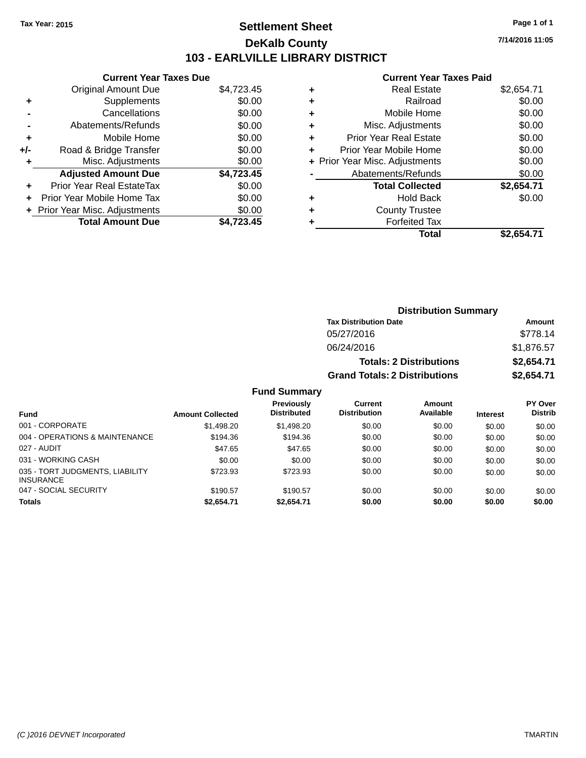# **Settlement Sheet Tax Year: 2015 Page 1 of 1 DeKalb County 103 - EARLVILLE LIBRARY DISTRICT**

**7/14/2016 11:05**

## **Current Year Taxes Paid**

| <b>Current Year Taxes Due</b>  |            |  |  |  |  |
|--------------------------------|------------|--|--|--|--|
| <b>Original Amount Due</b>     | \$4,723.45 |  |  |  |  |
| Supplements                    | \$0.00     |  |  |  |  |
| Cancellations                  | \$0.00     |  |  |  |  |
| Abatements/Refunds             | \$0.00     |  |  |  |  |
| Mobile Home                    | \$0.00     |  |  |  |  |
| Road & Bridge Transfer         | \$0.00     |  |  |  |  |
| Misc. Adjustments              | \$0.00     |  |  |  |  |
| <b>Adjusted Amount Due</b>     | \$4,723.45 |  |  |  |  |
| Prior Year Real EstateTax      | \$0.00     |  |  |  |  |
| Prior Year Mobile Home Tax     | \$0.00     |  |  |  |  |
| + Prior Year Misc. Adjustments | \$0.00     |  |  |  |  |
| <b>Total Amount Due</b>        | \$4.723.45 |  |  |  |  |
|                                |            |  |  |  |  |

| ٠ | <b>Real Estate</b>             | \$2,654.71 |
|---|--------------------------------|------------|
| ٠ | Railroad                       | \$0.00     |
| ٠ | Mobile Home                    | \$0.00     |
| ٠ | Misc. Adjustments              | \$0.00     |
| ٠ | <b>Prior Year Real Estate</b>  | \$0.00     |
| ٠ | Prior Year Mobile Home         | \$0.00     |
|   | + Prior Year Misc. Adjustments | \$0.00     |
|   | Abatements/Refunds             | \$0.00     |
|   | <b>Total Collected</b>         | \$2,654.71 |
| ٠ | <b>Hold Back</b>               | \$0.00     |
| ٠ | <b>County Trustee</b>          |            |
| ٠ | <b>Forfeited Tax</b>           |            |
|   | Total                          | \$2.654.71 |
|   |                                |            |

| <b>Distribution Summary</b>          |            |  |  |  |  |
|--------------------------------------|------------|--|--|--|--|
| <b>Tax Distribution Date</b>         | Amount     |  |  |  |  |
| 05/27/2016                           | \$778.14   |  |  |  |  |
| 06/24/2016                           | \$1,876.57 |  |  |  |  |
| <b>Totals: 2 Distributions</b>       | \$2,654.71 |  |  |  |  |
| <b>Grand Totals: 2 Distributions</b> | \$2,654.71 |  |  |  |  |

| <b>Fund</b>                                         | <b>Amount Collected</b> | Previously<br><b>Distributed</b> | Current<br><b>Distribution</b> | Amount<br>Available | <b>Interest</b> | <b>PY Over</b><br><b>Distrib</b> |
|-----------------------------------------------------|-------------------------|----------------------------------|--------------------------------|---------------------|-----------------|----------------------------------|
| 001 - CORPORATE                                     | \$1,498.20              | \$1,498.20                       | \$0.00                         | \$0.00              | \$0.00          | \$0.00                           |
| 004 - OPERATIONS & MAINTENANCE                      | \$194.36                | \$194.36                         | \$0.00                         | \$0.00              | \$0.00          | \$0.00                           |
| 027 - AUDIT                                         | \$47.65                 | \$47.65                          | \$0.00                         | \$0.00              | \$0.00          | \$0.00                           |
| 031 - WORKING CASH                                  | \$0.00                  | \$0.00                           | \$0.00                         | \$0.00              | \$0.00          | \$0.00                           |
| 035 - TORT JUDGMENTS, LIABILITY<br><b>INSURANCE</b> | \$723.93                | \$723.93                         | \$0.00                         | \$0.00              | \$0.00          | \$0.00                           |
| 047 - SOCIAL SECURITY                               | \$190.57                | \$190.57                         | \$0.00                         | \$0.00              | \$0.00          | \$0.00                           |
| <b>Totals</b>                                       | \$2,654.71              | \$2,654.71                       | \$0.00                         | \$0.00              | \$0.00          | \$0.00                           |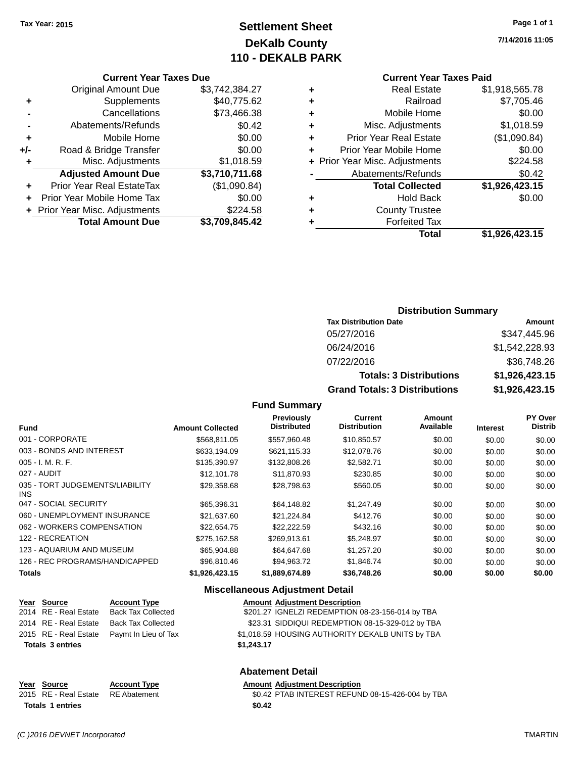# **Settlement Sheet Tax Year: 2015 Page 1 of 1 DeKalb County 110 - DEKALB PARK**

#### **Current Year Taxes Due**

|     | <b>Original Amount Due</b>     | \$3,742,384.27 |
|-----|--------------------------------|----------------|
| ٠   | Supplements                    | \$40,775.62    |
|     | Cancellations                  | \$73,466.38    |
|     | Abatements/Refunds             | \$0.42         |
| ٠   | Mobile Home                    | \$0.00         |
| +/- | Road & Bridge Transfer         | \$0.00         |
| ٠   | Misc. Adjustments              | \$1,018.59     |
|     | <b>Adjusted Amount Due</b>     | \$3,710,711.68 |
| ٠   | Prior Year Real EstateTax      | (\$1,090.84)   |
|     | Prior Year Mobile Home Tax     | \$0.00         |
|     | + Prior Year Misc. Adjustments | \$224.58       |
|     | <b>Total Amount Due</b>        | \$3,709,845.42 |

### **Current Year Taxes Paid**

| <b>Real Estate</b>            | \$1,918,565.78                 |
|-------------------------------|--------------------------------|
| Railroad                      | \$7,705.46                     |
| Mobile Home                   | \$0.00                         |
| Misc. Adjustments             | \$1,018.59                     |
| <b>Prior Year Real Estate</b> | (\$1,090.84)                   |
| Prior Year Mobile Home        | \$0.00                         |
|                               | \$224.58                       |
| Abatements/Refunds            | \$0.42                         |
| <b>Total Collected</b>        | \$1,926,423.15                 |
| <b>Hold Back</b>              | \$0.00                         |
| <b>County Trustee</b>         |                                |
| <b>Forfeited Tax</b>          |                                |
| Total                         | \$1,926,423.15                 |
|                               | + Prior Year Misc. Adjustments |

### **Distribution Summary**

| <b>Tax Distribution Date</b>         | Amount         |
|--------------------------------------|----------------|
| 05/27/2016                           | \$347.445.96   |
| 06/24/2016                           | \$1,542,228.93 |
| 07/22/2016                           | \$36,748.26    |
| <b>Totals: 3 Distributions</b>       | \$1,926,423.15 |
| <b>Grand Totals: 3 Distributions</b> | \$1,926,423.15 |

### **Fund Summary**

| <b>Fund</b>                             | <b>Amount Collected</b> | Previously<br><b>Distributed</b> | Current<br><b>Distribution</b> | Amount<br>Available | <b>Interest</b> | <b>PY Over</b><br><b>Distrib</b> |
|-----------------------------------------|-------------------------|----------------------------------|--------------------------------|---------------------|-----------------|----------------------------------|
| 001 - CORPORATE                         | \$568,811,05            | \$557.960.48                     | \$10,850.57                    | \$0.00              | \$0.00          | \$0.00                           |
| 003 - BONDS AND INTEREST                | \$633,194.09            | \$621,115.33                     | \$12,078.76                    | \$0.00              | \$0.00          | \$0.00                           |
| $005 - I. M. R. F.$                     | \$135,390.97            | \$132,808.26                     | \$2,582.71                     | \$0.00              | \$0.00          | \$0.00                           |
| 027 - AUDIT                             | \$12,101.78             | \$11.870.93                      | \$230.85                       | \$0.00              | \$0.00          | \$0.00                           |
| 035 - TORT JUDGEMENTS/LIABILITY<br>INS. | \$29,358.68             | \$28,798.63                      | \$560.05                       | \$0.00              | \$0.00          | \$0.00                           |
| 047 - SOCIAL SECURITY                   | \$65,396.31             | \$64.148.82                      | \$1,247.49                     | \$0.00              | \$0.00          | \$0.00                           |
| 060 - UNEMPLOYMENT INSURANCE            | \$21,637.60             | \$21,224.84                      | \$412.76                       | \$0.00              | \$0.00          | \$0.00                           |
| 062 - WORKERS COMPENSATION              | \$22.654.75             | \$22.222.59                      | \$432.16                       | \$0.00              | \$0.00          | \$0.00                           |
| 122 - RECREATION                        | \$275,162.58            | \$269.913.61                     | \$5,248.97                     | \$0.00              | \$0.00          | \$0.00                           |
| 123 - AQUARIUM AND MUSEUM               | \$65,904.88             | \$64.647.68                      | \$1,257,20                     | \$0.00              | \$0.00          | \$0.00                           |
| 126 - REC PROGRAMS/HANDICAPPED          | \$96,810.46             | \$94.963.72                      | \$1.846.74                     | \$0.00              | \$0.00          | \$0.00                           |
| <b>Totals</b>                           | \$1.926.423.15          | \$1,889,674.89                   | \$36.748.26                    | \$0.00              | \$0.00          | \$0.00                           |

#### **Miscellaneous Adjustment Detail**

| Year Source             | <b>Account Type</b>       | <b>Amount Adjustment Description</b>             |
|-------------------------|---------------------------|--------------------------------------------------|
| 2014 RE - Real Estate   | <b>Back Tax Collected</b> | \$201.27 IGNELZI REDEMPTION 08-23-156-014 by TBA |
| 2014 RE - Real Estate   | Back Tax Collected        | \$23.31 SIDDIQUI REDEMPTION 08-15-329-012 by TBA |
| 2015 RE - Real Estate   | Pavmt In Lieu of Tax      | \$1,018.59 HOUSING AUTHORITY DEKALB UNITS by TBA |
| <b>Totals 3 entries</b> |                           | \$1.243.17                                       |
|                         |                           |                                                  |

### **Abatement Detail**

# **Year Source Account Type Amount Adjustment Description**<br>2015 RE - Real Estate RE Abatement **Amount 1988** And Amount REFUN **Totals \$0.42 1 entries**

\$0.42 PTAB INTEREST REFUND 08-15-426-004 by TBA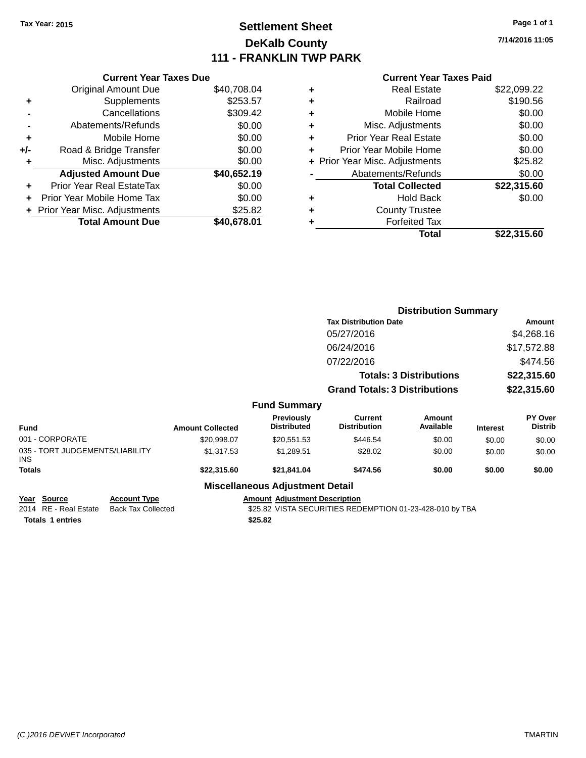# **Settlement Sheet Tax Year: 2015 Page 1 of 1 DeKalb County 111 - FRANKLIN TWP PARK**

**7/14/2016 11:05**

### **Current Year Taxes Paid**

|     | <b>Current Year Taxes Due</b>             |             |  |  |  |  |  |
|-----|-------------------------------------------|-------------|--|--|--|--|--|
|     | <b>Original Amount Due</b><br>\$40,708.04 |             |  |  |  |  |  |
| ٠   | Supplements                               | \$253.57    |  |  |  |  |  |
|     | Cancellations                             | \$309.42    |  |  |  |  |  |
|     | Abatements/Refunds                        | \$0.00      |  |  |  |  |  |
| ٠   | Mobile Home                               | \$0.00      |  |  |  |  |  |
| +/- | Road & Bridge Transfer                    | \$0.00      |  |  |  |  |  |
| ٠   | Misc. Adjustments                         | \$0.00      |  |  |  |  |  |
|     | <b>Adjusted Amount Due</b>                | \$40,652.19 |  |  |  |  |  |
| ٠   | Prior Year Real EstateTax                 | \$0.00      |  |  |  |  |  |
|     | Prior Year Mobile Home Tax                | \$0.00      |  |  |  |  |  |
|     | \$25.82<br>+ Prior Year Misc. Adjustments |             |  |  |  |  |  |
|     | <b>Total Amount Due</b>                   | \$40.678.01 |  |  |  |  |  |
|     |                                           |             |  |  |  |  |  |

| ٠ | <b>Real Estate</b>             | \$22,099.22 |
|---|--------------------------------|-------------|
| ٠ | Railroad                       | \$190.56    |
| ٠ | Mobile Home                    | \$0.00      |
| ٠ | Misc. Adjustments              | \$0.00      |
| ٠ | <b>Prior Year Real Estate</b>  | \$0.00      |
| ÷ | Prior Year Mobile Home         | \$0.00      |
|   | + Prior Year Misc. Adjustments | \$25.82     |
|   | Abatements/Refunds             | \$0.00      |
|   | <b>Total Collected</b>         | \$22,315.60 |
| ٠ | Hold Back                      | \$0.00      |
| ٠ | <b>County Trustee</b>          |             |
|   | <b>Forfeited Tax</b>           |             |
|   | Total                          | \$22,315.60 |
|   |                                |             |

|                                         |                         | <b>Distribution Summary</b>      |                                       |                                |                 |                           |
|-----------------------------------------|-------------------------|----------------------------------|---------------------------------------|--------------------------------|-----------------|---------------------------|
|                                         |                         |                                  | <b>Tax Distribution Date</b>          |                                |                 | <b>Amount</b>             |
|                                         |                         |                                  | 05/27/2016                            |                                |                 | \$4,268.16                |
|                                         |                         |                                  | 06/24/2016                            |                                |                 | \$17,572.88               |
|                                         |                         |                                  | 07/22/2016                            |                                |                 | \$474.56                  |
|                                         |                         |                                  |                                       | <b>Totals: 3 Distributions</b> |                 | \$22,315.60               |
|                                         |                         |                                  | <b>Grand Totals: 3 Distributions</b>  |                                |                 | \$22,315.60               |
|                                         |                         | <b>Fund Summary</b>              |                                       |                                |                 |                           |
| <b>Fund</b>                             | <b>Amount Collected</b> | Previously<br><b>Distributed</b> | <b>Current</b><br><b>Distribution</b> | Amount<br>Available            | <b>Interest</b> | PY Over<br><b>Distrib</b> |
| 001 - CORPORATE                         | \$20,998.07             | \$20,551.53                      | \$446.54                              | \$0.00                         | \$0.00          | \$0.00                    |
| 035 - TORT JUDGEMENTS/LIABILITY<br>INS. | \$1,317.53              | \$1,289.51                       | \$28.02                               | \$0.00                         | \$0.00          | \$0.00                    |
| Totals                                  | \$22,315.60             | \$21,841.04                      | \$474.56                              | \$0.00                         | \$0.00          | \$0.00                    |
|                                         |                         | Missellanesse Adioatorent Batall |                                       |                                |                 |                           |

### **Miscellaneous Adjustment Detail**

**Year** Source **Account Type Account Type Amount Adjustment Description** 

**Totals 1 entries** \$25.82

2014 RE - Real Estate Back Tax Collected **\$25.82** VISTA SECURITIES REDEMPTION 01-23-428-010 by TBA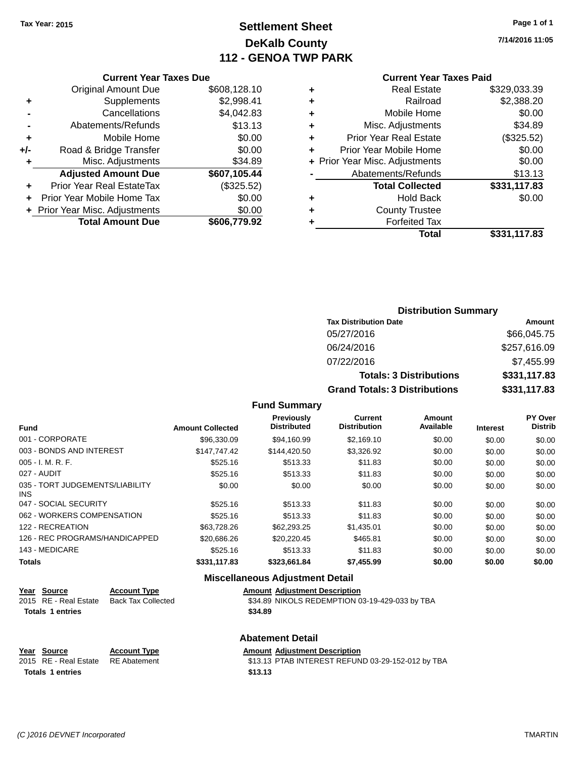# **Settlement Sheet Tax Year: 2015 Page 1 of 1 DeKalb County 112 - GENOA TWP PARK**

**7/14/2016 11:05**

### **Current Year Taxes Paid**

|       | <b>Current Year Taxes Due</b>            |              |  |  |  |  |
|-------|------------------------------------------|--------------|--|--|--|--|
|       | <b>Original Amount Due</b>               | \$608,128.10 |  |  |  |  |
| ٠     | Supplements                              | \$2,998.41   |  |  |  |  |
|       | Cancellations                            | \$4,042.83   |  |  |  |  |
|       | Abatements/Refunds                       | \$13.13      |  |  |  |  |
| ٠     | Mobile Home                              | \$0.00       |  |  |  |  |
| $+/-$ | Road & Bridge Transfer                   | \$0.00       |  |  |  |  |
| ٠     | Misc. Adjustments                        | \$34.89      |  |  |  |  |
|       | <b>Adjusted Amount Due</b>               | \$607,105.44 |  |  |  |  |
| ÷     | Prior Year Real EstateTax                | (\$325.52)   |  |  |  |  |
|       | Prior Year Mobile Home Tax               | \$0.00       |  |  |  |  |
|       | \$0.00<br>+ Prior Year Misc. Adjustments |              |  |  |  |  |
|       | <b>Total Amount Due</b>                  | \$606,779.92 |  |  |  |  |
|       |                                          |              |  |  |  |  |

| ٠ | <b>Real Estate</b>             | \$329,033.39 |
|---|--------------------------------|--------------|
| ٠ | Railroad                       | \$2,388.20   |
| ٠ | Mobile Home                    | \$0.00       |
| ٠ | Misc. Adjustments              | \$34.89      |
| ٠ | <b>Prior Year Real Estate</b>  | (\$325.52)   |
| ٠ | Prior Year Mobile Home         | \$0.00       |
|   | + Prior Year Misc. Adjustments | \$0.00       |
|   | Abatements/Refunds             | \$13.13      |
|   | <b>Total Collected</b>         | \$331,117.83 |
| ٠ | <b>Hold Back</b>               | \$0.00       |
|   | <b>County Trustee</b>          |              |
| ٠ | <b>Forfeited Tax</b>           |              |
|   | Total                          | \$331,117.83 |
|   |                                |              |

### **Distribution Summary Tax Distribution Date Amount** 05/27/2016 \$66,045.75 06/24/2016 \$257,616.09 07/22/2016 \$7,455.99 **Totals: 3 Distributions \$331,117.83 Grand Totals: 3 Distributions \$331,117.83**

### **Fund Summary**

| <b>Fund</b>                             | <b>Amount Collected</b> | Previously<br><b>Distributed</b> | Current<br><b>Distribution</b> | Amount<br>Available | <b>Interest</b> | PY Over<br><b>Distrib</b> |
|-----------------------------------------|-------------------------|----------------------------------|--------------------------------|---------------------|-----------------|---------------------------|
| 001 - CORPORATE                         | \$96,330.09             | \$94.160.99                      | \$2.169.10                     | \$0.00              | \$0.00          | \$0.00                    |
| 003 - BONDS AND INTEREST                | \$147,747.42            | \$144,420.50                     | \$3,326.92                     | \$0.00              | \$0.00          | \$0.00                    |
| $005 - I. M. R. F.$                     | \$525.16                | \$513.33                         | \$11.83                        | \$0.00              | \$0.00          | \$0.00                    |
| 027 - AUDIT                             | \$525.16                | \$513.33                         | \$11.83                        | \$0.00              | \$0.00          | \$0.00                    |
| 035 - TORT JUDGEMENTS/LIABILITY<br>INS. | \$0.00                  | \$0.00                           | \$0.00                         | \$0.00              | \$0.00          | \$0.00                    |
| 047 - SOCIAL SECURITY                   | \$525.16                | \$513.33                         | \$11.83                        | \$0.00              | \$0.00          | \$0.00                    |
| 062 - WORKERS COMPENSATION              | \$525.16                | \$513.33                         | \$11.83                        | \$0.00              | \$0.00          | \$0.00                    |
| 122 - RECREATION                        | \$63,728.26             | \$62,293.25                      | \$1.435.01                     | \$0.00              | \$0.00          | \$0.00                    |
| 126 - REC PROGRAMS/HANDICAPPED          | \$20,686.26             | \$20.220.45                      | \$465.81                       | \$0.00              | \$0.00          | \$0.00                    |
| 143 - MEDICARE                          | \$525.16                | \$513.33                         | \$11.83                        | \$0.00              | \$0.00          | \$0.00                    |
| <b>Totals</b>                           | \$331,117.83            | \$323.661.84                     | \$7.455.99                     | \$0.00              | \$0.00          | \$0.00                    |

### **Miscellaneous Adjustment Detail**

| Year Source           | <b>Account Type</b> | <b>Amount Adiustment Description</b>           |
|-----------------------|---------------------|------------------------------------------------|
| 2015 RE - Real Estate | Back Tax Collected  | \$34.89 NIKOLS REDEMPTION 03-19-429-033 by TBA |
| Totals 1 entries      |                     | \$34.89                                        |

## **Abatement Detail**

| Year Source                        | <b>Account Type</b> | <b>Amount Adiustment Description</b>              |
|------------------------------------|---------------------|---------------------------------------------------|
| 2015 RE - Real Estate RE Abatement |                     | \$13.13 PTAB INTEREST REFUND 03-29-152-012 by TBA |
| <b>Totals 1 entries</b>            |                     | \$13.13                                           |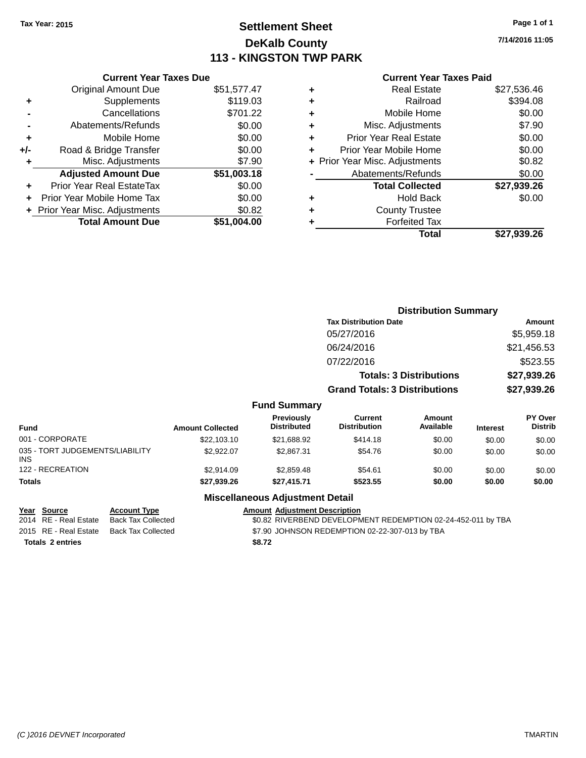# **Settlement Sheet Tax Year: 2015 Page 1 of 1 DeKalb County 113 - KINGSTON TWP PARK**

**7/14/2016 11:05**

### **Current Year Taxes Paid**

|     | <b>Current Year Taxes Due</b>            |             |  |  |  |  |
|-----|------------------------------------------|-------------|--|--|--|--|
|     | <b>Original Amount Due</b>               | \$51,577.47 |  |  |  |  |
| ٠   | Supplements                              | \$119.03    |  |  |  |  |
|     | Cancellations                            | \$701.22    |  |  |  |  |
|     | Abatements/Refunds                       | \$0.00      |  |  |  |  |
| ٠   | Mobile Home                              | \$0.00      |  |  |  |  |
| +/- | Road & Bridge Transfer                   | \$0.00      |  |  |  |  |
|     | Misc. Adjustments                        | \$7.90      |  |  |  |  |
|     | <b>Adjusted Amount Due</b>               | \$51,003.18 |  |  |  |  |
| ٠   | Prior Year Real EstateTax                | \$0.00      |  |  |  |  |
|     | Prior Year Mobile Home Tax               | \$0.00      |  |  |  |  |
|     | \$0.82<br>+ Prior Year Misc. Adjustments |             |  |  |  |  |
|     | <b>Total Amount Due</b>                  | \$51.004.00 |  |  |  |  |
|     |                                          |             |  |  |  |  |

| ٠ | <b>Real Estate</b>             | \$27,536.46 |
|---|--------------------------------|-------------|
| ٠ | Railroad                       | \$394.08    |
| ٠ | Mobile Home                    | \$0.00      |
| ٠ | Misc. Adjustments              | \$7.90      |
| ٠ | <b>Prior Year Real Estate</b>  | \$0.00      |
| ٠ | Prior Year Mobile Home         | \$0.00      |
|   | + Prior Year Misc. Adjustments | \$0.82      |
|   | Abatements/Refunds             | \$0.00      |
|   | <b>Total Collected</b>         | \$27,939.26 |
| ٠ | Hold Back                      | \$0.00      |
| ٠ | <b>County Trustee</b>          |             |
| ٠ | <b>Forfeited Tax</b>           |             |
|   | Total                          | \$27,939.26 |
|   |                                |             |

|                                         |                         |                                  | <b>Distribution Summary</b>           |                                |                 |                           |
|-----------------------------------------|-------------------------|----------------------------------|---------------------------------------|--------------------------------|-----------------|---------------------------|
|                                         |                         |                                  | <b>Tax Distribution Date</b>          |                                |                 | Amount                    |
|                                         |                         |                                  | 05/27/2016                            |                                |                 | \$5,959.18                |
|                                         |                         |                                  | 06/24/2016                            |                                |                 | \$21,456.53               |
|                                         |                         |                                  | 07/22/2016                            |                                |                 | \$523.55                  |
|                                         |                         |                                  |                                       | <b>Totals: 3 Distributions</b> |                 | \$27,939.26               |
|                                         |                         |                                  | <b>Grand Totals: 3 Distributions</b>  |                                |                 | \$27,939.26               |
|                                         |                         | <b>Fund Summary</b>              |                                       |                                |                 |                           |
| <b>Fund</b>                             | <b>Amount Collected</b> | Previously<br><b>Distributed</b> | <b>Current</b><br><b>Distribution</b> | Amount<br>Available            | <b>Interest</b> | PY Over<br><b>Distrib</b> |
| 001 - CORPORATE                         | \$22,103.10             | \$21,688.92                      | \$414.18                              | \$0.00                         | \$0.00          | \$0.00                    |
| 035 - TORT JUDGEMENTS/LIABILITY<br>INS. | \$2,922.07              | \$2,867.31                       | \$54.76                               | \$0.00                         | \$0.00          | \$0.00                    |
| 122 - RECREATION                        | \$2,914.09              | \$2,859.48                       | \$54.61                               | \$0.00                         | \$0.00          | \$0.00                    |
| <b>Totals</b>                           | \$27,939.26             | \$27,415.71                      | \$523.55                              | \$0.00                         | \$0.00          | \$0.00                    |

### **Miscellaneous Adjustment Detail**

| Year Source             | <b>Account Type</b> |        | <b>Amount Adiustment Description</b>                         |
|-------------------------|---------------------|--------|--------------------------------------------------------------|
| 2014 RE - Real Estate   | Back Tax Collected  |        | \$0.82 RIVERBEND DEVELOPMENT REDEMPTION 02-24-452-011 by TBA |
| 2015 RE - Real Estate   | Back Tax Collected  |        | \$7.90 JOHNSON REDEMPTION 02-22-307-013 by TBA               |
| <b>Totals 2 entries</b> |                     | \$8.72 |                                                              |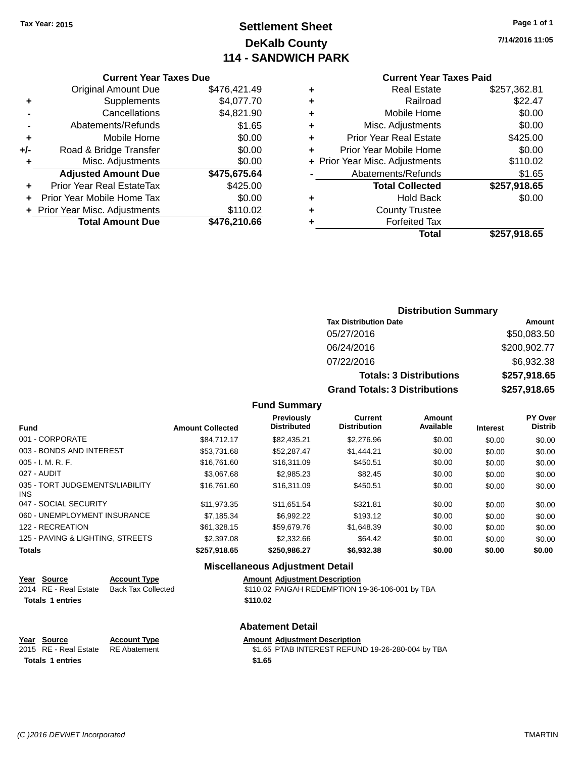# **Settlement Sheet Tax Year: 2015 Page 1 of 1 DeKalb County 114 - SANDWICH PARK**

**7/14/2016 11:05**

#### **Current Year Taxes Paid**

|     | <b>Current Year Taxes Due</b>  |              |  |  |  |  |  |
|-----|--------------------------------|--------------|--|--|--|--|--|
|     | <b>Original Amount Due</b>     | \$476,421.49 |  |  |  |  |  |
| ٠   | Supplements                    | \$4,077.70   |  |  |  |  |  |
|     | Cancellations                  | \$4,821.90   |  |  |  |  |  |
|     | Abatements/Refunds             | \$1.65       |  |  |  |  |  |
| ٠   | Mobile Home                    | \$0.00       |  |  |  |  |  |
| +/- | Road & Bridge Transfer         | \$0.00       |  |  |  |  |  |
|     | Misc. Adjustments              | \$0.00       |  |  |  |  |  |
|     | <b>Adjusted Amount Due</b>     | \$475,675.64 |  |  |  |  |  |
| ٠   | Prior Year Real EstateTax      | \$425.00     |  |  |  |  |  |
|     | Prior Year Mobile Home Tax     | \$0.00       |  |  |  |  |  |
|     | + Prior Year Misc. Adjustments | \$110.02     |  |  |  |  |  |
|     | <b>Total Amount Due</b>        | \$476,210.66 |  |  |  |  |  |
|     |                                |              |  |  |  |  |  |

|   | Total                          | \$257,918.65 |
|---|--------------------------------|--------------|
| ٠ | <b>Forfeited Tax</b>           |              |
| ٠ | <b>County Trustee</b>          |              |
| ٠ | Hold Back                      | \$0.00       |
|   | <b>Total Collected</b>         | \$257,918.65 |
|   | Abatements/Refunds             | \$1.65       |
|   | + Prior Year Misc. Adjustments | \$110.02     |
| ٠ | Prior Year Mobile Home         | \$0.00       |
| ٠ | <b>Prior Year Real Estate</b>  | \$425.00     |
| ٠ | Misc. Adjustments              | \$0.00       |
| ٠ | Mobile Home                    | \$0.00       |
| ٠ | Railroad                       | \$22.47      |
| ٠ | <b>Real Estate</b>             | \$257,362.81 |
|   |                                |              |

### **Distribution Summary Tax Distribution Date Amount** 05/27/2016 \$50,083.50 06/24/2016 \$200,902.77 07/22/2016 \$6,932.38 **Totals: 3 Distributions \$257,918.65 Grand Totals: 3 Distributions \$257,918.65**

### **Fund Summary**

| <b>Fund</b>                             | <b>Amount Collected</b> | Previously<br><b>Distributed</b> | Current<br><b>Distribution</b> | Amount<br>Available | <b>Interest</b> | <b>PY Over</b><br><b>Distrib</b> |
|-----------------------------------------|-------------------------|----------------------------------|--------------------------------|---------------------|-----------------|----------------------------------|
|                                         |                         |                                  |                                |                     |                 |                                  |
| 001 - CORPORATE                         | \$84.712.17             | \$82,435.21                      | \$2,276.96                     | \$0.00              | \$0.00          | \$0.00                           |
| 003 - BONDS AND INTEREST                | \$53,731.68             | \$52,287.47                      | \$1,444.21                     | \$0.00              | \$0.00          | \$0.00                           |
| $005 - I. M. R. F.$                     | \$16,761.60             | \$16,311.09                      | \$450.51                       | \$0.00              | \$0.00          | \$0.00                           |
| 027 - AUDIT                             | \$3,067.68              | \$2,985.23                       | \$82.45                        | \$0.00              | \$0.00          | \$0.00                           |
| 035 - TORT JUDGEMENTS/LIABILITY<br>INS. | \$16,761.60             | \$16,311.09                      | \$450.51                       | \$0.00              | \$0.00          | \$0.00                           |
| 047 - SOCIAL SECURITY                   | \$11.973.35             | \$11.651.54                      | \$321.81                       | \$0.00              | \$0.00          | \$0.00                           |
| 060 - UNEMPLOYMENT INSURANCE            | \$7.185.34              | \$6.992.22                       | \$193.12                       | \$0.00              | \$0.00          | \$0.00                           |
| 122 - RECREATION                        | \$61.328.15             | \$59,679.76                      | \$1,648,39                     | \$0.00              | \$0.00          | \$0.00                           |
| 125 - PAVING & LIGHTING, STREETS        | \$2,397.08              | \$2,332.66                       | \$64.42                        | \$0.00              | \$0.00          | \$0.00                           |
| <b>Totals</b>                           | \$257,918.65            | \$250,986.27                     | \$6,932.38                     | \$0.00              | \$0.00          | \$0.00                           |

### **Miscellaneous Adjustment Detail**

|                         | Year Source           | <b>Account Type</b>       | <b>Amount Adjustment Description</b>            |
|-------------------------|-----------------------|---------------------------|-------------------------------------------------|
|                         | 2014 RE - Real Estate | <b>Back Tax Collected</b> | \$110.02 PAIGAH REDEMPTION 19-36-106-001 by TBA |
| <b>Totals 1 entries</b> |                       |                           | \$110.02                                        |
|                         |                       |                           |                                                 |
|                         |                       |                           |                                                 |

### **Abatement Detail**

### **Year** Source **Account Type Account Adjustment Description**

2015 RE - Real Estate RE Abatement \$1.65 PTAB INTEREST REFUND 19-26-280-004 by TBA **Totals \$1.65 1 entries**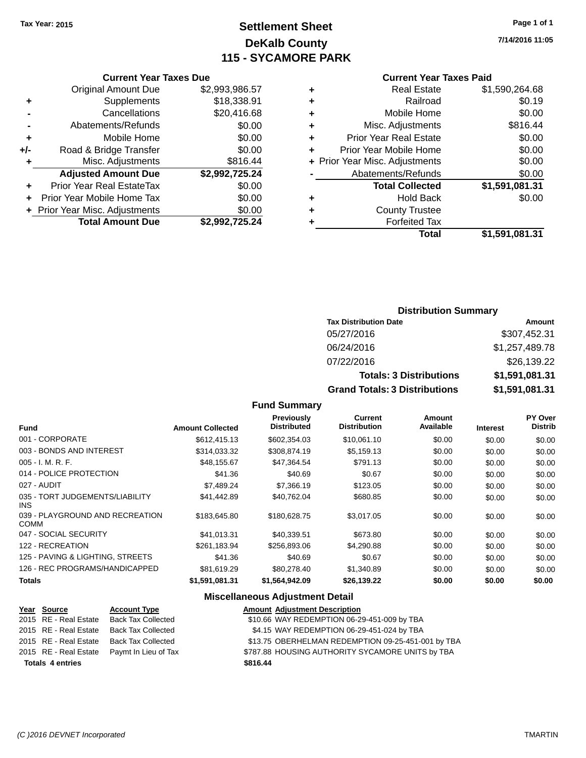# **Settlement Sheet Tax Year: 2015 Page 1 of 1 DeKalb County 115 - SYCAMORE PARK**

**7/14/2016 11:05**

### **Current Year Taxes Paid**

|   | <b>Real Estate</b>             | \$1,590,264.68 |
|---|--------------------------------|----------------|
| ٠ | Railroad                       | \$0.19         |
| ٠ | Mobile Home                    | \$0.00         |
| ٠ | Misc. Adjustments              | \$816.44       |
| ٠ | <b>Prior Year Real Estate</b>  | \$0.00         |
| ÷ | Prior Year Mobile Home         | \$0.00         |
|   | + Prior Year Misc. Adjustments | \$0.00         |
|   | Abatements/Refunds             | \$0.00         |
|   | <b>Total Collected</b>         | \$1,591,081.31 |
| ٠ | <b>Hold Back</b>               | \$0.00         |
| ٠ | <b>County Trustee</b>          |                |
|   | <b>Forfeited Tax</b>           |                |
|   | Total                          | \$1,591,081.31 |
|   |                                |                |

|     | <b>Current Year Taxes Due</b>    |                |
|-----|----------------------------------|----------------|
|     | <b>Original Amount Due</b>       | \$2,993,986.57 |
| ٠   | Supplements                      | \$18,338.91    |
|     | Cancellations                    | \$20,416.68    |
|     | Abatements/Refunds               | \$0.00         |
| ٠   | Mobile Home                      | \$0.00         |
| +/- | Road & Bridge Transfer           | \$0.00         |
| ٠   | Misc. Adjustments                | \$816.44       |
|     | <b>Adjusted Amount Due</b>       | \$2,992,725.24 |
|     | <b>Prior Year Real EstateTax</b> | \$0.00         |
|     | Prior Year Mobile Home Tax       | \$0.00         |
|     | + Prior Year Misc. Adjustments   | \$0.00         |
|     | <b>Total Amount Due</b>          | \$2,992,725.24 |
|     |                                  |                |

### **Distribution Summary**

| <b>Tax Distribution Date</b>         | Amount         |
|--------------------------------------|----------------|
| 05/27/2016                           | \$307,452.31   |
| 06/24/2016                           | \$1,257,489.78 |
| 07/22/2016                           | \$26,139.22    |
| <b>Totals: 3 Distributions</b>       | \$1,591,081.31 |
| <b>Grand Totals: 3 Distributions</b> | \$1,591,081.31 |

### **Fund Summary**

| <b>Fund</b>                                    | <b>Amount Collected</b> | <b>Previously</b><br><b>Distributed</b> | <b>Current</b><br><b>Distribution</b> | Amount<br>Available | <b>Interest</b> | <b>PY Over</b><br><b>Distrib</b> |
|------------------------------------------------|-------------------------|-----------------------------------------|---------------------------------------|---------------------|-----------------|----------------------------------|
| 001 - CORPORATE                                | \$612,415.13            | \$602,354.03                            | \$10,061.10                           | \$0.00              | \$0.00          | \$0.00                           |
| 003 - BONDS AND INTEREST                       | \$314,033.32            | \$308,874.19                            | \$5,159.13                            | \$0.00              | \$0.00          | \$0.00                           |
| $005 - I. M. R. F.$                            | \$48,155.67             | \$47,364.54                             | \$791.13                              | \$0.00              | \$0.00          | \$0.00                           |
| 014 - POLICE PROTECTION                        | \$41.36                 | \$40.69                                 | \$0.67                                | \$0.00              | \$0.00          | \$0.00                           |
| 027 - AUDIT                                    | \$7.489.24              | \$7,366.19                              | \$123.05                              | \$0.00              | \$0.00          | \$0.00                           |
| 035 - TORT JUDGEMENTS/LIABILITY<br>INS.        | \$41,442.89             | \$40,762.04                             | \$680.85                              | \$0.00              | \$0.00          | \$0.00                           |
| 039 - PLAYGROUND AND RECREATION<br><b>COMM</b> | \$183,645.80            | \$180,628.75                            | \$3,017.05                            | \$0.00              | \$0.00          | \$0.00                           |
| 047 - SOCIAL SECURITY                          | \$41.013.31             | \$40.339.51                             | \$673.80                              | \$0.00              | \$0.00          | \$0.00                           |
| 122 - RECREATION                               | \$261.183.94            | \$256,893,06                            | \$4,290.88                            | \$0.00              | \$0.00          | \$0.00                           |
| 125 - PAVING & LIGHTING, STREETS               | \$41.36                 | \$40.69                                 | \$0.67                                | \$0.00              | \$0.00          | \$0.00                           |
| 126 - REC PROGRAMS/HANDICAPPED                 | \$81,619.29             | \$80,278.40                             | \$1,340.89                            | \$0.00              | \$0.00          | \$0.00                           |
| <b>Totals</b>                                  | \$1,591,081.31          | \$1,564,942.09                          | \$26,139.22                           | \$0.00              | \$0.00          | \$0.00                           |

### **Miscellaneous Adjustment Detail**

|                         | Year Source                              | <b>Account Type</b>                        |  | <b>Amount Adjustment Description</b>               |
|-------------------------|------------------------------------------|--------------------------------------------|--|----------------------------------------------------|
|                         | 2015 RE - Real Estate Back Tax Collected |                                            |  | \$10.66 WAY REDEMPTION 06-29-451-009 by TBA        |
|                         | 2015 RE - Real Estate Back Tax Collected |                                            |  | \$4.15 WAY REDEMPTION 06-29-451-024 by TBA         |
|                         | 2015 RE - Real Estate Back Tax Collected |                                            |  | \$13.75 OBERHELMAN REDEMPTION 09-25-451-001 by TBA |
|                         |                                          | 2015 RE - Real Estate Paymt In Lieu of Tax |  | \$787.88 HOUSING AUTHORITY SYCAMORE UNITS by TBA   |
| <b>Totals 4 entries</b> |                                          | \$816.44                                   |  |                                                    |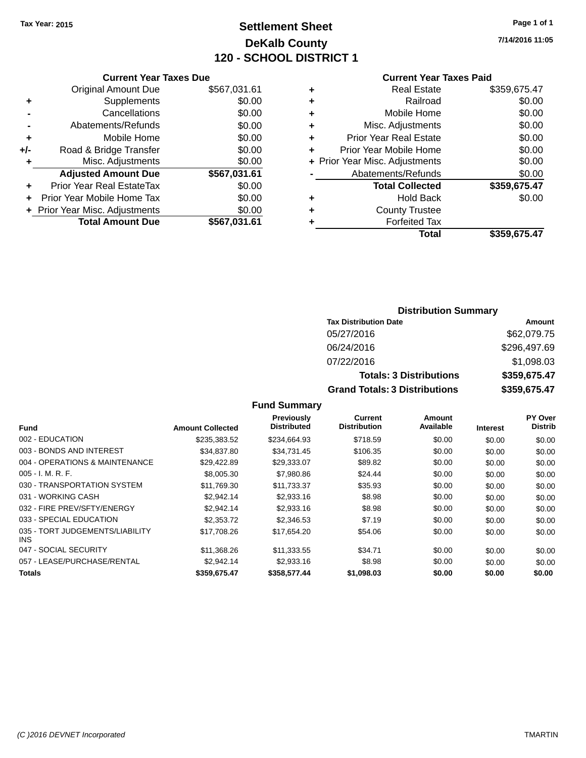# **Settlement Sheet Tax Year: 2015 Page 1 of 1 DeKalb County 120 - SCHOOL DISTRICT 1**

**7/14/2016 11:05**

#### **Current Year Taxes Paid**

|     | <b>Current Year Taxes Due</b>  |              |
|-----|--------------------------------|--------------|
|     | <b>Original Amount Due</b>     | \$567,031.61 |
| ٠   | Supplements                    | \$0.00       |
|     | Cancellations                  | \$0.00       |
|     | Abatements/Refunds             | \$0.00       |
| ٠   | Mobile Home                    | \$0.00       |
| +/- | Road & Bridge Transfer         | \$0.00       |
| ٠   | Misc. Adjustments              | \$0.00       |
|     | <b>Adjusted Amount Due</b>     | \$567,031.61 |
|     | Prior Year Real EstateTax      | \$0.00       |
|     | Prior Year Mobile Home Tax     | \$0.00       |
|     | + Prior Year Misc. Adjustments | \$0.00       |
|     | <b>Total Amount Due</b>        | \$567,031.61 |
|     |                                |              |

| ٠ | <b>Real Estate</b>             | \$359,675.47 |
|---|--------------------------------|--------------|
| ٠ | Railroad                       | \$0.00       |
| ٠ | Mobile Home                    | \$0.00       |
| ٠ | Misc. Adjustments              | \$0.00       |
| ٠ | <b>Prior Year Real Estate</b>  | \$0.00       |
| ٠ | Prior Year Mobile Home         | \$0.00       |
|   | + Prior Year Misc. Adjustments | \$0.00       |
|   | Abatements/Refunds             | \$0.00       |
|   | <b>Total Collected</b>         | \$359,675.47 |
| ٠ | Hold Back                      | \$0.00       |
|   | <b>County Trustee</b>          |              |
| ٠ | <b>Forfeited Tax</b>           |              |
|   | Total                          | \$359,675.47 |
|   |                                |              |

### **Distribution Summary Tax Distribution Date Amount** 05/27/2016 \$62,079.75 06/24/2016 \$296,497.69 07/22/2016 \$1,098.03 **Totals: 3 Distributions \$359,675.47 Grand Totals: 3 Distributions \$359,675.47**

| Fund                                    | <b>Amount Collected</b> | <b>Previously</b><br><b>Distributed</b> | <b>Current</b><br><b>Distribution</b> | Amount<br>Available | <b>Interest</b> | PY Over<br><b>Distrib</b> |
|-----------------------------------------|-------------------------|-----------------------------------------|---------------------------------------|---------------------|-----------------|---------------------------|
| 002 - EDUCATION                         | \$235,383.52            | \$234,664.93                            | \$718.59                              | \$0.00              | \$0.00          | \$0.00                    |
| 003 - BONDS AND INTEREST                | \$34,837.80             | \$34,731.45                             | \$106.35                              | \$0.00              | \$0.00          | \$0.00                    |
| 004 - OPERATIONS & MAINTENANCE          | \$29,422.89             | \$29,333.07                             | \$89.82                               | \$0.00              | \$0.00          | \$0.00                    |
| $005 - I. M. R. F.$                     | \$8,005.30              | \$7,980.86                              | \$24.44                               | \$0.00              | \$0.00          | \$0.00                    |
| 030 - TRANSPORTATION SYSTEM             | \$11.769.30             | \$11.733.37                             | \$35.93                               | \$0.00              | \$0.00          | \$0.00                    |
| 031 - WORKING CASH                      | \$2.942.14              | \$2,933.16                              | \$8.98                                | \$0.00              | \$0.00          | \$0.00                    |
| 032 - FIRE PREV/SFTY/ENERGY             | \$2.942.14              | \$2,933.16                              | \$8.98                                | \$0.00              | \$0.00          | \$0.00                    |
| 033 - SPECIAL EDUCATION                 | \$2,353.72              | \$2,346.53                              | \$7.19                                | \$0.00              | \$0.00          | \$0.00                    |
| 035 - TORT JUDGEMENTS/LIABILITY<br>INS. | \$17,708.26             | \$17,654.20                             | \$54.06                               | \$0.00              | \$0.00          | \$0.00                    |
| 047 - SOCIAL SECURITY                   | \$11.368.26             | \$11.333.55                             | \$34.71                               | \$0.00              | \$0.00          | \$0.00                    |
| 057 - LEASE/PURCHASE/RENTAL             | \$2.942.14              | \$2,933.16                              | \$8.98                                | \$0.00              | \$0.00          | \$0.00                    |
| <b>Totals</b>                           | \$359,675.47            | \$358,577.44                            | \$1,098,03                            | \$0.00              | \$0.00          | \$0.00                    |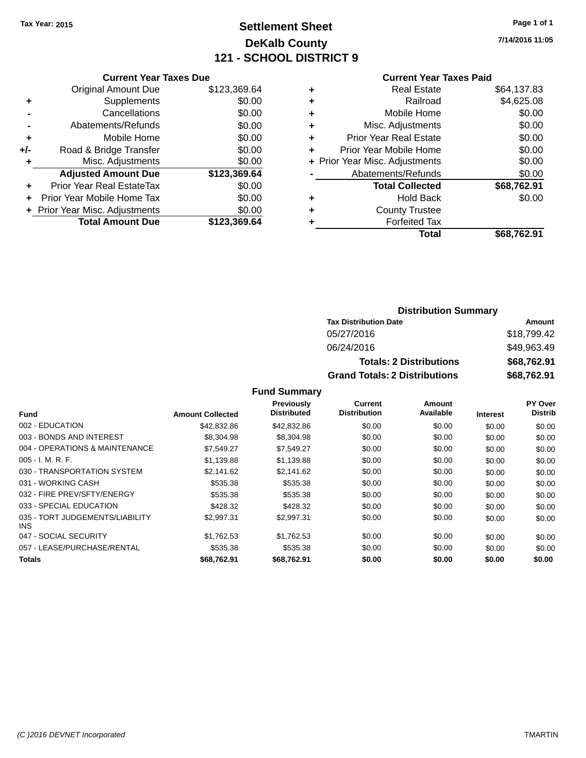# **Settlement Sheet Tax Year: 2015 Page 1 of 1 DeKalb County 121 - SCHOOL DISTRICT 9**

**7/14/2016 11:05**

|       | <b>Current Year Taxes Due</b>  |              |  |  |
|-------|--------------------------------|--------------|--|--|
|       | <b>Original Amount Due</b>     | \$123,369.64 |  |  |
| ٠     | Supplements                    | \$0.00       |  |  |
|       | Cancellations                  | \$0.00       |  |  |
|       | Abatements/Refunds             | \$0.00       |  |  |
| ٠     | Mobile Home                    | \$0.00       |  |  |
| $+/-$ | Road & Bridge Transfer         | \$0.00       |  |  |
|       | Misc. Adjustments              | \$0.00       |  |  |
|       | <b>Adjusted Amount Due</b>     | \$123,369,64 |  |  |
| ٠     | Prior Year Real EstateTax      | \$0.00       |  |  |
|       | Prior Year Mobile Home Tax     | \$0.00       |  |  |
|       | + Prior Year Misc. Adjustments | \$0.00       |  |  |
|       | <b>Total Amount Due</b>        | \$123,369.64 |  |  |
|       |                                |              |  |  |

|   | <b>Current Year Taxes Paid</b> |             |
|---|--------------------------------|-------------|
| ٠ | <b>Real Estate</b>             | \$64,137.83 |
|   | Railroad                       | \$4,625.08  |
| ٠ | Mobile Home                    | \$0.00      |
| ٠ | Misc. Adjustments              | \$0.00      |
| ٠ | <b>Prior Year Real Estate</b>  | \$0.00      |
| ٠ | Prior Year Mobile Home         | \$0.00      |
|   | + Prior Year Misc. Adjustments | \$0.00      |
|   | Abatements/Refunds             | \$0.00      |
|   | <b>Total Collected</b>         | \$68,762.91 |
|   | <b>Hold Back</b>               | \$0.00      |
|   | <b>County Trustee</b>          |             |
|   | <b>Forfeited Tax</b>           |             |
|   | Total                          | \$68,762.91 |
|   |                                |             |

| <b>Distribution Summary</b>          |             |  |  |  |  |
|--------------------------------------|-------------|--|--|--|--|
| <b>Tax Distribution Date</b>         | Amount      |  |  |  |  |
| 05/27/2016                           | \$18,799.42 |  |  |  |  |
| 06/24/2016                           | \$49,963.49 |  |  |  |  |
| <b>Totals: 2 Distributions</b>       | \$68,762.91 |  |  |  |  |
| <b>Grand Totals: 2 Distributions</b> | \$68,762.91 |  |  |  |  |

|                                         |                         | Previously         | Current             | Amount    |                 | PY Over        |
|-----------------------------------------|-------------------------|--------------------|---------------------|-----------|-----------------|----------------|
| <b>Fund</b>                             | <b>Amount Collected</b> | <b>Distributed</b> | <b>Distribution</b> | Available | <b>Interest</b> | <b>Distrib</b> |
| 002 - EDUCATION                         | \$42,832.86             | \$42,832.86        | \$0.00              | \$0.00    | \$0.00          | \$0.00         |
| 003 - BONDS AND INTEREST                | \$8,304.98              | \$8,304.98         | \$0.00              | \$0.00    | \$0.00          | \$0.00         |
| 004 - OPERATIONS & MAINTENANCE          | \$7.549.27              | \$7,549.27         | \$0.00              | \$0.00    | \$0.00          | \$0.00         |
| $005 - I. M. R. F.$                     | \$1,139.88              | \$1,139.88         | \$0.00              | \$0.00    | \$0.00          | \$0.00         |
| 030 - TRANSPORTATION SYSTEM             | \$2,141.62              | \$2,141.62         | \$0.00              | \$0.00    | \$0.00          | \$0.00         |
| 031 - WORKING CASH                      | \$535.38                | \$535.38           | \$0.00              | \$0.00    | \$0.00          | \$0.00         |
| 032 - FIRE PREV/SFTY/ENERGY             | \$535.38                | \$535.38           | \$0.00              | \$0.00    | \$0.00          | \$0.00         |
| 033 - SPECIAL EDUCATION                 | \$428.32                | \$428.32           | \$0.00              | \$0.00    | \$0.00          | \$0.00         |
| 035 - TORT JUDGEMENTS/LIABILITY<br>INS. | \$2.997.31              | \$2.997.31         | \$0.00              | \$0.00    | \$0.00          | \$0.00         |
| 047 - SOCIAL SECURITY                   | \$1.762.53              | \$1.762.53         | \$0.00              | \$0.00    | \$0.00          | \$0.00         |
| 057 - LEASE/PURCHASE/RENTAL             | \$535.38                | \$535.38           | \$0.00              | \$0.00    | \$0.00          | \$0.00         |
| <b>Totals</b>                           | \$68,762.91             | \$68,762.91        | \$0.00              | \$0.00    | \$0.00          | \$0.00         |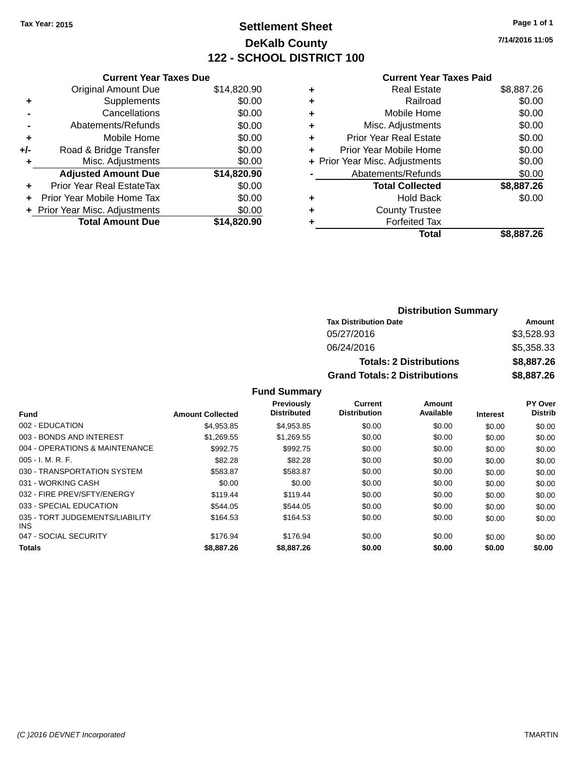# **Settlement Sheet Tax Year: 2015 Page 1 of 1 DeKalb County 122 - SCHOOL DISTRICT 100**

**7/14/2016 11:05**

#### **Current Year Taxes Paid**

|     | <b>Current Year Taxes Due</b>  |             |
|-----|--------------------------------|-------------|
|     | <b>Original Amount Due</b>     | \$14,820.90 |
| ٠   | Supplements                    | \$0.00      |
|     | Cancellations                  | \$0.00      |
|     | Abatements/Refunds             | \$0.00      |
| ٠   | Mobile Home                    | \$0.00      |
| +/- | Road & Bridge Transfer         | \$0.00      |
| ٠   | Misc. Adjustments              | \$0.00      |
|     | <b>Adjusted Amount Due</b>     | \$14,820.90 |
| ÷   | Prior Year Real EstateTax      | \$0.00      |
| ÷   | Prior Year Mobile Home Tax     | \$0.00      |
|     | + Prior Year Misc. Adjustments | \$0.00      |
|     | <b>Total Amount Due</b>        | \$14,820.90 |
|     |                                |             |

| ٠ | <b>Real Estate</b>             | \$8,887.26 |
|---|--------------------------------|------------|
| ٠ | Railroad                       | \$0.00     |
| ٠ | Mobile Home                    | \$0.00     |
| ٠ | Misc. Adjustments              | \$0.00     |
| ٠ | <b>Prior Year Real Estate</b>  | \$0.00     |
| ٠ | Prior Year Mobile Home         | \$0.00     |
|   | + Prior Year Misc. Adjustments | \$0.00     |
|   | Abatements/Refunds             | \$0.00     |
|   | <b>Total Collected</b>         | \$8,887.26 |
| ٠ | <b>Hold Back</b>               | \$0.00     |
| ٠ | <b>County Trustee</b>          |            |
| ٠ | <b>Forfeited Tax</b>           |            |
|   | <b>Total</b>                   | \$8,887.26 |
|   |                                |            |

| <b>Distribution Summary</b>          |            |  |  |  |
|--------------------------------------|------------|--|--|--|
| <b>Tax Distribution Date</b>         | Amount     |  |  |  |
| 05/27/2016                           | \$3,528.93 |  |  |  |
| 06/24/2016                           | \$5,358.33 |  |  |  |
| <b>Totals: 2 Distributions</b>       | \$8,887.26 |  |  |  |
| <b>Grand Totals: 2 Distributions</b> | \$8,887.26 |  |  |  |

|                                               |                         | <b>Previously</b><br><b>Distributed</b> | Current<br><b>Distribution</b> | Amount<br>Available |                 | PY Over<br><b>Distrib</b> |
|-----------------------------------------------|-------------------------|-----------------------------------------|--------------------------------|---------------------|-----------------|---------------------------|
| <b>Fund</b>                                   | <b>Amount Collected</b> |                                         |                                |                     | <b>Interest</b> |                           |
| 002 - EDUCATION                               | \$4.953.85              | \$4.953.85                              | \$0.00                         | \$0.00              | \$0.00          | \$0.00                    |
| 003 - BONDS AND INTEREST                      | \$1.269.55              | \$1,269.55                              | \$0.00                         | \$0.00              | \$0.00          | \$0.00                    |
| 004 - OPERATIONS & MAINTENANCE                | \$992.75                | \$992.75                                | \$0.00                         | \$0.00              | \$0.00          | \$0.00                    |
| $005 - I. M. R. F.$                           | \$82.28                 | \$82.28                                 | \$0.00                         | \$0.00              | \$0.00          | \$0.00                    |
| 030 - TRANSPORTATION SYSTEM                   | \$583.87                | \$583.87                                | \$0.00                         | \$0.00              | \$0.00          | \$0.00                    |
| 031 - WORKING CASH                            | \$0.00                  | \$0.00                                  | \$0.00                         | \$0.00              | \$0.00          | \$0.00                    |
| 032 - FIRE PREV/SFTY/ENERGY                   | \$119.44                | \$119.44                                | \$0.00                         | \$0.00              | \$0.00          | \$0.00                    |
| 033 - SPECIAL EDUCATION                       | \$544.05                | \$544.05                                | \$0.00                         | \$0.00              | \$0.00          | \$0.00                    |
| 035 - TORT JUDGEMENTS/LIABILITY<br><b>INS</b> | \$164.53                | \$164.53                                | \$0.00                         | \$0.00              | \$0.00          | \$0.00                    |
| 047 - SOCIAL SECURITY                         | \$176.94                | \$176.94                                | \$0.00                         | \$0.00              | \$0.00          | \$0.00                    |
| <b>Totals</b>                                 | \$8,887.26              | \$8,887,26                              | \$0.00                         | \$0.00              | \$0.00          | \$0.00                    |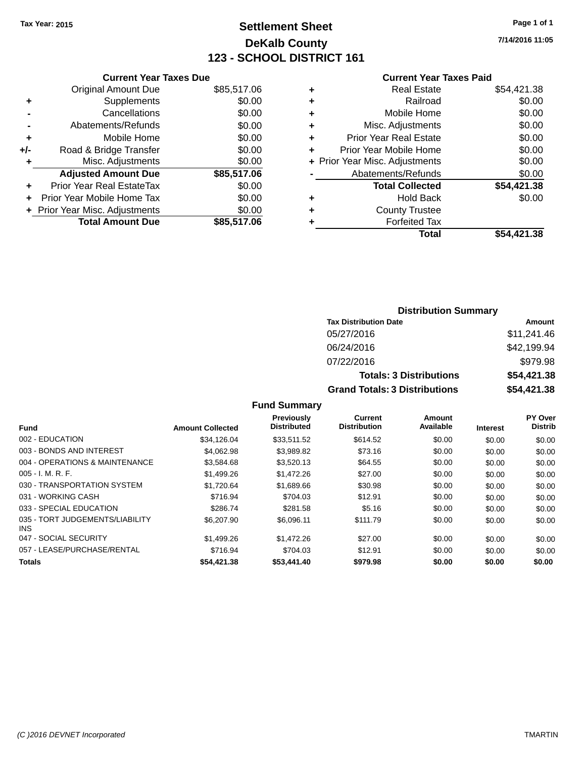# **Settlement Sheet Tax Year: 2015 Page 1 of 1 DeKalb County 123 - SCHOOL DISTRICT 161**

**7/14/2016 11:05**

#### **Current Year Taxes Paid**

|     | <b>Current Year Taxes Due</b>  |             |
|-----|--------------------------------|-------------|
|     | <b>Original Amount Due</b>     | \$85,517.06 |
| ٠   | Supplements                    | \$0.00      |
|     | Cancellations                  | \$0.00      |
|     | Abatements/Refunds             | \$0.00      |
| ٠   | Mobile Home                    | \$0.00      |
| +/- | Road & Bridge Transfer         | \$0.00      |
|     | Misc. Adjustments              | \$0.00      |
|     | <b>Adjusted Amount Due</b>     | \$85,517.06 |
| ٠   | Prior Year Real EstateTax      | \$0.00      |
|     | Prior Year Mobile Home Tax     | \$0.00      |
|     | + Prior Year Misc. Adjustments | \$0.00      |
|     | <b>Total Amount Due</b>        | \$85,517.06 |
|     |                                |             |

| ٠ | <b>Real Estate</b>             | \$54,421.38 |
|---|--------------------------------|-------------|
| ٠ | Railroad                       | \$0.00      |
| ٠ | Mobile Home                    | \$0.00      |
| ٠ | Misc. Adjustments              | \$0.00      |
| ٠ | <b>Prior Year Real Estate</b>  | \$0.00      |
| ٠ | Prior Year Mobile Home         | \$0.00      |
|   | + Prior Year Misc. Adjustments | \$0.00      |
|   | Abatements/Refunds             | \$0.00      |
|   | <b>Total Collected</b>         | \$54,421.38 |
| ٠ | Hold Back                      | \$0.00      |
| ٠ | <b>County Trustee</b>          |             |
| ٠ | <b>Forfeited Tax</b>           |             |
|   | Total                          | \$54,421.38 |
|   |                                |             |

### **Distribution Summary Tax Distribution Date Amount** 05/27/2016 \$11,241.46 06/24/2016 \$42,199.94 07/22/2016 \$979.98 **Totals: 3 Distributions \$54,421.38 Grand Totals: 3 Distributions \$54,421.38**

| <b>Fund</b>                             | <b>Amount Collected</b> | Previously<br><b>Distributed</b> | <b>Current</b><br><b>Distribution</b> | <b>Amount</b><br>Available | <b>Interest</b> | PY Over<br><b>Distrib</b> |
|-----------------------------------------|-------------------------|----------------------------------|---------------------------------------|----------------------------|-----------------|---------------------------|
| 002 - EDUCATION                         | \$34.126.04             | \$33.511.52                      | \$614.52                              | \$0.00                     | \$0.00          | \$0.00                    |
| 003 - BONDS AND INTEREST                | \$4.062.98              | \$3,989.82                       | \$73.16                               | \$0.00                     | \$0.00          | \$0.00                    |
| 004 - OPERATIONS & MAINTENANCE          | \$3,584.68              | \$3,520.13                       | \$64.55                               | \$0.00                     | \$0.00          | \$0.00                    |
| $005 - I. M. R. F.$                     | \$1,499.26              | \$1,472.26                       | \$27.00                               | \$0.00                     | \$0.00          | \$0.00                    |
| 030 - TRANSPORTATION SYSTEM             | \$1.720.64              | \$1,689.66                       | \$30.98                               | \$0.00                     | \$0.00          | \$0.00                    |
| 031 - WORKING CASH                      | \$716.94                | \$704.03                         | \$12.91                               | \$0.00                     | \$0.00          | \$0.00                    |
| 033 - SPECIAL EDUCATION                 | \$286.74                | \$281.58                         | \$5.16                                | \$0.00                     | \$0.00          | \$0.00                    |
| 035 - TORT JUDGEMENTS/LIABILITY<br>INS. | \$6,207.90              | \$6.096.11                       | \$111.79                              | \$0.00                     | \$0.00          | \$0.00                    |
| 047 - SOCIAL SECURITY                   | \$1,499.26              | \$1,472.26                       | \$27.00                               | \$0.00                     | \$0.00          | \$0.00                    |
| 057 - LEASE/PURCHASE/RENTAL             | \$716.94                | \$704.03                         | \$12.91                               | \$0.00                     | \$0.00          | \$0.00                    |
| <b>Totals</b>                           | \$54,421,38             | \$53,441.40                      | \$979.98                              | \$0.00                     | \$0.00          | \$0.00                    |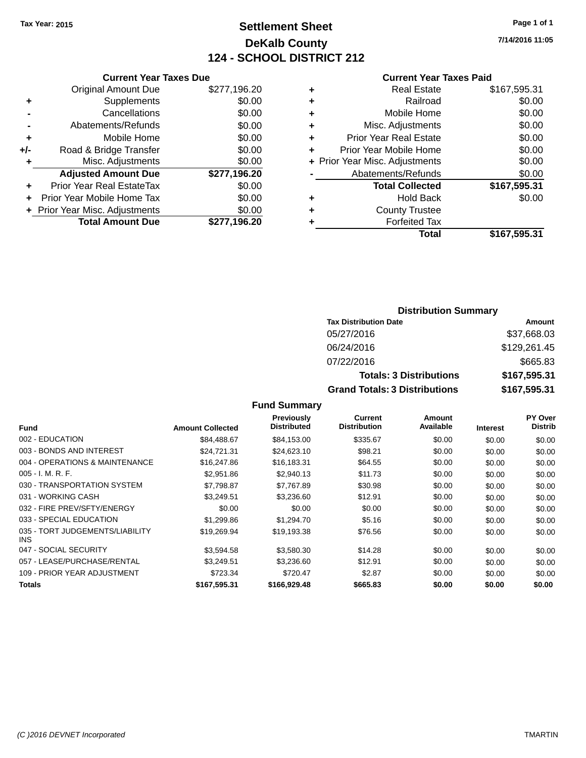# **Settlement Sheet Tax Year: 2015 Page 1 of 1 DeKalb County 124 - SCHOOL DISTRICT 212**

**7/14/2016 11:05**

#### **Current Year Taxes Paid**

|       | <b>Current Year Taxes Due</b>  |              |
|-------|--------------------------------|--------------|
|       | <b>Original Amount Due</b>     | \$277,196.20 |
| ٠     | Supplements                    | \$0.00       |
|       | Cancellations                  | \$0.00       |
|       | Abatements/Refunds             | \$0.00       |
| ٠     | Mobile Home                    | \$0.00       |
| $+/-$ | Road & Bridge Transfer         | \$0.00       |
| ٠     | Misc. Adjustments              | \$0.00       |
|       | <b>Adjusted Amount Due</b>     | \$277,196.20 |
| ÷     | Prior Year Real EstateTax      | \$0.00       |
|       | Prior Year Mobile Home Tax     | \$0.00       |
|       | + Prior Year Misc. Adjustments | \$0.00       |
|       | <b>Total Amount Due</b>        | \$277.196.20 |
|       |                                |              |

| ٠ | <b>Real Estate</b>             | \$167,595.31 |
|---|--------------------------------|--------------|
| ٠ | Railroad                       | \$0.00       |
| ٠ | Mobile Home                    | \$0.00       |
| ٠ | Misc. Adjustments              | \$0.00       |
| ٠ | <b>Prior Year Real Estate</b>  | \$0.00       |
| ÷ | Prior Year Mobile Home         | \$0.00       |
|   | + Prior Year Misc. Adjustments | \$0.00       |
|   | Abatements/Refunds             | \$0.00       |
|   | <b>Total Collected</b>         | \$167,595.31 |
| ٠ | <b>Hold Back</b>               | \$0.00       |
| ٠ | <b>County Trustee</b>          |              |
| ٠ | <b>Forfeited Tax</b>           |              |
|   | Total                          | \$167,595.31 |
|   |                                |              |

### **Distribution Summary Tax Distribution Date Amount** 05/27/2016 \$37,668.03 06/24/2016 \$129,261.45 07/22/2016 \$665.83 **Totals: 3 Distributions \$167,595.31 Grand Totals: 3 Distributions \$167,595.31**

| <b>Fund</b>                             | <b>Amount Collected</b> | Previously<br><b>Distributed</b> | <b>Current</b><br><b>Distribution</b> | Amount<br>Available | <b>Interest</b> | <b>PY Over</b><br><b>Distrib</b> |
|-----------------------------------------|-------------------------|----------------------------------|---------------------------------------|---------------------|-----------------|----------------------------------|
| 002 - EDUCATION                         | \$84,488,67             | \$84,153.00                      | \$335.67                              | \$0.00              | \$0.00          | \$0.00                           |
| 003 - BONDS AND INTEREST                | \$24,721.31             | \$24,623.10                      | \$98.21                               | \$0.00              | \$0.00          | \$0.00                           |
| 004 - OPERATIONS & MAINTENANCE          | \$16,247.86             | \$16,183.31                      | \$64.55                               | \$0.00              | \$0.00          | \$0.00                           |
| $005 - I. M. R. F.$                     | \$2,951.86              | \$2,940.13                       | \$11.73                               | \$0.00              | \$0.00          | \$0.00                           |
| 030 - TRANSPORTATION SYSTEM             | \$7,798.87              | \$7,767.89                       | \$30.98                               | \$0.00              | \$0.00          | \$0.00                           |
| 031 - WORKING CASH                      | \$3.249.51              | \$3,236,60                       | \$12.91                               | \$0.00              | \$0.00          | \$0.00                           |
| 032 - FIRE PREV/SFTY/ENERGY             | \$0.00                  | \$0.00                           | \$0.00                                | \$0.00              | \$0.00          | \$0.00                           |
| 033 - SPECIAL EDUCATION                 | \$1,299.86              | \$1,294.70                       | \$5.16                                | \$0.00              | \$0.00          | \$0.00                           |
| 035 - TORT JUDGEMENTS/LIABILITY<br>INS. | \$19,269.94             | \$19,193.38                      | \$76.56                               | \$0.00              | \$0.00          | \$0.00                           |
| 047 - SOCIAL SECURITY                   | \$3.594.58              | \$3,580.30                       | \$14.28                               | \$0.00              | \$0.00          | \$0.00                           |
| 057 - LEASE/PURCHASE/RENTAL             | \$3.249.51              | \$3.236.60                       | \$12.91                               | \$0.00              | \$0.00          | \$0.00                           |
| 109 - PRIOR YEAR ADJUSTMENT             | \$723.34                | \$720.47                         | \$2.87                                | \$0.00              | \$0.00          | \$0.00                           |
| Totals                                  | \$167,595.31            | \$166,929.48                     | \$665.83                              | \$0.00              | \$0.00          | \$0.00                           |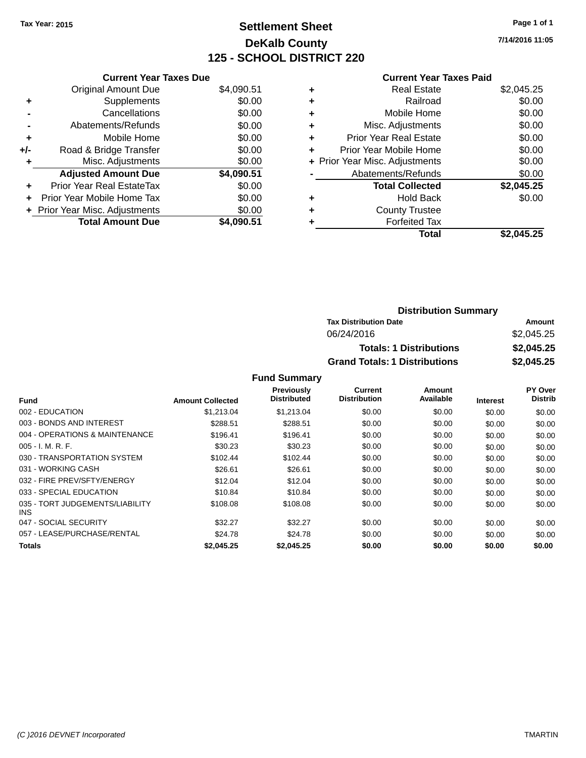# **Settlement Sheet Tax Year: 2015 Page 1 of 1 DeKalb County 125 - SCHOOL DISTRICT 220**

**7/14/2016 11:05**

#### **Current Year Taxes Paid**

|     | <b>Current Year Taxes Due</b>  |            |
|-----|--------------------------------|------------|
|     | <b>Original Amount Due</b>     | \$4,090.51 |
| ٠   | Supplements                    | \$0.00     |
|     | Cancellations                  | \$0.00     |
|     | Abatements/Refunds             | \$0.00     |
| ٠   | Mobile Home                    | \$0.00     |
| +/- | Road & Bridge Transfer         | \$0.00     |
| ٠   | Misc. Adjustments              | \$0.00     |
|     | <b>Adjusted Amount Due</b>     | \$4,090.51 |
| ٠   | Prior Year Real EstateTax      | \$0.00     |
| ÷   | Prior Year Mobile Home Tax     | \$0.00     |
|     | + Prior Year Misc. Adjustments | \$0.00     |
|     | <b>Total Amount Due</b>        | \$4.090.51 |

| ٠ | <b>Real Estate</b>             | \$2,045.25 |
|---|--------------------------------|------------|
| ٠ | Railroad                       | \$0.00     |
| ٠ | Mobile Home                    | \$0.00     |
| ٠ | Misc. Adjustments              | \$0.00     |
| ٠ | <b>Prior Year Real Estate</b>  | \$0.00     |
| ٠ | Prior Year Mobile Home         | \$0.00     |
|   | + Prior Year Misc. Adjustments | \$0.00     |
|   | Abatements/Refunds             | \$0.00     |
|   | <b>Total Collected</b>         | \$2,045.25 |
| ٠ | Hold Back                      | \$0.00     |
| ٠ | <b>County Trustee</b>          |            |
| ٠ | <b>Forfeited Tax</b>           |            |
|   | Total                          | \$2.045.25 |
|   |                                |            |

| <b>Distribution Summary</b>          |            |
|--------------------------------------|------------|
| <b>Tax Distribution Date</b>         | Amount     |
| 06/24/2016                           | \$2,045.25 |
| <b>Totals: 1 Distributions</b>       | \$2,045.25 |
| <b>Grand Totals: 1 Distributions</b> | \$2,045.25 |

|                                         |                         | <b>Previously</b><br><b>Distributed</b> | Current<br><b>Distribution</b> | Amount<br>Available |                 | <b>PY Over</b><br><b>Distrib</b> |
|-----------------------------------------|-------------------------|-----------------------------------------|--------------------------------|---------------------|-----------------|----------------------------------|
| <b>Fund</b>                             | <b>Amount Collected</b> |                                         |                                |                     | <b>Interest</b> |                                  |
| 002 - EDUCATION                         | \$1.213.04              | \$1.213.04                              | \$0.00                         | \$0.00              | \$0.00          | \$0.00                           |
| 003 - BONDS AND INTEREST                | \$288.51                | \$288.51                                | \$0.00                         | \$0.00              | \$0.00          | \$0.00                           |
| 004 - OPERATIONS & MAINTENANCE          | \$196.41                | \$196.41                                | \$0.00                         | \$0.00              | \$0.00          | \$0.00                           |
| $005 - I. M. R. F.$                     | \$30.23                 | \$30.23                                 | \$0.00                         | \$0.00              | \$0.00          | \$0.00                           |
| 030 - TRANSPORTATION SYSTEM             | \$102.44                | \$102.44                                | \$0.00                         | \$0.00              | \$0.00          | \$0.00                           |
| 031 - WORKING CASH                      | \$26.61                 | \$26.61                                 | \$0.00                         | \$0.00              | \$0.00          | \$0.00                           |
| 032 - FIRE PREV/SFTY/ENERGY             | \$12.04                 | \$12.04                                 | \$0.00                         | \$0.00              | \$0.00          | \$0.00                           |
| 033 - SPECIAL EDUCATION                 | \$10.84                 | \$10.84                                 | \$0.00                         | \$0.00              | \$0.00          | \$0.00                           |
| 035 - TORT JUDGEMENTS/LIABILITY<br>INS. | \$108.08                | \$108.08                                | \$0.00                         | \$0.00              | \$0.00          | \$0.00                           |
| 047 - SOCIAL SECURITY                   | \$32.27                 | \$32.27                                 | \$0.00                         | \$0.00              | \$0.00          | \$0.00                           |
| 057 - LEASE/PURCHASE/RENTAL             | \$24.78                 | \$24.78                                 | \$0.00                         | \$0.00              | \$0.00          | \$0.00                           |
| Totals                                  | \$2.045.25              | \$2.045.25                              | \$0.00                         | \$0.00              | \$0.00          | \$0.00                           |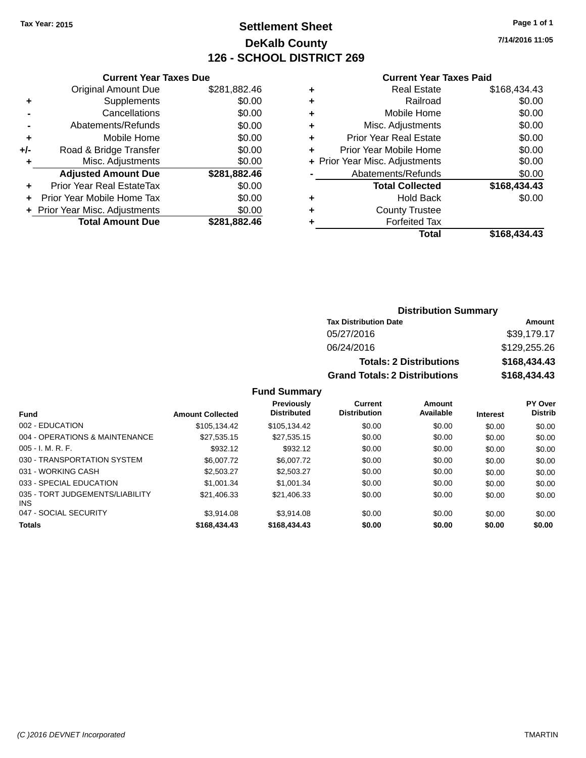### **Settlement Sheet Tax Year: 2015 Page 1 of 1 DeKalb County 126 - SCHOOL DISTRICT 269**

**7/14/2016 11:05**

#### **Current Year Taxes Paid**

| \$0.00<br>\$0.00<br>\$0.00<br>\$281,882.46<br>\$0.00<br>\$0.00<br>\$0.00<br>\$281.882.46 |
|------------------------------------------------------------------------------------------|

|   | <b>Real Estate</b>             | \$168,434.43 |
|---|--------------------------------|--------------|
| ٠ | Railroad                       | \$0.00       |
| ٠ | Mobile Home                    | \$0.00       |
| ٠ | Misc. Adjustments              | \$0.00       |
| ٠ | <b>Prior Year Real Estate</b>  | \$0.00       |
|   | Prior Year Mobile Home         | \$0.00       |
|   | + Prior Year Misc. Adjustments | \$0.00       |
|   | Abatements/Refunds             | \$0.00       |
|   | <b>Total Collected</b>         | \$168,434.43 |
| ٠ | <b>Hold Back</b>               | \$0.00       |
| ٠ | <b>County Trustee</b>          |              |
| ٠ | <b>Forfeited Tax</b>           |              |
|   | Total                          | \$168,434.43 |
|   |                                |              |

#### **Distribution Summary Tax Distribution Date Amount** 05/27/2016 \$39,179.17

| 06/24/2016                           | \$129,255,26 |
|--------------------------------------|--------------|
| <b>Totals: 2 Distributions</b>       | \$168,434.43 |
| <b>Grand Totals: 2 Distributions</b> | \$168,434.43 |

| <b>Fund</b>                                   | <b>Amount Collected</b> | Previously<br><b>Distributed</b> | Current<br><b>Distribution</b> | Amount<br>Available | <b>Interest</b> | <b>PY Over</b><br><b>Distrib</b> |
|-----------------------------------------------|-------------------------|----------------------------------|--------------------------------|---------------------|-----------------|----------------------------------|
| 002 - EDUCATION                               | \$105.134.42            | \$105.134.42                     | \$0.00                         | \$0.00              | \$0.00          | \$0.00                           |
| 004 - OPERATIONS & MAINTENANCE                | \$27.535.15             | \$27.535.15                      | \$0.00                         | \$0.00              | \$0.00          | \$0.00                           |
| $005 - I. M. R. F.$                           | \$932.12                | \$932.12                         | \$0.00                         | \$0.00              | \$0.00          | \$0.00                           |
| 030 - TRANSPORTATION SYSTEM                   | \$6,007.72              | \$6,007.72                       | \$0.00                         | \$0.00              | \$0.00          | \$0.00                           |
| 031 - WORKING CASH                            | \$2,503.27              | \$2,503.27                       | \$0.00                         | \$0.00              | \$0.00          | \$0.00                           |
| 033 - SPECIAL EDUCATION                       | \$1,001.34              | \$1,001.34                       | \$0.00                         | \$0.00              | \$0.00          | \$0.00                           |
| 035 - TORT JUDGEMENTS/LIABILITY<br><b>INS</b> | \$21,406.33             | \$21,406.33                      | \$0.00                         | \$0.00              | \$0.00          | \$0.00                           |
| 047 - SOCIAL SECURITY                         | \$3.914.08              | \$3.914.08                       | \$0.00                         | \$0.00              | \$0.00          | \$0.00                           |
| <b>Totals</b>                                 | \$168,434,43            | \$168,434,43                     | \$0.00                         | \$0.00              | \$0.00          | \$0.00                           |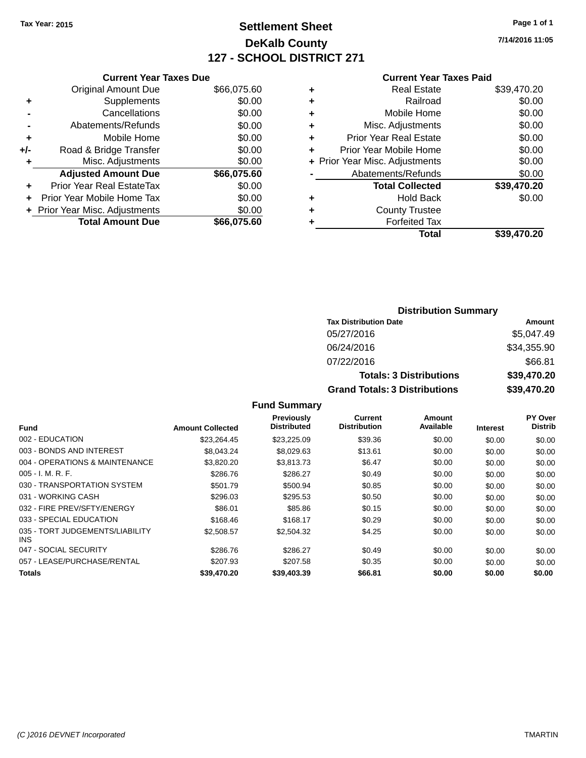### **Settlement Sheet Tax Year: 2015 Page 1 of 1 DeKalb County 127 - SCHOOL DISTRICT 271**

**7/14/2016 11:05**

#### **Current Year Taxes Paid**

|     | <b>Current Year Taxes Due</b>  |             |
|-----|--------------------------------|-------------|
|     | <b>Original Amount Due</b>     | \$66,075.60 |
| ٠   | Supplements                    | \$0.00      |
|     | Cancellations                  | \$0.00      |
|     | Abatements/Refunds             | \$0.00      |
| ٠   | Mobile Home                    | \$0.00      |
| +/- | Road & Bridge Transfer         | \$0.00      |
| ٠   | Misc. Adjustments              | \$0.00      |
|     | <b>Adjusted Amount Due</b>     | \$66,075.60 |
| ٠   | Prior Year Real EstateTax      | \$0.00      |
|     | Prior Year Mobile Home Tax     | \$0.00      |
|     | + Prior Year Misc. Adjustments | \$0.00      |
|     | <b>Total Amount Due</b>        | \$66,075,60 |
|     |                                |             |

|   | <b>Real Estate</b>             | \$39,470.20 |
|---|--------------------------------|-------------|
| ٠ | Railroad                       | \$0.00      |
| ٠ | Mobile Home                    | \$0.00      |
| ٠ | Misc. Adjustments              | \$0.00      |
| ٠ | <b>Prior Year Real Estate</b>  | \$0.00      |
| ÷ | Prior Year Mobile Home         | \$0.00      |
|   | + Prior Year Misc. Adjustments | \$0.00      |
|   | Abatements/Refunds             | \$0.00      |
|   | <b>Total Collected</b>         | \$39,470.20 |
| ٠ | <b>Hold Back</b>               | \$0.00      |
| ٠ | <b>County Trustee</b>          |             |
| ٠ | <b>Forfeited Tax</b>           |             |
|   | <b>Total</b>                   | \$39,470.20 |
|   |                                |             |

| <b>Distribution Summary</b>          |             |  |  |  |
|--------------------------------------|-------------|--|--|--|
| <b>Tax Distribution Date</b>         | Amount      |  |  |  |
| 05/27/2016                           | \$5,047.49  |  |  |  |
| 06/24/2016                           | \$34,355.90 |  |  |  |
| 07/22/2016                           | \$66.81     |  |  |  |
| <b>Totals: 3 Distributions</b>       | \$39,470.20 |  |  |  |
| <b>Grand Totals: 3 Distributions</b> | \$39,470.20 |  |  |  |

| <b>Fund</b>                                   | <b>Amount Collected</b> | <b>Previously</b><br><b>Distributed</b> | <b>Current</b><br><b>Distribution</b> | Amount<br>Available | <b>Interest</b> | PY Over<br><b>Distrib</b> |
|-----------------------------------------------|-------------------------|-----------------------------------------|---------------------------------------|---------------------|-----------------|---------------------------|
| 002 - EDUCATION                               | \$23.264.45             | \$23,225.09                             | \$39.36                               | \$0.00              | \$0.00          | \$0.00                    |
| 003 - BONDS AND INTEREST                      | \$8,043,24              | \$8.029.63                              | \$13.61                               | \$0.00              | \$0.00          | \$0.00                    |
| 004 - OPERATIONS & MAINTENANCE                | \$3,820.20              | \$3,813.73                              | \$6.47                                | \$0.00              | \$0.00          | \$0.00                    |
| $005 - I. M. R. F.$                           | \$286.76                | \$286.27                                | \$0.49                                | \$0.00              | \$0.00          | \$0.00                    |
| 030 - TRANSPORTATION SYSTEM                   | \$501.79                | \$500.94                                | \$0.85                                | \$0.00              | \$0.00          | \$0.00                    |
| 031 - WORKING CASH                            | \$296.03                | \$295.53                                | \$0.50                                | \$0.00              | \$0.00          | \$0.00                    |
| 032 - FIRE PREV/SFTY/ENERGY                   | \$86.01                 | \$85.86                                 | \$0.15                                | \$0.00              | \$0.00          | \$0.00                    |
| 033 - SPECIAL EDUCATION                       | \$168.46                | \$168.17                                | \$0.29                                | \$0.00              | \$0.00          | \$0.00                    |
| 035 - TORT JUDGEMENTS/LIABILITY<br><b>INS</b> | \$2,508.57              | \$2,504.32                              | \$4.25                                | \$0.00              | \$0.00          | \$0.00                    |
| 047 - SOCIAL SECURITY                         | \$286.76                | \$286.27                                | \$0.49                                | \$0.00              | \$0.00          | \$0.00                    |
| 057 - LEASE/PURCHASE/RENTAL                   | \$207.93                | \$207.58                                | \$0.35                                | \$0.00              | \$0.00          | \$0.00                    |
| <b>Totals</b>                                 | \$39,470.20             | \$39,403.39                             | \$66.81                               | \$0.00              | \$0.00          | \$0.00                    |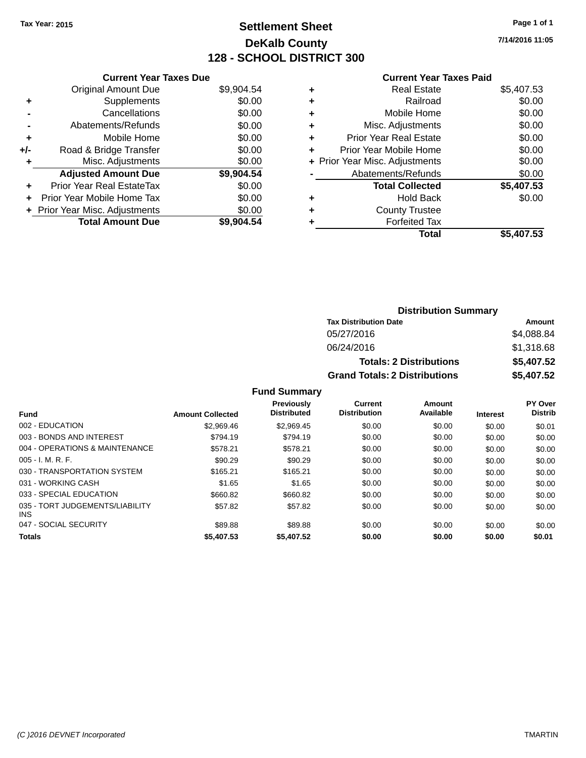### **Settlement Sheet Tax Year: 2015 Page 1 of 1 DeKalb County 128 - SCHOOL DISTRICT 300**

**7/14/2016 11:05**

#### **Current Year Taxes Paid**

|     | <b>Current Year Taxes Due</b>     |            |
|-----|-----------------------------------|------------|
|     | <b>Original Amount Due</b>        | \$9,904.54 |
| ٠   | Supplements                       | \$0.00     |
|     | Cancellations                     | \$0.00     |
|     | Abatements/Refunds                | \$0.00     |
| ٠   | Mobile Home                       | \$0.00     |
| +/- | Road & Bridge Transfer            | \$0.00     |
| ٠   | Misc. Adjustments                 | \$0.00     |
|     | <b>Adjusted Amount Due</b>        | \$9,904.54 |
| ÷   | <b>Prior Year Real EstateTax</b>  | \$0.00     |
| ÷   | <b>Prior Year Mobile Home Tax</b> | \$0.00     |
|     | + Prior Year Misc. Adjustments    | \$0.00     |
|     | <b>Total Amount Due</b>           | \$9,904.54 |

| ٠ | <b>Real Estate</b>             | \$5,407.53 |
|---|--------------------------------|------------|
| ٠ | Railroad                       | \$0.00     |
| ٠ | Mobile Home                    | \$0.00     |
| ٠ | Misc. Adjustments              | \$0.00     |
| ٠ | <b>Prior Year Real Estate</b>  | \$0.00     |
| ٠ | Prior Year Mobile Home         | \$0.00     |
|   | + Prior Year Misc. Adjustments | \$0.00     |
|   | Abatements/Refunds             | \$0.00     |
|   | <b>Total Collected</b>         | \$5,407.53 |
| ٠ | <b>Hold Back</b>               | \$0.00     |
| ٠ | <b>County Trustee</b>          |            |
| ٠ | <b>Forfeited Tax</b>           |            |
|   | <b>Total</b>                   | \$5,407.53 |
|   |                                |            |

| <b>Distribution Summary</b>          |            |  |  |  |
|--------------------------------------|------------|--|--|--|
| <b>Tax Distribution Date</b>         | Amount     |  |  |  |
| 05/27/2016                           | \$4,088.84 |  |  |  |
| 06/24/2016                           | \$1,318.68 |  |  |  |
| <b>Totals: 2 Distributions</b>       | \$5,407.52 |  |  |  |
| <b>Grand Totals: 2 Distributions</b> | \$5,407.52 |  |  |  |

|                                               |                         | <b>Previously</b><br><b>Distributed</b> | Current<br><b>Distribution</b> | Amount<br>Available |                 | PY Over<br><b>Distrib</b> |
|-----------------------------------------------|-------------------------|-----------------------------------------|--------------------------------|---------------------|-----------------|---------------------------|
| <b>Fund</b>                                   | <b>Amount Collected</b> |                                         |                                |                     | <b>Interest</b> |                           |
| 002 - EDUCATION                               | \$2,969.46              | \$2.969.45                              | \$0.00                         | \$0.00              | \$0.00          | \$0.01                    |
| 003 - BONDS AND INTEREST                      | \$794.19                | \$794.19                                | \$0.00                         | \$0.00              | \$0.00          | \$0.00                    |
| 004 - OPERATIONS & MAINTENANCE                | \$578.21                | \$578.21                                | \$0.00                         | \$0.00              | \$0.00          | \$0.00                    |
| $005 - I. M. R. F.$                           | \$90.29                 | \$90.29                                 | \$0.00                         | \$0.00              | \$0.00          | \$0.00                    |
| 030 - TRANSPORTATION SYSTEM                   | \$165.21                | \$165.21                                | \$0.00                         | \$0.00              | \$0.00          | \$0.00                    |
| 031 - WORKING CASH                            | \$1.65                  | \$1.65                                  | \$0.00                         | \$0.00              | \$0.00          | \$0.00                    |
| 033 - SPECIAL EDUCATION                       | \$660.82                | \$660.82                                | \$0.00                         | \$0.00              | \$0.00          | \$0.00                    |
| 035 - TORT JUDGEMENTS/LIABILITY<br><b>INS</b> | \$57.82                 | \$57.82                                 | \$0.00                         | \$0.00              | \$0.00          | \$0.00                    |
| 047 - SOCIAL SECURITY                         | \$89.88                 | \$89.88                                 | \$0.00                         | \$0.00              | \$0.00          | \$0.00                    |
| <b>Totals</b>                                 | \$5,407.53              | \$5,407.52                              | \$0.00                         | \$0.00              | \$0.00          | \$0.01                    |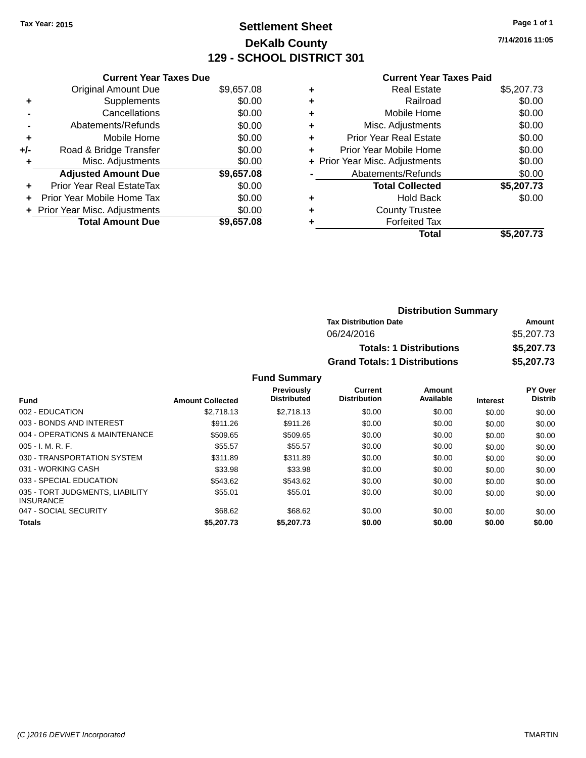### **Settlement Sheet Tax Year: 2015 Page 1 of 1 DeKalb County 129 - SCHOOL DISTRICT 301**

**7/14/2016 11:05**

#### **Current Year Taxes Paid**

|     | <b>Current Year Taxes Due</b>            |            |  |  |  |  |  |
|-----|------------------------------------------|------------|--|--|--|--|--|
|     | <b>Original Amount Due</b><br>\$9,657.08 |            |  |  |  |  |  |
| ٠   | \$0.00<br>Supplements                    |            |  |  |  |  |  |
|     | Cancellations                            | \$0.00     |  |  |  |  |  |
|     | Abatements/Refunds                       | \$0.00     |  |  |  |  |  |
| ٠   | Mobile Home                              | \$0.00     |  |  |  |  |  |
| +/- | Road & Bridge Transfer                   | \$0.00     |  |  |  |  |  |
|     | Misc. Adjustments                        | \$0.00     |  |  |  |  |  |
|     | <b>Adjusted Amount Due</b>               | \$9,657.08 |  |  |  |  |  |
| ÷   | Prior Year Real EstateTax                | \$0.00     |  |  |  |  |  |
| ÷   | Prior Year Mobile Home Tax               | \$0.00     |  |  |  |  |  |
|     | + Prior Year Misc. Adjustments           | \$0.00     |  |  |  |  |  |
|     | <b>Total Amount Due</b>                  | \$9,657.08 |  |  |  |  |  |

| ٠ | <b>Real Estate</b>             | \$5,207.73 |
|---|--------------------------------|------------|
| ٠ | Railroad                       | \$0.00     |
| ٠ | Mobile Home                    | \$0.00     |
| ٠ | Misc. Adjustments              | \$0.00     |
| ٠ | <b>Prior Year Real Estate</b>  | \$0.00     |
| ٠ | Prior Year Mobile Home         | \$0.00     |
|   | + Prior Year Misc. Adjustments | \$0.00     |
|   | Abatements/Refunds             | \$0.00     |
|   | <b>Total Collected</b>         | \$5,207.73 |
| ٠ | <b>Hold Back</b>               | \$0.00     |
|   | <b>County Trustee</b>          |            |
| ٠ | <b>Forfeited Tax</b>           |            |
|   | Total                          | \$5,207.73 |
|   |                                |            |

| <b>Distribution Summary</b>          |            |
|--------------------------------------|------------|
| <b>Tax Distribution Date</b>         | Amount     |
| 06/24/2016                           | \$5,207.73 |
| <b>Totals: 1 Distributions</b>       | \$5,207.73 |
| <b>Grand Totals: 1 Distributions</b> | \$5,207.73 |

| <b>Fund</b>                                         | <b>Amount Collected</b> | <b>Previously</b><br><b>Distributed</b> | Current<br><b>Distribution</b> | Amount<br>Available | <b>Interest</b> | PY Over<br><b>Distrib</b> |
|-----------------------------------------------------|-------------------------|-----------------------------------------|--------------------------------|---------------------|-----------------|---------------------------|
| 002 - EDUCATION                                     | \$2.718.13              | \$2.718.13                              | \$0.00                         | \$0.00              | \$0.00          | \$0.00                    |
| 003 - BONDS AND INTEREST                            | \$911.26                | \$911.26                                | \$0.00                         | \$0.00              | \$0.00          | \$0.00                    |
| 004 - OPERATIONS & MAINTENANCE                      | \$509.65                | \$509.65                                | \$0.00                         | \$0.00              | \$0.00          | \$0.00                    |
| $005 - I. M. R. F.$                                 | \$55.57                 | \$55.57                                 | \$0.00                         | \$0.00              | \$0.00          | \$0.00                    |
| 030 - TRANSPORTATION SYSTEM                         | \$311.89                | \$311.89                                | \$0.00                         | \$0.00              | \$0.00          | \$0.00                    |
| 031 - WORKING CASH                                  | \$33.98                 | \$33.98                                 | \$0.00                         | \$0.00              | \$0.00          | \$0.00                    |
| 033 - SPECIAL EDUCATION                             | \$543.62                | \$543.62                                | \$0.00                         | \$0.00              | \$0.00          | \$0.00                    |
| 035 - TORT JUDGMENTS, LIABILITY<br><b>INSURANCE</b> | \$55.01                 | \$55.01                                 | \$0.00                         | \$0.00              | \$0.00          | \$0.00                    |
| 047 - SOCIAL SECURITY                               | \$68.62                 | \$68.62                                 | \$0.00                         | \$0.00              | \$0.00          | \$0.00                    |
| <b>Totals</b>                                       | \$5,207.73              | \$5,207.73                              | \$0.00                         | \$0.00              | \$0.00          | \$0.00                    |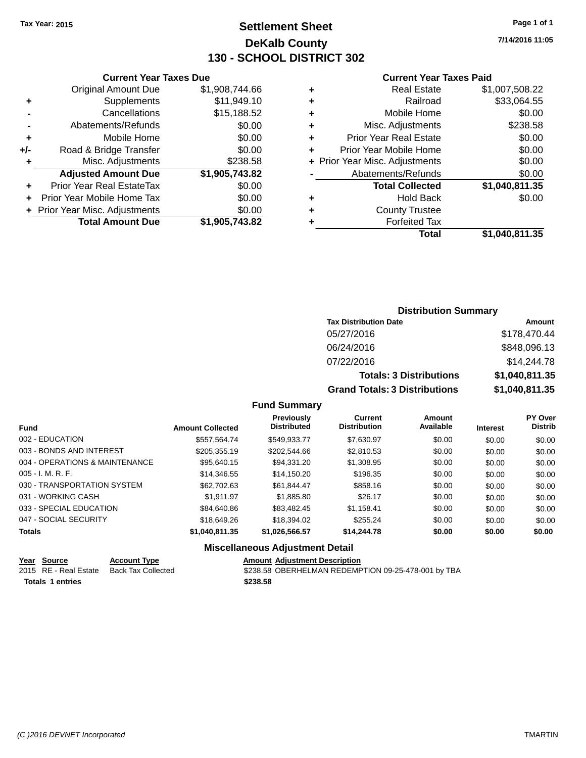### **Settlement Sheet Tax Year: 2015 Page 1 of 1 DeKalb County 130 - SCHOOL DISTRICT 302**

**7/14/2016 11:05**

#### **Current Year Taxes Paid**

|     | <b>Current Year Taxes Due</b>  |                |
|-----|--------------------------------|----------------|
|     | <b>Original Amount Due</b>     | \$1,908,744.66 |
| ٠   | Supplements                    | \$11,949.10    |
|     | Cancellations                  | \$15,188.52    |
|     | Abatements/Refunds             | \$0.00         |
| ٠   | Mobile Home                    | \$0.00         |
| +/- | Road & Bridge Transfer         | \$0.00         |
| ٠   | Misc. Adjustments              | \$238.58       |
|     | <b>Adjusted Amount Due</b>     | \$1,905,743.82 |
|     | Prior Year Real EstateTax      | \$0.00         |
|     | Prior Year Mobile Home Tax     | \$0.00         |
|     | + Prior Year Misc. Adjustments | \$0.00         |
|     | <b>Total Amount Due</b>        | \$1,905,743.82 |

#### **Distribution Summary Tax Distribution Date Amount** 05/27/2016 \$178,470.44 06/24/2016 \$848,096.13 07/22/2016 \$14,244.78 **Totals: 3 Distributions \$1,040,811.35 Grand Totals: 3 Distributions \$1,040,811.35**

#### **Fund Summary**

| <b>Fund</b>                    | <b>Amount Collected</b> | <b>Previously</b><br><b>Distributed</b> | Current<br><b>Distribution</b> | Amount<br>Available | <b>Interest</b> | <b>PY Over</b><br><b>Distrib</b> |
|--------------------------------|-------------------------|-----------------------------------------|--------------------------------|---------------------|-----------------|----------------------------------|
| 002 - EDUCATION                | \$557.564.74            | \$549.933.77                            | \$7,630.97                     | \$0.00              | \$0.00          | \$0.00                           |
| 003 - BONDS AND INTEREST       | \$205,355.19            | \$202,544.66                            | \$2,810.53                     | \$0.00              | \$0.00          | \$0.00                           |
| 004 - OPERATIONS & MAINTENANCE | \$95,640.15             | \$94,331.20                             | \$1,308.95                     | \$0.00              | \$0.00          | \$0.00                           |
| $005 - I. M. R. F.$            | \$14,346.55             | \$14,150.20                             | \$196.35                       | \$0.00              | \$0.00          | \$0.00                           |
| 030 - TRANSPORTATION SYSTEM    | \$62,702.63             | \$61,844.47                             | \$858.16                       | \$0.00              | \$0.00          | \$0.00                           |
| 031 - WORKING CASH             | \$1.911.97              | \$1,885.80                              | \$26.17                        | \$0.00              | \$0.00          | \$0.00                           |
| 033 - SPECIAL EDUCATION        | \$84,640.86             | \$83,482.45                             | \$1,158.41                     | \$0.00              | \$0.00          | \$0.00                           |
| 047 - SOCIAL SECURITY          | \$18,649.26             | \$18,394.02                             | \$255.24                       | \$0.00              | \$0.00          | \$0.00                           |
| <b>Totals</b>                  | \$1,040,811.35          | \$1,026,566.57                          | \$14,244.78                    | \$0.00              | \$0.00          | \$0.00                           |

|                         | Year Source           | <b>Account Type</b> | <b>Amount Adiustment Description</b>                |
|-------------------------|-----------------------|---------------------|-----------------------------------------------------|
|                         | 2015 RE - Real Estate | Back Tax Collected  | \$238.58 OBERHELMAN REDEMPTION 09-25-478-001 by TBA |
| <b>Totals 1 entries</b> |                       |                     | \$238.58                                            |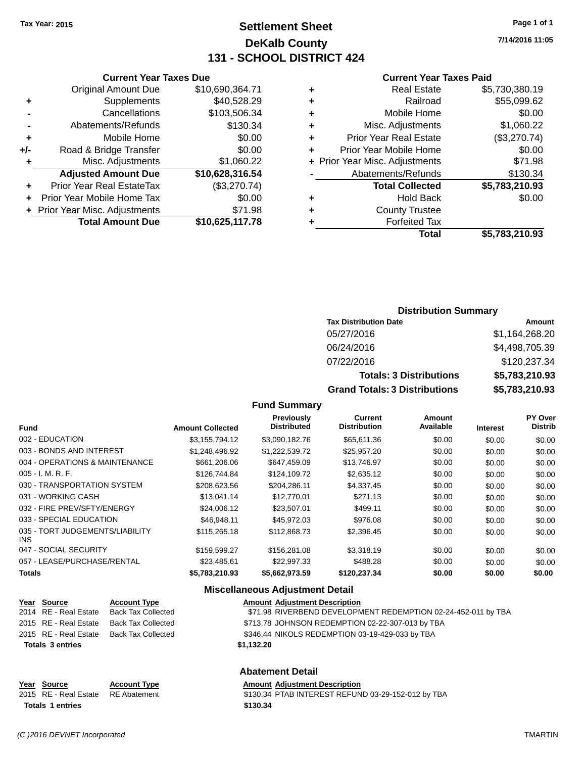**Current Year Taxes Due** Original Amount Due \$10,690,364.71

### **Settlement Sheet Tax Year: 2015 Page 1 of 1 DeKalb County 131 - SCHOOL DISTRICT 424**

**7/14/2016 11:05**

#### **Current Year Taxes Paid**

|                                  |                                      | Total                         | \$5,783,210.93                           |
|----------------------------------|--------------------------------------|-------------------------------|------------------------------------------|
| <b>Total Amount Due</b>          | \$10,625,117.78                      | <b>Forfeited Tax</b>          |                                          |
|                                  | \$71.98                              | <b>County Trustee</b>         |                                          |
| Prior Year Mobile Home Tax       | \$0.00                               | <b>Hold Back</b>              | \$0.00                                   |
| <b>Prior Year Real EstateTax</b> | (\$3,270.74)                         | <b>Total Collected</b>        | \$5,783,210.93                           |
| <b>Adjusted Amount Due</b>       | \$10,628,316.54                      | Abatements/Refunds            | \$130.34                                 |
| Misc. Adjustments                | \$1,060.22                           |                               | \$71.98                                  |
| Road & Bridge Transfer           | \$0.00                               | Prior Year Mobile Home        | \$0.00                                   |
| Mobile Home                      | \$0.00                               | <b>Prior Year Real Estate</b> | (\$3,270.74)                             |
| Abatements/Refunds               | \$130.34                             | Misc. Adjustments             | \$1,060.22                               |
| Cancellations                    | \$103,506.34                         | Mobile Home                   | \$0.00                                   |
| Supplements                      | \$40,528.29                          | Railroad                      | \$55,099.62                              |
| <b>Original Amount Due</b>       | \$10,690,364.71                      | <b>Real Estate</b>            | \$5,730,380.19                           |
|                                  | ÷.<br>+ Prior Year Misc. Adjustments | ٠<br>٠<br>٠<br>٠<br>٠         | ÷<br>٠<br>+ Prior Year Misc. Adjustments |

#### **Distribution Summary**

| <b>Tax Distribution Date</b>         | Amount         |
|--------------------------------------|----------------|
| 05/27/2016                           | \$1,164,268.20 |
| 06/24/2016                           | \$4,498,705.39 |
| 07/22/2016                           | \$120,237.34   |
| <b>Totals: 3 Distributions</b>       | \$5,783,210.93 |
| <b>Grand Totals: 3 Distributions</b> | \$5,783,210.93 |

#### **Fund Summary**

| <b>Fund</b>                                   | <b>Amount Collected</b> | Previously<br><b>Distributed</b> | Current<br><b>Distribution</b> | <b>Amount</b><br>Available | <b>Interest</b> | PY Over<br><b>Distrib</b> |
|-----------------------------------------------|-------------------------|----------------------------------|--------------------------------|----------------------------|-----------------|---------------------------|
| 002 - EDUCATION                               | \$3.155.794.12          | \$3,090,182.76                   | \$65,611.36                    | \$0.00                     | \$0.00          | \$0.00                    |
| 003 - BONDS AND INTEREST                      | \$1.248.496.92          | \$1,222,539.72                   | \$25,957.20                    | \$0.00                     | \$0.00          | \$0.00                    |
| 004 - OPERATIONS & MAINTENANCE                | \$661,206.06            | \$647.459.09                     | \$13,746.97                    | \$0.00                     | \$0.00          | \$0.00                    |
| 005 - I. M. R. F.                             | \$126,744.84            | \$124,109.72                     | \$2,635.12                     | \$0.00                     | \$0.00          | \$0.00                    |
| 030 - TRANSPORTATION SYSTEM                   | \$208,623.56            | \$204,286.11                     | \$4,337.45                     | \$0.00                     | \$0.00          | \$0.00                    |
| 031 - WORKING CASH                            | \$13,041.14             | \$12,770.01                      | \$271.13                       | \$0.00                     | \$0.00          | \$0.00                    |
| 032 - FIRE PREV/SFTY/ENERGY                   | \$24,006.12             | \$23,507.01                      | \$499.11                       | \$0.00                     | \$0.00          | \$0.00                    |
| 033 - SPECIAL EDUCATION                       | \$46,948.11             | \$45.972.03                      | \$976.08                       | \$0.00                     | \$0.00          | \$0.00                    |
| 035 - TORT JUDGEMENTS/LIABILITY<br><b>INS</b> | \$115,265.18            | \$112,868.73                     | \$2,396.45                     | \$0.00                     | \$0.00          | \$0.00                    |
| 047 - SOCIAL SECURITY                         | \$159.599.27            | \$156,281,08                     | \$3.318.19                     | \$0.00                     | \$0.00          | \$0.00                    |
| 057 - LEASE/PURCHASE/RENTAL                   | \$23,485.61             | \$22.997.33                      | \$488.28                       | \$0.00                     | \$0.00          | \$0.00                    |
| <b>Totals</b>                                 | \$5,783,210.93          | \$5.662.973.59                   | \$120.237.34                   | \$0.00                     | \$0.00          | \$0.00                    |

#### **Miscellaneous Adjustment Detail**

| Year Source             | <b>Account Type</b>                      | <b>Amount Adjustment Description</b>                          |
|-------------------------|------------------------------------------|---------------------------------------------------------------|
| 2014 RE - Real Estate   | Back Tax Collected                       | \$71.98 RIVERBEND DEVELOPMENT REDEMPTION 02-24-452-011 by TBA |
|                         | 2015 RE - Real Estate Back Tax Collected | \$713.78 JOHNSON REDEMPTION 02-22-307-013 by TBA              |
|                         | 2015 RE - Real Estate Back Tax Collected | \$346.44 NIKOLS REDEMPTION 03-19-429-033 by TBA               |
| <b>Totals 3 entries</b> |                                          | \$1,132.20                                                    |
|                         |                                          |                                                               |

#### **Abatement Detail**

#### **Year Source Account Type Amount Adjustment Description**

2015 RE - Real Estate RE Abatement \$130.34 PTAB INTEREST REFUND 03-29-152-012 by TBA **Totals \$130.34 1 entries**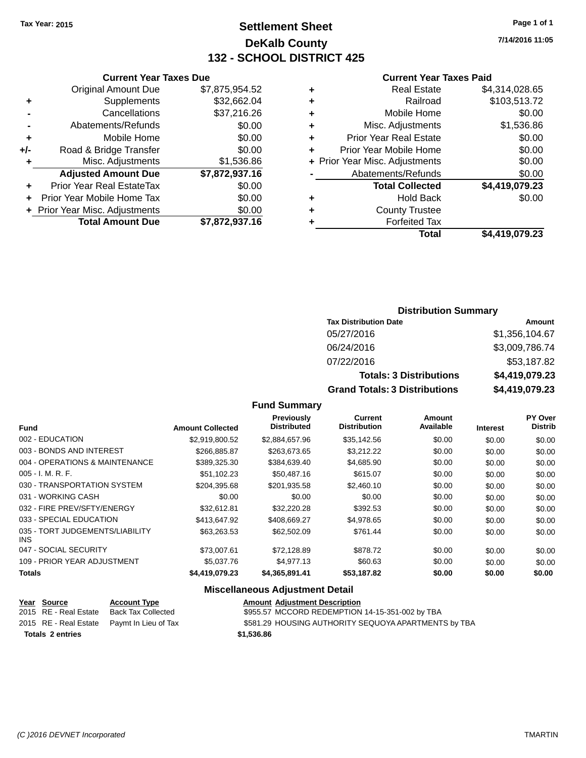### **Settlement Sheet Tax Year: 2015 Page 1 of 1 DeKalb County 132 - SCHOOL DISTRICT 425**

**7/14/2016 11:05**

#### **Current Year Taxes Paid**

|     | <b>Current Year Taxes Due</b>  |                |
|-----|--------------------------------|----------------|
|     | <b>Original Amount Due</b>     | \$7,875,954.52 |
| ٠   | Supplements                    | \$32,662.04    |
|     | Cancellations                  | \$37,216.26    |
|     | Abatements/Refunds             | \$0.00         |
| ٠   | Mobile Home                    | \$0.00         |
| +/- | Road & Bridge Transfer         | \$0.00         |
|     | Misc. Adjustments              | \$1,536.86     |
|     | <b>Adjusted Amount Due</b>     | \$7,872,937.16 |
| ٠   | Prior Year Real EstateTax      | \$0.00         |
|     | Prior Year Mobile Home Tax     | \$0.00         |
|     | + Prior Year Misc. Adjustments | \$0.00         |
|     | <b>Total Amount Due</b>        | \$7,872,937.16 |
|     |                                |                |

| ٠ | <b>Real Estate</b>             | \$4,314,028.65 |
|---|--------------------------------|----------------|
| ٠ | Railroad                       | \$103,513.72   |
| ٠ | Mobile Home                    | \$0.00         |
| ٠ | Misc. Adjustments              | \$1,536.86     |
| ٠ | <b>Prior Year Real Estate</b>  | \$0.00         |
| ٠ | Prior Year Mobile Home         | \$0.00         |
|   | + Prior Year Misc. Adjustments | \$0.00         |
|   | Abatements/Refunds             | \$0.00         |
|   | <b>Total Collected</b>         | \$4,419,079.23 |
| ٠ | <b>Hold Back</b>               | \$0.00         |
| ٠ | <b>County Trustee</b>          |                |
| ٠ | <b>Forfeited Tax</b>           |                |
|   | Total                          | \$4,419,079.23 |
|   |                                |                |

### **Distribution Summary**

| <b>Tax Distribution Date</b>         | Amount         |
|--------------------------------------|----------------|
| 05/27/2016                           | \$1,356,104.67 |
| 06/24/2016                           | \$3,009,786.74 |
| 07/22/2016                           | \$53,187.82    |
| <b>Totals: 3 Distributions</b>       | \$4,419,079.23 |
| <b>Grand Totals: 3 Distributions</b> | \$4,419,079.23 |

#### **Fund Summary**

| <b>Fund</b>                                   | <b>Amount Collected</b> | Previously<br><b>Distributed</b> | <b>Current</b><br><b>Distribution</b> | <b>Amount</b><br>Available | <b>Interest</b> | PY Over<br><b>Distrib</b> |
|-----------------------------------------------|-------------------------|----------------------------------|---------------------------------------|----------------------------|-----------------|---------------------------|
| 002 - EDUCATION                               | \$2,919,800.52          | \$2,884,657.96                   | \$35,142.56                           | \$0.00                     | \$0.00          | \$0.00                    |
| 003 - BONDS AND INTEREST                      | \$266,885.87            | \$263.673.65                     | \$3,212.22                            | \$0.00                     | \$0.00          | \$0.00                    |
| 004 - OPERATIONS & MAINTENANCE                | \$389,325.30            | \$384,639.40                     | \$4,685.90                            | \$0.00                     | \$0.00          | \$0.00                    |
| $005 - I. M. R. F.$                           | \$51,102.23             | \$50,487.16                      | \$615.07                              | \$0.00                     | \$0.00          | \$0.00                    |
| 030 - TRANSPORTATION SYSTEM                   | \$204,395.68            | \$201,935.58                     | \$2,460.10                            | \$0.00                     | \$0.00          | \$0.00                    |
| 031 - WORKING CASH                            | \$0.00                  | \$0.00                           | \$0.00                                | \$0.00                     | \$0.00          | \$0.00                    |
| 032 - FIRE PREV/SFTY/ENERGY                   | \$32.612.81             | \$32,220.28                      | \$392.53                              | \$0.00                     | \$0.00          | \$0.00                    |
| 033 - SPECIAL EDUCATION                       | \$413.647.92            | \$408.669.27                     | \$4,978.65                            | \$0.00                     | \$0.00          | \$0.00                    |
| 035 - TORT JUDGEMENTS/LIABILITY<br><b>INS</b> | \$63.263.53             | \$62,502.09                      | \$761.44                              | \$0.00                     | \$0.00          | \$0.00                    |
| 047 - SOCIAL SECURITY                         | \$73,007.61             | \$72,128.89                      | \$878.72                              | \$0.00                     | \$0.00          | \$0.00                    |
| 109 - PRIOR YEAR ADJUSTMENT                   | \$5,037.76              | \$4.977.13                       | \$60.63                               | \$0.00                     | \$0.00          | \$0.00                    |
| <b>Totals</b>                                 | \$4,419,079.23          | \$4,365,891.41                   | \$53,187.82                           | \$0.00                     | \$0.00          | \$0.00                    |

|                         | <u>Year Source</u>    | <b>Account Type</b>                        | <b>Amount Adjustment Description</b>                 |
|-------------------------|-----------------------|--------------------------------------------|------------------------------------------------------|
|                         | 2015 RE - Real Estate | Back Tax Collected                         | \$955.57 MCCORD REDEMPTION 14-15-351-002 by TBA      |
|                         |                       | 2015 RE - Real Estate Paymt In Lieu of Tax | \$581.29 HOUSING AUTHORITY SEQUOYA APARTMENTS by TBA |
| <b>Totals 2 entries</b> |                       |                                            | \$1,536.86                                           |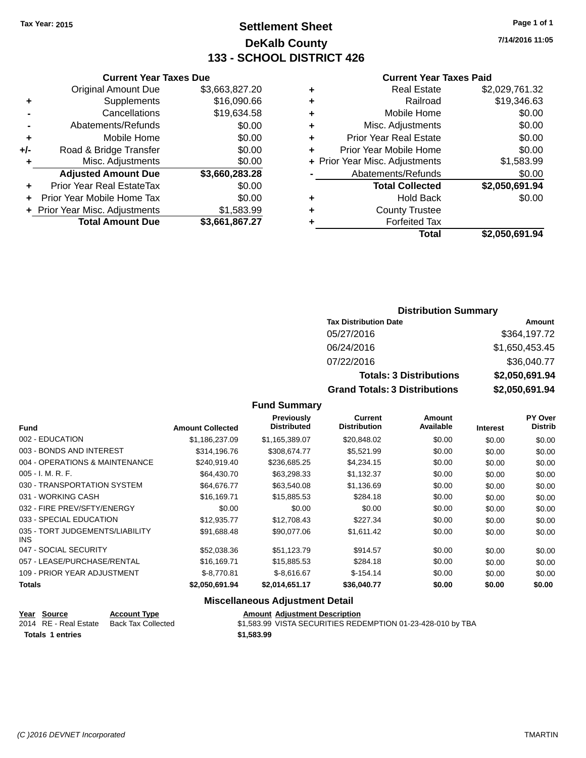### **Settlement Sheet Tax Year: 2015 Page 1 of 1 DeKalb County 133 - SCHOOL DISTRICT 426**

**7/14/2016 11:05**

#### **Current Year Taxes Paid**

|     | <b>Current Year Taxes Due</b>    |                |  |  |  |
|-----|----------------------------------|----------------|--|--|--|
|     | <b>Original Amount Due</b>       | \$3,663,827.20 |  |  |  |
| ٠   | Supplements                      | \$16,090.66    |  |  |  |
|     | Cancellations                    | \$19,634.58    |  |  |  |
|     | Abatements/Refunds               | \$0.00         |  |  |  |
| ٠   | Mobile Home                      | \$0.00         |  |  |  |
| +/- | Road & Bridge Transfer           | \$0.00         |  |  |  |
| ٠   | Misc. Adjustments                | \$0.00         |  |  |  |
|     | <b>Adjusted Amount Due</b>       | \$3,660,283.28 |  |  |  |
| ٠   | <b>Prior Year Real EstateTax</b> | \$0.00         |  |  |  |
| ÷   | Prior Year Mobile Home Tax       | \$0.00         |  |  |  |
|     | + Prior Year Misc. Adjustments   | \$1,583.99     |  |  |  |
|     | <b>Total Amount Due</b>          | \$3,661,867.27 |  |  |  |
|     |                                  |                |  |  |  |

| ٠ | <b>Real Estate</b>             | \$2,029,761.32 |
|---|--------------------------------|----------------|
| ٠ | Railroad                       | \$19,346.63    |
| ٠ | Mobile Home                    | \$0.00         |
| ٠ | Misc. Adjustments              | \$0.00         |
| ٠ | <b>Prior Year Real Estate</b>  | \$0.00         |
| ÷ | Prior Year Mobile Home         | \$0.00         |
|   | + Prior Year Misc. Adjustments | \$1,583.99     |
|   | Abatements/Refunds             | \$0.00         |
|   | <b>Total Collected</b>         | \$2,050,691.94 |
| ٠ | <b>Hold Back</b>               | \$0.00         |
| ٠ | <b>County Trustee</b>          |                |
| ٠ | <b>Forfeited Tax</b>           |                |
|   | <b>Total</b>                   | \$2,050,691.94 |
|   |                                |                |

### **Distribution Summary**

| <b>Tax Distribution Date</b>         | <b>Amount</b>  |
|--------------------------------------|----------------|
| 05/27/2016                           | \$364,197.72   |
| 06/24/2016                           | \$1,650,453.45 |
| 07/22/2016                           | \$36,040.77    |
| <b>Totals: 3 Distributions</b>       | \$2,050,691.94 |
| <b>Grand Totals: 3 Distributions</b> | \$2,050,691.94 |

#### **Fund Summary**

|                                         |                         | <b>Previously</b>  | <b>Current</b>      | Amount    |                 | <b>PY Over</b> |
|-----------------------------------------|-------------------------|--------------------|---------------------|-----------|-----------------|----------------|
| <b>Fund</b>                             | <b>Amount Collected</b> | <b>Distributed</b> | <b>Distribution</b> | Available | <b>Interest</b> | <b>Distrib</b> |
| 002 - EDUCATION                         | \$1,186,237.09          | \$1,165,389.07     | \$20,848.02         | \$0.00    | \$0.00          | \$0.00         |
| 003 - BONDS AND INTEREST                | \$314,196.76            | \$308.674.77       | \$5,521.99          | \$0.00    | \$0.00          | \$0.00         |
| 004 - OPERATIONS & MAINTENANCE          | \$240,919.40            | \$236,685.25       | \$4,234.15          | \$0.00    | \$0.00          | \$0.00         |
| $005 - I. M. R. F.$                     | \$64,430.70             | \$63,298.33        | \$1,132.37          | \$0.00    | \$0.00          | \$0.00         |
| 030 - TRANSPORTATION SYSTEM             | \$64,676.77             | \$63,540.08        | \$1,136.69          | \$0.00    | \$0.00          | \$0.00         |
| 031 - WORKING CASH                      | \$16.169.71             | \$15,885.53        | \$284.18            | \$0.00    | \$0.00          | \$0.00         |
| 032 - FIRE PREV/SFTY/ENERGY             | \$0.00                  | \$0.00             | \$0.00              | \$0.00    | \$0.00          | \$0.00         |
| 033 - SPECIAL EDUCATION                 | \$12,935.77             | \$12,708.43        | \$227.34            | \$0.00    | \$0.00          | \$0.00         |
| 035 - TORT JUDGEMENTS/LIABILITY<br>INS. | \$91,688.48             | \$90,077.06        | \$1,611.42          | \$0.00    | \$0.00          | \$0.00         |
| 047 - SOCIAL SECURITY                   | \$52,038.36             | \$51,123.79        | \$914.57            | \$0.00    | \$0.00          | \$0.00         |
| 057 - LEASE/PURCHASE/RENTAL             | \$16.169.71             | \$15,885.53        | \$284.18            | \$0.00    | \$0.00          | \$0.00         |
| 109 - PRIOR YEAR ADJUSTMENT             | $$-8.770.81$            | $$-8.616.67$       | $$-154.14$          | \$0.00    | \$0.00          | \$0.00         |
| <b>Totals</b>                           | \$2,050,691.94          | \$2,014,651.17     | \$36,040.77         | \$0.00    | \$0.00          | \$0.00         |

|                         | Year Source           | <b>Account Type</b> | <b>Amount Adiustment Description</b>                        |  |
|-------------------------|-----------------------|---------------------|-------------------------------------------------------------|--|
|                         | 2014 RE - Real Estate | Back Tax Collected  | \$1,583.99 VISTA SECURITIES REDEMPTION 01-23-428-010 by TBA |  |
| <b>Totals 1 entries</b> |                       |                     | \$1,583.99                                                  |  |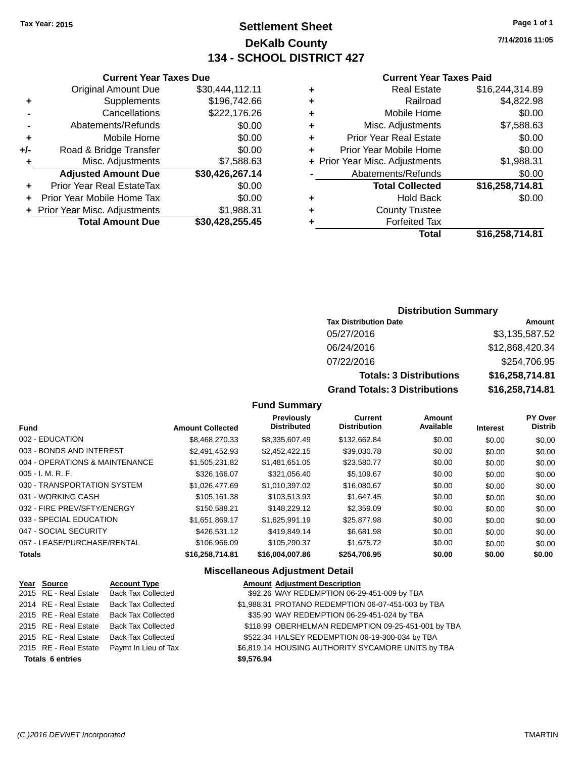### **Settlement Sheet Tax Year: 2015 Page 1 of 1 DeKalb County 134 - SCHOOL DISTRICT 427**

**7/14/2016 11:05**

#### **Current Year Taxes Paid**

|     | <b>Current Year Taxes Due</b>  |                 |  |  |  |
|-----|--------------------------------|-----------------|--|--|--|
|     | <b>Original Amount Due</b>     | \$30,444,112.11 |  |  |  |
| ٠   | Supplements                    | \$196,742.66    |  |  |  |
|     | Cancellations                  | \$222,176.26    |  |  |  |
|     | Abatements/Refunds             | \$0.00          |  |  |  |
| ٠   | Mobile Home                    | \$0.00          |  |  |  |
| +/- | Road & Bridge Transfer         | \$0.00          |  |  |  |
| ٠   | Misc. Adjustments              | \$7,588.63      |  |  |  |
|     | <b>Adjusted Amount Due</b>     | \$30,426,267.14 |  |  |  |
|     | Prior Year Real EstateTax      | \$0.00          |  |  |  |
| ÷   | Prior Year Mobile Home Tax     | \$0.00          |  |  |  |
|     | + Prior Year Misc. Adjustments | \$1,988.31      |  |  |  |
|     | <b>Total Amount Due</b>        | \$30,428,255.45 |  |  |  |
|     |                                |                 |  |  |  |

|   | <b>Real Estate</b>             | \$16,244,314.89 |
|---|--------------------------------|-----------------|
| ٠ | Railroad                       | \$4,822.98      |
| ٠ | Mobile Home                    | \$0.00          |
| ٠ | Misc. Adjustments              | \$7,588.63      |
| ٠ | <b>Prior Year Real Estate</b>  | \$0.00          |
| ٠ | Prior Year Mobile Home         | \$0.00          |
|   | + Prior Year Misc. Adjustments | \$1,988.31      |
|   | Abatements/Refunds             | \$0.00          |
|   | <b>Total Collected</b>         | \$16,258,714.81 |
| ٠ | <b>Hold Back</b>               | \$0.00          |
| ٠ | <b>County Trustee</b>          |                 |
| ٠ | <b>Forfeited Tax</b>           |                 |
|   | <b>Total</b>                   | \$16,258,714.81 |
|   |                                |                 |

#### **Distribution Summary**

| <b>Tax Distribution Date</b>         | Amount          |
|--------------------------------------|-----------------|
| 05/27/2016                           | \$3,135,587.52  |
| 06/24/2016                           | \$12,868,420.34 |
| 07/22/2016                           | \$254,706.95    |
| <b>Totals: 3 Distributions</b>       | \$16,258,714.81 |
| <b>Grand Totals: 3 Distributions</b> | \$16,258,714.81 |

#### **Fund Summary**

| <b>Fund</b>                    | <b>Amount Collected</b> | <b>Previously</b><br><b>Distributed</b> | <b>Current</b><br><b>Distribution</b> | <b>Amount</b><br>Available | <b>Interest</b> | <b>PY Over</b><br><b>Distrib</b> |
|--------------------------------|-------------------------|-----------------------------------------|---------------------------------------|----------------------------|-----------------|----------------------------------|
| 002 - EDUCATION                | \$8,468,270.33          | \$8,335,607.49                          | \$132,662.84                          | \$0.00                     | \$0.00          | \$0.00                           |
| 003 - BONDS AND INTEREST       | \$2,491,452.93          | \$2,452,422.15                          | \$39,030.78                           | \$0.00                     | \$0.00          | \$0.00                           |
| 004 - OPERATIONS & MAINTENANCE | \$1,505,231.82          | \$1,481,651.05                          | \$23,580.77                           | \$0.00                     | \$0.00          | \$0.00                           |
| $005 - I. M. R. F.$            | \$326,166.07            | \$321.056.40                            | \$5.109.67                            | \$0.00                     | \$0.00          | \$0.00                           |
| 030 - TRANSPORTATION SYSTEM    | \$1,026,477.69          | \$1.010.397.02                          | \$16,080.67                           | \$0.00                     | \$0.00          | \$0.00                           |
| 031 - WORKING CASH             | \$105.161.38            | \$103.513.93                            | \$1.647.45                            | \$0.00                     | \$0.00          | \$0.00                           |
| 032 - FIRE PREV/SFTY/ENERGY    | \$150,588.21            | \$148,229.12                            | \$2,359.09                            | \$0.00                     | \$0.00          | \$0.00                           |
| 033 - SPECIAL EDUCATION        | \$1,651,869.17          | \$1,625,991.19                          | \$25,877.98                           | \$0.00                     | \$0.00          | \$0.00                           |
| 047 - SOCIAL SECURITY          | \$426,531.12            | \$419.849.14                            | \$6.681.98                            | \$0.00                     | \$0.00          | \$0.00                           |
| 057 - LEASE/PURCHASE/RENTAL    | \$106,966.09            | \$105.290.37                            | \$1,675,72                            | \$0.00                     | \$0.00          | \$0.00                           |
| <b>Totals</b>                  | \$16.258.714.81         | \$16,004,007.86                         | \$254.706.95                          | \$0.00                     | \$0.00          | \$0.00                           |

| Year Source             | <b>Account Type</b>       | <b>Amount Adjustment Description</b>                |
|-------------------------|---------------------------|-----------------------------------------------------|
| 2015 RE - Real Estate   | <b>Back Tax Collected</b> | \$92.26 WAY REDEMPTION 06-29-451-009 by TBA         |
| 2014 RE - Real Estate   | <b>Back Tax Collected</b> | \$1,988.31 PROTANO REDEMPTION 06-07-451-003 by TBA  |
| 2015 RE - Real Estate   | <b>Back Tax Collected</b> | \$35.90 WAY REDEMPTION 06-29-451-024 by TBA         |
| 2015 RE - Real Estate   | <b>Back Tax Collected</b> | \$118.99 OBERHELMAN REDEMPTION 09-25-451-001 by TBA |
| 2015 RE - Real Estate   | <b>Back Tax Collected</b> | \$522.34 HALSEY REDEMPTION 06-19-300-034 by TBA     |
| 2015 RE - Real Estate   | Paymt In Lieu of Tax      | \$6,819.14 HOUSING AUTHORITY SYCAMORE UNITS by TBA  |
| <b>Totals 6 entries</b> |                           | \$9,576.94                                          |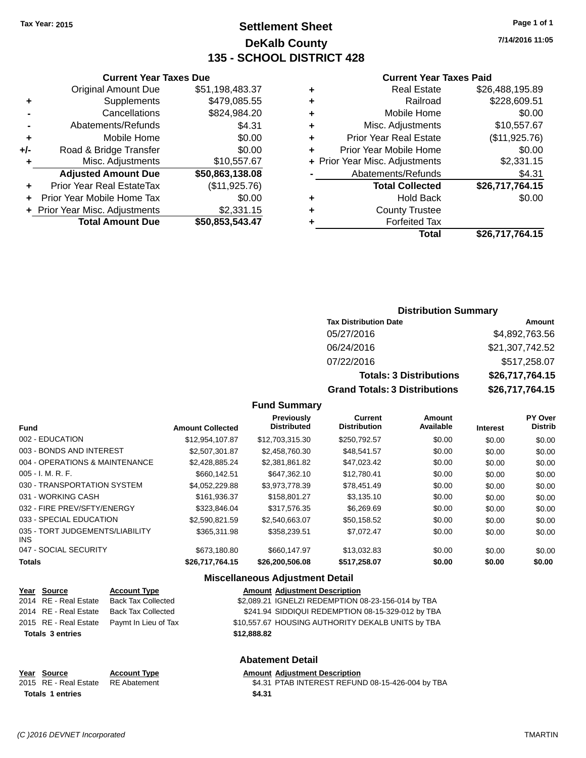### **Settlement Sheet Tax Year: 2015 Page 1 of 1 DeKalb County 135 - SCHOOL DISTRICT 428**

**7/14/2016 11:05**

#### **Current Year Taxes Paid**

| ٠ | <b>Real Estate</b>             | \$26,488,195.89 |
|---|--------------------------------|-----------------|
| ٠ | Railroad                       | \$228,609.51    |
| ٠ | Mobile Home                    | \$0.00          |
| ٠ | Misc. Adjustments              | \$10,557.67     |
| ٠ | <b>Prior Year Real Estate</b>  | (\$11,925.76)   |
|   | Prior Year Mobile Home         | \$0.00          |
|   | + Prior Year Misc. Adjustments | \$2,331.15      |
|   | Abatements/Refunds             | \$4.31          |
|   | <b>Total Collected</b>         | \$26,717,764.15 |
| ٠ | <b>Hold Back</b>               | \$0.00          |
| ٠ | <b>County Trustee</b>          |                 |
|   | <b>Forfeited Tax</b>           |                 |
|   | Total                          | \$26,717,764.15 |

|     | <b>Current Year Taxes Due</b>  |                 |
|-----|--------------------------------|-----------------|
|     | <b>Original Amount Due</b>     | \$51,198,483.37 |
| ٠   | Supplements                    | \$479,085.55    |
|     | Cancellations                  | \$824,984.20    |
|     | Abatements/Refunds             | \$4.31          |
| ٠   | Mobile Home                    | \$0.00          |
| +/- | Road & Bridge Transfer         | \$0.00          |
| ٠   | Misc. Adjustments              | \$10,557.67     |
|     | <b>Adjusted Amount Due</b>     | \$50,863,138.08 |
| ٠   | Prior Year Real EstateTax      | (\$11,925.76)   |
| ٠   | Prior Year Mobile Home Tax     | \$0.00          |
|     | + Prior Year Misc. Adjustments | \$2,331.15      |
|     | <b>Total Amount Due</b>        | \$50,853,543.47 |

#### **Distribution Summary**

| <b>Tax Distribution Date</b>         | Amount          |
|--------------------------------------|-----------------|
| 05/27/2016                           | \$4,892,763.56  |
| 06/24/2016                           | \$21,307,742.52 |
| 07/22/2016                           | \$517,258.07    |
| <b>Totals: 3 Distributions</b>       | \$26,717,764.15 |
| <b>Grand Totals: 3 Distributions</b> | \$26,717,764.15 |

#### **Fund Summary**

| <b>Fund</b>                             | <b>Amount Collected</b> | Previously<br><b>Distributed</b> | Current<br><b>Distribution</b> | Amount<br>Available | <b>Interest</b> | PY Over<br><b>Distrib</b> |
|-----------------------------------------|-------------------------|----------------------------------|--------------------------------|---------------------|-----------------|---------------------------|
|                                         |                         |                                  |                                |                     |                 |                           |
| 002 - EDUCATION                         | \$12,954,107.87         | \$12,703,315,30                  | \$250,792.57                   | \$0.00              | \$0.00          | \$0.00                    |
| 003 - BONDS AND INTEREST                | \$2.507.301.87          | \$2,458,760.30                   | \$48,541.57                    | \$0.00              | \$0.00          | \$0.00                    |
| 004 - OPERATIONS & MAINTENANCE          | \$2,428,885.24          | \$2,381,861.82                   | \$47,023.42                    | \$0.00              | \$0.00          | \$0.00                    |
| $005 - I. M. R. F.$                     | \$660.142.51            | \$647.362.10                     | \$12,780.41                    | \$0.00              | \$0.00          | \$0.00                    |
| 030 - TRANSPORTATION SYSTEM             | \$4,052,229.88          | \$3,973,778.39                   | \$78,451.49                    | \$0.00              | \$0.00          | \$0.00                    |
| 031 - WORKING CASH                      | \$161,936.37            | \$158,801.27                     | \$3,135.10                     | \$0.00              | \$0.00          | \$0.00                    |
| 032 - FIRE PREV/SFTY/ENERGY             | \$323.846.04            | \$317.576.35                     | \$6,269.69                     | \$0.00              | \$0.00          | \$0.00                    |
| 033 - SPECIAL EDUCATION                 | \$2,590,821.59          | \$2,540,663,07                   | \$50.158.52                    | \$0.00              | \$0.00          | \$0.00                    |
| 035 - TORT JUDGEMENTS/LIABILITY<br>INS. | \$365,311.98            | \$358,239.51                     | \$7.072.47                     | \$0.00              | \$0.00          | \$0.00                    |
| 047 - SOCIAL SECURITY                   | \$673.180.80            | \$660,147.97                     | \$13,032.83                    | \$0.00              | \$0.00          | \$0.00                    |
| Totals                                  | \$26.717.764.15         | \$26,200,506,08                  | \$517.258.07                   | \$0.00              | \$0.00          | \$0.00                    |

#### **Miscellaneous Adjustment Detail**

| Year Source             | <b>Account Type</b>       |             | <b>Amount Adjustment Description</b>               |
|-------------------------|---------------------------|-------------|----------------------------------------------------|
| 2014 RE - Real Estate   | Back Tax Collected        |             | \$2,089.21 IGNELZI REDEMPTION 08-23-156-014 by TBA |
| 2014 RE - Real Estate   | <b>Back Tax Collected</b> |             | \$241.94 SIDDIQUI REDEMPTION 08-15-329-012 by TBA  |
| 2015 RE - Real Estate   | Paymt In Lieu of Tax      |             | \$10,557.67 HOUSING AUTHORITY DEKALB UNITS by TBA  |
| <b>Totals 3 entries</b> |                           | \$12,888.82 |                                                    |
|                         |                           |             |                                                    |
|                         |                           |             | <b>Abatement Detail</b>                            |

#### **Year** Source **Account Type Account Adjustment Description**

| 2015 RE - Real Estate RE Abatement | \$4.31 PTAB INTEREST REFUND 08-15-426-004 by TBA |  |
|------------------------------------|--------------------------------------------------|--|
| <b>Totals 1 entries</b>            | \$4.31                                           |  |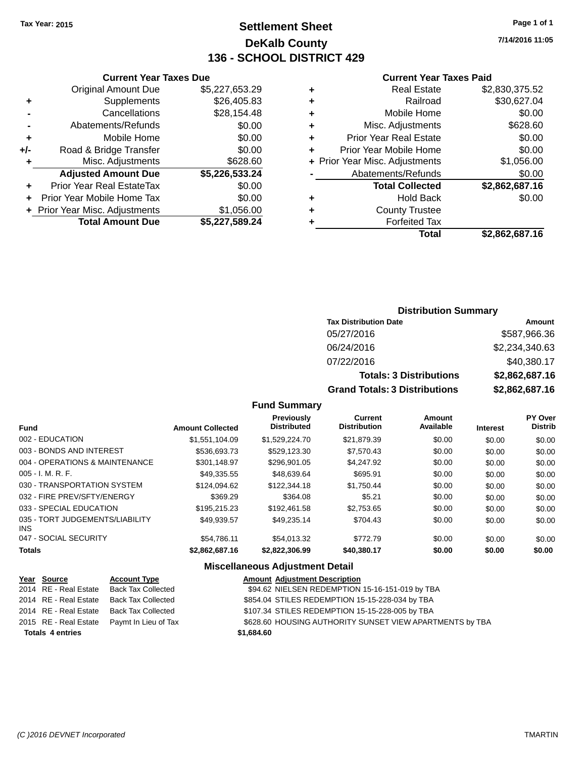### **Settlement Sheet Tax Year: 2015 Page 1 of 1 DeKalb County 136 - SCHOOL DISTRICT 429**

**7/14/2016 11:05**

#### **Current Year Taxes Paid**

|                | <b>Current Year Taxes Due</b>  |                |
|----------------|--------------------------------|----------------|
|                | <b>Original Amount Due</b>     | \$5,227,653.29 |
| ٠              | Supplements                    | \$26,405.83    |
|                | Cancellations                  | \$28,154.48    |
| $\blacksquare$ | Abatements/Refunds             | \$0.00         |
| ٠              | Mobile Home                    | \$0.00         |
| +/-            | Road & Bridge Transfer         | \$0.00         |
| ٠              | Misc. Adjustments              | \$628.60       |
|                | <b>Adjusted Amount Due</b>     | \$5,226,533.24 |
| ٠              | Prior Year Real EstateTax      | \$0.00         |
|                | Prior Year Mobile Home Tax     | \$0.00         |
|                | + Prior Year Misc. Adjustments | \$1,056.00     |
|                | <b>Total Amount Due</b>        | \$5,227,589.24 |
|                |                                |                |

|   | <b>Real Estate</b>             | \$2,830,375.52 |
|---|--------------------------------|----------------|
| ٠ | Railroad                       | \$30,627.04    |
| ٠ | Mobile Home                    | \$0.00         |
| ٠ | Misc. Adjustments              | \$628.60       |
| ٠ | <b>Prior Year Real Estate</b>  | \$0.00         |
| ÷ | Prior Year Mobile Home         | \$0.00         |
|   | + Prior Year Misc. Adjustments | \$1,056.00     |
|   | Abatements/Refunds             | \$0.00         |
|   | <b>Total Collected</b>         | \$2,862,687.16 |
| ٠ | <b>Hold Back</b>               | \$0.00         |
| ٠ | <b>County Trustee</b>          |                |
|   | <b>Forfeited Tax</b>           |                |
|   | Total                          | \$2,862,687.16 |
|   |                                |                |

#### **Distribution Summary Tax Distribution Date Amount** 05/27/2016 \$587,966.36 06/24/2016 \$2,234,340.63

07/22/2016 \$40,380.17

**Totals: 3 Distributions \$2,862,687.16 Grand Totals: 3 Distributions \$2,862,687.16**

|                     | <b>Grand Total</b> |  |
|---------------------|--------------------|--|
| <b>Fund Summary</b> |                    |  |

| <b>Amount Collected</b> | <b>Previously</b><br><b>Distributed</b> | <b>Current</b><br><b>Distribution</b> | Amount<br>Available | <b>Interest</b> | PY Over<br><b>Distrib</b> |
|-------------------------|-----------------------------------------|---------------------------------------|---------------------|-----------------|---------------------------|
| \$1,551,104.09          | \$1,529,224.70                          | \$21.879.39                           | \$0.00              | \$0.00          | \$0.00                    |
| \$536,693.73            | \$529,123.30                            | \$7,570.43                            | \$0.00              | \$0.00          | \$0.00                    |
| \$301,148.97            | \$296,901.05                            | \$4,247.92                            | \$0.00              | \$0.00          | \$0.00                    |
| \$49.335.55             | \$48.639.64                             | \$695.91                              | \$0.00              | \$0.00          | \$0.00                    |
| \$124.094.62            | \$122,344.18                            | \$1.750.44                            | \$0.00              | \$0.00          | \$0.00                    |
| \$369.29                | \$364.08                                | \$5.21                                | \$0.00              | \$0.00          | \$0.00                    |
| \$195.215.23            | \$192.461.58                            | \$2,753.65                            | \$0.00              | \$0.00          | \$0.00                    |
| \$49,939.57             | \$49,235.14                             | \$704.43                              | \$0.00              | \$0.00          | \$0.00                    |
| \$54.786.11             | \$54.013.32                             | \$772.79                              | \$0.00              | \$0.00          | \$0.00                    |
| \$2,862,687.16          | \$2.822.306.99                          | \$40,380,17                           | \$0.00              | \$0.00          | \$0.00                    |
|                         |                                         |                                       |                     |                 |                           |

| Year Source             | <b>Account Type</b>       |            | <b>Amount Adjustment Description</b>                     |
|-------------------------|---------------------------|------------|----------------------------------------------------------|
| 2014 RE - Real Estate   | <b>Back Tax Collected</b> |            | \$94.62 NIELSEN REDEMPTION 15-16-151-019 by TBA          |
| 2014 RE - Real Estate   | <b>Back Tax Collected</b> |            | \$854.04 STILES REDEMPTION 15-15-228-034 by TBA          |
| 2014 RE - Real Estate   | <b>Back Tax Collected</b> |            | \$107.34 STILES REDEMPTION 15-15-228-005 by TBA          |
| 2015 RE - Real Estate   | Paymt In Lieu of Tax      |            | \$628.60 HOUSING AUTHORITY SUNSET VIEW APARTMENTS by TBA |
| <b>Totals 4 entries</b> |                           | \$1,684.60 |                                                          |
|                         |                           |            |                                                          |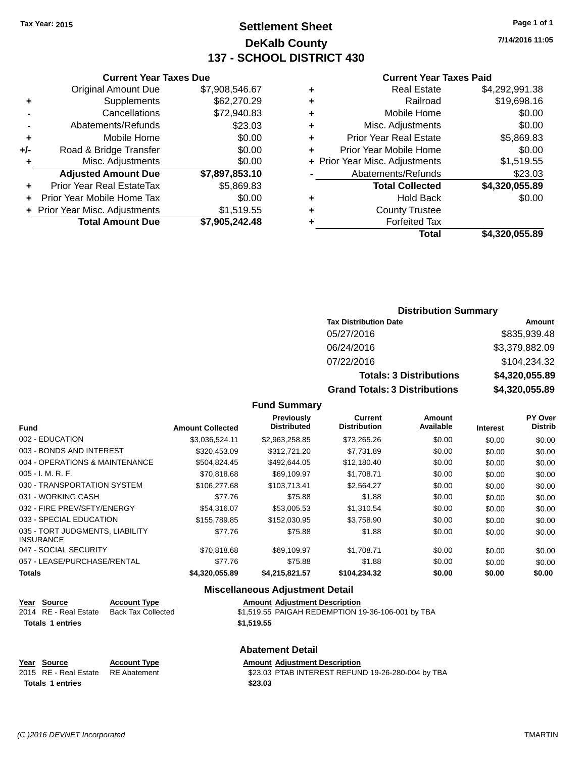### **Settlement Sheet Tax Year: 2015 Page 1 of 1 DeKalb County 137 - SCHOOL DISTRICT 430**

**7/14/2016 11:05**

#### **Current Year Taxes Paid**

| <b>Current Year Taxes Due</b>             |                                                          |  |  |  |  |  |  |
|-------------------------------------------|----------------------------------------------------------|--|--|--|--|--|--|
| <b>Original Amount Due</b>                | \$7,908,546.67                                           |  |  |  |  |  |  |
| \$62,270.29<br>Supplements<br>٠           |                                                          |  |  |  |  |  |  |
| \$72,940.83<br>Cancellations              |                                                          |  |  |  |  |  |  |
| \$23.03<br>Abatements/Refunds             |                                                          |  |  |  |  |  |  |
| \$0.00<br>Mobile Home<br>٠                |                                                          |  |  |  |  |  |  |
| \$0.00<br>+/-                             |                                                          |  |  |  |  |  |  |
| Misc. Adjustments                         | \$0.00                                                   |  |  |  |  |  |  |
| <b>Adjusted Amount Due</b>                | \$7,897,853.10                                           |  |  |  |  |  |  |
| Prior Year Real EstateTax                 | \$5,869.83                                               |  |  |  |  |  |  |
| \$0.00<br>Prior Year Mobile Home Tax<br>٠ |                                                          |  |  |  |  |  |  |
|                                           | \$1,519.55                                               |  |  |  |  |  |  |
| <b>Total Amount Due</b>                   | \$7,905,242.48                                           |  |  |  |  |  |  |
|                                           | Road & Bridge Transfer<br>+ Prior Year Misc. Adjustments |  |  |  |  |  |  |

|   | <b>Real Estate</b>             | \$4,292,991.38 |
|---|--------------------------------|----------------|
| ٠ | Railroad                       | \$19,698.16    |
| ٠ | Mobile Home                    | \$0.00         |
| ٠ | Misc. Adjustments              | \$0.00         |
| ٠ | <b>Prior Year Real Estate</b>  | \$5,869.83     |
| ÷ | Prior Year Mobile Home         | \$0.00         |
|   | + Prior Year Misc. Adjustments | \$1,519.55     |
|   | Abatements/Refunds             | \$23.03        |
|   | <b>Total Collected</b>         | \$4,320,055.89 |
| ٠ | <b>Hold Back</b>               | \$0.00         |
| ٠ | <b>County Trustee</b>          |                |
|   | <b>Forfeited Tax</b>           |                |
|   | Total                          | \$4,320,055.89 |
|   |                                |                |

### **Distribution Summary**

| <b>Tax Distribution Date</b>         | Amount         |
|--------------------------------------|----------------|
| 05/27/2016                           | \$835,939.48   |
| 06/24/2016                           | \$3,379,882.09 |
| 07/22/2016                           | \$104,234.32   |
| <b>Totals: 3 Distributions</b>       | \$4,320,055.89 |
| <b>Grand Totals: 3 Distributions</b> | \$4,320,055.89 |

#### **Fund Summary**

| <b>Fund</b>                                         | <b>Amount Collected</b> | <b>Previously</b><br><b>Distributed</b> | Current<br><b>Distribution</b> | Amount<br>Available | <b>Interest</b> | PY Over<br><b>Distrib</b> |
|-----------------------------------------------------|-------------------------|-----------------------------------------|--------------------------------|---------------------|-----------------|---------------------------|
| 002 - EDUCATION                                     | \$3,036,524.11          | \$2,963,258.85                          | \$73,265.26                    | \$0.00              | \$0.00          | \$0.00                    |
| 003 - BONDS AND INTEREST                            | \$320.453.09            | \$312,721,20                            | \$7.731.89                     | \$0.00              | \$0.00          | \$0.00                    |
| 004 - OPERATIONS & MAINTENANCE                      | \$504,824.45            | \$492.644.05                            | \$12,180.40                    | \$0.00              | \$0.00          | \$0.00                    |
| $005 - I. M. R. F.$                                 | \$70,818,68             | \$69.109.97                             | \$1,708.71                     | \$0.00              | \$0.00          | \$0.00                    |
| 030 - TRANSPORTATION SYSTEM                         | \$106,277.68            | \$103.713.41                            | \$2,564.27                     | \$0.00              | \$0.00          | \$0.00                    |
| 031 - WORKING CASH                                  | \$77.76                 | \$75.88                                 | \$1.88                         | \$0.00              | \$0.00          | \$0.00                    |
| 032 - FIRE PREV/SFTY/ENERGY                         | \$54,316.07             | \$53,005.53                             | \$1,310.54                     | \$0.00              | \$0.00          | \$0.00                    |
| 033 - SPECIAL EDUCATION                             | \$155,789.85            | \$152,030.95                            | \$3,758.90                     | \$0.00              | \$0.00          | \$0.00                    |
| 035 - TORT JUDGMENTS, LIABILITY<br><b>INSURANCE</b> | \$77.76                 | \$75.88                                 | \$1.88                         | \$0.00              | \$0.00          | \$0.00                    |
| 047 - SOCIAL SECURITY                               | \$70,818,68             | \$69.109.97                             | \$1.708.71                     | \$0.00              | \$0.00          | \$0.00                    |
| 057 - LEASE/PURCHASE/RENTAL                         | \$77.76                 | \$75.88                                 | \$1.88                         | \$0.00              | \$0.00          | \$0.00                    |
| <b>Totals</b>                                       | \$4,320,055.89          | \$4.215.821.57                          | \$104.234.32                   | \$0.00              | \$0.00          | \$0.00                    |

#### **Miscellaneous Adjustment Detail**

| Year Source           | <b>Account Type</b> | <b>Amount Adiustment Description</b>              |
|-----------------------|---------------------|---------------------------------------------------|
| 2014 RE - Real Estate | Back Tax Collected  | \$1,519.55 PAIGAH REDEMPTION 19-36-106-001 by TBA |
| Totals 1 entries      |                     | \$1,519.55                                        |

#### **Abatement Detail**

| Year Source                        | <b>Account Type</b> | <b>Amount Adiustment Description</b>              |
|------------------------------------|---------------------|---------------------------------------------------|
| 2015 RE - Real Estate RE Abatement |                     | \$23.03 PTAB INTEREST REFUND 19-26-280-004 by TBA |
| <b>Totals 1 entries</b>            |                     | \$23.03                                           |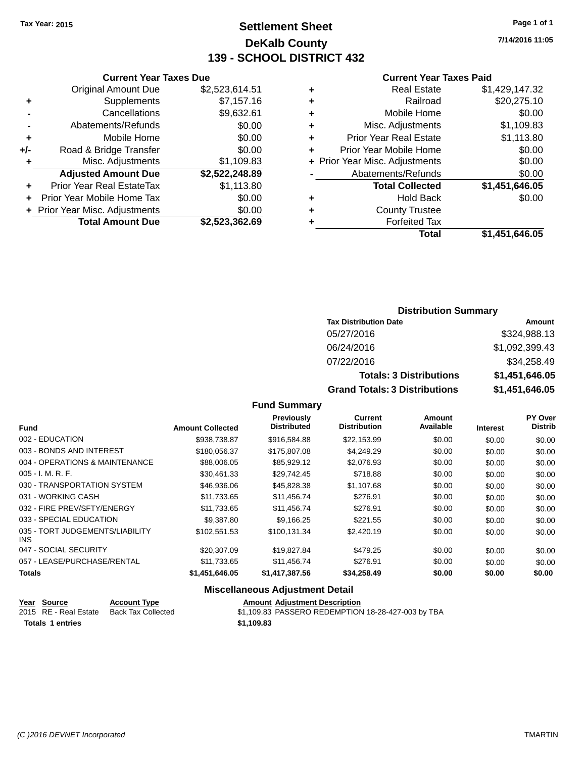### **Settlement Sheet Tax Year: 2015 Page 1 of 1 DeKalb County 139 - SCHOOL DISTRICT 432**

**7/14/2016 11:05**

#### **Current Year Taxes Paid**

|     | <b>Total Amount Due</b>        | \$2,523,362.69 |
|-----|--------------------------------|----------------|
|     | + Prior Year Misc. Adjustments | \$0.00         |
| ٠   | Prior Year Mobile Home Tax     | \$0.00         |
| ٠   | Prior Year Real EstateTax      | \$1,113.80     |
|     | <b>Adjusted Amount Due</b>     | \$2,522,248.89 |
| ٠   | Misc. Adjustments              | \$1,109.83     |
| +/- | Road & Bridge Transfer         | \$0.00         |
| ٠   | Mobile Home                    | \$0.00         |
|     | Abatements/Refunds             | \$0.00         |
|     | Cancellations                  | \$9,632.61     |
| ٠   | Supplements                    | \$7,157.16     |
|     | <b>Original Amount Due</b>     | \$2,523,614.51 |
|     |                                |                |

**Current Year Taxes Due**

| ٠ | <b>Real Estate</b>             | \$1,429,147.32 |
|---|--------------------------------|----------------|
| ٠ | Railroad                       | \$20,275.10    |
| ٠ | Mobile Home                    | \$0.00         |
| ٠ | Misc. Adjustments              | \$1,109.83     |
| ٠ | <b>Prior Year Real Estate</b>  | \$1,113.80     |
| ÷ | Prior Year Mobile Home         | \$0.00         |
|   | + Prior Year Misc. Adjustments | \$0.00         |
|   | Abatements/Refunds             | \$0.00         |
|   | <b>Total Collected</b>         | \$1,451,646.05 |
| ٠ | <b>Hold Back</b>               | \$0.00         |
| ٠ | <b>County Trustee</b>          |                |
| ٠ | <b>Forfeited Tax</b>           |                |
|   | Total                          | \$1,451,646.05 |
|   |                                |                |

#### **Distribution Summary Tax Distribution Date Amount** 05/27/2016 \$324,988.13 06/24/2016 \$1,092,399.43 07/22/2016 \$34,258.49 **Totals: 3 Distributions \$1,451,646.05 Grand Totals: 3 Distributions \$1,451,646.05**

#### **Fund Summary**

| <b>Fund</b>                             | <b>Amount Collected</b> | <b>Previously</b><br><b>Distributed</b> | <b>Current</b><br><b>Distribution</b> | <b>Amount</b><br>Available | <b>Interest</b> | PY Over<br><b>Distrib</b> |
|-----------------------------------------|-------------------------|-----------------------------------------|---------------------------------------|----------------------------|-----------------|---------------------------|
| 002 - EDUCATION                         | \$938,738.87            | \$916,584.88                            | \$22,153.99                           | \$0.00                     | \$0.00          | \$0.00                    |
| 003 - BONDS AND INTEREST                | \$180,056,37            | \$175,807.08                            | \$4,249.29                            | \$0.00                     | \$0.00          | \$0.00                    |
| 004 - OPERATIONS & MAINTENANCE          | \$88,006.05             | \$85,929.12                             | \$2,076.93                            | \$0.00                     | \$0.00          | \$0.00                    |
| $005 - I. M. R. F.$                     | \$30.461.33             | \$29.742.45                             | \$718.88                              | \$0.00                     | \$0.00          | \$0.00                    |
| 030 - TRANSPORTATION SYSTEM             | \$46,936.06             | \$45,828.38                             | \$1,107.68                            | \$0.00                     | \$0.00          | \$0.00                    |
| 031 - WORKING CASH                      | \$11,733.65             | \$11,456.74                             | \$276.91                              | \$0.00                     | \$0.00          | \$0.00                    |
| 032 - FIRE PREV/SFTY/ENERGY             | \$11,733.65             | \$11,456.74                             | \$276.91                              | \$0.00                     | \$0.00          | \$0.00                    |
| 033 - SPECIAL EDUCATION                 | \$9,387.80              | \$9.166.25                              | \$221.55                              | \$0.00                     | \$0.00          | \$0.00                    |
| 035 - TORT JUDGEMENTS/LIABILITY<br>INS. | \$102.551.53            | \$100.131.34                            | \$2,420.19                            | \$0.00                     | \$0.00          | \$0.00                    |
| 047 - SOCIAL SECURITY                   | \$20,307.09             | \$19,827.84                             | \$479.25                              | \$0.00                     | \$0.00          | \$0.00                    |
| 057 - LEASE/PURCHASE/RENTAL             | \$11,733.65             | \$11,456.74                             | \$276.91                              | \$0.00                     | \$0.00          | \$0.00                    |
| <b>Totals</b>                           | \$1.451.646.05          | \$1.417.387.56                          | \$34.258.49                           | \$0.00                     | \$0.00          | \$0.00                    |

| Year Source      | <b>Account Type</b>                      | <b>Amount Adjustment Description</b>               |
|------------------|------------------------------------------|----------------------------------------------------|
|                  | 2015 RE - Real Estate Back Tax Collected | \$1,109.83 PASSERO REDEMPTION 18-28-427-003 by TBA |
| Totals 1 entries |                                          | \$1.109.83                                         |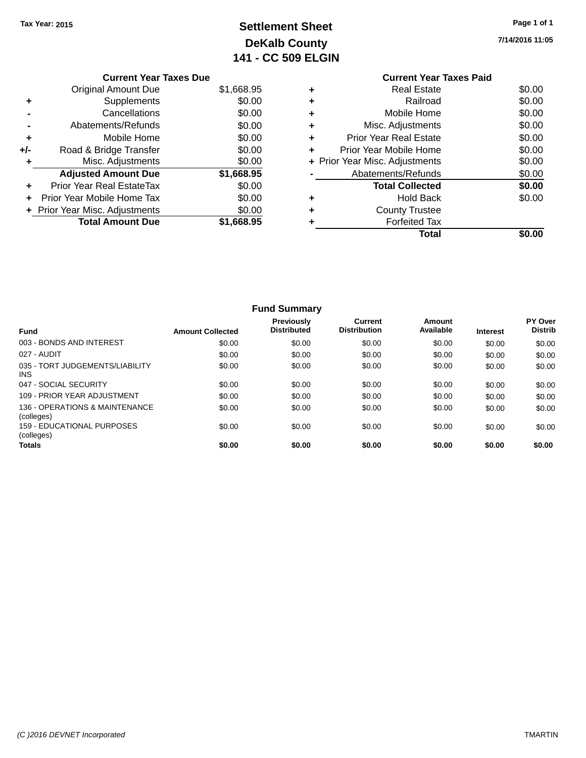### **Settlement Sheet Tax Year: 2015 Page 1 of 1 DeKalb County 141 - CC 509 ELGIN**

**Total \$0.00**

**7/14/2016 11:05**

|     | <b>Current Year Taxes Due</b>  |            |
|-----|--------------------------------|------------|
|     | Original Amount Due            | \$1,668.95 |
|     | Supplements                    | \$0.00     |
|     | Cancellations                  | \$0.00     |
|     | Abatements/Refunds             | \$0.00     |
| ٠   | Mobile Home                    | \$0.00     |
| +/- | Road & Bridge Transfer         | \$0.00     |
|     | Misc. Adjustments              | \$0.00     |
|     | <b>Adjusted Amount Due</b>     | \$1,668.95 |
| ٠   | Prior Year Real EstateTax      | \$0.00     |
| ÷   | Prior Year Mobile Home Tax     | \$0.00     |
|     | + Prior Year Misc. Adjustments | \$0.00     |
|     | <b>Total Amount Due</b>        | \$1,668.95 |
|     |                                |            |

#### **Current Year Taxes Paid +** Real Estate \$0.00 **+** Railroad \$0.00 **+** Mobile Home \$0.00 **+** Misc. Adjustments \$0.00 **+** Prior Year Real Estate \$0.00 **+** Prior Year Mobile Home \$0.00<br> **+** Prior Year Misc. Adjustments \$0.00 **+ Prior Year Misc. Adjustments -** Abatements/Refunds \$0.00 **Total Collected \$0.00 +** Hold Back \$0.00

**+** County Trustee **+** Forfeited Tax

|                                              |                         | <b>Fund Summary</b>                     |                                       |                     |                 |                                  |
|----------------------------------------------|-------------------------|-----------------------------------------|---------------------------------------|---------------------|-----------------|----------------------------------|
| Fund                                         | <b>Amount Collected</b> | <b>Previously</b><br><b>Distributed</b> | <b>Current</b><br><b>Distribution</b> | Amount<br>Available | <b>Interest</b> | <b>PY Over</b><br><b>Distrib</b> |
| 003 - BONDS AND INTEREST                     | \$0.00                  | \$0.00                                  | \$0.00                                | \$0.00              | \$0.00          | \$0.00                           |
| 027 - AUDIT                                  | \$0.00                  | \$0.00                                  | \$0.00                                | \$0.00              | \$0.00          | \$0.00                           |
| 035 - TORT JUDGEMENTS/LIABILITY<br>INS.      | \$0.00                  | \$0.00                                  | \$0.00                                | \$0.00              | \$0.00          | \$0.00                           |
| 047 - SOCIAL SECURITY                        | \$0.00                  | \$0.00                                  | \$0.00                                | \$0.00              | \$0.00          | \$0.00                           |
| 109 - PRIOR YEAR ADJUSTMENT                  | \$0.00                  | \$0.00                                  | \$0.00                                | \$0.00              | \$0.00          | \$0.00                           |
| 136 - OPERATIONS & MAINTENANCE<br>(colleges) | \$0.00                  | \$0.00                                  | \$0.00                                | \$0.00              | \$0.00          | \$0.00                           |
| 159 - EDUCATIONAL PURPOSES<br>(colleges)     | \$0.00                  | \$0.00                                  | \$0.00                                | \$0.00              | \$0.00          | \$0.00                           |
| Totals                                       | \$0.00                  | \$0.00                                  | \$0.00                                | \$0.00              | \$0.00          | \$0.00                           |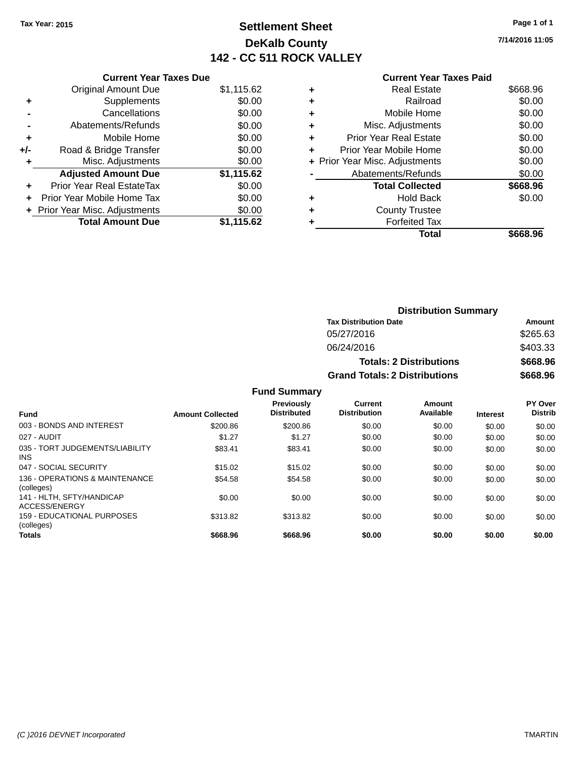### **Settlement Sheet Tax Year: 2015 Page 1 of 1 DeKalb County 142 - CC 511 ROCK VALLEY**

**7/14/2016 11:05**

|     | <b>Current Year Taxes Due</b>     |            |
|-----|-----------------------------------|------------|
|     | <b>Original Amount Due</b>        | \$1,115.62 |
| ٠   | Supplements                       | \$0.00     |
|     | Cancellations                     | \$0.00     |
|     | Abatements/Refunds                | \$0.00     |
| ٠   | Mobile Home                       | \$0.00     |
| +/- | Road & Bridge Transfer            | \$0.00     |
|     | Misc. Adjustments                 | \$0.00     |
|     | <b>Adjusted Amount Due</b>        | \$1,115.62 |
| ÷   | <b>Prior Year Real EstateTax</b>  | \$0.00     |
| ÷   | <b>Prior Year Mobile Home Tax</b> | \$0.00     |
|     | + Prior Year Misc. Adjustments    | \$0.00     |
|     | <b>Total Amount Due</b>           | \$1.115.62 |

#### **Current Year Taxes Paid**

|   | <b>Real Estate</b>             | \$668.96 |
|---|--------------------------------|----------|
| ٠ | Railroad                       | \$0.00   |
| ٠ | Mobile Home                    | \$0.00   |
| ٠ | Misc. Adjustments              | \$0.00   |
| ٠ | <b>Prior Year Real Estate</b>  | \$0.00   |
| ٠ | Prior Year Mobile Home         | \$0.00   |
|   | + Prior Year Misc. Adjustments | \$0.00   |
|   | Abatements/Refunds             | \$0.00   |
|   | <b>Total Collected</b>         | \$668.96 |
| ٠ | Hold Back                      | \$0.00   |
| ٠ | <b>County Trustee</b>          |          |
| ٠ | <b>Forfeited Tax</b>           |          |
|   | <b>Total</b>                   | \$668.96 |
|   |                                |          |

| <b>Distribution Summary</b>          |          |
|--------------------------------------|----------|
| <b>Tax Distribution Date</b>         | Amount   |
| 05/27/2016                           | \$265.63 |
| 06/24/2016                           | \$403.33 |
| <b>Totals: 2 Distributions</b>       | \$668.96 |
| <b>Grand Totals: 2 Distributions</b> | \$668.96 |

| <b>Fund</b>                                   | <b>Amount Collected</b> | Previously<br><b>Distributed</b> | <b>Current</b><br><b>Distribution</b> | Amount<br>Available | <b>Interest</b> | PY Over<br><b>Distrib</b> |
|-----------------------------------------------|-------------------------|----------------------------------|---------------------------------------|---------------------|-----------------|---------------------------|
| 003 - BONDS AND INTEREST                      | \$200.86                | \$200.86                         | \$0.00                                | \$0.00              | \$0.00          | \$0.00                    |
| 027 - AUDIT                                   | \$1.27                  | \$1.27                           | \$0.00                                | \$0.00              | \$0.00          | \$0.00                    |
| 035 - TORT JUDGEMENTS/LIABILITY<br><b>INS</b> | \$83.41                 | \$83.41                          | \$0.00                                | \$0.00              | \$0.00          | \$0.00                    |
| 047 - SOCIAL SECURITY                         | \$15.02                 | \$15.02                          | \$0.00                                | \$0.00              | \$0.00          | \$0.00                    |
| 136 - OPERATIONS & MAINTENANCE<br>(colleges)  | \$54.58                 | \$54.58                          | \$0.00                                | \$0.00              | \$0.00          | \$0.00                    |
| 141 - HLTH, SFTY/HANDICAP<br>ACCESS/ENERGY    | \$0.00                  | \$0.00                           | \$0.00                                | \$0.00              | \$0.00          | \$0.00                    |
| 159 - EDUCATIONAL PURPOSES<br>(colleges)      | \$313.82                | \$313.82                         | \$0.00                                | \$0.00              | \$0.00          | \$0.00                    |
| <b>Totals</b>                                 | \$668.96                | \$668.96                         | \$0.00                                | \$0.00              | \$0.00          | \$0.00                    |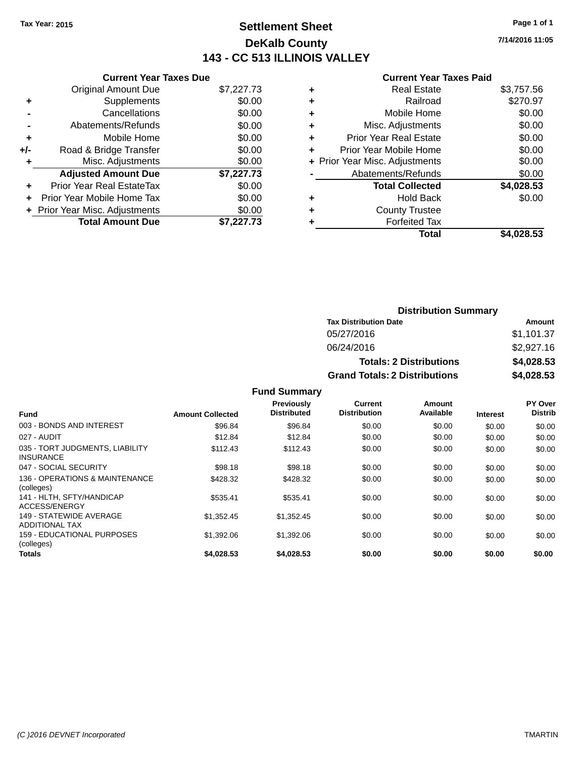### **Settlement Sheet Tax Year: 2015 Page 1 of 1 DeKalb County 143 - CC 513 ILLINOIS VALLEY**

**7/14/2016 11:05**

#### **Current Year Taxes Paid**

|       | <b>Current Year Taxes Due</b>  |            |
|-------|--------------------------------|------------|
|       | <b>Original Amount Due</b>     | \$7,227.73 |
| ٠     | Supplements                    | \$0.00     |
|       | Cancellations                  | \$0.00     |
|       | Abatements/Refunds             | \$0.00     |
| ÷     | Mobile Home                    | \$0.00     |
| $+/-$ | Road & Bridge Transfer         | \$0.00     |
|       | Misc. Adjustments              | \$0.00     |
|       | <b>Adjusted Amount Due</b>     | \$7,227.73 |
| ÷     | Prior Year Real EstateTax      | \$0.00     |
|       | Prior Year Mobile Home Tax     | \$0.00     |
|       | + Prior Year Misc. Adjustments | \$0.00     |
|       | <b>Total Amount Due</b>        | \$7.227.73 |
|       |                                |            |
|       |                                |            |

|   | <b>Real Estate</b>             | \$3,757.56 |
|---|--------------------------------|------------|
| ٠ | Railroad                       | \$270.97   |
| ٠ | Mobile Home                    | \$0.00     |
| ٠ | Misc. Adjustments              | \$0.00     |
| ٠ | <b>Prior Year Real Estate</b>  | \$0.00     |
| ٠ | Prior Year Mobile Home         | \$0.00     |
|   | + Prior Year Misc. Adjustments | \$0.00     |
|   | Abatements/Refunds             | \$0.00     |
|   | <b>Total Collected</b>         | \$4,028.53 |
| ٠ | <b>Hold Back</b>               | \$0.00     |
| ٠ | <b>County Trustee</b>          |            |
| ٠ | <b>Forfeited Tax</b>           |            |
|   | Total                          | \$4,028.53 |
|   |                                |            |

| <b>Distribution Summary</b>          |            |  |  |  |
|--------------------------------------|------------|--|--|--|
| <b>Tax Distribution Date</b>         | Amount     |  |  |  |
| 05/27/2016                           | \$1,101.37 |  |  |  |
| 06/24/2016                           | \$2,927.16 |  |  |  |
| <b>Totals: 2 Distributions</b>       | \$4,028.53 |  |  |  |
| <b>Grand Totals: 2 Distributions</b> | \$4,028.53 |  |  |  |

| <b>Fund</b>                                         | <b>Amount Collected</b> | <b>Previously</b><br><b>Distributed</b> | <b>Current</b><br><b>Distribution</b> | Amount<br>Available | <b>Interest</b> | PY Over<br><b>Distrib</b> |
|-----------------------------------------------------|-------------------------|-----------------------------------------|---------------------------------------|---------------------|-----------------|---------------------------|
|                                                     |                         |                                         |                                       |                     |                 |                           |
| 003 - BONDS AND INTEREST                            | \$96.84                 | \$96.84                                 | \$0.00                                | \$0.00              | \$0.00          | \$0.00                    |
| 027 - AUDIT                                         | \$12.84                 | \$12.84                                 | \$0.00                                | \$0.00              | \$0.00          | \$0.00                    |
| 035 - TORT JUDGMENTS, LIABILITY<br><b>INSURANCE</b> | \$112.43                | \$112.43                                | \$0.00                                | \$0.00              | \$0.00          | \$0.00                    |
| 047 - SOCIAL SECURITY                               | \$98.18                 | \$98.18                                 | \$0.00                                | \$0.00              | \$0.00          | \$0.00                    |
| 136 - OPERATIONS & MAINTENANCE<br>(colleges)        | \$428.32                | \$428.32                                | \$0.00                                | \$0.00              | \$0.00          | \$0.00                    |
| 141 - HLTH, SFTY/HANDICAP<br>ACCESS/ENERGY          | \$535.41                | \$535.41                                | \$0.00                                | \$0.00              | \$0.00          | \$0.00                    |
| 149 - STATEWIDE AVERAGE<br><b>ADDITIONAL TAX</b>    | \$1,352.45              | \$1,352.45                              | \$0.00                                | \$0.00              | \$0.00          | \$0.00                    |
| 159 - EDUCATIONAL PURPOSES<br>(colleges)            | \$1,392.06              | \$1,392.06                              | \$0.00                                | \$0.00              | \$0.00          | \$0.00                    |
| <b>Totals</b>                                       | \$4,028,53              | \$4,028.53                              | \$0.00                                | \$0.00              | \$0.00          | \$0.00                    |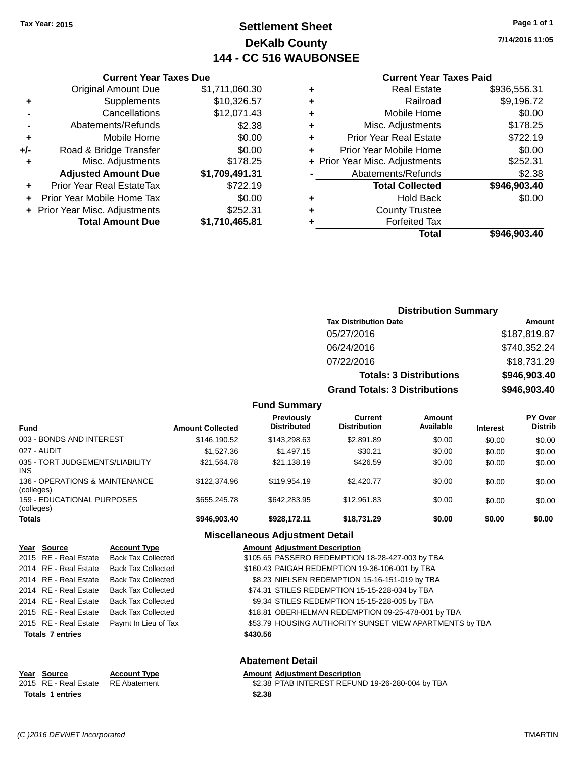### **Settlement Sheet Tax Year: 2015 Page 1 of 1 DeKalb County 144 - CC 516 WAUBONSEE**

**7/14/2016 11:05**

#### **Current Year Taxes Paid**

|     | <b>Current Year Taxes Due</b>  |                |  |  |  |
|-----|--------------------------------|----------------|--|--|--|
|     | <b>Original Amount Due</b>     | \$1,711,060.30 |  |  |  |
| ٠   | Supplements                    | \$10,326.57    |  |  |  |
|     | Cancellations                  | \$12,071.43    |  |  |  |
|     | Abatements/Refunds             | \$2.38         |  |  |  |
| ٠   | Mobile Home                    | \$0.00         |  |  |  |
| +/- | Road & Bridge Transfer         | \$0.00         |  |  |  |
| ٠   | Misc. Adjustments              | \$178.25       |  |  |  |
|     | <b>Adjusted Amount Due</b>     | \$1,709,491.31 |  |  |  |
| ÷   | Prior Year Real EstateTax      | \$722.19       |  |  |  |
| ÷   | Prior Year Mobile Home Tax     | \$0.00         |  |  |  |
|     | + Prior Year Misc. Adjustments | \$252.31       |  |  |  |
|     | <b>Total Amount Due</b>        | \$1,710,465.81 |  |  |  |
|     |                                |                |  |  |  |

| <b>Distribution Summary</b>          |              |
|--------------------------------------|--------------|
| <b>Tax Distribution Date</b>         | Amount       |
| 05/27/2016                           | \$187,819.87 |
| 06/24/2016                           | \$740,352.24 |
| 07/22/2016                           | \$18,731.29  |
| <b>Totals: 3 Distributions</b>       | \$946,903.40 |
| <b>Grand Totals: 3 Distributions</b> | \$946,903.40 |

#### **Fund Summary**

| <b>Fund</b>                                   | <b>Amount Collected</b> | Previously<br><b>Distributed</b> | Current<br><b>Distribution</b> | Amount<br>Available | <b>Interest</b> | <b>PY Over</b><br><b>Distrib</b> |
|-----------------------------------------------|-------------------------|----------------------------------|--------------------------------|---------------------|-----------------|----------------------------------|
| 003 - BONDS AND INTEREST                      | \$146,190.52            | \$143.298.63                     | \$2.891.89                     | \$0.00              | \$0.00          | \$0.00                           |
| 027 - AUDIT                                   | \$1,527.36              | \$1,497.15                       | \$30.21                        | \$0.00              | \$0.00          | \$0.00                           |
| 035 - TORT JUDGEMENTS/LIABILITY<br><b>INS</b> | \$21.564.78             | \$21.138.19                      | \$426.59                       | \$0.00              | \$0.00          | \$0.00                           |
| 136 - OPERATIONS & MAINTENANCE<br>(colleges)  | \$122,374.96            | \$119.954.19                     | \$2,420.77                     | \$0.00              | \$0.00          | \$0.00                           |
| 159 - EDUCATIONAL PURPOSES<br>(colleges)      | \$655,245.78            | \$642,283,95                     | \$12.961.83                    | \$0.00              | \$0.00          | \$0.00                           |
| <b>Totals</b>                                 | \$946,903.40            | \$928.172.11                     | \$18,731.29                    | \$0.00              | \$0.00          | \$0.00                           |

### **Miscellaneous Adjustment Detail**

| Year Source             | <b>Account Type</b>       | <b>Amount Adjustment Description</b>                    |
|-------------------------|---------------------------|---------------------------------------------------------|
| 2015 RE - Real Estate   | <b>Back Tax Collected</b> | \$105.65 PASSERO REDEMPTION 18-28-427-003 by TBA        |
| 2014 RE - Real Estate   | <b>Back Tax Collected</b> | \$160.43 PAIGAH REDEMPTION 19-36-106-001 by TBA         |
| 2014 RE - Real Estate   | <b>Back Tax Collected</b> | \$8.23 NIELSEN REDEMPTION 15-16-151-019 by TBA          |
| 2014 RE - Real Estate   | <b>Back Tax Collected</b> | \$74.31 STILES REDEMPTION 15-15-228-034 by TBA          |
| 2014 RE - Real Estate   | <b>Back Tax Collected</b> | \$9.34 STILES REDEMPTION 15-15-228-005 by TBA           |
| 2015 RE - Real Estate   | <b>Back Tax Collected</b> | \$18.81 OBERHELMAN REDEMPTION 09-25-478-001 by TBA      |
| 2015 RE - Real Estate   | Paymt In Lieu of Tax      | \$53.79 HOUSING AUTHORITY SUNSET VIEW APARTMENTS by TBA |
| <b>Totals 7 entries</b> |                           | \$430.56                                                |
|                         |                           |                                                         |
|                         |                           |                                                         |

#### **Abatement Detail**

#### **Year Source Account Type Amount Adjustment Description**<br>2015 RE - Real Estate RE Abatement \$2.38 PTAB INTEREST REFUN \$2.38 PTAB INTEREST REFUND 19-26-280-004 by TBA **Totals \$2.38 1 entries**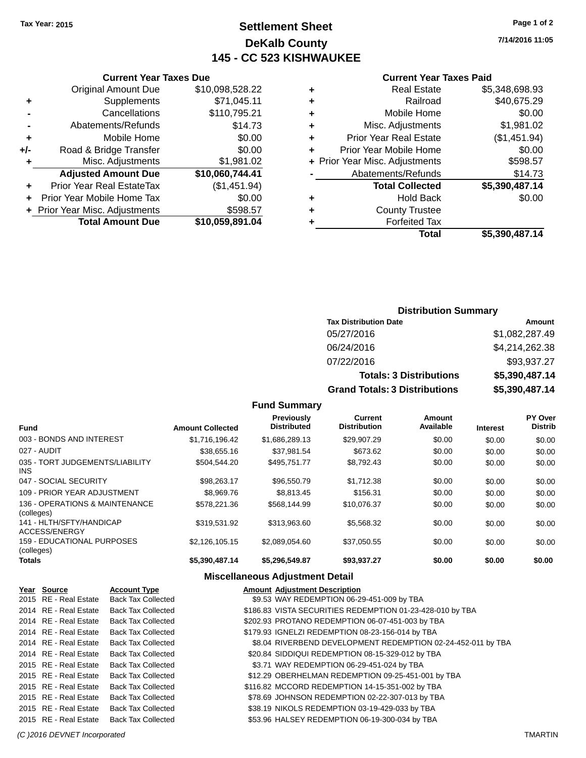### **Settlement Sheet Tax Year: 2015 Page 1 of 2 DeKalb County 145 - CC 523 KISHWAUKEE**

**7/14/2016 11:05**

#### **Current Year Taxes Paid**

| ٠ | <b>Real Estate</b>             | \$5,348,698.93 |
|---|--------------------------------|----------------|
| ٠ | Railroad                       | \$40,675.29    |
| ٠ | Mobile Home                    | \$0.00         |
|   |                                |                |
| ٠ | Misc. Adjustments              | \$1,981.02     |
| ٠ | <b>Prior Year Real Estate</b>  | (\$1,451.94)   |
| ٠ | Prior Year Mobile Home         | \$0.00         |
|   | + Prior Year Misc. Adjustments | \$598.57       |
|   | Abatements/Refunds             | \$14.73        |
|   | <b>Total Collected</b>         | \$5,390,487.14 |
| ٠ | <b>Hold Back</b>               | \$0.00         |
| ٠ | <b>County Trustee</b>          |                |
| ٠ | <b>Forfeited Tax</b>           |                |
|   | Total                          | \$5.390.487.14 |

|                | <b>Current Year Taxes Due</b>  |                 |  |  |  |  |
|----------------|--------------------------------|-----------------|--|--|--|--|
|                | <b>Original Amount Due</b>     | \$10,098,528.22 |  |  |  |  |
| ٠              | Supplements                    | \$71,045.11     |  |  |  |  |
|                | Cancellations                  | \$110,795.21    |  |  |  |  |
| $\blacksquare$ | Abatements/Refunds             | \$14.73         |  |  |  |  |
| ٠              | Mobile Home                    | \$0.00          |  |  |  |  |
| +/-            | Road & Bridge Transfer         | \$0.00          |  |  |  |  |
| ٠              | Misc. Adjustments              | \$1,981.02      |  |  |  |  |
|                | <b>Adjusted Amount Due</b>     | \$10,060,744.41 |  |  |  |  |
| ÷              | Prior Year Real EstateTax      | (\$1,451.94)    |  |  |  |  |
| ÷              | Prior Year Mobile Home Tax     | \$0.00          |  |  |  |  |
|                | + Prior Year Misc. Adjustments | \$598.57        |  |  |  |  |
|                | <b>Total Amount Due</b>        | \$10,059,891.04 |  |  |  |  |
|                |                                |                 |  |  |  |  |

#### **Distribution Summary**

| <b>Tax Distribution Date</b>         | Amount         |
|--------------------------------------|----------------|
| 05/27/2016                           | \$1,082,287.49 |
| 06/24/2016                           | \$4,214,262.38 |
| 07/22/2016                           | \$93,937.27    |
| <b>Totals: 3 Distributions</b>       | \$5,390,487.14 |
| <b>Grand Totals: 3 Distributions</b> | \$5,390,487.14 |

#### **Fund Summary**

| <b>Fund</b>                                  | <b>Amount Collected</b> | Previously<br><b>Distributed</b> | <b>Current</b><br><b>Distribution</b> | Amount<br>Available | <b>Interest</b> | PY Over<br><b>Distrib</b> |
|----------------------------------------------|-------------------------|----------------------------------|---------------------------------------|---------------------|-----------------|---------------------------|
| 003 - BONDS AND INTEREST                     | \$1.716.196.42          | \$1,686,289.13                   | \$29,907.29                           | \$0.00              | \$0.00          | \$0.00                    |
| 027 - AUDIT                                  | \$38,655.16             | \$37.981.54                      | \$673.62                              | \$0.00              | \$0.00          | \$0.00                    |
| 035 - TORT JUDGEMENTS/LIABILITY<br>INS.      | \$504.544.20            | \$495.751.77                     | \$8,792.43                            | \$0.00              | \$0.00          | \$0.00                    |
| 047 - SOCIAL SECURITY                        | \$98.263.17             | \$96.550.79                      | \$1.712.38                            | \$0.00              | \$0.00          | \$0.00                    |
| 109 - PRIOR YEAR ADJUSTMENT                  | \$8,969.76              | \$8.813.45                       | \$156.31                              | \$0.00              | \$0.00          | \$0.00                    |
| 136 - OPERATIONS & MAINTENANCE<br>(colleges) | \$578,221,36            | \$568,144.99                     | \$10.076.37                           | \$0.00              | \$0.00          | \$0.00                    |
| 141 - HLTH/SFTY/HANDICAP<br>ACCESS/ENERGY    | \$319.531.92            | \$313,963,60                     | \$5.568.32                            | \$0.00              | \$0.00          | \$0.00                    |
| 159 - EDUCATIONAL PURPOSES<br>(colleges)     | \$2,126,105.15          | \$2.089.054.60                   | \$37.050.55                           | \$0.00              | \$0.00          | \$0.00                    |
| <b>Totals</b>                                | \$5.390.487.14          | \$5.296.549.87                   | \$93.937.27                           | \$0.00              | \$0.00          | \$0.00                    |

| Year Source           | <b>Account Type</b>       | <b>Amount Adjustment Description</b>                         |
|-----------------------|---------------------------|--------------------------------------------------------------|
| 2015 RE - Real Estate | <b>Back Tax Collected</b> | \$9.53 WAY REDEMPTION 06-29-451-009 by TBA                   |
| 2014 RE - Real Estate | <b>Back Tax Collected</b> | \$186.83 VISTA SECURITIES REDEMPTION 01-23-428-010 by TBA    |
| 2014 RE - Real Estate | <b>Back Tax Collected</b> | \$202.93 PROTANO REDEMPTION 06-07-451-003 by TBA             |
| 2014 RE - Real Estate | Back Tax Collected        | \$179.93 IGNELZI REDEMPTION 08-23-156-014 by TBA             |
| 2014 RE - Real Estate | Back Tax Collected        | \$8.04 RIVERBEND DEVELOPMENT REDEMPTION 02-24-452-011 by TBA |
| 2014 RE - Real Estate | <b>Back Tax Collected</b> | \$20.84 SIDDIQUI REDEMPTION 08-15-329-012 by TBA             |
| 2015 RE - Real Estate | <b>Back Tax Collected</b> | \$3.71 WAY REDEMPTION 06-29-451-024 by TBA                   |
| 2015 RE - Real Estate | Back Tax Collected        | \$12.29 OBERHELMAN REDEMPTION 09-25-451-001 by TBA           |
| 2015 RE - Real Estate | <b>Back Tax Collected</b> | \$116.82 MCCORD REDEMPTION 14-15-351-002 by TBA              |
| 2015 RE - Real Estate | <b>Back Tax Collected</b> | \$78.69 JOHNSON REDEMPTION 02-22-307-013 by TBA              |
| 2015 RE - Real Estate | Back Tax Collected        | \$38.19 NIKOLS REDEMPTION 03-19-429-033 by TBA               |
| 2015 RE - Real Estate | <b>Back Tax Collected</b> | \$53.96 HALSEY REDEMPTION 06-19-300-034 by TBA               |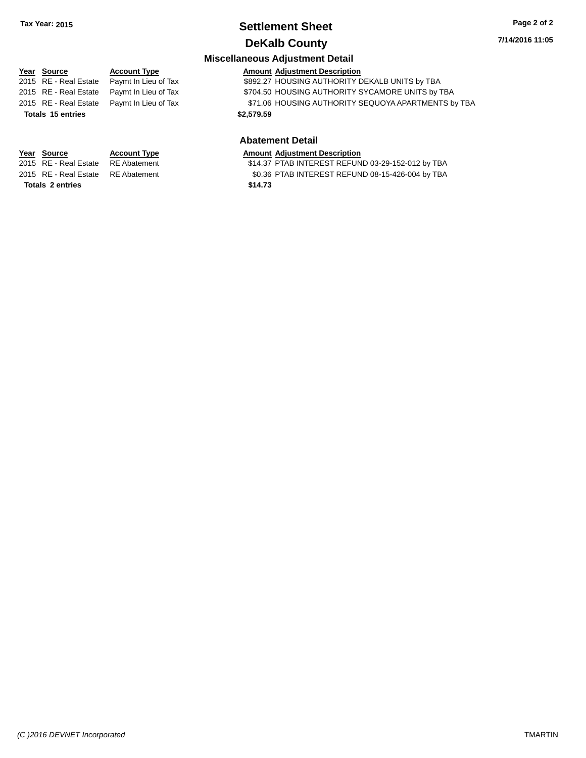## **Settlement Sheet Tax Year: 2015 Page 2 of 2**

**7/14/2016 11:05**

### **DeKalb County Miscellaneous Adjustment Detail**

### **Year** Source **Account Type Account Adjustment Description** 2015 RE - Real Estate Paymt In Lieu of Tax **\$892.27 HOUSING AUTHORITY DEKALB UNITS by TBA** 2015 RE - Real Estate Paymt In Lieu of Tax \$704.50 HOUSING AUTHORITY SYCAMORE UNITS by TBA 2015 RE - Real Estate Paymt In Lieu of Tax \$71.06 HOUSING AUTHORITY SEQUOYA APARTMENTS by TBA **Totals \$2,579.59 15 entries Abatement Detail**

**Totals \$14.73 2 entries**

# **Year Source Account Type Amount Adjustment Description**<br>2015 RE - Real Estate RE Abatement **Amount 1988** 14.37 PTAB INTEREST REFUN

\$14.37 PTAB INTEREST REFUND 03-29-152-012 by TBA 2015 RE - Real Estate RE Abatement \$0.36 PTAB INTEREST REFUND 08-15-426-004 by TBA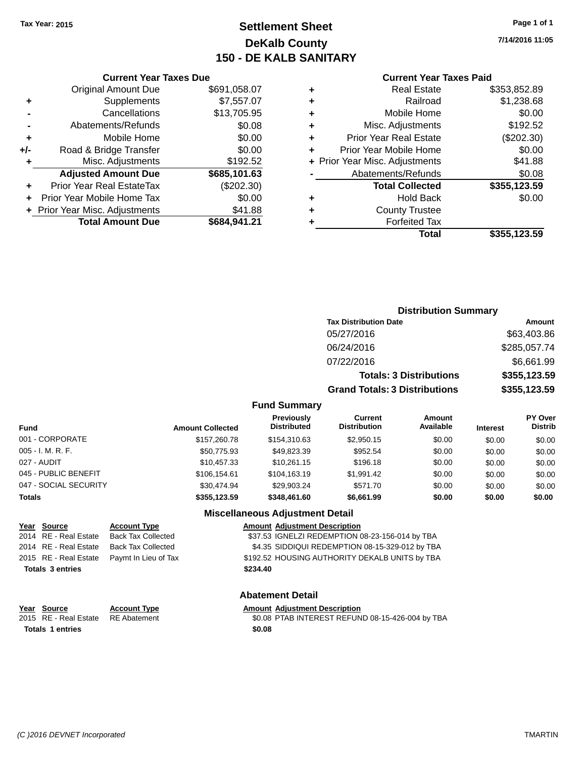### **Settlement Sheet Tax Year: 2015 Page 1 of 1 DeKalb County 150 - DE KALB SANITARY**

**7/14/2016 11:05**

#### **Current Year Taxes Paid**

|     | <b>Current Year Taxes Due</b>              |              |  |  |  |  |
|-----|--------------------------------------------|--------------|--|--|--|--|
|     | <b>Original Amount Due</b><br>\$691,058.07 |              |  |  |  |  |
| ٠   | Supplements                                | \$7,557.07   |  |  |  |  |
|     | Cancellations                              | \$13,705.95  |  |  |  |  |
|     | Abatements/Refunds                         | \$0.08       |  |  |  |  |
| ٠   | \$0.00<br>Mobile Home                      |              |  |  |  |  |
| +/- | \$0.00<br>Road & Bridge Transfer           |              |  |  |  |  |
| ٠   | Misc. Adjustments<br>\$192.52              |              |  |  |  |  |
|     | <b>Adjusted Amount Due</b>                 | \$685,101.63 |  |  |  |  |
| ÷   | Prior Year Real EstateTax                  | (\$202.30)   |  |  |  |  |
|     | \$0.00<br>Prior Year Mobile Home Tax       |              |  |  |  |  |
|     | \$41.88<br>+ Prior Year Misc. Adjustments  |              |  |  |  |  |
|     | <b>Total Amount Due</b>                    | \$684.941.21 |  |  |  |  |

| ٠ | <b>Real Estate</b>             | \$353,852.89 |
|---|--------------------------------|--------------|
| ٠ | Railroad                       | \$1,238.68   |
| ٠ | Mobile Home                    | \$0.00       |
| ٠ | Misc. Adjustments              | \$192.52     |
| ٠ | <b>Prior Year Real Estate</b>  | $(\$202.30)$ |
| ٠ | Prior Year Mobile Home         | \$0.00       |
|   | + Prior Year Misc. Adjustments | \$41.88      |
|   | Abatements/Refunds             | \$0.08       |
|   | <b>Total Collected</b>         | \$355,123.59 |
| ٠ | <b>Hold Back</b>               | \$0.00       |
| ٠ | <b>County Trustee</b>          |              |
| ٠ | <b>Forfeited Tax</b>           |              |
|   | Total                          | \$355,123.59 |
|   |                                |              |

### **Distribution Summary Tax Distribution Date Amount** 05/27/2016 \$63,403.86 06/24/2016 \$285,057.74 07/22/2016 \$6,661.99 **Totals: 3 Distributions \$355,123.59 Grand Totals: 3 Distributions \$355,123.59**

#### **Fund Summary**

| Fund                  | <b>Amount Collected</b> | <b>Previously</b><br><b>Distributed</b> | Current<br><b>Distribution</b> | <b>Amount</b><br>Available | <b>Interest</b> | <b>PY Over</b><br><b>Distrib</b> |
|-----------------------|-------------------------|-----------------------------------------|--------------------------------|----------------------------|-----------------|----------------------------------|
| 001 - CORPORATE       | \$157,260.78            | \$154,310.63                            | \$2,950.15                     | \$0.00                     | \$0.00          | \$0.00                           |
| 005 - I. M. R. F.     | \$50,775.93             | \$49.823.39                             | \$952.54                       | \$0.00                     | \$0.00          | \$0.00                           |
| 027 - AUDIT           | \$10,457.33             | \$10.261.15                             | \$196.18                       | \$0.00                     | \$0.00          | \$0.00                           |
| 045 - PUBLIC BENEFIT  | \$106.154.61            | \$104.163.19                            | \$1,991.42                     | \$0.00                     | \$0.00          | \$0.00                           |
| 047 - SOCIAL SECURITY | \$30.474.94             | \$29,903.24                             | \$571.70                       | \$0.00                     | \$0.00          | \$0.00                           |
| Totals                | \$355,123.59            | \$348,461.60                            | \$6,661.99                     | \$0.00                     | \$0.00          | \$0.00                           |

#### **Miscellaneous Adjustment Detail**

| Year Source             | <b>Account Type</b>                        | <b>Amount Adjustment Description</b>            |
|-------------------------|--------------------------------------------|-------------------------------------------------|
| 2014 RE - Real Estate   | Back Tax Collected                         | \$37.53 IGNELZI REDEMPTION 08-23-156-014 by TBA |
|                         | 2014 RE - Real Estate Back Tax Collected   | \$4.35 SIDDIQUI REDEMPTION 08-15-329-012 by TBA |
|                         | 2015 RE - Real Estate Paymt In Lieu of Tax | \$192.52 HOUSING AUTHORITY DEKALB UNITS by TBA  |
| <b>Totals 3 entries</b> |                                            | \$234.40                                        |
|                         |                                            |                                                 |

#### **Abatement Detail**

**Year Source Account Type Amount Adjustment Description** \$0.08 PTAB INTEREST REFUND 08-15-426-004 by TBA **Totals \$0.08 1 entries**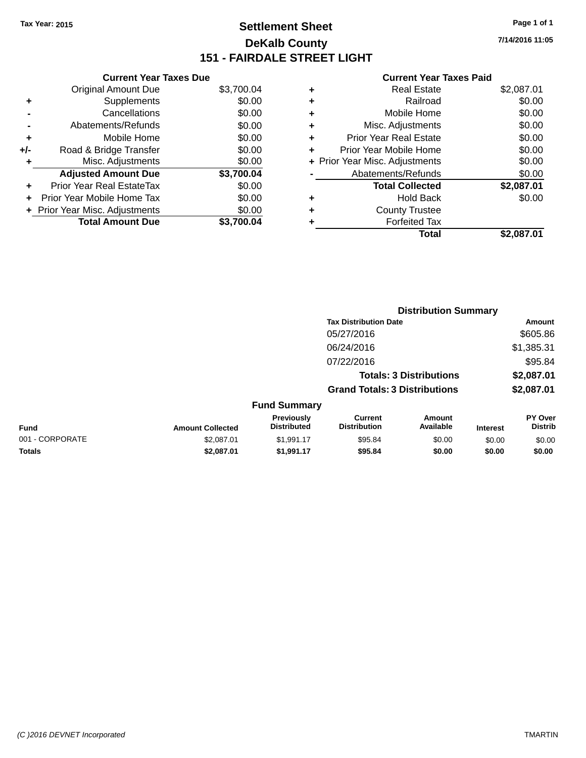### **Settlement Sheet Tax Year: 2015 Page 1 of 1 DeKalb County 151 - FAIRDALE STREET LIGHT**

**7/14/2016 11:05**

| \$3,700.04                                                                                                                                                                                                                                                                                                                            |
|---------------------------------------------------------------------------------------------------------------------------------------------------------------------------------------------------------------------------------------------------------------------------------------------------------------------------------------|
| \$0.00                                                                                                                                                                                                                                                                                                                                |
| \$0.00                                                                                                                                                                                                                                                                                                                                |
| \$0.00                                                                                                                                                                                                                                                                                                                                |
| \$0.00                                                                                                                                                                                                                                                                                                                                |
| \$0.00                                                                                                                                                                                                                                                                                                                                |
| \$0.00                                                                                                                                                                                                                                                                                                                                |
| \$3,700.04                                                                                                                                                                                                                                                                                                                            |
| \$0.00                                                                                                                                                                                                                                                                                                                                |
| \$0.00                                                                                                                                                                                                                                                                                                                                |
| \$0.00                                                                                                                                                                                                                                                                                                                                |
| \$3.700.04                                                                                                                                                                                                                                                                                                                            |
| <b>Current Year Taxes Due</b><br><b>Original Amount Due</b><br>Supplements<br>Cancellations<br>Abatements/Refunds<br>Mobile Home<br>Road & Bridge Transfer<br>Misc. Adjustments<br><b>Adjusted Amount Due</b><br>Prior Year Real EstateTax<br>Prior Year Mobile Home Tax<br>+ Prior Year Misc. Adjustments<br><b>Total Amount Due</b> |

|   | <b>Real Estate</b>             | \$2,087.01 |
|---|--------------------------------|------------|
| ٠ | Railroad                       | \$0.00     |
| ٠ | Mobile Home                    | \$0.00     |
| ٠ | Misc. Adjustments              | \$0.00     |
| ٠ | Prior Year Real Estate         | \$0.00     |
|   | Prior Year Mobile Home         | \$0.00     |
|   | + Prior Year Misc. Adjustments | \$0.00     |
|   | Abatements/Refunds             | \$0.00     |
|   | <b>Total Collected</b>         | \$2,087.01 |
| ٠ | <b>Hold Back</b>               | \$0.00     |
|   | <b>County Trustee</b>          |            |
| ٠ | <b>Forfeited Tax</b>           |            |
|   | Total                          | \$2.087.01 |
|   |                                |            |

|                 |                         |                                  |                                       | <b>Distribution Summary</b>    |                 |                           |
|-----------------|-------------------------|----------------------------------|---------------------------------------|--------------------------------|-----------------|---------------------------|
|                 |                         |                                  | <b>Tax Distribution Date</b>          |                                |                 | Amount                    |
|                 |                         |                                  | 05/27/2016                            |                                |                 | \$605.86                  |
|                 |                         |                                  | 06/24/2016                            |                                |                 | \$1,385.31                |
|                 |                         |                                  | 07/22/2016                            |                                |                 | \$95.84                   |
|                 |                         |                                  |                                       | <b>Totals: 3 Distributions</b> |                 | \$2,087.01                |
|                 |                         |                                  | <b>Grand Totals: 3 Distributions</b>  |                                |                 | \$2,087.01                |
|                 |                         | <b>Fund Summary</b>              |                                       |                                |                 |                           |
| Fund            | <b>Amount Collected</b> | Previously<br><b>Distributed</b> | <b>Current</b><br><b>Distribution</b> | Amount<br>Available            | <b>Interest</b> | PY Over<br><b>Distrib</b> |
| 001 - CORPORATE | \$2,087.01              | \$1,991.17                       | \$95.84                               | \$0.00                         | \$0.00          | \$0.00                    |
| <b>Totals</b>   | \$2,087.01              | \$1,991.17                       | \$95.84                               | \$0.00                         | \$0.00          | \$0.00                    |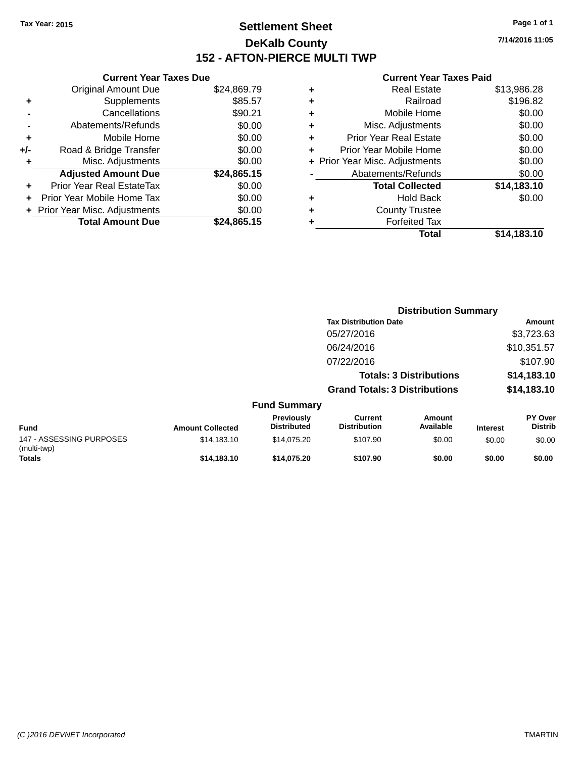### **Settlement Sheet Tax Year: 2015 Page 1 of 1 DeKalb County 152 - AFTON-PIERCE MULTI TWP**

**7/14/2016 11:05**

|       | <b>Current Year Taxes Due</b>  |             |  |  |  |  |  |
|-------|--------------------------------|-------------|--|--|--|--|--|
|       | <b>Original Amount Due</b>     | \$24,869.79 |  |  |  |  |  |
| ٠     | Supplements                    | \$85.57     |  |  |  |  |  |
|       | Cancellations                  | \$90.21     |  |  |  |  |  |
|       | Abatements/Refunds             | \$0.00      |  |  |  |  |  |
| ٠     | Mobile Home                    | \$0.00      |  |  |  |  |  |
| $+/-$ | Road & Bridge Transfer         | \$0.00      |  |  |  |  |  |
|       | Misc. Adjustments              | \$0.00      |  |  |  |  |  |
|       | <b>Adjusted Amount Due</b>     | \$24,865.15 |  |  |  |  |  |
| ÷     | Prior Year Real EstateTax      | \$0.00      |  |  |  |  |  |
|       | Prior Year Mobile Home Tax     | \$0.00      |  |  |  |  |  |
|       | + Prior Year Misc. Adjustments | \$0.00      |  |  |  |  |  |
|       | <b>Total Amount Due</b>        | \$24,865.15 |  |  |  |  |  |
|       |                                |             |  |  |  |  |  |

|   | Total                          | \$14,183.10 |
|---|--------------------------------|-------------|
| ٠ | <b>Forfeited Tax</b>           |             |
| ٠ | <b>County Trustee</b>          |             |
| ٠ | Hold Back                      | \$0.00      |
|   | <b>Total Collected</b>         | \$14,183.10 |
|   | Abatements/Refunds             | \$0.00      |
|   | + Prior Year Misc. Adjustments | \$0.00      |
| ٠ | Prior Year Mobile Home         | \$0.00      |
| ÷ | <b>Prior Year Real Estate</b>  | \$0.00      |
| ٠ | Misc. Adjustments              | \$0.00      |
| ÷ | Mobile Home                    | \$0.00      |
| ٠ | Railroad                       | \$196.82    |
| ٠ | <b>Real Estate</b>             | \$13,986.28 |
|   |                                |             |

|                                         |                         |                                  | <b>Distribution Summary</b>           |                                |                 |                                  |
|-----------------------------------------|-------------------------|----------------------------------|---------------------------------------|--------------------------------|-----------------|----------------------------------|
|                                         |                         |                                  | <b>Tax Distribution Date</b>          |                                |                 | Amount                           |
|                                         |                         |                                  | 05/27/2016                            |                                |                 | \$3,723.63                       |
|                                         |                         |                                  | 06/24/2016                            |                                |                 | \$10,351.57                      |
|                                         |                         |                                  | 07/22/2016                            |                                |                 | \$107.90                         |
|                                         |                         |                                  |                                       | <b>Totals: 3 Distributions</b> |                 | \$14,183.10                      |
|                                         |                         |                                  | <b>Grand Totals: 3 Distributions</b>  |                                |                 | \$14,183.10                      |
|                                         |                         | <b>Fund Summary</b>              |                                       |                                |                 |                                  |
| Fund                                    | <b>Amount Collected</b> | Previously<br><b>Distributed</b> | <b>Current</b><br><b>Distribution</b> | <b>Amount</b><br>Available     | <b>Interest</b> | <b>PY Over</b><br><b>Distrib</b> |
| 147 - ASSESSING PURPOSES<br>(multi-twp) | \$14,183.10             | \$14,075.20                      | \$107.90                              | \$0.00                         | \$0.00          | \$0.00                           |
| <b>Totals</b>                           | \$14,183.10             | \$14.075.20                      | \$107.90                              | \$0.00                         | \$0.00          | \$0.00                           |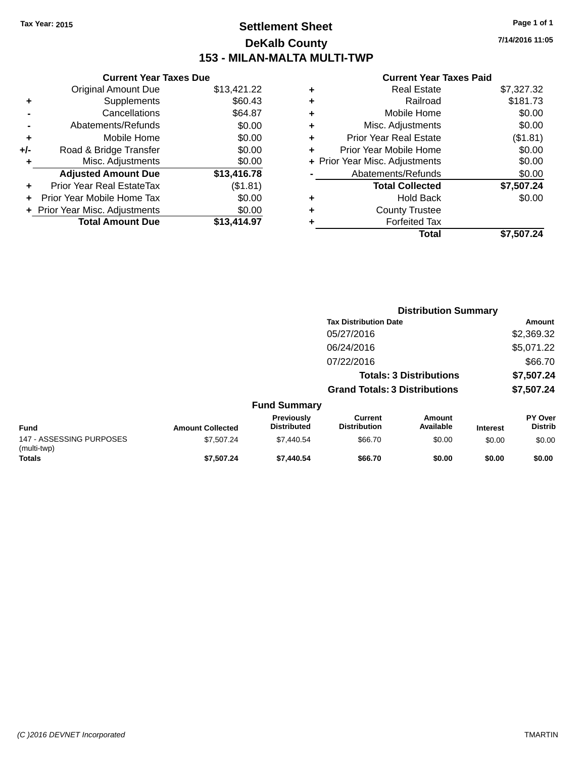### **Settlement Sheet Tax Year: 2015 Page 1 of 1 DeKalb County 153 - MILAN-MALTA MULTI-TWP**

**7/14/2016 11:05**

|     | <b>Current Year Taxes Due</b>  |             |  |  |  |  |  |
|-----|--------------------------------|-------------|--|--|--|--|--|
|     | <b>Original Amount Due</b>     | \$13,421.22 |  |  |  |  |  |
| ٠   | Supplements                    | \$60.43     |  |  |  |  |  |
|     | Cancellations                  | \$64.87     |  |  |  |  |  |
|     | Abatements/Refunds             | \$0.00      |  |  |  |  |  |
| ٠   | Mobile Home                    | \$0.00      |  |  |  |  |  |
| +/- | Road & Bridge Transfer         | \$0.00      |  |  |  |  |  |
|     | Misc. Adjustments              | \$0.00      |  |  |  |  |  |
|     | <b>Adjusted Amount Due</b>     | \$13,416.78 |  |  |  |  |  |
| ٠   | Prior Year Real EstateTax      | (\$1.81)    |  |  |  |  |  |
|     | Prior Year Mobile Home Tax     | \$0.00      |  |  |  |  |  |
|     | + Prior Year Misc. Adjustments | \$0.00      |  |  |  |  |  |
|     | <b>Total Amount Due</b>        | \$13,414.97 |  |  |  |  |  |
|     |                                |             |  |  |  |  |  |

|   | <b>Real Estate</b>             | \$7,327.32 |
|---|--------------------------------|------------|
| ٠ | Railroad                       | \$181.73   |
| ٠ | Mobile Home                    | \$0.00     |
| ٠ | Misc. Adjustments              | \$0.00     |
| ٠ | <b>Prior Year Real Estate</b>  | (\$1.81)   |
|   | Prior Year Mobile Home         | \$0.00     |
|   | + Prior Year Misc. Adjustments | \$0.00     |
|   | Abatements/Refunds             | \$0.00     |
|   | <b>Total Collected</b>         | \$7,507.24 |
|   | <b>Hold Back</b>               | \$0.00     |
| ٠ | <b>County Trustee</b>          |            |
|   | <b>Forfeited Tax</b>           |            |
|   | Total                          | \$7,507.24 |
|   |                                |            |

|                                         |                         |                                         | <b>Distribution Summary</b>           |                                |                 |                                  |
|-----------------------------------------|-------------------------|-----------------------------------------|---------------------------------------|--------------------------------|-----------------|----------------------------------|
|                                         |                         |                                         | <b>Tax Distribution Date</b>          |                                |                 | Amount                           |
|                                         |                         |                                         | 05/27/2016                            |                                |                 | \$2,369.32                       |
|                                         |                         |                                         | 06/24/2016                            |                                |                 | \$5,071.22                       |
|                                         |                         |                                         | 07/22/2016                            |                                |                 | \$66.70                          |
|                                         |                         |                                         |                                       | <b>Totals: 3 Distributions</b> |                 | \$7,507.24                       |
|                                         |                         |                                         | <b>Grand Totals: 3 Distributions</b>  |                                |                 | \$7,507.24                       |
|                                         |                         | <b>Fund Summary</b>                     |                                       |                                |                 |                                  |
| Fund                                    | <b>Amount Collected</b> | <b>Previously</b><br><b>Distributed</b> | <b>Current</b><br><b>Distribution</b> | Amount<br>Available            | <b>Interest</b> | <b>PY Over</b><br><b>Distrib</b> |
| 147 - ASSESSING PURPOSES<br>(multi-twp) | \$7,507.24              | \$7,440.54                              | \$66.70                               | \$0.00                         | \$0.00          | \$0.00                           |
| <b>Totals</b>                           | \$7,507.24              | \$7,440.54                              | \$66.70                               | \$0.00                         | \$0.00          | \$0.00                           |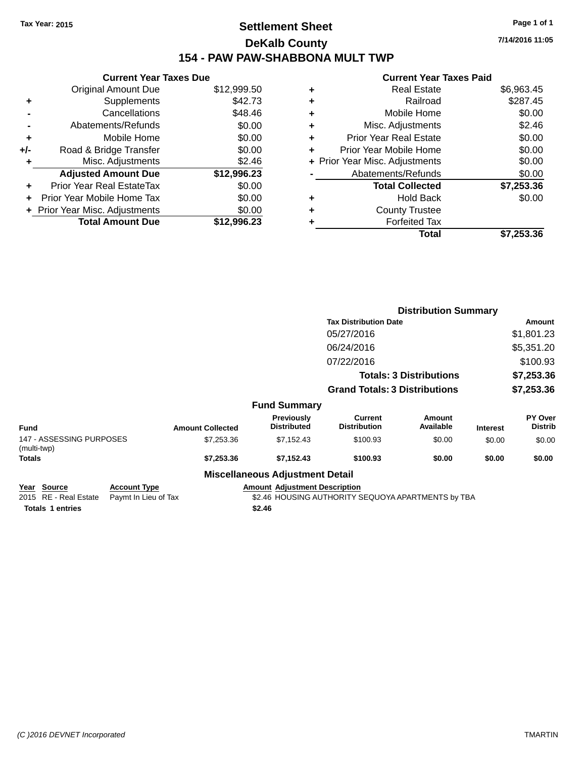### **Settlement Sheet Tax Year: 2015 Page 1 of 1 DeKalb County 154 - PAW PAW-SHABBONA MULT TWP**

|       | <b>Current Year Taxes Due</b>    |             |
|-------|----------------------------------|-------------|
|       | <b>Original Amount Due</b>       | \$12,999.50 |
| ٠     | Supplements                      | \$42.73     |
|       | Cancellations                    | \$48.46     |
|       | Abatements/Refunds               | \$0.00      |
| ٠     | Mobile Home                      | \$0.00      |
| $+/-$ | Road & Bridge Transfer           | \$0.00      |
| ٠     | Misc. Adjustments                | \$2.46      |
|       | <b>Adjusted Amount Due</b>       | \$12,996.23 |
| ÷     | <b>Prior Year Real EstateTax</b> | \$0.00      |
|       | Prior Year Mobile Home Tax       | \$0.00      |
|       | + Prior Year Misc. Adjustments   | \$0.00      |
|       | <b>Total Amount Due</b>          | \$12,996.23 |

#### **Current Year Taxes Paid +** Real Estate \$6,963.45 **+** Railroad \$287.45 **+** Mobile Home \$0.00 **+** Misc. Adjustments \$2.46 **+** Prior Year Real Estate \$0.00 **+** Prior Year Mobile Home \$0.00 **+ Prior Year Misc. Adjustments**  $$0.00$ Abatements/Refunds \$0.00 **Total Collected \$7,253.36 +** Hold Back \$0.00 **+** County Trustee **+** Forfeited Tax **Total \$7,253.36**

|                                         |                         |                                        |                                      | <b>Distribution Summary</b>    |                 |                           |
|-----------------------------------------|-------------------------|----------------------------------------|--------------------------------------|--------------------------------|-----------------|---------------------------|
|                                         |                         |                                        | <b>Tax Distribution Date</b>         |                                |                 | Amount                    |
|                                         |                         |                                        | 05/27/2016                           |                                |                 | \$1,801.23                |
|                                         |                         |                                        | 06/24/2016                           |                                |                 | \$5,351.20                |
|                                         |                         |                                        | 07/22/2016                           |                                |                 | \$100.93                  |
|                                         |                         |                                        |                                      | <b>Totals: 3 Distributions</b> |                 | \$7,253.36                |
|                                         |                         |                                        | <b>Grand Totals: 3 Distributions</b> |                                |                 | \$7,253.36                |
|                                         |                         | <b>Fund Summary</b>                    |                                      |                                |                 |                           |
| <b>Fund</b>                             | <b>Amount Collected</b> | Previously<br><b>Distributed</b>       | Current<br><b>Distribution</b>       | Amount<br>Available            | <b>Interest</b> | PY Over<br><b>Distrib</b> |
| 147 - ASSESSING PURPOSES<br>(multi-twp) | \$7,253.36              | \$7,152.43                             | \$100.93                             | \$0.00                         | \$0.00          | \$0.00                    |
| <b>Totals</b>                           | \$7,253.36              | \$7,152.43                             | \$100.93                             | \$0.00                         | \$0.00          | \$0.00                    |
|                                         |                         | <b>Miscellaneous Adjustment Detail</b> |                                      |                                |                 |                           |

#### **Year Source Account Type Amount Adjustment Description**

2015 RE - Real Estate Paymt In Lieu of Tax \$2.46 HOUSING AUTHORITY SEQUOYA APARTMENTS by TBA

**Totals \$2.46 1 entries**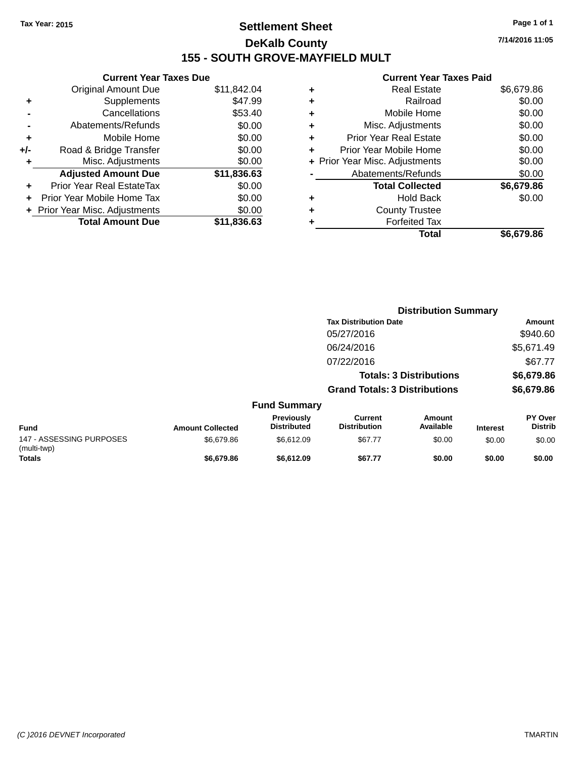### **Settlement Sheet Tax Year: 2015 Page 1 of 1 DeKalb County 155 - SOUTH GROVE-MAYFIELD MULT**

**Current Year Taxes Due** Original Amount Due \$11,842.04 **+** Supplements \$47.99 **-** Cancellations \$53.40 **-** Abatements/Refunds \$0.00 **+** Mobile Home \$0.00 **+/-** Road & Bridge Transfer \$0.00 **+** Misc. Adjustments \$0.00 **Adjusted Amount Due \$11,836.63 +** Prior Year Real EstateTax \$0.00 **+** Prior Year Mobile Home Tax \$0.00 **+ Prior Year Misc. Adjustments**  $$0.00$ **Total Amount Due \$11,836.63**

#### **Current Year Taxes Paid**

| ٠ | <b>Real Estate</b>             | \$6,679.86 |
|---|--------------------------------|------------|
| ٠ | Railroad                       | \$0.00     |
| ٠ | Mobile Home                    | \$0.00     |
| ٠ | Misc. Adjustments              | \$0.00     |
| ٠ | <b>Prior Year Real Estate</b>  | \$0.00     |
| ٠ | Prior Year Mobile Home         | \$0.00     |
|   | + Prior Year Misc. Adjustments | \$0.00     |
|   | Abatements/Refunds             | \$0.00     |
|   | <b>Total Collected</b>         | \$6,679.86 |
| ٠ | <b>Hold Back</b>               | \$0.00     |
| ٠ | <b>County Trustee</b>          |            |
|   | <b>Forfeited Tax</b>           |            |
|   | Total                          | \$6,679.86 |
|   |                                |            |

|                                         |                         |                                         |                                      | <b>Distribution Summary</b>    |                 |                                  |
|-----------------------------------------|-------------------------|-----------------------------------------|--------------------------------------|--------------------------------|-----------------|----------------------------------|
|                                         |                         |                                         | <b>Tax Distribution Date</b>         |                                |                 | Amount                           |
|                                         |                         |                                         | 05/27/2016                           |                                |                 | \$940.60                         |
|                                         |                         |                                         | 06/24/2016                           |                                |                 | \$5,671.49                       |
|                                         |                         |                                         | 07/22/2016                           |                                |                 | \$67.77                          |
|                                         |                         |                                         |                                      | <b>Totals: 3 Distributions</b> |                 | \$6,679.86                       |
|                                         |                         |                                         | <b>Grand Totals: 3 Distributions</b> |                                |                 | \$6,679.86                       |
|                                         |                         | <b>Fund Summary</b>                     |                                      |                                |                 |                                  |
| <b>Fund</b>                             | <b>Amount Collected</b> | <b>Previously</b><br><b>Distributed</b> | Current<br><b>Distribution</b>       | Amount<br>Available            | <b>Interest</b> | <b>PY Over</b><br><b>Distrib</b> |
| 147 - ASSESSING PURPOSES<br>(multi-twp) | \$6,679.86              | \$6,612.09                              | \$67.77                              | \$0.00                         | \$0.00          | \$0.00                           |
| Totals                                  | \$6,679.86              | \$6,612.09                              | \$67.77                              | \$0.00                         | \$0.00          | \$0.00                           |

**7/14/2016 11:05**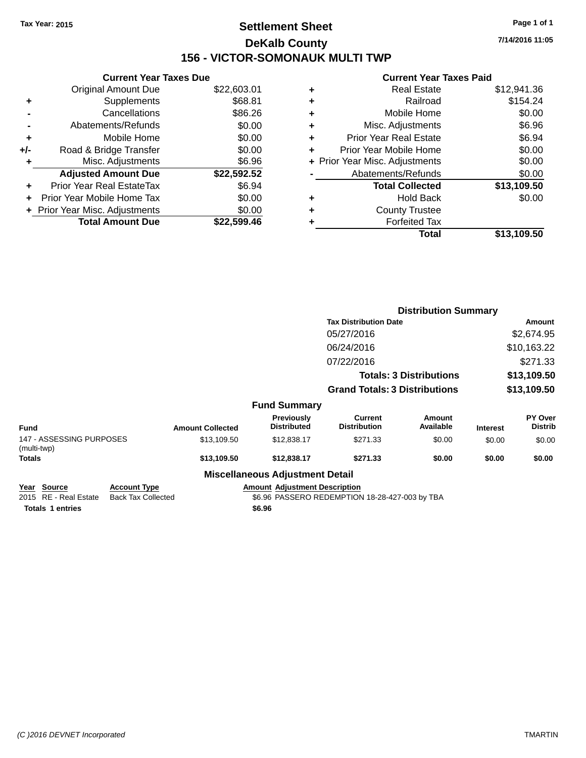### **Settlement Sheet Tax Year: 2015 Page 1 of 1 DeKalb County 156 - VICTOR-SOMONAUK MULTI TWP**

**7/14/2016 11:05**

#### **Current Year Taxes Paid**

|     | <b>Current Year Taxes Due</b>  |             |
|-----|--------------------------------|-------------|
|     | <b>Original Amount Due</b>     | \$22,603.01 |
| ٠   | Supplements                    | \$68.81     |
|     | Cancellations                  | \$86.26     |
|     | Abatements/Refunds             | \$0.00      |
| ٠   | Mobile Home                    | \$0.00      |
| +/- | Road & Bridge Transfer         | \$0.00      |
|     | Misc. Adjustments              | \$6.96      |
|     | <b>Adjusted Amount Due</b>     | \$22,592.52 |
| ÷   | Prior Year Real EstateTax      | \$6.94      |
|     | Prior Year Mobile Home Tax     | \$0.00      |
|     | + Prior Year Misc. Adjustments | \$0.00      |
|     | <b>Total Amount Due</b>        | \$22.599.46 |
|     |                                |             |

| ٠ | <b>Real Estate</b>             | \$12,941.36 |
|---|--------------------------------|-------------|
| ٠ | Railroad                       | \$154.24    |
| ٠ | Mobile Home                    | \$0.00      |
| ٠ | Misc. Adjustments              | \$6.96      |
| ٠ | <b>Prior Year Real Estate</b>  | \$6.94      |
| ÷ | Prior Year Mobile Home         | \$0.00      |
|   | + Prior Year Misc. Adjustments | \$0.00      |
|   | Abatements/Refunds             | \$0.00      |
|   | <b>Total Collected</b>         | \$13,109.50 |
| ٠ | Hold Back                      | \$0.00      |
| ٠ | <b>County Trustee</b>          |             |
| ٠ | <b>Forfeited Tax</b>           |             |
|   | Total                          | \$13,109.50 |
|   |                                |             |

|                                         |                         |                                        |                                       | <b>Distribution Summary</b> |                 |                           |  |
|-----------------------------------------|-------------------------|----------------------------------------|---------------------------------------|-----------------------------|-----------------|---------------------------|--|
|                                         |                         |                                        | <b>Tax Distribution Date</b>          |                             |                 | Amount                    |  |
|                                         |                         |                                        | 05/27/2016                            |                             |                 | \$2,674.95                |  |
|                                         |                         |                                        | 06/24/2016                            |                             |                 | \$10,163.22               |  |
|                                         |                         |                                        | 07/22/2016                            |                             |                 | \$271.33                  |  |
|                                         |                         |                                        | <b>Totals: 3 Distributions</b>        |                             | \$13,109.50     |                           |  |
|                                         |                         |                                        | <b>Grand Totals: 3 Distributions</b>  |                             | \$13,109.50     |                           |  |
|                                         |                         | <b>Fund Summary</b>                    |                                       |                             |                 |                           |  |
| <b>Fund</b>                             | <b>Amount Collected</b> | Previously<br><b>Distributed</b>       | <b>Current</b><br><b>Distribution</b> | <b>Amount</b><br>Available  | <b>Interest</b> | PY Over<br><b>Distrib</b> |  |
| 147 - ASSESSING PURPOSES<br>(multi-twp) | \$13,109.50             | \$12,838.17                            | \$271.33                              | \$0.00                      | \$0.00          | \$0.00                    |  |
| Totals                                  | \$13,109.50             | \$12,838.17                            | \$271.33                              | \$0.00                      | \$0.00          | \$0.00                    |  |
|                                         |                         | <b>Miscellaneous Adjustment Detail</b> |                                       |                             |                 |                           |  |

**Totals \$6.96 1 entries**

**Year** Source **Account Type Account Type Amount Adjustment Description** 

2015 RE - Real Estate Back Tax Collected \$6.96 PASSERO REDEMPTION 18-28-427-003 by TBA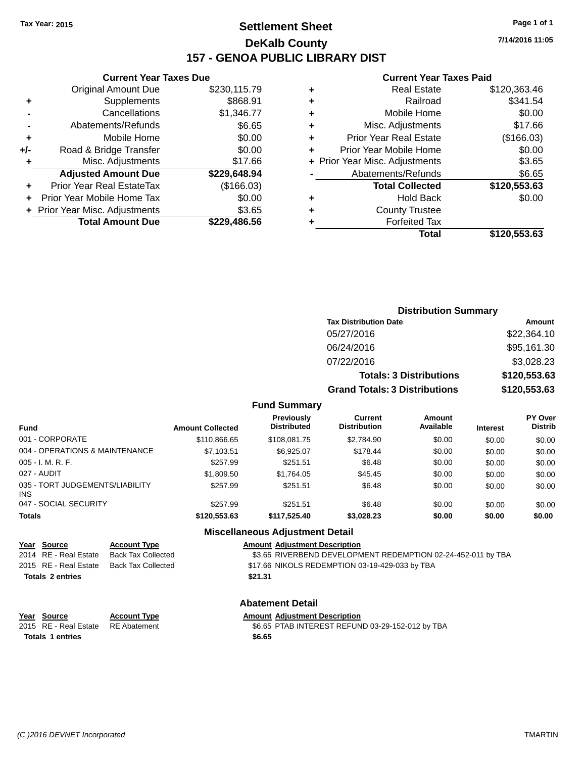### **Settlement Sheet Tax Year: 2015 Page 1 of 1 DeKalb County 157 - GENOA PUBLIC LIBRARY DIST**

#### **Current Year Taxes Due**

|     | <b>Original Amount Due</b>       | \$230,115.79 |
|-----|----------------------------------|--------------|
| ٠   | Supplements                      | \$868.91     |
|     | Cancellations                    | \$1,346.77   |
|     | Abatements/Refunds               | \$6.65       |
| ٠   | Mobile Home                      | \$0.00       |
| +/- | Road & Bridge Transfer           | \$0.00       |
| ٠   | Misc. Adjustments                | \$17.66      |
|     | <b>Adjusted Amount Due</b>       | \$229,648.94 |
| ÷   | <b>Prior Year Real EstateTax</b> | (\$166.03)   |
|     | Prior Year Mobile Home Tax       | \$0.00       |
|     | + Prior Year Misc. Adjustments   | \$3.65       |
|     | <b>Total Amount Due</b>          | \$229,486.56 |
|     |                                  |              |

#### **Current Year Taxes Paid**

|   | Real Estate                    | \$120,363.46 |
|---|--------------------------------|--------------|
| ٠ | Railroad                       | \$341.54     |
| ٠ | Mobile Home                    | \$0.00       |
| ٠ | Misc. Adjustments              | \$17.66      |
| ٠ | <b>Prior Year Real Estate</b>  | (\$166.03)   |
| ÷ | Prior Year Mobile Home         | \$0.00       |
|   | + Prior Year Misc. Adjustments | \$3.65       |
|   | Abatements/Refunds             | \$6.65       |
|   | <b>Total Collected</b>         | \$120,553.63 |
| ٠ | <b>Hold Back</b>               | \$0.00       |
| ٠ | <b>County Trustee</b>          |              |
|   | <b>Forfeited Tax</b>           |              |
|   | Total                          | \$120,553.63 |
|   |                                |              |

| <b>Distribution Summary</b>          |              |
|--------------------------------------|--------------|
| <b>Tax Distribution Date</b>         | Amount       |
| 05/27/2016                           | \$22,364.10  |
| 06/24/2016                           | \$95,161.30  |
| 07/22/2016                           | \$3,028.23   |
| <b>Totals: 3 Distributions</b>       | \$120,553.63 |
| <b>Grand Totals: 3 Distributions</b> | \$120,553.63 |

#### **Fund Summary**

| <b>Fund</b>                                   | <b>Amount Collected</b> | Previously<br><b>Distributed</b> | Current<br><b>Distribution</b> | <b>Amount</b><br>Available | <b>Interest</b> | <b>PY Over</b><br><b>Distrib</b> |
|-----------------------------------------------|-------------------------|----------------------------------|--------------------------------|----------------------------|-----------------|----------------------------------|
| 001 - CORPORATE                               | \$110,866.65            | \$108,081.75                     | \$2,784.90                     | \$0.00                     | \$0.00          | \$0.00                           |
| 004 - OPERATIONS & MAINTENANCE                | \$7,103.51              | \$6,925.07                       | \$178.44                       | \$0.00                     | \$0.00          | \$0.00                           |
| $005 - I. M. R. F.$                           | \$257.99                | \$251.51                         | \$6.48                         | \$0.00                     | \$0.00          | \$0.00                           |
| 027 - AUDIT                                   | \$1,809.50              | \$1.764.05                       | \$45.45                        | \$0.00                     | \$0.00          | \$0.00                           |
| 035 - TORT JUDGEMENTS/LIABILITY<br><b>INS</b> | \$257.99                | \$251.51                         | \$6.48                         | \$0.00                     | \$0.00          | \$0.00                           |
| 047 - SOCIAL SECURITY                         | \$257.99                | \$251.51                         | \$6.48                         | \$0.00                     | \$0.00          | \$0.00                           |
| <b>Totals</b>                                 | \$120,553,63            | \$117.525.40                     | \$3.028.23                     | \$0.00                     | \$0.00          | \$0.00                           |

#### **Miscellaneous Adjustment Detail**

| Year Source             | <b>Account Type</b>                      | <b>Amount Adjustment Description</b>                         |
|-------------------------|------------------------------------------|--------------------------------------------------------------|
| 2014 RE - Real Estate   | Back Tax Collected                       | \$3.65 RIVERBEND DEVELOPMENT REDEMPTION 02-24-452-011 by TBA |
|                         | 2015 RE - Real Estate Back Tax Collected | \$17.66 NIKOLS REDEMPTION 03-19-429-033 by TBA               |
| <b>Totals 2 entries</b> |                                          | \$21.31                                                      |
|                         |                                          |                                                              |

## **Abatement Detail**

| Year Source                        | <b>Account Type</b> | <b>Amount Adiustment Description</b> |
|------------------------------------|---------------------|--------------------------------------|
| 2015 RE - Real Estate RE Abatement |                     | \$6.65 PTAB INTEREST REFUN           |
| <b>Totals 1 entries</b>            |                     | \$6.65                               |

\$6.65 PTAB INTEREST REFUND 03-29-152-012 by TBA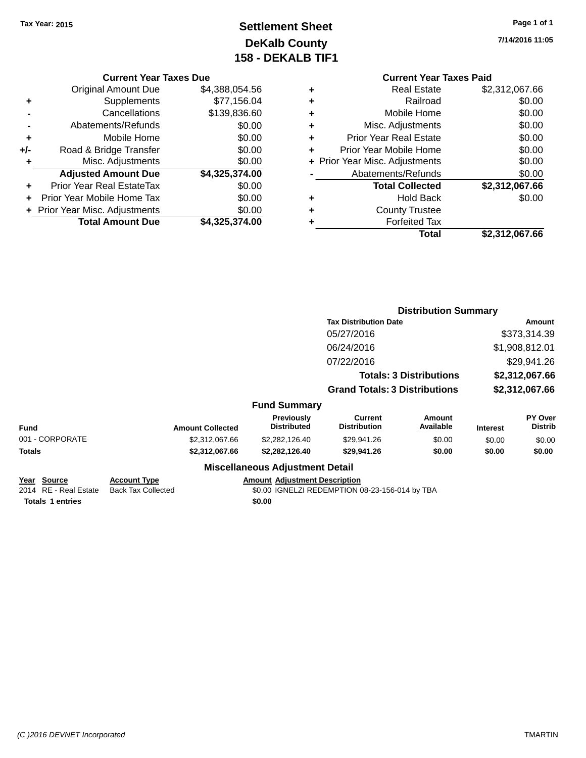### **Settlement Sheet Tax Year: 2015 Page 1 of 1 DeKalb County 158 - DEKALB TIF1**

**7/14/2016 11:05**

#### **Current Year Taxes Due**

|       | <b>Original Amount Due</b>       | \$4,388,054.56 |
|-------|----------------------------------|----------------|
| ٠     | Supplements                      | \$77,156.04    |
|       | Cancellations                    | \$139,836.60   |
|       | Abatements/Refunds               | \$0.00         |
| ٠     | Mobile Home                      | \$0.00         |
| $+/-$ | Road & Bridge Transfer           | \$0.00         |
| ٠     | Misc. Adjustments                | \$0.00         |
|       | <b>Adjusted Amount Due</b>       | \$4,325,374.00 |
| ÷     | <b>Prior Year Real EstateTax</b> | \$0.00         |
|       | Prior Year Mobile Home Tax       | \$0.00         |
|       | + Prior Year Misc. Adjustments   | \$0.00         |
|       | <b>Total Amount Due</b>          | \$4,325,374.00 |

#### **Current Year Taxes Paid +** Real Estate \$2,312,067.66 **+** Railroad \$0.00 **+** Mobile Home \$0.00 **+** Misc. Adjustments \$0.00 **+** Prior Year Real Estate \$0.00 **+** Prior Year Mobile Home \$0.00 **+ Prior Year Misc. Adjustments**  $$0.00$ **-** Abatements/Refunds \$0.00 **Total Collected \$2,312,067.66 +** Hold Back \$0.00 **+** County Trustee **+** Forfeited Tax **Total \$2,312,067.66**

|                                              |                                                  |                                         | <b>Distribution Summary</b>                    |                                |                 |                           |
|----------------------------------------------|--------------------------------------------------|-----------------------------------------|------------------------------------------------|--------------------------------|-----------------|---------------------------|
|                                              |                                                  |                                         | <b>Tax Distribution Date</b>                   |                                | Amount          |                           |
|                                              |                                                  |                                         | 05/27/2016                                     |                                |                 | \$373,314.39              |
|                                              |                                                  |                                         | 06/24/2016                                     |                                |                 | \$1,908,812.01            |
|                                              |                                                  |                                         | 07/22/2016                                     |                                |                 | \$29,941.26               |
|                                              |                                                  |                                         |                                                | <b>Totals: 3 Distributions</b> |                 | \$2,312,067.66            |
|                                              |                                                  |                                         | <b>Grand Totals: 3 Distributions</b>           |                                |                 | \$2,312,067.66            |
|                                              |                                                  | <b>Fund Summary</b>                     |                                                |                                |                 |                           |
| Fund                                         | <b>Amount Collected</b>                          | <b>Previously</b><br><b>Distributed</b> | Current<br><b>Distribution</b>                 | Amount<br>Available            | <b>Interest</b> | PY Over<br><b>Distrib</b> |
| 001 - CORPORATE                              | \$2,312,067.66                                   | \$2,282,126.40                          | \$29,941.26                                    | \$0.00                         | \$0.00          | \$0.00                    |
| Totals                                       | \$2,312,067.66                                   | \$2,282,126.40                          | \$29,941.26                                    | \$0.00                         | \$0.00          | \$0.00                    |
|                                              |                                                  | <b>Miscellaneous Adjustment Detail</b>  |                                                |                                |                 |                           |
| <u> Year Source</u><br>2014 RE - Real Estate | <b>Account Type</b><br><b>Back Tax Collected</b> | <b>Amount Adjustment Description</b>    | \$0.00 IGNELZI REDEMPTION 08-23-156-014 by TBA |                                |                 |                           |

**Totals 1 entries** \$0.00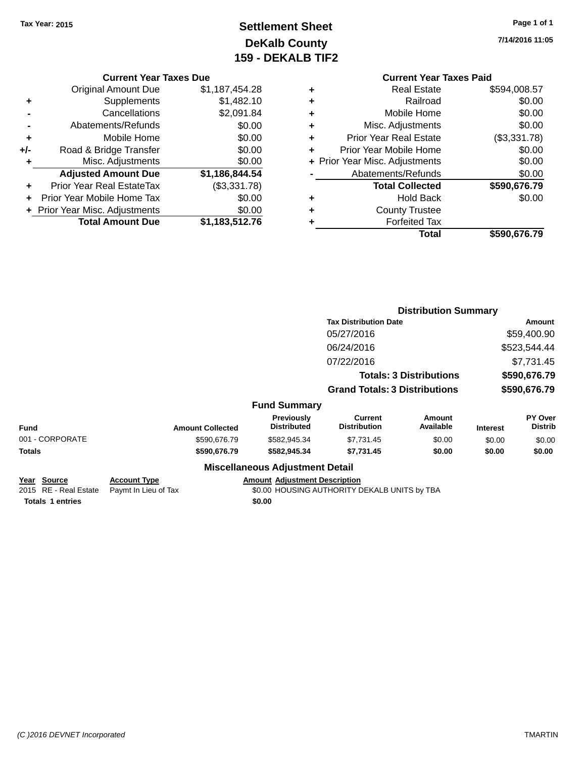### **Settlement Sheet Tax Year: 2015 Page 1 of 1 DeKalb County 159 - DEKALB TIF2**

**7/14/2016 11:05**

### **Current Year Taxes Due**

|       | <b>Original Amount Due</b>     | \$1,187,454.28 |
|-------|--------------------------------|----------------|
| ٠     | Supplements                    | \$1,482.10     |
|       | Cancellations                  | \$2,091.84     |
|       | Abatements/Refunds             | \$0.00         |
| ٠     | Mobile Home                    | \$0.00         |
| $+/-$ | Road & Bridge Transfer         | \$0.00         |
| ٠     | Misc. Adjustments              | \$0.00         |
|       | <b>Adjusted Amount Due</b>     | \$1,186,844.54 |
|       | Prior Year Real EstateTax      | (\$3,331.78)   |
|       | Prior Year Mobile Home Tax     | \$0.00         |
|       | + Prior Year Misc. Adjustments | \$0.00         |
|       | <b>Total Amount Due</b>        | \$1,183,512.76 |

#### **Current Year Taxes Paid +** Real Estate \$594,008.57

|   | Total                          | \$590,676.79        |
|---|--------------------------------|---------------------|
| ٠ | <b>Forfeited Tax</b>           |                     |
| ٠ | <b>County Trustee</b>          |                     |
| ٠ | <b>Hold Back</b>               | \$0.00              |
|   | <b>Total Collected</b>         | \$590,676.79        |
|   | Abatements/Refunds             | \$0.00              |
|   | + Prior Year Misc. Adjustments | \$0.00              |
| ٠ | Prior Year Mobile Home         | \$0.00              |
| ٠ | <b>Prior Year Real Estate</b>  | (\$3,331.78)        |
| ٠ | Misc. Adjustments              | \$0.00              |
| ٠ | Mobile Home                    | \$0.00              |
| ٠ | Railroad                       | \$0.00              |
|   | Redi Esidie                    | JUY4,UU0.J <i>I</i> |

|                                      |                                             |                                        | <b>Distribution Summary</b>                  |                                |                 |                           |
|--------------------------------------|---------------------------------------------|----------------------------------------|----------------------------------------------|--------------------------------|-----------------|---------------------------|
|                                      |                                             |                                        | <b>Tax Distribution Date</b>                 |                                |                 | <b>Amount</b>             |
|                                      |                                             |                                        | 05/27/2016                                   |                                |                 | \$59,400.90               |
|                                      |                                             |                                        | 06/24/2016                                   |                                |                 | \$523,544.44              |
|                                      |                                             |                                        | 07/22/2016                                   |                                |                 | \$7,731.45                |
|                                      |                                             |                                        |                                              | <b>Totals: 3 Distributions</b> |                 | \$590,676.79              |
|                                      |                                             |                                        | <b>Grand Totals: 3 Distributions</b>         |                                |                 | \$590,676.79              |
|                                      |                                             | <b>Fund Summary</b>                    |                                              |                                |                 |                           |
| <b>Fund</b>                          | <b>Amount Collected</b>                     | Previously<br><b>Distributed</b>       | <b>Current</b><br><b>Distribution</b>        | Amount<br>Available            | <b>Interest</b> | PY Over<br><b>Distrib</b> |
| 001 - CORPORATE                      | \$590,676.79                                | \$582,945.34                           | \$7,731.45                                   | \$0.00                         | \$0.00          | \$0.00                    |
| <b>Totals</b>                        | \$590,676.79                                | \$582,945.34                           | \$7,731.45                                   | \$0.00                         | \$0.00          | \$0.00                    |
|                                      |                                             | <b>Miscellaneous Adjustment Detail</b> |                                              |                                |                 |                           |
| Year Source<br>2015 RE - Real Estate | <b>Account Type</b><br>Paymt In Lieu of Tax | <b>Amount Adjustment Description</b>   | \$0.00 HOUSING AUTHORITY DEKALB UNITS by TBA |                                |                 |                           |
|                                      |                                             |                                        |                                              |                                |                 |                           |

**Totals 1 entries** \$0.00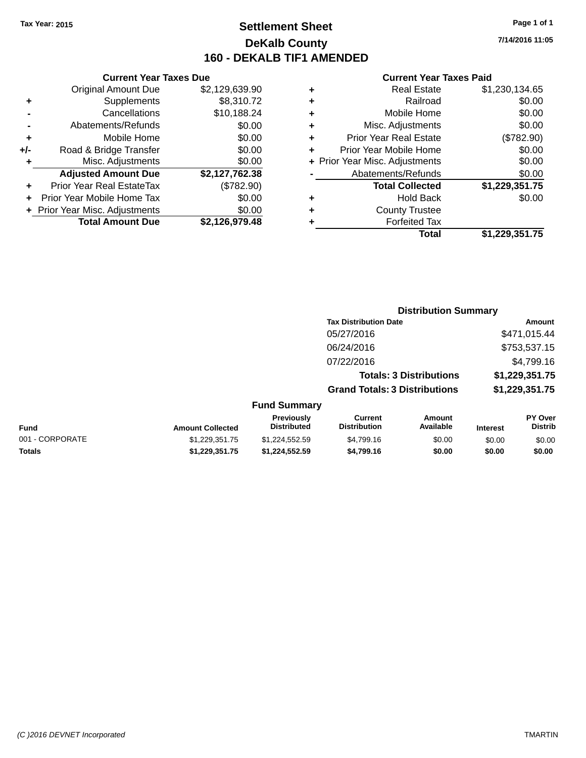### **Settlement Sheet Tax Year: 2015 Page 1 of 1 DeKalb County 160 - DEKALB TIF1 AMENDED**

**7/14/2016 11:05**

#### **Current Year Taxes Paid**

|     | <b>Current Year Taxes Due</b>  |                |
|-----|--------------------------------|----------------|
|     | <b>Original Amount Due</b>     | \$2,129,639.90 |
| ٠   | Supplements                    | \$8,310.72     |
|     | Cancellations                  | \$10,188.24    |
|     | Abatements/Refunds             | \$0.00         |
| ٠   | Mobile Home                    | \$0.00         |
| +/- | Road & Bridge Transfer         | \$0.00         |
| ٠   | Misc. Adjustments              | \$0.00         |
|     | <b>Adjusted Amount Due</b>     | \$2,127,762.38 |
| ٠   | Prior Year Real EstateTax      | (\$782.90)     |
| ÷   | Prior Year Mobile Home Tax     | \$0.00         |
|     | + Prior Year Misc. Adjustments | \$0.00         |
|     | <b>Total Amount Due</b>        | \$2,126,979.48 |

| ٠ | <b>Real Estate</b>             | \$1,230,134.65 |
|---|--------------------------------|----------------|
| ٠ | Railroad                       | \$0.00         |
| ٠ | Mobile Home                    | \$0.00         |
| ٠ | Misc. Adjustments              | \$0.00         |
| ٠ | <b>Prior Year Real Estate</b>  | (\$782.90)     |
| ÷ | Prior Year Mobile Home         | \$0.00         |
|   | + Prior Year Misc. Adjustments | \$0.00         |
|   | Abatements/Refunds             | \$0.00         |
|   | <b>Total Collected</b>         | \$1,229,351.75 |
| ٠ | <b>Hold Back</b>               | \$0.00         |
| ٠ | <b>County Trustee</b>          |                |
| ٠ | <b>Forfeited Tax</b>           |                |
|   | <b>Total</b>                   | \$1,229,351.75 |
|   |                                |                |

|                 |                         | <b>Distribution Summary</b>             |                                       |                                |          |                                  |  |
|-----------------|-------------------------|-----------------------------------------|---------------------------------------|--------------------------------|----------|----------------------------------|--|
|                 |                         |                                         | <b>Tax Distribution Date</b>          |                                |          | Amount                           |  |
|                 |                         |                                         | 05/27/2016                            |                                |          | \$471,015.44                     |  |
|                 |                         |                                         | 06/24/2016                            |                                |          | \$753,537.15                     |  |
|                 |                         |                                         | 07/22/2016                            |                                |          | \$4,799.16                       |  |
|                 |                         |                                         |                                       | <b>Totals: 3 Distributions</b> |          | \$1,229,351.75                   |  |
|                 |                         |                                         | <b>Grand Totals: 3 Distributions</b>  |                                |          | \$1,229,351.75                   |  |
|                 |                         | <b>Fund Summary</b>                     |                                       |                                |          |                                  |  |
| Fund            | <b>Amount Collected</b> | <b>Previously</b><br><b>Distributed</b> | <b>Current</b><br><b>Distribution</b> | Amount<br>Available            | Interest | <b>PY Over</b><br><b>Distrib</b> |  |
| 001 - CORPORATE | \$1,229,351.75          | \$1,224,552.59                          | \$4,799.16                            | \$0.00                         | \$0.00   | \$0.00                           |  |

**Totals \$1,229,351.75 \$1,224,552.59 \$4,799.16 \$0.00 \$0.00 \$0.00**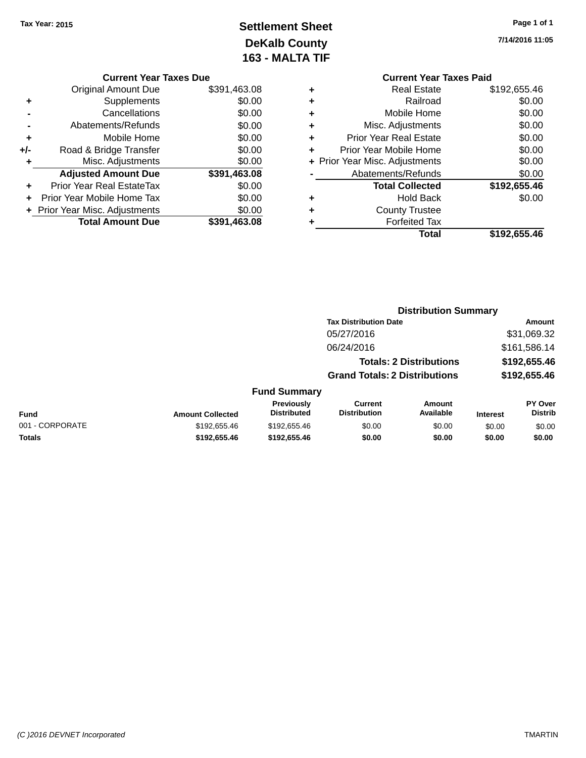## **Settlement Sheet Tax Year: 2015 Page 1 of 1 DeKalb County 163 - MALTA TIF**

**7/14/2016 11:05**

|   | <b>Current Year Taxes Due</b> |              |  |
|---|-------------------------------|--------------|--|
|   | <b>Original Amount Due</b>    | \$391,463.08 |  |
| ٠ | Supplements                   | \$0.00       |  |
|   |                               |              |  |

|     | Cancellations                  | \$0.00       |
|-----|--------------------------------|--------------|
|     | Abatements/Refunds             | \$0.00       |
| ٠   | Mobile Home                    | \$0.00       |
| +/- | Road & Bridge Transfer         | \$0.00       |
| ÷   | Misc. Adjustments              | \$0.00       |
|     |                                |              |
|     | <b>Adjusted Amount Due</b>     | \$391,463.08 |
|     | Prior Year Real EstateTax      | \$0.00       |
|     | Prior Year Mobile Home Tax     | \$0.00       |
|     | + Prior Year Misc. Adjustments | \$0.00       |

|   | <b>Current Year Taxes Paid</b> |              |
|---|--------------------------------|--------------|
| ٠ | <b>Real Estate</b>             | \$192,655.46 |
|   | Railroad                       | \$0.00       |
| ٠ | Mobile Home                    | \$0.00       |
|   | Misc. Adjustments              | \$0.00       |
| ٠ | <b>Prior Year Real Estate</b>  | \$0.00       |
| ٠ | Prior Year Mobile Home         | \$0.00       |
|   | + Prior Year Misc. Adjustments | \$0.00       |
|   | Abatements/Refunds             | \$0.00       |
|   | <b>Total Collected</b>         | \$192,655.46 |
|   | <b>Hold Back</b>               | \$0.00       |
|   | <b>County Trustee</b>          |              |
|   | <b>Forfeited Tax</b>           |              |
|   | Total                          | \$192,655.46 |

|                 |                         |                                  | <b>Distribution Summary</b>           |                                |                 |                           |
|-----------------|-------------------------|----------------------------------|---------------------------------------|--------------------------------|-----------------|---------------------------|
|                 |                         |                                  | <b>Tax Distribution Date</b>          |                                |                 | <b>Amount</b>             |
|                 |                         |                                  | 05/27/2016                            |                                |                 | \$31,069.32               |
|                 |                         |                                  | 06/24/2016                            |                                |                 | \$161,586.14              |
|                 |                         |                                  |                                       | <b>Totals: 2 Distributions</b> |                 | \$192,655.46              |
|                 |                         |                                  | <b>Grand Totals: 2 Distributions</b>  |                                |                 | \$192,655.46              |
|                 |                         | <b>Fund Summary</b>              |                                       |                                |                 |                           |
| <b>Fund</b>     | <b>Amount Collected</b> | Previously<br><b>Distributed</b> | <b>Current</b><br><b>Distribution</b> | <b>Amount</b><br>Available     | <b>Interest</b> | PY Over<br><b>Distrib</b> |
| 001 - CORPORATE | \$192,655.46            | \$192,655.46                     | \$0.00                                | \$0.00                         | \$0.00          | \$0.00                    |
| <b>Totals</b>   | \$192,655.46            | \$192,655.46                     | \$0.00                                | \$0.00                         | \$0.00          | \$0.00                    |
|                 |                         |                                  |                                       |                                |                 |                           |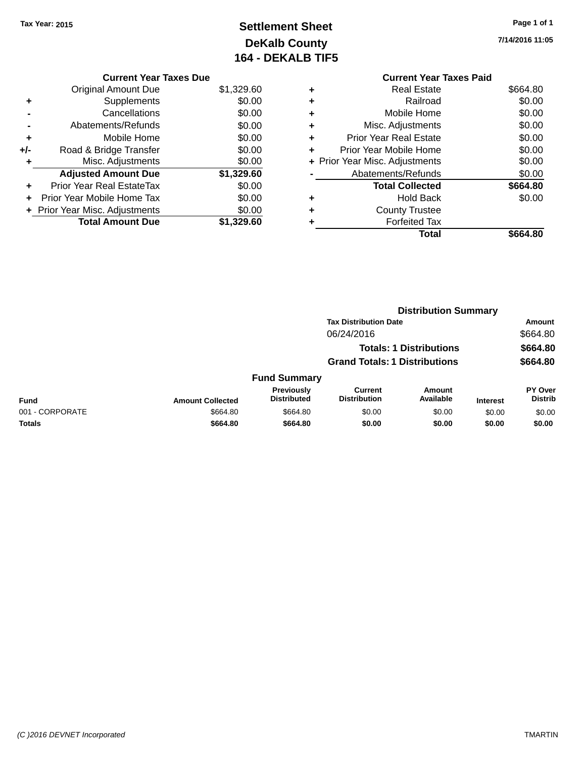## **Settlement Sheet Tax Year: 2015 Page 1 of 1 DeKalb County 164 - DEKALB TIF5**

**7/14/2016 11:05**

|   | <b>Current Year Taxes Paid</b> |          |
|---|--------------------------------|----------|
| ٠ | Real Estate                    | \$664.80 |
| ٠ | Railroad                       | \$0.00   |
| ٠ | Mobile Home                    | \$0.00   |
| ٠ | Misc. Adjustments              | \$0.00   |
| ٠ | <b>Prior Year Real Estate</b>  | \$0.00   |
| ÷ | Prior Year Mobile Home         | \$0.00   |
|   | + Prior Year Misc. Adjustments | \$0.00   |
|   | Abatements/Refunds             | \$0.00   |
|   | <b>Total Collected</b>         | \$664.80 |
| ٠ | <b>Hold Back</b>               | \$0.00   |
|   | <b>County Trustee</b>          |          |
| ٠ | <b>Forfeited Tax</b>           |          |
|   | Total                          | \$664.80 |
|   |                                |          |

|     | <b>Current Year Taxes Due</b>  |            |
|-----|--------------------------------|------------|
|     | <b>Original Amount Due</b>     | \$1,329.60 |
| ٠   | Supplements                    | \$0.00     |
|     | Cancellations                  | \$0.00     |
|     | Abatements/Refunds             | \$0.00     |
| ٠   | Mobile Home                    | \$0.00     |
| +/- | Road & Bridge Transfer         | \$0.00     |
| ٠   | Misc. Adjustments              | \$0.00     |
|     | <b>Adjusted Amount Due</b>     | \$1,329.60 |
|     | Prior Year Real EstateTax      | \$0.00     |
|     | Prior Year Mobile Home Tax     | \$0.00     |
|     | + Prior Year Misc. Adjustments | \$0.00     |
|     | <b>Total Amount Due</b>        | \$1.329.60 |
|     |                                |            |

|                 |                         |                                         | <b>Distribution Summary</b>           |                                |                 |                           |  |
|-----------------|-------------------------|-----------------------------------------|---------------------------------------|--------------------------------|-----------------|---------------------------|--|
|                 |                         |                                         | <b>Tax Distribution Date</b>          |                                |                 | Amount                    |  |
|                 |                         |                                         | 06/24/2016                            |                                |                 | \$664.80                  |  |
|                 |                         |                                         |                                       | <b>Totals: 1 Distributions</b> |                 | \$664.80                  |  |
|                 |                         |                                         | <b>Grand Totals: 1 Distributions</b>  |                                |                 | \$664.80                  |  |
|                 |                         | <b>Fund Summary</b>                     |                                       |                                |                 |                           |  |
| Fund            | <b>Amount Collected</b> | <b>Previously</b><br><b>Distributed</b> | <b>Current</b><br><b>Distribution</b> | Amount<br>Available            | <b>Interest</b> | PY Over<br><b>Distrib</b> |  |
| 001 - CORPORATE | \$664.80                | \$664.80                                | \$0.00                                | \$0.00                         | \$0.00          | \$0.00                    |  |
| <b>Totals</b>   | \$664.80                | \$664.80                                | \$0.00                                | \$0.00                         | \$0.00          | \$0.00                    |  |
|                 |                         |                                         |                                       |                                |                 |                           |  |

#### *(C )2016 DEVNET Incorporated* TMARTIN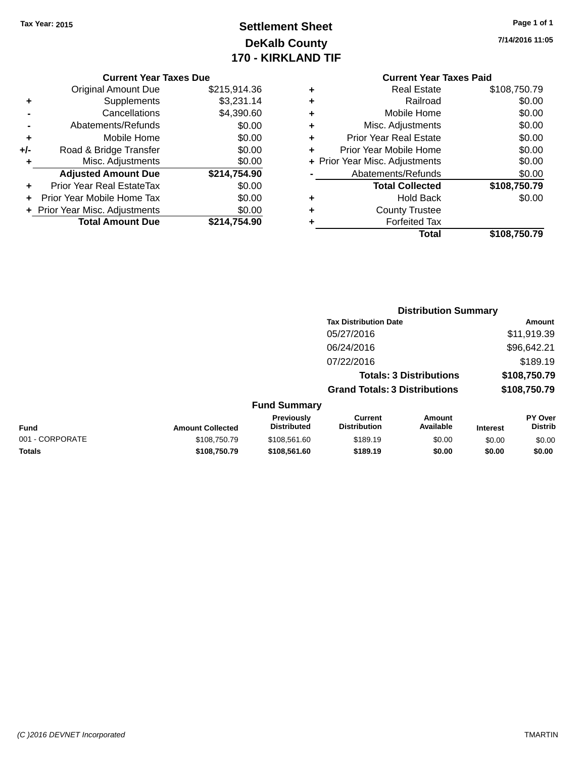## **Settlement Sheet Tax Year: 2015 Page 1 of 1 DeKalb County 170 - KIRKLAND TIF**

**7/14/2016 11:05**

### **Current Year Taxes Paid**

|     | <b>Current Year Taxes Due</b>  |              |
|-----|--------------------------------|--------------|
|     | Original Amount Due            | \$215,914.36 |
| ٠   | Supplements                    | \$3,231.14   |
|     | Cancellations                  | \$4,390.60   |
|     | Abatements/Refunds             | \$0.00       |
| ٠   | Mobile Home                    | \$0.00       |
| +/- | Road & Bridge Transfer         | \$0.00       |
| ٠   | Misc. Adjustments              | \$0.00       |
|     | <b>Adjusted Amount Due</b>     | \$214,754.90 |
| ٠   | Prior Year Real EstateTax      | \$0.00       |
| ÷   | Prior Year Mobile Home Tax     | \$0.00       |
|     | + Prior Year Misc. Adjustments | \$0.00       |
|     | <b>Total Amount Due</b>        | \$214.754.90 |
|     |                                |              |

|   | <b>Real Estate</b>             | \$108,750.79 |
|---|--------------------------------|--------------|
| ٠ | Railroad                       | \$0.00       |
| ٠ | Mobile Home                    | \$0.00       |
| ٠ | Misc. Adjustments              | \$0.00       |
| ٠ | <b>Prior Year Real Estate</b>  | \$0.00       |
| ٠ | Prior Year Mobile Home         | \$0.00       |
|   | + Prior Year Misc. Adjustments | \$0.00       |
|   | Abatements/Refunds             | \$0.00       |
|   | <b>Total Collected</b>         | \$108,750.79 |
| ٠ | <b>Hold Back</b>               | \$0.00       |
| ٠ | <b>County Trustee</b>          |              |
|   | <b>Forfeited Tax</b>           |              |
|   | Total                          | \$108,750.79 |
|   |                                |              |

|                 |                         |                                  |                                      | <b>Distribution Summary</b>    |                 |                                  |
|-----------------|-------------------------|----------------------------------|--------------------------------------|--------------------------------|-----------------|----------------------------------|
|                 |                         |                                  | <b>Tax Distribution Date</b>         |                                |                 | Amount                           |
|                 |                         |                                  | 05/27/2016                           |                                |                 | \$11,919.39                      |
|                 |                         |                                  | 06/24/2016                           |                                |                 | \$96,642.21                      |
|                 |                         |                                  | 07/22/2016                           |                                |                 | \$189.19                         |
|                 |                         |                                  |                                      | <b>Totals: 3 Distributions</b> |                 | \$108,750.79                     |
|                 |                         |                                  | <b>Grand Totals: 3 Distributions</b> |                                |                 | \$108,750.79                     |
|                 |                         | <b>Fund Summary</b>              |                                      |                                |                 |                                  |
| <b>Fund</b>     | <b>Amount Collected</b> | Previously<br><b>Distributed</b> | Current<br><b>Distribution</b>       | Amount<br>Available            | <b>Interest</b> | <b>PY Over</b><br><b>Distrib</b> |
| 001 - CORPORATE | \$108,750.79            | \$108.561.60                     | \$189.19                             | \$0.00                         | \$0.00          | \$0.00                           |

**Totals \$108,750.79 \$108,561.60 \$189.19 \$0.00 \$0.00 \$0.00**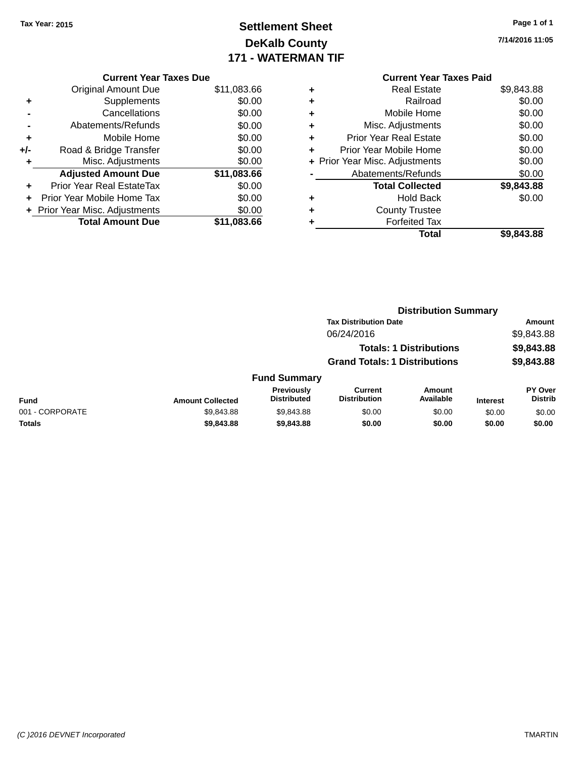### **Settlement Sheet Tax Year: 2015 Page 1 of 1 DeKalb County 171 - WATERMAN TIF**

**7/14/2016 11:05**

| \$11,083.66 |
|-------------|
|             |
|             |
|             |
|             |
|             |
|             |
|             |
| \$11,083.66 |
|             |
|             |
|             |
|             |
|             |

### **Current Year Taxes Paid +** Real Estate \$9,843.88 **+** Railroad \$0.00 **+** Mobile Home \$0.00 **+** Misc. Adjustments \$0.00 **+** Prior Year Real Estate \$0.00 **+** Prior Year Mobile Home \$0.00<br> **+** Prior Year Misc. Adjustments \$0.00 **+ Prior Year Misc. Adjustments -** Abatements/Refunds \$0.00

|   | <b>Total Collected</b> | \$9,843.88 |
|---|------------------------|------------|
| ٠ | <b>Hold Back</b>       | \$0.00     |
| ٠ | <b>County Trustee</b>  |            |
| ٠ | <b>Forfeited Tax</b>   |            |
|   | Total                  | \$9,843.88 |
|   |                        |            |

|                 |                         | <b>Distribution Summary</b>             |                                       |                                |                 |                           |
|-----------------|-------------------------|-----------------------------------------|---------------------------------------|--------------------------------|-----------------|---------------------------|
|                 |                         |                                         | <b>Tax Distribution Date</b>          |                                |                 | <b>Amount</b>             |
|                 |                         |                                         | 06/24/2016                            |                                |                 | \$9,843.88                |
|                 |                         |                                         |                                       | <b>Totals: 1 Distributions</b> |                 | \$9,843.88                |
|                 |                         |                                         | <b>Grand Totals: 1 Distributions</b>  |                                |                 | \$9,843.88                |
|                 |                         | <b>Fund Summary</b>                     |                                       |                                |                 |                           |
| <b>Fund</b>     | <b>Amount Collected</b> | <b>Previously</b><br><b>Distributed</b> | <b>Current</b><br><b>Distribution</b> | Amount<br>Available            | <b>Interest</b> | PY Over<br><b>Distrib</b> |
| 001 - CORPORATE | \$9,843.88              | \$9,843.88                              | \$0.00                                | \$0.00                         | \$0.00          | \$0.00                    |
| <b>Totals</b>   | \$9,843.88              | \$9,843.88                              | \$0.00                                | \$0.00                         | \$0.00          | \$0.00                    |
|                 |                         |                                         |                                       |                                |                 |                           |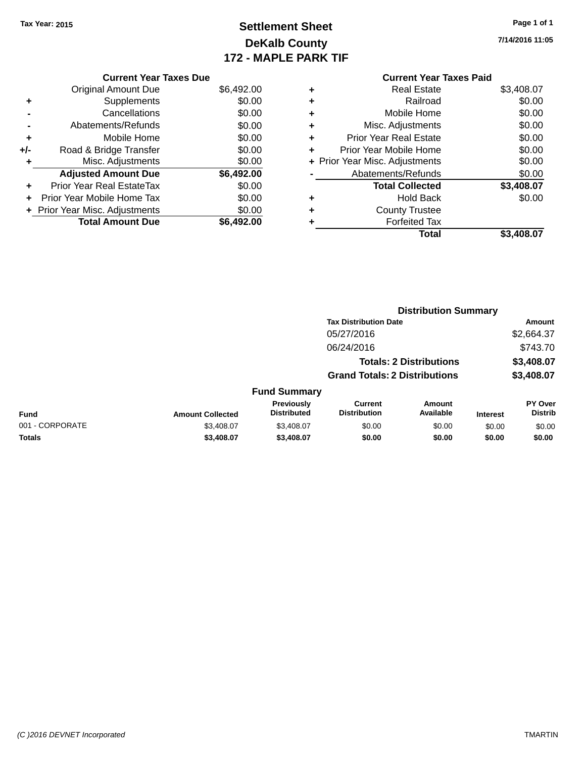### **Settlement Sheet Tax Year: 2015 Page 1 of 1 DeKalb County 172 - MAPLE PARK TIF**

**7/14/2016 11:05**

# **Current Year Taxes Paid +** Real Estate \$3,408.07

|   | Total                          | \$3,408.07 |
|---|--------------------------------|------------|
|   | <b>Forfeited Tax</b>           |            |
| ÷ | <b>County Trustee</b>          |            |
| ٠ | <b>Hold Back</b>               | \$0.00     |
|   | <b>Total Collected</b>         | \$3,408.07 |
|   | Abatements/Refunds             | \$0.00     |
|   | + Prior Year Misc. Adjustments | \$0.00     |
|   | Prior Year Mobile Home         | \$0.00     |
| ٠ | <b>Prior Year Real Estate</b>  | \$0.00     |
| ٠ | Misc. Adjustments              | \$0.00     |
| ÷ | Mobile Home                    | \$0.00     |
|   | Railroad                       | \$0.00     |

|                 |                         |                                  |                                       | <b>Distribution Summary</b>    |                 |                           |
|-----------------|-------------------------|----------------------------------|---------------------------------------|--------------------------------|-----------------|---------------------------|
|                 |                         |                                  | <b>Tax Distribution Date</b>          |                                |                 | Amount                    |
|                 |                         |                                  | 05/27/2016                            |                                |                 | \$2,664.37                |
|                 |                         |                                  | 06/24/2016                            |                                |                 | \$743.70                  |
|                 |                         |                                  |                                       | <b>Totals: 2 Distributions</b> |                 | \$3,408.07                |
|                 |                         |                                  | <b>Grand Totals: 2 Distributions</b>  |                                |                 | \$3,408.07                |
|                 |                         | <b>Fund Summary</b>              |                                       |                                |                 |                           |
| <b>Fund</b>     | <b>Amount Collected</b> | Previously<br><b>Distributed</b> | <b>Current</b><br><b>Distribution</b> | Amount<br>Available            | <b>Interest</b> | PY Over<br><b>Distrib</b> |
| 001 - CORPORATE | \$3,408.07              | \$3,408.07                       | \$0.00                                | \$0.00                         | \$0.00          | \$0.00                    |
| <b>Totals</b>   | \$3,408,07              | \$3,408,07                       | \$0.00                                | \$0.00                         | \$0.00          | \$0.00                    |

|     |                                | 172 - M    |
|-----|--------------------------------|------------|
|     | <b>Current Year Taxes Due</b>  |            |
|     | <b>Original Amount Due</b>     | \$6,492.00 |
| ٠   | Supplements                    | \$0.00     |
|     | Cancellations                  | \$0.00     |
|     | Abatements/Refunds             | \$0.00     |
| ٠   | Mobile Home                    | \$0.00     |
| +/- | Road & Bridge Transfer         | \$0.00     |
| ٠   | Misc. Adjustments              | \$0.00     |
|     | <b>Adjusted Amount Due</b>     | \$6,492.00 |
| ٠   | Prior Year Real EstateTax      | \$0.00     |
| ÷   | Prior Year Mobile Home Tax     | \$0.00     |
|     | + Prior Year Misc. Adjustments | \$0.00     |
|     | <b>Total Amount Due</b>        | \$6,492.00 |
|     |                                |            |
|     |                                |            |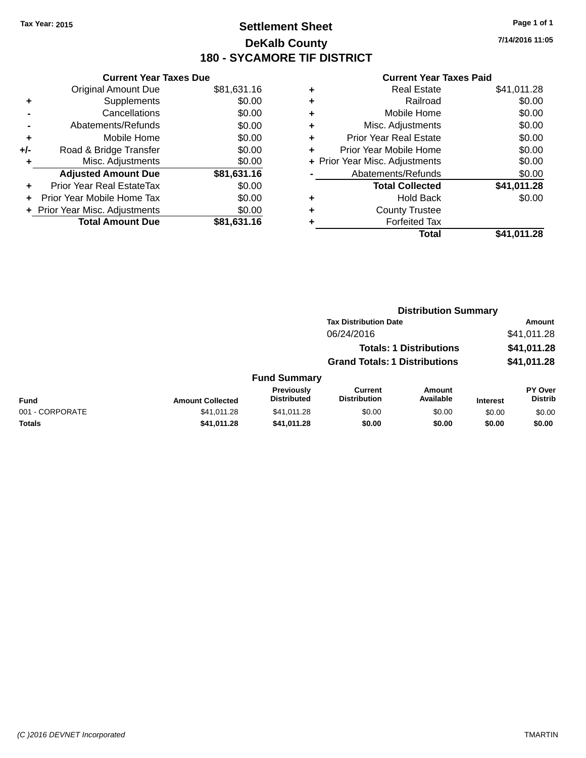### **Settlement Sheet Tax Year: 2015 Page 1 of 1 DeKalb County 180 - SYCAMORE TIF DISTRICT**

**7/14/2016 11:05**

|       | <b>Current Year Taxes Due</b>  |             |
|-------|--------------------------------|-------------|
|       | <b>Original Amount Due</b>     | \$81,631.16 |
| ٠     | Supplements                    | \$0.00      |
|       | Cancellations                  | \$0.00      |
|       | Abatements/Refunds             | \$0.00      |
| ٠     | Mobile Home                    | \$0.00      |
| $+/-$ | Road & Bridge Transfer         | \$0.00      |
|       | Misc. Adjustments              | \$0.00      |
|       | <b>Adjusted Amount Due</b>     | \$81,631.16 |
| ÷     | Prior Year Real EstateTax      | \$0.00      |
| ÷     | Prior Year Mobile Home Tax     | \$0.00      |
|       | + Prior Year Misc. Adjustments | \$0.00      |
|       | <b>Total Amount Due</b>        | \$81.631.16 |

|   | <b>Real Estate</b>             | \$41,011.28 |
|---|--------------------------------|-------------|
| ٠ | Railroad                       | \$0.00      |
| ٠ | Mobile Home                    | \$0.00      |
| ٠ | Misc. Adjustments              | \$0.00      |
| ٠ | <b>Prior Year Real Estate</b>  | \$0.00      |
| ٠ | Prior Year Mobile Home         | \$0.00      |
|   | + Prior Year Misc. Adjustments | \$0.00      |
|   | Abatements/Refunds             | \$0.00      |
|   | <b>Total Collected</b>         | \$41,011.28 |
| ٠ | <b>Hold Back</b>               | \$0.00      |
| ٠ | <b>County Trustee</b>          |             |
| ٠ | <b>Forfeited Tax</b>           |             |
|   | Total                          | \$41,011.28 |
|   |                                |             |

|                 |                         |                                         | <b>Distribution Summary</b>           |                            |                 |                                  |
|-----------------|-------------------------|-----------------------------------------|---------------------------------------|----------------------------|-----------------|----------------------------------|
|                 |                         |                                         | <b>Tax Distribution Date</b>          |                            | Amount          |                                  |
|                 | 06/24/2016              |                                         |                                       | \$41,011.28                |                 |                                  |
|                 |                         |                                         | <b>Totals: 1 Distributions</b>        | \$41,011.28<br>\$41,011.28 |                 |                                  |
|                 |                         |                                         | <b>Grand Totals: 1 Distributions</b>  |                            |                 |                                  |
|                 |                         | <b>Fund Summary</b>                     |                                       |                            |                 |                                  |
| <b>Fund</b>     | <b>Amount Collected</b> | <b>Previously</b><br><b>Distributed</b> | <b>Current</b><br><b>Distribution</b> | <b>Amount</b><br>Available | <b>Interest</b> | <b>PY Over</b><br><b>Distrib</b> |
| 001 - CORPORATE | \$41.011.28             | \$41,011.28                             | \$0.00                                | \$0.00                     | \$0.00          | \$0.00                           |
| <b>Totals</b>   | \$41,011.28             | \$41,011.28                             | \$0.00                                | \$0.00                     | \$0.00          | \$0.00                           |
|                 |                         |                                         |                                       |                            |                 |                                  |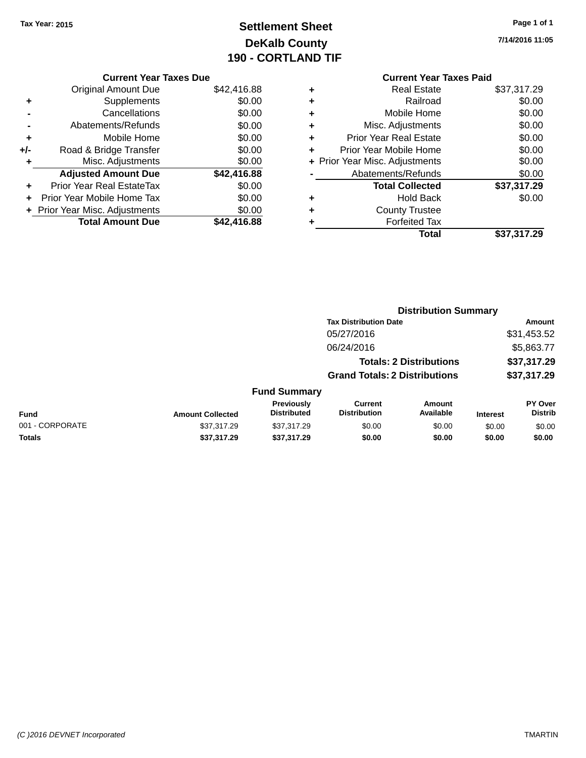# **Settlement Sheet Tax Year: 2015 Page 1 of 1 DeKalb County 190 - CORTLAND TIF**

**7/14/2016 11:05**

|     | <b>Current Year Taxes Due</b>  |             |
|-----|--------------------------------|-------------|
|     | <b>Original Amount Due</b>     | \$42,416.88 |
| ٠   | Supplements                    | \$0.00      |
|     | Cancellations                  | \$0.00      |
|     | Abatements/Refunds             | \$0.00      |
| ٠   | Mobile Home                    | \$0.00      |
| +/- | Road & Bridge Transfer         | \$0.00      |
| ٠   | Misc. Adjustments              | \$0.00      |
|     | <b>Adjusted Amount Due</b>     | \$42,416.88 |
| ٠   | Prior Year Real EstateTax      | \$0.00      |
|     | Prior Year Mobile Home Tax     | \$0.00      |
|     | + Prior Year Misc. Adjustments | \$0.00      |
|     | <b>Total Amount Due</b>        | \$42,416.88 |
|     |                                |             |

#### **Current Year Taxes Paid +** Real Estate \$37,317.29

|   | Total                          | \$37,317.29 |
|---|--------------------------------|-------------|
|   | <b>Forfeited Tax</b>           |             |
| ٠ | <b>County Trustee</b>          |             |
| ٠ | <b>Hold Back</b>               | \$0.00      |
|   | <b>Total Collected</b>         | \$37,317.29 |
|   | Abatements/Refunds             | \$0.00      |
|   | + Prior Year Misc. Adjustments | \$0.00      |
| ÷ | Prior Year Mobile Home         | \$0.00      |
| ٠ | <b>Prior Year Real Estate</b>  | \$0.00      |
| ÷ | Misc. Adjustments              | \$0.00      |
| ÷ | Mobile Home                    | \$0.00      |
| ÷ | Railroad                       | \$0.00      |
| ٠ | Real Estate                    | \$37.JTT.ZY |

|                 |                         |                                         | <b>Distribution Summary</b>           |                                |                 |                                  |
|-----------------|-------------------------|-----------------------------------------|---------------------------------------|--------------------------------|-----------------|----------------------------------|
|                 |                         |                                         | <b>Tax Distribution Date</b>          |                                |                 | <b>Amount</b>                    |
|                 |                         |                                         | 05/27/2016                            |                                |                 | \$31,453.52                      |
|                 |                         |                                         | 06/24/2016                            |                                |                 | \$5,863.77                       |
|                 |                         |                                         |                                       | <b>Totals: 2 Distributions</b> |                 | \$37,317.29                      |
|                 |                         |                                         | <b>Grand Totals: 2 Distributions</b>  |                                |                 | \$37,317.29                      |
|                 |                         | <b>Fund Summary</b>                     |                                       |                                |                 |                                  |
| <b>Fund</b>     | <b>Amount Collected</b> | <b>Previously</b><br><b>Distributed</b> | <b>Current</b><br><b>Distribution</b> | Amount<br>Available            | <b>Interest</b> | <b>PY Over</b><br><b>Distrib</b> |
| 001 - CORPORATE | \$37,317.29             | \$37,317.29                             | \$0.00                                | \$0.00                         | \$0.00          | \$0.00                           |
| <b>Totals</b>   | \$37,317.29             | \$37,317.29                             | \$0.00                                | \$0.00                         | \$0.00          | \$0.00                           |
|                 |                         |                                         |                                       |                                |                 |                                  |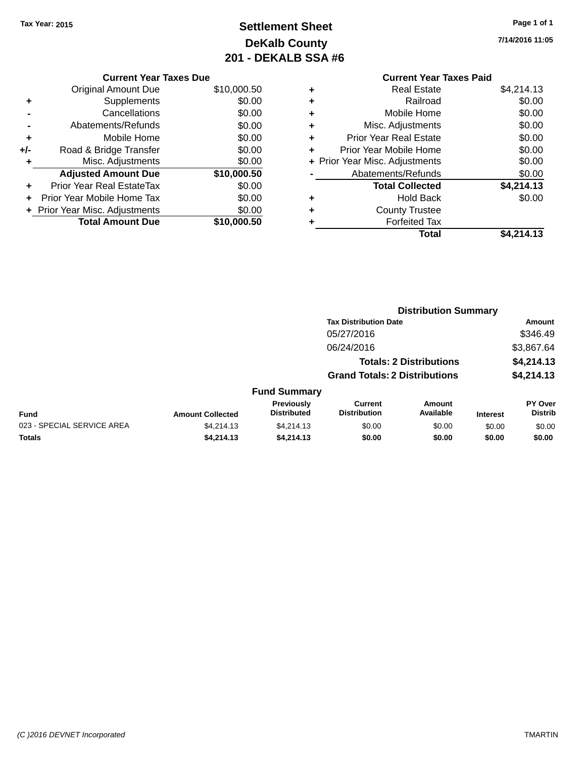# **Settlement Sheet Tax Year: 2015 Page 1 of 1 DeKalb County 201 - DEKALB SSA #6**

**7/14/2016 11:05**

### **Current Year Taxes Paid +** Real Estate \$4,214.13 **+** Railroad \$0.00 **+** Mobile Home \$0.00 **+** Misc. Adjustments \$0.00 **+** Prior Year Real Estate \$0.00 **+** Prior Year Mobile Home \$0.00 **+ Prior Year Misc. Adjustments**  $$0.00$ **-** Abatements/Refunds \$0.00 **Total Collected \$4,214.13 +** Hold Back \$0.00 **+** County Trustee **+** Forfeited Tax **Total \$4,214.13**

|     | <b>Current Year Taxes Due</b>    |             |
|-----|----------------------------------|-------------|
|     | <b>Original Amount Due</b>       | \$10,000.50 |
| ٠   | Supplements                      | \$0.00      |
|     | Cancellations                    | \$0.00      |
|     | Abatements/Refunds               | \$0.00      |
| ٠   | Mobile Home                      | \$0.00      |
| +/- | Road & Bridge Transfer           | \$0.00      |
| ٠   | Misc. Adjustments                | \$0.00      |
|     | <b>Adjusted Amount Due</b>       | \$10,000.50 |
|     | <b>Prior Year Real EstateTax</b> | \$0.00      |
|     | Prior Year Mobile Home Tax       | \$0.00      |
|     | + Prior Year Misc. Adjustments   | \$0.00      |
|     | <b>Total Amount Due</b>          | \$10.000.50 |
|     |                                  |             |

|                            |                         |                                  | <b>Distribution Summary</b>           |                                |                 |                                  |
|----------------------------|-------------------------|----------------------------------|---------------------------------------|--------------------------------|-----------------|----------------------------------|
|                            |                         |                                  | <b>Tax Distribution Date</b>          |                                |                 | <b>Amount</b>                    |
|                            |                         |                                  | 05/27/2016                            |                                |                 | \$346.49                         |
|                            |                         |                                  | 06/24/2016                            |                                |                 | \$3,867.64                       |
|                            |                         |                                  |                                       | <b>Totals: 2 Distributions</b> |                 | \$4,214.13                       |
|                            |                         |                                  | <b>Grand Totals: 2 Distributions</b>  |                                |                 | \$4,214.13                       |
|                            |                         | <b>Fund Summary</b>              |                                       |                                |                 |                                  |
| <b>Fund</b>                | <b>Amount Collected</b> | Previously<br><b>Distributed</b> | <b>Current</b><br><b>Distribution</b> | Amount<br>Available            | <b>Interest</b> | <b>PY Over</b><br><b>Distrib</b> |
| 023 - SPECIAL SERVICE AREA | \$4,214.13              | \$4,214.13                       | \$0.00                                | \$0.00                         | \$0.00          | \$0.00                           |
| Totals                     | \$4,214.13              | \$4,214.13                       | \$0.00                                | \$0.00                         | \$0.00          | \$0.00                           |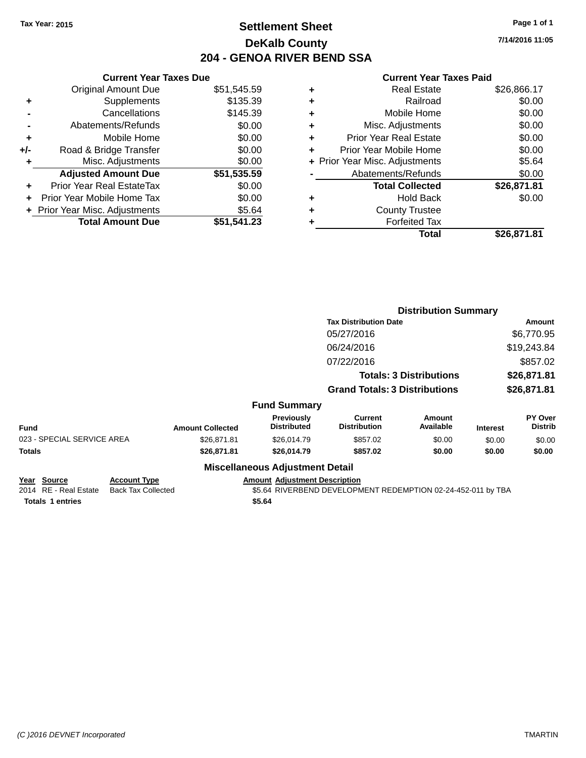**Current Year Taxes Due** Original Amount Due \$51,545.59

**Adjusted Amount Due \$51,535.59**

**Total Amount Due \$51,541.23**

**+** Supplements \$135.39 **-** Cancellations \$145.39 **-** Abatements/Refunds \$0.00 **+** Mobile Home \$0.00 **+/-** Road & Bridge Transfer \$0.00 **+** Misc. Adjustments \$0.00

**+** Prior Year Real EstateTax \$0.00 **+** Prior Year Mobile Home Tax \$0.00 **+** Prior Year Misc. Adjustments \$5.64

## **Settlement Sheet Tax Year: 2015 Page 1 of 1 DeKalb County 204 - GENOA RIVER BEND SSA**

**Current Year Taxes Paid**

|   | OUITUR TUUT TUAUJ LUIU         |             |
|---|--------------------------------|-------------|
| ٠ | <b>Real Estate</b>             | \$26,866.17 |
| ٠ | Railroad                       | \$0.00      |
| ٠ | Mobile Home                    | \$0.00      |
| ٠ | Misc. Adjustments              | \$0.00      |
| ٠ | <b>Prior Year Real Estate</b>  | \$0.00      |
| ٠ | Prior Year Mobile Home         | \$0.00      |
|   | + Prior Year Misc. Adjustments | \$5.64      |
|   | Abatements/Refunds             | \$0.00      |
|   | <b>Total Collected</b>         | \$26,871.81 |
| ٠ | <b>Hold Back</b>               | \$0.00      |
| ٠ | <b>County Trustee</b>          |             |
|   | <b>Forfeited Tax</b>           |             |
|   | Total                          | \$26.871.81 |
|   |                                |             |

|                                                                 |                                                  |                         |                                                |                                                              | <b>Distribution Summary</b>    |                 |                                  |
|-----------------------------------------------------------------|--------------------------------------------------|-------------------------|------------------------------------------------|--------------------------------------------------------------|--------------------------------|-----------------|----------------------------------|
|                                                                 |                                                  |                         |                                                | <b>Tax Distribution Date</b>                                 |                                |                 | Amount                           |
|                                                                 |                                                  |                         |                                                | 05/27/2016                                                   |                                |                 | \$6,770.95                       |
|                                                                 |                                                  |                         |                                                | 06/24/2016                                                   |                                |                 | \$19,243.84                      |
|                                                                 |                                                  |                         |                                                | 07/22/2016                                                   |                                |                 | \$857.02                         |
|                                                                 |                                                  |                         |                                                |                                                              | <b>Totals: 3 Distributions</b> |                 | \$26,871.81                      |
|                                                                 |                                                  |                         |                                                | <b>Grand Totals: 3 Distributions</b>                         |                                |                 | \$26,871.81                      |
|                                                                 |                                                  |                         | <b>Fund Summary</b>                            |                                                              |                                |                 |                                  |
| <b>Fund</b>                                                     |                                                  | <b>Amount Collected</b> | Previously<br><b>Distributed</b>               | <b>Current</b><br><b>Distribution</b>                        | Amount<br>Available            | <b>Interest</b> | <b>PY Over</b><br><b>Distrib</b> |
| 023 - SPECIAL SERVICE AREA                                      |                                                  | \$26,871.81             | \$26,014.79                                    | \$857.02                                                     | \$0.00                         | \$0.00          | \$0.00                           |
| <b>Totals</b>                                                   |                                                  | \$26,871.81             | \$26,014.79                                    | \$857.02                                                     | \$0.00                         | \$0.00          | \$0.00                           |
|                                                                 |                                                  |                         | <b>Miscellaneous Adjustment Detail</b>         |                                                              |                                |                 |                                  |
| Year Source<br>2014 RE - Real Estate<br><b>Totals 1 entries</b> | <b>Account Type</b><br><b>Back Tax Collected</b> |                         | <b>Amount Adjustment Description</b><br>\$5.64 | \$5.64 RIVERBEND DEVELOPMENT REDEMPTION 02-24-452-011 by TBA |                                |                 |                                  |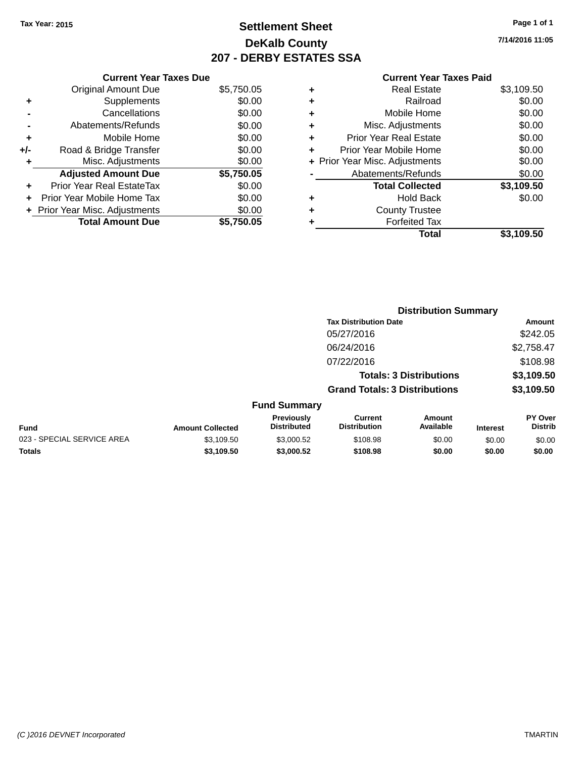## **Settlement Sheet Tax Year: 2015 Page 1 of 1 DeKalb County 207 - DERBY ESTATES SSA**

**7/14/2016 11:05**

|     | <b>Current Year Taxes Due</b>  |            |
|-----|--------------------------------|------------|
|     | <b>Original Amount Due</b>     | \$5,750.05 |
| ÷   | Supplements                    | \$0.00     |
|     | Cancellations                  | \$0.00     |
|     | Abatements/Refunds             | \$0.00     |
| ٠   | Mobile Home                    | \$0.00     |
| +/- | Road & Bridge Transfer         | \$0.00     |
| ٠   | Misc. Adjustments              | \$0.00     |
|     | <b>Adjusted Amount Due</b>     | \$5,750.05 |
| ÷   | Prior Year Real EstateTax      | \$0.00     |
| ÷   | Prior Year Mobile Home Tax     | \$0.00     |
|     | + Prior Year Misc. Adjustments | \$0.00     |
|     | <b>Total Amount Due</b>        | \$5.750.05 |

|   | <b>Real Estate</b>             | \$3,109.50 |
|---|--------------------------------|------------|
| ٠ | Railroad                       | \$0.00     |
| ٠ | Mobile Home                    | \$0.00     |
| ٠ | Misc. Adjustments              | \$0.00     |
| ٠ | <b>Prior Year Real Estate</b>  | \$0.00     |
| ٠ | Prior Year Mobile Home         | \$0.00     |
|   | + Prior Year Misc. Adjustments | \$0.00     |
|   | Abatements/Refunds             | \$0.00     |
|   | <b>Total Collected</b>         | \$3,109.50 |
| ٠ | <b>Hold Back</b>               | \$0.00     |
| ٠ | <b>County Trustee</b>          |            |
| ٠ | <b>Forfeited Tax</b>           |            |
|   | Total                          | \$3,109.50 |
|   |                                |            |

|                            |                         |                                  |                                      | <b>Distribution Summary</b>    |                 |                           |
|----------------------------|-------------------------|----------------------------------|--------------------------------------|--------------------------------|-----------------|---------------------------|
|                            |                         |                                  | <b>Tax Distribution Date</b>         |                                |                 | Amount                    |
|                            |                         |                                  | 05/27/2016                           |                                |                 | \$242.05                  |
|                            |                         |                                  | 06/24/2016                           |                                |                 | \$2,758.47                |
|                            |                         |                                  | 07/22/2016                           |                                |                 | \$108.98                  |
|                            |                         |                                  |                                      | <b>Totals: 3 Distributions</b> |                 | \$3,109.50                |
|                            |                         |                                  | <b>Grand Totals: 3 Distributions</b> |                                |                 | \$3,109.50                |
|                            |                         | <b>Fund Summary</b>              |                                      |                                |                 |                           |
| <b>Fund</b>                | <b>Amount Collected</b> | Previously<br><b>Distributed</b> | Current<br><b>Distribution</b>       | <b>Amount</b><br>Available     | <b>Interest</b> | PY Over<br><b>Distrib</b> |
| 023 - SPECIAL SERVICE AREA | \$3,109.50              | \$3,000.52                       | \$108.98                             | \$0.00                         | \$0.00          | \$0.00                    |
| <b>Totals</b>              | \$3,109.50              | \$3,000.52                       | \$108.98                             | \$0.00                         | \$0.00          | \$0.00                    |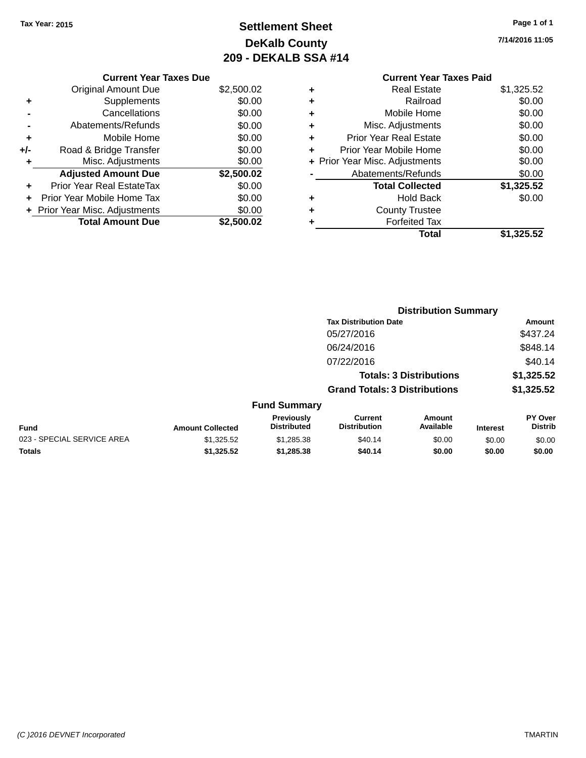# **Settlement Sheet Tax Year: 2015 Page 1 of 1 DeKalb County 209 - DEKALB SSA #14**

**7/14/2016 11:05**

|     | <b>Current Year Taxes Due</b>    |            |
|-----|----------------------------------|------------|
|     | <b>Original Amount Due</b>       | \$2,500.02 |
| ٠   | Supplements                      | \$0.00     |
|     | Cancellations                    | \$0.00     |
|     | Abatements/Refunds               | \$0.00     |
| ٠   | Mobile Home                      | \$0.00     |
| +/- | Road & Bridge Transfer           | \$0.00     |
|     | Misc. Adjustments                | \$0.00     |
|     | <b>Adjusted Amount Due</b>       | \$2,500.02 |
| ٠   | <b>Prior Year Real EstateTax</b> | \$0.00     |
| ÷   | Prior Year Mobile Home Tax       | \$0.00     |
|     | + Prior Year Misc. Adjustments   | \$0.00     |
|     | <b>Total Amount Due</b>          | \$2.500.02 |
|     |                                  |            |

### **Current Year Taxes Paid +** Real Estate \$1,325.52

| Ŧ | NGAI CSIAIG                    | ےن.ن∠ت,⊤ت  |
|---|--------------------------------|------------|
| ÷ | Railroad                       | \$0.00     |
| ÷ | Mobile Home                    | \$0.00     |
| ٠ | Misc. Adjustments              | \$0.00     |
| ٠ | <b>Prior Year Real Estate</b>  | \$0.00     |
| ٠ | Prior Year Mobile Home         | \$0.00     |
|   | + Prior Year Misc. Adjustments | \$0.00     |
|   | Abatements/Refunds             | \$0.00     |
|   | <b>Total Collected</b>         | \$1,325.52 |
| ٠ | <b>Hold Back</b>               | \$0.00     |
| ÷ | <b>County Trustee</b>          |            |
| ٠ | <b>Forfeited Tax</b>           |            |
|   | Total                          | \$1,325.52 |
|   |                                |            |

|                            |                         |                                  |                                       | <b>Distribution Summary</b>    |                 |                                  |
|----------------------------|-------------------------|----------------------------------|---------------------------------------|--------------------------------|-----------------|----------------------------------|
|                            |                         |                                  | <b>Tax Distribution Date</b>          |                                |                 | Amount                           |
|                            |                         |                                  | 05/27/2016                            |                                |                 | \$437.24                         |
|                            |                         |                                  | 06/24/2016                            |                                |                 | \$848.14                         |
|                            |                         |                                  | 07/22/2016                            |                                |                 | \$40.14                          |
|                            |                         |                                  |                                       | <b>Totals: 3 Distributions</b> |                 | \$1,325.52                       |
|                            |                         |                                  | <b>Grand Totals: 3 Distributions</b>  |                                |                 | \$1,325.52                       |
|                            |                         | <b>Fund Summary</b>              |                                       |                                |                 |                                  |
| <b>Fund</b>                | <b>Amount Collected</b> | Previously<br><b>Distributed</b> | <b>Current</b><br><b>Distribution</b> | Amount<br>Available            | <b>Interest</b> | <b>PY Over</b><br><b>Distrib</b> |
| 023 - SPECIAL SERVICE AREA | \$1,325.52              | \$1,285.38                       | \$40.14                               | \$0.00                         | \$0.00          | \$0.00                           |
| <b>Totals</b>              | \$1,325.52              | \$1,285.38                       | \$40.14                               | \$0.00                         | \$0.00          | \$0.00                           |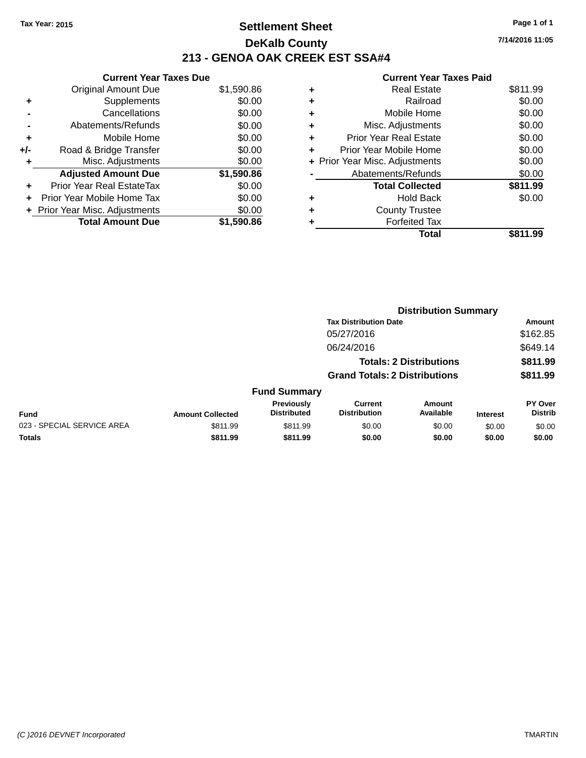## **Settlement Sheet Tax Year: 2015 Page 1 of 1 DeKalb County 213 - GENOA OAK CREEK EST SSA#4**

**7/14/2016 11:05**

|     | <b>Current Year Taxes Due</b>  |            |
|-----|--------------------------------|------------|
|     | <b>Original Amount Due</b>     | \$1,590.86 |
|     | Supplements                    | \$0.00     |
|     | Cancellations                  | \$0.00     |
|     | Abatements/Refunds             | \$0.00     |
| ٠   | Mobile Home                    | \$0.00     |
| +/- | Road & Bridge Transfer         | \$0.00     |
|     | Misc. Adjustments              | \$0.00     |
|     | <b>Adjusted Amount Due</b>     | \$1,590.86 |
| ٠   | Prior Year Real EstateTax      | \$0.00     |
|     | Prior Year Mobile Home Tax     | \$0.00     |
|     | + Prior Year Misc. Adjustments | \$0.00     |
|     | <b>Total Amount Due</b>        | \$1,590.86 |
|     |                                |            |

| ٠ | <b>Real Estate</b>             | \$811.99 |
|---|--------------------------------|----------|
| ٠ | Railroad                       | \$0.00   |
| ٠ | Mobile Home                    | \$0.00   |
| ٠ | Misc. Adjustments              | \$0.00   |
| ٠ | <b>Prior Year Real Estate</b>  | \$0.00   |
| ÷ | Prior Year Mobile Home         | \$0.00   |
|   | + Prior Year Misc. Adjustments | \$0.00   |
|   | Abatements/Refunds             | \$0.00   |
|   | <b>Total Collected</b>         | \$811.99 |
| ٠ | <b>Hold Back</b>               | \$0.00   |
| ٠ | <b>County Trustee</b>          |          |
| ٠ | <b>Forfeited Tax</b>           |          |
|   | Total                          | \$811.99 |
|   |                                |          |

|                            |                         |                                  |                                       | <b>Distribution Summary</b>    |                 |                                  |
|----------------------------|-------------------------|----------------------------------|---------------------------------------|--------------------------------|-----------------|----------------------------------|
|                            |                         |                                  | <b>Tax Distribution Date</b>          |                                |                 | Amount                           |
|                            |                         |                                  | 05/27/2016                            |                                |                 | \$162.85                         |
|                            |                         |                                  | 06/24/2016                            |                                |                 | \$649.14                         |
|                            |                         |                                  |                                       | <b>Totals: 2 Distributions</b> |                 | \$811.99                         |
|                            |                         |                                  | <b>Grand Totals: 2 Distributions</b>  |                                |                 | \$811.99                         |
|                            |                         | <b>Fund Summary</b>              |                                       |                                |                 |                                  |
| <b>Fund</b>                | <b>Amount Collected</b> | Previously<br><b>Distributed</b> | <b>Current</b><br><b>Distribution</b> | Amount<br>Available            | <b>Interest</b> | <b>PY Over</b><br><b>Distrib</b> |
| 023 - SPECIAL SERVICE AREA | \$811.99                | \$811.99                         | \$0.00                                | \$0.00                         | \$0.00          | \$0.00                           |
| <b>Totals</b>              | \$811.99                | \$811.99                         | \$0.00                                | \$0.00                         | \$0.00          | \$0.00                           |
|                            |                         |                                  |                                       |                                |                 |                                  |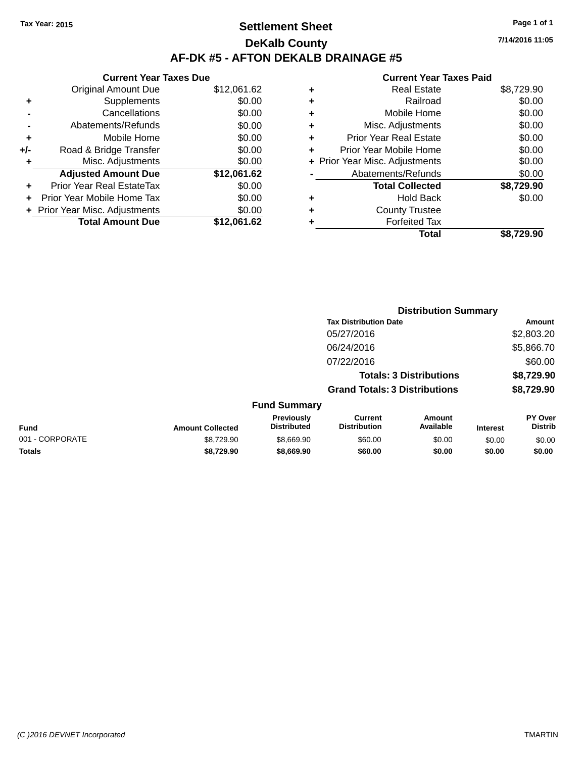## **Settlement Sheet Tax Year: 2015 Page 1 of 1 DeKalb County AF-DK #5 - AFTON DEKALB DRAINAGE #5**

|     | <b>Current Year Taxes Due</b>  |             |
|-----|--------------------------------|-------------|
|     | <b>Original Amount Due</b>     | \$12,061.62 |
| ٠   | Supplements                    | \$0.00      |
|     | Cancellations                  | \$0.00      |
|     | Abatements/Refunds             | \$0.00      |
| ٠   | Mobile Home                    | \$0.00      |
| +/- | Road & Bridge Transfer         | \$0.00      |
| ٠   | Misc. Adjustments              | \$0.00      |
|     | <b>Adjusted Amount Due</b>     | \$12,061.62 |
| ٠   | Prior Year Real EstateTax      | \$0.00      |
|     | Prior Year Mobile Home Tax     | \$0.00      |
|     | + Prior Year Misc. Adjustments | \$0.00      |
|     | <b>Total Amount Due</b>        | \$12,061.62 |

#### **Current Year Taxes Paid**

|   | <b>Real Estate</b>             | \$8,729.90 |
|---|--------------------------------|------------|
| ٠ | Railroad                       | \$0.00     |
| ٠ | Mobile Home                    | \$0.00     |
| ٠ | Misc. Adjustments              | \$0.00     |
| ٠ | <b>Prior Year Real Estate</b>  | \$0.00     |
| ٠ | Prior Year Mobile Home         | \$0.00     |
|   | + Prior Year Misc. Adjustments | \$0.00     |
|   | Abatements/Refunds             | \$0.00     |
|   | <b>Total Collected</b>         | \$8,729.90 |
| ۰ | <b>Hold Back</b>               | \$0.00     |
| ٠ | <b>County Trustee</b>          |            |
|   | <b>Forfeited Tax</b>           |            |
|   | Total                          | \$8.729.90 |
|   |                                |            |

|                 |                         |                                         |                                       | <b>Distribution Summary</b>    |                 |                                  |
|-----------------|-------------------------|-----------------------------------------|---------------------------------------|--------------------------------|-----------------|----------------------------------|
|                 |                         |                                         | <b>Tax Distribution Date</b>          |                                |                 | Amount                           |
|                 |                         |                                         | 05/27/2016                            |                                |                 | \$2,803.20                       |
|                 |                         |                                         | 06/24/2016                            |                                |                 | \$5,866.70                       |
|                 |                         |                                         | 07/22/2016                            |                                |                 | \$60.00                          |
|                 |                         |                                         |                                       | <b>Totals: 3 Distributions</b> |                 | \$8,729.90                       |
|                 |                         |                                         | <b>Grand Totals: 3 Distributions</b>  |                                |                 | \$8,729.90                       |
|                 |                         | <b>Fund Summary</b>                     |                                       |                                |                 |                                  |
| <b>Fund</b>     | <b>Amount Collected</b> | <b>Previously</b><br><b>Distributed</b> | <b>Current</b><br><b>Distribution</b> | Amount<br>Available            | <b>Interest</b> | <b>PY Over</b><br><b>Distrib</b> |
| 001 - CORPORATE | \$8,729.90              | \$8,669.90                              | \$60.00                               | \$0.00                         | \$0.00          | \$0.00                           |
| <b>Totals</b>   | \$8,729.90              | \$8,669.90                              | \$60.00                               | \$0.00                         | \$0.00          | \$0.00                           |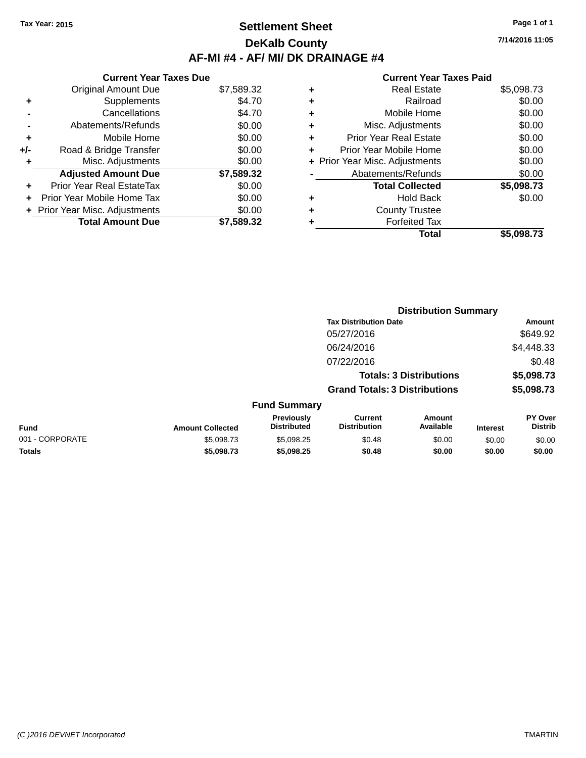### **Settlement Sheet Tax Year: 2015 Page 1 of 1 DeKalb County AF-MI #4 - AF/ MI/ DK DRAINAGE #4**

| <b>Current Year Taxes Due</b>  |            |
|--------------------------------|------------|
| <b>Original Amount Due</b>     | \$7,589.32 |
| Supplements                    | \$4.70     |
| Cancellations                  | \$4.70     |
| Abatements/Refunds             | \$0.00     |
| Mobile Home                    | \$0.00     |
| Road & Bridge Transfer         | \$0.00     |
| Misc. Adjustments              | \$0.00     |
| <b>Adjusted Amount Due</b>     | \$7,589.32 |
| Prior Year Real EstateTax      | \$0.00     |
| Prior Year Mobile Home Tax     | \$0.00     |
| + Prior Year Misc. Adjustments | \$0.00     |
| <b>Total Amount Due</b>        | \$7,589.32 |
|                                |            |

#### **Current Year Taxes Paid**

|   | <b>Real Estate</b>             | \$5,098.73 |
|---|--------------------------------|------------|
| ٠ | Railroad                       | \$0.00     |
| ٠ | Mobile Home                    | \$0.00     |
| ٠ | Misc. Adjustments              | \$0.00     |
| ٠ | <b>Prior Year Real Estate</b>  | \$0.00     |
| ٠ | Prior Year Mobile Home         | \$0.00     |
|   | + Prior Year Misc. Adjustments | \$0.00     |
|   | Abatements/Refunds             | \$0.00     |
|   | <b>Total Collected</b>         | \$5,098.73 |
| ٠ | <b>Hold Back</b>               | \$0.00     |
| ٠ | <b>County Trustee</b>          |            |
|   | <b>Forfeited Tax</b>           |            |
|   | Total                          | \$5.098.73 |
|   |                                |            |

|                 |                         |                                  |                                       | <b>Distribution Summary</b>    |                 |                                  |
|-----------------|-------------------------|----------------------------------|---------------------------------------|--------------------------------|-----------------|----------------------------------|
|                 |                         |                                  | <b>Tax Distribution Date</b>          |                                |                 | <b>Amount</b>                    |
|                 |                         |                                  | 05/27/2016                            |                                |                 | \$649.92                         |
|                 |                         |                                  | 06/24/2016                            |                                |                 | \$4,448.33                       |
|                 |                         |                                  | 07/22/2016                            |                                |                 | \$0.48                           |
|                 |                         |                                  |                                       | <b>Totals: 3 Distributions</b> |                 | \$5,098.73                       |
|                 |                         |                                  | <b>Grand Totals: 3 Distributions</b>  |                                |                 | \$5,098.73                       |
|                 |                         | <b>Fund Summary</b>              |                                       |                                |                 |                                  |
| Fund            | <b>Amount Collected</b> | Previously<br><b>Distributed</b> | <b>Current</b><br><b>Distribution</b> | Amount<br>Available            | <b>Interest</b> | <b>PY Over</b><br><b>Distrib</b> |
| 001 - CORPORATE | \$5,098.73              | \$5,098.25                       | \$0.48                                | \$0.00                         | \$0.00          | \$0.00                           |
|                 |                         |                                  |                                       |                                |                 |                                  |

**Totals \$5,098.73 \$5,098.25 \$0.48 \$0.00 \$0.00 \$0.00**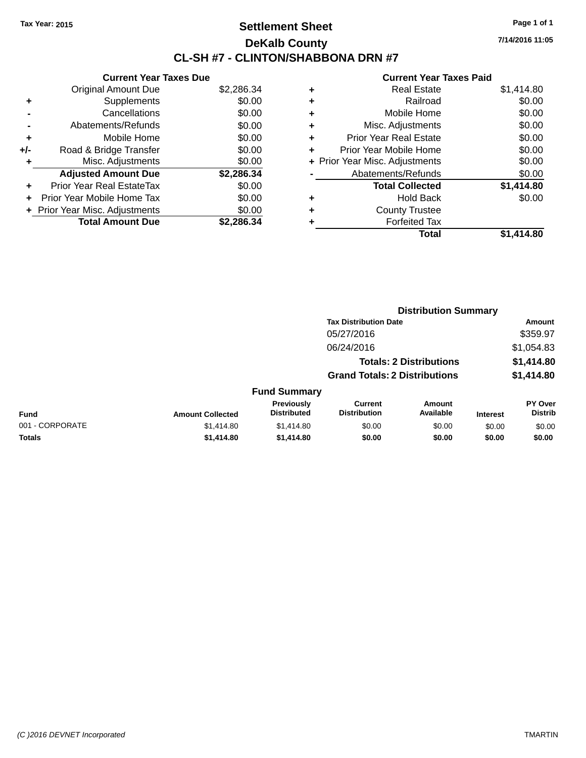## **Settlement Sheet Tax Year: 2015 Page 1 of 1 DeKalb County CL-SH #7 - CLINTON/SHABBONA DRN #7**

**7/14/2016 11:05**

| <b>Current Year Taxes Due</b> |            |
|-------------------------------|------------|
| <b>Original Amount Due</b>    | \$2,286.34 |
| Supplements                   | \$0.00     |
| Cancellations                 | \$0.00     |
| Abatements/Refunds            | \$0.00     |
| Mobile Home                   | \$0.00     |
| Road & Bridge Transfer        | \$0.00     |
| Misc. Adjustments             | \$0.00     |
| <b>Adjusted Amount Due</b>    | \$2,286.34 |
| Prior Year Real EstateTax     | \$0.00     |
| Prior Year Mobile Home Tax    | \$0.00     |
| Prior Year Misc. Adjustments  | \$0.00     |
| <b>Total Amount Due</b>       | \$2.286.34 |
|                               |            |

|   | <b>Real Estate</b>             | \$1,414.80 |
|---|--------------------------------|------------|
| ٠ | Railroad                       | \$0.00     |
| ٠ | Mobile Home                    | \$0.00     |
| ٠ | Misc. Adjustments              | \$0.00     |
| ٠ | <b>Prior Year Real Estate</b>  | \$0.00     |
| ٠ | Prior Year Mobile Home         | \$0.00     |
|   | + Prior Year Misc. Adjustments | \$0.00     |
|   | Abatements/Refunds             | \$0.00     |
|   | <b>Total Collected</b>         | \$1,414.80 |
| ٠ | <b>Hold Back</b>               | \$0.00     |
| ٠ | <b>County Trustee</b>          |            |
| ٠ | <b>Forfeited Tax</b>           |            |
|   | Total                          | \$1,414.80 |
|   |                                |            |

|                 |                         |                                  |                                       | <b>Distribution Summary</b>    |                 |                                  |
|-----------------|-------------------------|----------------------------------|---------------------------------------|--------------------------------|-----------------|----------------------------------|
|                 |                         |                                  | <b>Tax Distribution Date</b>          |                                |                 | Amount                           |
|                 |                         |                                  | 05/27/2016                            |                                |                 | \$359.97                         |
|                 |                         |                                  | 06/24/2016                            |                                |                 | \$1,054.83                       |
|                 |                         |                                  |                                       | <b>Totals: 2 Distributions</b> |                 | \$1,414.80                       |
|                 |                         |                                  | <b>Grand Totals: 2 Distributions</b>  |                                |                 | \$1,414.80                       |
|                 |                         | <b>Fund Summary</b>              |                                       |                                |                 |                                  |
| Fund            | <b>Amount Collected</b> | Previously<br><b>Distributed</b> | <b>Current</b><br><b>Distribution</b> | Amount<br>Available            | <b>Interest</b> | <b>PY Over</b><br><b>Distrib</b> |
| 001 - CORPORATE | \$1,414.80              | \$1,414.80                       | \$0.00                                | \$0.00                         | \$0.00          | \$0.00                           |
| <b>Totals</b>   | \$1,414.80              | \$1,414.80                       | \$0.00                                | \$0.00                         | \$0.00          | \$0.00                           |
|                 |                         |                                  |                                       |                                |                 |                                  |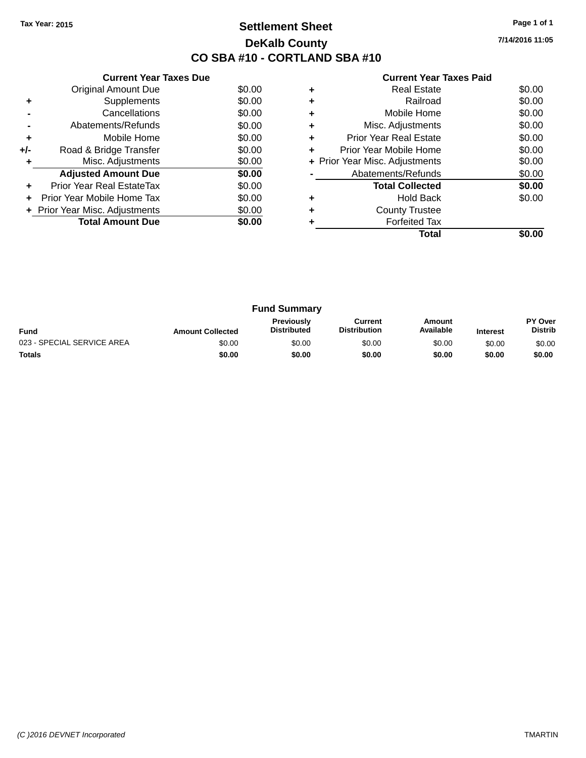## **Settlement Sheet Tax Year: 2015 Page 1 of 1 DeKalb County CO SBA #10 - CORTLAND SBA #10**

**7/14/2016 11:05**

|     | <b>Current Year Taxes Due</b>  |        |
|-----|--------------------------------|--------|
|     | <b>Original Amount Due</b>     | \$0.00 |
| ٠   | Supplements                    | \$0.00 |
|     | Cancellations                  | \$0.00 |
|     | Abatements/Refunds             | \$0.00 |
| ٠   | Mobile Home                    | \$0.00 |
| +/- | Road & Bridge Transfer         | \$0.00 |
| ٠   | Misc. Adjustments              | \$0.00 |
|     | <b>Adjusted Amount Due</b>     | \$0.00 |
| ÷   | Prior Year Real EstateTax      | \$0.00 |
| ÷   | Prior Year Mobile Home Tax     | \$0.00 |
|     | + Prior Year Misc. Adjustments | \$0.00 |
|     | <b>Total Amount Due</b>        | \$0.00 |
|     |                                |        |

|   | <b>Real Estate</b>             | \$0.00 |
|---|--------------------------------|--------|
|   | Railroad                       | \$0.00 |
| ٠ | Mobile Home                    | \$0.00 |
| ٠ | Misc. Adjustments              | \$0.00 |
| ٠ | Prior Year Real Estate         | \$0.00 |
| ٠ | Prior Year Mobile Home         | \$0.00 |
|   | + Prior Year Misc. Adjustments | \$0.00 |
|   | Abatements/Refunds             | \$0.00 |
|   | <b>Total Collected</b>         | \$0.00 |
|   | <b>Hold Back</b>               | \$0.00 |
|   | <b>County Trustee</b>          |        |
|   | <b>Forfeited Tax</b>           |        |
|   | Total                          |        |

|                            |                         | <b>Fund Summary</b>                     |                                |                     |                 |                                  |
|----------------------------|-------------------------|-----------------------------------------|--------------------------------|---------------------|-----------------|----------------------------------|
| <b>Fund</b>                | <b>Amount Collected</b> | <b>Previously</b><br><b>Distributed</b> | Current<br><b>Distribution</b> | Amount<br>Available | <b>Interest</b> | <b>PY Over</b><br><b>Distrib</b> |
| 023 - SPECIAL SERVICE AREA | \$0.00                  | \$0.00                                  | \$0.00                         | \$0.00              | \$0.00          | \$0.00                           |
| <b>Totals</b>              | \$0.00                  | \$0.00                                  | \$0.00                         | \$0.00              | \$0.00          | \$0.00                           |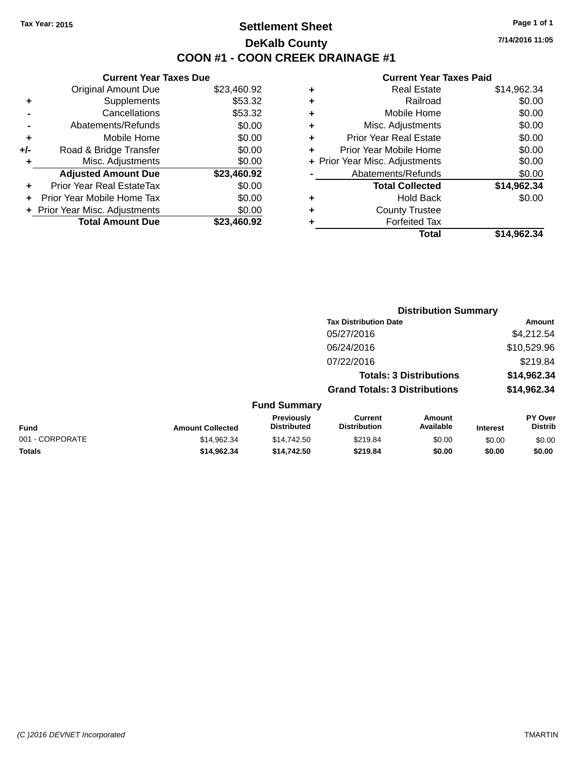## **Settlement Sheet Tax Year: 2015 Page 1 of 1 DeKalb County COON #1 - COON CREEK DRAINAGE #1**

**7/14/2016 11:05**

#### **Current Year Taxes Paid**

|       | <b>Current Year Taxes Due</b> |             |
|-------|-------------------------------|-------------|
|       | <b>Original Amount Due</b>    | \$23,460.92 |
| ٠     | Supplements                   | \$53.32     |
|       | Cancellations                 | \$53.32     |
|       | Abatements/Refunds            | \$0.00      |
| ÷     | Mobile Home                   | \$0.00      |
| $+/-$ | Road & Bridge Transfer        | \$0.00      |
|       | Misc. Adjustments             | \$0.00      |
|       | <b>Adjusted Amount Due</b>    | \$23,460.92 |
| ÷     | Prior Year Real EstateTax     | \$0.00      |
|       | Prior Year Mobile Home Tax    | \$0.00      |
|       | Prior Year Misc. Adjustments  | \$0.00      |
|       | <b>Total Amount Due</b>       | \$23.460.92 |
|       |                               |             |
|       |                               |             |

| ٠ | <b>Real Estate</b>             | \$14,962.34 |
|---|--------------------------------|-------------|
| ٠ | Railroad                       | \$0.00      |
| ٠ | Mobile Home                    | \$0.00      |
| ٠ | Misc. Adjustments              | \$0.00      |
| ٠ | Prior Year Real Estate         | \$0.00      |
| ٠ | Prior Year Mobile Home         | \$0.00      |
|   | + Prior Year Misc. Adjustments | \$0.00      |
|   | Abatements/Refunds             | \$0.00      |
|   | <b>Total Collected</b>         | \$14,962.34 |
| ٠ | <b>Hold Back</b>               | \$0.00      |
| ٠ | <b>County Trustee</b>          |             |
| ٠ | <b>Forfeited Tax</b>           |             |
|   | Total                          | \$14,962.34 |
|   |                                |             |

|                 |                         |                                  |                                       | <b>Distribution Summary</b>    |                 |                                  |
|-----------------|-------------------------|----------------------------------|---------------------------------------|--------------------------------|-----------------|----------------------------------|
|                 |                         |                                  | <b>Tax Distribution Date</b>          |                                |                 | Amount                           |
|                 |                         |                                  | 05/27/2016                            |                                |                 | \$4,212.54                       |
|                 |                         |                                  | 06/24/2016                            |                                |                 | \$10,529.96                      |
|                 |                         |                                  | 07/22/2016                            |                                |                 | \$219.84                         |
|                 |                         |                                  |                                       | <b>Totals: 3 Distributions</b> |                 | \$14,962.34                      |
|                 |                         |                                  | <b>Grand Totals: 3 Distributions</b>  |                                |                 | \$14,962.34                      |
|                 |                         | <b>Fund Summary</b>              |                                       |                                |                 |                                  |
| <b>Fund</b>     | <b>Amount Collected</b> | Previously<br><b>Distributed</b> | <b>Current</b><br><b>Distribution</b> | Amount<br>Available            | <b>Interest</b> | <b>PY Over</b><br><b>Distrib</b> |
| 001 - CORPORATE | \$14,962.34             | \$14,742.50                      | \$219.84                              | \$0.00                         | \$0.00          | \$0.00                           |
| <b>Totals</b>   | \$14,962.34             | \$14.742.50                      | \$219.84                              | \$0.00                         | \$0.00          | \$0.00                           |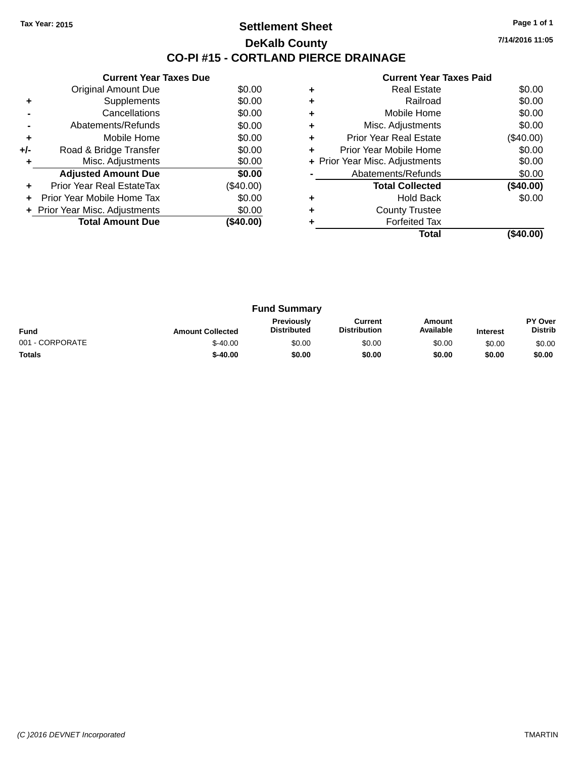### **Settlement Sheet Tax Year: 2015 Page 1 of 1 DeKalb County CO-PI #15 - CORTLAND PIERCE DRAINAGE**

**7/14/2016 11:05**

|     | <b>Current Year Taxes Due</b>  |             |
|-----|--------------------------------|-------------|
|     | Original Amount Due            | \$0.00      |
| ٠   | Supplements                    | \$0.00      |
|     | Cancellations                  | \$0.00      |
|     | Abatements/Refunds             | \$0.00      |
| ٠   | Mobile Home                    | \$0.00      |
| +/- | Road & Bridge Transfer         | \$0.00      |
| ٠   | Misc. Adjustments              | \$0.00      |
|     | <b>Adjusted Amount Due</b>     | \$0.00      |
| ٠   | Prior Year Real EstateTax      | $(\$40.00)$ |
| ٠   | Prior Year Mobile Home Tax     | \$0.00      |
|     | + Prior Year Misc. Adjustments | \$0.00      |
|     | <b>Total Amount Due</b>        | (\$40.00)   |
|     |                                |             |

|   | OUITUR TUUT TUAUJ LUIU         |             |
|---|--------------------------------|-------------|
|   | <b>Real Estate</b>             | \$0.00      |
| ٠ | Railroad                       | \$0.00      |
| ٠ | Mobile Home                    | \$0.00      |
| ٠ | Misc. Adjustments              | \$0.00      |
| ٠ | <b>Prior Year Real Estate</b>  | $(\$40.00)$ |
| ٠ | Prior Year Mobile Home         | \$0.00      |
|   | + Prior Year Misc. Adjustments | \$0.00      |
|   | Abatements/Refunds             | \$0.00      |
|   | <b>Total Collected</b>         | (\$40.00)   |
| ٠ | <b>Hold Back</b>               | \$0.00      |
|   | <b>County Trustee</b>          |             |
|   | <b>Forfeited Tax</b>           |             |
|   | Total                          | (\$40.00)   |
|   |                                |             |

|                 |                         | <b>Fund Summary</b>                     |                                |                     |                 |                                  |
|-----------------|-------------------------|-----------------------------------------|--------------------------------|---------------------|-----------------|----------------------------------|
| <b>Fund</b>     | <b>Amount Collected</b> | <b>Previously</b><br><b>Distributed</b> | Current<br><b>Distribution</b> | Amount<br>Available | <b>Interest</b> | <b>PY Over</b><br><b>Distrib</b> |
| 001 - CORPORATE | $$-40.00$               | \$0.00                                  | \$0.00                         | \$0.00              | \$0.00          | \$0.00                           |
| <b>Totals</b>   | $$-40.00$               | \$0.00                                  | \$0.00                         | \$0.00              | \$0.00          | \$0.00                           |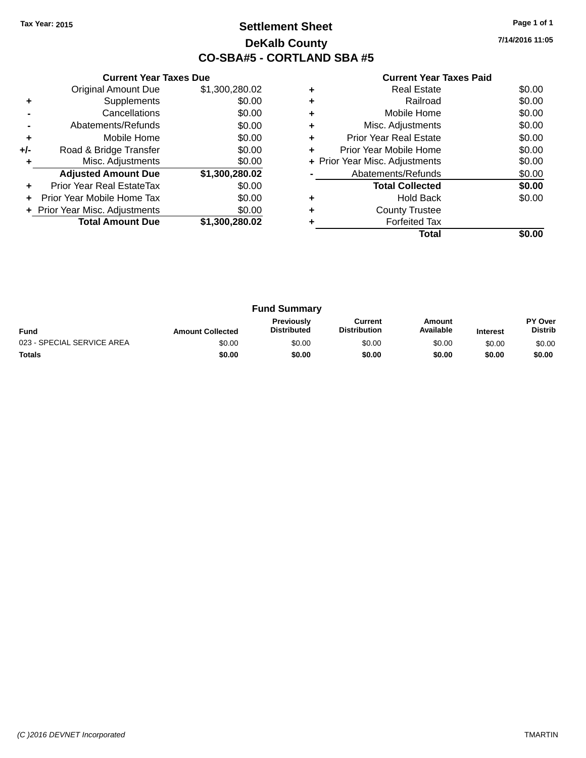## **Settlement Sheet Tax Year: 2015 Page 1 of 1 DeKalb County CO-SBA#5 - CORTLAND SBA #5**

**7/14/2016 11:05**

|     | <b>Current Year Taxes Due</b>  |                |
|-----|--------------------------------|----------------|
|     | <b>Original Amount Due</b>     | \$1,300,280.02 |
| ٠   | Supplements                    | \$0.00         |
|     | Cancellations                  | \$0.00         |
|     | Abatements/Refunds             | \$0.00         |
| ٠   | Mobile Home                    | \$0.00         |
| +/- | Road & Bridge Transfer         | \$0.00         |
| ٠   | Misc. Adjustments              | \$0.00         |
|     | <b>Adjusted Amount Due</b>     | \$1,300,280.02 |
| ÷   | Prior Year Real EstateTax      | \$0.00         |
| ÷   | Prior Year Mobile Home Tax     | \$0.00         |
|     | + Prior Year Misc. Adjustments | \$0.00         |
|     | <b>Total Amount Due</b>        | \$1,300,280.02 |
|     |                                |                |

| <b>Real Estate</b>            | \$0.00                         |
|-------------------------------|--------------------------------|
| Railroad                      | \$0.00                         |
| Mobile Home                   | \$0.00                         |
| Misc. Adjustments             | \$0.00                         |
| <b>Prior Year Real Estate</b> | \$0.00                         |
| Prior Year Mobile Home        | \$0.00                         |
|                               | \$0.00                         |
| Abatements/Refunds            | \$0.00                         |
| <b>Total Collected</b>        | \$0.00                         |
| <b>Hold Back</b>              | \$0.00                         |
| <b>County Trustee</b>         |                                |
| <b>Forfeited Tax</b>          |                                |
| Total                         |                                |
|                               | + Prior Year Misc. Adjustments |

|                            |                         | <b>Fund Summary</b>                     |                                |                     |                 |                                  |
|----------------------------|-------------------------|-----------------------------------------|--------------------------------|---------------------|-----------------|----------------------------------|
| Fund                       | <b>Amount Collected</b> | <b>Previously</b><br><b>Distributed</b> | Current<br><b>Distribution</b> | Amount<br>Available | <b>Interest</b> | <b>PY Over</b><br><b>Distrib</b> |
| 023 - SPECIAL SERVICE AREA | \$0.00                  | \$0.00                                  | \$0.00                         | \$0.00              | \$0.00          | \$0.00                           |
| <b>Totals</b>              | \$0.00                  | \$0.00                                  | \$0.00                         | \$0.00              | \$0.00          | \$0.00                           |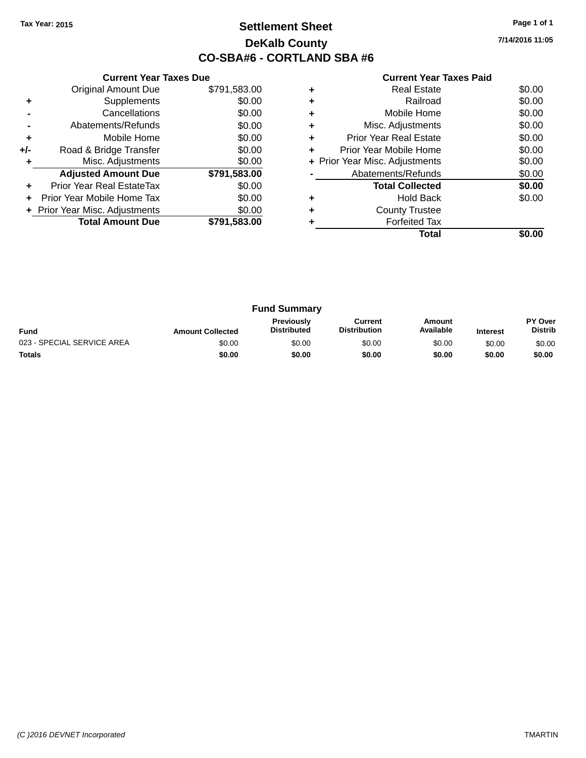## **Settlement Sheet Tax Year: 2015 Page 1 of 1 DeKalb County CO-SBA#6 - CORTLAND SBA #6**

**7/14/2016 11:05**

|     | <b>Current Year Taxes Due</b>  |              |
|-----|--------------------------------|--------------|
|     | <b>Original Amount Due</b>     | \$791,583.00 |
| ٠   | Supplements                    | \$0.00       |
|     | Cancellations                  | \$0.00       |
|     | Abatements/Refunds             | \$0.00       |
| ٠   | Mobile Home                    | \$0.00       |
| +/- | Road & Bridge Transfer         | \$0.00       |
|     | Misc. Adjustments              | \$0.00       |
|     | <b>Adjusted Amount Due</b>     | \$791,583.00 |
| ÷   | Prior Year Real EstateTax      | \$0.00       |
|     | Prior Year Mobile Home Tax     | \$0.00       |
|     | + Prior Year Misc. Adjustments | \$0.00       |
|     | <b>Total Amount Due</b>        | \$791,583.00 |
|     |                                |              |

|   | <b>Real Estate</b>             | \$0.00 |
|---|--------------------------------|--------|
|   | Railroad                       | \$0.00 |
|   | Mobile Home                    | \$0.00 |
|   | Misc. Adjustments              | \$0.00 |
| ٠ | Prior Year Real Estate         | \$0.00 |
| ÷ | Prior Year Mobile Home         | \$0.00 |
|   | + Prior Year Misc. Adjustments | \$0.00 |
|   | Abatements/Refunds             | \$0.00 |
|   | <b>Total Collected</b>         | \$0.00 |
|   | <b>Hold Back</b>               | \$0.00 |
| ÷ | <b>County Trustee</b>          |        |
|   | <b>Forfeited Tax</b>           |        |
|   | Total                          |        |

|                            |                         | <b>Fund Summary</b>                     |                                |                     |                 |                                  |
|----------------------------|-------------------------|-----------------------------------------|--------------------------------|---------------------|-----------------|----------------------------------|
| <b>Fund</b>                | <b>Amount Collected</b> | <b>Previously</b><br><b>Distributed</b> | Current<br><b>Distribution</b> | Amount<br>Available | <b>Interest</b> | <b>PY Over</b><br><b>Distrib</b> |
| 023 - SPECIAL SERVICE AREA | \$0.00                  | \$0.00                                  | \$0.00                         | \$0.00              | \$0.00          | \$0.00                           |
| <b>Totals</b>              | \$0.00                  | \$0.00                                  | \$0.00                         | \$0.00              | \$0.00          | \$0.00                           |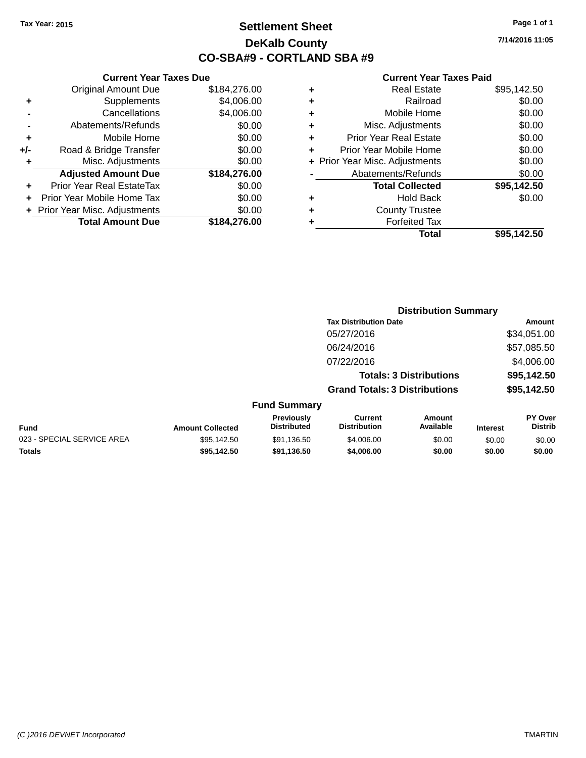## **Settlement Sheet Tax Year: 2015 Page 1 of 1 DeKalb County CO-SBA#9 - CORTLAND SBA #9**

**7/14/2016 11:05**

|     | <b>Current Year Taxes Due</b>  |              |   |              |
|-----|--------------------------------|--------------|---|--------------|
|     | <b>Original Amount Due</b>     | \$184,276.00 |   |              |
|     | <b>Supplements</b>             | \$4,006.00   | ٠ |              |
|     | Cancellations                  | \$4,006.00   | ٠ |              |
|     | Abatements/Refunds             | \$0.00       |   |              |
|     | Mobile Home                    | \$0.00       |   | Prio         |
| +/- | Road & Bridge Transfer         | \$0.00       |   | Prior        |
|     | Misc. Adjustments              | \$0.00       |   | + Prior Year |
|     | <b>Adjusted Amount Due</b>     | \$184,276.00 |   | Αł           |
|     | Prior Year Real EstateTax      | \$0.00       |   |              |
|     | Prior Year Mobile Home Tax     | \$0.00       |   |              |
|     | + Prior Year Misc. Adjustments | \$0.00       |   |              |
|     | <b>Total Amount Due</b>        | \$184,276.00 |   |              |
|     |                                |              |   |              |

|   | <b>Real Estate</b>             | \$95,142.50 |
|---|--------------------------------|-------------|
| ٠ | Railroad                       | \$0.00      |
| ٠ | Mobile Home                    | \$0.00      |
| ٠ | Misc. Adjustments              | \$0.00      |
| ٠ | <b>Prior Year Real Estate</b>  | \$0.00      |
| ٠ | Prior Year Mobile Home         | \$0.00      |
|   | + Prior Year Misc. Adjustments | \$0.00      |
|   | Abatements/Refunds             | \$0.00      |
|   | <b>Total Collected</b>         | \$95,142.50 |
| ٠ | <b>Hold Back</b>               | \$0.00      |
| ٠ | <b>County Trustee</b>          |             |
|   | <b>Forfeited Tax</b>           |             |
|   | Total                          | \$95,142.50 |
|   |                                |             |

|                            |                         |                                         |                                       | <b>Distribution Summary</b>    |                 |                           |
|----------------------------|-------------------------|-----------------------------------------|---------------------------------------|--------------------------------|-----------------|---------------------------|
|                            |                         |                                         | <b>Tax Distribution Date</b>          |                                |                 | <b>Amount</b>             |
|                            |                         |                                         | 05/27/2016                            |                                |                 | \$34,051.00               |
|                            |                         |                                         | 06/24/2016                            |                                |                 | \$57,085.50               |
|                            |                         |                                         | 07/22/2016                            |                                |                 | \$4,006.00                |
|                            |                         |                                         |                                       | <b>Totals: 3 Distributions</b> |                 | \$95,142.50               |
|                            |                         |                                         | <b>Grand Totals: 3 Distributions</b>  |                                |                 | \$95,142.50               |
|                            |                         | <b>Fund Summary</b>                     |                                       |                                |                 |                           |
| <b>Fund</b>                | <b>Amount Collected</b> | <b>Previously</b><br><b>Distributed</b> | <b>Current</b><br><b>Distribution</b> | Amount<br>Available            | <b>Interest</b> | PY Over<br><b>Distrib</b> |
| 023 - SPECIAL SERVICE AREA | \$95,142.50             | \$91,136.50                             | \$4,006.00                            | \$0.00                         | \$0.00          | \$0.00                    |
| <b>Totals</b>              | \$95,142.50             | \$91,136.50                             | \$4,006.00                            | \$0.00                         | \$0.00          | \$0.00                    |
|                            |                         |                                         |                                       |                                |                 |                           |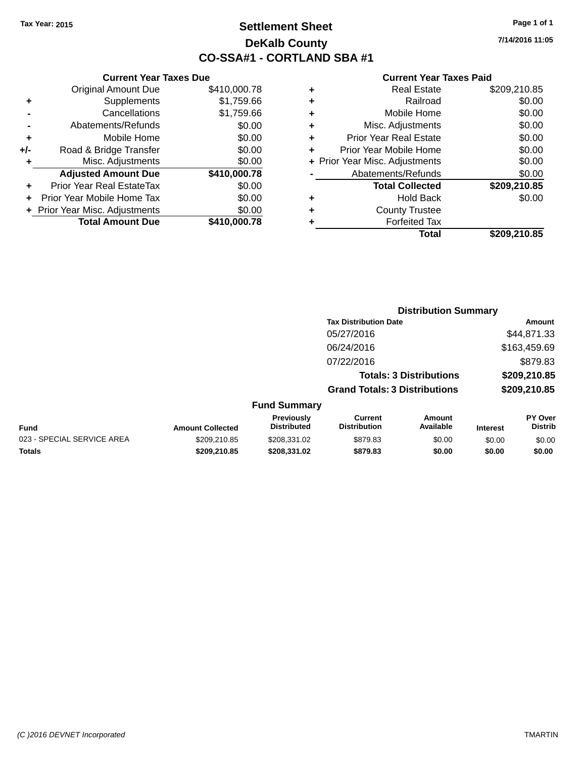## **Settlement Sheet Tax Year: 2015 Page 1 of 1 DeKalb County CO-SSA#1 - CORTLAND SBA #1**

**7/14/2016 11:05**

|       | <b>Current Year Taxes Due</b>    |              |   |                   |
|-------|----------------------------------|--------------|---|-------------------|
|       | <b>Original Amount Due</b>       | \$410,000.78 | ÷ |                   |
| ٠     | <b>Supplements</b>               | \$1,759.66   | ٠ |                   |
|       | Cancellations                    | \$1,759.66   | ٠ |                   |
|       | Abatements/Refunds               | \$0.00       | ÷ | Mis               |
|       | Mobile Home                      | \$0.00       | ٠ | Prior Ye          |
| $+/-$ | Road & Bridge Transfer           | \$0.00       | ÷ | Prior Year        |
|       | Misc. Adjustments                | \$0.00       |   | + Prior Year Mise |
|       | <b>Adjusted Amount Due</b>       | \$410,000.78 |   | Abater            |
|       | <b>Prior Year Real EstateTax</b> | \$0.00       |   | Τ                 |
|       | Prior Year Mobile Home Tax       | \$0.00       | ÷ |                   |
|       | + Prior Year Misc. Adjustments   | \$0.00       | ÷ |                   |
|       | <b>Total Amount Due</b>          | \$410,000.78 |   |                   |
|       |                                  |              |   |                   |

|   | <b>Real Estate</b>             | \$209,210.85 |
|---|--------------------------------|--------------|
| ÷ | Railroad                       | \$0.00       |
| ٠ | Mobile Home                    | \$0.00       |
| ٠ | Misc. Adjustments              | \$0.00       |
| ٠ | Prior Year Real Estate         | \$0.00       |
|   | Prior Year Mobile Home         | \$0.00       |
|   | + Prior Year Misc. Adjustments | \$0.00       |
|   | Abatements/Refunds             | \$0.00       |
|   | <b>Total Collected</b>         | \$209,210.85 |
|   | Hold Back                      | \$0.00       |
|   | <b>County Trustee</b>          |              |
|   | <b>Forfeited Tax</b>           |              |
|   | Total                          | \$209,210.85 |
|   |                                |              |

|                            |                         |                                  |                                       | <b>Distribution Summary</b>    |                 |                                  |
|----------------------------|-------------------------|----------------------------------|---------------------------------------|--------------------------------|-----------------|----------------------------------|
|                            |                         |                                  | <b>Tax Distribution Date</b>          |                                |                 | Amount                           |
|                            |                         |                                  | 05/27/2016                            |                                |                 | \$44,871.33                      |
|                            |                         |                                  | 06/24/2016                            |                                |                 | \$163,459.69                     |
|                            |                         |                                  | 07/22/2016                            |                                |                 | \$879.83                         |
|                            |                         |                                  |                                       | <b>Totals: 3 Distributions</b> |                 | \$209,210.85                     |
|                            |                         |                                  | <b>Grand Totals: 3 Distributions</b>  |                                |                 | \$209,210.85                     |
|                            |                         | <b>Fund Summary</b>              |                                       |                                |                 |                                  |
| <b>Fund</b>                | <b>Amount Collected</b> | Previously<br><b>Distributed</b> | <b>Current</b><br><b>Distribution</b> | Amount<br>Available            | <b>Interest</b> | <b>PY Over</b><br><b>Distrib</b> |
| 023 - SPECIAL SERVICE AREA | \$209,210.85            | \$208,331.02                     | \$879.83                              | \$0.00                         | \$0.00          | \$0.00                           |
| <b>Totals</b>              | \$209,210.85            | \$208.331.02                     | \$879.83                              | \$0.00                         | \$0.00          | \$0.00                           |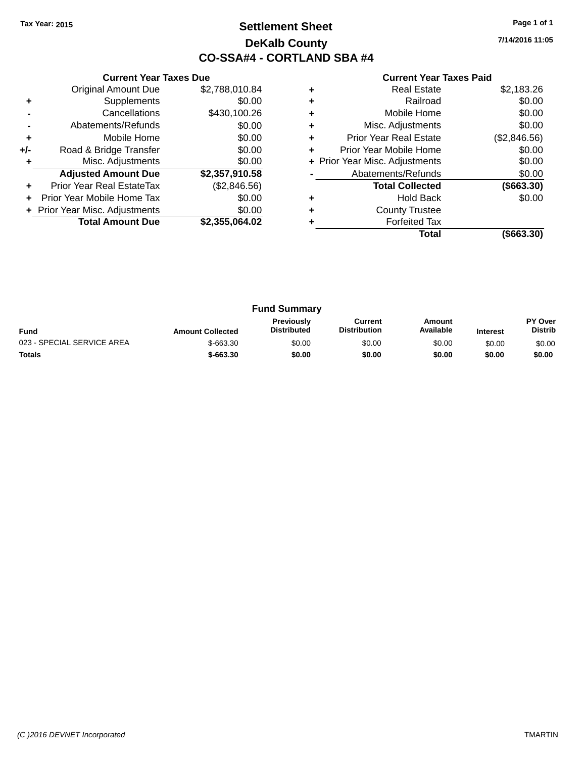## **Settlement Sheet Tax Year: 2015 Page 1 of 1 DeKalb County CO-SSA#4 - CORTLAND SBA #4**

**7/14/2016 11:05**

|     | <b>Current Year Taxes Due</b>  |                |
|-----|--------------------------------|----------------|
|     | <b>Original Amount Due</b>     | \$2,788,010.84 |
| ٠   | Supplements                    | \$0.00         |
|     | Cancellations                  | \$430,100.26   |
|     | Abatements/Refunds             | \$0.00         |
| ٠   | Mobile Home                    | \$0.00         |
| +/- | Road & Bridge Transfer         | \$0.00         |
|     | Misc. Adjustments              | \$0.00         |
|     | <b>Adjusted Amount Due</b>     | \$2,357,910.58 |
| ÷   | Prior Year Real EstateTax      | (\$2,846.56)   |
|     | Prior Year Mobile Home Tax     | \$0.00         |
|     | + Prior Year Misc. Adjustments | \$0.00         |
|     | <b>Total Amount Due</b>        | \$2.355.064.02 |
|     |                                |                |

|   | Real Estate                    | \$2,183.26    |
|---|--------------------------------|---------------|
| ٠ | Railroad                       | \$0.00        |
| ٠ | Mobile Home                    | \$0.00        |
| ٠ | Misc. Adjustments              | \$0.00        |
| ٠ | <b>Prior Year Real Estate</b>  | (\$2,846.56)  |
| ÷ | Prior Year Mobile Home         | \$0.00        |
|   | + Prior Year Misc. Adjustments | \$0.00        |
|   | Abatements/Refunds             | \$0.00        |
|   | <b>Total Collected</b>         | ( \$663.30)   |
| ÷ | <b>Hold Back</b>               | \$0.00        |
| ٠ | <b>County Trustee</b>          |               |
|   | <b>Forfeited Tax</b>           |               |
|   | Total                          | $($ \$663.30) |

| <b>Fund Summary</b>        |                         |                                         |                                |                     |                 |                           |
|----------------------------|-------------------------|-----------------------------------------|--------------------------------|---------------------|-----------------|---------------------------|
| <b>Fund</b>                | <b>Amount Collected</b> | <b>Previously</b><br><b>Distributed</b> | Current<br><b>Distribution</b> | Amount<br>Available | <b>Interest</b> | PY Over<br><b>Distrib</b> |
| 023 - SPECIAL SERVICE AREA | $$-663.30$              | \$0.00                                  | \$0.00                         | \$0.00              | \$0.00          | \$0.00                    |
| <b>Totals</b>              | $$-663.30$              | \$0.00                                  | \$0.00                         | \$0.00              | \$0.00          | \$0.00                    |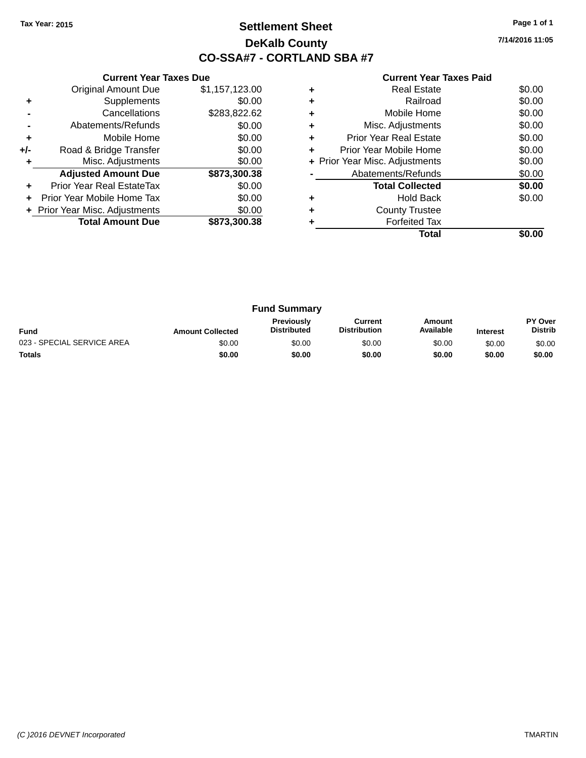## **Settlement Sheet Tax Year: 2015 Page 1 of 1 DeKalb County CO-SSA#7 - CORTLAND SBA #7**

**7/14/2016 11:05**

|     | <b>Current Year Taxes Due</b>  |                |
|-----|--------------------------------|----------------|
|     | <b>Original Amount Due</b>     | \$1,157,123.00 |
| ÷   | Supplements                    | \$0.00         |
|     | Cancellations                  | \$283,822.62   |
|     | Abatements/Refunds             | \$0.00         |
| ٠   | Mobile Home                    | \$0.00         |
| +/- | Road & Bridge Transfer         | \$0.00         |
| ٠   | Misc. Adjustments              | \$0.00         |
|     | <b>Adjusted Amount Due</b>     | \$873,300.38   |
| ٠   | Prior Year Real EstateTax      | \$0.00         |
| ÷   | Prior Year Mobile Home Tax     | \$0.00         |
|     | + Prior Year Misc. Adjustments | \$0.00         |
|     | <b>Total Amount Due</b>        | \$873,300.38   |
|     |                                |                |

|   | Total                          |        |
|---|--------------------------------|--------|
|   | <b>Forfeited Tax</b>           |        |
|   | <b>County Trustee</b>          |        |
|   | <b>Hold Back</b>               | \$0.00 |
|   | <b>Total Collected</b>         | \$0.00 |
|   | Abatements/Refunds             | \$0.00 |
|   | + Prior Year Misc. Adjustments | \$0.00 |
| ٠ | Prior Year Mobile Home         | \$0.00 |
| ÷ | <b>Prior Year Real Estate</b>  | \$0.00 |
|   | Misc. Adjustments              | \$0.00 |
|   | Mobile Home                    | \$0.00 |
|   | Railroad                       | \$0.00 |
|   | <b>Real Estate</b>             | \$0.00 |

| <b>Fund Summary</b>        |                         |                                         |                                |                     |                 |                                  |
|----------------------------|-------------------------|-----------------------------------------|--------------------------------|---------------------|-----------------|----------------------------------|
| <b>Fund</b>                | <b>Amount Collected</b> | <b>Previously</b><br><b>Distributed</b> | Current<br><b>Distribution</b> | Amount<br>Available | <b>Interest</b> | <b>PY Over</b><br><b>Distrib</b> |
| 023 - SPECIAL SERVICE AREA | \$0.00                  | \$0.00                                  | \$0.00                         | \$0.00              | \$0.00          | \$0.00                           |
| <b>Totals</b>              | \$0.00                  | \$0.00                                  | \$0.00                         | \$0.00              | \$0.00          | \$0.00                           |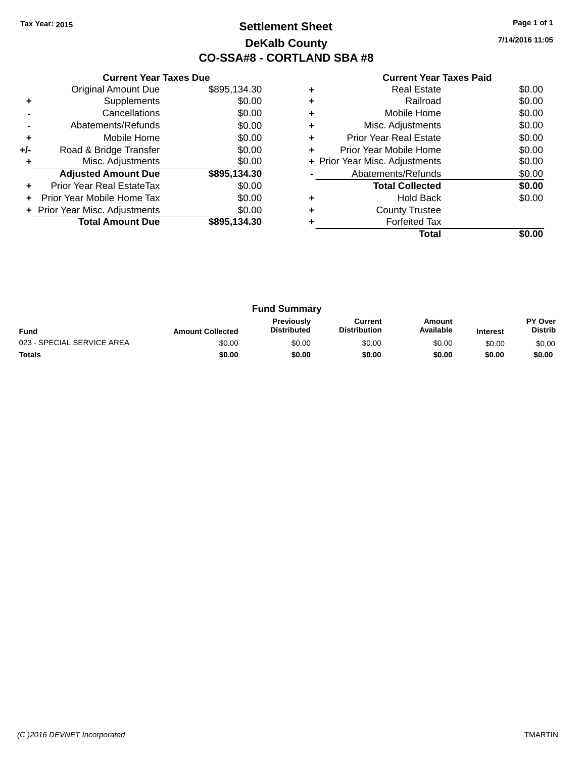## **Settlement Sheet Tax Year: 2015 Page 1 of 1 DeKalb County CO-SSA#8 - CORTLAND SBA #8**

**7/14/2016 11:05**

|     | <b>Current Year Taxes Due</b>  |              |
|-----|--------------------------------|--------------|
|     | <b>Original Amount Due</b>     | \$895,134.30 |
| ٠   | Supplements                    | \$0.00       |
|     | Cancellations                  | \$0.00       |
|     | Abatements/Refunds             | \$0.00       |
| ٠   | Mobile Home                    | \$0.00       |
| +/- | Road & Bridge Transfer         | \$0.00       |
|     | Misc. Adjustments              | \$0.00       |
|     | <b>Adjusted Amount Due</b>     | \$895,134.30 |
| ÷   | Prior Year Real EstateTax      | \$0.00       |
|     | Prior Year Mobile Home Tax     | \$0.00       |
|     | + Prior Year Misc. Adjustments | \$0.00       |
|     | <b>Total Amount Due</b>        | \$895,134.30 |
|     |                                |              |

|   | Total                          |        |
|---|--------------------------------|--------|
|   | <b>Forfeited Tax</b>           |        |
|   | <b>County Trustee</b>          |        |
|   | <b>Hold Back</b>               | \$0.00 |
|   | <b>Total Collected</b>         | \$0.00 |
|   | Abatements/Refunds             | \$0.00 |
|   | + Prior Year Misc. Adjustments | \$0.00 |
| ÷ | Prior Year Mobile Home         | \$0.00 |
| ٠ | Prior Year Real Estate         | \$0.00 |
|   | Misc. Adjustments              | \$0.00 |
|   | Mobile Home                    | \$0.00 |
|   | Railroad                       | \$0.00 |
|   | <b>Real Estate</b>             | \$0.00 |

| <b>Fund Summary</b>        |                         |                                         |                                |                     |                 |                                  |
|----------------------------|-------------------------|-----------------------------------------|--------------------------------|---------------------|-----------------|----------------------------------|
| <b>Fund</b>                | <b>Amount Collected</b> | <b>Previously</b><br><b>Distributed</b> | Current<br><b>Distribution</b> | Amount<br>Available | <b>Interest</b> | <b>PY Over</b><br><b>Distrib</b> |
| 023 - SPECIAL SERVICE AREA | \$0.00                  | \$0.00                                  | \$0.00                         | \$0.00              | \$0.00          | \$0.00                           |
| <b>Totals</b>              | \$0.00                  | \$0.00                                  | \$0.00                         | \$0.00              | \$0.00          | \$0.00                           |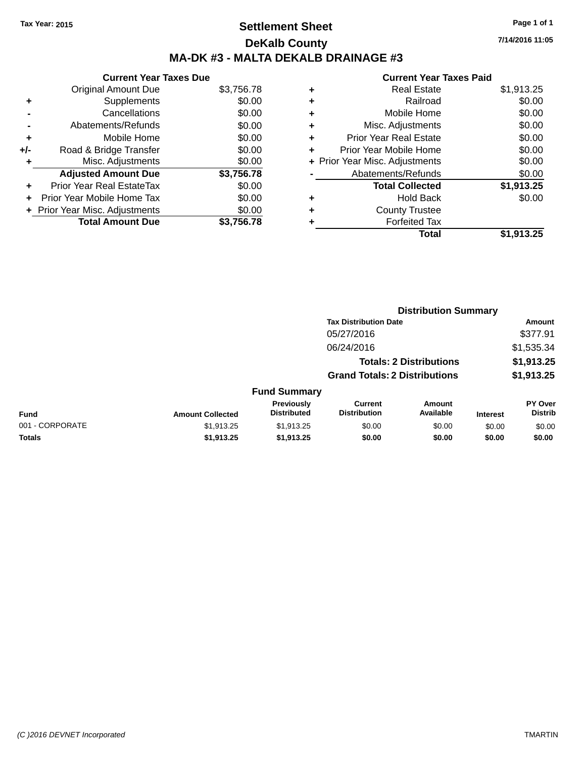## **Settlement Sheet Tax Year: 2015 Page 1 of 1 DeKalb County MA-DK #3 - MALTA DEKALB DRAINAGE #3**

**7/14/2016 11:05**

| <b>Current Year Taxes Due</b> |            |
|-------------------------------|------------|
| <b>Original Amount Due</b>    | \$3,756.78 |
| Supplements                   | \$0.00     |
| Cancellations                 | \$0.00     |
| Abatements/Refunds            | \$0.00     |
| Mobile Home                   | \$0.00     |
| Road & Bridge Transfer        | \$0.00     |
| Misc. Adjustments             | \$0.00     |
| <b>Adjusted Amount Due</b>    | \$3,756.78 |
| Prior Year Real EstateTax     | \$0.00     |
| Prior Year Mobile Home Tax    | \$0.00     |
| Prior Year Misc. Adjustments  | \$0.00     |
| <b>Total Amount Due</b>       | \$3.756.78 |
|                               |            |

|   | <b>Real Estate</b>             | \$1,913.25 |
|---|--------------------------------|------------|
| ٠ | Railroad                       | \$0.00     |
| ٠ | Mobile Home                    | \$0.00     |
| ٠ | Misc. Adjustments              | \$0.00     |
| ٠ | <b>Prior Year Real Estate</b>  | \$0.00     |
| ٠ | Prior Year Mobile Home         | \$0.00     |
|   | + Prior Year Misc. Adjustments | \$0.00     |
|   | Abatements/Refunds             | \$0.00     |
|   | <b>Total Collected</b>         | \$1,913.25 |
| ٠ | <b>Hold Back</b>               | \$0.00     |
| ٠ | <b>County Trustee</b>          |            |
| ٠ | <b>Forfeited Tax</b>           |            |
|   | Total                          | \$1,913.25 |
|   |                                |            |

|                 |                         |                                  | <b>Distribution Summary</b>           |                                |                 |                           |  |
|-----------------|-------------------------|----------------------------------|---------------------------------------|--------------------------------|-----------------|---------------------------|--|
|                 |                         |                                  | <b>Tax Distribution Date</b>          |                                |                 | <b>Amount</b>             |  |
|                 |                         |                                  | 05/27/2016                            |                                |                 | \$377.91                  |  |
|                 |                         |                                  | 06/24/2016                            |                                |                 | \$1,535.34                |  |
|                 |                         |                                  |                                       | <b>Totals: 2 Distributions</b> |                 | \$1,913.25                |  |
|                 |                         |                                  | <b>Grand Totals: 2 Distributions</b>  |                                |                 | \$1,913.25                |  |
|                 |                         | <b>Fund Summary</b>              |                                       |                                |                 |                           |  |
| <b>Fund</b>     | <b>Amount Collected</b> | Previously<br><b>Distributed</b> | <b>Current</b><br><b>Distribution</b> | Amount<br>Available            | <b>Interest</b> | PY Over<br><b>Distrib</b> |  |
| 001 - CORPORATE | \$1,913.25              | \$1,913.25                       | \$0.00                                | \$0.00                         | \$0.00          | \$0.00                    |  |
| <b>Totals</b>   | \$1,913.25              | \$1,913.25                       | \$0.00                                | \$0.00                         | \$0.00          | \$0.00                    |  |
|                 |                         |                                  |                                       |                                |                 |                           |  |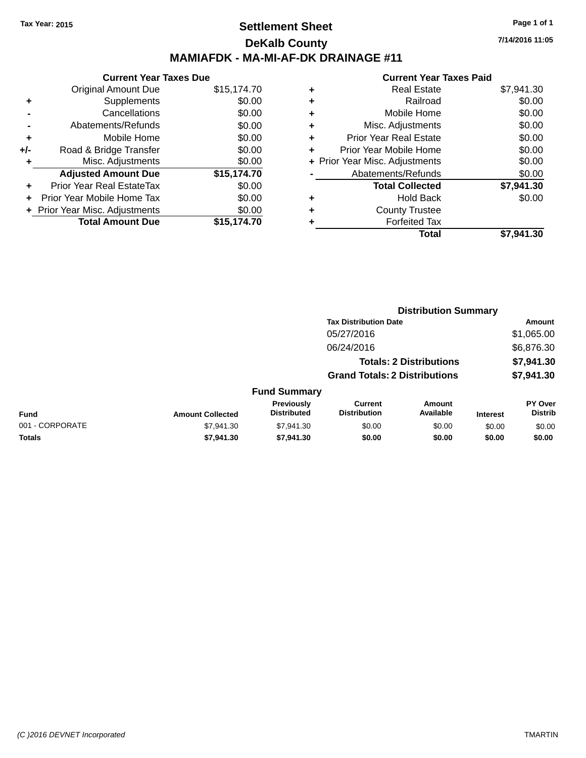### **Settlement Sheet Tax Year: 2015 Page 1 of 1 DeKalb County MAMIAFDK - MA-MI-AF-DK DRAINAGE #11**

**Current Year Taxes Due** Original Amount Due \$15,174.70 **+** Supplements \$0.00 **-** Cancellations \$0.00 **-** Abatements/Refunds \$0.00 **+** Mobile Home \$0.00 **+/-** Road & Bridge Transfer \$0.00 **+** Misc. Adjustments \$0.00 **Adjusted Amount Due \$15,174.70 +** Prior Year Real EstateTax \$0.00 **+** Prior Year Mobile Home Tax \$0.00 **+** Prior Year Misc. Adjustments \$0.00<br> **Total Amount Due** \$15,174.70 **Total Amount Due** 

|   | <b>Real Estate</b>             | \$7,941.30 |
|---|--------------------------------|------------|
| ٠ | Railroad                       | \$0.00     |
| ٠ | Mobile Home                    | \$0.00     |
| ٠ | Misc. Adjustments              | \$0.00     |
| ٠ | <b>Prior Year Real Estate</b>  | \$0.00     |
| ٠ | Prior Year Mobile Home         | \$0.00     |
|   | + Prior Year Misc. Adjustments | \$0.00     |
|   | Abatements/Refunds             | \$0.00     |
|   | <b>Total Collected</b>         | \$7,941.30 |
| ٠ | <b>Hold Back</b>               | \$0.00     |
| ٠ | <b>County Trustee</b>          |            |
| ٠ | <b>Forfeited Tax</b>           |            |
|   | Total                          | \$7,941.30 |
|   |                                |            |

|                 |                         |                                  | <b>Distribution Summary</b>           |                                |                 |                           |
|-----------------|-------------------------|----------------------------------|---------------------------------------|--------------------------------|-----------------|---------------------------|
|                 |                         |                                  | <b>Tax Distribution Date</b>          |                                |                 | Amount                    |
|                 |                         |                                  | 05/27/2016                            |                                |                 | \$1,065.00                |
|                 |                         |                                  | 06/24/2016                            |                                |                 | \$6,876.30                |
|                 |                         |                                  |                                       | <b>Totals: 2 Distributions</b> |                 | \$7,941.30                |
|                 |                         |                                  | <b>Grand Totals: 2 Distributions</b>  |                                |                 | \$7,941.30                |
|                 |                         | <b>Fund Summary</b>              |                                       |                                |                 |                           |
| <b>Fund</b>     | <b>Amount Collected</b> | Previously<br><b>Distributed</b> | <b>Current</b><br><b>Distribution</b> | Amount<br>Available            | <b>Interest</b> | PY Over<br><b>Distrib</b> |
| 001 - CORPORATE | \$7,941.30              | \$7,941.30                       | \$0.00                                | \$0.00                         | \$0.00          | \$0.00                    |
| <b>Totals</b>   | \$7,941.30              | \$7,941.30                       | \$0.00                                | \$0.00                         | \$0.00          | \$0.00                    |
|                 |                         |                                  |                                       |                                |                 |                           |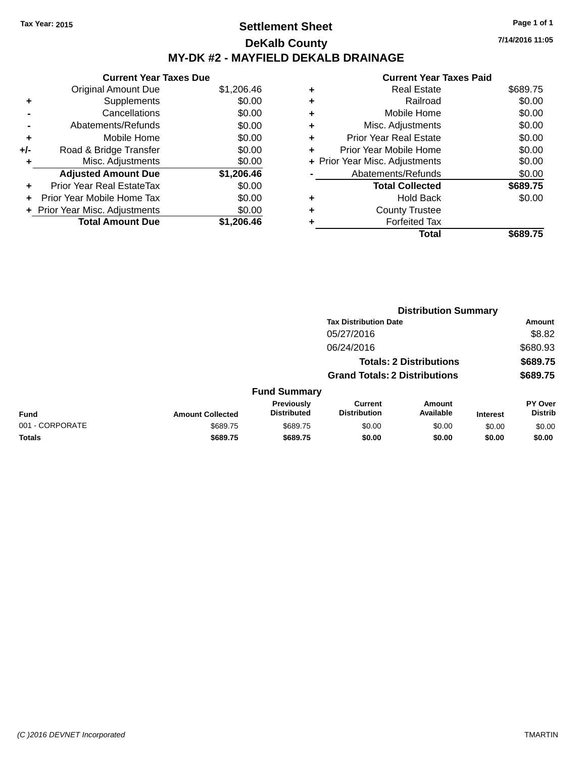## **Settlement Sheet Tax Year: 2015 Page 1 of 1 DeKalb County MY-DK #2 - MAYFIELD DEKALB DRAINAGE**

**Current Year Taxes Due** Original Amount Due \$1,206.46 **+** Supplements \$0.00 **-** Cancellations \$0.00 **-** Abatements/Refunds \$0.00 **+** Mobile Home \$0.00 **+/-** Road & Bridge Transfer \$0.00 **+** Misc. Adjustments \$0.00 **Adjusted Amount Due \$1,206.46 +** Prior Year Real EstateTax \$0.00 **+** Prior Year Mobile Home Tax \$0.00 **+** Prior Year Misc. Adjustments  $$0.00$ **Total Amount Due \$1,206.46**

### **Current Year Taxes Paid +** Real Estate \$689.75 **+** Railroad \$0.00 **+** Mobile Home \$0.00 **+** Misc. Adjustments \$0.00 **+** Prior Year Real Estate \$0.00 **+** Prior Year Mobile Home \$0.00 **+ Prior Year Misc. Adjustments**  $$0.00$ Abatements/Refunds \$0.00 **Total Collected \$689.75 +** Hold Back \$0.00 **+** County Trustee **+** Forfeited Tax **Total \$689.75**

|                 |                         |                                  | <b>Distribution Summary</b>           |                                |                 |                                  |
|-----------------|-------------------------|----------------------------------|---------------------------------------|--------------------------------|-----------------|----------------------------------|
|                 |                         |                                  | <b>Tax Distribution Date</b>          |                                |                 | Amount                           |
|                 |                         |                                  | 05/27/2016                            |                                |                 | \$8.82                           |
|                 |                         |                                  | 06/24/2016                            |                                |                 | \$680.93                         |
|                 |                         |                                  |                                       | <b>Totals: 2 Distributions</b> |                 | \$689.75                         |
|                 |                         |                                  | <b>Grand Totals: 2 Distributions</b>  |                                |                 | \$689.75                         |
|                 |                         | <b>Fund Summary</b>              |                                       |                                |                 |                                  |
| <b>Fund</b>     | <b>Amount Collected</b> | Previously<br><b>Distributed</b> | <b>Current</b><br><b>Distribution</b> | Amount<br>Available            | <b>Interest</b> | <b>PY Over</b><br><b>Distrib</b> |
| 001 - CORPORATE | \$689.75                | \$689.75                         | \$0.00                                | \$0.00                         | \$0.00          | \$0.00                           |
| <b>Totals</b>   | \$689.75                | \$689.75                         | \$0.00                                | \$0.00                         | \$0.00          | \$0.00                           |
|                 |                         |                                  |                                       |                                |                 |                                  |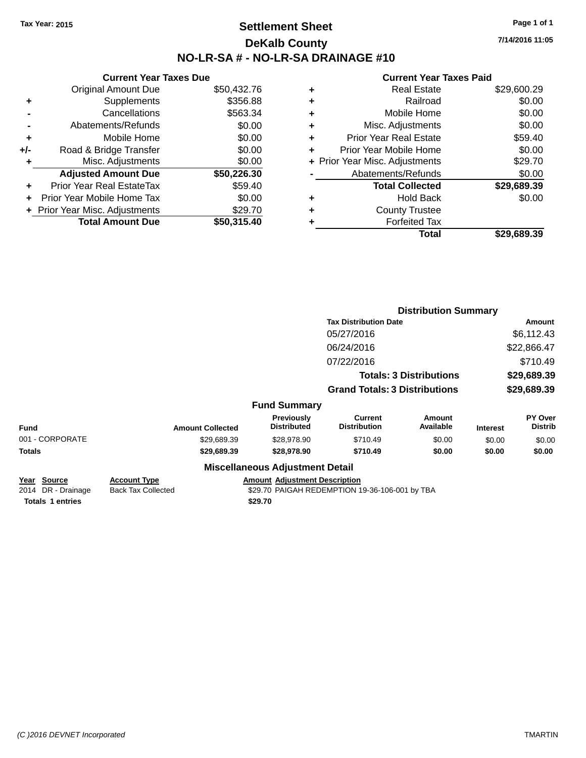### **Settlement Sheet Tax Year: 2015 Page 1 of 1 DeKalb County NO-LR-SA # - NO-LR-SA DRAINAGE #10**

**7/14/2016 11:05**

|     | <b>Current Year Taxes Due</b>  |             |  |  |  |  |
|-----|--------------------------------|-------------|--|--|--|--|
|     | <b>Original Amount Due</b>     | \$50,432.76 |  |  |  |  |
| ٠   | Supplements                    | \$356.88    |  |  |  |  |
|     | Cancellations                  | \$563.34    |  |  |  |  |
|     | Abatements/Refunds             | \$0.00      |  |  |  |  |
| ٠   | Mobile Home                    | \$0.00      |  |  |  |  |
| +/- | Road & Bridge Transfer         | \$0.00      |  |  |  |  |
| ٠   | Misc. Adjustments              | \$0.00      |  |  |  |  |
|     | <b>Adjusted Amount Due</b>     | \$50,226.30 |  |  |  |  |
| ٠   | Prior Year Real EstateTax      | \$59.40     |  |  |  |  |
|     | Prior Year Mobile Home Tax     | \$0.00      |  |  |  |  |
|     | + Prior Year Misc. Adjustments | \$29.70     |  |  |  |  |
|     | <b>Total Amount Due</b>        | \$50,315.40 |  |  |  |  |

| ٠ | <b>Real Estate</b>             | \$29,600.29 |
|---|--------------------------------|-------------|
| ٠ | Railroad                       | \$0.00      |
| ٠ | Mobile Home                    | \$0.00      |
| ٠ | Misc. Adjustments              | \$0.00      |
| ٠ | <b>Prior Year Real Estate</b>  | \$59.40     |
| ٠ | Prior Year Mobile Home         | \$0.00      |
|   | + Prior Year Misc. Adjustments | \$29.70     |
|   | Abatements/Refunds             | \$0.00      |
|   | <b>Total Collected</b>         | \$29,689.39 |
| ٠ | <b>Hold Back</b>               | \$0.00      |
| ٠ | <b>County Trustee</b>          |             |
|   | <b>Forfeited Tax</b>           |             |
|   | Total                          | \$29.689.39 |
|   |                                |             |

|                                           |                                                  |                                        |                                                | <b>Distribution Summary</b>    |                 |                           |
|-------------------------------------------|--------------------------------------------------|----------------------------------------|------------------------------------------------|--------------------------------|-----------------|---------------------------|
|                                           |                                                  |                                        | <b>Tax Distribution Date</b>                   |                                | <b>Amount</b>   |                           |
|                                           |                                                  |                                        | 05/27/2016                                     |                                |                 | \$6,112.43                |
|                                           |                                                  |                                        | 06/24/2016                                     |                                |                 | \$22,866.47               |
|                                           |                                                  |                                        | 07/22/2016                                     |                                |                 | \$710.49                  |
|                                           |                                                  |                                        |                                                | <b>Totals: 3 Distributions</b> |                 | \$29,689.39               |
|                                           |                                                  |                                        | <b>Grand Totals: 3 Distributions</b>           |                                |                 | \$29,689.39               |
|                                           |                                                  | <b>Fund Summary</b>                    |                                                |                                |                 |                           |
| <b>Fund</b>                               | <b>Amount Collected</b>                          | Previously<br><b>Distributed</b>       | <b>Current</b><br><b>Distribution</b>          | Amount<br>Available            | <b>Interest</b> | PY Over<br><b>Distrib</b> |
| 001 - CORPORATE                           | \$29,689.39                                      | \$28,978.90                            | \$710.49                                       | \$0.00                         | \$0.00          | \$0.00                    |
| Totals                                    | \$29,689.39                                      | \$28,978.90                            | \$710.49                                       | \$0.00                         | \$0.00          | \$0.00                    |
|                                           |                                                  | <b>Miscellaneous Adjustment Detail</b> |                                                |                                |                 |                           |
| <u> Year Source</u><br>2014 DR - Drainage | <b>Account Type</b><br><b>Back Tax Collected</b> | <b>Amount Adjustment Description</b>   | \$29.70 PAIGAH REDEMPTION 19-36-106-001 by TBA |                                |                 |                           |
| <b>Totals 1 entries</b>                   |                                                  | \$29.70                                |                                                |                                |                 |                           |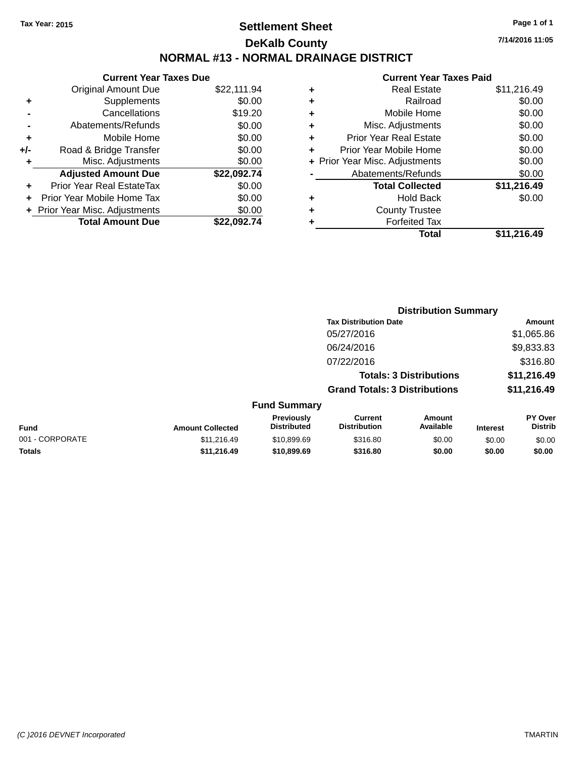## **Settlement Sheet Tax Year: 2015 Page 1 of 1 DeKalb County NORMAL #13 - NORMAL DRAINAGE DISTRICT**

**Current Year Taxes Due** Original Amount Due \$22,111.94 **+** Supplements \$0.00 **-** Cancellations \$19.20 **-** Abatements/Refunds \$0.00 **+** Mobile Home \$0.00 **+/-** Road & Bridge Transfer \$0.00 **+** Misc. Adjustments \$0.00 **Adjusted Amount Due \$22,092.74 +** Prior Year Real EstateTax \$0.00 **+** Prior Year Mobile Home Tax \$0.00 **+** Prior Year Misc. Adjustments  $$0.00$ **Total Amount Due \$22,092.74**

### **Current Year Taxes Paid +** Real Estate \$11,216.49 **+** Railroad \$0.00 **+** Mobile Home \$0.00 **+** Misc. Adjustments \$0.00 **+** Prior Year Real Estate \$0.00 **+** Prior Year Mobile Home \$0.00 **+** Prior Year Misc. Adjustments  $$0.00$ Abatements/Refunds \$0.00 **Total Collected \$11,216.49 +** Hold Back \$0.00 **+** County Trustee **+** Forfeited Tax **Total \$11,216.49**

|                 |                         |                                  |                                       | <b>Distribution Summary</b>    |                 |                                  |
|-----------------|-------------------------|----------------------------------|---------------------------------------|--------------------------------|-----------------|----------------------------------|
|                 |                         |                                  | <b>Tax Distribution Date</b>          |                                |                 | Amount                           |
|                 |                         |                                  | 05/27/2016                            |                                |                 | \$1,065.86                       |
|                 |                         |                                  | 06/24/2016                            |                                |                 | \$9,833.83                       |
|                 |                         |                                  | 07/22/2016                            |                                |                 | \$316.80                         |
|                 |                         |                                  |                                       | <b>Totals: 3 Distributions</b> |                 | \$11,216.49                      |
|                 |                         |                                  | <b>Grand Totals: 3 Distributions</b>  |                                |                 | \$11,216.49                      |
|                 |                         | <b>Fund Summary</b>              |                                       |                                |                 |                                  |
| <b>Fund</b>     | <b>Amount Collected</b> | Previously<br><b>Distributed</b> | <b>Current</b><br><b>Distribution</b> | <b>Amount</b><br>Available     | <b>Interest</b> | <b>PY Over</b><br><b>Distrib</b> |
| 001 - CORPORATE | \$11,216.49             | \$10,899.69                      | \$316.80                              | \$0.00                         | \$0.00          | \$0.00                           |
| <b>Totals</b>   | \$11.216.49             | \$10,899.69                      | \$316.80                              | \$0.00                         | \$0.00          | \$0.00                           |
|                 |                         |                                  |                                       |                                |                 |                                  |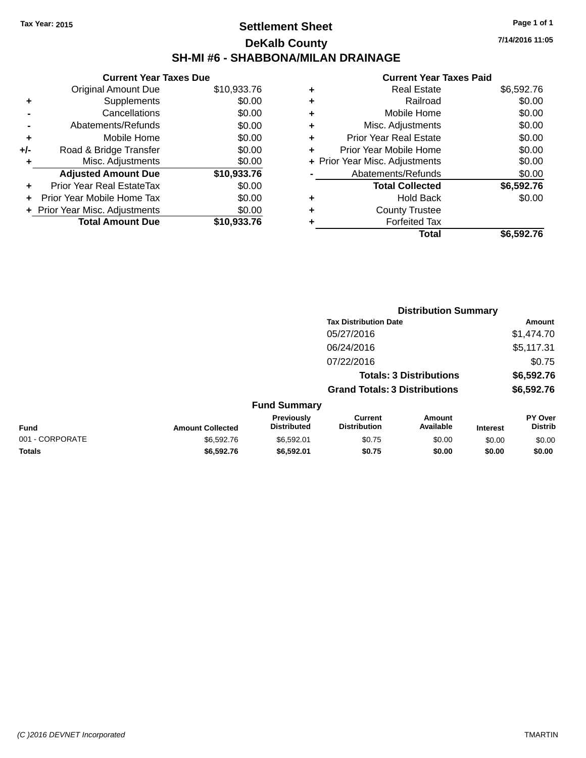## **Settlement Sheet Tax Year: 2015 Page 1 of 1 DeKalb County SH-MI #6 - SHABBONA/MILAN DRAINAGE**

|     | <b>Current Year Taxes Due</b> |             |
|-----|-------------------------------|-------------|
|     | <b>Original Amount Due</b>    | \$10,933.76 |
| ÷   | Supplements                   | \$0.00      |
|     | Cancellations                 | \$0.00      |
|     | Abatements/Refunds            | \$0.00      |
| ٠   | Mobile Home                   | \$0.00      |
| +/- | Road & Bridge Transfer        | \$0.00      |
|     | Misc. Adjustments             | \$0.00      |
|     | <b>Adjusted Amount Due</b>    | \$10,933.76 |
| ٠   | Prior Year Real EstateTax     | \$0.00      |
|     | Prior Year Mobile Home Tax    | \$0.00      |
|     | Prior Year Misc. Adjustments  | \$0.00      |
|     | <b>Total Amount Due</b>       | \$10,933.76 |

### **Current Year Taxes Paid**

|   | <b>Real Estate</b>             | \$6,592.76 |
|---|--------------------------------|------------|
| ٠ | Railroad                       | \$0.00     |
| ٠ | Mobile Home                    | \$0.00     |
| ٠ | Misc. Adjustments              | \$0.00     |
| ٠ | <b>Prior Year Real Estate</b>  | \$0.00     |
|   | Prior Year Mobile Home         | \$0.00     |
|   | + Prior Year Misc. Adjustments | \$0.00     |
|   | Abatements/Refunds             | \$0.00     |
|   | <b>Total Collected</b>         | \$6,592.76 |
| ٠ | <b>Hold Back</b>               | \$0.00     |
| ٠ | <b>County Trustee</b>          |            |
|   | <b>Forfeited Tax</b>           |            |
|   | Total                          | \$6,592.76 |
|   |                                |            |

**Distribution Summary**

|  | ıt Year Taxes Paid |  |  |
|--|--------------------|--|--|

|                         |                                  | <b>Tax Distribution Date</b>          |                                |                 | Amount                    |
|-------------------------|----------------------------------|---------------------------------------|--------------------------------|-----------------|---------------------------|
|                         |                                  | 05/27/2016                            |                                |                 | \$1,474.70                |
|                         |                                  | 06/24/2016                            |                                | \$5,117.31      |                           |
|                         |                                  | 07/22/2016                            |                                |                 | \$0.75                    |
|                         |                                  |                                       | <b>Totals: 3 Distributions</b> |                 | \$6,592.76                |
|                         |                                  | <b>Grand Totals: 3 Distributions</b>  |                                |                 | \$6,592.76                |
|                         | <b>Fund Summary</b>              |                                       |                                |                 |                           |
| <b>Amount Collected</b> | Previously<br><b>Distributed</b> | <b>Current</b><br><b>Distribution</b> | Amount<br>Available            | <b>Interest</b> | PY Over<br><b>Distrib</b> |
| \$6,592.76              | \$65901                          | ደበ 75                                 | <b>RO 00</b>                   | ድስ ሰሰ           | ድስ ሰሰ                     |

**Fund Interest** 001 - CORPORATE \$6,592.76 \$6,592.01 \$0.75 \$0.00 \$0.00 \$0.00 **Totals \$6,592.76 \$6,592.01 \$0.75 \$0.00 \$0.00 \$0.00**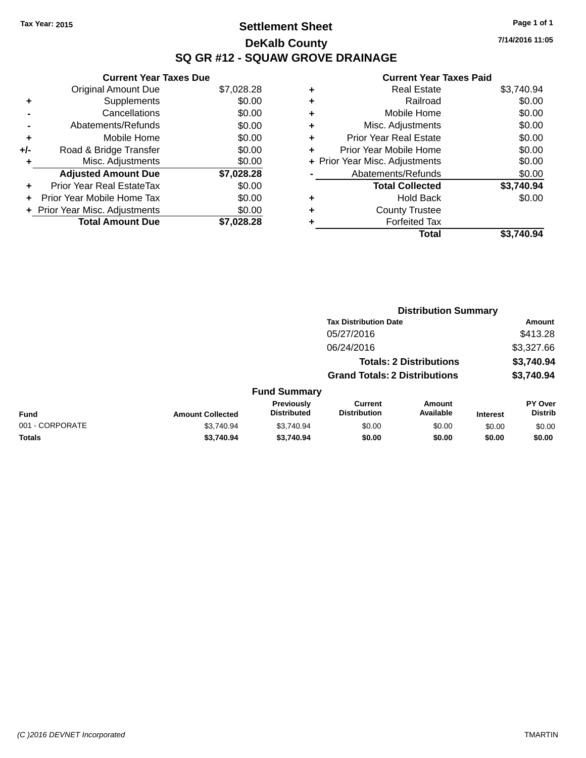## **Settlement Sheet Tax Year: 2015 Page 1 of 1 DeKalb County SQ GR #12 - SQUAW GROVE DRAINAGE**

**7/14/2016 11:05**

|     | <b>Current Year Taxes Due</b>    |            |
|-----|----------------------------------|------------|
|     | <b>Original Amount Due</b>       | \$7,028.28 |
| ٠   | Supplements                      | \$0.00     |
|     | Cancellations                    | \$0.00     |
|     | Abatements/Refunds               | \$0.00     |
| ٠   | Mobile Home                      | \$0.00     |
| +/- | Road & Bridge Transfer           | \$0.00     |
| ٠   | Misc. Adjustments                | \$0.00     |
|     | <b>Adjusted Amount Due</b>       | \$7,028.28 |
| ÷   | <b>Prior Year Real EstateTax</b> | \$0.00     |
| ٠   | Prior Year Mobile Home Tax       | \$0.00     |
|     | + Prior Year Misc. Adjustments   | \$0.00     |
|     | <b>Total Amount Due</b>          | \$7,028.28 |

|   | <b>Real Estate</b>             | \$3,740.94 |
|---|--------------------------------|------------|
| ٠ | Railroad                       | \$0.00     |
| ٠ | Mobile Home                    | \$0.00     |
| ٠ | Misc. Adjustments              | \$0.00     |
| ٠ | <b>Prior Year Real Estate</b>  | \$0.00     |
| ٠ | Prior Year Mobile Home         | \$0.00     |
|   | + Prior Year Misc. Adjustments | \$0.00     |
|   | Abatements/Refunds             | \$0.00     |
|   | <b>Total Collected</b>         | \$3,740.94 |
| ٠ | <b>Hold Back</b>               | \$0.00     |
|   | <b>County Trustee</b>          |            |
| ٠ | <b>Forfeited Tax</b>           |            |
|   | Total                          | \$3.740.94 |
|   |                                |            |

|                 |                         |                                  |                                       | <b>Distribution Summary</b>    |                 |                           |
|-----------------|-------------------------|----------------------------------|---------------------------------------|--------------------------------|-----------------|---------------------------|
|                 |                         |                                  | <b>Tax Distribution Date</b>          |                                |                 | <b>Amount</b>             |
|                 |                         |                                  | 05/27/2016                            |                                |                 | \$413.28                  |
|                 |                         |                                  | 06/24/2016                            |                                |                 | \$3,327.66                |
|                 |                         |                                  |                                       | <b>Totals: 2 Distributions</b> |                 | \$3,740.94                |
|                 |                         |                                  | <b>Grand Totals: 2 Distributions</b>  |                                |                 | \$3,740.94                |
|                 |                         | <b>Fund Summary</b>              |                                       |                                |                 |                           |
| <b>Fund</b>     | <b>Amount Collected</b> | Previously<br><b>Distributed</b> | <b>Current</b><br><b>Distribution</b> | Amount<br>Available            | <b>Interest</b> | PY Over<br><b>Distrib</b> |
| 001 - CORPORATE | \$3,740.94              | \$3,740.94                       | \$0.00                                | \$0.00                         | \$0.00          | \$0.00                    |
| <b>Totals</b>   | \$3,740.94              | \$3,740.94                       | \$0.00                                | \$0.00                         | \$0.00          | \$0.00                    |
|                 |                         |                                  |                                       |                                |                 |                           |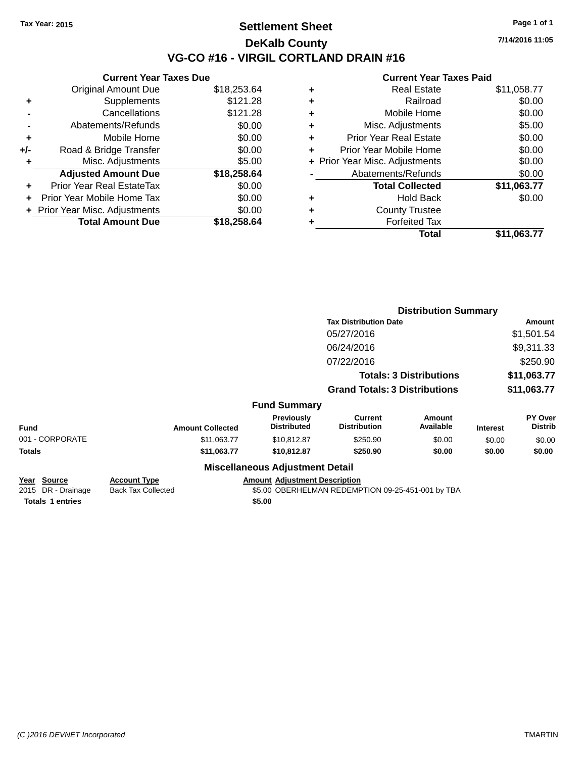### **Settlement Sheet Tax Year: 2015 Page 1 of 1 DeKalb County VG-CO #16 - VIRGIL CORTLAND DRAIN #16**

**7/14/2016 11:05**

|     | <b>Current Year Taxes Due</b>  |             |
|-----|--------------------------------|-------------|
|     | <b>Original Amount Due</b>     | \$18,253.64 |
| ٠   | Supplements                    | \$121.28    |
|     | Cancellations                  | \$121.28    |
|     | Abatements/Refunds             | \$0.00      |
| ÷   | Mobile Home                    | \$0.00      |
| +/- | Road & Bridge Transfer         | \$0.00      |
|     | Misc. Adjustments              | \$5.00      |
|     | <b>Adjusted Amount Due</b>     | \$18,258.64 |
| ÷   | Prior Year Real EstateTax      | \$0.00      |
|     | Prior Year Mobile Home Tax     | \$0.00      |
|     | + Prior Year Misc. Adjustments | \$0.00      |
|     | <b>Total Amount Due</b>        | \$18,258,64 |
|     |                                |             |

|   | <b>Real Estate</b>             | \$11,058.77 |
|---|--------------------------------|-------------|
| ٠ | Railroad                       | \$0.00      |
| ٠ | Mobile Home                    | \$0.00      |
| ٠ | Misc. Adjustments              | \$5.00      |
| ٠ | <b>Prior Year Real Estate</b>  | \$0.00      |
| ٠ | Prior Year Mobile Home         | \$0.00      |
|   | + Prior Year Misc. Adjustments | \$0.00      |
|   | Abatements/Refunds             | \$0.00      |
|   | <b>Total Collected</b>         | \$11,063.77 |
| ٠ | <b>Hold Back</b>               | \$0.00      |
| ٠ | <b>County Trustee</b>          |             |
| ٠ | <b>Forfeited Tax</b>           |             |
|   | Total                          | \$11,063.77 |
|   |                                |             |

|                                          |                                                  |                                         |                                                   | <b>Distribution Summary</b>    |                 |                                  |
|------------------------------------------|--------------------------------------------------|-----------------------------------------|---------------------------------------------------|--------------------------------|-----------------|----------------------------------|
|                                          |                                                  |                                         | <b>Tax Distribution Date</b>                      |                                |                 | Amount                           |
|                                          |                                                  |                                         | 05/27/2016                                        |                                |                 | \$1,501.54                       |
|                                          |                                                  |                                         | 06/24/2016                                        |                                |                 | \$9,311.33                       |
|                                          |                                                  |                                         | 07/22/2016                                        |                                |                 | \$250.90                         |
|                                          |                                                  |                                         |                                                   | <b>Totals: 3 Distributions</b> |                 | \$11,063.77                      |
|                                          |                                                  |                                         | <b>Grand Totals: 3 Distributions</b>              |                                | \$11,063.77     |                                  |
|                                          |                                                  | <b>Fund Summary</b>                     |                                                   |                                |                 |                                  |
| <b>Fund</b>                              | <b>Amount Collected</b>                          | <b>Previously</b><br><b>Distributed</b> | Current<br><b>Distribution</b>                    | Amount<br>Available            | <b>Interest</b> | <b>PY Over</b><br><b>Distrib</b> |
| 001 - CORPORATE                          | \$11,063.77                                      | \$10,812.87                             | \$250.90                                          | \$0.00                         | \$0.00          | \$0.00                           |
| Totals                                   | \$11,063.77                                      | \$10,812.87                             | \$250.90                                          | \$0.00                         | \$0.00          | \$0.00                           |
|                                          |                                                  | <b>Miscellaneous Adjustment Detail</b>  |                                                   |                                |                 |                                  |
| <u>Year Source</u><br>2015 DR - Drainage | <b>Account Type</b><br><b>Back Tax Collected</b> | <b>Amount Adjustment Description</b>    | \$5.00 OBERHELMAN REDEMPTION 09-25-451-001 by TBA |                                |                 |                                  |
| <b>Totals 1 entries</b>                  |                                                  | \$5.00                                  |                                                   |                                |                 |                                  |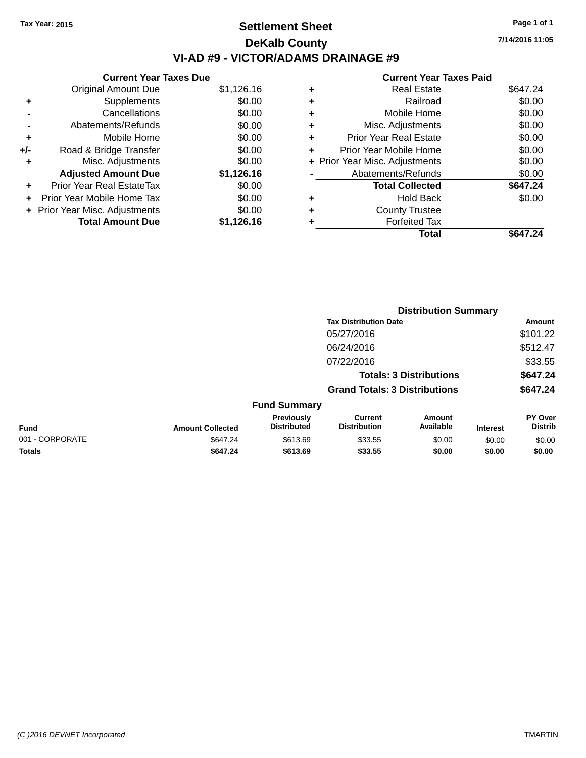## **Settlement Sheet Tax Year: 2015 Page 1 of 1 DeKalb County VI-AD #9 - VICTOR/ADAMS DRAINAGE #9**

**Current Year Taxes Due** Original Amount Due \$1,126.16 **+** Supplements \$0.00 **-** Cancellations \$0.00 **-** Abatements/Refunds \$0.00 **+** Mobile Home \$0.00 **+/-** Road & Bridge Transfer \$0.00 **+** Misc. Adjustments \$0.00 **Adjusted Amount Due \$1,126.16 +** Prior Year Real EstateTax \$0.00 **+** Prior Year Mobile Home Tax \$0.00 **+ Prior Year Misc. Adjustments**  $$0.00$ **Total Amount Due \$1,126.16**

### **Current Year Taxes Paid +** Real Estate \$647.24 **+** Railroad \$0.00

|   | Total                          | \$647.24 |
|---|--------------------------------|----------|
| ٠ | <b>Forfeited Tax</b>           |          |
| ٠ | <b>County Trustee</b>          |          |
| ٠ | <b>Hold Back</b>               | \$0.00   |
|   | <b>Total Collected</b>         | \$647.24 |
|   | Abatements/Refunds             | \$0.00   |
|   | + Prior Year Misc. Adjustments | \$0.00   |
| ٠ | Prior Year Mobile Home         | \$0.00   |
| ٠ | <b>Prior Year Real Estate</b>  | \$0.00   |
| ÷ | Misc. Adjustments              | \$0.00   |
| ÷ | Mobile Home                    | \$0.00   |
|   |                                | vv.vv    |

**Distribution Summary**

|                 |                         |                                  | <b>Tax Distribution Date</b>          |                                |                 | Amount                    |
|-----------------|-------------------------|----------------------------------|---------------------------------------|--------------------------------|-----------------|---------------------------|
|                 |                         |                                  | 05/27/2016                            |                                |                 | \$101.22                  |
|                 |                         |                                  | 06/24/2016                            |                                |                 | \$512.47                  |
|                 |                         |                                  | 07/22/2016                            |                                |                 | \$33.55                   |
|                 |                         |                                  |                                       | <b>Totals: 3 Distributions</b> |                 | \$647.24                  |
|                 |                         |                                  | <b>Grand Totals: 3 Distributions</b>  |                                |                 | \$647.24                  |
|                 |                         | <b>Fund Summary</b>              |                                       |                                |                 |                           |
| <b>Fund</b>     | <b>Amount Collected</b> | Previously<br><b>Distributed</b> | <b>Current</b><br><b>Distribution</b> | Amount<br>Available            | <b>Interest</b> | PY Over<br><b>Distrib</b> |
| 001 - CORPORATE | \$647.24                | \$613.69                         | \$33.55                               | \$0.00                         | \$0.00          | \$0.00                    |
| <b>Totals</b>   | \$647.24                | \$613.69                         | \$33.55                               | \$0.00                         | \$0.00          | \$0.00                    |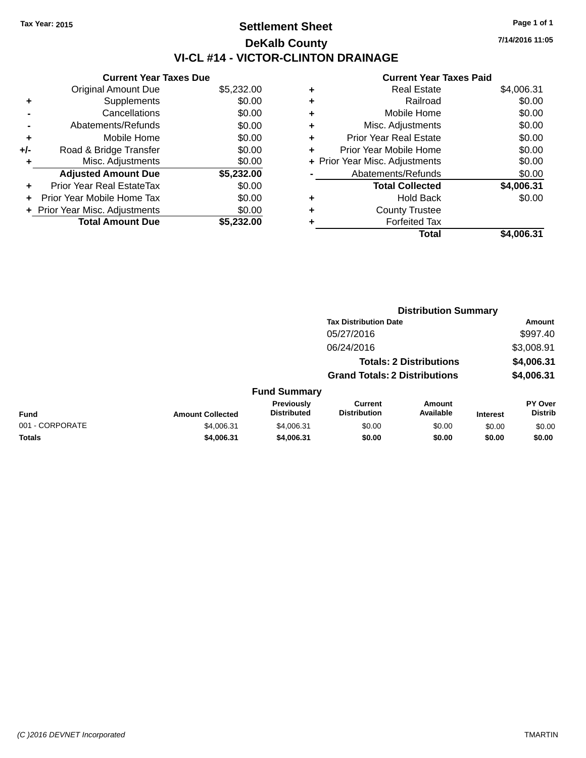## **Settlement Sheet Tax Year: 2015 Page 1 of 1 DeKalb County VI-CL #14 - VICTOR-CLINTON DRAINAGE**

**Current Year Taxes Due** Original Amount Due \$5,232.00 **+** Supplements \$0.00 **-** Cancellations \$0.00 **-** Abatements/Refunds \$0.00 **+** Mobile Home \$0.00 **+/-** Road & Bridge Transfer \$0.00 **+** Misc. Adjustments \$0.00 **Adjusted Amount Due \$5,232.00 +** Prior Year Real EstateTax \$0.00 **+** Prior Year Mobile Home Tax \$0.00 **+ Prior Year Misc. Adjustments**  $$0.00$ **Total Amount Due \$5,232.00**

#### **Current Year Taxes Paid**

| ٠ | <b>Real Estate</b>             | \$4,006.31 |
|---|--------------------------------|------------|
| ٠ | Railroad                       | \$0.00     |
| ٠ | Mobile Home                    | \$0.00     |
| ٠ | Misc. Adjustments              | \$0.00     |
| ٠ | <b>Prior Year Real Estate</b>  | \$0.00     |
| ٠ | Prior Year Mobile Home         | \$0.00     |
|   | + Prior Year Misc. Adjustments | \$0.00     |
|   | Abatements/Refunds             | \$0.00     |
|   | <b>Total Collected</b>         | \$4,006.31 |
| ٠ | <b>Hold Back</b>               | \$0.00     |
| ٠ | <b>County Trustee</b>          |            |
| ٠ | <b>Forfeited Tax</b>           |            |
|   | Total                          | \$4,006.31 |

|                 |                         |                                  |                                       | <b>Distribution Summary</b>    |                 |                                  |
|-----------------|-------------------------|----------------------------------|---------------------------------------|--------------------------------|-----------------|----------------------------------|
|                 |                         |                                  | <b>Tax Distribution Date</b>          |                                |                 | Amount                           |
|                 |                         |                                  | 05/27/2016                            |                                |                 | \$997.40                         |
|                 |                         |                                  | 06/24/2016                            |                                |                 | \$3,008.91                       |
|                 |                         |                                  |                                       | <b>Totals: 2 Distributions</b> |                 | \$4,006.31                       |
|                 |                         |                                  | <b>Grand Totals: 2 Distributions</b>  |                                |                 | \$4,006.31                       |
|                 |                         | <b>Fund Summary</b>              |                                       |                                |                 |                                  |
| <b>Fund</b>     | <b>Amount Collected</b> | Previously<br><b>Distributed</b> | <b>Current</b><br><b>Distribution</b> | <b>Amount</b><br>Available     | <b>Interest</b> | <b>PY Over</b><br><b>Distrib</b> |
| 001 - CORPORATE | \$4,006.31              | \$4,006.31                       | \$0.00                                | \$0.00                         | \$0.00          | \$0.00                           |
| <b>Totals</b>   | \$4,006.31              | \$4,006.31                       | \$0.00                                | \$0.00                         | \$0.00          | \$0.00                           |
|                 |                         |                                  |                                       |                                |                 |                                  |

|  | <b>CONSINA VARD TAMAA DAL</b> I |  |
|--|---------------------------------|--|